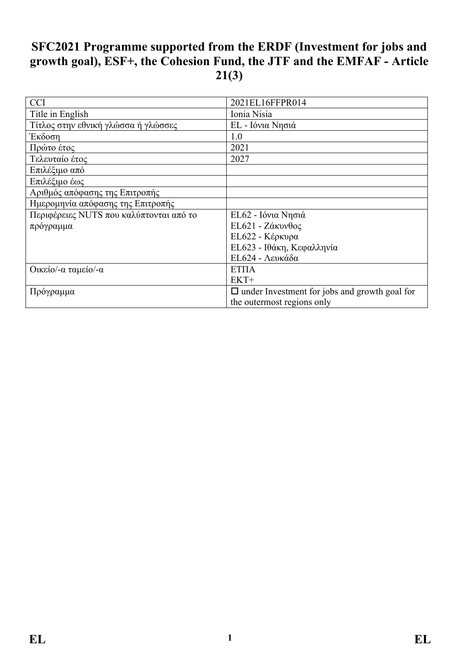# **SFC2021 Programme supported from the ERDF (Investment for jobs and growth goal), ESF+, the Cohesion Fund, the JTF and the EMFAF - Article 21(3)**

| <b>CCI</b>                              | 2021EL16FFPR014                                      |
|-----------------------------------------|------------------------------------------------------|
| Title in English                        | Ionia Nisia                                          |
| Τίτλος στην εθνική γλώσσα ή γλώσσες     | ΕL - Ιόνια Νησιά                                     |
| Έκδοση                                  | 1.0                                                  |
| Πρώτο έτος                              | 2021                                                 |
| Τελευταίο έτος                          | 2027                                                 |
| Επιλέξιμο από                           |                                                      |
| Επιλέξιμο έως                           |                                                      |
| Αριθμός απόφασης της Επιτροπής          |                                                      |
| Ημερομηνία απόφασης της Επιτροπής       |                                                      |
| Περιφέρειες NUTS που καλύπτονται από το | ΕL62 - Ιόνια Νησιά                                   |
| πρόγραμμα                               | ΕL621 - Ζάκυνθος                                     |
|                                         | ΕL622 - Κέρκυρα                                      |
|                                         | ΕL623 - Ιθάκη, Κεφαλληνία                            |
|                                         | ΕL624 - Λευκάδα                                      |
| Οικείο/-α ταμείο/-α                     | <b>ΕΤΠΑ</b>                                          |
|                                         | $EKT+$                                               |
| Πρόγραμμα                               | $\Box$ under Investment for jobs and growth goal for |
|                                         | the outermost regions only                           |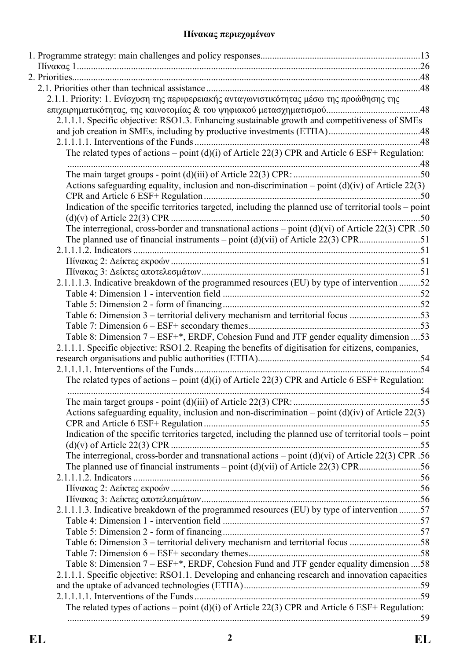## **Πίνακας περιεχομένων**

| 2.1.1. Priority: 1. Ενίσχυση της περιφερειακής ανταγωνιστικότητας μέσω της προώθησης της                |            |
|---------------------------------------------------------------------------------------------------------|------------|
|                                                                                                         |            |
| 2.1.1.1. Specific objective: RSO1.3. Enhancing sustainable growth and competitiveness of SMEs           |            |
|                                                                                                         |            |
|                                                                                                         |            |
| The related types of actions – point (d)(i) of Article 22(3) CPR and Article 6 ESF+ Regulation:         |            |
|                                                                                                         |            |
| Actions safeguarding equality, inclusion and non-discrimination – point $(d)(iv)$ of Article 22(3)      |            |
|                                                                                                         |            |
| Indication of the specific territories targeted, including the planned use of territorial tools – point |            |
|                                                                                                         |            |
| The interregional, cross-border and transnational actions – point $(d)(vi)$ of Article 22(3) CPR .50    |            |
|                                                                                                         |            |
|                                                                                                         |            |
|                                                                                                         |            |
|                                                                                                         |            |
| 2.1.1.1.3. Indicative breakdown of the programmed resources (EU) by type of intervention 52             |            |
|                                                                                                         |            |
|                                                                                                         |            |
| Table 6: Dimension 3 – territorial delivery mechanism and territorial focus 53                          |            |
|                                                                                                         |            |
| Table 8: Dimension 7 - ESF+*, ERDF, Cohesion Fund and JTF gender equality dimension  53                 |            |
| 2.1.1.1. Specific objective: RSO1.2. Reaping the benefits of digitisation for citizens, companies,      |            |
|                                                                                                         |            |
|                                                                                                         |            |
| The related types of actions – point (d)(i) of Article 22(3) CPR and Article 6 ESF+ Regulation:         |            |
|                                                                                                         |            |
|                                                                                                         | $\dots 55$ |
| Actions safeguarding equality, inclusion and non-discrimination – point $(d)(iv)$ of Article 22(3)      |            |
|                                                                                                         |            |
| Indication of the specific territories targeted, including the planned use of territorial tools – point |            |
|                                                                                                         |            |
| The interregional, cross-border and transnational actions – point $(d)(vi)$ of Article 22(3) CPR .56    |            |
|                                                                                                         |            |
|                                                                                                         |            |
|                                                                                                         |            |
|                                                                                                         |            |
| 2.1.1.1.3. Indicative breakdown of the programmed resources (EU) by type of intervention 57             |            |
|                                                                                                         |            |
|                                                                                                         |            |
| Table 6: Dimension 3 – territorial delivery mechanism and territorial focus 58                          |            |
|                                                                                                         |            |
| Table 8: Dimension 7 – ESF+*, ERDF, Cohesion Fund and JTF gender equality dimension  58                 |            |
| 2.1.1.1. Specific objective: RSO1.1. Developing and enhancing research and innovation capacities        |            |
|                                                                                                         |            |
|                                                                                                         |            |
| The related types of actions – point $(d)(i)$ of Article 22(3) CPR and Article 6 ESF+ Regulation:       |            |
|                                                                                                         |            |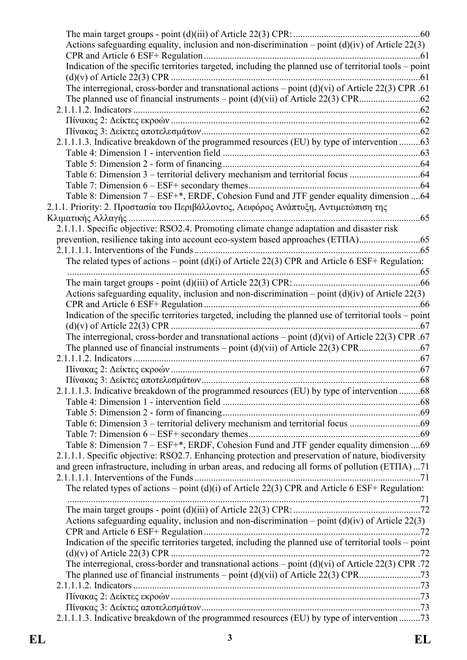| Actions safeguarding equality, inclusion and non-discrimination – point $(d)(iv)$ of Article 22(3)      |  |
|---------------------------------------------------------------------------------------------------------|--|
|                                                                                                         |  |
| Indication of the specific territories targeted, including the planned use of territorial tools - point |  |
|                                                                                                         |  |
| The interregional, cross-border and transnational actions - point $(d)(vi)$ of Article 22(3) CPR .61    |  |
|                                                                                                         |  |
|                                                                                                         |  |
|                                                                                                         |  |
|                                                                                                         |  |
| 2.1.1.1.3. Indicative breakdown of the programmed resources (EU) by type of intervention 63             |  |
|                                                                                                         |  |
|                                                                                                         |  |
|                                                                                                         |  |
|                                                                                                         |  |
| Table 8: Dimension 7 – ESF+*, ERDF, Cohesion Fund and JTF gender equality dimension 64                  |  |
| 2.1.1. Priority: 2. Προστασία του Περιβάλλοντος, Αειφόρος Ανάπτυξη, Αντιμετώπιση της                    |  |
|                                                                                                         |  |
|                                                                                                         |  |
| 2.1.1.1. Specific objective: RSO2.4. Promoting climate change adaptation and disaster risk              |  |
| prevention, resilience taking into account eco-system based approaches (ETIIA)                          |  |
|                                                                                                         |  |
| The related types of actions – point (d)(i) of Article 22(3) CPR and Article 6 ESF+ Regulation:         |  |
|                                                                                                         |  |
|                                                                                                         |  |
| Actions safeguarding equality, inclusion and non-discrimination – point $(d)(iv)$ of Article 22(3)      |  |
|                                                                                                         |  |
| Indication of the specific territories targeted, including the planned use of territorial tools – point |  |
|                                                                                                         |  |
| The interregional, cross-border and transnational actions - point $(d)(vi)$ of Article 22(3) CPR .67    |  |
|                                                                                                         |  |
|                                                                                                         |  |
|                                                                                                         |  |
|                                                                                                         |  |
| 2.1.1.1.3. Indicative breakdown of the programmed resources (EU) by type of intervention 68             |  |
|                                                                                                         |  |
|                                                                                                         |  |
|                                                                                                         |  |
|                                                                                                         |  |
| Table 8: Dimension 7 – ESF+*, ERDF, Cohesion Fund and JTF gender equality dimension 69                  |  |
| 2.1.1.1. Specific objective: RSO2.7. Enhancing protection and preservation of nature, biodiversity      |  |
|                                                                                                         |  |
| and green infrastructure, including in urban areas, and reducing all forms of pollution (ETIIA)71       |  |
|                                                                                                         |  |
| The related types of actions – point (d)(i) of Article 22(3) CPR and Article 6 ESF+ Regulation:         |  |
|                                                                                                         |  |
|                                                                                                         |  |
| Actions safeguarding equality, inclusion and non-discrimination – point $(d)(iv)$ of Article 22(3)      |  |
|                                                                                                         |  |
| Indication of the specific territories targeted, including the planned use of territorial tools – point |  |
|                                                                                                         |  |
| The interregional, cross-border and transnational actions – point (d)(vi) of Article 22(3) CPR .72      |  |
|                                                                                                         |  |
|                                                                                                         |  |
|                                                                                                         |  |
|                                                                                                         |  |
| 2.1.1.1.3. Indicative breakdown of the programmed resources (EU) by type of intervention 73             |  |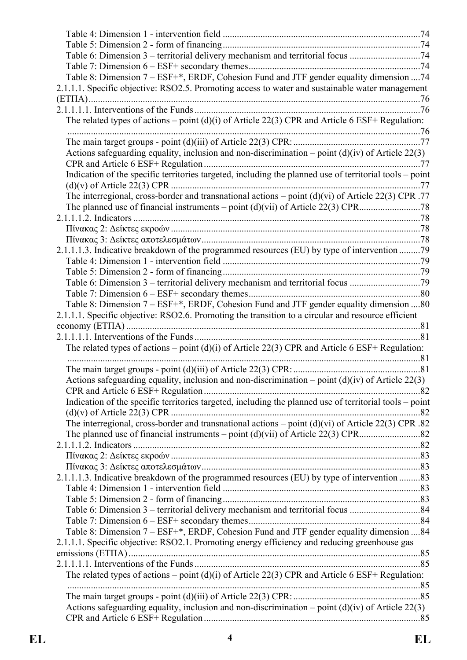| Table 6: Dimension 3 – territorial delivery mechanism and territorial focus 74                          |  |
|---------------------------------------------------------------------------------------------------------|--|
| Table 8: Dimension 7 - ESF+*, ERDF, Cohesion Fund and JTF gender equality dimension  74                 |  |
| 2.1.1.1. Specific objective: RSO2.5. Promoting access to water and sustainable water management         |  |
|                                                                                                         |  |
|                                                                                                         |  |
| The related types of actions – point (d)(i) of Article 22(3) CPR and Article 6 ESF+ Regulation:         |  |
|                                                                                                         |  |
|                                                                                                         |  |
| Actions safeguarding equality, inclusion and non-discrimination – point $(d)(iv)$ of Article 22(3)      |  |
|                                                                                                         |  |
| Indication of the specific territories targeted, including the planned use of territorial tools - point |  |
|                                                                                                         |  |
| The interregional, cross-border and transnational actions – point $(d)(vi)$ of Article 22(3) CPR .77    |  |
|                                                                                                         |  |
|                                                                                                         |  |
|                                                                                                         |  |
|                                                                                                         |  |
| 2.1.1.1.3. Indicative breakdown of the programmed resources (EU) by type of intervention 79             |  |
|                                                                                                         |  |
|                                                                                                         |  |
| Table 6: Dimension 3 – territorial delivery mechanism and territorial focus 79                          |  |
|                                                                                                         |  |
| Table 8: Dimension 7 – ESF+*, ERDF, Cohesion Fund and JTF gender equality dimension 80                  |  |
| 2.1.1.1. Specific objective: RSO2.6. Promoting the transition to a circular and resource efficient      |  |
|                                                                                                         |  |
| The related types of actions – point (d)(i) of Article 22(3) CPR and Article 6 ESF+ Regulation:         |  |
|                                                                                                         |  |
|                                                                                                         |  |
| Actions safeguarding equality, inclusion and non-discrimination – point $(d)(iv)$ of Article 22(3)      |  |
|                                                                                                         |  |
| Indication of the specific territories targeted, including the planned use of territorial tools – point |  |
|                                                                                                         |  |
| The interregional, cross-border and transnational actions – point $(d)(vi)$ of Article 22(3) CPR .82    |  |
|                                                                                                         |  |
|                                                                                                         |  |
|                                                                                                         |  |
|                                                                                                         |  |
| 2.1.1.1.3. Indicative breakdown of the programmed resources (EU) by type of intervention 83             |  |
|                                                                                                         |  |
|                                                                                                         |  |
|                                                                                                         |  |
|                                                                                                         |  |
| Table 8: Dimension 7 – ESF+*, ERDF, Cohesion Fund and JTF gender equality dimension  84                 |  |
| 2.1.1.1. Specific objective: RSO2.1. Promoting energy efficiency and reducing greenhouse gas            |  |
|                                                                                                         |  |
| The related types of actions – point (d)(i) of Article 22(3) CPR and Article 6 ESF+ Regulation:         |  |
|                                                                                                         |  |
|                                                                                                         |  |
| Actions safeguarding equality, inclusion and non-discrimination – point $(d)(iv)$ of Article 22(3)      |  |
|                                                                                                         |  |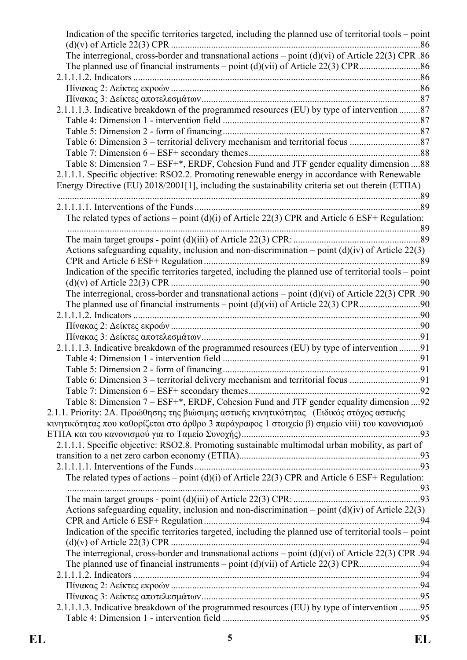|                                                                                                         | Indication of the specific territories targeted, including the planned use of territorial tools – point |
|---------------------------------------------------------------------------------------------------------|---------------------------------------------------------------------------------------------------------|
| The interregional, cross-border and transnational actions – point $(d)(vi)$ of Article 22(3) CPR .86    |                                                                                                         |
|                                                                                                         |                                                                                                         |
|                                                                                                         |                                                                                                         |
|                                                                                                         |                                                                                                         |
|                                                                                                         |                                                                                                         |
| 2.1.1.1.3. Indicative breakdown of the programmed resources (EU) by type of intervention 87             |                                                                                                         |
|                                                                                                         |                                                                                                         |
|                                                                                                         |                                                                                                         |
|                                                                                                         |                                                                                                         |
|                                                                                                         |                                                                                                         |
| Table 8: Dimension 7 – ESF+*, ERDF, Cohesion Fund and JTF gender equality dimension 88                  |                                                                                                         |
| 2.1.1.1. Specific objective: RSO2.2. Promoting renewable energy in accordance with Renewable            |                                                                                                         |
| Energy Directive (EU) 2018/2001[1], including the sustainability criteria set out therein (ETIIA)       |                                                                                                         |
|                                                                                                         |                                                                                                         |
|                                                                                                         |                                                                                                         |
| The related types of actions – point $(d)(i)$ of Article 22(3) CPR and Article 6 ESF+ Regulation:       |                                                                                                         |
|                                                                                                         |                                                                                                         |
| Actions safeguarding equality, inclusion and non-discrimination – point $(d)(iv)$ of Article 22(3)      |                                                                                                         |
| Indication of the specific territories targeted, including the planned use of territorial tools – point |                                                                                                         |
|                                                                                                         |                                                                                                         |
| The interregional, cross-border and transnational actions – point $(d)(vi)$ of Article 22(3) CPR .90    |                                                                                                         |
|                                                                                                         |                                                                                                         |
|                                                                                                         |                                                                                                         |
|                                                                                                         |                                                                                                         |
|                                                                                                         |                                                                                                         |
|                                                                                                         |                                                                                                         |
| 2.1.1.1.3. Indicative breakdown of the programmed resources (EU) by type of intervention 91             |                                                                                                         |
|                                                                                                         |                                                                                                         |
|                                                                                                         |                                                                                                         |
| Table 6: Dimension 3 – territorial delivery mechanism and territorial focus 91                          |                                                                                                         |
|                                                                                                         |                                                                                                         |
| Table 8: Dimension 7 – ESF+*, ERDF, Cohesion Fund and JTF gender equality dimension  92                 |                                                                                                         |
| 2.1.1. Priority: 2A. Προώθησης της βιώσιμης αστικής κινητικότητας (Ειδικός στόχος αστικής               |                                                                                                         |
| κινητικότητας που καθορίζεται στο άρθρο 3 παράγραφος 1 στοιχείο β) σημείο viii) του κανονισμού          |                                                                                                         |
|                                                                                                         |                                                                                                         |
| 2.1.1.1. Specific objective: RSO2.8. Promoting sustainable multimodal urban mobility, as part of        |                                                                                                         |
|                                                                                                         |                                                                                                         |
|                                                                                                         |                                                                                                         |
| The related types of actions – point (d)(i) of Article 22(3) CPR and Article 6 ESF+ Regulation:         |                                                                                                         |
|                                                                                                         |                                                                                                         |
|                                                                                                         |                                                                                                         |
| Actions safeguarding equality, inclusion and non-discrimination – point $(d)(iv)$ of Article 22(3)      |                                                                                                         |
|                                                                                                         |                                                                                                         |
| Indication of the specific territories targeted, including the planned use of territorial tools – point |                                                                                                         |
|                                                                                                         |                                                                                                         |
| The interregional, cross-border and transnational actions – point $(d)(vi)$ of Article 22(3) CPR .94    |                                                                                                         |
|                                                                                                         |                                                                                                         |
|                                                                                                         |                                                                                                         |
|                                                                                                         |                                                                                                         |
| 2.1.1.1.3. Indicative breakdown of the programmed resources (EU) by type of intervention 95             |                                                                                                         |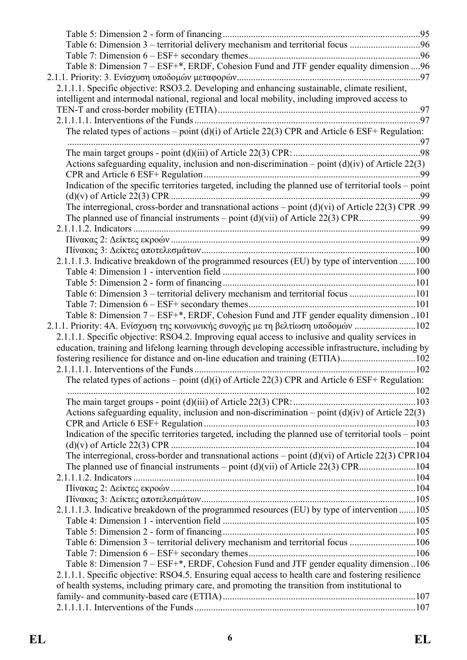| Table 6: Dimension 3 – territorial delivery mechanism and territorial focus 96                          |     |
|---------------------------------------------------------------------------------------------------------|-----|
|                                                                                                         |     |
| Table 8: Dimension 7 – ESF+*, ERDF, Cohesion Fund and JTF gender equality dimension  96                 |     |
|                                                                                                         |     |
| 2.1.1.1. Specific objective: RSO3.2. Developing and enhancing sustainable, climate resilient,           |     |
| intelligent and intermodal national, regional and local mobility, including improved access to          |     |
|                                                                                                         |     |
|                                                                                                         |     |
| The related types of actions – point (d)(i) of Article 22(3) CPR and Article 6 ESF+ Regulation:         |     |
|                                                                                                         |     |
|                                                                                                         |     |
| Actions safeguarding equality, inclusion and non-discrimination – point $(d)(iv)$ of Article 22(3)      |     |
|                                                                                                         | .99 |
| Indication of the specific territories targeted, including the planned use of territorial tools - point |     |
|                                                                                                         |     |
| The interregional, cross-border and transnational actions – point $(d)(vi)$ of Article 22(3) CPR .99    |     |
|                                                                                                         |     |
|                                                                                                         |     |
|                                                                                                         |     |
| 2.1.1.1.3. Indicative breakdown of the programmed resources (EU) by type of intervention 100            |     |
|                                                                                                         |     |
|                                                                                                         |     |
| Table 6: Dimension 3 – territorial delivery mechanism and territorial focus 101                         |     |
|                                                                                                         |     |
| Table 8: Dimension 7 – ESF+*, ERDF, Cohesion Fund and JTF gender equality dimension 101                 |     |
| 2.1.1. Priority: 4A. Ενίσχυση της κοινωνικής συνοχής με τη βελτίωση υποδομών 102                        |     |
| 2.1.1.1. Specific objective: RSO4.2. Improving equal access to inclusive and quality services in        |     |
| education, training and lifelong learning through developing accessible infrastructure, including by    |     |
| fostering resilience for distance and on-line education and training (ETITA)102                         |     |
|                                                                                                         |     |
| The related types of actions – point $(d)(i)$ of Article 22(3) CPR and Article 6 ESF+ Regulation:       |     |
|                                                                                                         |     |
|                                                                                                         |     |
| Actions safeguarding equality, inclusion and non-discrimination – point $(d)(iv)$ of Article 22(3)      |     |
| Indication of the specific territories targeted, including the planned use of territorial tools – point |     |
|                                                                                                         |     |
| The interregional, cross-border and transnational actions – point $(d)(vi)$ of Article 22(3) CPR104     |     |
|                                                                                                         |     |
|                                                                                                         |     |
|                                                                                                         |     |
|                                                                                                         |     |
| 2.1.1.1.3. Indicative breakdown of the programmed resources (EU) by type of intervention 105            |     |
|                                                                                                         |     |
|                                                                                                         |     |
| Table 6: Dimension 3 – territorial delivery mechanism and territorial focus 106                         |     |
|                                                                                                         |     |
| Table 8: Dimension 7 – ESF+*, ERDF, Cohesion Fund and JTF gender equality dimension 106                 |     |
| 2.1.1.1. Specific objective: RSO4.5. Ensuring equal access to health care and fostering resilience      |     |
| of health systems, including primary care, and promoting the transition from institutional to           |     |
|                                                                                                         |     |
|                                                                                                         |     |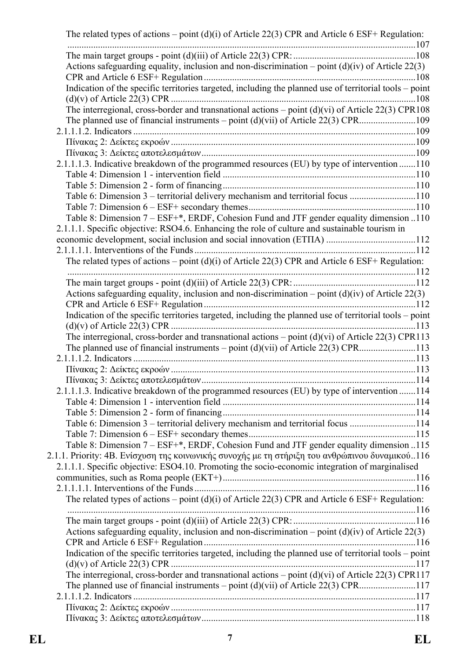| The related types of actions – point $(d)(i)$ of Article 22(3) CPR and Article 6 ESF+ Regulation:                                                                                                                                                                                           |  |
|---------------------------------------------------------------------------------------------------------------------------------------------------------------------------------------------------------------------------------------------------------------------------------------------|--|
|                                                                                                                                                                                                                                                                                             |  |
| Actions safeguarding equality, inclusion and non-discrimination – point $(d)(iv)$ of Article 22(3)                                                                                                                                                                                          |  |
| Indication of the specific territories targeted, including the planned use of territorial tools – point                                                                                                                                                                                     |  |
| The interregional, cross-border and transnational actions $-$ point (d)(vi) of Article 22(3) CPR108                                                                                                                                                                                         |  |
|                                                                                                                                                                                                                                                                                             |  |
|                                                                                                                                                                                                                                                                                             |  |
|                                                                                                                                                                                                                                                                                             |  |
| 2.1.1.1.3. Indicative breakdown of the programmed resources (EU) by type of intervention 110                                                                                                                                                                                                |  |
|                                                                                                                                                                                                                                                                                             |  |
| Table 6: Dimension 3 - territorial delivery mechanism and territorial focus 110                                                                                                                                                                                                             |  |
|                                                                                                                                                                                                                                                                                             |  |
| Table 8: Dimension 7 – ESF+*, ERDF, Cohesion Fund and JTF gender equality dimension 110<br>2.1.1.1. Specific objective: RSO4.6. Enhancing the role of culture and sustainable tourism in                                                                                                    |  |
|                                                                                                                                                                                                                                                                                             |  |
| The related types of actions – point $(d)(i)$ of Article 22(3) CPR and Article 6 ESF+ Regulation:                                                                                                                                                                                           |  |
|                                                                                                                                                                                                                                                                                             |  |
| Actions safeguarding equality, inclusion and non-discrimination – point $(d)(iv)$ of Article 22(3)                                                                                                                                                                                          |  |
| Indication of the specific territories targeted, including the planned use of territorial tools - point                                                                                                                                                                                     |  |
| The interregional, cross-border and transnational actions – point $(d)(vi)$ of Article 22(3) CPR113<br>The planned use of financial instruments – point $(d)(vi)$ of Article 22(3) CPR113                                                                                                   |  |
|                                                                                                                                                                                                                                                                                             |  |
|                                                                                                                                                                                                                                                                                             |  |
|                                                                                                                                                                                                                                                                                             |  |
| 2.1.1.1.3. Indicative breakdown of the programmed resources (EU) by type of intervention 114                                                                                                                                                                                                |  |
|                                                                                                                                                                                                                                                                                             |  |
| Table 6: Dimension 3 – territorial delivery mechanism and territorial focus 114                                                                                                                                                                                                             |  |
|                                                                                                                                                                                                                                                                                             |  |
| Table 8: Dimension 7 – ESF+*, ERDF, Cohesion Fund and JTF gender equality dimension 115<br>2.1.1. Priority: 4B. Ενίσχυση της κοινωνικής συνοχής με τη στήριξη του ανθρώπινου δυναμικού116<br>2.1.1.1. Specific objective: ESO4.10. Promoting the socio-economic integration of marginalised |  |
|                                                                                                                                                                                                                                                                                             |  |
| The related types of actions – point $(d)(i)$ of Article 22(3) CPR and Article 6 ESF+ Regulation:                                                                                                                                                                                           |  |
|                                                                                                                                                                                                                                                                                             |  |
| Actions safeguarding equality, inclusion and non-discrimination – point $(d)(iv)$ of Article 22(3)                                                                                                                                                                                          |  |
| Indication of the specific territories targeted, including the planned use of territorial tools – point                                                                                                                                                                                     |  |
|                                                                                                                                                                                                                                                                                             |  |
| The interregional, cross-border and transnational actions – point $(d)(vi)$ of Article 22(3) CPR117                                                                                                                                                                                         |  |
|                                                                                                                                                                                                                                                                                             |  |
|                                                                                                                                                                                                                                                                                             |  |
|                                                                                                                                                                                                                                                                                             |  |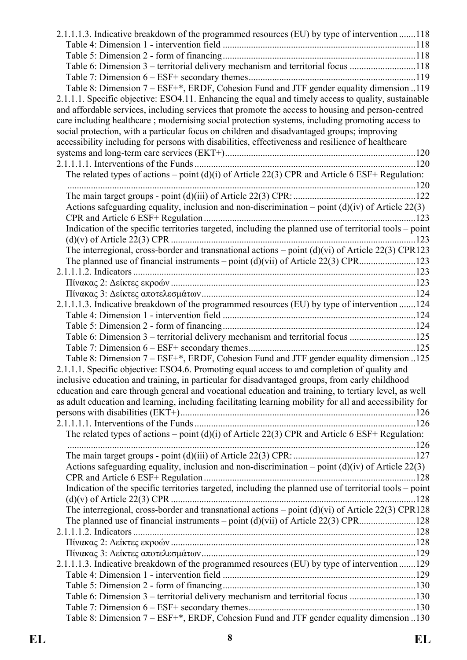| 2.1.1.1.3. Indicative breakdown of the programmed resources (EU) by type of intervention 118            |  |
|---------------------------------------------------------------------------------------------------------|--|
|                                                                                                         |  |
|                                                                                                         |  |
| Table 6: Dimension 3 – territorial delivery mechanism and territorial focus 118                         |  |
|                                                                                                         |  |
| Table 8: Dimension 7 - ESF+*, ERDF, Cohesion Fund and JTF gender equality dimension 119                 |  |
| 2.1.1.1. Specific objective: ESO4.11. Enhancing the equal and timely access to quality, sustainable     |  |
| and affordable services, including services that promote the access to housing and person-centred       |  |
| care including healthcare; modernising social protection systems, including promoting access to         |  |
| social protection, with a particular focus on children and disadvantaged groups; improving              |  |
| accessibility including for persons with disabilities, effectiveness and resilience of healthcare       |  |
|                                                                                                         |  |
|                                                                                                         |  |
| The related types of actions – point (d)(i) of Article 22(3) CPR and Article 6 ESF+ Regulation:         |  |
|                                                                                                         |  |
|                                                                                                         |  |
| Actions safeguarding equality, inclusion and non-discrimination – point $(d)(iv)$ of Article 22(3)      |  |
|                                                                                                         |  |
| Indication of the specific territories targeted, including the planned use of territorial tools – point |  |
|                                                                                                         |  |
| The interregional, cross-border and transnational actions – point $(d)(vi)$ of Article 22(3) CPR123     |  |
|                                                                                                         |  |
|                                                                                                         |  |
|                                                                                                         |  |
|                                                                                                         |  |
| 2.1.1.1.3. Indicative breakdown of the programmed resources (EU) by type of intervention 124            |  |
|                                                                                                         |  |
|                                                                                                         |  |
| Table 6: Dimension 3 – territorial delivery mechanism and territorial focus 125                         |  |
|                                                                                                         |  |
| Table 8: Dimension 7 – ESF+*, ERDF, Cohesion Fund and JTF gender equality dimension 125                 |  |
| 2.1.1.1. Specific objective: ESO4.6. Promoting equal access to and completion of quality and            |  |
| inclusive education and training, in particular for disadvantaged groups, from early childhood          |  |
| education and care through general and vocational education and training, to tertiary level, as well    |  |
| as adult education and learning, including facilitating learning mobility for all and accessibility for |  |
|                                                                                                         |  |
|                                                                                                         |  |
| The related types of actions – point (d)(i) of Article 22(3) CPR and Article 6 ESF+ Regulation:         |  |
|                                                                                                         |  |
|                                                                                                         |  |
| Actions safeguarding equality, inclusion and non-discrimination – point $(d)(iv)$ of Article 22(3)      |  |
|                                                                                                         |  |
| Indication of the specific territories targeted, including the planned use of territorial tools – point |  |
|                                                                                                         |  |
| The interregional, cross-border and transnational actions – point $(d)(vi)$ of Article 22(3) CPR128     |  |
|                                                                                                         |  |
|                                                                                                         |  |
|                                                                                                         |  |
|                                                                                                         |  |
| 2.1.1.1.3. Indicative breakdown of the programmed resources (EU) by type of intervention 129            |  |
|                                                                                                         |  |
|                                                                                                         |  |
| Table 6: Dimension 3 – territorial delivery mechanism and territorial focus 130                         |  |
|                                                                                                         |  |
| Table 8: Dimension 7 – ESF+*, ERDF, Cohesion Fund and JTF gender equality dimension 130                 |  |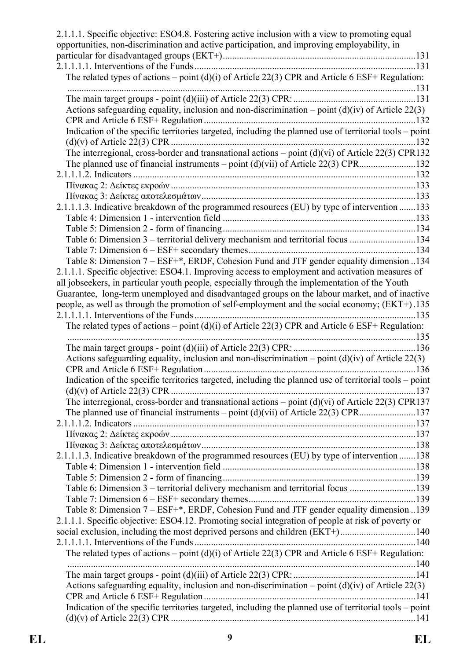| The related types of actions – point (d)(i) of Article 22(3) CPR and Article 6 ESF+ Regulation:<br>Actions safeguarding equality, inclusion and non-discrimination – point $(d)(iv)$ of Article 22(3)<br>Indication of the specific territories targeted, including the planned use of territorial tools - point<br>The interregional, cross-border and transnational actions – point $(d)(vi)$ of Article 22(3) CPR132<br>2.1.1.1.3. Indicative breakdown of the programmed resources (EU) by type of intervention 133<br>Table 6: Dimension 3 – territorial delivery mechanism and territorial focus 134<br>Table 8: Dimension 7 – ESF+*, ERDF, Cohesion Fund and JTF gender equality dimension 134<br>2.1.1.1. Specific objective: ESO4.1. Improving access to employment and activation measures of<br>Guarantee, long-term unemployed and disadvantaged groups on the labour market, and of inactive<br>people, as well as through the promotion of self-employment and the social economy; (EKT+).135<br>The related types of actions – point (d)(i) of Article 22(3) CPR and Article 6 ESF+ Regulation:<br>Actions safeguarding equality, inclusion and non-discrimination – point $(d)(iv)$ of Article 22(3)<br>Indication of the specific territories targeted, including the planned use of territorial tools - point<br>The interregional, cross-border and transnational actions – point $(d)(vi)$ of Article 22(3) CPR137<br>2.1.1.1.3. Indicative breakdown of the programmed resources (EU) by type of intervention 138<br>Table 6: Dimension 3 – territorial delivery mechanism and territorial focus 139<br>Table 8: Dimension 7 – ESF+*, ERDF, Cohesion Fund and JTF gender equality dimension 139<br>2.1.1.1. Specific objective: ESO4.12. Promoting social integration of people at risk of poverty or<br>social exclusion, including the most deprived persons and children (EKT+)140<br>The related types of actions – point (d)(i) of Article 22(3) CPR and Article 6 ESF+ Regulation:<br>Actions safeguarding equality, inclusion and non-discrimination – point $(d)(iv)$ of Article 22(3)<br>Indication of the specific territories targeted, including the planned use of territorial tools – point | 2.1.1.1. Specific objective: ESO4.8. Fostering active inclusion with a view to promoting equal<br>opportunities, non-discrimination and active participation, and improving employability, in |  |
|--------------------------------------------------------------------------------------------------------------------------------------------------------------------------------------------------------------------------------------------------------------------------------------------------------------------------------------------------------------------------------------------------------------------------------------------------------------------------------------------------------------------------------------------------------------------------------------------------------------------------------------------------------------------------------------------------------------------------------------------------------------------------------------------------------------------------------------------------------------------------------------------------------------------------------------------------------------------------------------------------------------------------------------------------------------------------------------------------------------------------------------------------------------------------------------------------------------------------------------------------------------------------------------------------------------------------------------------------------------------------------------------------------------------------------------------------------------------------------------------------------------------------------------------------------------------------------------------------------------------------------------------------------------------------------------------------------------------------------------------------------------------------------------------------------------------------------------------------------------------------------------------------------------------------------------------------------------------------------------------------------------------------------------------------------------------------------------------------------------------------------------------------------------------------------------------------------------------------------|-----------------------------------------------------------------------------------------------------------------------------------------------------------------------------------------------|--|
|                                                                                                                                                                                                                                                                                                                                                                                                                                                                                                                                                                                                                                                                                                                                                                                                                                                                                                                                                                                                                                                                                                                                                                                                                                                                                                                                                                                                                                                                                                                                                                                                                                                                                                                                                                                                                                                                                                                                                                                                                                                                                                                                                                                                                                |                                                                                                                                                                                               |  |
|                                                                                                                                                                                                                                                                                                                                                                                                                                                                                                                                                                                                                                                                                                                                                                                                                                                                                                                                                                                                                                                                                                                                                                                                                                                                                                                                                                                                                                                                                                                                                                                                                                                                                                                                                                                                                                                                                                                                                                                                                                                                                                                                                                                                                                |                                                                                                                                                                                               |  |
|                                                                                                                                                                                                                                                                                                                                                                                                                                                                                                                                                                                                                                                                                                                                                                                                                                                                                                                                                                                                                                                                                                                                                                                                                                                                                                                                                                                                                                                                                                                                                                                                                                                                                                                                                                                                                                                                                                                                                                                                                                                                                                                                                                                                                                |                                                                                                                                                                                               |  |
|                                                                                                                                                                                                                                                                                                                                                                                                                                                                                                                                                                                                                                                                                                                                                                                                                                                                                                                                                                                                                                                                                                                                                                                                                                                                                                                                                                                                                                                                                                                                                                                                                                                                                                                                                                                                                                                                                                                                                                                                                                                                                                                                                                                                                                |                                                                                                                                                                                               |  |
|                                                                                                                                                                                                                                                                                                                                                                                                                                                                                                                                                                                                                                                                                                                                                                                                                                                                                                                                                                                                                                                                                                                                                                                                                                                                                                                                                                                                                                                                                                                                                                                                                                                                                                                                                                                                                                                                                                                                                                                                                                                                                                                                                                                                                                |                                                                                                                                                                                               |  |
|                                                                                                                                                                                                                                                                                                                                                                                                                                                                                                                                                                                                                                                                                                                                                                                                                                                                                                                                                                                                                                                                                                                                                                                                                                                                                                                                                                                                                                                                                                                                                                                                                                                                                                                                                                                                                                                                                                                                                                                                                                                                                                                                                                                                                                |                                                                                                                                                                                               |  |
|                                                                                                                                                                                                                                                                                                                                                                                                                                                                                                                                                                                                                                                                                                                                                                                                                                                                                                                                                                                                                                                                                                                                                                                                                                                                                                                                                                                                                                                                                                                                                                                                                                                                                                                                                                                                                                                                                                                                                                                                                                                                                                                                                                                                                                |                                                                                                                                                                                               |  |
|                                                                                                                                                                                                                                                                                                                                                                                                                                                                                                                                                                                                                                                                                                                                                                                                                                                                                                                                                                                                                                                                                                                                                                                                                                                                                                                                                                                                                                                                                                                                                                                                                                                                                                                                                                                                                                                                                                                                                                                                                                                                                                                                                                                                                                |                                                                                                                                                                                               |  |
|                                                                                                                                                                                                                                                                                                                                                                                                                                                                                                                                                                                                                                                                                                                                                                                                                                                                                                                                                                                                                                                                                                                                                                                                                                                                                                                                                                                                                                                                                                                                                                                                                                                                                                                                                                                                                                                                                                                                                                                                                                                                                                                                                                                                                                |                                                                                                                                                                                               |  |
|                                                                                                                                                                                                                                                                                                                                                                                                                                                                                                                                                                                                                                                                                                                                                                                                                                                                                                                                                                                                                                                                                                                                                                                                                                                                                                                                                                                                                                                                                                                                                                                                                                                                                                                                                                                                                                                                                                                                                                                                                                                                                                                                                                                                                                |                                                                                                                                                                                               |  |
|                                                                                                                                                                                                                                                                                                                                                                                                                                                                                                                                                                                                                                                                                                                                                                                                                                                                                                                                                                                                                                                                                                                                                                                                                                                                                                                                                                                                                                                                                                                                                                                                                                                                                                                                                                                                                                                                                                                                                                                                                                                                                                                                                                                                                                |                                                                                                                                                                                               |  |
|                                                                                                                                                                                                                                                                                                                                                                                                                                                                                                                                                                                                                                                                                                                                                                                                                                                                                                                                                                                                                                                                                                                                                                                                                                                                                                                                                                                                                                                                                                                                                                                                                                                                                                                                                                                                                                                                                                                                                                                                                                                                                                                                                                                                                                |                                                                                                                                                                                               |  |
|                                                                                                                                                                                                                                                                                                                                                                                                                                                                                                                                                                                                                                                                                                                                                                                                                                                                                                                                                                                                                                                                                                                                                                                                                                                                                                                                                                                                                                                                                                                                                                                                                                                                                                                                                                                                                                                                                                                                                                                                                                                                                                                                                                                                                                |                                                                                                                                                                                               |  |
|                                                                                                                                                                                                                                                                                                                                                                                                                                                                                                                                                                                                                                                                                                                                                                                                                                                                                                                                                                                                                                                                                                                                                                                                                                                                                                                                                                                                                                                                                                                                                                                                                                                                                                                                                                                                                                                                                                                                                                                                                                                                                                                                                                                                                                |                                                                                                                                                                                               |  |
|                                                                                                                                                                                                                                                                                                                                                                                                                                                                                                                                                                                                                                                                                                                                                                                                                                                                                                                                                                                                                                                                                                                                                                                                                                                                                                                                                                                                                                                                                                                                                                                                                                                                                                                                                                                                                                                                                                                                                                                                                                                                                                                                                                                                                                |                                                                                                                                                                                               |  |
|                                                                                                                                                                                                                                                                                                                                                                                                                                                                                                                                                                                                                                                                                                                                                                                                                                                                                                                                                                                                                                                                                                                                                                                                                                                                                                                                                                                                                                                                                                                                                                                                                                                                                                                                                                                                                                                                                                                                                                                                                                                                                                                                                                                                                                |                                                                                                                                                                                               |  |
|                                                                                                                                                                                                                                                                                                                                                                                                                                                                                                                                                                                                                                                                                                                                                                                                                                                                                                                                                                                                                                                                                                                                                                                                                                                                                                                                                                                                                                                                                                                                                                                                                                                                                                                                                                                                                                                                                                                                                                                                                                                                                                                                                                                                                                |                                                                                                                                                                                               |  |
|                                                                                                                                                                                                                                                                                                                                                                                                                                                                                                                                                                                                                                                                                                                                                                                                                                                                                                                                                                                                                                                                                                                                                                                                                                                                                                                                                                                                                                                                                                                                                                                                                                                                                                                                                                                                                                                                                                                                                                                                                                                                                                                                                                                                                                |                                                                                                                                                                                               |  |
|                                                                                                                                                                                                                                                                                                                                                                                                                                                                                                                                                                                                                                                                                                                                                                                                                                                                                                                                                                                                                                                                                                                                                                                                                                                                                                                                                                                                                                                                                                                                                                                                                                                                                                                                                                                                                                                                                                                                                                                                                                                                                                                                                                                                                                |                                                                                                                                                                                               |  |
|                                                                                                                                                                                                                                                                                                                                                                                                                                                                                                                                                                                                                                                                                                                                                                                                                                                                                                                                                                                                                                                                                                                                                                                                                                                                                                                                                                                                                                                                                                                                                                                                                                                                                                                                                                                                                                                                                                                                                                                                                                                                                                                                                                                                                                | all jobseekers, in particular youth people, especially through the implementation of the Youth                                                                                                |  |
|                                                                                                                                                                                                                                                                                                                                                                                                                                                                                                                                                                                                                                                                                                                                                                                                                                                                                                                                                                                                                                                                                                                                                                                                                                                                                                                                                                                                                                                                                                                                                                                                                                                                                                                                                                                                                                                                                                                                                                                                                                                                                                                                                                                                                                |                                                                                                                                                                                               |  |
|                                                                                                                                                                                                                                                                                                                                                                                                                                                                                                                                                                                                                                                                                                                                                                                                                                                                                                                                                                                                                                                                                                                                                                                                                                                                                                                                                                                                                                                                                                                                                                                                                                                                                                                                                                                                                                                                                                                                                                                                                                                                                                                                                                                                                                |                                                                                                                                                                                               |  |
|                                                                                                                                                                                                                                                                                                                                                                                                                                                                                                                                                                                                                                                                                                                                                                                                                                                                                                                                                                                                                                                                                                                                                                                                                                                                                                                                                                                                                                                                                                                                                                                                                                                                                                                                                                                                                                                                                                                                                                                                                                                                                                                                                                                                                                |                                                                                                                                                                                               |  |
|                                                                                                                                                                                                                                                                                                                                                                                                                                                                                                                                                                                                                                                                                                                                                                                                                                                                                                                                                                                                                                                                                                                                                                                                                                                                                                                                                                                                                                                                                                                                                                                                                                                                                                                                                                                                                                                                                                                                                                                                                                                                                                                                                                                                                                |                                                                                                                                                                                               |  |
|                                                                                                                                                                                                                                                                                                                                                                                                                                                                                                                                                                                                                                                                                                                                                                                                                                                                                                                                                                                                                                                                                                                                                                                                                                                                                                                                                                                                                                                                                                                                                                                                                                                                                                                                                                                                                                                                                                                                                                                                                                                                                                                                                                                                                                |                                                                                                                                                                                               |  |
|                                                                                                                                                                                                                                                                                                                                                                                                                                                                                                                                                                                                                                                                                                                                                                                                                                                                                                                                                                                                                                                                                                                                                                                                                                                                                                                                                                                                                                                                                                                                                                                                                                                                                                                                                                                                                                                                                                                                                                                                                                                                                                                                                                                                                                |                                                                                                                                                                                               |  |
|                                                                                                                                                                                                                                                                                                                                                                                                                                                                                                                                                                                                                                                                                                                                                                                                                                                                                                                                                                                                                                                                                                                                                                                                                                                                                                                                                                                                                                                                                                                                                                                                                                                                                                                                                                                                                                                                                                                                                                                                                                                                                                                                                                                                                                |                                                                                                                                                                                               |  |
|                                                                                                                                                                                                                                                                                                                                                                                                                                                                                                                                                                                                                                                                                                                                                                                                                                                                                                                                                                                                                                                                                                                                                                                                                                                                                                                                                                                                                                                                                                                                                                                                                                                                                                                                                                                                                                                                                                                                                                                                                                                                                                                                                                                                                                |                                                                                                                                                                                               |  |
|                                                                                                                                                                                                                                                                                                                                                                                                                                                                                                                                                                                                                                                                                                                                                                                                                                                                                                                                                                                                                                                                                                                                                                                                                                                                                                                                                                                                                                                                                                                                                                                                                                                                                                                                                                                                                                                                                                                                                                                                                                                                                                                                                                                                                                |                                                                                                                                                                                               |  |
|                                                                                                                                                                                                                                                                                                                                                                                                                                                                                                                                                                                                                                                                                                                                                                                                                                                                                                                                                                                                                                                                                                                                                                                                                                                                                                                                                                                                                                                                                                                                                                                                                                                                                                                                                                                                                                                                                                                                                                                                                                                                                                                                                                                                                                |                                                                                                                                                                                               |  |
|                                                                                                                                                                                                                                                                                                                                                                                                                                                                                                                                                                                                                                                                                                                                                                                                                                                                                                                                                                                                                                                                                                                                                                                                                                                                                                                                                                                                                                                                                                                                                                                                                                                                                                                                                                                                                                                                                                                                                                                                                                                                                                                                                                                                                                |                                                                                                                                                                                               |  |
|                                                                                                                                                                                                                                                                                                                                                                                                                                                                                                                                                                                                                                                                                                                                                                                                                                                                                                                                                                                                                                                                                                                                                                                                                                                                                                                                                                                                                                                                                                                                                                                                                                                                                                                                                                                                                                                                                                                                                                                                                                                                                                                                                                                                                                |                                                                                                                                                                                               |  |
|                                                                                                                                                                                                                                                                                                                                                                                                                                                                                                                                                                                                                                                                                                                                                                                                                                                                                                                                                                                                                                                                                                                                                                                                                                                                                                                                                                                                                                                                                                                                                                                                                                                                                                                                                                                                                                                                                                                                                                                                                                                                                                                                                                                                                                |                                                                                                                                                                                               |  |
|                                                                                                                                                                                                                                                                                                                                                                                                                                                                                                                                                                                                                                                                                                                                                                                                                                                                                                                                                                                                                                                                                                                                                                                                                                                                                                                                                                                                                                                                                                                                                                                                                                                                                                                                                                                                                                                                                                                                                                                                                                                                                                                                                                                                                                |                                                                                                                                                                                               |  |
|                                                                                                                                                                                                                                                                                                                                                                                                                                                                                                                                                                                                                                                                                                                                                                                                                                                                                                                                                                                                                                                                                                                                                                                                                                                                                                                                                                                                                                                                                                                                                                                                                                                                                                                                                                                                                                                                                                                                                                                                                                                                                                                                                                                                                                |                                                                                                                                                                                               |  |
|                                                                                                                                                                                                                                                                                                                                                                                                                                                                                                                                                                                                                                                                                                                                                                                                                                                                                                                                                                                                                                                                                                                                                                                                                                                                                                                                                                                                                                                                                                                                                                                                                                                                                                                                                                                                                                                                                                                                                                                                                                                                                                                                                                                                                                |                                                                                                                                                                                               |  |
|                                                                                                                                                                                                                                                                                                                                                                                                                                                                                                                                                                                                                                                                                                                                                                                                                                                                                                                                                                                                                                                                                                                                                                                                                                                                                                                                                                                                                                                                                                                                                                                                                                                                                                                                                                                                                                                                                                                                                                                                                                                                                                                                                                                                                                |                                                                                                                                                                                               |  |
|                                                                                                                                                                                                                                                                                                                                                                                                                                                                                                                                                                                                                                                                                                                                                                                                                                                                                                                                                                                                                                                                                                                                                                                                                                                                                                                                                                                                                                                                                                                                                                                                                                                                                                                                                                                                                                                                                                                                                                                                                                                                                                                                                                                                                                |                                                                                                                                                                                               |  |
|                                                                                                                                                                                                                                                                                                                                                                                                                                                                                                                                                                                                                                                                                                                                                                                                                                                                                                                                                                                                                                                                                                                                                                                                                                                                                                                                                                                                                                                                                                                                                                                                                                                                                                                                                                                                                                                                                                                                                                                                                                                                                                                                                                                                                                |                                                                                                                                                                                               |  |
|                                                                                                                                                                                                                                                                                                                                                                                                                                                                                                                                                                                                                                                                                                                                                                                                                                                                                                                                                                                                                                                                                                                                                                                                                                                                                                                                                                                                                                                                                                                                                                                                                                                                                                                                                                                                                                                                                                                                                                                                                                                                                                                                                                                                                                |                                                                                                                                                                                               |  |
|                                                                                                                                                                                                                                                                                                                                                                                                                                                                                                                                                                                                                                                                                                                                                                                                                                                                                                                                                                                                                                                                                                                                                                                                                                                                                                                                                                                                                                                                                                                                                                                                                                                                                                                                                                                                                                                                                                                                                                                                                                                                                                                                                                                                                                |                                                                                                                                                                                               |  |
|                                                                                                                                                                                                                                                                                                                                                                                                                                                                                                                                                                                                                                                                                                                                                                                                                                                                                                                                                                                                                                                                                                                                                                                                                                                                                                                                                                                                                                                                                                                                                                                                                                                                                                                                                                                                                                                                                                                                                                                                                                                                                                                                                                                                                                |                                                                                                                                                                                               |  |
|                                                                                                                                                                                                                                                                                                                                                                                                                                                                                                                                                                                                                                                                                                                                                                                                                                                                                                                                                                                                                                                                                                                                                                                                                                                                                                                                                                                                                                                                                                                                                                                                                                                                                                                                                                                                                                                                                                                                                                                                                                                                                                                                                                                                                                |                                                                                                                                                                                               |  |
|                                                                                                                                                                                                                                                                                                                                                                                                                                                                                                                                                                                                                                                                                                                                                                                                                                                                                                                                                                                                                                                                                                                                                                                                                                                                                                                                                                                                                                                                                                                                                                                                                                                                                                                                                                                                                                                                                                                                                                                                                                                                                                                                                                                                                                |                                                                                                                                                                                               |  |
|                                                                                                                                                                                                                                                                                                                                                                                                                                                                                                                                                                                                                                                                                                                                                                                                                                                                                                                                                                                                                                                                                                                                                                                                                                                                                                                                                                                                                                                                                                                                                                                                                                                                                                                                                                                                                                                                                                                                                                                                                                                                                                                                                                                                                                |                                                                                                                                                                                               |  |
|                                                                                                                                                                                                                                                                                                                                                                                                                                                                                                                                                                                                                                                                                                                                                                                                                                                                                                                                                                                                                                                                                                                                                                                                                                                                                                                                                                                                                                                                                                                                                                                                                                                                                                                                                                                                                                                                                                                                                                                                                                                                                                                                                                                                                                |                                                                                                                                                                                               |  |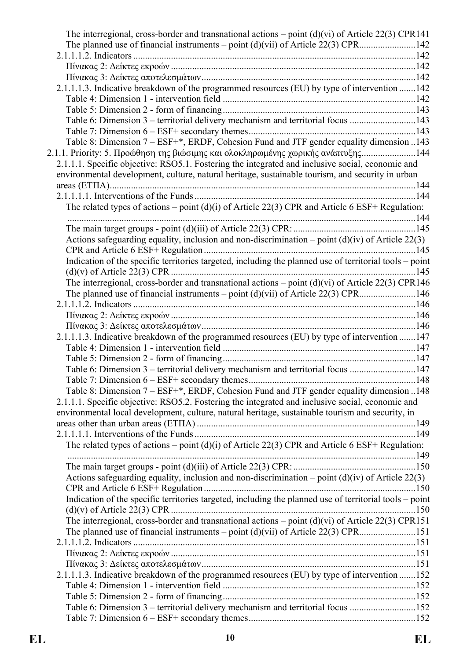| The interregional, cross-border and transnational actions – point $(d)(vi)$ of Article 22(3) CPR141                                                                                                  |  |
|------------------------------------------------------------------------------------------------------------------------------------------------------------------------------------------------------|--|
| The planned use of financial instruments – point $(d)(vi)$ of Article 22(3) CPR142                                                                                                                   |  |
|                                                                                                                                                                                                      |  |
|                                                                                                                                                                                                      |  |
|                                                                                                                                                                                                      |  |
| 2.1.1.1.3. Indicative breakdown of the programmed resources (EU) by type of intervention 142                                                                                                         |  |
|                                                                                                                                                                                                      |  |
|                                                                                                                                                                                                      |  |
| Table 6: Dimension 3 – territorial delivery mechanism and territorial focus 143                                                                                                                      |  |
|                                                                                                                                                                                                      |  |
| Table 8: Dimension 7 - ESF+*, ERDF, Cohesion Fund and JTF gender equality dimension 143                                                                                                              |  |
| 2.1.1. Priority: 5. Προώθηση της βιώσιμης και ολοκληρωμένης χωρικής ανάπτυξης144                                                                                                                     |  |
| 2.1.1.1. Specific objective: RSO5.1. Fostering the integrated and inclusive social, economic and                                                                                                     |  |
| environmental development, culture, natural heritage, sustainable tourism, and security in urban                                                                                                     |  |
|                                                                                                                                                                                                      |  |
|                                                                                                                                                                                                      |  |
| The related types of actions – point (d)(i) of Article 22(3) CPR and Article 6 ESF+ Regulation:                                                                                                      |  |
|                                                                                                                                                                                                      |  |
|                                                                                                                                                                                                      |  |
| Actions safeguarding equality, inclusion and non-discrimination – point $(d)(iv)$ of Article 22(3)                                                                                                   |  |
|                                                                                                                                                                                                      |  |
| Indication of the specific territories targeted, including the planned use of territorial tools – point                                                                                              |  |
|                                                                                                                                                                                                      |  |
| The interregional, cross-border and transnational actions – point $(d)(vi)$ of Article 22(3) CPR146                                                                                                  |  |
| The planned use of financial instruments – point $(d)(vi)$ of Article 22(3) CPR146                                                                                                                   |  |
|                                                                                                                                                                                                      |  |
|                                                                                                                                                                                                      |  |
|                                                                                                                                                                                                      |  |
| 2.1.1.1.3. Indicative breakdown of the programmed resources (EU) by type of intervention 147                                                                                                         |  |
|                                                                                                                                                                                                      |  |
|                                                                                                                                                                                                      |  |
| Table 6: Dimension 3 – territorial delivery mechanism and territorial focus 147                                                                                                                      |  |
|                                                                                                                                                                                                      |  |
| Table 8: Dimension 7 - ESF+*, ERDF, Cohesion Fund and JTF gender equality dimension 148                                                                                                              |  |
| 2.1.1.1. Specific objective: RSO5.2. Fostering the integrated and inclusive social, economic and<br>environmental local development, culture, natural heritage, sustainable tourism and security, in |  |
|                                                                                                                                                                                                      |  |
|                                                                                                                                                                                                      |  |
| The related types of actions – point $(d)(i)$ of Article 22(3) CPR and Article 6 ESF+ Regulation:                                                                                                    |  |
|                                                                                                                                                                                                      |  |
|                                                                                                                                                                                                      |  |
| Actions safeguarding equality, inclusion and non-discrimination – point $(d)(iv)$ of Article 22(3)                                                                                                   |  |
|                                                                                                                                                                                                      |  |
| Indication of the specific territories targeted, including the planned use of territorial tools – point                                                                                              |  |
|                                                                                                                                                                                                      |  |
| The interregional, cross-border and transnational actions – point $(d)(vi)$ of Article 22(3) CPR151                                                                                                  |  |
|                                                                                                                                                                                                      |  |
|                                                                                                                                                                                                      |  |
|                                                                                                                                                                                                      |  |
|                                                                                                                                                                                                      |  |
| 2.1.1.1.3. Indicative breakdown of the programmed resources (EU) by type of intervention 152                                                                                                         |  |
|                                                                                                                                                                                                      |  |
|                                                                                                                                                                                                      |  |
| Table 6: Dimension 3 – territorial delivery mechanism and territorial focus 152                                                                                                                      |  |
|                                                                                                                                                                                                      |  |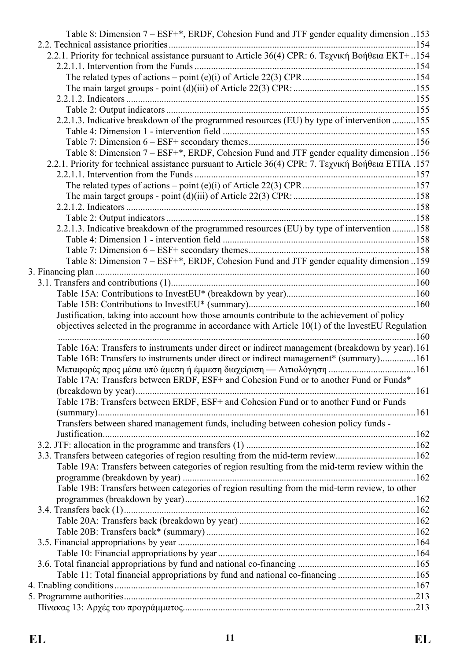| Table 8: Dimension 7 – ESF+*, ERDF, Cohesion Fund and JTF gender equality dimension 153              |  |
|------------------------------------------------------------------------------------------------------|--|
|                                                                                                      |  |
| 2.2.1. Priority for technical assistance pursuant to Article 36(4) CPR: 6. Τεχνική Βοήθεια ΕΚΤ+154   |  |
|                                                                                                      |  |
|                                                                                                      |  |
|                                                                                                      |  |
|                                                                                                      |  |
|                                                                                                      |  |
| 2.2.1.3. Indicative breakdown of the programmed resources (EU) by type of intervention 155           |  |
|                                                                                                      |  |
|                                                                                                      |  |
| Table 8: Dimension 7 – ESF+*, ERDF, Cohesion Fund and JTF gender equality dimension 156              |  |
| 2.2.1. Priority for technical assistance pursuant to Article 36(4) CPR: 7. Τεχνική Βοήθεια ΕΤΠΑ .157 |  |
|                                                                                                      |  |
|                                                                                                      |  |
|                                                                                                      |  |
|                                                                                                      |  |
|                                                                                                      |  |
| 2.2.1.3. Indicative breakdown of the programmed resources (EU) by type of intervention 158           |  |
|                                                                                                      |  |
|                                                                                                      |  |
| Table 8: Dimension 7 – ESF+*, ERDF, Cohesion Fund and JTF gender equality dimension 159              |  |
|                                                                                                      |  |
|                                                                                                      |  |
|                                                                                                      |  |
|                                                                                                      |  |
| Justification, taking into account how those amounts contribute to the achievement of policy         |  |
| objectives selected in the programme in accordance with Article $10(1)$ of the InvestEU Regulation   |  |
| Table 16A: Transfers to instruments under direct or indirect management (breakdown by year).161      |  |
| Table 16B: Transfers to instruments under direct or indirect management* (summary)161                |  |
|                                                                                                      |  |
| Table 17A: Transfers between ERDF, ESF+ and Cohesion Fund or to another Fund or Funds*               |  |
|                                                                                                      |  |
| Table 17B: Transfers between ERDF, ESF+ and Cohesion Fund or to another Fund or Funds                |  |
|                                                                                                      |  |
| Transfers between shared management funds, including between cohesion policy funds -                 |  |
|                                                                                                      |  |
|                                                                                                      |  |
| 3.3. Transfers between categories of region resulting from the mid-term review162                    |  |
| Table 19A: Transfers between categories of region resulting from the mid-term review within the      |  |
|                                                                                                      |  |
| Table 19B: Transfers between categories of region resulting from the mid-term review, to other       |  |
|                                                                                                      |  |
|                                                                                                      |  |
|                                                                                                      |  |
|                                                                                                      |  |
|                                                                                                      |  |
|                                                                                                      |  |
|                                                                                                      |  |
| Table 11: Total financial appropriations by fund and national co-financing165                        |  |
|                                                                                                      |  |
|                                                                                                      |  |
|                                                                                                      |  |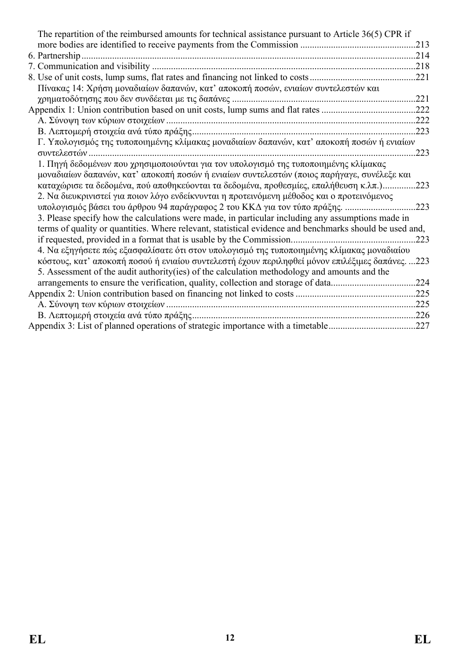| The repartition of the reimbursed amounts for technical assistance pursuant to Article 36(5) CPR if     |      |
|---------------------------------------------------------------------------------------------------------|------|
|                                                                                                         | .213 |
| 6. Partnership                                                                                          | 214  |
|                                                                                                         |      |
|                                                                                                         | .221 |
| Πίνακας 14: Χρήση μοναδιαίων δαπανών, κατ' αποκοπή ποσών, ενιαίων συντελεστών και                       |      |
|                                                                                                         | .221 |
|                                                                                                         |      |
|                                                                                                         | .222 |
|                                                                                                         | .223 |
| Γ. Υπολογισμός της τυποποιημένης κλίμακας μοναδιαίων δαπανών, κατ' αποκοπή ποσών ή ενιαίων              |      |
| συντελεστών                                                                                             | .223 |
| 1. Πηγή δεδομένων που χρησιμοποιούνται για τον υπολογισμό της τυποποιημένης κλίμακας                    |      |
| μοναδιαίων δαπανών, κατ' αποκοπή ποσών ή ενιαίων συντελεστών (ποιος παρήγαγε, συνέλεξε και              |      |
| καταχώρισε τα δεδομένα, πού αποθηκεύονται τα δεδομένα, προθεσμίες, επαλήθευση κ.λπ.)                    | .223 |
| 2. Να διευκρινιστεί για ποιον λόγο ενδείκνυνται η προτεινόμενη μέθοδος και ο προτεινόμενος              |      |
| υπολογισμός βάσει του άρθρου 94 παράγραφος 2 του ΚΚΔ για τον τύπο πράξης.                               | .223 |
| 3. Please specify how the calculations were made, in particular including any assumptions made in       |      |
| terms of quality or quantities. Where relevant, statistical evidence and benchmarks should be used and, |      |
|                                                                                                         | 223  |
| 4. Να εξηγήσετε πώς εξασφαλίσατε ότι στον υπολογισμό της τυποποιημένης κλίμακας μοναδιαίου              |      |
| κόστους, κατ' αποκοπή ποσού ή ενιαίου συντελεστή έχουν περιληφθεί μόνον επιλέξιμες δαπάνες223           |      |
| 5. Assessment of the audit authority (ies) of the calculation methodology and amounts and the           |      |
| arrangements to ensure the verification, quality, collection and storage of data                        | .224 |
|                                                                                                         | .225 |
|                                                                                                         | .225 |
|                                                                                                         |      |
| Appendix 3: List of planned operations of strategic importance with a timetable                         | .227 |
|                                                                                                         |      |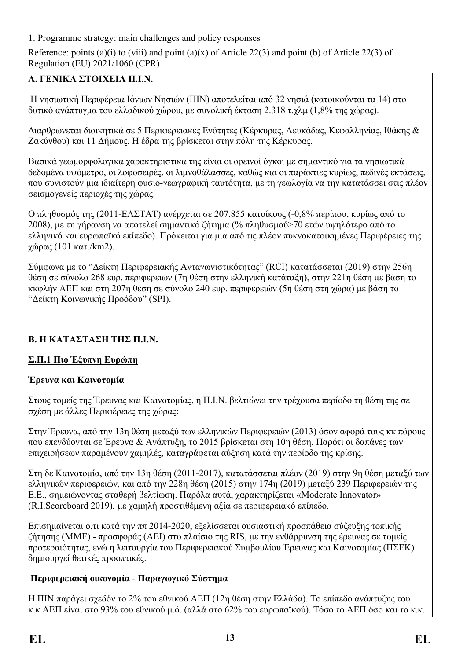<span id="page-12-0"></span>1. Programme strategy: main challenges and policy responses

Reference: points (a)(i) to (viii) and point (a)(x) of Article 22(3) and point (b) of Article 22(3) of Regulation (EU) 2021/1060 (CPR)

### **Α. ΓΕΝΙΚΑ ΣΤΟΙΧΕΙΑ Π.Ι.Ν.**

Η νησιωτική Περιφέρεια Ιόνιων Νησιών (ΠΙΝ) αποτελείται από 32 νησιά (κατοικούνται τα 14) στο δυτικό ανάπτυγμα του ελλαδικού χώρου, με συνολική έκταση 2.318 τ.χλμ (1,8% της χώρας).

Διαρθρώνεται διοικητικά σε 5 Περιφερειακές Ενότητες (Κέρκυρας, Λευκάδας, Κεφαλληνίας, Ιθάκης & Ζακύνθου) και 11 Δήμους. Η έδρα της βρίσκεται στην πόλη της Κέρκυρας.

Βασικά γεωμορφολογικά χαρακτηριστικά της είναι οι ορεινοί όγκοι με σημαντικό για τα νησιωτικά δεδομένα υψόμετρο, οι λοφοσειρές, οι λιμνοθάλασσες, καθώς και οι παράκτιες κυρίως, πεδινές εκτάσεις, που συνιστούν μια ιδιαίτερη φυσιο-γεωγραφική ταυτότητα, με τη γεωλογία να την κατατάσσει στις πλέον σεισμογενείς περιοχές της χώρας.

Ο πληθυσμός της (2011-ΕΛΣΤΑΤ) ανέρχεται σε 207.855 κατοίκους (-0,8% περίπου, κυρίως από το 2008), με τη γήρανση να αποτελεί σημαντικό ζήτημα (% πληθυσμού>70 ετών υψηλότερο από το ελληνικό και ευρωπαϊκό επίπεδο). Πρόκειται για μια από τις πλέον πυκνοκατοικημένες Περιφέρειες της χώρας (101 κατ./km2).

Σύμφωνα με το "Δείκτη Περιφερειακής Ανταγωνιστικότητας" (RCI) κατατάσσεται (2019) στην 256η θέση σε σύνολο 268 ευρ. περιφερειών (7η θέση στην ελληνική κατάταξη), στην 221η θέση με βάση το κκφλήν ΑΕΠ και στη 207η θέση σε σύνολο 240 ευρ. περιφερειών (5η θέση στη χώρα) με βάση το "Δείκτη Κοινωνικής Προόδου" (SPI).

## **Β. Η ΚΑΤΑΣΤΑΣΗ ΤΗΣ Π.Ι.Ν.**

## **Σ.Π.1 Πιο Έξυπνη Ευρώπη**

## **Έρευνα και Καινοτομία**

Στους τομείς της Έρευνας και Καινοτομίας, η Π.Ι.Ν. βελτιώνει την τρέχουσα περίοδο τη θέση της σε σχέση με άλλες Περιφέρειες της χώρας:

Στην Έρευνα, από την 13η θέση μεταξύ των ελληνικών Περιφερειών (2013) όσον αφορά τους κκ πόρους που επενδύονται σε Έρευνα & Ανάπτυξη, το 2015 βρίσκεται στη 10η θέση. Παρότι οι δαπάνες των επιχειρήσεων παραμένουν χαμηλές, καταγράφεται αύξηση κατά την περίοδο της κρίσης.

Στη δε Καινοτομία, από την 13η θέση (2011-2017), κατατάσσεται πλέον (2019) στην 9η θέση μεταξύ των ελληνικών περιφερειών, και από την 228η θέση (2015) στην 174η (2019) μεταξύ 239 Περιφερειών της Ε.Ε., σημειώνοντας σταθερή βελτίωση. Παρόλα αυτά, χαρακτηρίζεται «Moderate Innovator» (R.Ι.Scoreboard 2019), με χαμηλή προστιθέμενη αξία σε περιφερειακό επίπεδο.

Επισημαίνεται ο,τι κατά την ππ 2014-2020, εξελίσσεται ουσιαστική προσπάθεια σύζευξης τοπικής ζήτησης (ΜΜΕ) - προσφοράς (ΑΕΙ) στο πλαίσιο της RIS, με την ενθάρρυνση της έρευνας σε τομείς προτεραιότητας, ενώ η λειτουργία του Περιφερειακού Συμβουλίου Έρευνας και Καινοτομίας (ΠΣΕΚ) δημιουργεί θετικές προοπτικές.

## **Περιφερειακή οικονομία - Παραγωγικό Σύστημα**

Η ΠΙΝ παράγει σχεδόν το 2% του εθνικού ΑΕΠ (12η θέση στην Ελλάδα). Το επίπεδο ανάπτυξης του κ.κ.ΑΕΠ είναι στο 93% του εθνικού μ.ό. (αλλά στο 62% του ευρωπαϊκού). Τόσο το ΑΕΠ όσο και το κ.κ.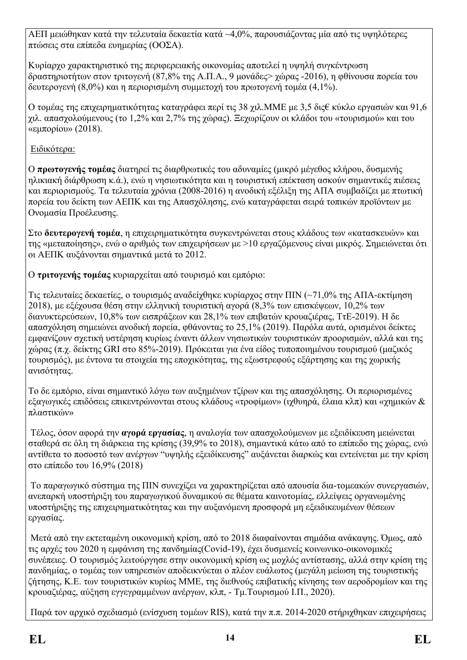ΑΕΠ μειώθηκαν κατά την τελευταία δεκαετία κατά ~4,0%, παρουσιάζοντας μία από τις υψηλότερες πτώσεις στα επίπεδα ευημερίας (ΟΟΣΑ).

Κυρίαρχο χαρακτηριστικό της περιφερειακής οικονομίας αποτελεί η υψηλή συγκέντρωση δραστηριοτήτων στον τριτογενή (87,8% της Α.Π.Α., 9 μονάδες> χώρας -2016), η φθίνουσα πορεία του δευτερογενή (8,0%) και η περιορισμένη συμμετοχή του πρωτογενή τομέα (4,1%).

Ο τομέας της επιχειρηματικότητας καταγράφει περί τις 38 χιλ.ΜΜΕ με 3,5 δις€ κύκλο εργασιών και 91,6 χιλ. απασχολούμενους (το 1,2% και 2,7% της χώρας). Ξεχωρίζουν οι κλάδοι του «τουρισμού» και του «εμπορίου» (2018).

### Ειδικότερα:

Ο **πρωτογενής τομέας** διατηρεί τις διαρθρωτικές του αδυναμίες (μικρό μέγεθος κλήρου, δυσμενής ηλικιακή διάρθρωση κ.ά.), ενώ η νησιωτικότητα και η τουριστική επέκταση ασκούν σημαντικές πιέσεις και περιορισμούς. Τα τελευταία χρόνια (2008-2016) η ανοδική εξέλιξη της ΑΠΑ συμβαδίζει με πτωτική πορεία του δείκτη των ΑΕΠΚ και της Απασχόλησης, ενώ καταγράφεται σειρά τοπικών προϊόντων με Ονομασία Προέλευσης.

Στο **δευτερογενή τομέα**, η επιχειρηματικότητα συγκεντρώνεται στους κλάδους των «κατασκευών» και της «μεταποίησης», ενώ ο αριθμός των επιχειρήσεων με >10 εργαζόμενους είναι μικρός. Σημειώνεται ότι οι ΑΕΠΚ αυξάνονται σημαντικά μετά το 2012.

Ο **τριτογενής τομέας** κυριαρχείται από τουρισμό και εμπόριο:

Τις τελευταίες δεκαετίες, ο τουρισμός αναδείχθηκε κυρίαρχος στην ΠΙΝ (~71,0% της ΑΠΑ-εκτίμηση 2018), με εξέχουσα θέση στην ελληνική τουριστική αγορά (8,3% των επισκέψεων, 10,2% των διανυκτερεύσεων, 10,8% των εισπράξεων και 28,1% των επιβατών κρουαζιέρας, ΤτΕ-2019). Η δε απασχόληση σημειώνει ανοδική πορεία, φθάνοντας το 25,1% (2019). Παρόλα αυτά, ορισμένοι δείκτες εμφανίζουν σχετική υστέρηση κυρίως έναντι άλλων νησιωτικών τουριστικών προορισμών, αλλά και της χώρας (π.χ. δείκτης GRI στο 85%-2019). Πρόκειται για ένα είδος τυποποιημένου τουρισμού (μαζικός τουρισμός), με έντονα τα στοιχεία της εποχικότητας, της εξωστρεφούς εξάρτησης και της χωρικής ανισότητας.

Το δε εμπόριο, είναι σημαντικό λόγω των αυξημένων τζίρων και της απασχόλησης. Οι περιορισμένες εξαγωγικές επιδόσεις επικεντρώνονται στους κλάδους «τροφίμων» (ιχθυηρά, έλαια κλπ) και «χημικών & πλαστικών»

Τέλος, όσον αφορά την **αγορά εργασίας**, η αναλογία των απασχολούμενων με εξειδίκευση μειώνεται σταθερά σε όλη τη διάρκεια της κρίσης (39,9% το 2018), σημαντικά κάτω από το επίπεδο της χώρας, ενώ αντίθετα το ποσοστό των ανέργων "υψηλής εξειδίκευσης" αυξάνεται διαρκώς και εντείνεται με την κρίση στο επίπεδο του 16,9% (2018)

Το παραγωγικό σύστημα της ΠΙΝ συνεχίζει να χαρακτηρίζεται από απουσία δια-τομεακών συνεργασιών, ανεπαρκή υποστήριξη του παραγωγικού δυναμικού σε θέματα καινοτομίας, ελλείψεις οργανωμένης υποστήριξης της επιχειρηματικότητας και την αυξανόμενη προσφορά μη εξειδικευμένων θέσεων εργασίας.

Μετά από την εκτεταμένη οικονομική κρίση, από το 2018 διαφαίνονται σημάδια ανάκαψης. Όμως, από τις αρχές του 2020 η εμφάνιση της πανδημίας(Covid-19), έχει δυσμενείς κοινωνικο-οικονομικές συνέπειες. Ο τουρισμός λειτούργησε στην οικονομική κρίση ως μοχλός αντίστασης, αλλά στην κρίση της πανδημίας, ο τομέας των υπηρεσιών αποδεικνύεται ο πλέον ευάλωτος (μεγάλη μείωση της τουριστικής ζήτησης, Κ.Ε. των τουριστικών κυρίως ΜΜΕ, της διεθνούς επιβατικής κίνησης των αεροδρομίων και της κρουαζιέρας, αύξηση εγγεγραμμένων ανέργων, κλπ, - Τμ.Τουρισμού Ι.Π., 2020).

Παρά τον αρχικό σχεδιασμό (ενίσχυση τομέων RIS), κατά την π.π. 2014-2020 στήριχθηκαν επιχειρήσεις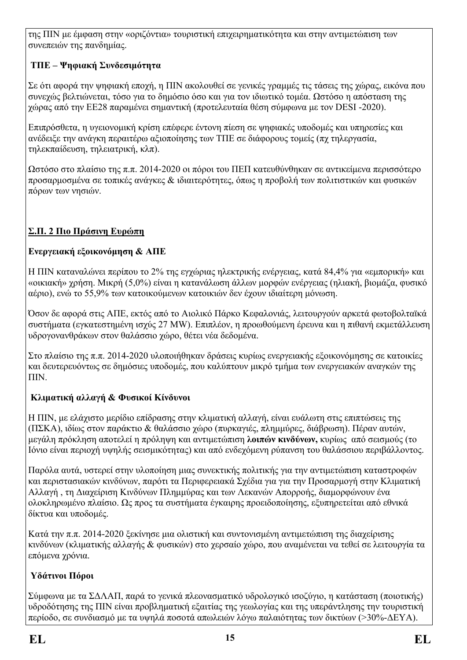της ΠΙΝ με έμφαση στην «οριζόντια» τουριστική επιχειρηματικότητα και στην αντιμετώπιση των συνεπειών της πανδημίας.

## **ΤΠΕ – Ψηφιακή Συνδεσιμότητα**

Σε ότι αφορά την ψηφιακή εποχή, η ΠIN ακολουθεί σε γενικές γραμμές τις τάσεις της χώρας, εικόνα που συνεχώς βελτιώνεται, τόσο για το δημόσιο όσο και για τον ιδιωτικό τομέα. Ωστόσο η απόσταση της χώρας από την ΕΕ28 παραμένει σημαντική (προτελευταία θέση σύμφωνα με τον DESI -2020).

Επιπρόσθετα, η υγειονομική κρίση επέφερε έντονη πίεση σε ψηφιακές υποδομές και υπηρεσίες και ανέδειξε την ανάγκη περαιτέρω αξιοποίησης των ΤΠΕ σε διάφορους τομείς (πχ τηλεργασία, τηλεκπαίδευση, τηλειατρική, κλπ).

Ωστόσο στο πλαίσιο της π.π. 2014-2020 οι πόροι του ΠΕΠ κατευθύνθηκαν σε αντικείμενα περισσότερο προσαρμοσμένα σε τοπικές ανάγκες & ιδιαιτερότητες, όπως η προβολή των πολιτιστικών και φυσικών πόρων των νησιών.

## **Σ.Π. 2 Πιο Πράσινη Ευρώπη**

## **Ενεργειακή εξοικονόμηση & ΑΠΕ**

Η ΠΙΝ καταναλώνει περίπου το 2% της εγχώριας ηλεκτρικής ενέργειας, κατά 84,4% για «εμπορική» και «οικιακή» χρήση. Μικρή (5,0%) είναι η κατανάλωση άλλων μορφών ενέργειας (ηλιακή, βιομάζα, φυσικό αέριο), ενώ το 55,9% των κατοικούμενων κατοικιών δεν έχουν ιδιαίτερη μόνωση.

Όσον δε αφορά στις ΑΠΕ, εκτός από το Αιολικό Πάρκο Κεφαλονιάς, λειτουργούν αρκετά φωτοβολταϊκά συστήματα (εγκατεστημένη ισχύς 27 MW). Επιπλέον, η προωθούμενη έρευνα και η πιθανή εκμετάλλευση υδρογονανθράκων στον θαλάσσιο χώρο, θέτει νέα δεδομένα.

Στο πλαίσιο της π.π. 2014-2020 υλοποιήθηκαν δράσεις κυρίως ενεργειακής εξοικονόμησης σε κατοικίες και δευτερευόντως σε δημόσιες υποδομές, που καλύπτουν μικρό τμήμα των ενεργειακών αναγκών της ΠΙΝ.

## **Κλιματική αλλαγή & Φυσικοί Κίνδυνοι**

Η ΠΙΝ, με ελάχιστο μερίδιο επίδρασης στην κλιματική αλλαγή, είναι ευάλωτη στις επιπτώσεις της (ΠΣΚΑ), ιδίως στον παράκτιο & θαλάσσιο χώρο (πυρκαγιές, πλημμύρες, διάβρωση). Πέραν αυτών, μεγάλη πρόκληση αποτελεί η πρόληψη και αντιμετώπιση **λοιπών κινδύνων,** κυρίως από σεισμούς (το Ιόνιο είναι περιοχή υψηλής σεισμικότητας) και από ενδεχόμενη ρύπανση του θαλάσσιου περιβάλλοντος.

Παρόλα αυτά, υστερεί στην υλοποίηση μιας συνεκτικής πολιτικής για την αντιμετώπιση καταστροφών και περιστασιακών κινδύνων, παρότι τα Περιφερειακά Σχέδια για για την Προσαρμογή στην Κλιματική Αλλαγή , τη Διαχείριση Κινδύνων Πλημμύρας και των Λεκανών Απορροής, διαμορφώνουν ένα ολοκληρωμένο πλαίσιο. Ως προς τα συστήματα έγκαιρης προειδοποίησης, εξυπηρετείται από εθνικά δίκτυα και υποδομές.

Κατά την π.π. 2014-2020 ξεκίνησε μια ολιστική και συντονισμένη αντιμετώπιση της διαχείρισης κινδύνων (κλιματικής αλλαγής & φυσικών) στο χερσαίο χώρο, που αναμένεται να τεθεί σε λειτουργία τα επόμενα χρόνια.

## **Υδάτινοι Πόροι**

Σύμφωνα με τα ΣΔΛΑΠ, παρά το γενικά πλεονασματικό υδρολογικό ισοζύγιο, η κατάσταση (ποιοτικής) υδροδότησης της ΠΙΝ είναι προβληματική εξαιτίας της γεωλογίας και της υπεράντλησης την τουριστική περίοδο, σε συνδιασμό με τα υψηλά ποσοτά απωλειών λόγω παλαιότητας των δικτύων (>30%-ΔΕΥΑ).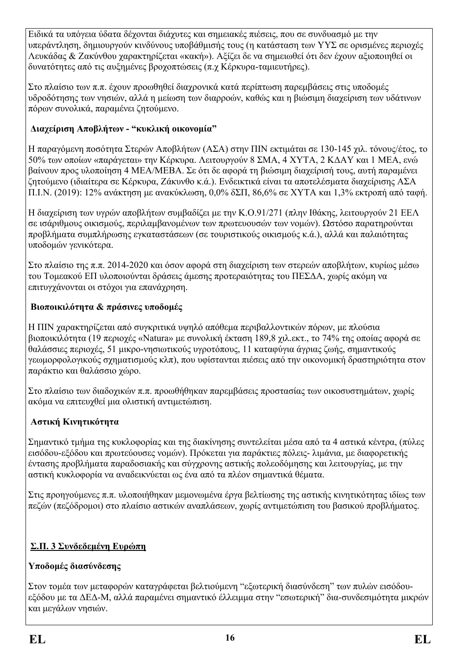Ειδικά τα υπόγεια ύδατα δέχονται διάχυτες και σημειακές πιέσεις, που σε συνδυασμό με την υπεράντληση, δημιουργούν κινδύνους υποβάθμισής τους (η κατάσταση των ΥΥΣ σε ορισμένες περιοχές Λευκάδας & Ζακύνθου χαρακτηρίζεται «κακή»). Αξίζει δε να σημειωθεί ότι δεν έχουν αξιοποιηθεί οι δυνατότητες από τις αυξημένες βροχοπτώσεις (π.χ Κέρκυρα-ταμιευτήρες).

Στο πλαίσιο των π.π. έχουν προωθηθεί διαχρονικά κατά περίπτωση παρεμβάσεις στις υποδομές υδροδότησης των νησιών, αλλά η μείωση των διαρροών, καθώς και η βιώσιμη διαχείριση των υδάτινων πόρων συνολικά, παραμένει ζητούμενο.

### **Διαχείριση Αποβλήτων - "κυκλική οικονομία"**

Η παραγόμενη ποσότητα Στερών Αποβλήτων (ΑΣΑ) στην ΠΙΝ εκτιμάται σε 130-145 χιλ. τόνους/έτος, το 50% των οποίων «παράγεται» την Κέρκυρα. Λειτουργούν 8 ΣΜΑ, 4 ΧΥΤΑ, 2 ΚΔΑΥ και 1 ΜΕΑ, ενώ βαίνουν προς υλοποίηση 4 ΜΕΑ/ΜΕΒΑ. Σε ότι δε αφορά τη βιώσιμη διαχείρισή τους, αυτή παραμένει ζητούμενο (ιδιαίτερα σε Κέρκυρα, Ζάκυνθο κ.ά.). Ενδεικτικά είναι τα αποτελέσματα διαχείρισης ΑΣΑ Π.Ι.Ν. (2019): 12% ανάκτηση με ανακύκλωση, 0,0% δΣΠ, 86,6% σε ΧΥΤΑ και 1,3% εκτροπή από ταφή.

Η διαχείριση των υγρών αποβλήτων συμβαδίζει με την Κ.Ο.91/271 (πλην Ιθάκης, λειτουργούν 21 ΕΕΛ σε ισάριθμους οικισμούς, περιλαμβανομένων των πρωτευουσών των νομών). Ωστόσο παρατηρούνται προβλήματα συμπλήρωσης εγκαταστάσεων (σε τουριστικούς οικισμούς κ.ά.), αλλά και παλαιότητας υποδομών γενικότερα.

Στο πλαίσιο της π.π. 2014-2020 και όσον αφορά στη διαχείριση των στερεών αποβλήτων, κυρίως μέσω του Τομεακού ΕΠ υλοποιούνται δράσεις άμεσης προτεραιότητας του ΠΕΣΔΑ, χωρίς ακόμη να επιτυγχάνονται οι στόχοι για επανάχρηση.

### **Βιοποικιλότητα & πράσινες υποδομές**

Η ΠΙΝ χαρακτηρίζεται από συγκριτικά υψηλό απόθεμα περιβαλλοντικών πόρων, με πλούσια βιοποικιλότητα (19 περιοχές «Natura» με συνολική έκταση 189,8 χιλ.εκτ., το 74% της οποίας αφορά σε θαλάσσιες περιοχές, 51 μικρο-νησιωτικούς υγροτόπους, 11 καταφύγια άγριας ζωής, σημαντικούς γεωμορφολογικούς σχηματισμούς κλπ), που υφίστανται πιέσεις από την οικονομική δραστηριότητα στον παράκτιο και θαλάσσιο χώρο.

Στο πλαίσιο των διαδοχικών π.π. προωθήθηκαν παρεμβάσεις προστασίας των οικοσυστημάτων, χωρίς ακόμα να επιτευχθεί μια ολιστική αντιμετώπιση.

## **Αστική Κινητικότητα**

Σημαντικό τμήμα της κυκλοφορίας και της διακίνησης συντελείται μέσα από τα 4 αστικά κέντρα, (πύλες εισόδου-εξόδου και πρωτεύουσες νομών). Πρόκεται για παράκτιες πόλεις- λιμάνια, με διαφορετικής έντασης προβλήματα παραδοσιακής και σύγχρονης αστικής πολεοδόμησης και λειτουργίας, με την αστική κυκλοφορία να αναδεικνύεται ως ένα από τα πλέον σημαντικά θέματα.

Στις προηγούμενες π.π. υλοποιήθηκαν μεμονωμένα έργα βελτίωσης της αστικής κινητικότητας ιδίως των πεζών (πεζόδρομοι) στο πλαίσιο αστικών αναπλάσεων, χωρίς αντιμετώπιση του βασικού προβλήματος.

## **Σ.Π. 3 Συνδεδεμένη Ευρώπη**

## **Υποδομές διασύνδεσης**

Στον τομέα των μεταφορών καταγράφεται βελτιούμενη "εξωτερική διασύνδεση" των πυλών εισόδουεξόδου με τα ΔΕΔ-Μ, αλλά παραμένει σημαντικό έλλειμμα στην "εσωτερική" δια-συνδεσιμότητα μικρών και μεγάλων νησιών.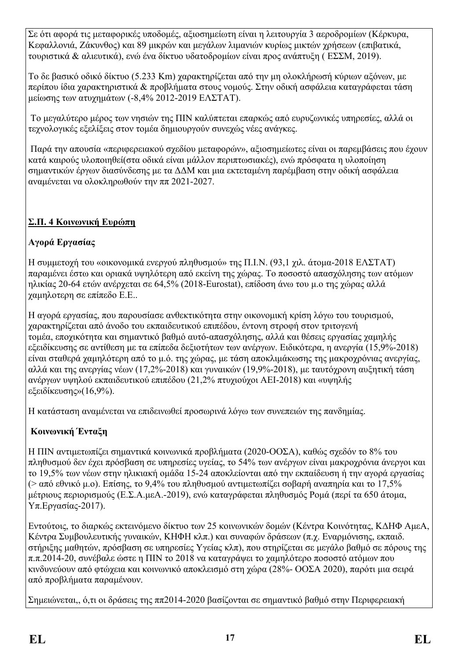Σε ότι αφορά τις μεταφορικές υποδομές, αξιοσημείωτη είναι η λειτουργία 3 αεροδρομίων (Κέρκυρα, Κεφαλλονιά, Ζάκυνθος) και 89 μικρών και μεγάλων λιμανιών κυρίως μικτών χρήσεων (επιβατικά, τουριστικά & αλιευτικά), ενώ ένα δίκτυο υδατοδρομίων είναι προς ανάπτυξη ( ΕΣΣΜ, 2019).

Το δε βασικό οδικό δίκτυο (5.233 Km) χαρακτηρίζεται από την μη ολοκλήρωσή κύριων αξόνων, με περίπου ίδια χαρακτηριστικά & προβλήματα στους νομούς. Στην οδική ασφάλεια καταγράφεται τάση μείωσης των ατυχημάτων (-8,4% 2012-2019 ΕΛΣΤΑΤ).

Το μεγαλύτερο μέρος των νησιών της ΠΙΝ καλύπτεται επαρκώς από ευρυζωνικές υπηρεσίες, αλλά οι τεχνολογικές εξελίξεις στον τομέα δημιουργούν συνεχώς νέες ανάγκες.

Παρά την απουσία «περιφερειακού σχεδίου μεταφορών», αξιοσημείωτες είναι οι παρεμβάσεις που έχουν κατά καιρούς υλοποιηθεί(στα οδικά είναι μάλλον περιπτωσιακές), ενώ πρόσφατα η υλοποίηση σημαντικών έργων διασύνδεσης με τα ΔΔΜ και μια εκτεταμένη παρέμβαση στην οδική ασφάλεια αναμένεται να ολοκληρωθούν την ππ 2021-2027.

## **Σ.Π. 4 Κοινωνική Ευρώπη**

### **Αγορά Εργασίας**

Η συμμετοχή του «οικονομικά ενεργού πληθυσμού» της Π.Ι.Ν. (93,1 χιλ. άτομα-2018 ΕΛΣΤΑΤ) παραμένει έστω και οριακά υψηλότερη από εκείνη της χώρας. Το ποσοστό απασχόλησης των ατόμων ηλικίας 20-64 ετών ανέρχεται σε 64,5% (2018-Eurostat), επίδοση άνω του μ.ο της χώρας αλλά χαμηλοτερη σε επίπεδο Ε.Ε..

Η αγορά εργασίας, που παρουσίασε ανθεκτικότητα στην οικονομική κρίση λόγω του τουρισμού, χαρακτηρίζεται από άνοδο του εκπαιδευτικού επιπέδου, έντονη στροφή στον τριτογενή τομέα, εποχικότητα και σημαντικό βαθμό αυτό-απασχόλησης, αλλά και θέσεις εργασίας χαμηλής εξειδίκευσης σε αντίθεση με τα επίπεδα δεξιοτήτων των ανέργων. Ειδικότερα, η ανεργία (15,9%-2018) είναι σταθερά χαμηλότερη από το μ.ό. της χώρας, με τάση αποκλιμάκωσης της μακροχρόνιας ανεργίας, αλλά και της ανεργίας νέων (17,2%-2018) και γυναικών (19,9%-2018), με ταυτόχρονη αυξητική τάση ανέργων υψηλού εκπαιδευτικού επιπέδου (21,2% πτυχιούχοι ΑΕΙ-2018) και «υψηλής εξειδίκευσης»(16,9%).

Η κατάσταση αναμένεται να επιδεινωθεί προσωρινά λόγω των συνεπειών της πανδημίας.

### **Κοινωνική Ένταξη**

Η ΠΙΝ αντιμετωπίζει σημαντικά κοινωνικά προβλήματα (2020-ΟΟΣΑ), καθώς σχεδόν το 8% του πληθυσμού δεν έχει πρόσβαση σε υπηρεσίες υγείας, το 54% των ανέργων είναι μακροχρόνια άνεργοι και το 19,5% των νέων στην ηλικιακή ομάδα 15-24 αποκλείονται από την εκπαίδευση ή την αγορά εργασίας (> από εθνικό μ.ο). Επίσης, το 9,4% του πληθυσμού αντιμετωπίζει σοβαρή αναπηρία και το 17,5% μέτριους περιορισμούς (Ε.Σ.Α.μεΑ.-2019), ενώ καταγράφεται πληθυσμός Ρομά (περί τα 650 άτομα, Υπ.Εργασίας-2017).

Εντούτοις, το διαρκώς εκτεινόμενο δίκτυο των 25 κοινωνικών δομών (Κέντρα Κοινότητας, ΚΔΗΦ ΑμεΑ, Κέντρα Συμβουλευτικής γυναικών, ΚΗΦΗ κλπ.) και συναφών δράσεων (π.χ. Εναρμόνισης, εκπαιδ. στήριξης μαθητών, πρόσβαση σε υπηρεσίες Υγείας κλπ), που στηρίζεται σε μεγάλο βαθμό σε πόρους της π.π.2014-20, συνέβαλε ώστε η ΠΙΝ το 2018 να καταγράψει το χαμηλότερο ποσοστό ατόμων που κινδυνεύουν από φτώχεια και κοινωνικό αποκλεισμό στη χώρα (28%- ΟΟΣΑ 2020), παρότι μια σειρά από προβλήματα παραμένουν.

Σημειώνεται,, ό,τι οι δράσεις της ππ2014-2020 βασίζονται σε σημαντικό βαθμό στην Περιφερειακή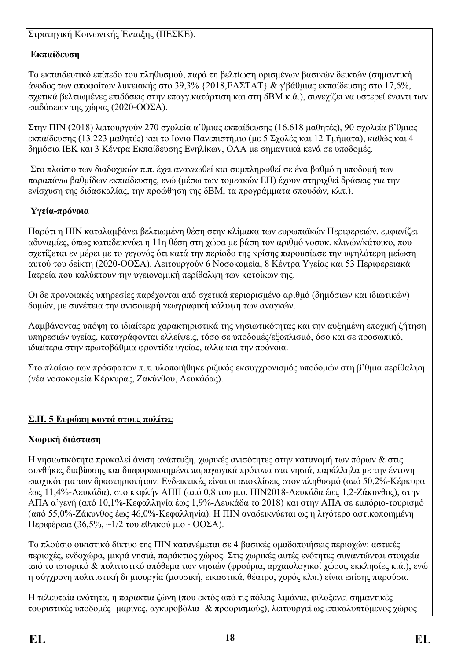Στρατηγική Κοινωνικής Ένταξης (ΠΕΣΚΕ).

## **Εκπαίδευση**

Το εκπαιδευτικό επίπεδο του πληθυσμού, παρά τη βελτίωση ορισμένων βασικών δεικτών (σημαντική άνοδος των αποφοίτων λυκειακής στο 39,3% {2018,ΕΛΣΤΑΤ} & γ'βάθμιας εκπαίδευσης στο 17,6%, σχετικά βελτιωμένες επιδόσεις στην επαγγ.κατάρτιση και στη δΒΜ κ.ά.), συνεχίζει να υστερεί έναντι των επιδόσεων της χώρας (2020-ΟΟΣΑ).

Στην ΠΙΝ (2018) λειτουργούν 270 σχολεία α'θμιας εκπαίδευσης (16.618 μαθητές), 90 σχολεία β'θμιας εκπαίδευσης (13.223 μαθητές) και το Ιόνιο Πανεπιστήμιο (με 5 Σχολές και 12 Τμήματα), καθώς και 4 δημόσια ΙΕΚ και 3 Κέντρα Εκπαίδευσης Ενηλίκων, ΟΛΑ με σημαντικά κενά σε υποδομές.

Στο πλαίσιο των διαδοχικών π.π. έχει ανανεωθεί και συμπληρωθεί σε ένα βαθμό η υποδομή των παραπάνω βαθμίδων εκπαίδευσης, ενώ (μέσω των τομεακών ΕΠ) έχουν στηριχθεί δράσεις για την ενίσχυση της διδασκαλίας, την προώθηση της δΒΜ, τα προγράμματα σπουδών, κλπ.).

## **Υγεία-πρόνοια**

Παρότι η ΠΙΝ καταλαμβάνει βελτιωμένη θέση στην κλίμακα των ευρωπαϊκών Περιφερειών, εμφανίζει αδυναμίες, όπως καταδεικνύει η 11η θέση στη χώρα με βάση τον αριθμό νοσοκ. κλινών/κάτοικο, που σχετίζεται εν μέρει με το γεγονός ότι κατά την περίοδο της κρίσης παρουσίασε την υψηλότερη μείωση αυτού του δείκτη (2020-ΟΟΣΑ). Λειτουργούν 6 Νοσοκομεία, 8 Κέντρα Υγείας και 53 Περιφερειακά Ιατρεία που καλύπτουν την υγειονομική περίθαλψη των κατοίκων της.

Οι δε προνοιακές υπηρεσίες παρέχονται από σχετικά περιορισμένο αριθμό (δημόσιων και ιδιωτικών) δομών, με συνέπεια την ανισομερή γεωγραφική κάλυψη των αναγκών.

Λαμβάνοντας υπόψη τα ιδιαίτερα χαρακτηριστικά της νησιωτικότητας και την αυξημένη εποχική ζήτηση υπηρεσιών υγείας, καταγράφονται ελλείψεις, τόσο σε υποδομές/εξοπλισμό, όσο και σε προσωπικό, ιδιαίτερα στην πρωτοβάθμια φροντίδα υγείας, αλλά και την πρόνοια.

Στο πλαίσιο των πρόσφατων π.π. υλοποιήθηκε ριζικός εκσυγχρονισμός υποδομών στη β'θμια περίθαλψη (νέα νοσοκομεία Κέρκυρας, Ζακύνθου, Λευκάδας).

## **Σ.Π. 5 Ευρώπη κοντά στους πολίτες**

## **Χωρική διάσταση**

Η νησιωτικότητα προκαλεί άνιση ανάπτυξη, χωρικές ανισότητες στην κατανομή των πόρων & στις συνθήκες διαβίωσης και διαφοροποιημένα παραγωγικά πρότυπα στα νησιά, παράλληλα με την έντονη εποχικότητα των δραστηριοτήτων. Ενδεικτικές είναι οι αποκλίσεις στον πληθυσμό (από 50,2%-Κέρκυρα έως 11,4%-Λευκάδα), στο κκφλήν ΑΠΠ (από 0,8 του μ.ο. ΠΙΝ2018-Λευκάδα έως 1,2-Ζάκυνθος), στην ΑΠΑ α'γενή (από 10,1%-Κεφαλληνία έως 1,9%-Λευκάδα το 2018) και στην ΑΠΑ σε εμπόριο-τουρισμό (από 55,0%-Ζάκυνθος έως 46,0%-Κεφαλληνία). Η ΠΙΝ αναδεικνύεται ως η λιγότερο αστικοποιημένη Περιφέρεια (36,5%, ~1/2 του εθνικού μ.ο - ΟΟΣΑ).

Το πλούσιο οικιστικό δίκτυο της ΠΙΝ κατανέμεται σε 4 βασικές ομαδοποιήσεις περιοχών: αστικές περιοχές, ενδοχώρα, μικρά νησιά, παράκτιος χώρος. Στις χωρικές αυτές ενότητες συναντώνται στοιχεία από το ιστορικό & πολιτιστικό απόθεμα των νησιών (φρούρια, αρχαιολογικοί χώροι, εκκλησίες κ.ά.), ενώ η σύγχρονη πολιτιστική δημιουργία (μουσική, εικαστικά, θέατρο, χορός κλπ.) είναι επίσης παρούσα.

Η τελευταία ενότητα, η παράκτια ζώνη (που εκτός από τις πόλεις-λιμάνια, φιλοξενεί σημαντικές τουριστικές υποδομές -μαρίνες, αγκυροβόλια- & προορισμούς), λειτουργεί ως επικαλυπτόμενος χώρος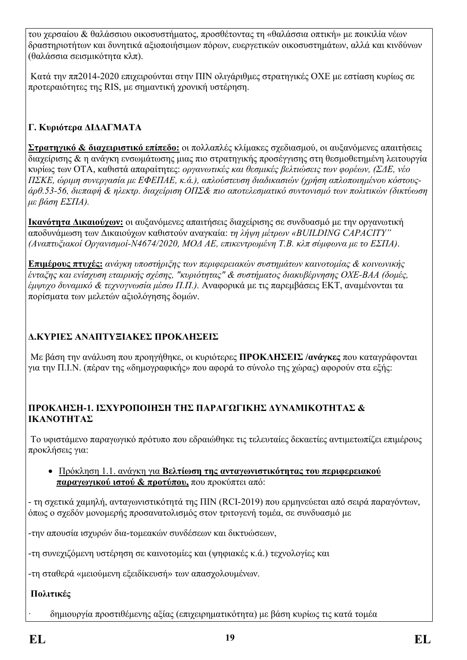του χερσαίου & θαλάσσιου οικοσυστήματος, προσθέτοντας τη «θαλάσσια οπτική» με ποικιλία νέων δραστηριοτήτων και δυνητικά αξιοποιήσιμων πόρων, ευεργετικών οικοσυστημάτων, αλλά και κινδύνων (θαλάσσια σεισμικότητα κλπ).

Κατά την ππ2014-2020 επιχειρούνται στην ΠΙΝ ολιγάριθμες στρατηγικές ΟΧΕ με εστίαση κυρίως σε προτεραιότητες της RIS, με σημαντική χρονική υστέρηση.

## **Γ. Κυριότερα ΔΙΔΑΓΜΑΤΑ**

**Στρατηγικό & διαχειριστικό επίπεδο:** οι πολλαπλές κλίμακες σχεδιασμού, οι αυξανόμενες απαιτήσεις διαχείρισης & η ανάγκη ενσωμάτωσης μιας πιο στρατηγικής προσέγγισης στη θεσμοθετημένη λειτουργία κυρίως των ΟΤΑ, καθιστά απαραίτητες: *οργανωτικές και θεσμικές βελτιώσεις των φορέων, (ΣΔΕ, νέο ΠΣΚΕ, ώριμη συνεργασία με ΕΦΕΠΑΕ, κ.ά.), απλούστευση διαδικασιών (χρήση απλοποιημένου κόστουςάρθ.53-56, διεπαφή & ηλεκτρ. διαχείριση ΟΠΣ& πιο αποτελεσματικό συντονισμό των πολιτικών (δικτύωση με βάση ΕΣΠΑ).*

**Ικανότητα Δικαιούχων:** οι αυξανόμενες απαιτήσεις διαχείρισης σε συνδυασμό με την οργανωτική αποδυνάμωση των Δικαιούχων καθιστούν αναγκαία: *τη λήψη μέτρων «BUILDING CAPACITY" (Αναπτυξιακοί Οργανισμοί-Ν4674/2020, ΜΟΔ ΑΕ, επικεντρωμένη Τ.Β. κλπ σύμφωνα με το ΕΣΠΑ)*.

**Επιμέρους πτυχές:** *ανάγκη υποστήριξης των περιφερειακών συστημάτων καινοτομίας & κοινωνικής ένταξης και ενίσχυση εταιρικής σχέσης, "κυριότητας" & συστήματος διακυβέρνησης ΟΧΕ-ΒΑΑ (δομές, έμψυχο δυναμικό & τεχνογνωσία μέσω Π.Π.).* Αναφορικά με τις παρεμβάσεις ΕΚΤ, αναμένονται τα πορίσματα των μελετών αξιολόγησης δομών.

### **Δ.ΚΥΡΙΕΣ ΑΝΑΠΤΥΞΙΑΚΕΣ ΠΡΟΚΛΗΣΕΙΣ**

Με βάση την ανάλυση που προηγήθηκε, οι κυριότερες **ΠΡΟΚΛΗΣΕΙΣ /ανάγκες** που καταγράφονται για την Π.Ι.Ν. (πέραν της «δημογραφικής» που αφορά το σύνολο της χώρας) αφορούν στα εξής:

#### **ΠΡΟΚΛΗΣΗ-1. ΙΣΧΥΡΟΠΟΙΗΣΗ ΤΗΣ ΠΑΡΑΓΩΓΙΚΗΣ ΔΥΝΑΜΙΚΟΤΗΤΑΣ & ΙΚΑΝΟΤΗΤΑΣ**

Το υφιστάμενο παραγωγικό πρότυπο που εδραιώθηκε τις τελευταίες δεκαετίες αντιμετωπίζει επιμέρους προκλήσεις για:

 Πρόκληση 1.1. ανάγκη για **Βελτίωση της ανταγωνιστικότητας του περιφερειακού παραγωγικού ιστού & προτύπου,** που προκύπτει από:

- τη σχετικά χαμηλή, ανταγωνιστικότητά της ΠΙΝ (RCI-2019) που ερμηνεύεται από σειρά παραγόντων, όπως ο σχεδόν μονομερής προσανατολισμός στον τριτογενή τομέα, σε συνδυασμό με

-την απουσία ισχυρών δια-τομεακών συνδέσεων και δικτυώσεων,

-τη συνεχιζόμενη υστέρηση σε καινοτομίες και (ψηφιακές κ.ά.) τεχνολογίες και

-τη σταθερά «μειούμενη εξειδίκευσή» των απασχολουμένων.

### **Πολιτικές**

· δημιουργία προστιθέμενης αξίας (επιχειρηματικότητα) με βάση κυρίως τις κατά τομέα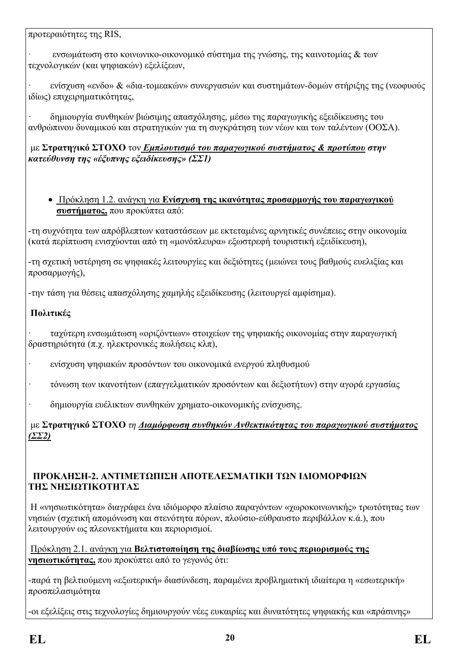προτεραιότητες της RIS,

· ενσωμάτωση στο κοινωνικο-οικονομικό σύστημα της γνώσης, της καινοτομίας & των τεχνολογικών (και ψηφιακών) εξελίξεων,

· ενίσχυση «ενδο» & «δια-τομεακών» συνεργασιών και συστημάτων-δομών στήριξης της (νεοφυούς ιδίως) επιχειρηματικότητας,

· δημιουργία συνθηκών βιώσιμης απασχόλησης, μέσω της παραγωγικής εξειδίκευσης του ανθρώπινου δυναμικού και στρατηγικών για τη συγκράτηση των νέων και των ταλέντων (ΟΟΣΑ).

#### με **Στρατηγικό ΣΤΟΧΟ** τον *Εμπλουτισμό του παραγωγικού συστήματος & προτύπου στην κατεύθυνση της «έξυπνης εξειδίκευσης» (ΣΣ1)*

 Πρόκληση 1.2. ανάγκη για **Ενίσχυση της ικανότητας προσαρμογής του παραγωγικού συστήματος,** που προκύπτει από:

-τη συχνότητα των απρόβλεπτων καταστάσεων με εκτεταμένες αρνητικές συνέπειες στην οικονομία (κατά περίπτωση ενισχύονται από τη «μονόπλευρα» εξωστρεφή τουριστική εξειδίκευση),

-τη σχετική υστέρηση σε ψηφιακές λειτουργίες και δεξιότητες (μειώνει τους βαθμούς ευελιξίας και προσαρμογής),

-την τάση για θέσεις απασχόλησης χαμηλής εξειδίκευσης (λειτουργεί αμφίσημα).

### **Πολιτικές**

· ταχύτερη ενσωμάτωση «οριζόντιων» στοιχείων της ψηφιακής οικονομίας στην παραγωγική δραστηριότητα (π.χ. ηλεκτρονικές πωλήσεις κλπ),

- · ενίσχυση ψηφιακών προσόντων του οικονομικά ενεργού πληθυσμού
- · τόνωση των ικανοτήτων (επαγγελματικών προσόντων και δεξιοτήτων) στην αγορά εργασίας
- · δημιουργία ευέλικτων συνθηκών χρηματο-οικονομικής ενίσχυσης.

με **Στρατηγικό ΣΤΟΧΟ** *τη Διαμόρφωση συνθηκών Ανθεκτικότητας του παραγωγικού συστήματος (ΣΣ2)*

#### **ΠΡΟΚΛΗΣΗ-2. ΑΝΤΙΜΕΤΩΠΙΣΗ ΑΠΟΤΕΛΕΣΜΑΤΙΚΗ ΤΩΝ ΙΔΙΟΜΟΡΦΙΩΝ ΤΗΣ ΝΗΣΙΩΤΙΚΟΤΗΤΑΣ**

Η «νησιωτικότητα» διαγράφει ένα ιδιόμορφο πλαίσιο παραγόντων «χωροκοινωνικής» τρωτότητας των νησιών (σχετική απομόνωση και στενότητα πόρων, πλούσιο-εύθραυστο περιβάλλον κ.ά.), που λειτουργούν ως πλεονεκτήματα και περιορισμοί.

Πρόκληση 2.1. ανάγκη για **Βελτιστοποίηση της διαβίωσης υπό τους περιορισμούς της νησιωτικότητας,** που προκύπτει από το γεγονός ότι:

-παρά τη βελτιούμενη «εξωτερική» διασύνδεση, παραμένει προβληματική ιδιαίτερα η «εσωτερική» προσπελασιμότητα

-οι εξελίξεις στις τεχνολογίες δημιουργούν νέες ευκαιρίες και δυνατότητες ψηφιακής και «πράσινης»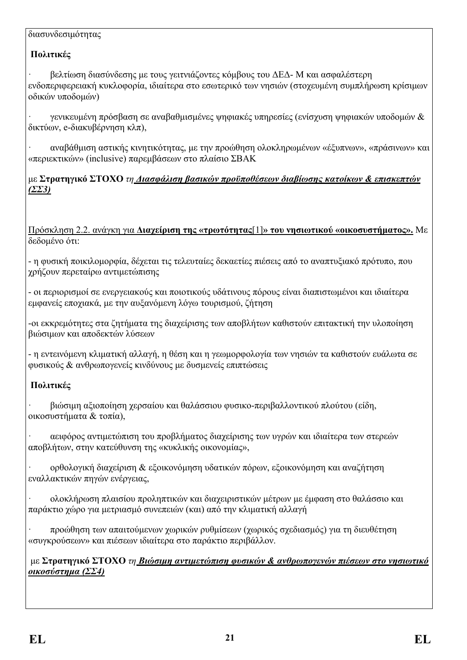#### διασυνδεσιμότητας

### **Πολιτικές**

· βελτίωση διασύνδεσης με τους γειτνιάζοντες κόμβους του ΔΕΔ- Μ και ασφαλέστερη ενδοπεριφερειακή κυκλοφορία, ιδιαίτερα στο εσωτερικό των νησιών (στοχευμένη συμπλήρωση κρίσιμων οδικών υποδομών)

· γενικευμένη πρόσβαση σε αναβαθμισμένες ψηφιακές υπηρεσίες (ενίσχυση ψηφιακών υποδομών & δικτύων, e-διακυβέρνηση κλπ),

· αναβάθμιση αστικής κινητικότητας, με την προώθηση ολοκληρωμένων «έξυπνων», «πράσινων» και «περιεκτικών» (inclusive) παρεμβάσεων στο πλαίσιο ΣΒΑΚ

με **Στρατηγικό ΣΤΟΧΟ** *τη Διασφάλιση βασικών προϋποθέσεων διαβίωσης κατοίκων & επισκεπτών (ΣΣ3)*

Πρόσκληση 2.2. ανάγκη για **Διαχείριση της «τρωτότητας**[1]**» του νησιωτικού «οικοσυστήματος».** Με δεδομένο ότι:

- η φυσική ποικιλομορφία, δέχεται τις τελευταίες δεκαετίες πιέσεις από το αναπτυξιακό πρότυπο, που χρήζουν περεταίρω αντιμετώπισης

- οι περιορισμοί σε ενεργειακούς και ποιοτικούς υδάτινους πόρους είναι διαπιστωμένοι και ιδιαίτερα εμφανείς εποχιακά, με την αυξανόμενη λόγω τουρισμού, ζήτηση

-οι εκκρεμότητες στα ζητήματα της διαχείρισης των αποβλήτων καθιστούν επιτακτική την υλοποίηση βιώσιμων και αποδεκτών λύσεων

- η εντεινόμενη κλιματική αλλαγή, η θέση και η γεωμορφολογία των νησιών τα καθιστούν ευάλωτα σε φυσικούς & ανθρωπογενείς κινδύνους με δυσμενείς επιπτώσεις

## **Πολιτικές**

· βιώσιμη αξιοποίηση χερσαίου και θαλάσσιου φυσικο-περιβαλλοντικού πλούτου (είδη, οικοσυστήματα & τοπία),

· αειφόρος αντιμετώπιση του προβλήματος διαχείρισης των υγρών και ιδιαίτερα των στερεών αποβλήτων, στην κατεύθυνση της «κυκλικής οικονομίας»,

· ορθολογική διαχείριση & εξοικονόμηση υδατικών πόρων, εξοικονόμηση και αναζήτηση εναλλακτικών πηγών ενέργειας,

· ολοκλήρωση πλαισίου προληπτικών και διαχειριστικών μέτρων με έμφαση στο θαλάσσιο και παράκτιο χώρο για μετριασμό συνεπειών (και) από την κλιματική αλλαγή

· προώθηση των απαιτούμενων χωρικών ρυθμίσεων (χωρικός σχεδιασμός) για τη διευθέτηση «συγκρούσεων» και πιέσεων ιδιαίτερα στο παράκτιο περιβάλλον.

με **Στρατηγικό ΣΤΟΧΟ** *τη Βιώσιμη αντιμετώπιση φυσικών & ανθρωπογενών πιέσεων στο νησιωτικό οικοσύστημα (ΣΣ4)*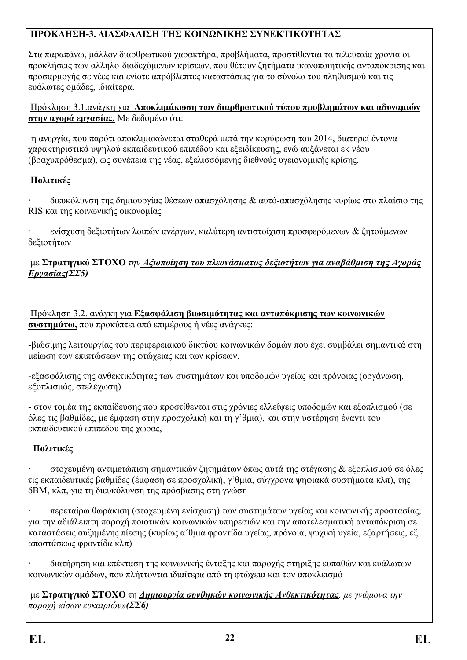## **ΠΡΟΚΛΗΣΗ-3. ΔΙΑΣΦΑΛΙΣΗ ΤΗΣ ΚΟΙΝΩΝΙΚΗΣ ΣΥΝΕΚΤΙΚΟΤΗΤΑΣ**

Στα παραπάνω, μάλλον διαρθρωτικού χαρακτήρα, προβλήματα, προστίθενται τα τελευταία χρόνια οι προκλήσεις των αλληλο-διαδεχόμενων κρίσεων, που θέτουν ζητήματα ικανοποιητικής ανταπόκρισης και προσαρμογής σε νέες και ενίοτε απρόβλεπτες καταστάσεις για το σύνολο του πληθυσμού και τις ευάλωτες ομάδες, ιδιαίτερα.

Πρόκληση 3.1.ανάγκη για **Αποκλιμάκωση των διαρθρωτικού τύπου προβλημάτων και αδυναμιών στην αγορά εργασίας.** Με δεδομένο ότι:

-η ανεργία, που παρότι αποκλιμακώνεται σταθερά μετά την κορύφωση του 2014, διατηρεί έντονα χαρακτηριστικά υψηλού εκπαιδευτικού επιπέδου και εξειδίκευσης, ενώ αυξάνεται εκ νέου (βραχυπρόθεσμα), ως συνέπεια της νέας, εξελισσόμενης διεθνούς υγειονομικής κρίσης.

## **Πολιτικές**

· διευκόλυνση της δημιουργίας θέσεων απασχόλησης & αυτό-απασχόλησης κυρίως στο πλαίσιο της RIS και της κοινωνικής οικονομίας

· ενίσχυση δεξιοτήτων λοιπών ανέργων, καλύτερη αντιστοίχιση προσφερόμενων & ζητούμενων δεξιοτήτων

#### με **Στρατηγικό ΣΤΟΧΟ** *την Αξιοποίηση του πλεονάσματος δεξιοτήτων για αναβάθμιση της Αγοράς Εργασίας(ΣΣ5)*

Πρόκληση 3.2. ανάγκη για **Εξασφάλιση βιωσιμότητας και ανταπόκρισης των κοινωνικών συστημάτω,** που προκύπτει από επιμέρους ή νέες ανάγκες:

-βιώσιμης λειτουργίας του περιφερειακού δικτύου κοινωνικών δομών που έχει συμβάλει σημαντικά στη μείωση των επιπτώσεων της φτώχειας και των κρίσεων.

-εξασφάλισης της ανθεκτικότητας των συστημάτων και υποδομών υγείας και πρόνοιας (οργάνωση, εξοπλισμός, στελέχωση).

- στον τομέα της εκπαίδευσης που προστίθενται στις χρόνιες ελλείψεις υποδομών και εξοπλισμού (σε όλες τις βαθμίδες, με έμφαση στην προσχολική και τη γ'θμια), και στην υστέρηση έναντι του εκπαιδευτικού επιπέδου της χώρας,

## **Πολιτικές**

· στοχευμένη αντιμετώπιση σημαντικών ζητημάτων όπως αυτά της στέγασης & εξοπλισμού σε όλες τις εκπαιδευτικές βαθμίδες (έμφαση σε προσχολική, γ'θμια, σύγχρονα ψηφιακά συστήματα κλπ), της δΒΜ, κλπ, για τη διευκόλυνση της πρόσβασης στη γνώση

· περεταίρω θωράκιση (στοχευμένη ενίσχυση) των συστημάτων υγείας και κοινωνικής προστασίας, για την αδιάλειπτη παροχή ποιοτικών κοινωνικών υπηρεσιών και την αποτελεσματική ανταπόκριση σε καταστάσεις αυξημένης πίεσης (κυρίως α΄θμια φροντίδα υγείας, πρόνοια, ψυχική υγεία, εξαρτήσεις, εξ αποστάσεως φροντίδα κλπ)

· διατήρηση και επέκταση της κοινωνικής ένταξης και παροχής στήριξης ευπαθών και ευάλωτων κοινωνικών ομάδων, που πλήττονται ιδιαίτερα από τη φτώχεια και τον αποκλεισμό

με **Στρατηγικό ΣΤΟΧΟ** τη *Δημιουργία συνθηκών κοινωνικής Ανθεκτικότητας, με γνώμονα την παροχή «ίσων ευκαιριών»(ΣΣ6)*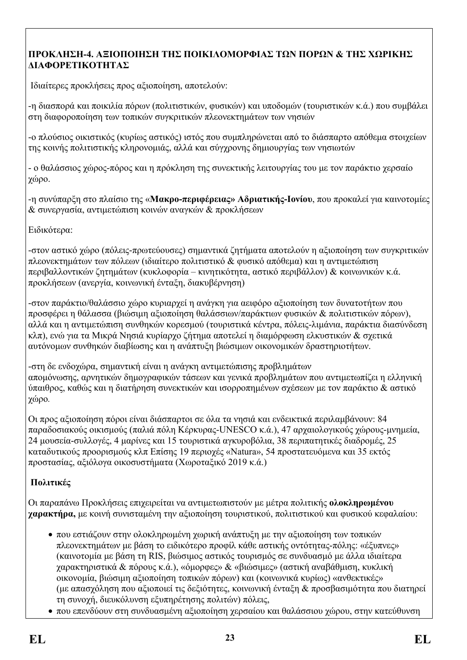### **ΠΡΟΚΛΗΣΗ-4. ΑΞΙΟΠΟΙΗΣΗ ΤΗΣ ΠΟΙΚΙΛΟΜΟΡΦΙΑΣ ΤΩΝ ΠΟΡΩΝ & ΤΗΣ ΧΩΡΙΚΗΣ ΔΙΑΦΟΡΕΤΙΚΟΤΗΤΑΣ**

Ιδιαίτερες προκλήσεις προς αξιοποίηση, αποτελούν:

-η διασπορά και ποικιλία πόρων (πολιτιστικών, φυσικών) και υποδομών (τουριστικών κ.ά.) που συμβάλει στη διαφοροποίηση των τοπικών συγκριτικών πλεονεκτημάτων των νησιών

-ο πλούσιος οικιστικός (κυρίως αστικός) ιστός που συμπληρώνεται από το διάσπαρτο απόθεμα στοιχείων της κοινής πολιτιστικής κληρονομιάς, αλλά και σύγχρονης δημιουργίας των νησιωτών

- ο θαλάσσιος χώρος-πόρος και η πρόκληση της συνεκτικής λειτουργίας του με τον παράκτιο χερσαίο χώρο.

-η συνύπαρξη στο πλαίσιο της «**Μακρο-περιφέρειας» Αδριατικής-Ιονίου**, που προκαλεί για καινοτομίες & συνεργασία, αντιμετώπιση κοινών αναγκών & προκλήσεων

Ειδικότερα:

-στον αστικό χώρο (πόλεις-πρωτεύουσες) σημαντικά ζητήματα αποτελούν η αξιοποίηση των συγκριτικών πλεονεκτημάτων των πόλεων (ιδιαίτερο πολιτιστικό & φυσικό απόθεμα) και η αντιμετώπιση περιβαλλοντικών ζητημάτων (κυκλοφορία – κινητικότητα, αστικό περιβάλλον) & κοινωνικών κ.ά. προκλήσεων (ανεργία, κοινωνική ένταξη, διακυβέρνηση)

-στον παράκτιο/θαλάσσιο χώρο κυριαρχεί η ανάγκη για αειφόρο αξιοποίηση των δυνατοτήτων που προσφέρει η θάλασσα (βιώσιμη αξιοποίηση θαλάσσιων/παράκτιων φυσικών & πολιτιστικών πόρων), αλλά και η αντιμετώπιση συνθηκών κορεσμού (τουριστικά κέντρα, πόλεις-λιμάνια, παράκτια διασύνδεση κλπ), ενώ για τα Μικρά Νησιά κυρίαρχο ζήτημα αποτελεί η διαμόρφωση ελκυστικών & σχετικά αυτόνομων συνθηκών διαβίωσης και η ανάπτυξη βιώσιμων οικονομικών δραστηριοτήτων.

-στη δε ενδοχώρα, σημαντική είναι η ανάγκη αντιμετώπισης προβλημάτων απομόνωσης, αρνητικών δημογραφικών τάσεων και γενικά προβλημάτων που αντιμετωπίζει η ελληνική ύπαιθρος, καθώς και η διατήρηση συνεκτικών και ισορροπημένων σχέσεων με τον παράκτιο & αστικό χώρο*.* 

Οι προς αξιοποίηση πόροι είναι διάσπαρτοι σε όλα τα νησιά και ενδεικτικά περιλαμβάνουν: 84 παραδοσιακούς οικισμούς (παλιά πόλη Κέρκυρας-UNESCO κ.ά.), 47 αρχαιολογικούς χώρους-μνημεία, 24 μουσεία-συλλογές, 4 μαρίνες και 15 τουριστικά αγκυροβόλια, 38 περιπατητικές διαδρομές, 25 καταδυτικούς προορισμούς κλπ Επίσης 19 περιοχές «Natura», 54 προστατευόμενα και 35 εκτός προστασίας, αξιόλογα οικοσυστήματα (Χωροταξικό 2019 κ.ά.)

## **Πολιτικές**

Οι παραπάνω Προκλήσεις επιχειρείται να αντιμετωπιστούν με μέτρα πολιτικής **ολοκληρωμένου χαρακτήρα,** με κοινή συνισταμένη την αξιοποίηση τουριστικού, πολιτιστικού και φυσικού κεφαλαίου:

- που εστιάζουν στην ολοκληρωμένη χωρική ανάπτυξη με την αξιοποίηση των τοπικών πλεονεκτημάτων με βάση το ειδικότερο προφίλ κάθε αστικής οντότητας-πόλης: «έξυπνες» (καινοτομία με βάση τη RIS, βιώσιμος αστικός τουρισμός σε συνδυασμό με άλλα ιδιαίτερα χαρακτηριστικά & πόρους κ.ά.), «όμορφες» & «βιώσιμες» (αστική αναβάθμιση, κυκλική οικονομία, βιώσιμη αξιοποίηση τοπικών πόρων) και (κοινωνικά κυρίως) «ανθεκτικές» (με απασχόληση που αξιοποιεί τις δεξιότητες, κοινωνική ένταξη & προσβασιμότητα που διατηρεί τη συνοχή, διευκόλυνση εξυπηρέτησης πολιτών) πόλεις,
- που επενδύουν στη συνδυασμένη αξιοποίηση χερσαίου και θαλάσσιου χώρου, στην κατεύθυνση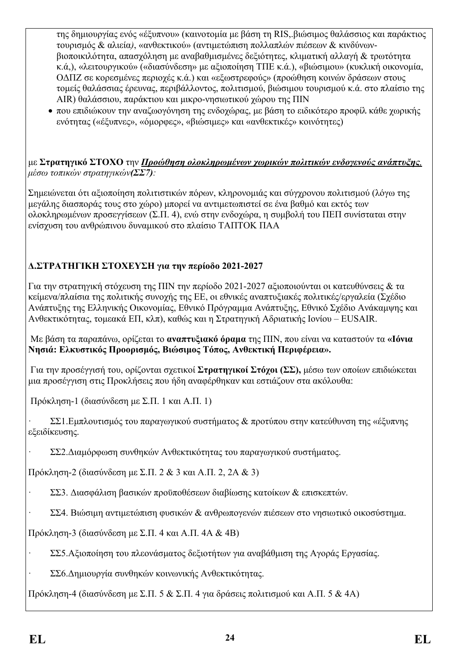της δημιουργίας ενός «έξυπνου» (καινοτομία με βάση τη RIS,.βιώσιμος θαλάσσιος και παράκτιος τουρισμός & αλιεία*)*, «ανθεκτικού» (αντιμετώπιση πολλαπλών πιέσεων & κινδύνωνβιοποικιλότητα, απασχόληση με αναβαθμισμένες δεξιότητες, κλιματική αλλαγή & τρωτότητα κ.ά,), «λειτουργικού» («διασύνδεση» με αξιοποίηση ΤΠΕ κ.ά.), «βιώσιμου» (κυκλική οικονομία, ΟΔΠΖ σε κορεσμένες περιοχές κ.ά.) και «εξωστρεφούς» (προώθηση κοινών δράσεων στους τομείς θαλάσσιας έρευνας, περιβάλλοντος, πολιτισμού, βιώσιμου τουρισμού κ.ά. στο πλαίσιο της AIR) θαλάσσιου, παράκτιου και μικρο-νησιωτικού χώρου της ΠΙΝ

 που επιδιώκουν την αναζωογόνηση της ενδοχώρας, με βάση το ειδικότερο προφίλ κάθε χωρικής ενότητας («έξυπνες», «όμορφες», «βιώσιμες» και «ανθεκτικές» κοινότητες)

με **Στρατηγικό ΣΤΟΧΟ** την *Προώθηση ολοκληρωμένων χωρικών πολιτικών ενδογενούς ανάπτυξης, μέσω τοπικών στρατηγικών(ΣΣ7):*

Σημειώνεται ότι αξιοποίηση πολιτιστικών πόρων, κληρονομιάς και σύγχρονου πολιτισμού (λόγω της μεγάλης διασποράς τους στο χώρο) μπορεί να αντιμετωπιστεί σε ένα βαθμό και εκτός των ολοκληρωμένων προσεγγίσεων (Σ.Π. 4), ενώ στην ενδοχώρα, η συμβολή του ΠΕΠ συνίσταται στην ενίσχυση του ανθρώπινου δυναμικού στο πλαίσιο ΤΑΠΤΟΚ ΠΑΑ

### **Δ.ΣΤΡΑΤΗΓΙΚΗ ΣΤΟΧΕΥΣΗ για την περίοδο 2021-2027**

Για την στρατηγική στόχευση της ΠΙΝ την περίοδο 2021-2027 αξιοποιούνται οι κατευθύνσεις & τα κείμενα/πλαίσια της πολιτικής συνοχής της ΕΕ, οι εθνικές αναπτυξιακές πολιτικές/εργαλεία (Σχέδιο Ανάπτυξης της Ελληνικής Οικονομίας, Εθνικό Πρόγραμμα Ανάπτυξης, Εθνικό Σχέδιο Ανάκαμψης και Ανθεκτικότητας, τομεακά ΕΠ, κλπ), καθώς και η Στρατηγική Αδριατικής Ιονίου – EUSAIR.

Με βάση τα παραπάνω, ορίζεται το **αναπτυξιακό όραμα** της ΠΙΝ, που είναι να καταστούν τα **«Ιόνια Νησιά: Ελκυστικός Προορισμός, Βιώσιμος Τόπος, Ανθεκτική Περιφέρεια».**

Για την προσέγγισή του, ορίζονται σχετικοί **Στρατηγικοί Στόχοι (ΣΣ),** μέσω των οποίων επιδιώκεται μια προσέγγιση στις Προκλήσεις που ήδη αναφέρθηκαν και εστιάζουν στα ακόλουθα:

Πρόκληση-1 (διασύνδεση με Σ.Π. 1 και Α.Π. 1)

· ΣΣ1.Εμπλουτισμός του παραγωγικού συστήματος & προτύπου στην κατεύθυνση της «έξυπνης εξειδίκευσης.

· ΣΣ2.Διαμόρφωση συνθηκών Ανθεκτικότητας του παραγωγικού συστήματος.

Πρόκληση-2 (διασύνδεση με Σ.Π. 2 & 3 και Α.Π. 2, 2Α & 3)

- · ΣΣ3. Διασφάλιση βασικών προϋποθέσεων διαβίωσης κατοίκων & επισκεπτών.
- · ΣΣ4. Βιώσιμη αντιμετώπιση φυσικών & ανθρωπογενών πιέσεων στο νησιωτικό οικοσύστημα.

Πρόκληση-3 (διασύνδεση με Σ.Π. 4 και Α.Π. 4Α & 4Β)

- · ΣΣ5.Αξιοποίηση του πλεονάσματος δεξιοτήτων για αναβάθμιση της Αγοράς Εργασίας.
- · ΣΣ6.Δημιουργία συνθηκών κοινωνικής Ανθεκτικότητας.

Πρόκληση-4 (διασύνδεση με Σ.Π. 5 & Σ.Π. 4 για δράσεις πολιτισμού και Α.Π. 5 & 4Α)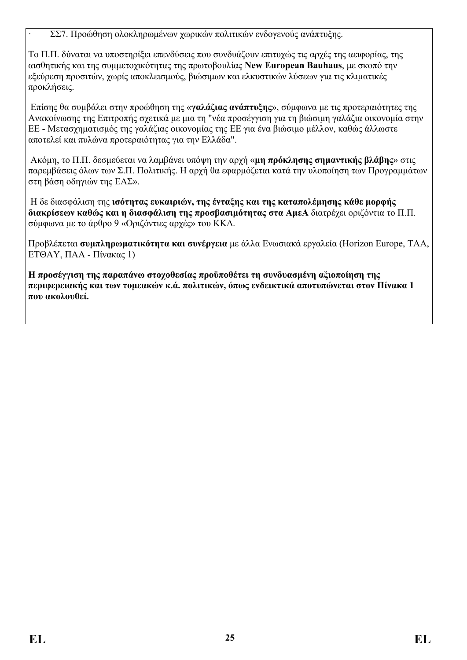· ΣΣ7. Προώθηση ολοκληρωμένων χωρικών πολιτικών ενδογενούς ανάπτυξης.

Το Π.Π. δύναται να υποστηρίξει επενδύσεις που συνδυάζουν επιτυχώς τις αρχές της αειφορίας, της αισθητικής και της συμμετοχικότητας της πρωτοβουλίας **New European Bauhaus**, με σκοπό την εξεύρεση προσιτών, χωρίς αποκλεισμούς, βιώσιμων και ελκυστικών λύσεων για τις κλιματικές προκλήσεις.

Επίσης θα συμβάλει στην προώθηση της «**γαλάζιας ανάπτυξης**», σύμφωνα με τις προτεραιότητες της Ανακοίνωσης της Επιτροπής σχετικά με μια τη "νέα προσέγγιση για τη βιώσιμη γαλάζια οικονομία στην ΕΕ - Μετασχηματισμός της γαλάζιας οικονομίας της ΕΕ για ένα βιώσιμο μέλλον, καθώς άλλωστε αποτελεί και πυλώνα προτεραιότητας για την Ελλάδα".

Ακόμη, το Π.Π. δεσμεύεται να λαμβάνει υπόψη την αρχή «**μη πρόκλησης σημαντικής βλάβης**» στις παρεμβάσεις όλων των Σ.Π. Πολιτικής. Η αρχή θα εφαρμόζεται κατά την υλοποίηση των Προγραμμάτων στη βάση οδηγιών της ΕΑΣ».

Η δε διασφάλιση της **ισότητας ευκαιριών, της ένταξης και της καταπολέμησης κάθε μορφής διακρίσεων καθώς και η διασφάλιση της προσβασιμότητας στα ΑμεΑ** διατρέχει οριζόντια το Π.Π. σύμφωνα με το άρθρο 9 «Οριζόντιες αρχές» του ΚΚΔ.

Προβλέπεται **συμπληρωματικότητα και συνέργεια** με άλλα Ενωσιακά εργαλεία (Horizon Europe, ΤΑΑ, ΕΤΘΑΥ, ΠΑΑ - Πίνακας 1)

**Η προσέγγιση της παραπάνω στοχοθεσίας προϋποθέτει τη συνδυασμένη αξιοποίηση της περιφερειακής και των τομεακών κ.ά. πολιτικών, όπως ενδεικτικά αποτυπώνεται στον Πίνακα 1 που ακολουθεί.**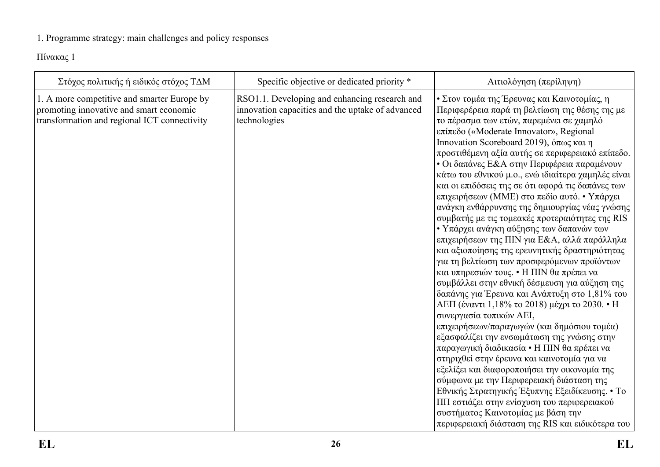## 1. Programme strategy: main challenges and policy responses

Πίνακας 1

<span id="page-25-0"></span>

| Specific objective or dedicated priority *<br>Στόχος πολιτικής ή ειδικός στόχος ΤΔΜ<br>Αιτιολόγηση (περίληψη)                                                                                                                                                                                                                                                                                                                                                                                                                                                                                                                                                                                                                                                                                                                                                                                                                                                                                                                                                                                                                                                                                                                                                                                                                                                                                                                                                                                                                                                                                                                                                                                                                                                              |
|----------------------------------------------------------------------------------------------------------------------------------------------------------------------------------------------------------------------------------------------------------------------------------------------------------------------------------------------------------------------------------------------------------------------------------------------------------------------------------------------------------------------------------------------------------------------------------------------------------------------------------------------------------------------------------------------------------------------------------------------------------------------------------------------------------------------------------------------------------------------------------------------------------------------------------------------------------------------------------------------------------------------------------------------------------------------------------------------------------------------------------------------------------------------------------------------------------------------------------------------------------------------------------------------------------------------------------------------------------------------------------------------------------------------------------------------------------------------------------------------------------------------------------------------------------------------------------------------------------------------------------------------------------------------------------------------------------------------------------------------------------------------------|
| 1. A more competitive and smarter Europe by<br>RSO1.1. Developing and enhancing research and<br>• Στον τομέα της Έρευνας και Καινοτομίας, η<br>promoting innovative and smart economic<br>innovation capacities and the uptake of advanced<br>Περιφερέρεια παρά τη βελτίωση της θέσης της με<br>transformation and regional ICT connectivity<br>technologies<br>το πέρασμα των ετών, παρεμένει σε χαμηλό<br>επίπεδο («Moderate Innovator», Regional<br>Innovation Scoreboard 2019), όπως και η<br>προστιθέμενη αξία αυτής σε περιφερειακό επίπεδο.<br>• Οι δαπάνες Ε&Α στην Περιφέρεια παραμένουν<br>κάτω του εθνικού μ.ο., ενώ ιδιαίτερα χαμηλές είναι<br>και οι επιδόσεις της σε ότι αφορά τις δαπάνες των<br>επιχειρήσεων (ΜΜΕ) στο πεδίο αυτό. • Υπάρχει<br>ανάγκη ενθάρρυνσης της δημιουργίας νέας γνώσης<br>συμβατής με τις τομεακές προτεραιότητες της RIS<br>• Υπάρχει ανάγκη αύξησης των δαπανών των<br>επιχειρήσεων της ΠΙΝ για Ε&Α, αλλά παράλληλα<br>και αξιοποίησης της ερευνητικής δραστηριότητας<br>για τη βελτίωση των προσφερόμενων προϊόντων<br>και υπηρεσιών τους. • Η ΠΙΝ θα πρέπει να<br>συμβάλλει στην εθνική δέσμευση για αύξηση της<br>δαπάνης για Έρευνα και Ανάπτυξη στο 1,81% του<br>ΑΕΠ (έναντι 1,18% το 2018) μέχρι το 2030. • Η<br>συνεργασία τοπικών ΑΕΙ,<br>επιχειρήσεων/παραγωγών (και δημόσιου τομέα)<br>εξασφαλίζει την ενσωμάτωση της γνώσης στην<br>παραγωγική διαδικασία • Η ΠΙΝ θα πρέπει να<br>στηριχθεί στην έρευνα και καινοτομία για να<br>εξελίξει και διαφοροποιήσει την οικονομία της<br>σύμφωνα με την Περιφερειακή διάσταση της<br>Εθνικής Στρατηγικής Έξυπνης Εξειδίκευσης. • Το<br>ΠΠ εστιάζει στην ενίσχυση του περιφερειακού<br>συστήματος Καινοτομίας με βάση την<br>περιφερειακή διάσταση της RIS και ειδικότερα του |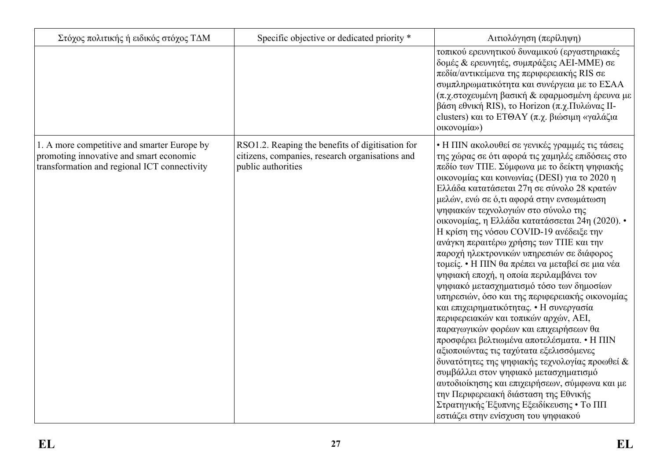| Στόχος πολιτικής ή ειδικός στόχος ΤΔΜ                                                                                                  | Specific objective or dedicated priority *                                                                                | Αιτιολόγηση (περίληψη)                                                                                                                                                                                                                                                                                                                                                                                                                                                                                                                                                                                                                                                                                                                                                                                                                                                                                                                                                                                                                                                                                                                                                                                                   |
|----------------------------------------------------------------------------------------------------------------------------------------|---------------------------------------------------------------------------------------------------------------------------|--------------------------------------------------------------------------------------------------------------------------------------------------------------------------------------------------------------------------------------------------------------------------------------------------------------------------------------------------------------------------------------------------------------------------------------------------------------------------------------------------------------------------------------------------------------------------------------------------------------------------------------------------------------------------------------------------------------------------------------------------------------------------------------------------------------------------------------------------------------------------------------------------------------------------------------------------------------------------------------------------------------------------------------------------------------------------------------------------------------------------------------------------------------------------------------------------------------------------|
|                                                                                                                                        |                                                                                                                           | τοπικού ερευνητικού δυναμικού (εργαστηριακές<br>δομές & ερευνητές, συμπράξεις ΑΕΙ-ΜΜΕ) σε<br>πεδία/αντικείμενα της περιφερειακής RIS σε<br>συμπληρωματικότητα και συνέργεια με το ΕΣΑΑ<br>(π.χ.στοχευμένη βασική & εφαρμοσμένη έρευνα με<br>βάση εθνική RIS), το Horizon (π.χ. Πυλώνας ΙΙ-<br>clusters) και το ΕΤΘΑΥ (π.χ. βιώσιμη «γαλάζια<br>οικονομία»)                                                                                                                                                                                                                                                                                                                                                                                                                                                                                                                                                                                                                                                                                                                                                                                                                                                               |
| 1. A more competitive and smarter Europe by<br>promoting innovative and smart economic<br>transformation and regional ICT connectivity | RSO1.2. Reaping the benefits of digitisation for<br>citizens, companies, research organisations and<br>public authorities | • Η ΠΙΝ ακολουθεί σε γενικές γραμμές τις τάσεις<br>της χώρας σε ότι αφορά τις χαμηλές επιδόσεις στο<br>πεδίο των ΤΠΕ. Σύμφωνα με το δείκτη ψηφιακής<br>οικονομίας και κοινωνίας (DESI) για το 2020 η<br>Ελλάδα κατατάσεται 27η σε σύνολο 28 κρατών<br>μελών, ενώ σε ό,τι αφορά στην ενσωμάτωση<br>ψηφιακών τεχνολογιών στο σύνολο της<br>οικονομίας, η Ελλάδα κατατάσσεται 24η (2020). •<br>Η κρίση της νόσου COVID-19 ανέδειξε την<br>ανάγκη περαιτέρω χρήσης των ΤΠΕ και την<br>παροχή ηλεκτρονικών υπηρεσιών σε διάφορος<br>τομείς. • Η ΠΙΝ θα πρέπει να μεταβεί σε μια νέα<br>ψηφιακή εποχή, η οποία περιλαμβάνει τον<br>ψηφιακό μετασχηματισμό τόσο των δημοσίων<br>υπηρεσιών, όσο και της περιφερειακής οικονομίας<br>και επιχειρηματικότητας. • Η συνεργασία<br>περιφερειακών και τοπικών αρχών, ΑΕΙ,<br>παραγωγικών φορέων και επιχειρήσεων θα<br>προσφέρει βελτιωμένα αποτελέσματα. • Η ΠΙΝ<br>αξιοποιώντας τις ταχύτατα εξελισσόμενες<br>δυνατότητες της ψηφιακής τεχνολογίας προωθεί &<br>συμβάλλει στον ψηφιακό μετασχηματισμό<br>αυτοδιοίκησης και επιχειρήσεων, σύμφωνα και με<br>την Περιφερειακή διάσταση της Εθνικής<br>Στρατηγικής Έξυπνης Εξειδίκευσης • Το ΠΠ<br>εστιάζει στην ενίσχυση του ψηφιακού |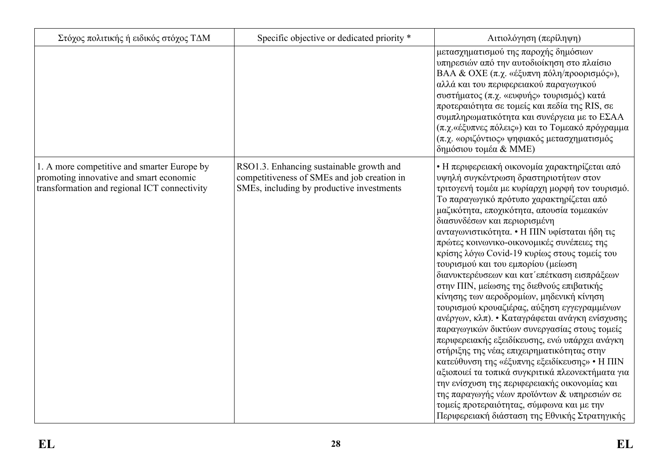| Στόχος πολιτικής ή ειδικός στόχος ΤΔΜ                                                                                                  | Specific objective or dedicated priority *                                                                                           | Αιτιολόγηση (περίληψη)                                                                                                                                                                                                                                                                                                                                                                                                                                                                                                                                                                                                                                                                                                                                                                                                                                                                                                                                                                                                                                                                                                                              |
|----------------------------------------------------------------------------------------------------------------------------------------|--------------------------------------------------------------------------------------------------------------------------------------|-----------------------------------------------------------------------------------------------------------------------------------------------------------------------------------------------------------------------------------------------------------------------------------------------------------------------------------------------------------------------------------------------------------------------------------------------------------------------------------------------------------------------------------------------------------------------------------------------------------------------------------------------------------------------------------------------------------------------------------------------------------------------------------------------------------------------------------------------------------------------------------------------------------------------------------------------------------------------------------------------------------------------------------------------------------------------------------------------------------------------------------------------------|
|                                                                                                                                        |                                                                                                                                      | μετασχηματισμού της παροχής δημόσιων<br>υπηρεσιών από την αυτοδιοίκηση στο πλαίσιο<br>BAA & OXE (π.χ. «έξυπνη πόλη/προορισμός»),<br>αλλά και του περιφερειακού παραγωγικού<br>συστήματος (π.χ. «ευφυής» τουρισμός) κατά<br>προτεραιότητα σε τομείς και πεδία της RIS, σε<br>συμπληρωματικότητα και συνέργεια με το ΕΣΑΑ<br>(π.χ. «έξυπνες πόλεις») και το Τομεακό πρόγραμμα<br>(π.χ. «οριζόντιος» ψηφιακός μετασχηματισμός<br>δημόσιου τομέα & MME)                                                                                                                                                                                                                                                                                                                                                                                                                                                                                                                                                                                                                                                                                                 |
| 1. A more competitive and smarter Europe by<br>promoting innovative and smart economic<br>transformation and regional ICT connectivity | RSO1.3. Enhancing sustainable growth and<br>competitiveness of SMEs and job creation in<br>SMEs, including by productive investments | • Η περιφερειακή οικονομία χαρακτηρίζεται από<br>υψηλή συγκέντρωση δραστηριοτήτων στον<br>τριτογενή τομέα με κυρίαρχη μορφή τον τουρισμό.<br>Το παραγωγικό πρότυπο χαρακτηρίζεται από<br>μαζικότητα, εποχικότητα, απουσία τομεακών<br>διασυνδέσων και περιορισμένη<br>ανταγωνιστικότητα. • Η ΠΙΝ υφίσταται ήδη τις<br>πρώτες κοινωνικο-οικονομικές συνέπειες της<br>κρίσης λόγω Covid-19 κυρίως στους τομείς του<br>τουρισμού και του εμπορίου (μείωση<br>διανυκτερέυσεων και κατ' επέτκαση εισπράξεων<br>στην ΠΙΝ, μείωσης της διεθνούς επιβατικής<br>κίνησης των αεροδρομίων, μηδενική κίνηση<br>τουρισμού κρουαζιέρας, αύξηση εγγεγραμμένων<br>ανέργων, κλπ). • Καταγράφεται ανάγκη ενίσχυσης<br>παραγωγικών δικτύων συνεργασίας στους τομείς<br>περιφερειακής εξειδίκευσης, ενώ υπάρχει ανάγκη<br>στήριξης της νέας επιχειρηματικότητας στην<br>κατεύθυνση της «έξυπνης εξειδίκευσης» • Η ΠΙΝ<br>αξιοποιεί τα τοπικά συγκριτικά πλεονεκτήματα για<br>την ενίσχυση της περιφερειακής οικονομίας και<br>της παραγωγής νέων προϊόντων & υπηρεσιών σε<br>τομείς προτεραιότητας, σύμφωνα και με την<br>Περιφερειακή διάσταση της Εθνικής Στρατηγικής |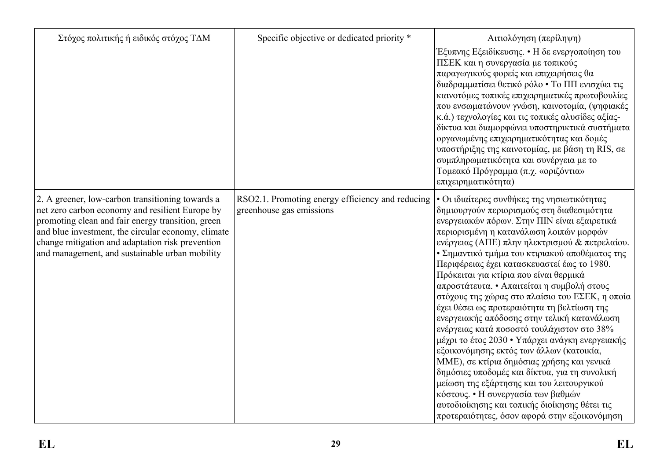| Στόχος πολιτικής ή ειδικός στόχος ΤΔΜ                                                                                                                                                                                                                                                                                | Specific objective or dedicated priority *                                   | Αιτιολόγηση (περίληψη)                                                                                                                                                                                                                                                                                                                                                                                                                                                                                                                                                                                                                                                                                                                                                                                                                                                                                                                                                                                           |
|----------------------------------------------------------------------------------------------------------------------------------------------------------------------------------------------------------------------------------------------------------------------------------------------------------------------|------------------------------------------------------------------------------|------------------------------------------------------------------------------------------------------------------------------------------------------------------------------------------------------------------------------------------------------------------------------------------------------------------------------------------------------------------------------------------------------------------------------------------------------------------------------------------------------------------------------------------------------------------------------------------------------------------------------------------------------------------------------------------------------------------------------------------------------------------------------------------------------------------------------------------------------------------------------------------------------------------------------------------------------------------------------------------------------------------|
|                                                                                                                                                                                                                                                                                                                      |                                                                              | Εξυπνης Εξειδίκευσης. • Η δε ενεργοποίηση του<br>ΠΣΕΚ και η συνεργασία με τοπικούς<br>παραγωγικούς φορείς και επιχειρήσεις θα<br>διαδραμματίσει θετικό ρόλο • Το ΠΠ ενισχύει τις<br>καινοτόμες τοπικές επιχειρηματικές πρωτοβουλίες<br>που ενσωματώνουν γνώση, καινοτομία, (ψηφιακές<br>κ.ά.) τεχνολογίες και τις τοπικές αλυσίδες αξίας-<br>δίκτυα και διαμορφώνει υποστηρικτικά συστήματα<br>οργανωμένης επιχειρηματικότητας και δομές<br>υποστήριξης της καινοτομίας, με βάση τη RIS, σε<br>συμπληρωματικότητα και συνέργεια με το<br>Τομεακό Πρόγραμμα (π.χ. «οριζόντια»<br>επιχειρηματικότητα)                                                                                                                                                                                                                                                                                                                                                                                                              |
| 2. A greener, low-carbon transitioning towards a<br>net zero carbon economy and resilient Europe by<br>promoting clean and fair energy transition, green<br>and blue investment, the circular economy, climate<br>change mitigation and adaptation risk prevention<br>and management, and sustainable urban mobility | RSO2.1. Promoting energy efficiency and reducing<br>greenhouse gas emissions | • Οι ιδιαίτερες συνθήκες της νησιωτικότητας<br>δημιουργούν περιορισμούς στη διαθεσιμότητα<br>ενεργειακών πόρων. Στην ΠΙΝ είναι εξαιρετικά<br>περιορισμένη η κατανάλωση λοιπών μορφών<br>ενέργειας (ΑΠΕ) πλην ηλεκτρισμού & πετρελαίου.<br>• Σημαντικό τμήμα του κτιριακού αποθέματος της<br>Περιφέρειας έχει κατασκευαστεί έως το 1980.<br>Πρόκειται για κτίρια που είναι θερμικά<br>απροστάτευτα. • Απαιτείται η συμβολή στους<br>στόχους της χώρας στο πλαίσιο του ΕΣΕΚ, η οποία<br>έχει θέσει ως προτεραιότητα τη βελτίωση της<br>ενεργειακής απόδοσης στην τελική κατανάλωση<br>ενέργειας κατά ποσοστό τουλάχιστον στο 38%<br>μέχρι το έτος 2030 • Υπάρχει ανάγκη ενεργειακής<br>εξοικονόμησης εκτός των άλλων (κατοικία,<br>ΜΜΕ), σε κτίρια δημόσιας χρήσης και γενικά<br>δημόσιες υποδομές και δίκτυα, για τη συνολική<br>μείωση της εξάρτησης και του λειτουργικού<br>κόστους. • Η συνεργασία των βαθμών<br>αυτοδιοίκησης και τοπικής διοίκησης θέτει τις<br>προτεραιότητες, όσον αφορά στην εξοικονόμηση |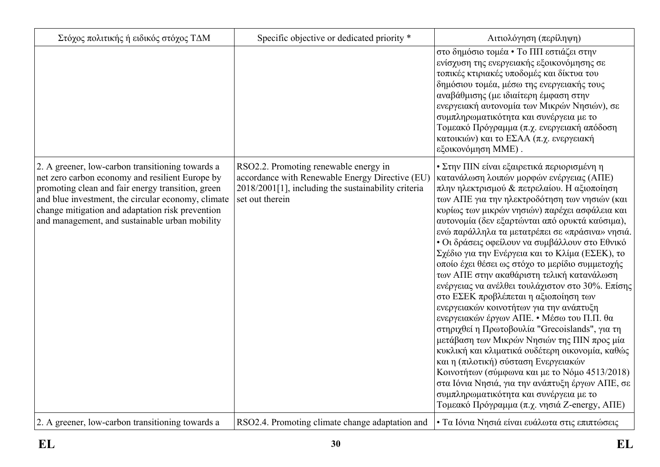| Στόχος πολιτικής ή ειδικός στόχος ΤΔΜ                                                                                                                                                                                                                                                                                | Specific objective or dedicated priority *                                                                                                                         | Αιτιολόγηση (περίληψη)                                                                                                                                                                                                                                                                                                                                                                                                                                                                                                                                                                                                                                                                                                                                                                                                                                                                                                                                                                                                                                                                                                            |
|----------------------------------------------------------------------------------------------------------------------------------------------------------------------------------------------------------------------------------------------------------------------------------------------------------------------|--------------------------------------------------------------------------------------------------------------------------------------------------------------------|-----------------------------------------------------------------------------------------------------------------------------------------------------------------------------------------------------------------------------------------------------------------------------------------------------------------------------------------------------------------------------------------------------------------------------------------------------------------------------------------------------------------------------------------------------------------------------------------------------------------------------------------------------------------------------------------------------------------------------------------------------------------------------------------------------------------------------------------------------------------------------------------------------------------------------------------------------------------------------------------------------------------------------------------------------------------------------------------------------------------------------------|
|                                                                                                                                                                                                                                                                                                                      |                                                                                                                                                                    | στο δημόσιο τομέα • Το ΠΠ εστιάζει στην<br>ενίσχυση της ενεργειακής εξοικονόμησης σε<br>τοπικές κτιριακές υποδομές και δίκτυα του<br>δημόσιου τομέα, μέσω της ενεργειακής τους<br>αναβάθμισης (με ιδιαίτερη έμφαση στην<br>ενεργειακή αυτονομία των Μικρών Νησιών), σε<br>συμπληρωματικότητα και συνέργεια με το<br>Τομεακό Πρόγραμμα (π.χ. ενεργειακή απόδοση<br>κατοικιών) και το ΕΣΑΑ (π.χ. ενεργειακή<br>εξοικονόμηση ΜΜΕ).                                                                                                                                                                                                                                                                                                                                                                                                                                                                                                                                                                                                                                                                                                   |
| 2. A greener, low-carbon transitioning towards a<br>net zero carbon economy and resilient Europe by<br>promoting clean and fair energy transition, green<br>and blue investment, the circular economy, climate<br>change mitigation and adaptation risk prevention<br>and management, and sustainable urban mobility | RSO2.2. Promoting renewable energy in<br>accordance with Renewable Energy Directive (EU)<br>2018/2001[1], including the sustainability criteria<br>set out therein | • Στην ΠΙΝ είναι εξαιρετικά περιορισμένη η<br>κατανάλωση λοιπών μορφών ενέργειας (ΑΠΕ)<br>πλην ηλεκτρισμού & πετρελαίου. Η αξιοποίηση<br>των ΑΠΕ για την ηλεκτροδότηση των νησιών (και<br>κυρίως των μικρών νησιών) παρέχει ασφάλεια και<br>αυτονομία (δεν εξαρτώνται από ορυκτά καύσιμα),<br>ενώ παράλληλα τα μετατρέπει σε «πράσινα» νησιά.<br>• Οι δράσεις οφείλουν να συμβάλλουν στο Εθνικό<br>Σχέδιο για την Ενέργεια και το Κλίμα (ΕΣΕΚ), το<br>οποίο έχει θέσει ως στόχο το μερίδιο συμμετοχής<br>των ΑΠΕ στην ακαθάριστη τελική κατανάλωση<br>ενέργειας να ανέλθει τουλάχιστον στο 30%. Επίσης<br>στο ΕΣΕΚ προβλέπεται η αξιοποίηση των<br>ενεργειακών κοινοτήτων για την ανάπτυξη<br>ενεργειακών έργων ΑΠΕ. • Μέσω του Π.Π. θα<br>στηριχθεί η Πρωτοβουλία "Grecoislands", για τη<br>μετάβαση των Μικρών Νησιών της ΠΙΝ προς μία<br>κυκλική και κλιματικά ουδέτερη οικονομία, καθώς<br>και η (πιλοτική) σύσταση Ενεργειακών<br>Κοινοτήτων (σύμφωνα και με το Νόμο 4513/2018)<br>στα Ιόνια Νησιά, για την ανάπτυξη έργων ΑΠΕ, σε<br>συμπληρωματικότητα και συνέργεια με το<br>Τομεακό Πρόγραμμα (π.χ. νησιά Z-energy, ΑΠΕ) |
| 2. A greener, low-carbon transitioning towards a                                                                                                                                                                                                                                                                     | RSO2.4. Promoting climate change adaptation and                                                                                                                    | • Τα Ιόνια Νησιά είναι ευάλωτα στις επιπτώσεις                                                                                                                                                                                                                                                                                                                                                                                                                                                                                                                                                                                                                                                                                                                                                                                                                                                                                                                                                                                                                                                                                    |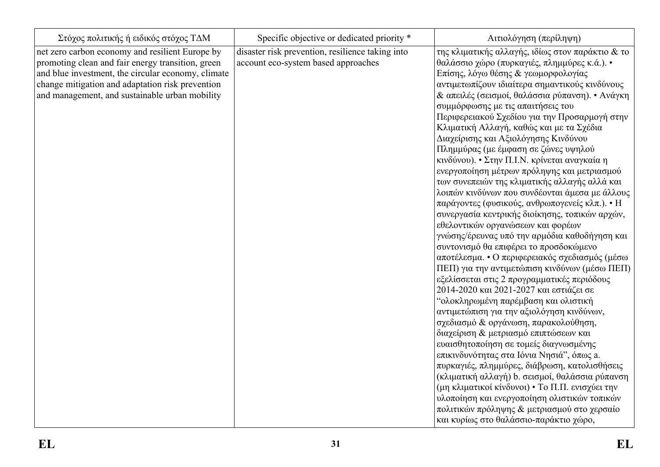| Στόχος πολιτικής ή ειδικός στόχος ΤΔΜ                                                                                                                                                                                                                            | Specific objective or dedicated priority *                                              | Αιτιολόγηση (περίληψη)                                                                                                                                                                                                                                                                                                                                                                                                                                                                                                                                                                                                                                                                                                                                                                                                                                                                                                                                                                                                                                                                                                                                                                                                                                                                                                                                                                                                                                                                                                                                                                                                                                         |
|------------------------------------------------------------------------------------------------------------------------------------------------------------------------------------------------------------------------------------------------------------------|-----------------------------------------------------------------------------------------|----------------------------------------------------------------------------------------------------------------------------------------------------------------------------------------------------------------------------------------------------------------------------------------------------------------------------------------------------------------------------------------------------------------------------------------------------------------------------------------------------------------------------------------------------------------------------------------------------------------------------------------------------------------------------------------------------------------------------------------------------------------------------------------------------------------------------------------------------------------------------------------------------------------------------------------------------------------------------------------------------------------------------------------------------------------------------------------------------------------------------------------------------------------------------------------------------------------------------------------------------------------------------------------------------------------------------------------------------------------------------------------------------------------------------------------------------------------------------------------------------------------------------------------------------------------------------------------------------------------------------------------------------------------|
| net zero carbon economy and resilient Europe by<br>promoting clean and fair energy transition, green<br>and blue investment, the circular economy, climate<br>change mitigation and adaptation risk prevention<br>and management, and sustainable urban mobility | disaster risk prevention, resilience taking into<br>account eco-system based approaches | της κλιματικής αλλαγής, ιδίως στον παράκτιο & το<br>θαλάσσιο χώρο (πυρκαγιές, πλημμύρες κ.ά.). •<br>Επίσης, λόγω θέσης & γεωμορφολογίας<br>αντιμετωπίζουν ιδιαίτερα σημαντικούς κινδύνους<br>& απειλές (σεισμοί, θαλάσσια ρύπανση). • Ανάγκη<br>συμμόρφωσης με τις απαιτήσεις του<br>Περιφερειακού Σχεδίου για την Προσαρμογή στην<br>Κλιματική Αλλαγή, καθώς και με τα Σχέδια<br>Διαχείρισης και Αξιολόγησης Κινδύνου<br>Πλημμύρας (με έμφαση σε ζώνες υψηλού<br>κινδύνου). • Στην Π.Ι.Ν. κρίνεται αναγκαία η<br>ενεργοποίηση μέτρων πρόληψης και μετριασμού<br>των συνεπειών της κλιματικής αλλαγής αλλά και<br>λοιπών κινδύνων που συνδέονται άμεσα με άλλους<br>παράγοντες (φυσικούς, ανθρωπογενείς κλπ.). • Η<br>συνεργασία κεντρικής διοίκησης, τοπικών αρχών,<br>εθελοντικών οργανώσεων και φορέων<br>γνώσης/έρευνας υπό την αρμόδια καθοδήγηση και<br>συντονισμό θα επιφέρει το προσδοκώμενο<br>αποτέλεσμα. • Ο περιφερειακός σχεδιασμός (μέσω<br>ΠΕΠ) για την αντιμετώπιση κινδύνων (μέσω ΠΕΠ)<br>εξελίσσεται στις 2 προγραμματικές περιόδους<br>2014-2020 και 2021-2027 και εστιάζει σε<br>"ολοκληρωμένη παρέμβαση και ολιστική<br>αντιμετώπιση για την αξιολόγηση κινδύνων,<br>σχεδιασμό & οργάνωση, παρακολούθηση,<br>διαχείριση & μετριασμό επιπτώσεων και<br>ευαισθητοποίηση σε τομείς διαγνωσμένης<br>επικινδυνότητας στα Ιόνια Νησιά", όπως a.<br>πυρκαγιές, πλημμύρες, διάβρωση, κατολισθήσεις<br>(κλιματική αλλαγή) b. σεισμοί, θαλάσσια ρύπανση<br>(μη κλιματικοί κίνδυνοι) • Το Π.Π. ενισχύει την<br>υλοποίηση και ενεργοποίηση ολιστικών τοπικών<br>πολιτικών πρόληψης & μετριασμού στο χερσαίο<br>και κυρίως στο θαλάσσιο-παράκτιο χώρο, |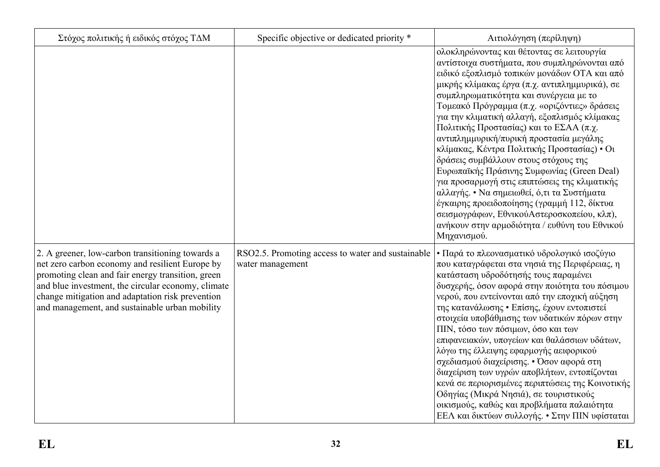| Στόχος πολιτικής ή ειδικός στόχος ΤΔΜ                                                                                                                                                                                                                                                                                | Specific objective or dedicated priority *                            | Αιτιολόγηση (περίληψη)                                                                                                                                                                                                                                                                                                                                                                                                                                                                                                                                                                                                                                                                                                                                                                                                        |
|----------------------------------------------------------------------------------------------------------------------------------------------------------------------------------------------------------------------------------------------------------------------------------------------------------------------|-----------------------------------------------------------------------|-------------------------------------------------------------------------------------------------------------------------------------------------------------------------------------------------------------------------------------------------------------------------------------------------------------------------------------------------------------------------------------------------------------------------------------------------------------------------------------------------------------------------------------------------------------------------------------------------------------------------------------------------------------------------------------------------------------------------------------------------------------------------------------------------------------------------------|
|                                                                                                                                                                                                                                                                                                                      |                                                                       | ολοκληρώνοντας και θέτοντας σε λειτουργία<br>αντίστοιχα συστήματα, που συμπληρώνονται από<br>ειδικό εξοπλισμό τοπικών μονάδων ΟΤΑ και από<br>μικρής κλίμακας έργα (π.χ. αντιπλημμυρικά), σε<br>συμπληρωματικότητα και συνέργεια με το<br>Τομεακό Πρόγραμμα (π.χ. «οριζόντιες» δράσεις<br>για την κλιματική αλλαγή, εξοπλισμός κλίμακας<br>Πολιτικής Προστασίας) και το ΕΣΑΑ (π.χ.<br>αντιπλημμυρική/πυρική προστασία μεγάλης<br>κλίμακας, Κέντρα Πολιτικής Προστασίας) • Οι<br>δράσεις συμβάλλουν στους στόχους της<br>Ευρωπαϊκής Πράσινης Συμφωνίας (Green Deal)<br>για προσαρμογή στις επιπτώσεις της κλιματικής<br>αλλαγής. • Να σημειωθεί, ό,τι τα Συστήματα<br>έγκαιρης προειδοποίησης (γραμμή 112, δίκτυα<br>σεισμογράφων, ΕθνικούΑστεροσκοπείου, κλπ),<br>ανήκουν στην αρμοδιότητα / ευθύνη του Εθνικού<br>Μηχανισμού. |
| 2. A greener, low-carbon transitioning towards a<br>net zero carbon economy and resilient Europe by<br>promoting clean and fair energy transition, green<br>and blue investment, the circular economy, climate<br>change mitigation and adaptation risk prevention<br>and management, and sustainable urban mobility | RSO2.5. Promoting access to water and sustainable<br>water management | • Παρά το πλεονασματικό υδρολογικό ισοζύγιο<br>που καταγράφεται στα νησιά της Περιφέρειας, η<br>κατάσταση υδροδότησής τους παραμένει<br>δυσχερής, όσον αφορά στην ποιότητα του πόσιμου<br>νερού, που εντείνονται από την εποχική αύξηση<br>της κατανάλωσης • Επίσης, έχουν εντοπιστεί<br>στοιχεία υποβάθμισης των υδατικών πόρων στην<br>ΠΙΝ, τόσο των πόσιμων, όσο και των<br>επιφανειακών, υπογείων και θαλάσσιων υδάτων,<br>λόγω της έλλειψης εφαρμογής αειφορικού<br>σχεδιασμού διαχείρισης. • Όσον αφορά στη<br>διαχείριση των υγρών αποβλήτων, εντοπίζονται<br>κενά σε περιορισμένες περιπτώσεις της Κοινοτικής<br>Οδηγίας (Μικρά Νησιά), σε τουριστικούς<br>οικισμούς, καθώς και προβλήματα παλαιότητα<br>ΕΕΛ και δικτύων συλλογής. • Στην ΠΙΝ υφίσταται                                                               |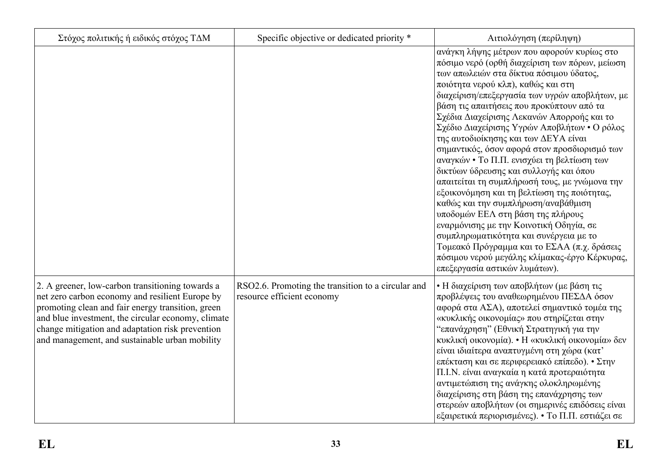| Στόχος πολιτικής ή ειδικός στόχος ΤΔΜ                                                                                                                                                                                                                                                                                | Specific objective or dedicated priority *                                       | Αιτιολόγηση (περίληψη)                                                                                                                                                                                                                                                                                                                                                                                                                                                                                                                                                                                                                                                                                                                                                                                                                                                                                                                                       |
|----------------------------------------------------------------------------------------------------------------------------------------------------------------------------------------------------------------------------------------------------------------------------------------------------------------------|----------------------------------------------------------------------------------|--------------------------------------------------------------------------------------------------------------------------------------------------------------------------------------------------------------------------------------------------------------------------------------------------------------------------------------------------------------------------------------------------------------------------------------------------------------------------------------------------------------------------------------------------------------------------------------------------------------------------------------------------------------------------------------------------------------------------------------------------------------------------------------------------------------------------------------------------------------------------------------------------------------------------------------------------------------|
|                                                                                                                                                                                                                                                                                                                      |                                                                                  | ανάγκη λήψης μέτρων που αφορούν κυρίως στο<br>πόσιμο νερό (ορθή διαχείριση των πόρων, μείωση<br>των απωλειών στα δίκτυα πόσιμου ύδατος,<br>ποιότητα νερού κλπ), καθώς και στη<br>διαχείριση/επεξεργασία των υγρών αποβλήτων, με<br>βάση τις απαιτήσεις που προκύπτουν από τα<br>Σχέδια Διαχείρισης Λεκανών Απορροής και το<br>Σχέδιο Διαχείρισης Υγρών Αποβλήτων • Ο ρόλος<br>της αυτοδιοίκησης και των ΔΕΥΑ είναι<br>σημαντικός, όσον αφορά στον προσδιορισμό των<br>αναγκών • Το Π.Π. ενισχύει τη βελτίωση των<br>δικτύων ύδρευσης και συλλογής και όπου<br>απαιτείται τη συμπλήρωσή τους, με γνώμονα την<br>εξοικονόμηση και τη βελτίωση της ποιότητας,<br>καθώς και την συμπλήρωση/αναβάθμιση<br>υποδομών ΕΕΛ στη βάση της πλήρους<br>εναρμόνισης με την Κοινοτική Οδηγία, σε<br>συμπληρωματικότητα και συνέργεια με το<br>Τομεακό Πρόγραμμα και το ΕΣΑΑ (π.χ. δράσεις<br>πόσιμου νερού μεγάλης κλίμακας-έργο Κέρκυρας,<br>επεξεργασία αστικών λυμάτων). |
| 2. A greener, low-carbon transitioning towards a<br>net zero carbon economy and resilient Europe by<br>promoting clean and fair energy transition, green<br>and blue investment, the circular economy, climate<br>change mitigation and adaptation risk prevention<br>and management, and sustainable urban mobility | RSO2.6. Promoting the transition to a circular and<br>resource efficient economy | • Η διαχείριση των αποβλήτων (με βάση τις<br>προβλέψεις του αναθεωρημένου ΠΕΣΔΑ όσον<br>αφορά στα ΑΣΑ), αποτελεί σημαντικό τομέα της<br>«κυκλικής οικονομίας» που στηρίζεται στην<br>"επανάχρηση" (Εθνική Στρατηγική για την<br>κυκλική οικονομία). • Η «κυκλική οικονομία» δεν<br>είναι ιδιαίτερα αναπτυγμένη στη χώρα (κατ'<br>επέκταση και σε περιφερειακό επίπεδο). • Στην<br>Π.Ι.Ν. είναι αναγκαία η κατά προτεραιότητα<br>αντιμετώπιση της ανάγκης ολοκληρωμένης<br>διαχείρισης στη βάση της επανάχρησης των<br>στερεών αποβλήτων (οι σημερινές επιδόσεις είναι<br>εξαιρετικά περιορισμένες). • Το Π.Π. εστιάζει σε                                                                                                                                                                                                                                                                                                                                    |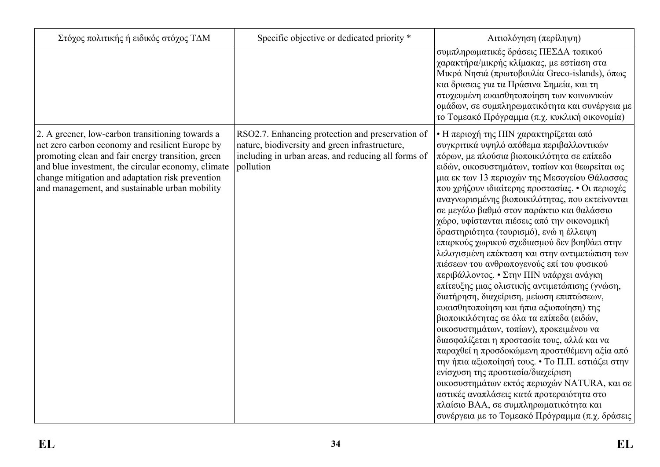| Στόχος πολιτικής ή ειδικός στόχος ΤΔΜ                                                                                                                                                                                                                                                                                | Specific objective or dedicated priority *                                                                                                                             | Αιτιολόγηση (περίληψη)                                                                                                                                                                                                                                                                                                                                                                                                                                                                                                                                                                                                                                                                                                                                                                                                                                                                                                                                                                                                                                                                                                                                                                                                                                                                                |
|----------------------------------------------------------------------------------------------------------------------------------------------------------------------------------------------------------------------------------------------------------------------------------------------------------------------|------------------------------------------------------------------------------------------------------------------------------------------------------------------------|-------------------------------------------------------------------------------------------------------------------------------------------------------------------------------------------------------------------------------------------------------------------------------------------------------------------------------------------------------------------------------------------------------------------------------------------------------------------------------------------------------------------------------------------------------------------------------------------------------------------------------------------------------------------------------------------------------------------------------------------------------------------------------------------------------------------------------------------------------------------------------------------------------------------------------------------------------------------------------------------------------------------------------------------------------------------------------------------------------------------------------------------------------------------------------------------------------------------------------------------------------------------------------------------------------|
|                                                                                                                                                                                                                                                                                                                      |                                                                                                                                                                        | συμπληρωματικές δράσεις ΠΕΣΔΑ τοπικού<br>χαρακτήρα/μικρής κλίμακας, με εστίαση στα<br>Μικρά Νησιά (πρωτοβουλία Greco-islands), όπως<br>και δρασεις για τα Πράσινα Σημεία, και τη<br>στοχευμένη ευαισθητοποίηση των κοινωνικών<br>ομάδων, σε συμπληρωματικότητα και συνέργεια με<br>το Τομεακό Πρόγραμμα (π.χ. κυκλική οικονομία)                                                                                                                                                                                                                                                                                                                                                                                                                                                                                                                                                                                                                                                                                                                                                                                                                                                                                                                                                                      |
| 2. A greener, low-carbon transitioning towards a<br>net zero carbon economy and resilient Europe by<br>promoting clean and fair energy transition, green<br>and blue investment, the circular economy, climate<br>change mitigation and adaptation risk prevention<br>and management, and sustainable urban mobility | RSO2.7. Enhancing protection and preservation of<br>nature, biodiversity and green infrastructure,<br>including in urban areas, and reducing all forms of<br>pollution | • Η περιοχή της ΠΙΝ χαρακτηρίζεται από<br>συγκριτικά υψηλό απόθεμα περιβαλλοντικών<br>πόρων, με πλούσια βιοποικιλότητα σε επίπεδο<br>ειδών, οικοσυστημάτων, τοπίων και θεωρείται ως<br>μια εκ των 13 περιοχών της Μεσογείου Θάλασσας<br>που χρήζουν ιδιαίτερης προστασίας. • Οι περιοχές<br>αναγνωρισμένης βιοποικιλότητας, που εκτείνονται<br>σε μεγάλο βαθμό στον παράκτιο και θαλάσσιο<br>χώρο, υφίστανται πιέσεις από την οικονομική<br>δραστηριότητα (τουρισμό), ενώ η έλλειψη<br>επαρκούς χωρικού σχεδιασμού δεν βοηθάει στην<br>λελογισμένη επέκταση και στην αντιμετώπιση των<br>πιέσεων του ανθρωπογενούς επί του φυσικού<br>περιβάλλοντος. • Στην ΠΙΝ υπάρχει ανάγκη<br>επίτευξης μιας ολιστικής αντιμετώπισης (γνώση,<br>διατήρηση, διαχείριση, μείωση επιπτώσεων,<br>ευαισθητοποίηση και ήπια αξιοποίηση) της<br>βιοποικιλότητας σε όλα τα επίπεδα (ειδών,<br>οικοσυστημάτων, τοπίων), προκειμένου να<br>διασφαλίζεται η προστασία τους, αλλά και να<br>παραχθεί η προσδοκώμενη προστιθέμενη αξία από<br>την ήπια αξιοποίησή τους. • Το Π.Π. εστιάζει στην<br>ενίσχυση της προστασία/διαχείριση<br>οικοσυστημάτων εκτός περιοχών NATURA, και σε<br>αστικές αναπλάσεις κατά προτεραιότητα στο<br>πλαίσιο ΒΑΑ, σε συμπληρωματικότητα και<br>συνέργεια με το Τομεακό Πρόγραμμα (π.χ. δράσεις |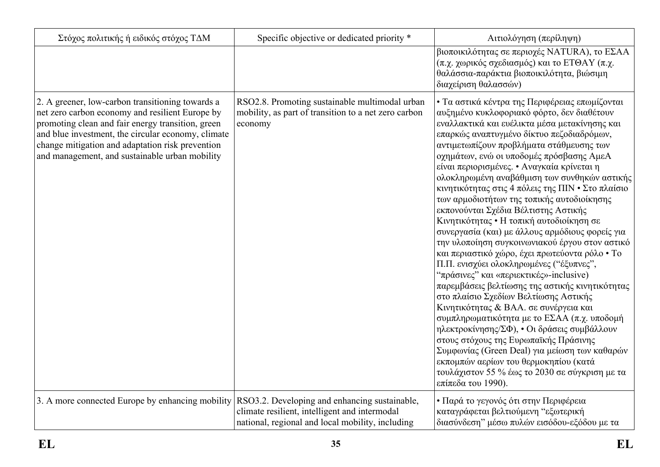| Στόχος πολιτικής ή ειδικός στόχος ΤΔΜ                                                                                                                                                                                                                                                                                | Specific objective or dedicated priority *                                                                        | Αιτιολόγηση (περίληψη)                                                                                                                                                                                                                                                                                                                                                                                                                                                                                                                                                                                                                                                                                                                                                                                                                                                                                                                                                                                                                                                                                                                                                                                                                                             |
|----------------------------------------------------------------------------------------------------------------------------------------------------------------------------------------------------------------------------------------------------------------------------------------------------------------------|-------------------------------------------------------------------------------------------------------------------|--------------------------------------------------------------------------------------------------------------------------------------------------------------------------------------------------------------------------------------------------------------------------------------------------------------------------------------------------------------------------------------------------------------------------------------------------------------------------------------------------------------------------------------------------------------------------------------------------------------------------------------------------------------------------------------------------------------------------------------------------------------------------------------------------------------------------------------------------------------------------------------------------------------------------------------------------------------------------------------------------------------------------------------------------------------------------------------------------------------------------------------------------------------------------------------------------------------------------------------------------------------------|
|                                                                                                                                                                                                                                                                                                                      |                                                                                                                   | βιοποικιλότητας σε περιοχές NATURA), το ΕΣΑΑ<br>(π.χ. χωρικός σχεδιασμός) και το ΕΤΘΑΥ (π.χ.<br>θαλάσσια-παράκτια βιοποικιλότητα, βιώσιμη<br>διαχείριση θαλασσών)                                                                                                                                                                                                                                                                                                                                                                                                                                                                                                                                                                                                                                                                                                                                                                                                                                                                                                                                                                                                                                                                                                  |
| 2. A greener, low-carbon transitioning towards a<br>net zero carbon economy and resilient Europe by<br>promoting clean and fair energy transition, green<br>and blue investment, the circular economy, climate<br>change mitigation and adaptation risk prevention<br>and management, and sustainable urban mobility | RSO2.8. Promoting sustainable multimodal urban<br>mobility, as part of transition to a net zero carbon<br>economy | • Τα αστικά κέντρα της Περιφέρειας επωμίζονται<br>αυξημένο κυκλοφοριακό φόρτο, δεν διαθέτουν<br>εναλλακτικά και ευέλικτα μέσα μετακίνησης και<br>επαρκώς αναπτυγμένο δίκτυο πεζοδιαδρόμων,<br>αντιμετωπίζουν προβλήματα στάθμευσης των<br>οχημάτων, ενώ οι υποδομές πρόσβασης ΑμεΑ<br>είναι περιορισμένες. • Αναγκαία κρίνεται η<br>ολοκληρωμένη αναβάθμιση των συνθηκών αστικής<br>κινητικότητας στις 4 πόλεις της ΠΙΝ · Στο πλαίσιο<br>των αρμοδιοτήτων της τοπικής αυτοδιοίκησης<br>εκπονούνται Σχέδια Βέλτιστης Αστικής<br>Κινητικότητας • Η τοπική αυτοδιοίκηση σε<br>συνεργασία (και) με άλλους αρμόδιους φορείς για<br>την υλοποίηση συγκοινωνιακού έργου στον αστικό<br>και περιαστικό χώρο, έχει πρωτεύοντα ρόλο • Το<br>Π.Π. ενισχύει ολοκληρωμένες ("έξυπνες",<br>"πράσινες" και «περιεκτικές»-inclusive)<br>παρεμβάσεις βελτίωσης της αστικής κινητικότητας<br>στο πλαίσιο Σχεδίων Βελτίωσης Αστικής<br>Κινητικότητας & ΒΑΑ. σε συνέργεια και<br>συμπληρωματικότητα με το ΕΣΑΑ (π.χ. υποδομή<br>ηλεκτροκίνησης/ΣΦ), • Οι δράσεις συμβάλλουν<br>στους στόχους της Ευρωπαϊκής Πράσινης<br>Συμφωνίας (Green Deal) για μείωση των καθαρών<br>εκπομπών αερίων του θερμοκηπίου (κατά<br>τουλάχιστον 55 % έως το 2030 σε σύγκριση με τα<br>επίπεδα του 1990). |
| 3. A more connected Europe by enhancing mobility RSO3.2. Developing and enhancing sustainable,                                                                                                                                                                                                                       | climate resilient, intelligent and intermodal<br>national, regional and local mobility, including                 | • Παρά το γεγονός ότι στην Περιφέρεια<br>καταγράφεται βελτιούμενη "εξωτερική<br>διασύνδεση" μέσω πυλών εισόδου-εξόδου με τα                                                                                                                                                                                                                                                                                                                                                                                                                                                                                                                                                                                                                                                                                                                                                                                                                                                                                                                                                                                                                                                                                                                                        |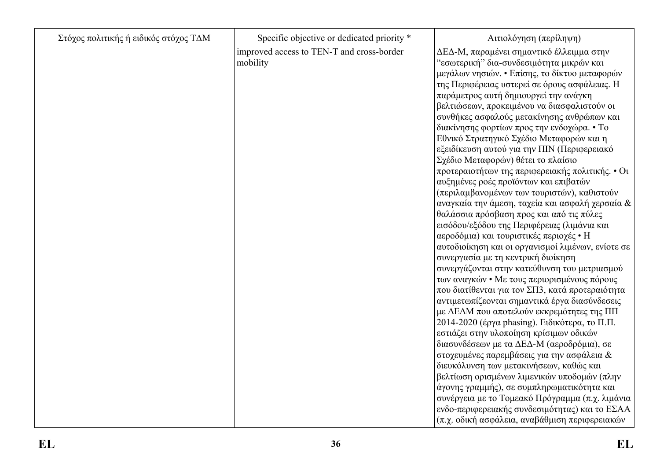| Στόχος πολιτικής ή ειδικός στόχος ΤΔΜ | Specific objective or dedicated priority *            | Αιτιολόγηση (περίληψη)                                                                                                                                                                                                                                                                                                                                                                                                                                                                                                                                                                                                                                                                                                                                                                                                                                                                                                                                                                                                                                                                                                                                                                                                                                                                                                                                                             |
|---------------------------------------|-------------------------------------------------------|------------------------------------------------------------------------------------------------------------------------------------------------------------------------------------------------------------------------------------------------------------------------------------------------------------------------------------------------------------------------------------------------------------------------------------------------------------------------------------------------------------------------------------------------------------------------------------------------------------------------------------------------------------------------------------------------------------------------------------------------------------------------------------------------------------------------------------------------------------------------------------------------------------------------------------------------------------------------------------------------------------------------------------------------------------------------------------------------------------------------------------------------------------------------------------------------------------------------------------------------------------------------------------------------------------------------------------------------------------------------------------|
|                                       | improved access to TEN-T and cross-border<br>mobility | ΔΕΔ-Μ, παραμένει σημαντικό έλλειμμα στην<br>"εσωτερική" δια-συνδεσιμότητα μικρών και<br>μεγάλων νησιών. • Επίσης, το δίκτυο μεταφορών<br>της Περιφέρειας υστερεί σε όρους ασφάλειας. Η<br>παράμετρος αυτή δημιουργεί την ανάγκη<br>βελτιώσεων, προκειμένου να διασφαλιστούν οι<br>συνθήκες ασφαλούς μετακίνησης ανθρώπων και<br>διακίνησης φορτίων προς την ενδοχώρα. • Το<br>Εθνικό Στρατηγικό Σχέδιο Μεταφορών και η<br>εξειδίκευση αυτού για την ΠΙΝ (Περιφερειακό<br>Σχέδιο Μεταφορών) θέτει το πλαίσιο<br>προτεραιοτήτων της περιφερειακής πολιτικής. • Οι<br>αυξημένες ροές προϊόντων και επιβατών<br>(περιλαμβανομένων των τουριστών), καθιστούν<br>αναγκαία την άμεση, ταχεία και ασφαλή χερσαία &<br>θαλάσσια πρόσβαση προς και από τις πύλες<br>εισόδου/εξόδου της Περιφέρειας (λιμάνια και<br>αεροδόμια) και τουριστικές περιοχές • Η<br>αυτοδιοίκηση και οι οργανισμοί λιμένων, ενίοτε σε<br>συνεργασία με τη κεντρική διοίκηση<br>συνεργάζονται στην κατεύθυνση του μετριασμού<br>των αναγκών • Με τους περιορισμένους πόρους<br>που διατίθενται για τον ΣΠ3, κατά προτεραιότητα<br>αντιμετωπίζεονται σημαντικά έργα διασύνδεσεις<br>με ΔΕΔΜ που αποτελούν εκκρεμότητες της ΠΠ<br>2014-2020 (έργα phasing). Ειδικότερα, το Π.Π.<br>εστιάζει στην υλοποίηση κρίσιμων οδικών<br>διασυνδέσεων με τα ΔΕΔ-Μ (αεροδρόμια), σε<br>στοχευμένες παρεμβάσεις για την ασφάλεια & |
|                                       |                                                       | διευκόλυνση των μετακινήσεων, καθώς και<br>βελτίωση ορισμένων λιμενικών υποδομών (πλην                                                                                                                                                                                                                                                                                                                                                                                                                                                                                                                                                                                                                                                                                                                                                                                                                                                                                                                                                                                                                                                                                                                                                                                                                                                                                             |
|                                       |                                                       | άγονης γραμμής), σε συμπληρωματικότητα και<br>συνέργεια με το Τομεακό Πρόγραμμα (π.χ. λιμάνια                                                                                                                                                                                                                                                                                                                                                                                                                                                                                                                                                                                                                                                                                                                                                                                                                                                                                                                                                                                                                                                                                                                                                                                                                                                                                      |
|                                       |                                                       | ενδο-περιφερειακής συνδεσιμότητας) και το ΕΣΑΑ<br>(π.χ. οδική ασφάλεια, αναβάθμιση περιφερειακών                                                                                                                                                                                                                                                                                                                                                                                                                                                                                                                                                                                                                                                                                                                                                                                                                                                                                                                                                                                                                                                                                                                                                                                                                                                                                   |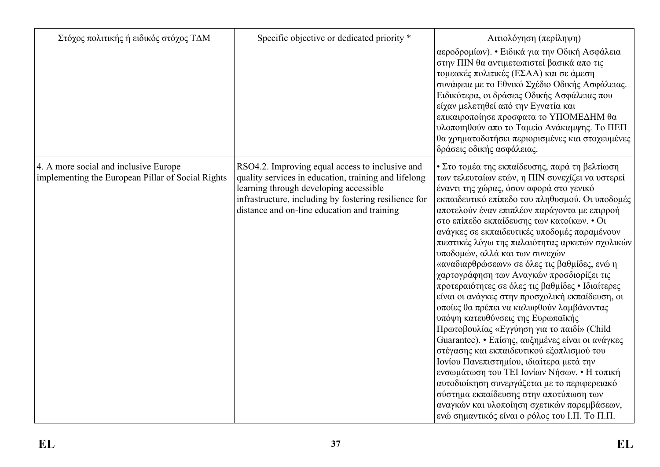| Στόχος πολιτικής ή ειδικός στόχος ΤΔΜ                                                      | Specific objective or dedicated priority *                                                                                                                                                                                                                | Αιτιολόγηση (περίληψη)                                                                                                                                                                                                                                                                                                                                                                                                                                                                                                                                                                                                                                                                                                                                                                                                                                                                                                                                                                                                                                                                                                                                      |
|--------------------------------------------------------------------------------------------|-----------------------------------------------------------------------------------------------------------------------------------------------------------------------------------------------------------------------------------------------------------|-------------------------------------------------------------------------------------------------------------------------------------------------------------------------------------------------------------------------------------------------------------------------------------------------------------------------------------------------------------------------------------------------------------------------------------------------------------------------------------------------------------------------------------------------------------------------------------------------------------------------------------------------------------------------------------------------------------------------------------------------------------------------------------------------------------------------------------------------------------------------------------------------------------------------------------------------------------------------------------------------------------------------------------------------------------------------------------------------------------------------------------------------------------|
|                                                                                            |                                                                                                                                                                                                                                                           | αεροδρομίων). • Ειδικά για την Οδική Ασφάλεια<br>στην ΠΙΝ θα αντιμετωπιστεί βασικά απο τις<br>τομεακές πολιτικές (ΕΣΑΑ) και σε άμεση<br>συνάφεια με το Εθνικό Σχέδιο Οδικής Ασφάλειας.<br>Ειδικότερα, οι δράσεις Οδικής Ασφάλειας που<br>είχαν μελετηθεί από την Εγνατία και<br>επικαιροποίησε προσφατα το ΥΠΟΜΕΔΗΜ θα<br>υλοποιηθούν απο το Ταμείο Ανάκαμψης. Το ΠΕΠ<br>θα χρηματοδοτήσει περιορισμένες και στοχευμένες<br>δράσεις οδικής ασφάλειας.                                                                                                                                                                                                                                                                                                                                                                                                                                                                                                                                                                                                                                                                                                       |
| 4. A more social and inclusive Europe<br>implementing the European Pillar of Social Rights | RSO4.2. Improving equal access to inclusive and<br>quality services in education, training and lifelong<br>learning through developing accessible<br>infrastructure, including by fostering resilience for<br>distance and on-line education and training | • Στο τομέα της εκπαίδευσης, παρά τη βελτίωση<br>των τελευταίων ετών, η ΠΙΝ συνεχίζει να υστερεί<br>έναντι της χώρας, όσον αφορά στο γενικό<br>εκπαιδευτικό επίπεδο του πληθυσμού. Οι υποδομές<br>αποτελούν έναν επιπλέον παράγοντα με επιρροή<br>στο επίπεδο εκπαίδευσης των κατοίκων. • Οι<br>ανάγκες σε εκπαιδευτικές υποδομές παραμένουν<br>πιεστικές λόγω της παλαιότητας αρκετών σχολικών<br>υποδομών, αλλά και των συνεχών<br>«αναδιαρθρώσεων» σε όλες τις βαθμίδες, ενώ η<br>χαρτογράφηση των Αναγκών προσδιορίζει τις<br>προτεραιότητες σε όλες τις βαθμίδες • Ιδιαίτερες<br>είναι οι ανάγκες στην προσχολική εκπαίδευση, οι<br>οποίες θα πρέπει να καλυφθούν λαμβάνοντας<br>υπόψη κατευθύνσεις της Ευρωπαϊκής<br>Πρωτοβουλίας «Εγγύηση για το παιδί» (Child<br>Guarantee). • Επίσης, αυξημένες είναι οι ανάγκες<br>στέγασης και εκπαιδευτικού εξοπλισμού του<br>Ιονίου Πανεπιστημίου, ιδιαίτερα μετά την<br>ενσωμάτωση του ΤΕΙ Ιονίων Νήσων. • Η τοπική<br>αυτοδιοίκηση συνεργάζεται με το περιφερειακό<br>σύστημα εκπαίδευσης στην αποτύπωση των<br>αναγκών και υλοποίηση σχετικών παρεμβάσεων,<br>ενώ σημαντικός είναι ο ρόλος του Ι.Π. Το Π.Π. |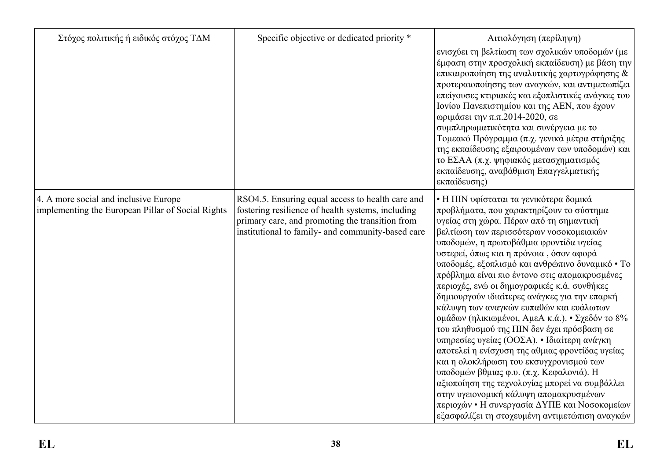| Στόχος πολιτικής ή ειδικός στόχος ΤΔΜ                                                      | Specific objective or dedicated priority *                                                                                                                                                                    | Αιτιολόγηση (περίληψη)                                                                                                                                                                                                                                                                                                                                                                                                                                                                                                                                                                                                                                                                                                                                                                                                                                                                                                                                                                                |
|--------------------------------------------------------------------------------------------|---------------------------------------------------------------------------------------------------------------------------------------------------------------------------------------------------------------|-------------------------------------------------------------------------------------------------------------------------------------------------------------------------------------------------------------------------------------------------------------------------------------------------------------------------------------------------------------------------------------------------------------------------------------------------------------------------------------------------------------------------------------------------------------------------------------------------------------------------------------------------------------------------------------------------------------------------------------------------------------------------------------------------------------------------------------------------------------------------------------------------------------------------------------------------------------------------------------------------------|
|                                                                                            |                                                                                                                                                                                                               | ενισχύει τη βελτίωση των σχολικών υποδομών (με<br>έμφαση στην προσχολική εκπαίδευση) με βάση την<br>επικαιροποίηση της αναλυτικής χαρτογράφησης &<br>προτεραιοποίησης των αναγκών, και αντιμετωπίζει<br>επείγουσες κτιριακές και εξοπλιστικές ανάγκες του<br>Ιονίου Πανεπιστημίου και της ΑΕΝ, που έχουν<br>ωριμάσει την π.π.2014-2020, σε<br>συμπληρωματικότητα και συνέργεια με το<br>Τομεακό Πρόγραμμα (π.χ. γενικά μέτρα στήριξης<br>της εκπαίδευσης εξαιρουμένων των υποδομών) και<br>το ΕΣΑΑ (π.χ. ψηφιακός μετασχηματισμός<br>εκπαίδευσης, αναβάθμιση Επαγγελματικής<br>εκπαίδευσης)                                                                                                                                                                                                                                                                                                                                                                                                           |
| 4. A more social and inclusive Europe<br>implementing the European Pillar of Social Rights | RSO4.5. Ensuring equal access to health care and<br>fostering resilience of health systems, including<br>primary care, and promoting the transition from<br>institutional to family- and community-based care | • Η ΠΙΝ υφίσταται τα γενικότερα δομικά<br>προβλήματα, που χαρακτηρίζουν το σύστημα<br>υγείας στη χώρα. Πέραν από τη σημαντική<br>βελτίωση των περισσότερων νοσοκομειακών<br>υποδομών, η πρωτοβάθμια φροντίδα υγείας<br>υστερεί, όπως και η πρόνοια, όσον αφορά<br>υποδομές, εξοπλισμό και ανθρώπινο δυναμικό • Το<br>πρόβλημα είναι πιο έντονο στις απομακρυσμένες<br>περιοχές, ενώ οι δημογραφικές κ.ά. συνθήκες<br>δημιουργούν ιδιαίτερες ανάγκες για την επαρκή<br>κάλυψη των αναγκών ευπαθών και ευάλωτων<br>ομάδων (ηλικιωμένοι, ΑμεΑ κ.ά.). • Σχεδόν το 8%<br>του πληθυσμού της ΠΙΝ δεν έχει πρόσβαση σε<br>υπηρεσίες υγείας (ΟΟΣΑ). • Ιδιαίτερη ανάγκη<br>αποτελεί η ενίσχυση της αθμιας φροντίδας υγείας<br>και η ολοκλήρωση του εκσυγχρονισμού των<br>υποδομών βθμιας φ.υ. (π.χ. Κεφαλονιά). Η<br>αξιοποίηση της τεχνολογίας μπορεί να συμβάλλει<br>στην υγειονομική κάλυψη απομακρυσμένων<br>περιοχών • Η συνεργασία ΔΥΠΕ και Νοσοκομείων<br>εξασφαλίζει τη στοχευμένη αντιμετώπιση αναγκών |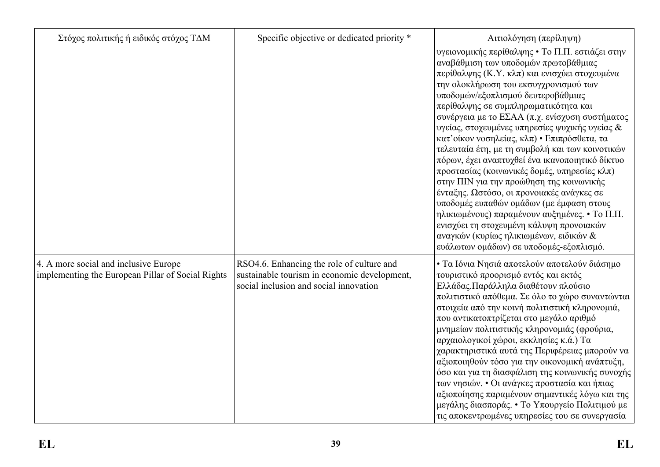| Στόχος πολιτικής ή ειδικός στόχος ΤΔΜ                                                      | Specific objective or dedicated priority *                                                                                          | Αιτιολόγηση (περίληψη)                                                                                                                                                                                                                                                                                                                                                                                                                                                                                                                                                                                                                                                                                                                                                                                                                                                                           |
|--------------------------------------------------------------------------------------------|-------------------------------------------------------------------------------------------------------------------------------------|--------------------------------------------------------------------------------------------------------------------------------------------------------------------------------------------------------------------------------------------------------------------------------------------------------------------------------------------------------------------------------------------------------------------------------------------------------------------------------------------------------------------------------------------------------------------------------------------------------------------------------------------------------------------------------------------------------------------------------------------------------------------------------------------------------------------------------------------------------------------------------------------------|
|                                                                                            |                                                                                                                                     | υγειονομικής περίθαλψης • Το Π.Π. εστιάζει στην<br>αναβάθμιση των υποδομών πρωτοβάθμιας<br>περίθαλψης (Κ.Υ. κλπ) και ενισχύει στοχευμένα<br>την ολοκλήρωση του εκσυγχρονισμού των<br>υποδομών/εξοπλισμού δευτεροβάθμιας<br>περίθαλψης σε συμπληρωματικότητα και<br>συνέργεια με το ΕΣΑΑ (π.χ. ενίσχυση συστήματος<br>υγείας, στοχευμένες υπηρεσίες ψυχικής υγείας &<br>κατ' οίκον νοσηλείας, κλπ) • Επιπρόσθετα, τα<br>τελευταία έτη, με τη συμβολή και των κοινοτικών<br>πόρων, έχει αναπτυχθεί ένα ικανοποιητικό δίκτυο<br>προστασίας (κοινωνικές δομές, υπηρεσίες κλπ)<br>στην ΠΙΝ για την προώθηση της κοινωνικής<br>ένταξης. Ωστόσο, οι προνοιακές ανάγκες σε<br>υποδομές ευπαθών ομάδων (με έμφαση στους<br>ηλικιωμένους) παραμένουν αυξημένες. • Το Π.Π.<br>ενισχύει τη στοχευμένη κάλυψη προνοιακών<br>αναγκών (κυρίως ηλικιωμένων, ειδικών &<br>ευάλωτων ομάδων) σε υποδομές-εξοπλισμό. |
| 4. A more social and inclusive Europe<br>implementing the European Pillar of Social Rights | RSO4.6. Enhancing the role of culture and<br>sustainable tourism in economic development,<br>social inclusion and social innovation | • Τα Ιόνια Νησιά αποτελούν αποτελούν διάσημο<br>τουριστικό προορισμό εντός και εκτός<br>Ελλάδας. Παράλληλα διαθέτουν πλούσιο<br>πολιτιστικό απόθεμα. Σε όλο το χώρο συναντώνται<br>στοιχεία από την κοινή πολιτιστική κληρονομιά,<br>που αντικατοπτρίζεται στο μεγάλο αριθμό<br>μνημείων πολιτιστικής κληρονομιάς (φρούρια,<br>αρχαιολογικοί χώροι, εκκλησίες κ.ά.) Τα<br>χαρακτηριστικά αυτά της Περιφέρειας μπορούν να<br>αξιοποιηθούν τόσο για την οικονομική ανάπτυξη,<br>όσο και για τη διασφάλιση της κοινωνικής συνοχής<br>των νησιών. • Οι ανάγκες προστασία και ήπιας<br>αξιοποίησης παραμένουν σημαντικές λόγω και της<br>μεγάλης διασποράς. • Το Υπουργείο Πολιτιμού με<br>τις αποκεντρωμένες υπηρεσίες του σε συνεργασία                                                                                                                                                             |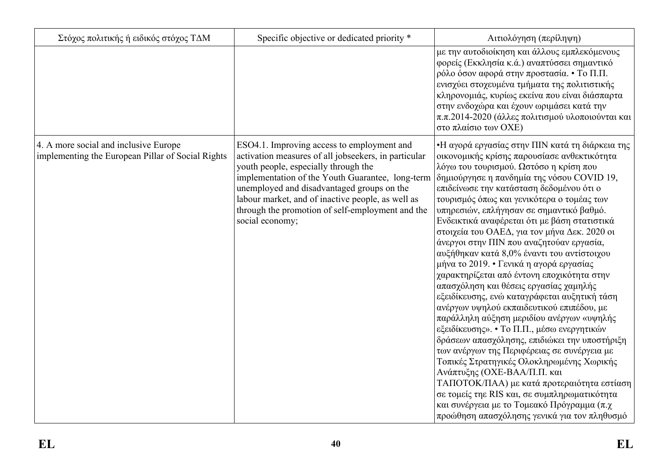| Στόχος πολιτικής ή ειδικός στόχος ΤΔΜ                                                      | Specific objective or dedicated priority *                                                                                                                                                                                                                                                                                                                               | Αιτιολόγηση (περίληψη)                                                                                                                                                                                                                                                                                                                                                                                                                                                                                                                                                                                                                                                                                                                                                                                                                                                                                                                                                                                                                                                                                                                                                                                                      |
|--------------------------------------------------------------------------------------------|--------------------------------------------------------------------------------------------------------------------------------------------------------------------------------------------------------------------------------------------------------------------------------------------------------------------------------------------------------------------------|-----------------------------------------------------------------------------------------------------------------------------------------------------------------------------------------------------------------------------------------------------------------------------------------------------------------------------------------------------------------------------------------------------------------------------------------------------------------------------------------------------------------------------------------------------------------------------------------------------------------------------------------------------------------------------------------------------------------------------------------------------------------------------------------------------------------------------------------------------------------------------------------------------------------------------------------------------------------------------------------------------------------------------------------------------------------------------------------------------------------------------------------------------------------------------------------------------------------------------|
|                                                                                            |                                                                                                                                                                                                                                                                                                                                                                          | με την αυτοδιοίκηση και άλλους εμπλεκόμενους<br>φορείς (Εκκλησία κ.ά.) αναπτύσσει σημαντικό<br>ρόλο όσον αφορά στην προστασία. • Το Π.Π.<br>ενισχύει στοχευμένα τμήματα της πολιτιστικής<br>κληρονομιάς, κυρίως εκείνα που είναι διάσπαρτα<br>στην ενδοχώρα και έχουν ωριμάσει κατά την<br>π.π.2014-2020 (άλλες πολιτισμού υλοποιούνται και<br>στο πλαίσιο των ΟΧΕ)                                                                                                                                                                                                                                                                                                                                                                                                                                                                                                                                                                                                                                                                                                                                                                                                                                                         |
| 4. A more social and inclusive Europe<br>implementing the European Pillar of Social Rights | ESO4.1. Improving access to employment and<br>activation measures of all jobseekers, in particular<br>youth people, especially through the<br>implementation of the Youth Guarantee, long-term<br>unemployed and disadvantaged groups on the<br>labour market, and of inactive people, as well as<br>through the promotion of self-employment and the<br>social economy; | •Η αγορά εργασίας στην ΠΙΝ κατά τη διάρκεια της<br>οικονομικής κρίσης παρουσίασε ανθεκτικότητα<br>λόγω του τουρισμού. Ωστόσο η κρίση που<br> δημιούργησε η πανδημία της νόσου COVID 19,<br>επιδείνωσε την κατάσταση δεδομένου ότι ο<br>τουρισμός όπως και γενικότερα ο τομέας των<br>υπηρεσιών, επλήγησαν σε σημαντικό βαθμό.<br>Ενδεικτικά αναφέρεται ότι με βάση στατιστικά<br>στοιχεία του ΟΑΕΔ, για τον μήνα Δεκ. 2020 οι<br>άνεργοι στην ΠΙΝ που αναζητούαν εργασία,<br>αυξήθηκαν κατά 8,0% έναντι του αντίστοιχου<br>μήνα το 2019. • Γενικά η αγορά εργασίας<br>χαρακτηρίζεται από έντονη εποχικότητα στην<br>απασχόληση και θέσεις εργασίας χαμηλής<br>εξειδίκευσης, ενώ καταγράφεται αυξητική τάση<br>ανέργων υψηλού εκπαιδευτικού επιπέδου, με<br>παράλληλη αύξηση μεριδίου ανέργων «υψηλής<br>εξειδίκευσης». • Το Π.Π., μέσω ενεργητικών<br>δράσεων απασχόλησης, επιδιώκει την υποστήριξη<br>των ανέργων της Περιφέρειας σε συνέργεια με<br>Τοπικές Στρατηγικές Ολοκληρωμένης Χωρικής<br>Ανάπτυξης (ΟΧΕ-ΒΑΑ/Π.Π. και<br>ΤΑΠΟΤΟΚ/ΠΑΑ) με κατά προτεραιότητα εστίαση<br>σε τομείς τηε RIS και, σε συμπληρωματικότητα<br>και συνέργεια με το Τομεακό Πρόγραμμα (π.χ.<br>προώθηση απασχόλησης γενικά για τον πληθυσμό |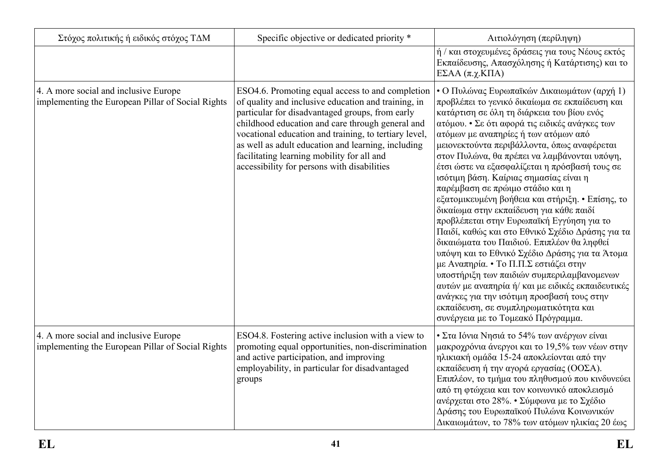| Στόχος πολιτικής ή ειδικός στόχος ΤΔΜ                                                      | Specific objective or dedicated priority *                                                                                                                                                                                                                                                                                                                                                                                 | Αιτιολόγηση (περίληψη)                                                                                                                                                                                                                                                                                                                                                                                                                                                                                                                                                                                                                                                                                                                                                                                                                                                                                                                                                                                                                       |
|--------------------------------------------------------------------------------------------|----------------------------------------------------------------------------------------------------------------------------------------------------------------------------------------------------------------------------------------------------------------------------------------------------------------------------------------------------------------------------------------------------------------------------|----------------------------------------------------------------------------------------------------------------------------------------------------------------------------------------------------------------------------------------------------------------------------------------------------------------------------------------------------------------------------------------------------------------------------------------------------------------------------------------------------------------------------------------------------------------------------------------------------------------------------------------------------------------------------------------------------------------------------------------------------------------------------------------------------------------------------------------------------------------------------------------------------------------------------------------------------------------------------------------------------------------------------------------------|
|                                                                                            |                                                                                                                                                                                                                                                                                                                                                                                                                            | ή / και στοχευμένες δράσεις για τους Νέους εκτός<br>Εκπαίδευσης, Απασχόλησης ή Κατάρτισης) και το<br>EΣΑΑ (π.χ.ΚΠΑ)                                                                                                                                                                                                                                                                                                                                                                                                                                                                                                                                                                                                                                                                                                                                                                                                                                                                                                                          |
| 4. A more social and inclusive Europe<br>implementing the European Pillar of Social Rights | ESO4.6. Promoting equal access to and completion<br>of quality and inclusive education and training, in<br>particular for disadvantaged groups, from early<br>childhood education and care through general and<br>vocational education and training, to tertiary level,<br>as well as adult education and learning, including<br>facilitating learning mobility for all and<br>accessibility for persons with disabilities | • Ο Πυλώνας Ευρωπαϊκών Δικαιωμάτων (αρχή 1)<br>προβλέπει το γενικό δικαίωμα σε εκπαίδευση και<br>κατάρτιση σε όλη τη διάρκεια του βίου ενός<br>ατόμου. • Σε ότι αφορά τις ειδικές ανάγκες των<br>ατόμων με αναπηρίες ή των ατόμων από<br>μειονεκτούντα περιβάλλοντα, όπως αναφέρεται<br>στον Πυλώνα, θα πρέπει να λαμβάνονται υπόψη,<br>έτσι ώστε να εξασφαλίζεται η πρόσβασή τους σε<br>ισότιμη βάση. Καίριας σημασίας είναι η<br>παρέμβαση σε πρώιμο στάδιο και η<br>εξατομικευμένη βοήθεια και στήριξη. • Επίσης, το<br>δικαίωμα στην εκπαίδευση για κάθε παιδί<br>προβλέπεται στην Ευρωπαϊκή Εγγύηση για το<br>Παιδί, καθώς και στο Εθνικό Σχέδιο Δράσης για τα<br>δικαιώματα του Παιδιού. Επιπλέον θα ληφθεί<br>υπόψη και το Εθνικό Σχέδιο Δράσης για τα Άτομα<br>με Αναπηρία. • Το Π.Π.Σ εστιάζει στην<br>υποστήριξη των παιδιών συμπεριλαμβανομενων<br>αυτών με αναπηρία ή/ και με ειδικές εκπαιδευτικές<br>ανάγκες για την ισότιμη προσβασή τους στην<br>εκπαίδευση, σε συμπληρωματικότητα και<br>συνέργεια με το Τομεακό Πρόγραμμα. |
| 4. A more social and inclusive Europe<br>implementing the European Pillar of Social Rights | ESO4.8. Fostering active inclusion with a view to<br>promoting equal opportunities, non-discrimination<br>and active participation, and improving<br>employability, in particular for disadvantaged<br>groups                                                                                                                                                                                                              | • Στα Ιόνια Νησιά το 54% των ανέργων είναι<br>μακροχρόνια άνεργοι και το 19,5% των νέων στην<br>ηλικιακή ομάδα 15-24 αποκλείονται από την<br>εκπαίδευση ή την αγορά εργασίας (ΟΟΣΑ).<br>Επιπλέον, το τμήμα του πληθυσμού που κινδυνεύει<br>από τη φτώχεια και τον κοινωνικό αποκλεισμό<br>ανέρχεται στο 28%. • Σύμφωνα με το Σχέδιο<br>Δράσης του Ευρωπαϊκού Πυλώνα Κοινωνικών<br>Δικαιωμάτων, το 78% των ατόμων ηλικίας 20 έως                                                                                                                                                                                                                                                                                                                                                                                                                                                                                                                                                                                                              |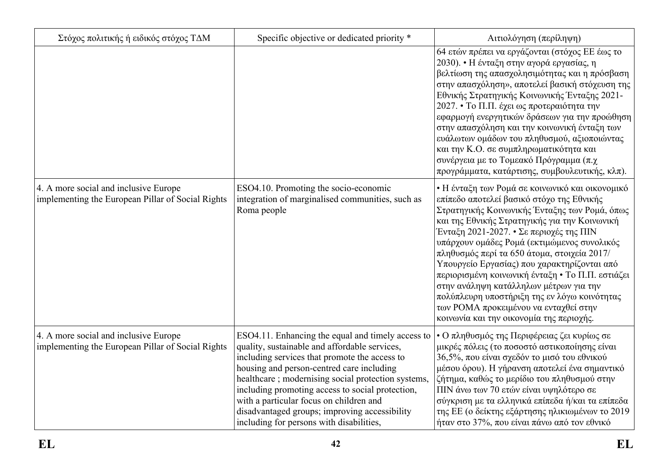| Στόχος πολιτικής ή ειδικός στόχος ΤΔΜ                                                      | Specific objective or dedicated priority *                                                                                                                                                                                                                                                                                                                                                                                                         | Αιτιολόγηση (περίληψη)                                                                                                                                                                                                                                                                                                                                                                                                                                                                                                                                                                                                    |
|--------------------------------------------------------------------------------------------|----------------------------------------------------------------------------------------------------------------------------------------------------------------------------------------------------------------------------------------------------------------------------------------------------------------------------------------------------------------------------------------------------------------------------------------------------|---------------------------------------------------------------------------------------------------------------------------------------------------------------------------------------------------------------------------------------------------------------------------------------------------------------------------------------------------------------------------------------------------------------------------------------------------------------------------------------------------------------------------------------------------------------------------------------------------------------------------|
|                                                                                            |                                                                                                                                                                                                                                                                                                                                                                                                                                                    | 64 ετών πρέπει να εργάζονται (στόχος ΕΕ έως το<br>2030). • Η ένταξη στην αγορά εργασίας, η<br>βελτίωση της απασχολησιμότητας και η πρόσβαση<br>στην απασχόληση», αποτελεί βασική στόχευση της<br>Εθνικής Στρατηγικής Κοινωνικής Ένταξης 2021-<br>2027. • Το Π.Π. έχει ως προτεραιότητα την<br>εφαρμογή ενεργητικών δράσεων για την προώθηση<br>στην απασχόληση και την κοινωνική ένταξη των<br>ευάλωτων ομάδων του πληθυσμού, αξιοποιώντας<br>και την Κ.Ο. σε συμπληρωματικότητα και<br>συνέργεια με το Τομεακό Πρόγραμμα (π.χ<br>προγράμματα, κατάρτισης, συμβουλευτικής, κλπ).                                          |
| 4. A more social and inclusive Europe<br>implementing the European Pillar of Social Rights | ESO4.10. Promoting the socio-economic<br>integration of marginalised communities, such as<br>Roma people                                                                                                                                                                                                                                                                                                                                           | • Η ένταξη των Ρομά σε κοινωνικό και οικονομικό<br>επίπεδο αποτελεί βασικό στόχο της Εθνικής<br>Στρατηγικής Κοινωνικής Ένταξης των Ρομά, όπως<br>και της Εθνικής Στρατηγικής για την Κοινωνική<br>Ένταξη 2021-2027. • Σε περιοχές της ΠΙΝ<br>υπάρχουν ομάδες Ρομά (εκτιμώμενος συνολικός<br>πληθυσμός περί τα 650 άτομα, στοιχεία 2017/<br>Υπουργείο Εργασίας) που χαρακτηρίζονται από<br>περιορισμένη κοινωνική ένταξη • Το Π.Π. εστιάζει<br>στην ανάληψη κατάλληλων μέτρων για την<br>πολύπλευρη υποστήριξη της εν λόγω κοινότητας<br>των ΡΟΜΑ προκειμένου να ενταχθεί στην<br>κοινωνία και την οικονομία της περιοχής. |
| 4. A more social and inclusive Europe<br>implementing the European Pillar of Social Rights | ESO4.11. Enhancing the equal and timely access to<br>quality, sustainable and affordable services,<br>including services that promote the access to<br>housing and person-centred care including<br>healthcare; modernising social protection systems,<br>including promoting access to social protection,<br>with a particular focus on children and<br>disadvantaged groups; improving accessibility<br>including for persons with disabilities, | • Ο πληθυσμός της Περιφέρειας ζει κυρίως σε<br>μικρές πόλεις (το ποσοστό αστικοποίησης είναι<br>36,5%, που είναι σχεδόν το μισό του εθνικού<br>μέσου όρου). Η γήρανση αποτελεί ένα σημαντικό<br>ζήτημα, καθώς το μερίδιο του πληθυσμού στην<br>ΠΙΝ άνω των 70 ετών είναι υψηλότερο σε<br>σύγκριση με τα ελληνικά επίπεδα ή/και τα επίπεδα<br>της ΕΕ (ο δείκτης εξάρτησης ηλικιωμένων το 2019<br>ήταν στο 37%, που είναι πάνω από τον εθνικό                                                                                                                                                                               |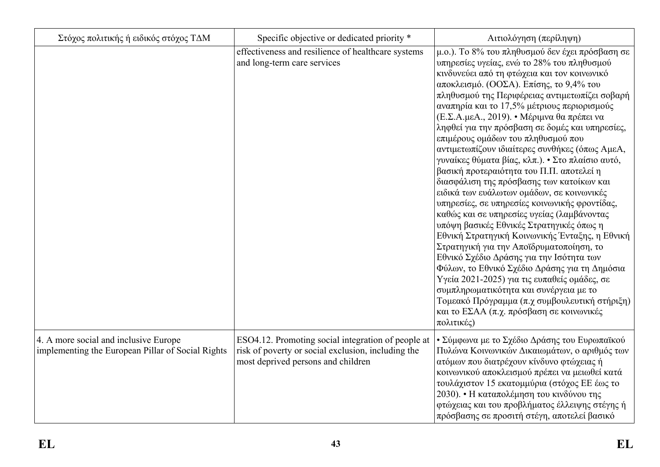| Στόχος πολιτικής ή ειδικός στόχος ΤΔΜ                                                      | Specific objective or dedicated priority *                                                                                                     | Αιτιολόγηση (περίληψη)                                                                                                                                                                                                                                                                                                                                                                                                                                                                                                                                                                                                                                                                                                                                                                                                                                                                                                                                                                                                                                                                                                                                                                                                 |  |  |
|--------------------------------------------------------------------------------------------|------------------------------------------------------------------------------------------------------------------------------------------------|------------------------------------------------------------------------------------------------------------------------------------------------------------------------------------------------------------------------------------------------------------------------------------------------------------------------------------------------------------------------------------------------------------------------------------------------------------------------------------------------------------------------------------------------------------------------------------------------------------------------------------------------------------------------------------------------------------------------------------------------------------------------------------------------------------------------------------------------------------------------------------------------------------------------------------------------------------------------------------------------------------------------------------------------------------------------------------------------------------------------------------------------------------------------------------------------------------------------|--|--|
|                                                                                            | effectiveness and resilience of healthcare systems<br>and long-term care services                                                              | μ.ο.). Το 8% του πληθυσμού δεν έχει πρόσβαση σε<br>υπηρεσίες υγείας, ενώ το 28% του πληθυσμού<br>κινδυνεύει από τη φτώχεια και τον κοινωνικό<br>αποκλεισμό. (ΟΟΣΑ). Επίσης, το 9,4% του<br>πληθυσμού της Περιφέρειας αντιμετωπίζει σοβαρή<br>αναπηρία και το 17,5% μέτριους περιορισμούς<br>(Ε.Σ.Α.μεΑ., 2019). • Μέριμνα θα πρέπει να<br>ληφθεί για την πρόσβαση σε δομές και υπηρεσίες,<br>επιμέρους ομάδων του πληθυσμού που<br>αντιμετωπίζουν ιδιαίτερες συνθήκες (όπως ΑμεΑ,<br>γυναίκες θύματα βίας, κλπ.). • Στο πλαίσιο αυτό,<br>βασική προτεραιότητα του Π.Π. αποτελεί η<br>διασφάλιση της πρόσβασης των κατοίκων και<br>ειδικά των ευάλωτων ομάδων, σε κοινωνικές<br>υπηρεσίες, σε υπηρεσίες κοινωνικής φροντίδας,<br>καθώς και σε υπηρεσίες υγείας (λαμβάνοντας<br>υπόψη βασικές Εθνικές Στρατηγικές όπως η<br>Εθνική Στρατηγική Κοινωνικής Ένταξης, η Εθνική<br>Στρατηγική για την Αποϊδρυματοποίηση, το<br>Εθνικό Σχέδιο Δράσης για την Ισότητα των<br>Φύλων, το Εθνικό Σχέδιο Δράσης για τη Δημόσια<br>Υγεία 2021-2025) για τις ευπαθείς ομάδες, σε<br>συμπληρωματικότητα και συνέργεια με το<br>Τομεακό Πρόγραμμα (π.χ συμβουλευτική στήριξη)<br>και το ΕΣΑΑ (π.χ. πρόσβαση σε κοινωνικές<br>πολιτικές) |  |  |
| 4. A more social and inclusive Europe<br>implementing the European Pillar of Social Rights | ESO4.12. Promoting social integration of people at<br>risk of poverty or social exclusion, including the<br>most deprived persons and children | • Σύμφωνα με το Σχέδιο Δράσης του Ευρωπαϊκού<br>Πυλώνα Κοινωνικών Δικαιωμάτων, ο αριθμός των<br>ατόμων που διατρέχουν κίνδυνο φτώχειας ή<br>κοινωνικού αποκλεισμού πρέπει να μειωθεί κατά<br>τουλάχιστον 15 εκατομμύρια (στόχος ΕΕ έως το<br>2030). • Η καταπολέμηση του κινδύνου της<br>φτώχειας και του προβλήματος έλλειψης στέγης ή<br>πρόσβασης σε προσιτή στέγη, αποτελεί βασικό                                                                                                                                                                                                                                                                                                                                                                                                                                                                                                                                                                                                                                                                                                                                                                                                                                 |  |  |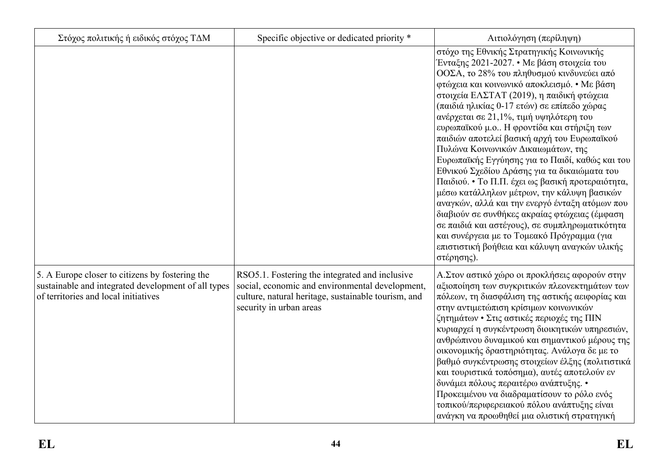| Στόχος πολιτικής ή ειδικός στόχος ΤΔΜ                                                                                                          | Specific objective or dedicated priority *                                                                                                                                          | Αιτιολόγηση (περίληψη)                                                                                                                                                                                                                                                                                                                                                                                                                                                                                                                                                                                                                                                                                                                                                                                                                                                                                                           |
|------------------------------------------------------------------------------------------------------------------------------------------------|-------------------------------------------------------------------------------------------------------------------------------------------------------------------------------------|----------------------------------------------------------------------------------------------------------------------------------------------------------------------------------------------------------------------------------------------------------------------------------------------------------------------------------------------------------------------------------------------------------------------------------------------------------------------------------------------------------------------------------------------------------------------------------------------------------------------------------------------------------------------------------------------------------------------------------------------------------------------------------------------------------------------------------------------------------------------------------------------------------------------------------|
|                                                                                                                                                |                                                                                                                                                                                     | στόχο της Εθνικής Στρατηγικής Κοινωνικής<br>Ένταξης 2021-2027. • Με βάση στοιχεία του<br>ΟΟΣΑ, το 28% του πληθυσμού κινδυνεύει από<br>φτώχεια και κοινωνικό αποκλεισμό. • Με βάση<br>στοιχεία ΕΛΣΤΑΤ (2019), η παιδική φτώχεια<br>(παιδιά ηλικίας 0-17 ετών) σε επίπεδο χώρας<br>ανέρχεται σε 21,1%, τιμή υψηλότερη του<br>ευρωπαϊκού μ.ο Η φροντίδα και στήριξη των<br>παιδιών αποτελεί βασική αρχή του Ευρωπαϊκού<br>Πυλώνα Κοινωνικών Δικαιωμάτων, της<br>Ευρωπαϊκής Εγγύησης για το Παιδί, καθώς και του<br>Εθνικού Σχεδίου Δράσης για τα δικαιώματα του<br>Παιδιού. • Το Π.Π. έχει ως βασική προτεραιότητα,<br>μέσω κατάλληλων μέτρων, την κάλυψη βασικών<br>αναγκών, αλλά και την ενεργό ένταξη ατόμων που<br>διαβιούν σε συνθήκες ακραίας φτώχειας (έμφαση<br>σε παιδιά και αστέγους), σε συμπληρωματικότητα<br>και συνέργεια με το Τομεακό Πρόγραμμα (για<br>επιστιστική βοήθεια και κάλυψη αναγκών υλικής<br>στέρησης). |
| 5. A Europe closer to citizens by fostering the<br>sustainable and integrated development of all types<br>of territories and local initiatives | RSO5.1. Fostering the integrated and inclusive<br>social, economic and environmental development,<br>culture, natural heritage, sustainable tourism, and<br>security in urban areas | Α.Στον αστικό χώρο οι προκλήσεις αφορούν στην<br>αξιοποίηση των συγκριτικών πλεονεκτημάτων των<br>πόλεων, τη διασφάλιση της αστικής αειφορίας και<br>στην αντιμετώπιση κρίσιμων κοινωνικών<br>ζητημάτων • Στις αστικές περιοχές της ΠΙΝ<br>κυριαρχεί η συγκέντρωση διοικητικών υπηρεσιών,<br>ανθρώπινου δυναμικού και σημαντικού μέρους της<br>οικονομικής δραστηριότητας. Ανάλογα δε με το<br>βαθμό συγκέντρωσης στοιχείων έλξης (πολιτιστικά<br>και τουριστικά τοπόσημα), αυτές αποτελούν εν<br>δυνάμει πόλους περαιτέρω ανάπτυξης. •<br>Προκειμένου να διαδραματίσουν το ρόλο ενός<br>τοπικού/περιφερειακού πόλου ανάπτυξης είναι<br>ανάγκη να προωθηθεί μια ολιστική στρατηγική                                                                                                                                                                                                                                              |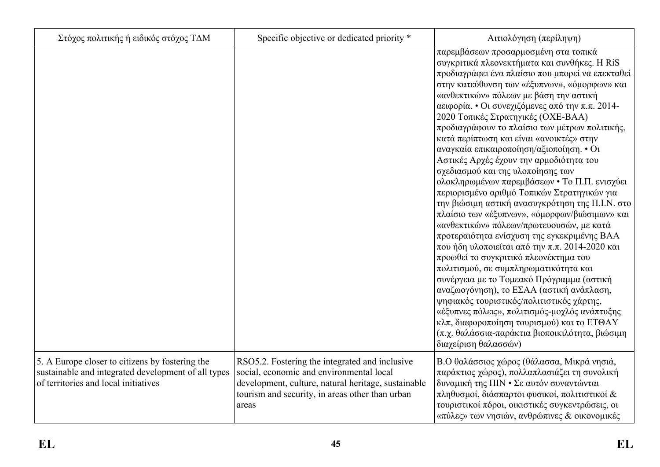| Στόχος πολιτικής ή ειδικός στόχος ΤΔΜ                                                                                                          | Specific objective or dedicated priority *                                                                                                                                                                    | Αιτιολόγηση (περίληψη)                                                                                                                                                                                                                                                                                                                                                                                                                                                                                                                                                                                                                                                                                                                                                                                                                                                                                                                                                                                                                                                                                                                                                                                                                                                                                  |
|------------------------------------------------------------------------------------------------------------------------------------------------|---------------------------------------------------------------------------------------------------------------------------------------------------------------------------------------------------------------|---------------------------------------------------------------------------------------------------------------------------------------------------------------------------------------------------------------------------------------------------------------------------------------------------------------------------------------------------------------------------------------------------------------------------------------------------------------------------------------------------------------------------------------------------------------------------------------------------------------------------------------------------------------------------------------------------------------------------------------------------------------------------------------------------------------------------------------------------------------------------------------------------------------------------------------------------------------------------------------------------------------------------------------------------------------------------------------------------------------------------------------------------------------------------------------------------------------------------------------------------------------------------------------------------------|
|                                                                                                                                                |                                                                                                                                                                                                               | παρεμβάσεων προσαρμοσμένη στα τοπικά<br>συγκριτικά πλεονεκτήματα και συνθήκες. Η RiS<br>προδιαγράφει ένα πλαίσιο που μπορεί να επεκταθεί<br>στην κατεύθυνση των «έξυπνων», «όμορφων» και<br>«ανθεκτικών» πόλεων με βάση την αστική<br>αειφορία. • Οι συνεχιζόμενες από την π.π. 2014-<br>2020 Τοπικές Στρατηγικές (ΟΧΕ-ΒΑΑ)<br>προδιαγράφουν το πλαίσιο των μέτρων πολιτικής,<br>κατά περίπτωση και είναι «ανοικτές» στην<br>αναγκαία επικαιροποίηση/αξιοποίηση. • Οι<br>Αστικές Αρχές έχουν την αρμοδιότητα του<br>σχεδιασμού και της υλοποίησης των<br>ολοκληρωμένων παρεμβάσεων • Το Π.Π. ενισχύει<br>περιορισμένο αριθμό Τοπικών Στρατηγικών για<br>την βιώσιμη αστική ανασυγκρότηση της Π.Ι.Ν. στο<br>πλαίσιο των «έξυπνων», «όμορφων/βιώσιμων» και<br>«ανθεκτικών» πόλεων/πρωτευουσών, με κατά<br>προτεραιότητα ενίσχυση της εγκεκριμένης ΒΑΑ<br>που ήδη υλοποιείται από την π.π. 2014-2020 και<br>προωθεί το συγκριτικό πλεονέκτημα του<br>πολιτισμού, σε συμπληρωματικότητα και<br>συνέργεια με το Τομεακό Πρόγραμμα (αστική<br>αναζωογόνηση), το ΕΣΑΑ (αστική ανάπλαση,<br>ψηφιακός τουριστικός/πολιτιστικός χάρτης,<br>«έξυπνες πόλεις», πολιτισμός-μοχλός ανάπτυξης<br>κλπ, διαφοροποίηση τουρισμού) και το ΕΤΘΑΥ<br>(π.χ. θαλάσσια-παράκτια βιοποικιλότητα, βιώσιμη<br>διαχείριση θαλασσών) |
| 5. A Europe closer to citizens by fostering the<br>sustainable and integrated development of all types<br>of territories and local initiatives | RSO5.2. Fostering the integrated and inclusive<br>social, economic and environmental local<br>development, culture, natural heritage, sustainable<br>tourism and security, in areas other than urban<br>areas | Β.Ο θαλάσσιος χώρος (θάλασσα, Μικρά νησιά,<br>παράκτιος χώρος), πολλαπλασιάζει τη συνολική<br>δυναμική της ΠΙΝ · Σε αυτόν συναντώνται<br>πληθυσμοί, διάσπαρτοι φυσικοί, πολιτιστικοί &<br>τουριστικοί πόροι, οικιστικές συγκεντρώσεις, οι<br>«πύλες» των νησιών, ανθρώπινες & οικονομικές                                                                                                                                                                                                                                                                                                                                                                                                                                                                                                                                                                                                                                                                                                                                                                                                                                                                                                                                                                                                               |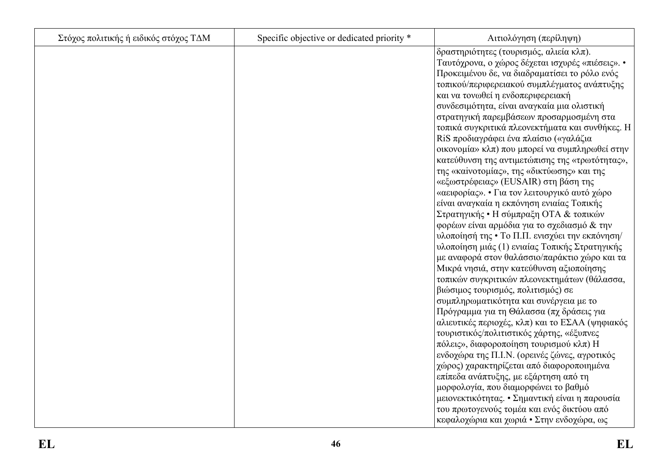| Στόχος πολιτικής ή ειδικός στόχος ΤΔΜ | Specific objective or dedicated priority * | Αιτιολόγηση (περίληψη)                           |
|---------------------------------------|--------------------------------------------|--------------------------------------------------|
|                                       |                                            | δραστηριότητες (τουρισμός, αλιεία κλπ).          |
|                                       |                                            | Ταυτόχρονα, ο χώρος δέχεται ισχυρές «πιέσεις». • |
|                                       |                                            | Προκειμένου δε, να διαδραματίσει το ρόλο ενός    |
|                                       |                                            | τοπικού/περιφερειακού συμπλέγματος ανάπτυξης     |
|                                       |                                            | και να τονωθεί η ενδοπεριφερειακή                |
|                                       |                                            | συνδεσιμότητα, είναι αναγκαία μια ολιστική       |
|                                       |                                            | στρατηγική παρεμβάσεων προσαρμοσμένη στα         |
|                                       |                                            | τοπικά συγκριτικά πλεονεκτήματα και συνθήκες. Η  |
|                                       |                                            | RiS προδιαγράφει ένα πλαίσιο («γαλάζια           |
|                                       |                                            | οικονομία» κλπ) που μπορεί να συμπληρωθεί στην   |
|                                       |                                            | κατεύθυνση της αντιμετώπισης της «τρωτότητας»,   |
|                                       |                                            | της «καίνοτομίας», της «δικτύωσης» και της       |
|                                       |                                            | «εξωστρέφειας» (EUSAIR) στη βάση της             |
|                                       |                                            | «αειφορίας». • Για τον λειτουργικό αυτό χώρο     |
|                                       |                                            | είναι αναγκαία η εκπόνηση ενιαίας Τοπικής        |
|                                       |                                            | Στρατηγικής • Η σύμπραξη ΟΤΑ & τοπικών           |
|                                       |                                            | φορέων είναι αρμόδια για το σχεδιασμό & την      |
|                                       |                                            | υλοποίησή της • Το Π.Π. ενισχύει την εκπόνηση/   |
|                                       |                                            | υλοποίηση μιάς (1) ενιαίας Τοπικής Στρατηγικής   |
|                                       |                                            | με αναφορά στον θαλάσσιο/παράκτιο χώρο και τα    |
|                                       |                                            | Μικρά νησιά, στην κατεύθυνση αξιοποίησης         |
|                                       |                                            | τοπικών συγκριτικών πλεονεκτημάτων (θάλασσα,     |
|                                       |                                            | βιώσιμος τουρισμός, πολιτισμός) σε               |
|                                       |                                            | συμπληρωματικότητα και συνέργεια με το           |
|                                       |                                            | Πρόγραμμα για τη Θάλασσα (πχ δράσεις για         |
|                                       |                                            | αλιευτικές περιοχές, κλπ) και το ΕΣΑΑ (ψηφιακός  |
|                                       |                                            | τουριστικός/πολιτιστικός χάρτης, «έξυπνες        |
|                                       |                                            | πόλεις», διαφοροποίηση τουρισμού κλπ) Η          |
|                                       |                                            | ενδοχώρα της Π.Ι.Ν. (ορεινές ζώνες, αγροτικός    |
|                                       |                                            | χώρος) χαρακτηρίζεται από διαφοροποιημένα        |
|                                       |                                            | επίπεδα ανάπτυξης, με εξάρτηση από τη            |
|                                       |                                            | μορφολογία, που διαμορφώνει το βαθμό             |
|                                       |                                            | μειονεκτικότητας. • Σημαντική είναι η παρουσία   |
|                                       |                                            | του πρωτογενούς τομέα και ενός δικτύου από       |
|                                       |                                            | κεφαλοχώρια και χωριά • Στην ενδοχώρα, ως        |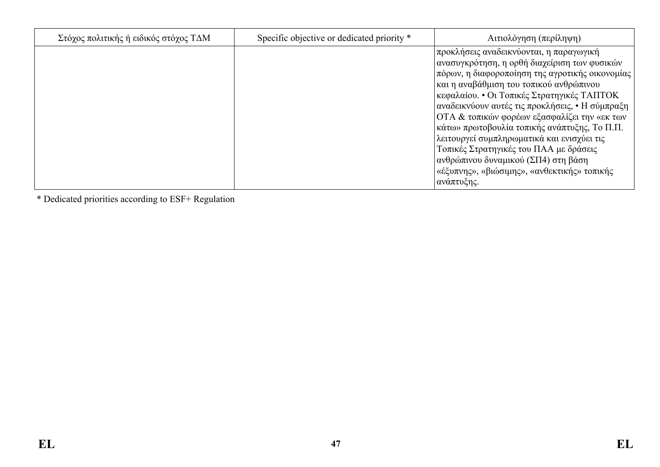| Στόχος πολιτικής ή ειδικός στόχος ΤΔΜ | Specific objective or dedicated priority * | Αιτιολόγηση (περίληψη)                                                                                                                                                                                                                                                                                                                                                                                                                                                                                                                                                              |
|---------------------------------------|--------------------------------------------|-------------------------------------------------------------------------------------------------------------------------------------------------------------------------------------------------------------------------------------------------------------------------------------------------------------------------------------------------------------------------------------------------------------------------------------------------------------------------------------------------------------------------------------------------------------------------------------|
|                                       |                                            | προκλήσεις αναδεικνύονται, η παραγωγική<br>ανασυγκρότηση, η ορθή διαχείριση των φυσικών<br>πόρων, η διαφοροποίηση της αγροτικής οικονομίας<br>∣και η αναβάθμιση του τοπικού ανθρώπινου<br>κεφαλαίου. • Οι Τοπικές Στρατηγικές ΤΑΠΤΟΚ<br>αναδεικνύουν αυτές τις προκλήσεις, • Η σύμπραξη<br>OTA & τοπικών φορέων εξασφαλίζει την «εκ των<br>κάτω» πρωτοβουλία τοπικής ανάπτυξης, Το Π.Π.<br>λειτουργεί συμπληρωματικά και ενισχύει τις<br>Τοπικές Στρατηγικές του ΠΑΑ με δράσεις<br>ανθρώπινου δυναμικού (ΣΠ4) στη βάση<br>«έξυπνης», «βιώσιμης», «ανθεκτικής» τοπικής<br>ανάπτυξης. |

\* Dedicated priorities according to ESF+ Regulation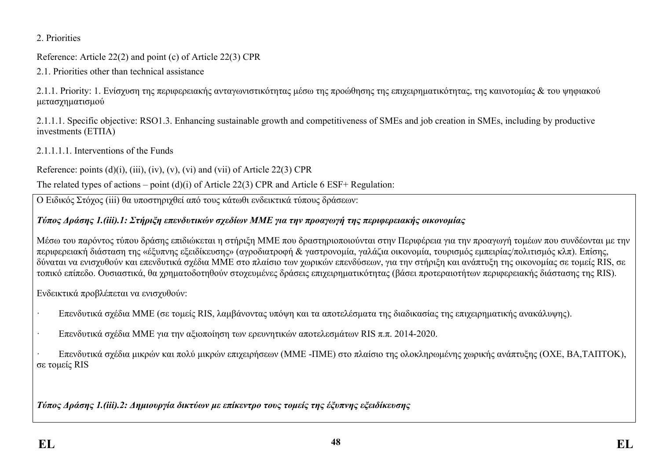2. Priorities

Reference: Article 22(2) and point (c) of Article 22(3) CPR

2.1. Priorities other than technical assistance

2.1.1. Priority: 1. Ενίσχυση της περιφερειακής ανταγωνιστικότητας μέσω της προώθησης της επιχειρηματικότητας, της καινοτομίας & του ψηφιακού μετασχηματισμού

2.1.1.1. Specific objective: RSO1.3. Enhancing sustainable growth and competitiveness of SMEs and job creation in SMEs, including by productive investments (ΕΤΠΑ)

2.1.1.1.1. Interventions of the Funds

Reference: points  $(d)(i)$ ,  $(iii)$ ,  $(iv)$ ,  $(v)$ ,  $(vi)$  and  $(vii)$  of Article 22(3) CPR

The related types of actions – point (d)(i) of Article 22(3) CPR and Article 6 ESF+ Regulation:

Ο Ειδικός Στόχος (iii) θα υποστηριχθεί από τους κάτωθι ενδεικτικά τύπους δράσεων:

## *Τύπος Δράσης 1.(iii).1: Στήριξη επενδυτικών σχεδίων ΜΜΕ για την προαγωγή της περιφερειακής οικονομίας*

Μέσω του παρόντος τύπου δράσης επιδιώκεται η στήριξη ΜΜΕ που δραστηριοποιούνται στην Περιφέρεια για την προαγωγή τομέων που συνδέονται με την περιφερειακή διάσταση της «έξυπνης εξειδίκευσης» (αγροδιατροφή & γαστρονομία, γαλάζια οικονομία, τουρισμός εμπειρίας/πολιτισμός κλπ). Επίσης, δύναται να ενισχυθούν και επενδυτικά σχέδια ΜΜΕ στο πλαίσιο των χωρικών επενδύσεων, για την στήριξη και ανάπτυξη της οικονομίας σε τομείς RIS, σε τοπικό επίπεδο. Ουσιαστικά, θα χρηματοδοτηθούν στοχευμένες δράσεις επιχειρηματικότητας (βάσει προτεραιοτήτων περιφερειακής διάστασης της RIS).

Ενδεικτικά προβλέπεται να ενισχυθούν:

- · Επενδυτικά σχέδια ΜΜΕ (σε τομείς RIS, λαμβάνοντας υπόψη και τα αποτελέσματα της διαδικασίας της επιχειρηματικής ανακάλυψης).
- · Επενδυτικά σχέδια ΜΜΕ για την αξιοποίηση των ερευνητικών αποτελεσμάτων RIS π.π. 2014-2020.

· Επενδυτικά σχέδια μικρών και πολύ μικρών επιχειρήσεων (ΜΜΕ -ΠΜΕ) στο πλαίσιο της ολοκληρωμένης χωρικής ανάπτυξης (ΟΧΕ, ΒΑ,ΤΑΠΤΟΚ), σε τομείς RIS

*Τύπος Δράσης 1.(iii).2: Δημιουργία δικτύων με επίκεντρο τους τομείς της έξυπνης εξειδίκευσης*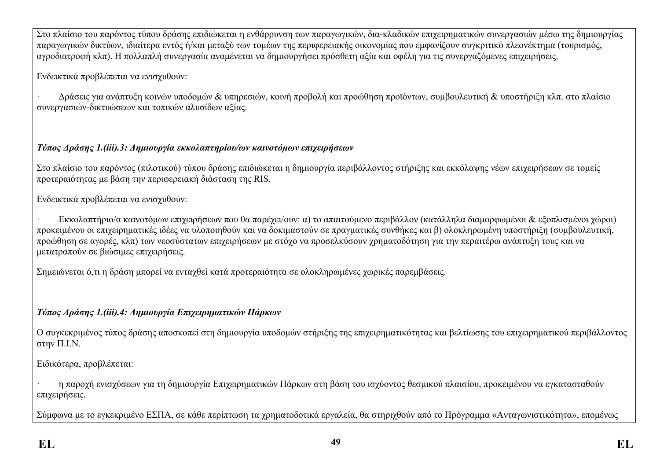Στο πλαίσιο του παρόντος τύπου δράσης επιδιώκεται η ενθάρρυνση των παραγωγικών, δια-κλαδικών επιχειρηματικών συνεργασιών μέσω της δημιουργίας παραγωγικών δικτύων, ιδιαίτερα εντός ή/και μεταξύ των τομέων της περιφερειακής οικονομίας που εμφανίζουν συγκριτικό πλεονέκτημα (τουρισμός, αγροδιατροφή κλπ). Η πολλαπλή συνεργασία αναμένεται να δημιουργήσει πρόσθετη αξία και οφέλη για τις συνεργαζόμενες επιχειρήσεις.

Ενδεικτικά προβλέπεται να ενισχυθούν:

· Δράσεις για ανάπτυξη κοινών υποδομών & υπηρεσιών, κοινή προβολή και προώθηση προϊόντων, συμβουλευτική & υποστήριξη κλπ. στο πλαίσιο συνεργασιών-δικτυώσεων και τοπικών αλυσίδων αξίας.

## *Τύπος Δράσης 1.(iii).3: Δημιουργία εκκολαπτηρίου/ων καινοτόμων επιχειρήσεων*

Στο πλαίσιο του παρόντος (πιλοτικού) τύπου δράσης επιδιώκεται η δημιουργία περιβάλλοντος στήριξης και εκκόλαψης νέων επιχειρήσεων σε τομείς προτεραιότητας με βάση την περιφερειακή διάσταση της RIS.

Ενδεικτικά προβλέπεται να ενισχυθούν:

· Εκκολαπτήριο/α καινοτόμων επιχειρήσεων που θα παρέχει/ουν: α) το απαιτούμενο περιβάλλον (κατάλληλα διαμορφωμένοι & εξοπλισμένοι χώροι) προκειμένου οι επιχειρηματικές ιδέες να υλοποιηθούν και να δοκιμαστούν σε πραγματικές συνθήκες και β) ολοκληρωμένη υποστήριξη (συμβουλευτική, προώθηση σε αγορές, κλπ) των νεοσύστατων επιχειρήσεων με στόχο να προσελκύσουν χρηματοδότηση για την περαιτέρω ανάπτυξη τους και να μετατραπούν σε βιώσιμες επιχειρήσεις.

Σημειώνεται ό,τι η δράση μπορεί να ενταχθεί κατά προτεραιότητα σε ολοκληρωμένες χωρικές παρεμβάσεις.

# *Τύπος Δράσης 1.(iii).4: Δημιουργία Επιχειρηματικών Πάρκων*

Ο συγκεκριμένος τύπος δράσης αποσκοπεί στη δημιουργία υποδομών στήριξης της επιχειρηματικότητας και βελτίωσης του επιχειρηματικού περιβάλλοντος στην Π.Ι.Ν.

Ειδικότερα, προβλέπεται:

· η παροχή ενισχύσεων για τη δημιουργία Επιχειρηματικών Πάρκων στη βάση του ισχύοντος θεσμικού πλαισίου, προκειμένου να εγκατασταθούν επιχειρήσεις.

Σύμφωνα με το εγκεκριμένο ΕΣΠΑ, σε κάθε περίπτωση τα χρηματοδοτικά εργαλεία, θα στηριχθούν από το Πρόγραμμα «Ανταγωνιστικότητα», επομένως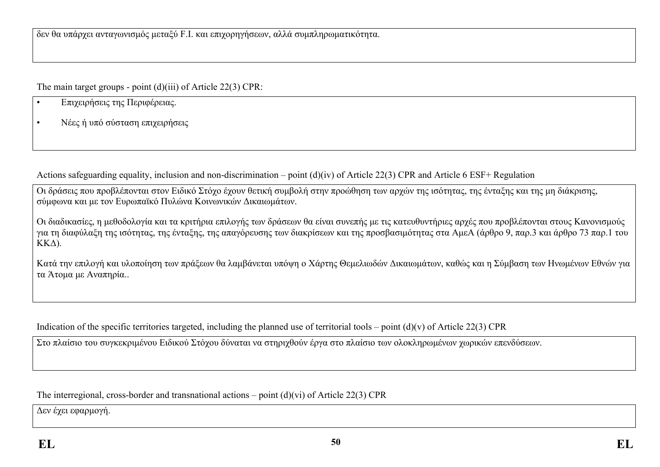The main target groups - point (d)(iii) of Article 22(3) CPR:

- Επιχειρήσεις της Περιφέρειας.
- Νέες ή υπό σύσταση επιχειρήσεις

Actions safeguarding equality, inclusion and non-discrimination – point (d)(iv) of Article 22(3) CPR and Article 6 ESF+ Regulation

Οι δράσεις που προβλέπονται στον Ειδικό Στόχο έχουν θετική συμβολή στην προώθηση των αρχών της ισότητας, της ένταξης και της μη διάκρισης, σύμφωνα και με τον Ευρωπαϊκό Πυλώνα Κοινωνικών Δικαιωμάτων.

Οι διαδικασίες, η μεθοδολογία και τα κριτήρια επιλογής των δράσεων θα είναι συνεπής με τις κατευθυντήριες αρχές που προβλέπονται στους Κανονισμούς για τη διαφύλαξη της ισότητας, της ένταξης, της απαγόρευσης των διακρίσεων και της προσβασιμότητας στα ΑμεΑ (άρθρο 9, παρ.3 και άρθρο 73 παρ.1 του ΚΚΔ).

Κατά την επιλογή και υλοποίηση των πράξεων θα λαμβάνεται υπόψη ο Χάρτης Θεμελιωδών Δικαιωμάτων, καθώς και η Σύμβαση των Ηνωμένων Εθνών για τα Άτομα με Αναπηρία..

Indication of the specific territories targeted, including the planned use of territorial tools – point  $(d)(v)$  of Article 22(3) CPR

Στο πλαίσιο του συγκεκριμένου Ειδικού Στόχου δύναται να στηριχθούν έργα στο πλαίσιο των ολοκληρωμένων χωρικών επενδύσεων.

The interregional, cross-border and transnational actions – point (d)(vi) of Article 22(3) CPR

Δεν έχει εφαρμογή.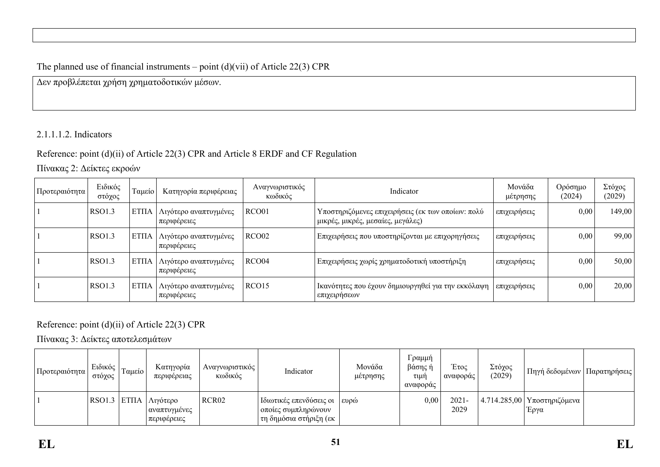## The planned use of financial instruments – point  $(d)(vi)$  of Article 22(3) CPR

Δεν προβλέπεται χρήση χρηματοδοτικών μέσων.

#### 2.1.1.1.2. Indicators

### Reference: point (d)(ii) of Article 22(3) CPR and Article 8 ERDF and CF Regulation

Πίνακας 2: Δείκτες εκροών

| Προτεραιότητα | Ειδικός<br>στόχος | Γαμείο      | Κατηγορία περιφέρειας                | Αναγνωριστικός<br>κωδικός | Indicator                                                                              | Μονάδα<br>μέτρησης | Ορόσημο<br>(2024) | Στόχος<br>(2029) |
|---------------|-------------------|-------------|--------------------------------------|---------------------------|----------------------------------------------------------------------------------------|--------------------|-------------------|------------------|
|               | RSO1.3            | <b>ΕΤΠΑ</b> | Λιγότερο αναπτυγμένες<br>περιφέρειες | RCO01                     | Υποστηριζόμενες επιχειρήσεις (εκ των οποίων: πολύ<br>μικρές, μικρές, μεσαίες, μεγάλες) | επιχειρήσεις       | 0,00              | 149,00           |
|               | RSO1.3            | EΤΠΑ        | Λιγότερο αναπτυγμένες<br>περιφέρειες | RCO02                     | Επιχειρήσεις που υποστηρίζονται με επιχορηγήσεις                                       | επιχειρήσεις       | 0,00              | 99,00            |
|               | RSO1.3            | <b>ΕΤΠΑ</b> | Λιγότερο αναπτυγμένες<br>περιφέρειες | RCO04                     | Επιχειρήσεις χωρίς χρηματοδοτική υποστήριξη                                            | επιχειρήσεις       | 0,00              | 50,00            |
|               | RSO1.3            | <b>ΕΤΠΑ</b> | Λιγότερο αναπτυγμένες<br>περιφέρειες | RCO15                     | Ικανότητες που έχουν δημιουργηθεί για την εκκόλαψη<br>επιχειρήσεων                     | επιχειρήσεις       | 0,00              | 20,00            |

Reference: point (d)(ii) of Article 22(3) CPR

Πίνακας 3: Δείκτες αποτελεσμάτων

| Προτεραιότητα | Ειδικός<br>στόχος | Ταμείο | Κατηγορία<br>περιφέρειας                                                | Αναγνωριστικός  <br>κωδικός | Indicator                                                                            | Μονάδα<br>μέτρησης | Γραμμή<br>βάσης ή<br>τιμή<br>αναφοράς | Έτος<br>  αναφοράς | Στόχος<br>(2029) | Πηγή δεδομένων   Παρατηρήσεις                       |  |
|---------------|-------------------|--------|-------------------------------------------------------------------------|-----------------------------|--------------------------------------------------------------------------------------|--------------------|---------------------------------------|--------------------|------------------|-----------------------------------------------------|--|
|               |                   |        | RSO1.3 ETΠΑ $\Lambda$ <sub>γ</sub> ότερο<br>αναπτυγμένες<br>περιφέρειες | RCR02                       | Ιδιωτικές επενδύσεις οι   ευρώ<br>  οποίες συμπληρώνουν <br>  τη δημόσια στήριξη (εκ |                    | 0,00                                  | $2021 -$<br>2029   |                  | $14.714.285,00$ Υποστηριζόμενα <sup>1</sup><br>Έργα |  |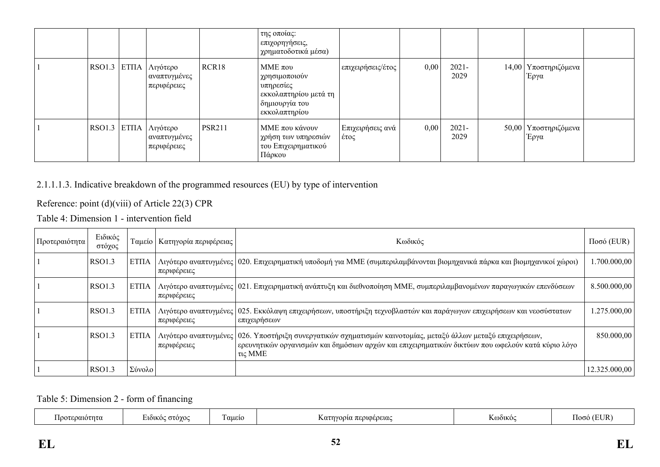|        |                                                |               | της οποίας:<br>επιχορηγήσεις,<br>χρηματοδοτικά μέσα)                                                   |                          |      |                  |                                |  |
|--------|------------------------------------------------|---------------|--------------------------------------------------------------------------------------------------------|--------------------------|------|------------------|--------------------------------|--|
| RSO1.3 | ΕΤΠΑ   Λιγότερο<br>αναπτυγμένες<br>περιφέρειες | RCR18         | MME $\pi$ ov<br>χρησιμοποιούν<br>υπηρεσίες<br>εκκολαπτηρίου μετά τη<br>δημιουργία του<br>εκκολαπτηρίου | επιχειρήσεις/έτος        | 0,00 | $2021 -$<br>2029 | 14,00   Υποστηριζόμενα<br>Έργα |  |
| RSO1.3 | ΕΤΠΑ   Λιγότερο<br>αναπτυγμένες<br>περιφέρειες | <b>PSR211</b> | ΜΜΕ που κάνουν<br>  χρήση των υπηρεσιών <br>του Επιχειρηματικού<br>Πάρκου                              | Επιχειρήσεις ανά<br>έτος | 0,00 | $2021 -$<br>2029 | 50,00   Υποστηριζόμενα<br>Έργα |  |

### 2.1.1.1.3. Indicative breakdown of the programmed resources (EU) by type of intervention

Reference: point (d)(viii) of Article 22(3) CPR

Table 4: Dimension 1 - intervention field

| Προτεραιότητα | Ειδικός<br>στόχος |             | Ταμείο   Κατηγορία περιφέρειας | Κωδικός                                                                                                                                                                                                                           | $Ποσό$ (EUR)  |
|---------------|-------------------|-------------|--------------------------------|-----------------------------------------------------------------------------------------------------------------------------------------------------------------------------------------------------------------------------------|---------------|
|               | RSO1.3            | <b>ΕΤΠΑ</b> | περιφέρειες                    | Λιγότερο αναπτυγμένες   020. Επιχειρηματική υποδομή για ΜΜΕ (συμπεριλαμβάνονται βιομηχανικά πάρκα και βιομηχανικοί χώροι)                                                                                                         | 1.700.000,00  |
|               | <b>RSO1.3</b>     | EΤΠΑ        | περιφέρειες                    | Λιγότερο αναπτυγμένες 021. Επιχειρηματική ανάπτυξη και διεθνοποίηση ΜΜΕ, συμπεριλαμβανομένων παραγωγικών επενδύσεων                                                                                                               | 8.500.000,00  |
|               | <b>RSO1.3</b>     | <b>ΕΤΠΑ</b> | περιφέρειες                    | Λιγότερο αναπτυγμένες   025. Εκκόλαψη επιχειρήσεων, υποστήριξη τεχνοβλαστών και παράγωγων επιχειρήσεων και νεοσύστατων<br>επιχειρήσεων                                                                                            | 1.275.000,00  |
|               | RSO1.3            | <b>ΕΤΠΑ</b> | περιφέρειες                    | Λιγότερο αναπτυγμένες   026. Υποστήριξη συνεργατικών σχηματισμών καινοτομίας, μεταξύ άλλων μεταξύ επιχειρήσεων,<br>  ερευνητικών οργανισμών και δημόσιων αρχών και επιχειρηματικών δικτύων που ωφελούν κατά κύριο λόγο<br>τις ΜΜΕ | 850.000,00    |
|               | RSO1.3            | Σύνολο      |                                |                                                                                                                                                                                                                                   | 12.325.000,00 |

Table 5: Dimension 2 - form of financing

|  | τεραιοτητα | 570Y00<br><b>7101KG</b> | -<br>' aueio | ηγορια περιφερειας<br>. | K@òiko@ | JR<br>ിറെ |
|--|------------|-------------------------|--------------|-------------------------|---------|-----------|
|--|------------|-------------------------|--------------|-------------------------|---------|-----------|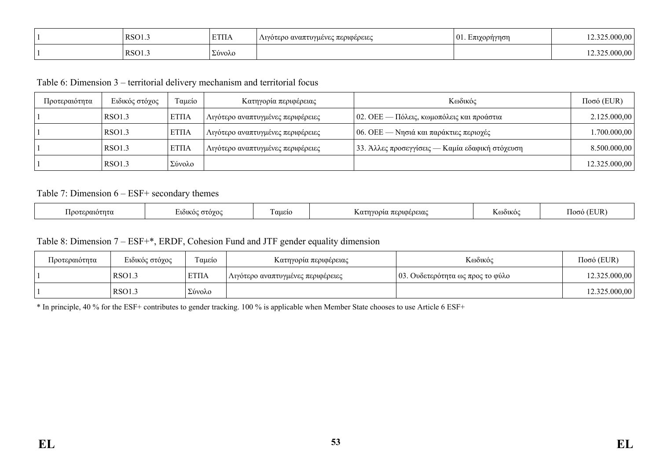| RSO1. | <b>ETIIA</b> | Λιγότερο αναπτυγμένες περιφέρειες | Կπιγορήγηση<br>.<br>UI. EIUZU<br>$\cdots$<br>$\sim$ | .000.00<br>$\sim$ $-$ |
|-------|--------------|-----------------------------------|-----------------------------------------------------|-----------------------|
| RSO1. | Σύνολο       |                                   |                                                     | .000.00               |

Table 6: Dimension 3 – territorial delivery mechanism and territorial focus

| Προτεραιότητα | Ειδικός στόχος | Ταμείο       | Κατηγορία περιφέρειας             | Κωδικός                                           | $Ποσό$ (EUR)  |
|---------------|----------------|--------------|-----------------------------------|---------------------------------------------------|---------------|
|               | RSO1.3         | <b>ETIIA</b> | Λιγότερο αναπτυγμένες περιφέρειες | $\vert$ 02. ΟΕΕ — Πόλεις, κωμοπόλεις και προάστια | 2.125.000,00  |
|               | RSO1.3         | <b>ETIIA</b> | Αιγότερο αναπτυγμένες περιφέρειες | $\vert$ 06. ΟΕΕ — Νησιά και παράκτιες περιοχές    | 1.700.000,00  |
|               | RSO1.3         | <b>ETIIA</b> | Λιγότερο αναπτυγμένες περιφέρειες | 33. Άλλες προσεγγίσεις — Καμία εδαφική στόχευση   | 8.500.000,00  |
|               | <b>RSO1.3</b>  | Σύνολο       |                                   |                                                   | 12.325.000,00 |

#### Table 7: Dimension 6 – ESF+ secondary themes

| $\overline{\phantom{a}}$<br>ט צי<br>nuur<br>wwcncw<br>,<br>.<br>$\sim$ | εραιοτητα<br>ഥറ | .10202<br>ำเkเ. | ' aueic | $\pi$ couceocuc<br>. | --<br>S@òiko | <b>TEI ID</b><br>.105 |
|------------------------------------------------------------------------|-----------------|-----------------|---------|----------------------|--------------|-----------------------|
|------------------------------------------------------------------------|-----------------|-----------------|---------|----------------------|--------------|-----------------------|

#### Table 8: Dimension 7 – ESF+\*, ERDF, Cohesion Fund and JTF gender equality dimension

| Προτεραιότητα | Ειδικός στόχος | $\sim$<br>Ι αμείο | Κατηγορία περιφέρειας             | Κωδικός                          | $Ποσό$ (EUR)  |
|---------------|----------------|-------------------|-----------------------------------|----------------------------------|---------------|
|               | RSO1.3         | <b>ΕΤΠΑ</b>       | Λιγότερο αναπτυγμένες περιφέρειες | 03. Ουδετερότητα ως προς το φύλο | 12.325.000,00 |
|               | RSO1.3         | Σύνολο            |                                   |                                  | 12.325.000,00 |

\* In principle, 40 % for the ESF+ contributes to gender tracking. 100 % is applicable when Member State chooses to use Article 6 ESF+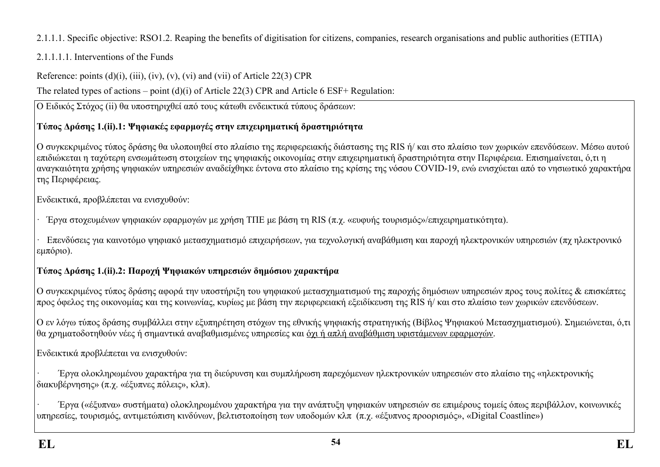## 2.1.1.1. Specific objective: RSO1.2. Reaping the benefits of digitisation for citizens, companies, research organisations and public authorities (ΕΤΠΑ)

## 2.1.1.1.1. Interventions of the Funds

Reference: points  $(d)(i)$ ,  $(iii)$ ,  $(iv)$ ,  $(v)$ ,  $(vi)$  and  $(vii)$  of Article 22(3) CPR

The related types of actions – point (d)(i) of Article 22(3) CPR and Article 6 ESF+ Regulation:

 $\boxed{\mathrm{O}}$  Ειδικός Στόγος (ii) θα υποστηριχθεί από τους κάτωθι ενδεικτικά τύπους δράσεων:

# **Τύπος Δράσης 1.(ii).1: Ψηφιακές εφαρμογές στην επιχειρηματική δραστηριότητα**

Ο συγκεκριμένος τύπος δράσης θα υλοποιηθεί στο πλαίσιο της περιφερειακής διάστασης της RIS ή/ και στο πλαίσιο των χωρικών επενδύσεων. Μέσω αυτού επιδιώκεται η ταχύτερη ενσωμάτωση στοιχείων της ψηφιακής οικονομίας στην επιχειρηματική δραστηριότητα στην Περιφέρεια. Επισημαίνεται, ό,τι η αναγκαιότητα χρήσης ψηφιακών υπηρεσιών αναδείχθηκε έντονα στο πλαίσιο της κρίσης της νόσου COVID-19, ενώ ενισχύεται από το νησιωτικό χαρακτήρα της Περιφέρειας.

Ενδεικτικά, προβλέπεται να ενισχυθούν:

· Έργα στοχευμένων ψηφιακών εφαρμογών με χρήση ΤΠΕ με βάση τη RIS (π.χ. «ευφυής τουρισμός»/επιχειρηματικότητα).

· Επενδύσεις για καινοτόμο ψηφιακό μετασχηματισμό επιχειρήσεων, για τεχνολογική αναβάθμιση και παροχή ηλεκτρονικών υπηρεσιών (πχ ηλεκτρονικό εμπόριο).

# **Τύπος Δράσης 1.(ii).2: Παροχή Ψηφιακών υπηρεσιών δημόσιου χαρακτήρα**

Ο συγκεκριμένος τύπος δράσης αφορά την υποστήριξη του ψηφιακού μετασχηματισμού της παροχής δημόσιων υπηρεσιών προς τους πολίτες & επισκέπτες προς όφελος της οικονομίας και της κοινωνίας, κυρίως με βάση την περιφερειακή εξειδίκευση της RIS ή/ και στο πλαίσιο των χωρικών επενδύσεων.

Ο εν λόγω τύπος δράσης συμβάλλει στην εξυπηρέτηση στόχων της εθνικής ψηφιακής στρατηγικής (Βίβλος Ψηφιακού Μετασχηματισμού). Σημειώνεται, ό,τι θα χρηματοδοτηθούν νέες ή σημαντικά αναβαθμισμένες υπηρεσίες και όχι ή απλή αναβάθμιση υφιστάμενων εφαρμογών.

Ενδεικτικά προβλέπεται να ενισχυθούν:

· Έργα ολοκληρωμένου χαρακτήρα για τη διεύρυνση και συμπλήρωση παρεχόμενων ηλεκτρονικών υπηρεσιών στο πλαίσιο της «ηλεκτρονικής διακυβέρνησης» (π.χ. «έξυπνες πόλεις», κλπ).

· Έργα («έξυπνα» συστήματα) ολοκληρωμένου χαρακτήρα για την ανάπτυξη ψηφιακών υπηρεσιών σε επιμέρους τομείς όπως περιβάλλον, κοινωνικές υπηρεσίες, τουρισμός, αντιμετώπιση κινδύνων, βελτιστοποίηση των υποδομών κλπ (π.χ. «έξυπνος προορισμός», «Digital Coastline»)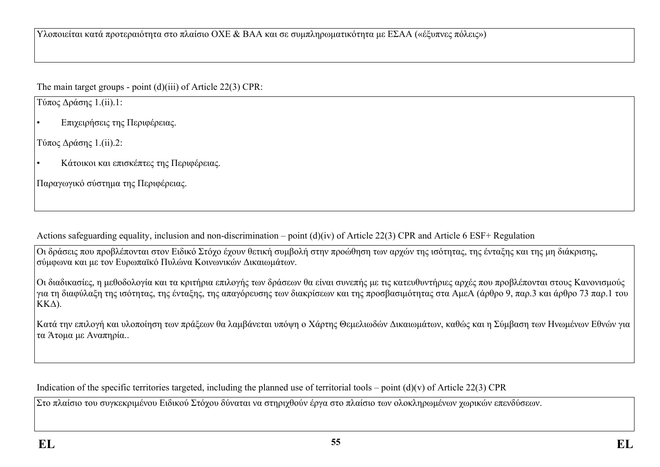Υλοποιείται κατά προτεραιότητα στο πλαίσιο ΟΧΕ & ΒΑΑ και σε συμπληρωματικότητα με ΕΣΑΑ («έξυπνες πόλεις»)

The main target groups - point (d)(iii) of Article 22(3) CPR:

Τύπος Δράσης 1.(ii).1:

• Επιχειρήσεις της Περιφέρειας.

Τύπος Δράσης 1.(ii).2:

• Κάτοικοι και επισκέπτες της Περιφέρειας.

Παραγωγικό σύστημα της Περιφέρειας.

Actions safeguarding equality, inclusion and non-discrimination – point (d)(iv) of Article 22(3) CPR and Article 6 ESF+ Regulation

Οι δράσεις που προβλέπονται στον Ειδικό Στόχο έχουν θετική συμβολή στην προώθηση των αρχών της ισότητας, της ένταξης και της μη διάκρισης, σύμφωνα και με τον Ευρωπαϊκό Πυλώνα Κοινωνικών Δικαιωμάτων.

Οι διαδικασίες, η μεθοδολογία και τα κριτήρια επιλογής των δράσεων θα είναι συνεπής με τις κατευθυντήριες αρχές που προβλέπονται στους Κανονισμούς για τη διαφύλαξη της ισότητας, της ένταξης, της απαγόρευσης των διακρίσεων και της προσβασιμότητας στα ΑμεΑ (άρθρο 9, παρ.3 και άρθρο 73 παρ.1 του ΚΚΔ).

Κατά την επιλογή και υλοποίηση των πράξεων θα λαμβάνεται υπόψη ο Χάρτης Θεμελιωδών Δικαιωμάτων, καθώς και η Σύμβαση των Ηνωμένων Εθνών για τα Άτομα με Αναπηρία..

Indication of the specific territories targeted, including the planned use of territorial tools – point  $(d)(v)$  of Article 22(3) CPR

Στο πλαίσιο του συγκεκριμένου Ειδικού Στόχου δύναται να στηριχθούν έργα στο πλαίσιο των ολοκληρωμένων χωρικών επενδύσεων.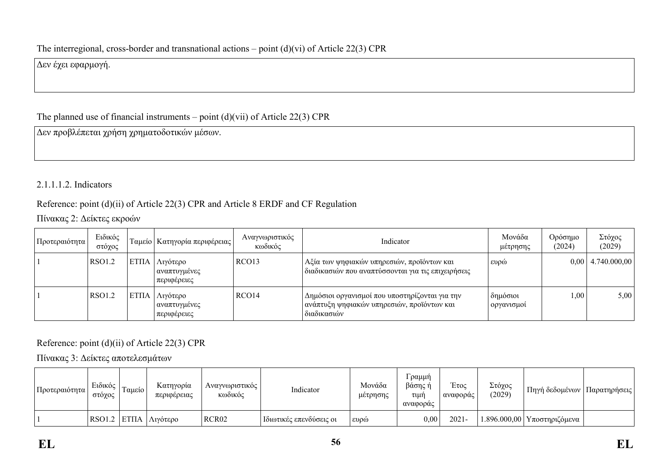Δεν έχει εφαρμογή.

## The planned use of financial instruments – point  $(d)(vii)$  of Article 22(3) CPR

Δεν προβλέπεται χρήση χρηματοδοτικών μέσων.

## 2.1.1.1.2. Indicators

## Reference: point (d)(ii) of Article 22(3) CPR and Article 8 ERDF and CF Regulation

Πίνακας 2: Δείκτες εκροών

| Προτεραιότητα | Ειδικός<br>στόχος |             | Γαμείο   Κατηγορία περιφέρειας          | Αναγνωριστικός<br>κωδικός | Indicator                                                                                                   | Μονάδα<br>μέτρησης       | Ορόσημο<br>(2024) | Στόχος<br>(2029)      |
|---------------|-------------------|-------------|-----------------------------------------|---------------------------|-------------------------------------------------------------------------------------------------------------|--------------------------|-------------------|-----------------------|
|               | RSO1.2            | <b>ΕΤΠΑ</b> | Λιγότερο<br>αναπτυγμένες<br>περιφέρειες | RCO <sub>13</sub>         | Αξία των ψηφιακών υπηρεσιών, προϊόντων και<br>  διαδικασιών που αναπτύσσονται για τις επιχειρήσεις          | ευρώ                     |                   | $0,00$   4.740.000,00 |
|               | RSO1.2            | <b>ΕΤΠΑ</b> | Λιγότερο<br>αναπτυγμένες<br>περιφέρειες | RCO <sub>14</sub>         | Δημόσιοι οργανισμοί που υποστηρίζονται για την<br>ανάπτυξη ψηφιακών υπηρεσιών, προϊόντων και<br>διαδικασιών | δημόσιοι<br>ι οργανισμοί | 1,00              | 5,00                  |

## Reference: point (d)(ii) of Article 22(3) CPR

Πίνακας 3: Δείκτες αποτελεσμάτων

| Προτεραιότητα | Ειδικός<br>στόχος | Tαμείο | Κατηγορία<br>περιφέρειας      | Αναγνωριστικός<br>κωδικός | Indicator               | Μονάδα<br>μέτρησης | ΄ραμμή<br>βάσης ή<br>τιμή<br>αναφοράς | Έτος<br>αναφοράς | Στόχος<br>(2029) | Πηγή δεδομένων                               | Παρατηρήσεις |
|---------------|-------------------|--------|-------------------------------|---------------------------|-------------------------|--------------------|---------------------------------------|------------------|------------------|----------------------------------------------|--------------|
|               |                   |        | RSO1.2 ETΠA $\Lambda$ ιγότερο | RCR <sub>02</sub>         | Ιδιωτικές επενδύσεις οι | ι ευρώ             | $0.00\,$                              | $2021 -$         |                  | $1.896.000,00$   Υποστηριζόμενα <sup> </sup> |              |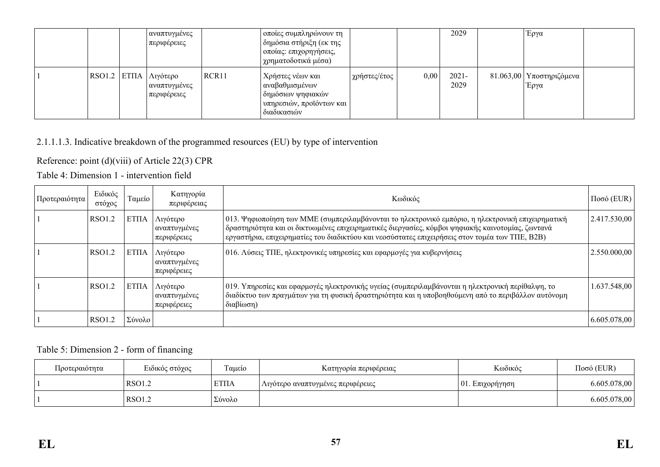|  | αναπτυγμένες<br>περιφέρειες                                 |       | οποίες συμπληρώνουν τη<br>δημόσια στήριξη (εκ της<br>οποίας: επιχορηγήσεις,<br>χρηματοδοτικά μέσα)      |              |      | 2029             | Έργα                               |  |
|--|-------------------------------------------------------------|-------|---------------------------------------------------------------------------------------------------------|--------------|------|------------------|------------------------------------|--|
|  | RSO1.2   ΕΤΠΑ   Λιγότερο<br>  αναπτυγμένες  <br>περιφέρειες | RCR11 | Χρήστες νέων και<br>  αναβαθμισμένων  <br>δημόσιων ψηφιακών-<br>υπηρεσιών, προϊόντων και<br>διαδικασιών | χρήστες/έτος | 0,00 | $2021 -$<br>2029 | 81.063,00   Υποστηριζόμενα<br>Έργα |  |

## 2.1.1.1.3. Indicative breakdown of the programmed resources (EU) by type of intervention

## Reference: point (d)(viii) of Article 22(3) CPR

#### Table 4: Dimension 1 - intervention field

| Προτεραιότητα | Ειδικός<br>στόχος | Ταμείο      | Κατηγορία<br>περιφέρειας                | Κωδικός                                                                                                                                                                                                                                                                                                   | $\Pi$ οσό (EUR) |
|---------------|-------------------|-------------|-----------------------------------------|-----------------------------------------------------------------------------------------------------------------------------------------------------------------------------------------------------------------------------------------------------------------------------------------------------------|-----------------|
|               | RSO1.2            | <b>ΕΤΠΑ</b> | Λιγότερο<br>αναπτυγμένες<br>περιφέρειες | 013. Ψηφιοποίηση των ΜΜΕ (συμπεριλαμβάνονται το ηλεκτρονικό εμπόριο, η ηλεκτρονική επιχειρηματική<br>δραστηριότητα και οι δικτυωμένες επιχειρηματικές διεργασίες, κόμβοι ψηφιακής καινοτομίας, ζωντανά<br>εργαστήρια, επιχειρηματίες του διαδικτύου και νεοσύστατες επιχειρήσεις στον τομέα των ΤΠΕ, Β2Β) | 2.417.530,00    |
|               | <b>RSO1.2</b>     | <b>ΕΤΠΑ</b> | Λιγότερο<br>αναπτυγμένες<br>περιφέρειες | 016. Λύσεις ΤΠΕ, ηλεκτρονικές υπηρεσίες και εφαρμογές για κυβερνήσεις                                                                                                                                                                                                                                     | 2.550.000,00    |
|               | RSO1.2            | <b>ΕΤΠΑ</b> | Λιγότερο<br>αναπτυγμένες<br>περιφέρειες | 019. Υπηρεσίες και εφαρμογές ηλεκτρονικής υγείας (συμπεριλαμβάνονται η ηλεκτρονική περίθαλψη, το<br>διαδίκτυο των πραγμάτων για τη φυσική δραστηριότητα και η υποβοηθούμενη από το περιβάλλον αυτόνομη<br>διαβίωση)                                                                                       | 1.637.548,00    |
|               | <b>RSO1.2</b>     | Σύνολο      |                                         |                                                                                                                                                                                                                                                                                                           | 6.605.078,00    |

## Table 5: Dimension 2 - form of financing

| Προτεραιότητα | Ειδικός στόχος | Ταμείο      | Κατηγορία περιφέρειας             | Κωδικός         | $Ποσό$ (EUR) |
|---------------|----------------|-------------|-----------------------------------|-----------------|--------------|
|               | RSO1.2         | <b>ΈΤΠΑ</b> | Λιγότερο αναπτυγμένες περιφέρειες | 01. Eπιχορήγηση | 6.605.078,00 |
|               | RSO1.2         | Σύνολο      |                                   |                 | 6.605.078,00 |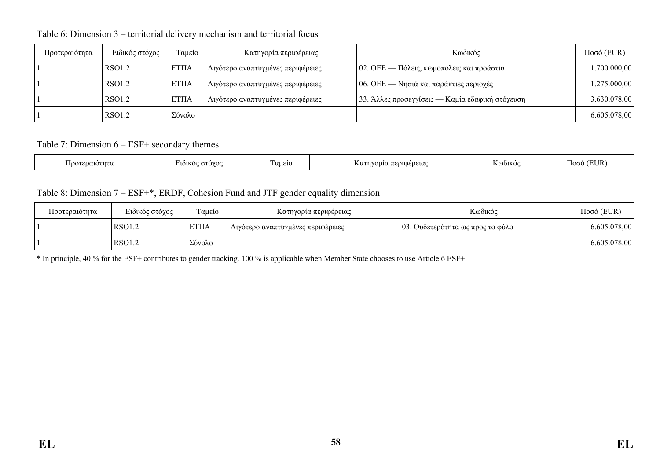| Προτεραιότητα | Ειδικός στόχος | Ταμείο       | Κατηγορία περιφέρειας             | Κωδικός                                         | $Ποσό$ (EUR) |
|---------------|----------------|--------------|-----------------------------------|-------------------------------------------------|--------------|
|               | RSO1.2         | <b>ETIIA</b> | Λιγότερο αναπτυγμένες περιφέρειες | 02. ΟΕΕ — Πόλεις, κωμοπόλεις και προάστια       | .700.000,00  |
|               | RSO1.2         | <b>ETIIA</b> | Λιγότερο αναπτυγμένες περιφέρειες | $ 06.$ ΟΕΕ — Νησιά και παράκτιες περιοχές       | 1.275.000,00 |
|               | RSO1.2         | <b>ETIIA</b> | Λιγότερο αναπτυγμένες περιφέρειες | 33. Άλλες προσεγγίσεις — Καμία εδαφική στόχευση | 3.630.078,00 |
|               | RSO1.2         | Σύνολο       |                                   |                                                 | 6.605.078,00 |

Table 6: Dimension 3 – territorial delivery mechanism and territorial focus

Table 7: Dimension 6 – ESF+ secondary themes

| .wtnto<br>`IOv | <b>GTOYO</b><br>7101K<br>. . | $\sim$<br>™u£10<br>7.I I | COELOC.<br>----<br>. . | K (001.KOC | TR.<br>ഥസ |
|----------------|------------------------------|--------------------------|------------------------|------------|-----------|
|----------------|------------------------------|--------------------------|------------------------|------------|-----------|

Table 8: Dimension 7 – ESF+\*, ERDF, Cohesion Fund and JTF gender equality dimension

| Προτεραιότητα | Ειδικός στόχος | $\sim$<br>Γαμείο | Κατηγορία περιφέρειας             | Κωδικός                          | $Ποσό$ (EUR) |
|---------------|----------------|------------------|-----------------------------------|----------------------------------|--------------|
|               | <b>RSO1.2</b>  | <b>ΕΤΠΑ</b>      | Λιγότερο αναπτυγμένες περιφέρειες | 03. Ουδετερότητα ως προς το φύλο | 6.605.078,00 |
|               | <b>RSO1.2</b>  | ' Σύνολο         |                                   |                                  | 6.605.078,00 |

\* In principle, 40 % for the ESF+ contributes to gender tracking. 100 % is applicable when Member State chooses to use Article 6 ESF+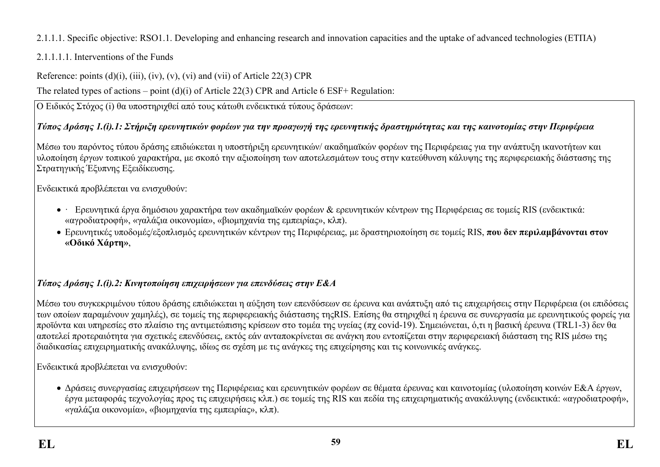## 2.1.1.1. Specific objective: RSO1.1. Developing and enhancing research and innovation capacities and the uptake of advanced technologies (ΕΤΠΑ)

## 2.1.1.1.1. Interventions of the Funds

Reference: points  $(d)(i)$ ,  $(iii)$ ,  $(iv)$ ,  $(v)$ ,  $(vi)$  and  $(vii)$  of Article 22(3) CPR

The related types of actions – point (d)(i) of Article 22(3) CPR and Article 6 ESF+ Regulation:

Ο Ειδικός Στόχος (i) θα υποστηριχθεί από τους κάτωθι ενδεικτικά τύπους δράσεων:

## Τύπος Δράσης 1.(i).1: Στήριξη ερευνητικών φορέων για την προαγωγή της ερευνητικής δραστηριότητας και της καινοτομίας στην Περιφέρεια

Μέσω του παρόντος τύπου δράσης επιδιώκεται η υποστήριξη ερευνητικών/ ακαδημαϊκών φορέων της Περιφέρειας για την ανάπτυξη ικανοτήτων και υλοποίηση έργων τοπικού χαρακτήρα, με σκοπό την αξιοποίηση των αποτελεσμάτων τους στην κατεύθυνση κάλυψης της περιφερειακής διάστασης της Στρατηγικής Έξυπνης Εξειδίκευσης.

Ενδεικτικά προβλέπεται να ενισχυθούν:

- · Ερευνητικά έργα δημόσιου χαρακτήρα των ακαδημαϊκών φορέων & ερευνητικών κέντρων της Περιφέρειας σε τομείς RIS (ενδεικτικά: «αγροδιατροφή», «γαλάζια οικονομία», «βιομηχανία της εμπειρίας», κλπ).
- Ερευνητικές υποδομές/εξοπλισμός ερευνητικών κέντρων της Περιφέρειας, με δραστηριοποίηση σε τομείς RIS, **που δεν περιλαμβάνονται στον «Οδικό Χάρτη»**,

# *Τύπος Δράσης 1.(i).2: Κινητοποίηση επιχειρήσεων για επενδύσεις στην Ε&Α*

Μέσω του συγκεκριμένου τύπου δράσης επιδιώκεται η αύξηση των επενδύσεων σε έρευνα και ανάπτυξη από τις επιχειρήσεις στην Περιφέρεια (οι επιδόσεις των οποίων παραμένουν χαμηλές), σε τομείς της περιφερειακής διάστασης τηςRIS. Επίσης θα στηριχθεί η έρευνα σε συνεργασία με ερευνητικούς φορείς για προϊόντα και υπηρεσίες στο πλαίσιο της αντιμετώπισης κρίσεων στο τομέα της υγείας (πχ covid-19). Σημειώνεται, ό,τι η βασική έρευνα (TRL1-3) δεν θα αποτελεί προτεραιότητα για σχετικές επενδύσεις, εκτός εάν ανταποκρίνεται σε ανάγκη που εντοπίζεται στην περιφερειακή διάσταση της RIS μέσω της διαδικασίας επιχειρηματικής ανακάλυψης, ιδίως σε σχέση με τις ανάγκες της επιχείρησης και τις κοινωνικές ανάγκες.

Ενδεικτικά προβλέπεται να ενισχυθούν:

 Δράσεις συνεργασίας επιχειρήσεων της Περιφέρειας και ερευνητικών φορέων σε θέματα έρευνας και καινοτομίας (υλοποίηση κοινών Ε&Α έργων, έργα μεταφοράς τεχνολογίας προς τις επιχειρήσεις κλπ.) σε τομείς της RIS και πεδία της επιχειρηματικής ανακάλυψης (ενδεικτικά: «αγροδιατροφή», «γαλάζια οικονομία», «βιομηχανία της εμπειρίας», κλπ).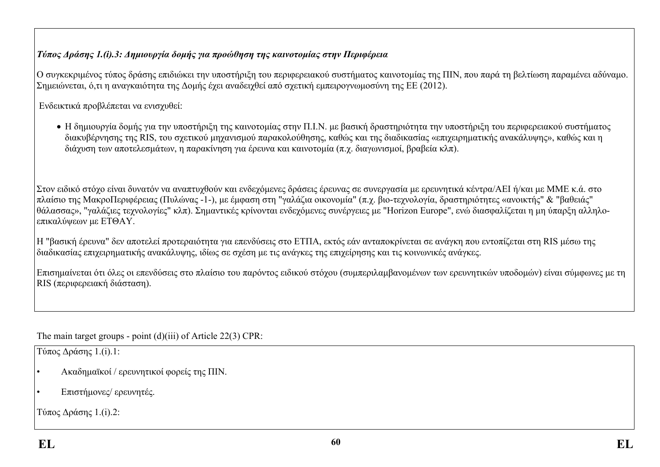## *Τύπος Δράσης 1.(i).3: Δημιουργία δομής για προώθηση της καινοτομίας στην Περιφέρεια*

Ο συγκεκριμένος τύπος δράσης επιδιώκει την υποστήριξη του περιφερειακού συστήματος καινοτομίας της ΠΙΝ, που παρά τη βελτίωση παραμένει αδύναμο. Σημειώνεται, ό,τι η αναγκαιότητα της Δομής έχει αναδειχθεί από σχετική εμπειρογνωμοσύνη της ΕΕ (2012).

Ενδεικτικά προβλέπεται να ενισχυθεί:

 Η δημιουργία δομής για την υποστήριξη της καινοτομίας στην Π.Ι.Ν. με βασική δραστηριότητα την υποστήριξη του περιφερειακού συστήματος διακυβέρνησης της RIS, του σχετικού μηχανισμού παρακολούθησης, καθώς και της διαδικασίας «επιχειρηματικής ανακάλυψης», καθώς και η διάχυση των αποτελεσμάτων, η παρακίνηση για έρευνα και καινοτομία (π.χ. διαγωνισμοί, βραβεία κλπ).

Στον ειδικό στόχο είναι δυνατόν να αναπτυχθούν και ενδεχόμενες δράσεις έρευνας σε συνεργασία με ερευνητικά κέντρα/ΑΕΙ ή/και με ΜΜΕ κ.ά. στο πλαίσιο της ΜακροΠεριφέρειας (Πυλώνας -1-), με έμφαση στη "γαλάζια οικονομία" (π.χ. βιο-τεχνολογία, δραστηριότητες «ανοικτής" & "βαθειάς" θάλασσας», "γαλάζιες τεχνολογίες" κλπ). Σημαντικές κρίνονται ενδεχόμενες συνέργειες με "Horizon Europe", ενώ διασφαλίζεται η μη ύπαρξη αλληλοεπικαλύψεων με ΕΤΘΑΥ.

Η "βασική έρευνα" δεν αποτελεί προτεραιότητα για επενδύσεις στο ΕΤΠΑ, εκτός εάν ανταποκρίνεται σε ανάγκη που εντοπίζεται στη RIS μέσω της διαδικασίας επιχειρηματικής ανακάλυψης, ιδίως σε σχέση με τις ανάγκες της επιχείρησης και τις κοινωνικές ανάγκες.

Επισημαίνεται ότι όλες οι επενδύσεις στο πλαίσιο του παρόντος ειδικού στόχου (συμπεριλαμβανομένων των ερευνητικών υποδομών) είναι σύμφωνες με τη RIS (περιφερειακή διάσταση).

The main target groups - point (d)(iii) of Article 22(3) CPR:

Τύπος Δράσης 1.(i).1:

- Ακαδημαϊκοί / ερευνητικοί φορείς της ΠΙΝ.
- Επιστήμονες/ ερευνητές.

Τύπος Δράσης 1.(i).2: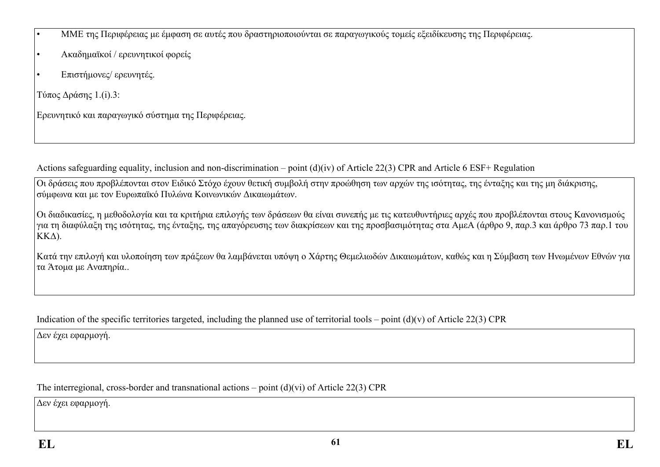• ΜΜΕ της Περιφέρειας με έμφαση σε αυτές που δραστηριοποιούνται σε παραγωγικούς τομείς εξειδίκευσης της Περιφέρειας.

- Ακαδημαϊκοί / ερευνητικοί φορείς
- Επιστήμονες/ ερευνητές.

Τύπος Δράσης 1.(i).3:

Ερευνητικό και παραγωγικό σύστημα της Περιφέρειας.

Actions safeguarding equality, inclusion and non-discrimination – point (d)(iv) of Article 22(3) CPR and Article 6 ESF+ Regulation

Οι δράσεις που προβλέπονται στον Ειδικό Στόχο έχουν θετική συμβολή στην προώθηση των αρχών της ισότητας, της ένταξης και της μη διάκρισης, σύμφωνα και με τον Ευρωπαϊκό Πυλώνα Κοινωνικών Δικαιωμάτων.

Οι διαδικασίες, η μεθοδολογία και τα κριτήρια επιλογής των δράσεων θα είναι συνεπής με τις κατευθυντήριες αρχές που προβλέπονται στους Κανονισμούς για τη διαφύλαξη της ισότητας, της ένταξης, της απαγόρευσης των διακρίσεων και της προσβασιμότητας στα ΑμεΑ (άρθρο 9, παρ.3 και άρθρο 73 παρ.1 του ΚΚΔ).

Κατά την επιλογή και υλοποίηση των πράξεων θα λαμβάνεται υπόψη ο Χάρτης Θεμελιωδών Δικαιωμάτων, καθώς και η Σύμβαση των Ηνωμένων Εθνών για τα Άτομα με Αναπηρία..

Indication of the specific territories targeted, including the planned use of territorial tools – point  $(d)(v)$  of Article 22(3) CPR

Δεν έχει εφαρμογή.

The interregional, cross-border and transnational actions – point (d)(vi) of Article 22(3) CPR

Δεν έχει εφαρμογή.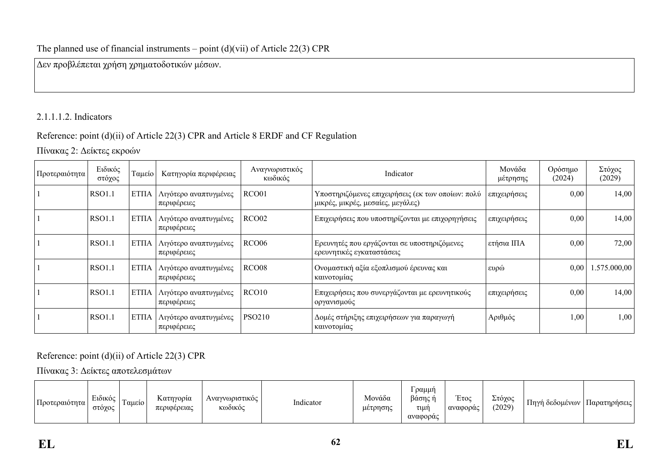### The planned use of financial instruments – point  $(d)(vi)$  of Article 22(3) CPR

Δεν προβλέπεται χρήση χρηματοδοτικών μέσων.

## 2.1.1.1.2. Indicators

## Reference: point (d)(ii) of Article 22(3) CPR and Article 8 ERDF and CF Regulation

Πίνακας 2: Δείκτες εκροών

| Προτεραιότητα | Ειδικός<br>στόχος | Ταμείο      | Κατηγορία περιφέρειας                | Αναγνωριστικός<br>κωδικός | Indicator                                                                              | Μονάδα<br>μέτρησης | Ορόσημο<br>(2024) | Στόχος<br>(2029) |
|---------------|-------------------|-------------|--------------------------------------|---------------------------|----------------------------------------------------------------------------------------|--------------------|-------------------|------------------|
|               | <b>RSO1.1</b>     | <b>ΕΤΠΑ</b> | Λιγότερο αναπτυγμένες<br>περιφέρειες | RCO01                     | Υποστηριζόμενες επιχειρήσεις (εκ των οποίων: πολύ<br>μικρές, μικρές, μεσαίες, μεγάλες) | επιχειρήσεις       | 0,00              | 14,00            |
|               | <b>RSO1.1</b>     | EΤΠΑ        | Λιγότερο αναπτυγμένες<br>περιφέρειες | RCO <sub>02</sub>         | Επιχειρήσεις που υποστηρίζονται με επιχορηγήσεις                                       | επιχειρήσεις       | 0,00              | 14,00            |
|               | <b>RSO1.1</b>     | <b>ΕΤΠΑ</b> | Λιγότερο αναπτυγμένες<br>περιφέρειες | RC006                     | Ερευνητές που εργάζονται σε υποστηριζόμενες<br>ερευνητικές εγκαταστάσεις               | ετήσια ΙΠΑ         | 0,00              | 72,00            |
|               | <b>RSO1.1</b>     | <b>ΕΤΠΑ</b> | Λιγότερο αναπτυγμένες<br>περιφέρειες | RCO <sub>08</sub>         | Ονομαστική αξία εξοπλισμού έρευνας και<br>καινοτομίας                                  | ευρώ               | 0,00              | 1.575.000,00     |
|               | <b>RSO1.1</b>     | <b>ΕΤΠΑ</b> | Λιγότερο αναπτυγμένες<br>περιφέρειες | RCO10                     | Επιχειρήσεις που συνεργάζονται με ερευνητικούς<br>οργανισμούς                          | επιχειρήσεις       | 0,00              | 14,00            |
|               | <b>RSO1.1</b>     | <b>ΕΤΠΑ</b> | Λιγότερο αναπτυγμένες<br>περιφέρειες | <b>PSO210</b>             | Δομές στήριξης επιχειρήσεων για παραγωγή<br>καινοτομίας                                | Αριθμός            | 1,00              | 1,00             |

Reference: point (d)(ii) of Article 22(3) CPR

Πίνακας 3: Δείκτες αποτελεσμάτων

| Προτεραιότητα | $\mathbf{r}$<br>Ειδικός<br>στόχος | Γαμείο ' | Κατηγορία<br>περιφέρειας | Αναγνωριστικός<br>Κωδικός | $\mathbf{r} = \mathbf{r}$<br>Indicator | Μονάδα<br>μέτρησης | ι ραμμή<br>βάσης ι<br>τιμή<br>αναφοράς | $\sqrt{2}$<br>Eτος<br>αναφοράς | Στόχος<br>(2029) | $\overline{ }$<br>. Πηγή δεδομένων | Παρατηρήσεις |
|---------------|-----------------------------------|----------|--------------------------|---------------------------|----------------------------------------|--------------------|----------------------------------------|--------------------------------|------------------|------------------------------------|--------------|
|---------------|-----------------------------------|----------|--------------------------|---------------------------|----------------------------------------|--------------------|----------------------------------------|--------------------------------|------------------|------------------------------------|--------------|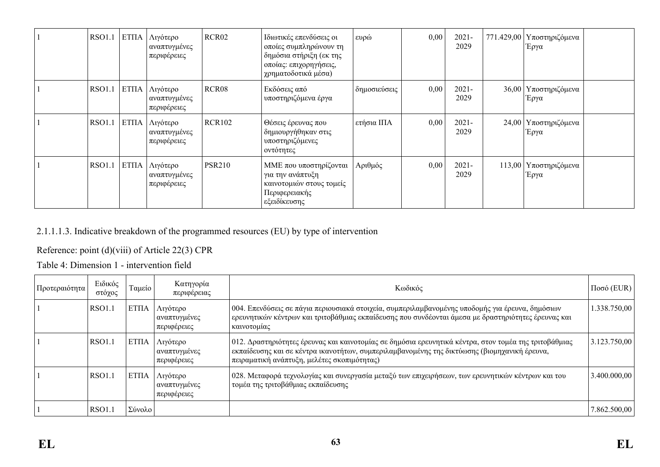| <b>RSO1.1</b> | ETITA | Λιγότερο<br>αναπτυγμένες<br>περιφέρειες        | RCR <sub>02</sub> | Ιδιωτικές επενδύσεις οι<br>οποίες συμπληρώνουν τη<br>δημόσια στήριξη (εκ της<br>οποίας: επιχορηγήσεις,<br>χρηματοδοτικά μέσα) | $\log$       | 0,00 | $2021 -$<br>2029 | 771.429,00 Υποστηριζόμενα<br>Έργα |  |
|---------------|-------|------------------------------------------------|-------------------|-------------------------------------------------------------------------------------------------------------------------------|--------------|------|------------------|-----------------------------------|--|
| <b>RSO1.1</b> | ETITA | Λιγότερο<br>αναπτυγμένες<br>περιφέρειες        | RCR <sub>08</sub> | Εκδόσεις από<br>υποστηριζόμενα έργα                                                                                           | δημοσιεύσεις | 0,00 | $2021 -$<br>2029 | 36,00 Υποστηριζόμενα<br>Έργα      |  |
| <b>RSO1.1</b> |       | ΕΤΠΑ   Λιγότερο<br>αναπτυγμένες<br>περιφέρειες | <b>RCR102</b>     | Θέσεις έρευνας που<br>δημιουργήθηκαν στις<br>υποστηριζόμενες<br>οντότητες                                                     | ετήσια ΙΠΑ   | 0,00 | $2021 -$<br>2029 | 24,00 Υποστηριζόμενα<br>Έργα      |  |
| <b>RSO1.1</b> | ETITA | Λιγότερο<br>αναπτυγμένες<br>περιφέρειες        | <b>PSR210</b>     | ΜΜΕ που υποστηρίζονται<br>για την ανάπτυξη<br>καινοτομιών στους τομείς<br>Περιφερειακής<br>εξειδίκευσης                       | Αριθμός      | 0,00 | $2021 -$<br>2029 | 113,00   Υποστηριζόμενα<br>Έργα   |  |

## 2.1.1.1.3. Indicative breakdown of the programmed resources (EU) by type of intervention

## Reference: point (d)(viii) of Article 22(3) CPR

Table 4: Dimension 1 - intervention field

| Προτεραιότητα | Ειδικός<br>στόχος | Ταμείο       | Κατηγορία<br>περιφέρειας                | Κωδικός                                                                                                                                                                                                                                              | $\vert$ Ποσό (EUR) $\vert$ |
|---------------|-------------------|--------------|-----------------------------------------|------------------------------------------------------------------------------------------------------------------------------------------------------------------------------------------------------------------------------------------------------|----------------------------|
|               | <b>RSO1.1</b>     | <b>ETIIA</b> | Λιγότερο<br>αναπτυγμένες<br>περιφέρειες | 004. Επενδύσεις σε πάγια περιουσιακά στοιχεία, συμπεριλαμβανομένης υποδομής για έρευνα, δημόσιων<br>ερευνητικών κέντρων και τριτοβάθμιας εκπαίδευσης που συνδέονται άμεσα με δραστηριότητες έρευνας και<br>καινοτομίας                               | 1.338.750,00               |
|               | <b>RSO1.1</b>     | <b>ETIIA</b> | Λιγότερο<br>αναπτυγμένες<br>περιφέρειες | 012. Δραστηριότητες έρευνας και καινοτομίας σε δημόσια ερευνητικά κέντρα, στον τομέα της τριτοβάθμιας<br>εκπαίδευσης και σε κέντρα ικανοτήτων, συμπεριλαμβανομένης της δικτύωσης (βιομηχανική έρευνα,<br>πειραματική ανάπτυξη, μελέτες σκοπιμότητας) | 3.123.750,00               |
|               | <b>RSO1.1</b>     | <b>ΕΤΠΑ</b>  | Λιγότερο<br>αναπτυγμένες<br>περιφέρειες | 028. Μεταφορά τεχνολογίας και συνεργασία μεταξύ των επιχειρήσεων, των ερευνητικών κέντρων και του<br>τομέα της τριτοβάθμιας εκπαίδευσης                                                                                                              | 3.400.000,00               |
|               | <b>RSO1.1</b>     | Σύνολο       |                                         |                                                                                                                                                                                                                                                      | 7.862.500,00               |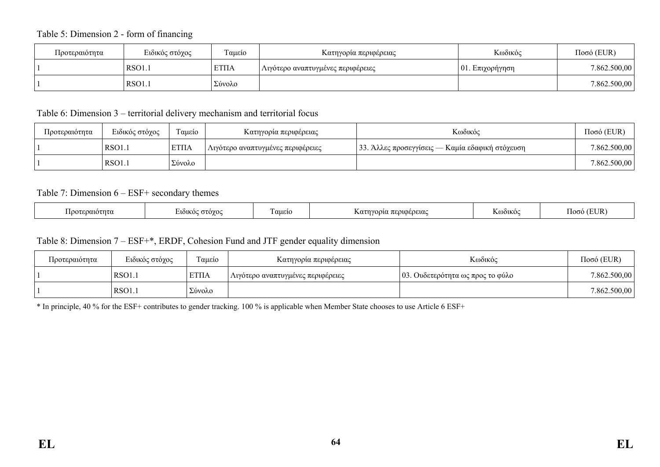#### Table 5: Dimension 2 - form of financing

| Προτεραιότητα | Ειδικός στόχος | Ταμείο      | Κατηγορία περιφέρειας             | Κωδικός             | $Ποσό$ (EUR) |
|---------------|----------------|-------------|-----------------------------------|---------------------|--------------|
|               | $\vert$ RSO1.  | <b>ΕΤΠΑ</b> | Λιγότερο αναπτυγμένες περιφέρειες | $ 01$ . Επιχορήγηση | 7.862.500,00 |
|               | RSO1.          | Σύνολο      |                                   |                     | 7.862.500,00 |

#### Table 6: Dimension 3 – territorial delivery mechanism and territorial focus

| Προτεραιότητα | Ειδικός στόχος | Ταμείο      | Κατηγορία περιφέρειας             | Κωδικός                                         | $Ποσό$ (EUR) |
|---------------|----------------|-------------|-----------------------------------|-------------------------------------------------|--------------|
|               | RSO1.1         | <b>ΈΤΠΑ</b> | Λιγότερο αναπτυγμένες περιφέρειες | 33. Άλλες προσεγγίσεις — Καμία εδαφική στόχευση | 7.862.500,00 |
|               | <b>RSO1.1</b>  | Σύνολο      |                                   |                                                 | 7.862.500,00 |

#### Table 7: Dimension 6 – ESF+ secondary themes

| $\overline{\phantom{a}}$<br>EI IR)<br>$1000^\circ$<br>αμεις<br>$\sim$ $\sim$ $\sim$ $\sim$ $\sim$<br>ารทรย<br>UOEOEUX<br>. יחמר<br>വധ<br>101K<br>DLKO<br>.<br>$\overline{\phantom{a}}$ |  |
|----------------------------------------------------------------------------------------------------------------------------------------------------------------------------------------|--|
|----------------------------------------------------------------------------------------------------------------------------------------------------------------------------------------|--|

#### Table 8: Dimension 7 – ESF+\*, ERDF, Cohesion Fund and JTF gender equality dimension

| Προτεραιότητα | Ειδικός στόχος | Γαμείο       | Κατηγορία περιφέρειας             | Κωδικός                          | $Ποσό$ (EUR) |
|---------------|----------------|--------------|-----------------------------------|----------------------------------|--------------|
|               | <b>RSO1.1</b>  | <b>ETIIA</b> | Λιγότερο αναπτυγμένες περιφέρειες | 03. Ουδετερότητα ως προς το φύλο | 7.862.500,00 |
|               | RSO1.1         | Σύνολο       |                                   |                                  | 7.862.500,00 |

\* In principle, 40 % for the ESF+ contributes to gender tracking. 100 % is applicable when Member State chooses to use Article 6 ESF+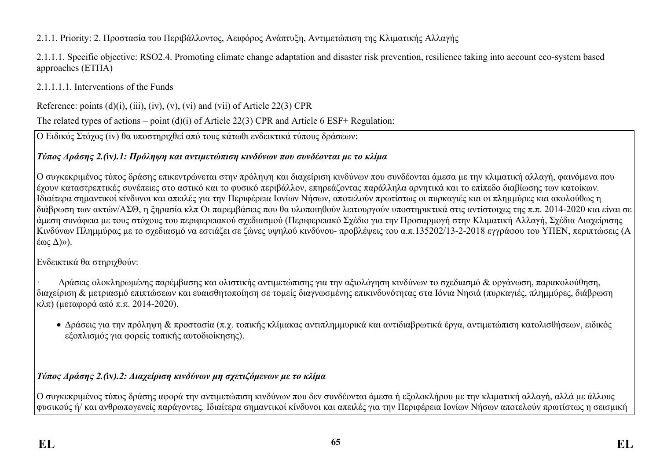2.1.1. Priority: 2. Προστασία του Περιβάλλοντος, Αειφόρος Ανάπτυξη, Αντιμετώπιση της Κλιματικής Αλλαγής

2.1.1.1. Specific objective: RSO2.4. Promoting climate change adaptation and disaster risk prevention, resilience taking into account eco-system based approaches (ΕΤΠΑ)

2.1.1.1.1. Interventions of the Funds

Reference: points  $(d)(i)$ ,  $(iii)$ ,  $(iv)$ ,  $(v)$ ,  $(vi)$  and  $(vii)$  of Article 22(3) CPR

The related types of actions – point (d)(i) of Article 22(3) CPR and Article 6 ESF+ Regulation:

Ο Ειδικός Στόχος (iv) θα υποστηριχθεί από τους κάτωθι ενδεικτικά τύπους δράσεων:

## *Τύπος Δράσης 2.(***iv***).1: Πρόληψη και αντιμετώπιση κινδύνων που συνδέονται με το κλίμα*

Ο συγκεκριμένος τύπος δράσης επικεντρώνεται στην πρόληψη και διαχείριση κινδύνων που συνδέονται άμεσα με την κλιματική αλλαγή, φαινόμενα που έχουν καταστρεπτικές συνέπειες στο αστικό και το φυσικό περιβάλλον, επηρεάζοντας παράλληλα αρνητικά και το επίπεδο διαβίωσης των κατοίκων. Ιδιαίτερα σημαντικοί κίνδυνοι και απειλές για την Περιφέρεια Ιονίων Νήσων, αποτελούν πρωτίστως οι πυρκαγιές και οι πλημμύρες και ακολούθως η διάβρωση των ακτών/ΑΣΘ, η ξηρασία κλπ Οι παρεμβάσεις που θα υλοποιηθούν λειτουργούν υποστηρικτικά στις αντίστοιχες της π.π. 2014-2020 και είναι σε άμεση συνάφεια με τους στόχους του περιφερειακού σχεδιασμού (Περιφερειακό Σχέδιο για την Προσαρμογή στην Κλιματική Αλλαγή, Σχέδια Διαχείρισης Κινδύνων Πλημμύρας με το σχεδιασμό να εστιάζει σε ζώνες υψηλού κινδύνου- προβλέψεις του α.π.135202/13-2-2018 εγγράφου του ΥΠΕΝ, περιπτώσεις (Α έως Δ)»).

Ενδεικτικά θα στηριχθούν:

· Δράσεις ολοκληρωμένης παρέμβασης και ολιστικής αντιμετώπισης για την αξιολόγηση κινδύνων το σχεδιασμό & οργάνωση, παρακολούθηση, διαχείριση & μετριασμό επιπτώσεων και ευαισθητοποίηση σε τομείς διαγνωσμένης επικινδυνότητας στα Ιόνια Νησιά (πυρκαγιές, πλημμύρες, διάβρωση κλπ) (μεταφορά από π.π. 2014-2020).

 Δράσεις για την πρόληψη & προστασία (π.χ. τοπικής κλίμακας αντιπλημμυρικά και αντιδιαβρωτικά έργα, αντιμετώπιση κατολισθήσεων, ειδικός εξοπλισμός για φορείς τοπικής αυτοδιοίκησης).

# *Τύπος Δράσης 2.(***iv***).2: Διαχείριση κινδύνων μη σχετιζόμενων με το κλίμα*

Ο συγκεκριμένος τύπος δράσης αφορά την αντιμετώπιση κινδύνων που δεν συνδέονται άμεσα ή εξολοκλήρου με την κλιματική αλλαγή, αλλά με άλλους φυσικούς ή/ και ανθρωπογενείς παράγοντες. Ιδιαίτερα σημαντικοί κίνδυνοι και απειλές για την Περιφέρεια Ιονίων Νήσων αποτελούν πρωτίστως η σεισμική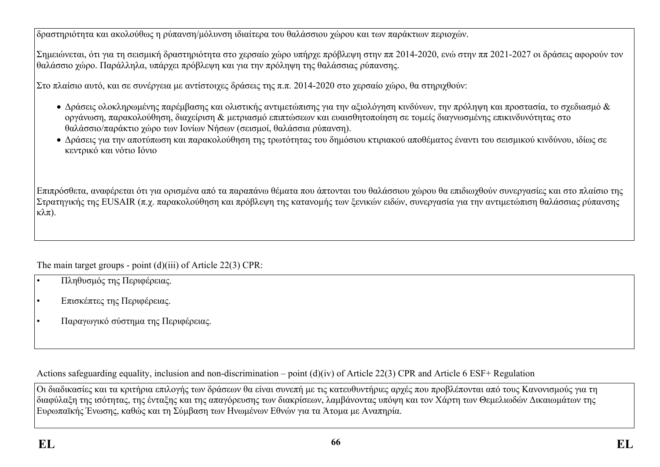δραστηριότητα και ακολούθως η ρύπανση/μόλυνση ιδιαίτερα του θαλάσσιου χώρου και των παράκτιων περιοχών.

Σημειώνεται, ότι για τη σεισμική δραστηριότητα στο χερσαίο χώρο υπήρχε πρόβλεψη στην ππ 2014-2020, ενώ στην ππ 2021-2027 οι δράσεις αφορούν τον θαλάσσιο χώρο. Παράλληλα, υπάρχει πρόβλεψη και για την πρόληψη της θαλάσσιας ρύπανσης.

Στο πλαίσιο αυτό, και σε συνέργεια με αντίστοιχες δράσεις της π.π. 2014-2020 στο χερσαίο χώρο, θα στηριχθούν:

- Δράσεις ολοκληρωμένης παρέμβασης και ολιστικής αντιμετώπισης για την αξιολόγηση κινδύνων, την πρόληψη και προστασία, το σχεδιασμό & οργάνωση, παρακολούθηση, διαχείριση & μετριασμό επιπτώσεων και ευαισθητοποίηση σε τομείς διαγνωσμένης επικινδυνότητας στο θαλάσσιο/παράκτιο χώρο των Ιονίων Νήσων (σεισμοί, θαλάσσια ρύπανση).
- Δράσεις για την αποτύπωση και παρακολούθηση της τρωτότητας του δημόσιου κτιριακού αποθέματος έναντι του σεισμικού κινδύνου, ιδίως σε κεντρικό και νότιο Ιόνιο

Επιπρόσθετα, αναφέρεται ότι για ορισμένα από τα παραπάνω θέματα που άπτονται του θαλάσσιου χώρου θα επιδιωχθούν συνεργασίες και στο πλαίσιο της Στρατηγικής της EUSAIR (π.χ. παρακολούθηση και πρόβλεψη της κατανομής των ξενικών ειδών, συνεργασία για την αντιμετώπιση θαλάσσιας ρύπανσης κλπ).

The main target groups - point (d)(iii) of Article 22(3) CPR:

- Πληθυσμός της Περιφέρειας.
- Επισκέπτες της Περιφέρειας.
- Παραγωγικό σύστημα της Περιφέρειας.

Actions safeguarding equality, inclusion and non-discrimination – point (d)(iv) of Article 22(3) CPR and Article 6 ESF+ Regulation

Οι διαδικασίες και τα κριτήρια επιλογής των δράσεων θα είναι συνεπή με τις κατευθυντήριες αρχές που προβλέπονται από τους Κανονισμούς για τη διαφύλαξη της ισότητας, της ένταξης και της απαγόρευσης των διακρίσεων, λαμβάνοντας υπόψη και τον Χάρτη των Θεμελιωδών Δικαιωμάτων της Ευρωπαϊκής Ένωσης, καθώς και τη Σύμβαση των Ηνωμένων Εθνών για τα Άτομα με Αναπηρία.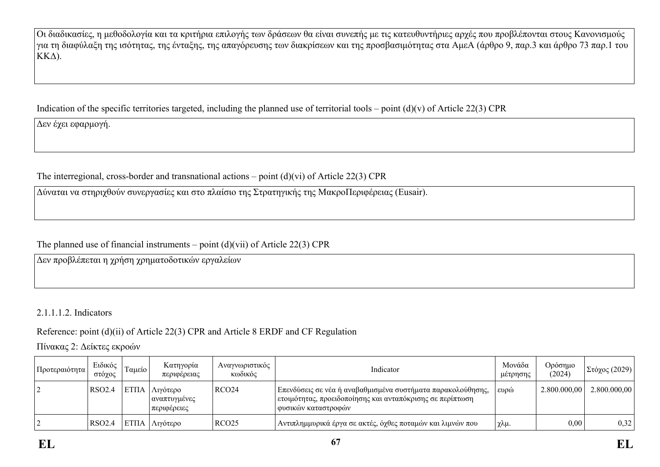Οι διαδικασίες, η μεθοδολογία και τα κριτήρια επιλογής των δράσεων θα είναι συνεπής με τις κατευθυντήριες αρχές που προβλέπονται στους Κανονισμούς για τη διαφύλαξη της ισότητας, της ένταξης, της απαγόρευσης των διακρίσεων και της προσβασιμότητας στα ΑμεΑ (άρθρο 9, παρ.3 και άρθρο 73 παρ.1 του ΚΚΔ).

Indication of the specific territories targeted, including the planned use of territorial tools – point  $(d)(v)$  of Article 22(3) CPR

Δεν έχει εφαρμογή.

The interregional, cross-border and transnational actions – point (d)(vi) of Article 22(3) CPR

Δύναται να στηριχθούν συνεργασίες και στο πλαίσιο της Στρατηγικής της ΜακροΠεριφέρειας (Eusair).

The planned use of financial instruments – point  $(d)(\n{\rm vii})$  of Article 22(3) CPR

Δεν προβλέπεται η χρήση χρηματοδοτικών εργαλείων

2.1.1.1.2. Indicators

Reference: point (d)(ii) of Article 22(3) CPR and Article 8 ERDF and CF Regulation

Πίνακας 2: Δείκτες εκροών

| <sub>ι</sub> Προτεραιότητα | Ειδικός<br>στόχος | Ταμείο       | Κατηγορία<br>περιφέρειας                | Αναγνωριστικός<br>κωδικός | Indicator                                                                                                                                         | Μονάδα<br>μέτρησης | Ορόσημο<br>(2024) | $\left \sum$ τόχος (2029) |
|----------------------------|-------------------|--------------|-----------------------------------------|---------------------------|---------------------------------------------------------------------------------------------------------------------------------------------------|--------------------|-------------------|---------------------------|
|                            | RSO2.4            | <b>ETIIA</b> | Λιγότερο<br>αναπτυγμένες<br>περιφέρειες | RCO <sub>24</sub>         | Επενδύσεις σε νέα ή αναβαθμισμένα συστήματα παρακολούθησης,<br>' ετοιμότητας, προειδοποίησης και ανταπόκρισης σε περίπτωση<br>φυσικών καταστροφών | ευρώ               | 2.800,000,00      | 2.800.000,00              |
|                            | RSO2.4            | EΤΠΑ         | Λιγότερο                                | RCO <sub>25</sub>         | Αντιπλημμυρικά έργα σε ακτές, όχθες ποταμών και λιμνών που                                                                                        | ' χλμ.             | 0,00              | 0,32                      |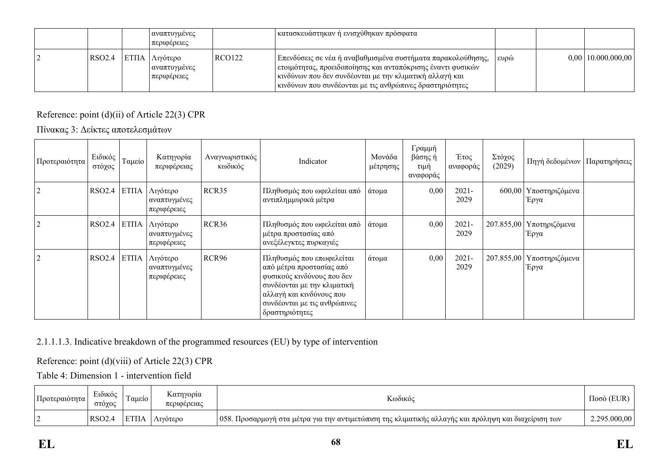|        | αναπτυγμένες <br>ι περιφέρειες                     |        | κατασκευάστηκαν ή ενισχύθηκαν πρόσφατα                                                                                                                                                                                                                    |      |                        |
|--------|----------------------------------------------------|--------|-----------------------------------------------------------------------------------------------------------------------------------------------------------------------------------------------------------------------------------------------------------|------|------------------------|
| RSO2.4 | ΕΤΠΑ   Λιγότερο<br>  αναπτυγμένες<br>  περιφέρειες | RCO122 | Επενδύσεις σε νέα ή αναβαθμισμένα συστήματα παρακολούθησης,<br>  ετοιμότητας, προειδοποίησης και ανταπόκρισης έναντι φυσικών  <br>  κινδύνων που δεν συνδέονται με την κλιματική αλλαγή και<br>  κινδύνων που συνδέονται με τις ανθρώπινες δραστηριότητες | ευρώ | $0,00$   10.000.000,00 |

## Reference: point (d)(ii) of Article 22(3) CPR

Πίνακας 3: Δείκτες αποτελεσμάτων

| Προτεραιότητα  | Ειδικός<br>στόχος | Ταμείο       | Κατηγορία<br>περιφέρειας                | Αναγνωριστικός<br>κωδικός | Indicator                                                                                                                                                                                        | Μονάδα<br>μέτρησης | Γραμμή<br>βάσης ή<br>τιμή<br>αναφοράς | Έτος<br>αναφοράς | Στόχος<br>(2029) | Πηγή δεδομένων                     | Παρατηρήσεις |
|----------------|-------------------|--------------|-----------------------------------------|---------------------------|--------------------------------------------------------------------------------------------------------------------------------------------------------------------------------------------------|--------------------|---------------------------------------|------------------|------------------|------------------------------------|--------------|
| 2              | <b>RSO2.4</b>     | <b>ETITA</b> | Λιγότερο<br>αναπτυγμένες<br>περιφέρειες | RCR35                     | Πληθυσμός που ωφελείται από<br>αντιπλημμυρικά μέτρα                                                                                                                                              | άτομα              | 0,00                                  | $2021 -$<br>2029 | 600,00           | Υποστηριζόμενα<br>Έργα             |              |
| 2              | RSO2.4            | ETITA        | Λιγότερο<br>αναπτυγμένες<br>περιφέρειες | RCR36                     | Πληθυσμός που ωφελείται από<br>μέτρα προστασίας από<br>ανεξέλεγκτες πυρκαγιές                                                                                                                    | <sub>ι</sub> άτομα | 0,00                                  | 2021-<br>2029    |                  | 207.855,00   Υποτηριζόμενα<br>Έργα |              |
| $\overline{2}$ | <b>RSO2.4</b>     | <b>ETITA</b> | Λιγότερο<br>αναπτυγμένες<br>περιφέρειες | RCR <sub>96</sub>         | Πληθυσμός που επωφελείται<br>από μέτρα προστασίας από<br>φυσικούς κινδύνους που δεν<br>συνδέονται με την κλιματική<br>αλλαγή και κινδύνους που<br>συνδέονται με τις ανθρώπινες<br>δραστηριότητες | άτομα              | 0,00                                  | $2021 -$<br>2029 | 207.855,00       | Υποστηριζόμενα<br>Έργα             |              |

## 2.1.1.1.3. Indicative breakdown of the programmed resources (EU) by type of intervention

Reference: point (d)(viii) of Article 22(3) CPR

Table 4: Dimension 1 - intervention field

| Προτεραιότητα | $\mathbf{r}$<br>Ειδικός<br>στοχος | $\sim$<br>$1$ aueto $'$ | Κατηγορία<br>περιφέρειας | $\mathbf{r}$<br>Κωδικός                                                                                  | 'EI ID<br>11000 |
|---------------|-----------------------------------|-------------------------|--------------------------|----------------------------------------------------------------------------------------------------------|-----------------|
|               | RSO <sub>2</sub> .                | -----<br>L 1 1 /        | Λιγοτερο                 | 1058.<br>Προσαρμογή στα μέτρα για την αντιμετώπιση της κλιματικής αλλαγής και πρόληψη και διαχείριση των | .295.000,00     |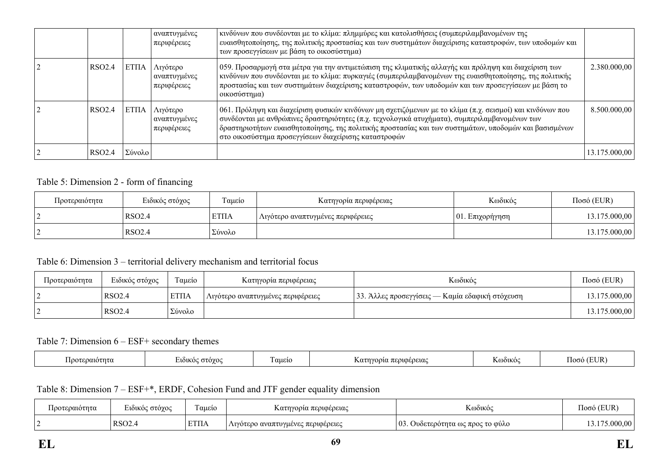|                    |              | αναπτυγμένες<br>περιφέρειες             | κινδύνων που συνδέονται με το κλίμα: πλημμύρες και κατολισθήσεις (συμπεριλαμβανομένων της<br>ευαισθητοποίησης, της πολιτικής προστασίας και των συστημάτων διαχείρισης καταστροφών, των υποδομών και<br>των προσεγγίσεων με βάση το οικοσύστημα)                                                                                                                               |               |
|--------------------|--------------|-----------------------------------------|--------------------------------------------------------------------------------------------------------------------------------------------------------------------------------------------------------------------------------------------------------------------------------------------------------------------------------------------------------------------------------|---------------|
| RSO <sub>2.4</sub> | <b>ΕΤΠΑ</b>  | Λιγότερο<br>αναπτυγμένες<br>περιφέρειες | 059. Προσαρμογή στα μέτρα για την αντιμετώπιση της κλιματικής αλλαγής και πρόληψη και διαχείριση των<br>κινδύνων που συνδέονται με το κλίμα: πυρκαγιές (συμπεριλαμβανομένων της ευαισθητοποίησης, της πολιτικής<br>προστασίας και των συστημάτων διαχείρισης καταστροφών, των υποδομών και των προσεγγίσεων με βάση το<br>οικοσύστημα)                                         | 2.380.000,00  |
| RSO <sub>2.4</sub> | <b>ETIIA</b> | Λιγότερο<br>αναπτυγμένες<br>περιφέρειες | 061. Πρόληψη και διαχείριση φυσικών κινδύνων μη σχετιζόμενων με το κλίμα (π.χ. σεισμοί) και κινδύνων που<br>  συνδέονται με ανθρώπινες δραστηριότητες (π.χ. τεχνολογικά ατυχήματα), συμπεριλαμβανομένων των<br>  δραστηριοτήτων ευαισθητοποίησης, της πολιτικής προστασίας και των συστημάτων, υποδομών και βασισμένων<br>στο οικοσύστημα προσεγγίσεων διαχείρισης καταστροφών | 8.500.000,00  |
| RSO <sub>2.4</sub> | Σύνολο       |                                         |                                                                                                                                                                                                                                                                                                                                                                                | 13.175.000,00 |

### Table 5: Dimension 2 - form of financing

| Προτεραιότητα | Ειδικός στόχος | Γαμείο      | Κατηγορία περιφέρειας             | Κωδικός         | $Ποσό$ (EUR)  |
|---------------|----------------|-------------|-----------------------------------|-----------------|---------------|
| ╺             | RSO2.4         | <b>ΕΤΠΑ</b> | Λιγότερο αναπτυγμένες περιφέρειες | 01. Eπιχορήγηση | 3.175.000,00  |
|               | RSO2.4         | Σύνολο      |                                   |                 | 13.175.000,00 |

#### Table 6: Dimension 3 – territorial delivery mechanism and territorial focus

| Προτεραιότητα | Ειδικός στόχος | Γαμείο       | Κατηγορία περιφέρειας               | Κωδικός                                         | $\Pi$ οσό (EUR) |
|---------------|----------------|--------------|-------------------------------------|-------------------------------------------------|-----------------|
|               | <b>RSO2.4</b>  | <b>ETIIA</b> | ! Λιγότερο αναπτυγμένες περιφέρειες | 33. Άλλες προσεγγίσεις — Καμία εδαφική στόχευση | 13.175.000,00   |
|               | RSO2.4         | Σύνολο       |                                     |                                                 | 13.175.000,00   |

### Table 7: Dimension 6 – ESF+ secondary themes

| . IOO*<br>ιιοτητα | $\sim$ 0.10% $\sim$<br>ിറി¥റ∉<br>$\sim$ | $\overline{\phantom{a}}$<br>αuείo | . περιφερειας<br>.<br>$\sim$<br>. | <b>KOO1KO</b> | TITID<br>ഥന |
|-------------------|-----------------------------------------|-----------------------------------|-----------------------------------|---------------|-------------|
|                   |                                         |                                   |                                   |               |             |

## Table 8: Dimension 7 – ESF+\*, ERDF, Cohesion Fund and JTF gender equality dimension

| Προτεραιότητα | $\mathbf{r}$<br>ιδικός στόγος<br>$\sim$ | $\sim$<br>Ι αμείο    | Κατηγορία περιφέρειας                          | Κωδικό                                       | 'EUR<br>1000 ( |
|---------------|-----------------------------------------|----------------------|------------------------------------------------|----------------------------------------------|----------------|
|               | RSO <sub>2</sub>                        | <b>DOUT</b><br>L HIA | λιγότερο αναπτυγμένες περιφέρειες<br>$1$ L $1$ | 03<br>. Ουδετερότητα ως προς το φύλο-<br>. . | $0.00^+$       |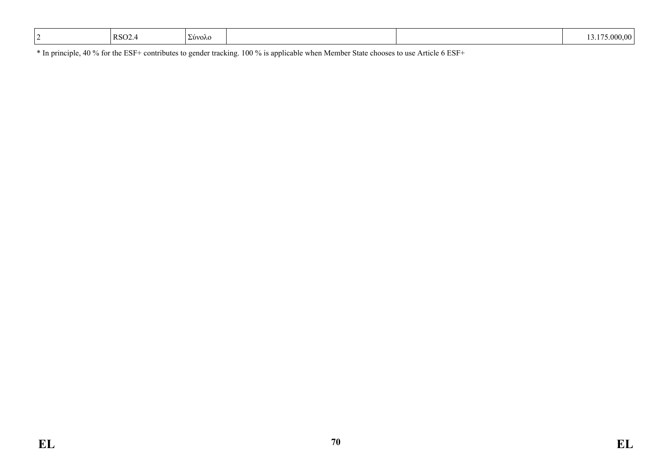| RSO <sub>2</sub><br>Σύνολο | .000.00<br><b>T.</b> |
|----------------------------|----------------------|
|----------------------------|----------------------|

\* In principle, 40 % for the ESF+ contributes to gender tracking. 100 % is applicable when Member State chooses to use Article 6 ESF+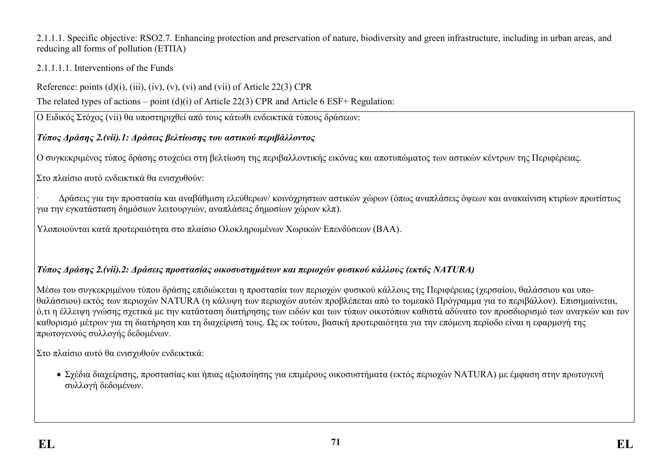#### 2.1.1.1. Specific objective: RSO2.7. Enhancing protection and preservation of nature, biodiversity and green infrastructure, including in urban areas, and reducing all forms of pollution (ΕΤΠΑ)

## 2.1.1.1.1. Interventions of the Funds

Reference: points  $(d)(i)$ ,  $(iii)$ ,  $(iv)$ ,  $(v)$ ,  $(vi)$  and  $(vii)$  of Article 22(3) CPR

The related types of actions – point (d)(i) of Article 22(3) CPR and Article 6 ESF+ Regulation:

Ο Ειδικός Στόχος (vii) θα υποστηριχθεί από τους κάτωθι ενδεικτικά τύπους δράσεων:

# *Τύπος Δράσης 2.(vii).1: Δράσεις βελτίωσης του αστικού περιβάλλοντος*

Ο συγκεκριμένος τύπος δράσης στοχεύει στη βελτίωση της περιβαλλοντικής εικόνας και αποτυπώματος των αστικών κέντρων της Περιφέρειας.

Στο πλαίσιο αυτό ενδεικτικά θα ενισχυθούν:

· Δράσεις για την προστασία και αναβάθμιση ελεύθερων/ κοινόχρηστων αστικών χώρων (όπως αναπλάσεις όψεων και ανακαίνιση κτιρίων πρωτίστως για την εγκατάσταση δημόσιων λειτουργιών, αναπλάσεις δημοσίων χώρων κλπ).

Υλοποιούνται κατά προτεραιότητα στο πλαίσιο Ολοκληρωμένων Χωρικών Επενδύσεων (ΒΑΑ).

# *Τύπος Δράσης 2.(vii).2: Δράσεις προστασίας οικοσυστημάτων και περιοχών φυσικού κάλλους (εκτός NATURA)*

Μέσω του συγκεκριμένου τύπου δράσης επιδιώκεται η προστασία των περιοχών φυσικού κάλλους της Περιφέρειας (χερσαίου, θαλάσσιου και υποθαλάσσιου) εκτός των περιοχών NATURA (η κάλυψη των περιοχών αυτών προβλέπεται από το τομεακό Πρόγραμμα για το περιβάλλον). Επισημαίνεται, ό,τι η έλλειψη γνώσης σχετικά με την κατάσταση διατήρησης των ειδών και των τύπων οικοτόπων καθιστά αδύνατο τον προσδιορισμό των αναγκών και τον καθορισμό μέτρων για τη διατήρηση και τη διαχείρισή τους. Ως εκ τούτου, βασική προτεραιότητα για την επόμενη περίοδο είναι η εφαρμογή της πρωτογενούς συλλογής δεδομένων.

Στο πλαίσιο αυτό θα ενισχυθούν ενδεικτικά:

 Σχέδια διαχείρισης, προστασίας και ήπιας αξιοποίησης για επιμέρους οικοσυστήματα (εκτός περιοχών NATURA) με έμφαση στην πρωτογενή συλλογή δεδομένων.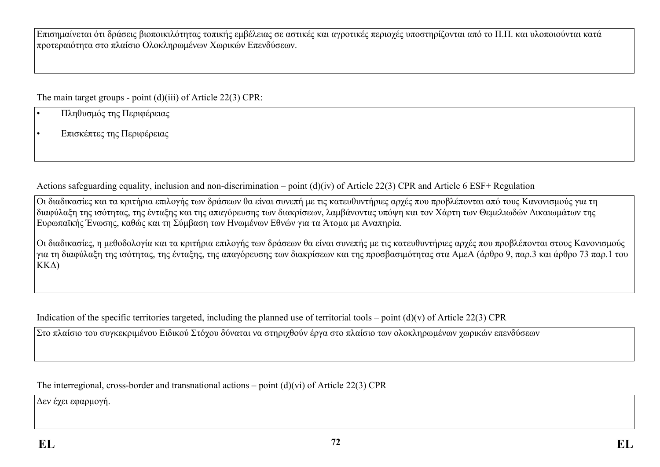Επισημαίνεται ότι δράσεις βιοποικιλότητας τοπικής εμβέλειας σε αστικές και αγροτικές περιοχές υποστηρίζονται από το Π.Π. και υλοποιούνται κατά προτεραιότητα στο πλαίσιο Ολοκληρωμένων Χωρικών Επενδύσεων.

The main target groups - point (d)(iii) of Article 22(3) CPR:

- Πληθυσμός της Περιφέρειας
- Επισκέπτες της Περιφέρειας

Actions safeguarding equality, inclusion and non-discrimination – point (d)(iv) of Article 22(3) CPR and Article 6 ESF+ Regulation

Οι διαδικασίες και τα κριτήρια επιλογής των δράσεων θα είναι συνεπή με τις κατευθυντήριες αρχές που προβλέπονται από τους Κανονισμούς για τη διαφύλαξη της ισότητας, της ένταξης και της απαγόρευσης των διακρίσεων, λαμβάνοντας υπόψη και τον Χάρτη των Θεμελιωδών Δικαιωμάτων της Ευρωπαϊκής Ένωσης, καθώς και τη Σύμβαση των Ηνωμένων Εθνών για τα Άτομα με Αναπηρία.

Οι διαδικασίες, η μεθοδολογία και τα κριτήρια επιλογής των δράσεων θα είναι συνεπής με τις κατευθυντήριες αρχές που προβλέπονται στους Κανονισμούς για τη διαφύλαξη της ισότητας, της ένταξης, της απαγόρευσης των διακρίσεων και της προσβασιμότητας στα ΑμεΑ (άρθρο 9, παρ.3 και άρθρο 73 παρ.1 του ΚΚΔ)

Indication of the specific territories targeted, including the planned use of territorial tools – point  $(d)(v)$  of Article 22(3) CPR

Στο πλαίσιο του συγκεκριμένου Ειδικού Στόχου δύναται να στηριχθούν έργα στο πλαίσιο των ολοκληρωμένων χωρικών επενδύσεων

The interregional, cross-border and transnational actions – point  $(d)(vi)$  of Article 22(3) CPR

Δεν έχει εφαρμογή.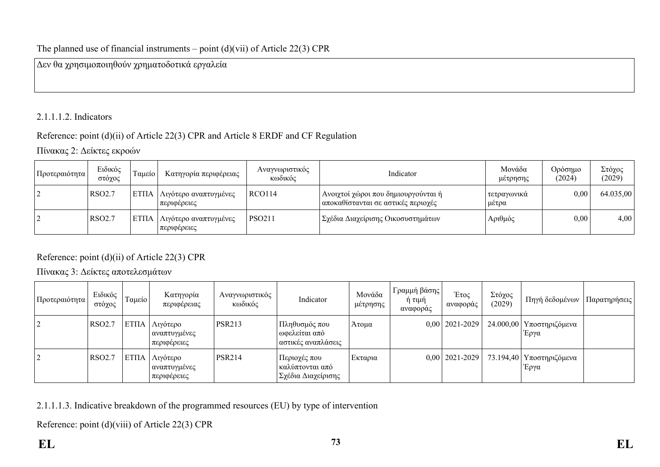### The planned use of financial instruments – point  $(d)(vii)$  of Article 22(3) CPR

Δεν θα χρησιμοποιηθούν χρηματοδοτικά εργαλεία

# 2.1.1.1.2. Indicators

### Reference: point (d)(ii) of Article 22(3) CPR and Article 8 ERDF and CF Regulation

Πίνακας 2: Δείκτες εκροών

| Προτεραιότητα | Ειδικός<br>στόχος  | Γαμείο       | Κατηγορία περιφέρειας                | Αναγνωριστικός<br>κωδικός | Indicator                                                                 | Μονάδα<br>μέτρησης   | Ορόσημο<br>(2024) | Στόχος<br>(2029) |
|---------------|--------------------|--------------|--------------------------------------|---------------------------|---------------------------------------------------------------------------|----------------------|-------------------|------------------|
|               | RSO <sub>2.7</sub> | <b>ΕΤΠΑ</b>  | Λιγότερο αναπτυγμένες<br>περιφέρειες | RCO114                    | Ανοιχτοί χώροι που δημιουργούνται ή<br>αποκαθίστανται σε αστικές περιοχές | τετραγωνικά<br>μέτρα | 0,00              | 64.035,00        |
|               | <b>RSO2.7</b>      | <b>ETIIA</b> | Λιγότερο αναπτυγμένες<br>περιφέρειες | <b>PSO211</b>             | Σχέδια Διαχείρισης Οικοσυστημάτων                                         | Αριθμός              | 0,00              | 4,00             |

Reference: point (d)(ii) of Article 22(3) CPR

Πίνακας 3: Δείκτες αποτελεσμάτων

| Προτεραιότητα  | Ειδικός<br>στόχος | Ταμείο      | Κατηγορία<br>περιφέρειας                   | Αναγνωριστικός<br>κωδικός | Indicator                                             | Μονάδα<br>μέτρησης | Γραμμή βάσης<br>ή τιμή<br>αναφοράς | Έτος<br>αναφοράς   | Στόχος<br>(2029) | Πηγή δεδομένων   Παρατηρήσεις      |  |
|----------------|-------------------|-------------|--------------------------------------------|---------------------------|-------------------------------------------------------|--------------------|------------------------------------|--------------------|------------------|------------------------------------|--|
| $\overline{2}$ | <b>RSO2.7</b>     | <b>ΕΤΠΑ</b> | Λιγότερο<br>  αναπτυγμένες <br>περιφέρειες | <b>PSR213</b>             | Πληθυσμός που<br>ωφελείται από<br>αστικές αναπλάσεις  | Άτομα              |                                    | $0,00$   2021-2029 |                  | 24.000,00   Υποστηριζόμενα<br>Έργα |  |
| 2              | <b>RSO2.7</b>     | <b>ΕΤΠΑ</b> | Λιγότερο<br>  αναπτυγμένες<br>περιφέρειες  | <b>PSR214</b>             | Περιοχές που<br>καλύπτονται από<br>Σχέδια Διαχείρισης | Εκταρια            |                                    | $0,00$   2021-2029 |                  | 73.194,40   Υποστηριζόμενα<br>Έργα |  |

2.1.1.1.3. Indicative breakdown of the programmed resources (EU) by type of intervention

Reference: point (d)(viii) of Article 22(3) CPR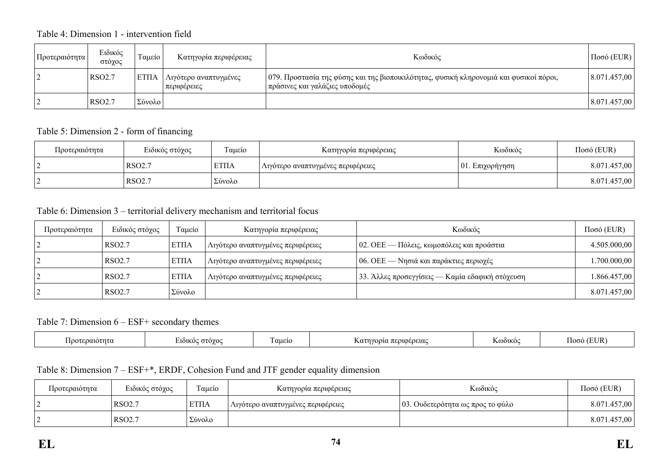## Table 4: Dimension 1 - intervention field

| Προτεραιότητα | Ειδικός<br>στόχος  | Γαμείο       | Κατηγορία περιφέρειας                  | Κωδικός                                                                                                                    | $\vert$ Ποσό (EUR) $\vert$ |
|---------------|--------------------|--------------|----------------------------------------|----------------------------------------------------------------------------------------------------------------------------|----------------------------|
|               | RSO <sub>2.7</sub> | <b>ETIIA</b> | Λιγότερο αναπτυγμένες<br>  περιφέρειες | 079. Προστασία της φύσης και της βιοποικιλότητας, φυσική κληρονομιά και φυσικοί πόροι,<br>  πράσινες και γαλάζιες υποδομές | 8.071.457,00               |
|               | RSO <sub>2.7</sub> | Σύνολο       |                                        |                                                                                                                            | 8.071.457,00               |

### Table 5: Dimension 2 - form of financing

| Προτεραιότητα | Ειδικός στόχος     | Ταμείο      | Κατηγορία περιφέρειας             | Κωδικός             | $Ποσό$ (EUR) |
|---------------|--------------------|-------------|-----------------------------------|---------------------|--------------|
|               | RSO <sub>2.7</sub> | <b>ΕΤΠΑ</b> | Λιγότερο αναπτυγμένες περιφέρειες | $ 01$ . Επιχορήγηση | 8.071.457,00 |
|               | RSO2.7             | Σύνολο      |                                   |                     | 8.071.457,00 |

### Table 6: Dimension 3 – territorial delivery mechanism and territorial focus

| Προτεραιότητα | Ειδικός στόχος     | Ταμείο       | Κατηγορία περιφέρειας             | Κωδικός                                           | $Ποσό$ (EUR) |
|---------------|--------------------|--------------|-----------------------------------|---------------------------------------------------|--------------|
|               | RSO <sub>2.7</sub> | <b>ETIIA</b> | Αιγότερο αναπτυγμένες περιφέρειες | $\vert$ 02. ΟΕΕ — Πόλεις, κωμοπόλεις και προάστια | 4.505.000,00 |
|               | RSO <sub>2.7</sub> | <b>ΕΤΠΑ</b>  | Λιγότερο αναπτυγμένες περιφέρειες | $\sim$ 06. OEE — Νησιά και παράκτιες περιοχές     | .700.000,00  |
|               | <b>RSO2.7</b>      | <b>ΕΤΠΑ</b>  | Λιγότερο αναπτυγμένες περιφέρειες | 33. Άλλες προσεγγίσεις — Καμία εδαφική στόχευση   | 1.866.457,00 |
|               | RSO <sub>2.7</sub> | Σύνολο       |                                   |                                                   | 8.071.457,00 |

#### Table 7: Dimension 6 – ESF+ secondary themes

| ' αμείς<br>$\sim$ $\sim$ $\sim$ $\sim$ $\sim$ $\sim$<br>Ποοτε<br>.wo⁄<br>rt nu<br>лын | 3010000101<br>$\mathcal{L}$ $U$ $U$ $V$<br>cuciu<br>766.LZM | S@òiko | TITD<br>ിറയ<br>$\overline{\phantom{a}}$ |
|---------------------------------------------------------------------------------------|-------------------------------------------------------------|--------|-----------------------------------------|
|---------------------------------------------------------------------------------------|-------------------------------------------------------------|--------|-----------------------------------------|

## Table 8: Dimension 7 – ESF+\*, ERDF, Cohesion Fund and JTF gender equality dimension

| Προτεραιότητα | Ειδικός στόχος     | $\sim$<br>Γαμείο | Κατηγορία περιφέρειας             | Κωδικός                          | $Ποσό$ (EUR) |
|---------------|--------------------|------------------|-----------------------------------|----------------------------------|--------------|
|               | RSO <sub>2.7</sub> | <b>ΈΤΠΑ</b>      | Λιγότερο αναπτυγμένες περιφέρειες | 03. Ουδετερότητα ως προς το φύλο | 8.071.457,00 |
|               | RSO <sub>2.7</sub> | Σύνολο           |                                   |                                  | 8.071.457,00 |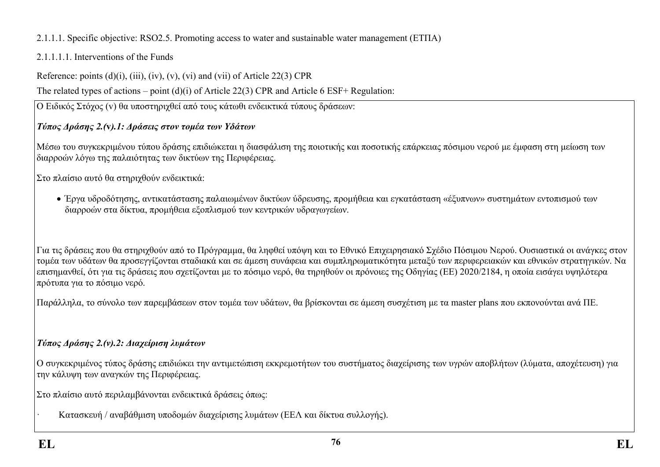# 2.1.1.1. Specific objective: RSO2.5. Promoting access to water and sustainable water management (ΕΤΠΑ)

# 2.1.1.1.1. Interventions of the Funds

Reference: points  $(d)(i)$ ,  $(iii)$ ,  $(iv)$ ,  $(v)$ ,  $(vi)$  and  $(vii)$  of Article 22(3) CPR

The related types of actions – point (d)(i) of Article 22(3) CPR and Article 6 ESF+ Regulation:

Ο Ειδικός Στόχος (v) θα υποστηριχθεί από τους κάτωθι ενδεικτικά τύπους δράσεων:

# *Τύπος Δράσης 2.(***v***).1: Δράσεις στον τομέα των Υδάτων*

Μέσω του συγκεκριμένου τύπου δράσης επιδιώκεται η διασφάλιση της ποιοτικής και ποσοτικής επάρκειας πόσιμου νερού με έμφαση στη μείωση των διαρροών λόγω της παλαιότητας των δικτύων της Περιφέρειας.

Στο πλαίσιο αυτό θα στηριχθούν ενδεικτικά:

 Έργα υδροδότησης, αντικατάστασης παλαιωμένων δικτύων ύδρευσης, προμήθεια και εγκατάσταση «έξυπνων» συστημάτων εντοπισμού των διαρροών στα δίκτυα, προμήθεια εξοπλισμού των κεντρικών υδραγωγείων.

Για τις δράσεις που θα στηριχθούν από το Πρόγραμμα, θα ληφθεί υπόψη και το Εθνικό Επιχειρησιακό Σχέδιο Πόσιμου Νερού. Ουσιαστικά οι ανάγκες στον τομέα των υδάτων θα προσεγγίζονται σταδιακά και σε άμεση συνάφεια και συμπληρωματικότητα μεταξύ των περιφερειακών και εθνικών στρατηγικών. Να επισημανθεί, ότι για τις δράσεις που σχετίζονται με το πόσιμο νερό, θα τηρηθούν οι πρόνοιες της Οδηγίας (ΕΕ) 2020/2184, η οποία εισάγει υψηλότερα πρότυπα για το πόσιμο νερό.

Παράλληλα, το σύνολο των παρεμβάσεων στον τομέα των υδάτων, θα βρίσκονται σε άμεση συσχέτιση με τα master plans που εκπονούνται ανά ΠΕ.

# *Τύπος Δράσης 2.(v).2: Διαχείριση λυμάτων*

Ο συγκεκριμένος τύπος δράσης επιδιώκει την αντιμετώπιση εκκρεμοτήτων του συστήματος διαχείρισης των υγρών αποβλήτων (λύματα, αποχέτευση) για την κάλυψη των αναγκών της Περιφέρειας.

Στο πλαίσιο αυτό περιλαμβάνονται ενδεικτικά δράσεις όπως:

· Κατασκευή / αναβάθμιση υποδομών διαχείρισης λυμάτων (ΕΕΛ και δίκτυα συλλογής).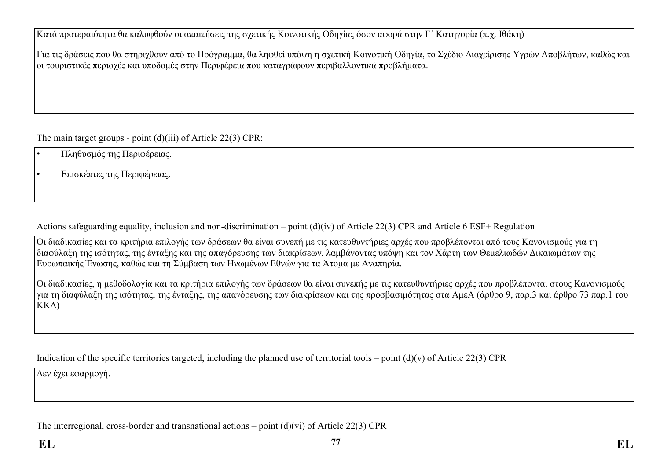Κατά προτεραιότητα θα καλυφθούν οι απαιτήσεις της σχετικής Κοινοτικής Οδηγίας όσον αφορά στην Γ΄ Κατηγορία (π.χ. Ιθάκη)

Για τις δράσεις που θα στηριχθούν από το Πρόγραμμα, θα ληφθεί υπόψη η σχετική Κοινοτική Οδηγία, το Σχέδιο Διαχείρισης Υγρών Αποβλήτων, καθώς και οι τουριστικές περιοχές και υποδομές στην Περιφέρεια που καταγράφουν περιβαλλοντικά προβλήματα.

The main target groups - point (d)(iii) of Article 22(3) CPR:

- Πληθυσμός της Περιφέρειας.
- Επισκέπτες της Περιφέρειας.

Actions safeguarding equality, inclusion and non-discrimination – point (d)(iv) of Article 22(3) CPR and Article 6 ESF+ Regulation

Οι διαδικασίες και τα κριτήρια επιλογής των δράσεων θα είναι συνεπή με τις κατευθυντήριες αρχές που προβλέπονται από τους Κανονισμούς για τη διαφύλαξη της ισότητας, της ένταξης και της απαγόρευσης των διακρίσεων, λαμβάνοντας υπόψη και τον Χάρτη των Θεμελιωδών Δικαιωμάτων της Ευρωπαϊκής Ένωσης, καθώς και τη Σύμβαση των Ηνωμένων Εθνών για τα Άτομα με Αναπηρία.

Οι διαδικασίες, η μεθοδολογία και τα κριτήρια επιλογής των δράσεων θα είναι συνεπής με τις κατευθυντήριες αρχές που προβλέπονται στους Κανονισμούς για τη διαφύλαξη της ισότητας, της ένταξης, της απαγόρευσης των διακρίσεων και της προσβασιμότητας στα ΑμεΑ (άρθρο 9, παρ.3 και άρθρο 73 παρ.1 του ΚΚΔ)

Indication of the specific territories targeted, including the planned use of territorial tools – point  $(d)(v)$  of Article 22(3) CPR

Δεν έχει εφαρμογή.

The interregional, cross-border and transnational actions – point  $(d)(vi)$  of Article 22(3) CPR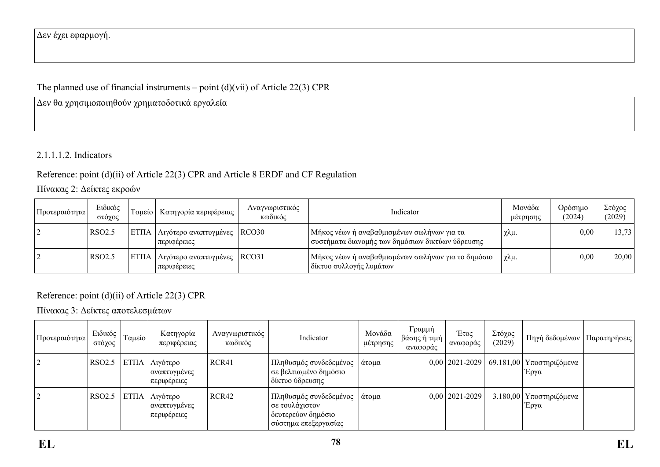## Δεν έχει εφαρμογή.

# The planned use of financial instruments – point  $(d)(vi)$  of Article 22(3) CPR

Δεν θα χρησιμοποιηθούν χρηματοδοτικά εργαλεία

## 2.1.1.1.2. Indicators

# Reference: point (d)(ii) of Article 22(3) CPR and Article 8 ERDF and CF Regulation

# Πίνακας 2: Δείκτες εκροών

| Προτεραιότητα | Ειδικός<br>στόγος  | Tausio | - Κατηγορία περιφέρειας <sup>+</sup>                  | Αναγνωριστικός<br>κωδικός | Indicator                                                                                        | Μονάδα<br>μέτρησης | Ορόσημο<br>(2024) | Στόχος<br>(2029) |
|---------------|--------------------|--------|-------------------------------------------------------|---------------------------|--------------------------------------------------------------------------------------------------|--------------------|-------------------|------------------|
|               | RSO <sub>2.5</sub> |        | ΕΤΠΑ   Λιγότερο αναπτυγμένες   RCO30<br>  περιφέρειες |                           | Μήκος νέων ή αναβαθμισμένων σωλήνων για τα<br>! συστήματα διανομής των δημόσιων δικτύων ύδρευσης | χλμ.               | 0.00              | 13,73            |
|               | RSO <sub>2.5</sub> |        | ΕΤΠΑ   Λιγότερο αναπτυγμένες   RCO31<br>περιφέρειες   |                           | ' Μήκος νέων ή αναβαθμισμένων σωλήνων για το δημόσιο-<br>δίκτυο συλλογής λυμάτων                 | γλμ.               | 0,00              | 20,00            |

## Reference: point (d)(ii) of Article 22(3) CPR

# Πίνακας 3: Δείκτες αποτελεσμάτων

| Προτεραιότητα | Ειδικός<br>στόχος  | Ταμείο      | Κατηγορία<br>περιφέρειας                      | Αναγνωριστικός<br>κωδικός | Indicator                                                                                               | Μονάδα<br>μέτρησης | Γραμμή<br>βάσης ή τιμή  <br>αναφοράς | Έτος<br>αναφοράς   | Στόχος<br>(2029) | Πηγή δεδομένων                     | Παρατηρήσεις |
|---------------|--------------------|-------------|-----------------------------------------------|---------------------------|---------------------------------------------------------------------------------------------------------|--------------------|--------------------------------------|--------------------|------------------|------------------------------------|--------------|
|               | RSO <sub>2.5</sub> | <b>ΕΤΠΑ</b> | Λιγότερο  <br>  αναπτυγμένες  <br>περιφέρειες | RCR41                     | Πληθυσμός συνδεδεμένος<br>σε βελτιωμένο δημόσιο<br>δίκτυο ύδρευσης                                      | άτομα              |                                      | $0,00$   2021-2029 |                  | 69.181,00   Υποστηριζόμενα<br>Έργα |              |
|               | RSO <sub>2.5</sub> | <b>ΕΤΠΑ</b> | Λιγότερο<br>αναπτυγμένες<br>περιφέρειες       | RCR42                     | <sup>ι</sup> Πληθυσμός συνδεδεμένος<br>σε τουλάχιστον<br>δευτερεύον δημόσιο<br>ι σύστημα επεξεργασίας ι | άτομα              |                                      | $0,00$   2021-2029 |                  | 3.180,00   Υποστηριζόμενα<br>Έργα  |              |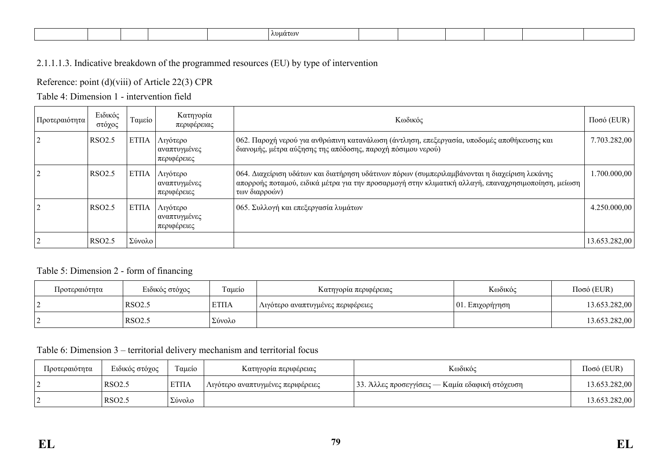| ADHATOV |
|---------|
|---------|

## 2.1.1.1.3. Indicative breakdown of the programmed resources (EU) by type of intervention

Reference: point (d)(viii) of Article 22(3) CPR

## Table 4: Dimension 1 - intervention field

| Προτεραιότητα | Ειδικός<br>στόχος  | Ταμείο      | Κατηγορία<br>περιφέρειας                | Κωδικός                                                                                                                                                                                                              | $\Pi$ οσό (EUR) |
|---------------|--------------------|-------------|-----------------------------------------|----------------------------------------------------------------------------------------------------------------------------------------------------------------------------------------------------------------------|-----------------|
|               | RSO <sub>2.5</sub> | EΤΠΑ        | Λιγότερο<br>αναπτυγμένες<br>περιφέρειες | 062. Παροχή νερού για ανθρώπινη κατανάλωση (άντληση, επεξεργασία, υποδομές αποθήκευσης και<br>διανομής, μέτρα αύξησης της απόδοσης, παροχή πόσιμου νερού)                                                            | 7.703.282,00    |
|               | RSO <sub>2.5</sub> | EΤΠΑ        | Λιγότερο<br>αναπτυγμένες<br>περιφέρειες | 064. Διαχείριση υδάτων και διατήρηση υδάτινων πόρων (συμπεριλαμβάνονται η διαχείριση λεκάνης<br>απορροής ποταμού, ειδικά μέτρα για την προσαρμογή στην κλιματική αλλαγή, επαναχρησιμοποίηση, μείωση<br>των διαρροών) | 1.700.000,00    |
|               | RSO <sub>2.5</sub> | <b>ΕΤΠΑ</b> | Λιγότερο<br>αναπτυγμένες<br>περιφέρειες | 065. Συλλογή και επεξεργασία λυμάτων                                                                                                                                                                                 | 4.250.000,00    |
|               | <b>RSO2.5</b>      | Σύνολο      |                                         |                                                                                                                                                                                                                      | 13.653.282,00   |

### Table 5: Dimension 2 - form of financing

| Προτεραιότητα | Ειδικός στόχος     | Ταμείο      | Κατηγορία περιφέρειας             | Κωδικός             | $Ποσό$ (EUR)  |
|---------------|--------------------|-------------|-----------------------------------|---------------------|---------------|
|               | RSO <sub>2.5</sub> | <b>ΕΤΠΑ</b> | Λιγότερο αναπτυγμένες περιφέρειες | $ 01$ . Επιχορήγηση | 13.653.282,00 |
|               | RSO <sub>2.5</sub> | Σύνολο      |                                   |                     | 13.653.282,00 |

### Table 6: Dimension 3 – territorial delivery mechanism and territorial focus

| Προτεραιότητα | Ειδικός στόχος     | Γαμείο      | Κατηγορία περιφέρειας             | Κωδικός                                         | $Ποσό$ (EUR)  |
|---------------|--------------------|-------------|-----------------------------------|-------------------------------------------------|---------------|
|               | <b>RSO2.5</b>      | <b>ΕΤΠΑ</b> | Λιγότερο αναπτυγμένες περιφέρειες | 33. Άλλες προσεγγίσεις — Καμία εδαφική στόχευση | 13.653.282,00 |
|               | RSO <sub>2.5</sub> | Σύνολο      |                                   |                                                 | 13.653.282,00 |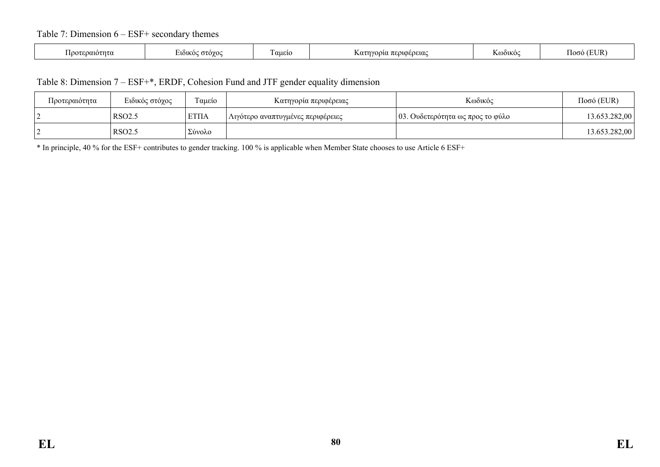### Table 7: Dimension 6 – ESF+ secondary themes

| `OO1OTNTI<br>πτι | . στονοι<br><b>EIÒIKOC</b><br>$\sim$ | $\sim$<br>αμειο | OUOEOEUAC<br>ινορια<br>$\Lambda$ $\alpha$<br>76 G.L | K@òikoq | (EH<br>` logó . |
|------------------|--------------------------------------|-----------------|-----------------------------------------------------|---------|-----------------|
|                  |                                      |                 |                                                     |         |                 |

#### Table 8: Dimension 7 – ESF+\*, ERDF, Cohesion Fund and JTF gender equality dimension

| Προτεραιότητα | Ειδικός στόχος     | Γαμείο       | Κατηγορία περιφέρειας             | Κωδικός                          | $Ποσό$ (EUR)  |
|---------------|--------------------|--------------|-----------------------------------|----------------------------------|---------------|
|               | RSO <sub>2.5</sub> | <b>ETIIA</b> | Λιγότερο αναπτυγμένες περιφέρειες | 03. Ουδετερότητα ως προς το φύλο | 13.653.282,00 |
|               | RSO <sub>2.5</sub> | Σύνολο       |                                   |                                  | 13.653.282,00 |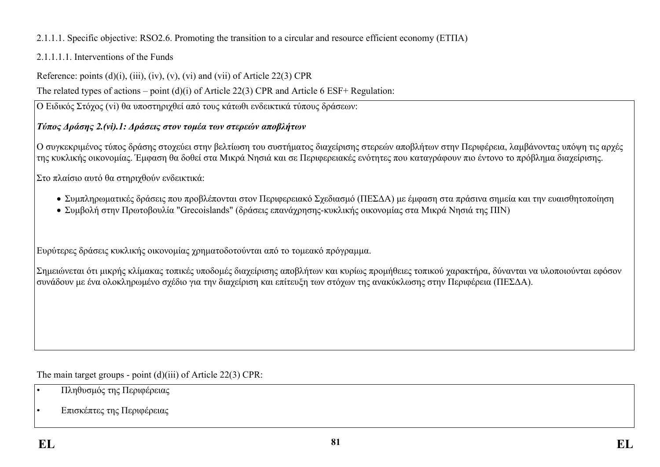# 2.1.1.1. Specific objective: RSO2.6. Promoting the transition to a circular and resource efficient economy (ΕΤΠΑ)

# 2.1.1.1.1. Interventions of the Funds

Reference: points  $(d)(i)$ ,  $(iii)$ ,  $(iv)$ ,  $(v)$ ,  $(vi)$  and  $(vii)$  of Article 22(3) CPR

The related types of actions – point (d)(i) of Article 22(3) CPR and Article 6 ESF+ Regulation:

Ο Ειδικός Στόχος (vi) θα υποστηριχθεί από τους κάτωθι ενδεικτικά τύπους δράσεων:

# *Τύπος Δράσης 2.(vi).1: Δράσεις στον τομέα των στερεών αποβλήτων*

Ο συγκεκριμένος τύπος δράσης στοχεύει στην βελτίωση του συστήματος διαχείρισης στερεών αποβλήτων στην Περιφέρεια, λαμβάνοντας υπόψη τις αρχές της κυκλικής οικονομίας. Έμφαση θα δοθεί στα Μικρά Νησιά και σε Περιφερειακές ενότητες που καταγράφουν πιο έντονο το πρόβλημα διαχείρισης.

Στο πλαίσιο αυτό θα στηριχθούν ενδεικτικά:

- Συμπληρωματικές δράσεις που προβλέπονται στον Περιφερειακό Σχεδιασμό (ΠΕΣΔΑ) με έμφαση στα πράσινα σημεία και την ευαισθητοποίηση
- Συμβολή στην Πρωτοβουλία "Grecoislands" (δράσεις επανάχρησης-κυκλικής οικονομίας στα Μικρά Νησιά της ΠΙΝ)

Ευρύτερες δράσεις κυκλικής οικονομίας χρηματοδοτούνται από το τομεακό πρόγραμμα.

Σημειώνεται ότι μικρής κλίμακας τοπικές υποδομές διαχείρισης αποβλήτων και κυρίως προμήθειες τοπικού χαρακτήρα, δύνανται να υλοποιούνται εφόσον συνάδουν με ένα ολοκληρωμένο σχέδιο για την διαχείριση και επίτευξη των στόχων της ανακύκλωσης στην Περιφέρεια (ΠΕΣΔΑ).

The main target groups - point (d)(iii) of Article 22(3) CPR:

- Πληθυσμός της Περιφέρειας
- Επισκέπτες της Περιφέρειας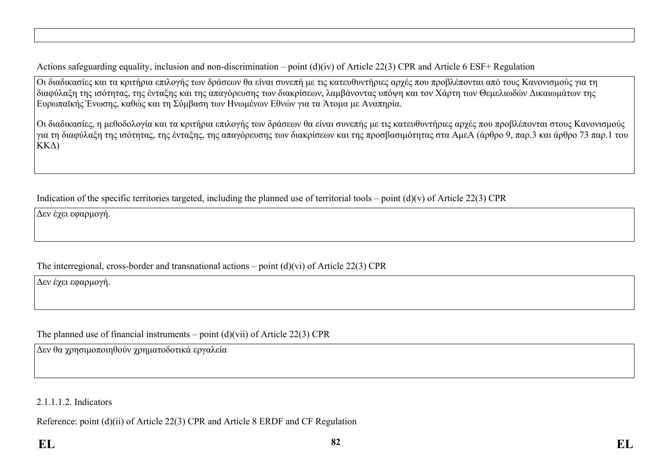Actions safeguarding equality, inclusion and non-discrimination – point (d)(iv) of Article 22(3) CPR and Article 6 ESF+ Regulation

Οι διαδικασίες και τα κριτήρια επιλογής των δράσεων θα είναι συνεπή με τις κατευθυντήριες αρχές που προβλέπονται από τους Κανονισμούς για τη διαφύλαξη της ισότητας, της ένταξης και της απαγόρευσης των διακρίσεων, λαμβάνοντας υπόψη και τον Χάρτη των Θεμελιωδών Δικαιωμάτων της Ευρωπαϊκής Ένωσης, καθώς και τη Σύμβαση των Ηνωμένων Εθνών για τα Άτομα με Αναπηρία.

Οι διαδικασίες, η μεθοδολογία και τα κριτήρια επιλογής των δράσεων θα είναι συνεπής με τις κατευθυντήριες αρχές που προβλέπονται στους Κανονισμούς για τη διαφύλαξη της ισότητας, της ένταξης, της απαγόρευσης των διακρίσεων και της προσβασιμότητας στα ΑμεΑ (άρθρο 9, παρ.3 και άρθρο 73 παρ.1 του ΚΚΔ)

Indication of the specific territories targeted, including the planned use of territorial tools – point  $(d)(v)$  of Article 22(3) CPR

Δεν έχει εφαρμογή.

### The interregional, cross-border and transnational actions – point (d)(vi) of Article 22(3) CPR

Δεν έχει εφαρμογή.

The planned use of financial instruments – point (d)(vii) of Article 22(3) CPR

Δεν θα χρησιμοποιηθούν χρηματοδοτικά εργαλεία

2.1.1.1.2. Indicators

Reference: point (d)(ii) of Article 22(3) CPR and Article 8 ERDF and CF Regulation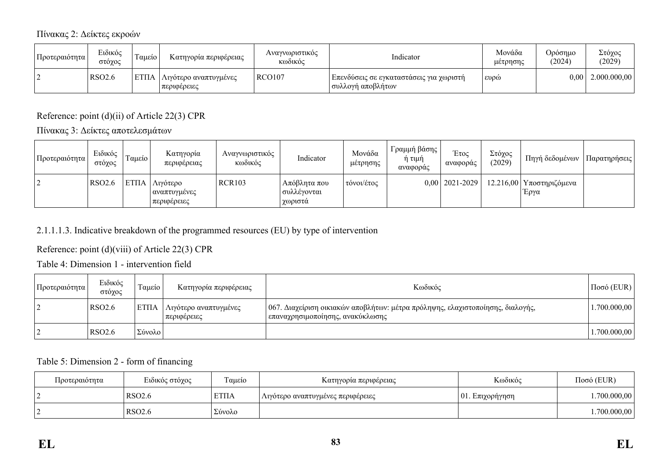### Πίνακας 2: Δείκτες εκροών

| Προτεραιότητα | Ειδικός<br>στόχος  | Ταμείο | Κατηγορία περιφέρειας                       | Αναγνωριστικός<br>Κωδικός | Indicator                                                       | Μονάδα<br>μέτρησης | <b>Ορόσημο</b><br>(2024) | Στόχος<br>(2029)      |
|---------------|--------------------|--------|---------------------------------------------|---------------------------|-----------------------------------------------------------------|--------------------|--------------------------|-----------------------|
|               | RSO <sub>2.6</sub> |        | ΕΤΠΑ   Λιγότερο αναπτυγμένες<br>περιφέρειες | <b>RCO107</b>             | Επενδύσεις σε εγκαταστάσεις για χωριστή <br>  συλλογή αποβλήτων | EDO                |                          | $0,00$   2.000.000,00 |

Reference: point (d)(ii) of Article 22(3) CPR

Πίνακας 3: Δείκτες αποτελεσμάτων

| Προτεραιότητα | Ειδικός<br>στόχος  | Ταμείο | Κατηγορία<br>περιφέρειας                         | Αναγνωριστικός<br>κωδικός | Indicator                                | Μονάδα<br>μέτρησης | Γραμμή βάσης <sup>1</sup><br>ή τιμή<br>αναφοράς | Έτος<br>αναφοράς | Στόχος<br>(2029) | Πηγή δεδομένων                                          | Παρατηρήσεις |
|---------------|--------------------|--------|--------------------------------------------------|---------------------------|------------------------------------------|--------------------|-------------------------------------------------|------------------|------------------|---------------------------------------------------------|--------------|
|               | RSO <sub>2.6</sub> |        | ΕΤΠΑ   Λιγότερο<br>  αναπτυγμένες<br>περιφέρειες | <b>RCR103</b>             | Απόβλητα που<br>  συλλένονται<br>γωριστά | τόνοι/έτος         |                                                 |                  |                  | $0.00$   2021-2029   12.216,00   Υποστηριζόμενα<br>Έργα |              |

## 2.1.1.1.3. Indicative breakdown of the programmed resources (EU) by type of intervention

## Reference: point (d)(viii) of Article 22(3) CPR

Table 4: Dimension 1 - intervention field

| Προτεραιότητα | Ειδικός<br>στόχος  | Γαμείο       | Κατηγορία περιφέρειας                  | Κωδικός                                                                                                              | $\Pi$ οσό (EUR) |
|---------------|--------------------|--------------|----------------------------------------|----------------------------------------------------------------------------------------------------------------------|-----------------|
|               | RSO <sub>2.6</sub> | <b>ETITA</b> | Λιγότερο αναπτυγμένες<br>  περιφέρειες | 067. Διαχείριση οικιακών αποβλήτων: μέτρα πρόληψης, ελαχιστοποίησης, διαλογής,<br>  επαναχρησιμοποίησης, ανακύκλωσης | .700.000,00     |
|               | RSO <sub>2.6</sub> | Σύνολο       |                                        |                                                                                                                      | 1.700.000,00    |

#### Table 5: Dimension 2 - form of financing

| Προτεραιότητα | Ειδικός στόχος     | Ταμείο      | Κατηγορία περιφέρειας             | Κωδικός             | $Ποσό$ (EUR) |
|---------------|--------------------|-------------|-----------------------------------|---------------------|--------------|
|               | RSO <sub>2.6</sub> | <b>ΕΤΠΑ</b> | Λιγότερο αναπτυγμένες περιφέρειες | $ 01$ . Επιχορήγηση | .700.000,00  |
|               | RSO <sub>2.6</sub> | Σύνολο      |                                   |                     | .700.000,00  |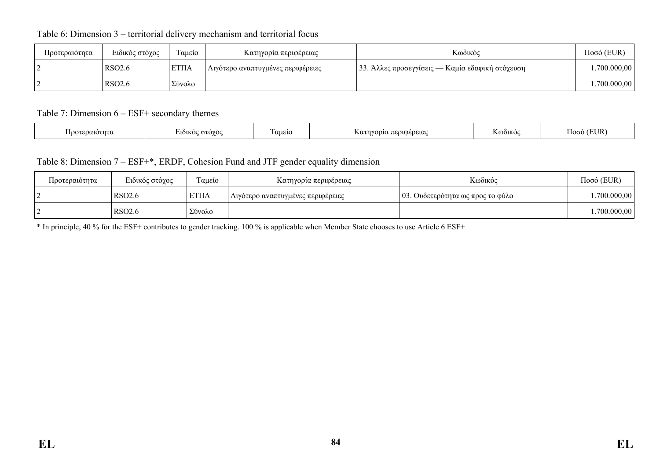| Προτεραιότητα | Ειδικός στόχος     | m<br>Ταμείο | Κατηγορία περιφέρειας             | Κωδικός                                         | $Ποσό$ (EUR) |
|---------------|--------------------|-------------|-----------------------------------|-------------------------------------------------|--------------|
|               | RSO <sub>2.6</sub> | <b>ΕΤΠΑ</b> | Λιγότερο αναπτυγμένες περιφέρειες | 33. Άλλες προσεγγίσεις — Καμία εδαφική στόχευση | .700.000,00  |
|               | <b>RSO2.6</b>      | Σύνολο      |                                   |                                                 | .700.000,00  |

### Table 6: Dimension 3 – territorial delivery mechanism and territorial focus

Table 7: Dimension 6 – ESF+ secondary themes

|  | $\gamma$ tnt $\alpha$<br>ഥറ | . στονοι<br><b>EIÒIKOC</b> | $\sim$<br>. aueio | .ηνορία περιφέρειας<br>$\sim$<br>៶៶ | <b>`OLKO</b> C | $\overline{\phantom{a}}$<br>חז די<br>عقاء<br>$\overline{\phantom{a}}$ |  |
|--|-----------------------------|----------------------------|-------------------|-------------------------------------|----------------|-----------------------------------------------------------------------|--|
|--|-----------------------------|----------------------------|-------------------|-------------------------------------|----------------|-----------------------------------------------------------------------|--|

### Table 8: Dimension 7 – ESF+\*, ERDF, Cohesion Fund and JTF gender equality dimension

| Προτεραιότητα | Ειδικός στόχος     | $\sim$<br>Γαμείο | Κατηγορία περιφέρειας             | Κωδικός                          | $Ποσό$ (EUR) |
|---------------|--------------------|------------------|-----------------------------------|----------------------------------|--------------|
|               | RSO <sub>2.6</sub> | <b>ΕΤΠΑ</b>      | Λιγότερο αναπτυγμένες περιφέρειες | 03. Ουδετερότητα ως προς το φύλο | .700.000,00  |
|               | <b>RSO2.6</b>      | Σύνολο           |                                   |                                  | 1.700.000,00 |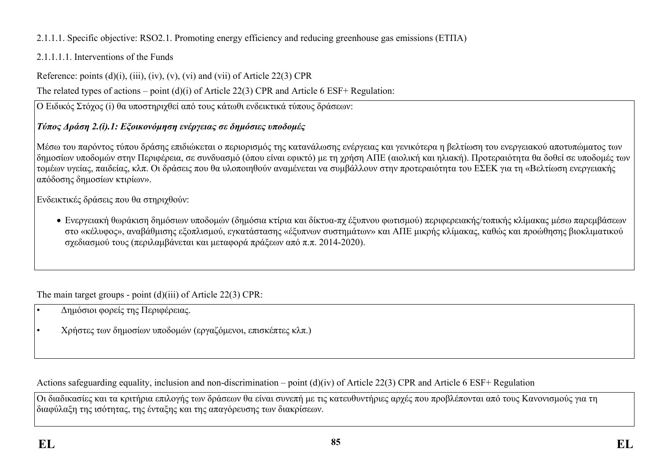# 2.1.1.1. Specific objective: RSO2.1. Promoting energy efficiency and reducing greenhouse gas emissions (ΕΤΠΑ)

# 2.1.1.1.1. Interventions of the Funds

Reference: points  $(d)(i)$ ,  $(iii)$ ,  $(iv)$ ,  $(v)$ ,  $(vi)$  and  $(vii)$  of Article 22(3) CPR

The related types of actions – point (d)(i) of Article 22(3) CPR and Article 6 ESF+ Regulation:

Ο Ειδικός Στόχος (i) θα υποστηριχθεί από τους κάτωθι ενδεικτικά τύπους δράσεων:

# *Τύπος Δράση 2.(i).1: Εξοικονόμηση ενέργειας σε δημόσιες υποδομές*

Μέσω του παρόντος τύπου δράσης επιδιώκεται ο περιορισμός της κατανάλωσης ενέργειας και γενικότερα η βελτίωση του ενεργειακού αποτυπώματος των δημοσίων υποδομών στην Περιφέρεια, σε συνδυασμό (όπου είναι εφικτό) με τη χρήση ΑΠΕ (αιολική και ηλιακή). Προτεραιότητα θα δοθεί σε υποδομές των τομέων υγείας, παιδείας, κλπ. Οι δράσεις που θα υλοποιηθούν αναμένεται να συμβάλλουν στην προτεραιότητα του ΕΣΕΚ για τη «Βελτίωση ενεργειακής απόδοσης δημοσίων κτιρίων».

Ενδεικτικές δράσεις που θα στηριχθούν:

 Ενεργειακή θωράκιση δημόσιων υποδομών (δημόσια κτίρια και δίκτυα-πχ έξυπνου φωτισμού) περιφερειακής/τοπικής κλίμακας μέσω παρεμβάσεων στο «κέλυφος», αναβάθμισης εξοπλισμού, εγκατάστασης «έξυπνων συστημάτων» και ΑΠΕ μικρής κλίμακας, καθώς και προώθησης βιοκλιματικού σχεδιασμού τους (περιλαμβάνεται και μεταφορά πράξεων από π.π. 2014-2020).

The main target groups - point (d)(iii) of Article 22(3) CPR:

- Δημόσιοι φορείς της Περιφέρειας.
- Χρήστες των δημοσίων υποδομών (εργαζόμενοι, επισκέπτες κλπ.)

Actions safeguarding equality, inclusion and non-discrimination – point (d)(iv) of Article 22(3) CPR and Article 6 ESF+ Regulation

Οι διαδικασίες και τα κριτήρια επιλογής των δράσεων θα είναι συνεπή με τις κατευθυντήριες αρχές που προβλέπονται από τους Κανονισμούς για τη διαφύλαξη της ισότητας, της ένταξης και της απαγόρευσης των διακρίσεων.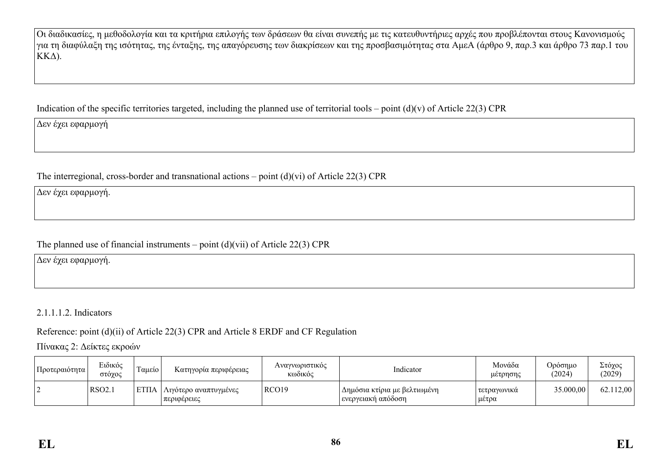Οι διαδικασίες, η μεθοδολογία και τα κριτήρια επιλογής των δράσεων θα είναι συνεπής με τις κατευθυντήριες αρχές που προβλέπονται στους Κανονισμούς για τη διαφύλαξη της ισότητας, της ένταξης, της απαγόρευσης των διακρίσεων και της προσβασιμότητας στα ΑμεΑ (άρθρο 9, παρ.3 και άρθρο 73 παρ.1 του ΚΚΔ).

Indication of the specific territories targeted, including the planned use of territorial tools – point  $(d)(v)$  of Article 22(3) CPR

Δεν έχει εφαρμογή

The interregional, cross-border and transnational actions – point (d)(vi) of Article 22(3) CPR

Δεν έχει εφαρμογή.

The planned use of financial instruments – point  $(d)(vi)$  of Article 22(3) CPR

Δεν έχει εφαρμογή.

2.1.1.1.2. Indicators

Reference: point (d)(ii) of Article 22(3) CPR and Article 8 ERDF and CF Regulation

Πίνακας 2: Δείκτες εκροών

| Προτεραιότητα | Ειδικός<br>στόχος | $\overline{\phantom{a}}$<br>Γαμείο | Κατηγορία περιφέρειας                   | Αναγνωριστικός<br>Κωδικός | Indicator                                            | Μονάδα<br>μέτρησης     | Ορόσημο<br>(2024) | Στόχος<br>(2029) |
|---------------|-------------------|------------------------------------|-----------------------------------------|---------------------------|------------------------------------------------------|------------------------|-------------------|------------------|
|               | <b>RSO2.1</b>     | <b>ETIIA</b>                       | Λιγότερο αναπτυγμένες <br>  περιφέρειες | RCO <sub>19</sub>         | Δημόσια κτίρια με βελτιωμένη<br>  ενεργειακή απόδοση | τετραγωνικά<br>' μέτρα | 35.000,00         | 62.112,00        |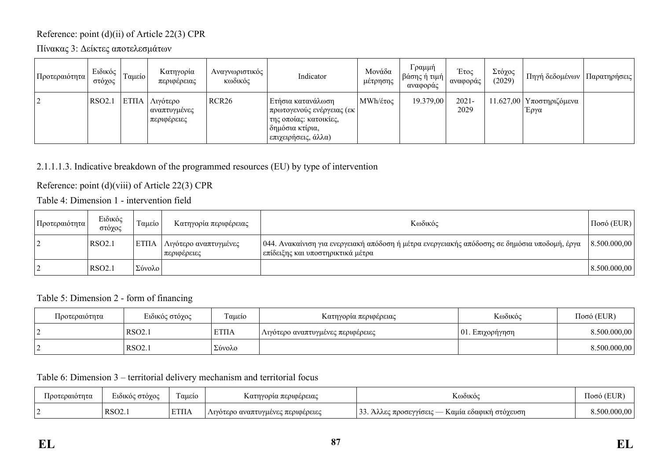# Reference: point (d)(ii) of Article 22(3) CPR

Πίνακας 3: Δείκτες αποτελεσμάτων

| Προτεραιότητα  | Ειδικός<br>στόχος | Ταμείο             | Κατηγορία<br>περιφέρειας                | Αναγνωριστικός<br>κωδικός | Indicator                                                                                                                  | Μονάδα<br>μέτρησης | Γραμμή<br>βάσης ή τιμή<br>αναφοράς | Έτος<br>αναφοράς | Στόχος<br>(2029) | Πηγή δεδομένων                     | Παρατηρήσεις |
|----------------|-------------------|--------------------|-----------------------------------------|---------------------------|----------------------------------------------------------------------------------------------------------------------------|--------------------|------------------------------------|------------------|------------------|------------------------------------|--------------|
| $\overline{2}$ | <b>RSO2.1</b>     | ET <sub>II</sub> A | Λιγότερο<br>αναπτυγμένες<br>περιφέρειες | RCR <sub>26</sub>         | Ετήσια κατανάλωση  <br>  πρωτογενούς ενέργειας (εκ<br>της οποίας: κατοικίες,<br>δημόσια κτίρια,<br>! επιχειρήσεις, άλλα) ∶ | MWh/έτος           | 19.379,00                          | $2021 -$<br>2029 |                  | 11.627,00   Υποστηριζόμενα<br>Έργα |              |

## 2.1.1.1.3. Indicative breakdown of the programmed resources (EU) by type of intervention

Reference: point (d)(viii) of Article 22(3) CPR

Table 4: Dimension 1 - intervention field

| Προτεραιότητα | Ειδικός<br>στόγος  | Ταμείο | Κατηγορία περιφέρειας                  | Κωδικός                                                                                                                             | $Ποσό$ (EUR) |
|---------------|--------------------|--------|----------------------------------------|-------------------------------------------------------------------------------------------------------------------------------------|--------------|
|               | RSO2.1             | l ΕΤΠΑ | Λιγότερο αναπτυγμένες<br>  περιφέρειες | 044. Ανακαίνιση για ενεργειακή απόδοση ή μέτρα ενεργειακής απόδοσης σε δημόσια υποδομή, έργα<br>  επίδειξης και υποστηρικτικά μέτρα | 8.500.000,00 |
|               | RSO <sub>2</sub> . | Σύνολο |                                        |                                                                                                                                     | 8.500.000,00 |

Table 5: Dimension 2 - form of financing

| Προτεραιότητα | Ειδικός στόχος     | Ταμείο            | Κατηγορία περιφέρειας             | Κωδικός         | $Ποσό$ (EUR) |
|---------------|--------------------|-------------------|-----------------------------------|-----------------|--------------|
|               | RSO <sub>2.1</sub> | <sup>'</sup> ΕΤΠΑ | Λιγότερο αναπτυγμένες περιφέρειες | 01. Eπιχορήγηση | 8.500.000,00 |
|               | RSO <sub>2.1</sub> | Σύνολο            |                                   |                 | 8.500.000,00 |

Table 6: Dimension 3 – territorial delivery mechanism and territorial focus

| . Ιροτεραιότητα | $\mathbf{r}$<br>: στόγος<br>LUOUKOC | $\sim$<br>Γαμείο | ηγορια περιφερειας<br>Katn        | T.T<br>K@òikô                                                                         | (EUR<br>.looó |
|-----------------|-------------------------------------|------------------|-----------------------------------|---------------------------------------------------------------------------------------|---------------|
|                 | $\text{RSO2}$ .                     | <b>ETIIA</b>     | Λιγότερο αναπτυγμένες περιφέρειες | $\bigcap$<br>. προσεγγίσεις -<br>Καμία εδαφική στόγευση<br><b>LIVIVO</b><br><u>JJ</u> | 00            |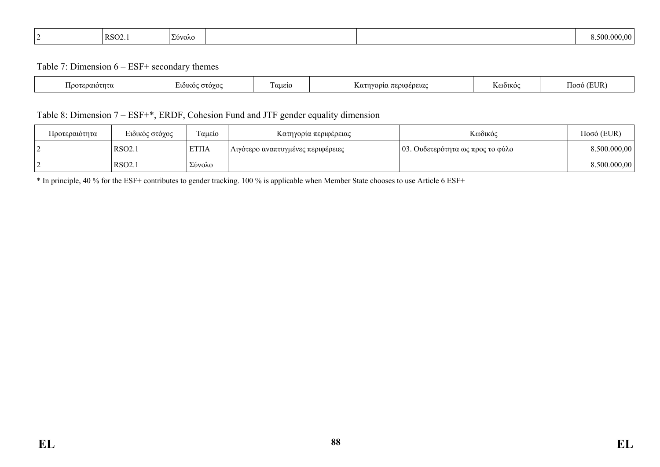| RSO <sub>2</sub><br>Σύνολο<br>$\cdots$ | -500 |  |
|----------------------------------------|------|--|
|----------------------------------------|------|--|

Table 7: Dimension 6 – ESF+ secondary themes

| ີ $\gamma$ າາດ $\tau$ ກ $\tau$ ດ | $\Omega$<br>лоіко<br>$\sim$ | $\overline{\phantom{a}}$<br>αμείο | . περιφερειας<br>VOO1A<br>$\Lambda$ $0\tau$ | $\mathbf{v}_{0}$ $_{0}$ | TI ID.<br>ഥന<br>$\ldots$ |
|----------------------------------|-----------------------------|-----------------------------------|---------------------------------------------|-------------------------|--------------------------|
|                                  |                             |                                   |                                             |                         |                          |

## Table 8: Dimension 7 – ESF+\*, ERDF, Cohesion Fund and JTF gender equality dimension

| Προτεραιότητα | Ειδικός στόχος     | Γαμείο      | Κατηγορία περιφέρειας             | Κωδικός                          | $Ποσό$ (EUR) |
|---------------|--------------------|-------------|-----------------------------------|----------------------------------|--------------|
|               | RSO2.1             | <b>ΕΤΠΑ</b> | Λιγότερο αναπτυγμένες περιφέρειες | 03. Ουδετερότητα ως προς το φύλο | 8.500.000,00 |
|               | RSO <sub>2.1</sub> | Σύνολο      |                                   |                                  | 8.500.000,00 |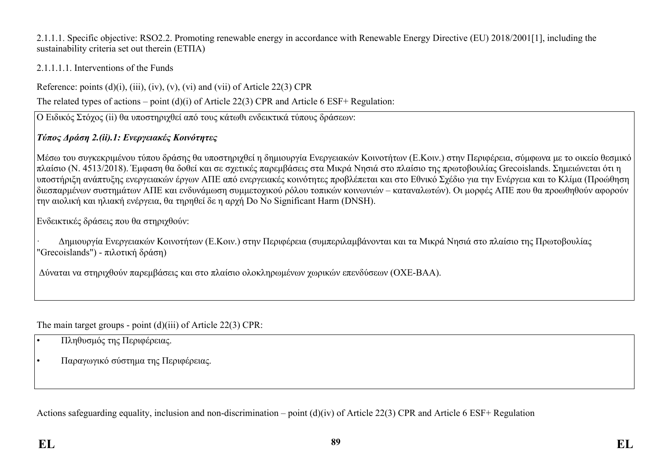2.1.1.1. Specific objective: RSO2.2. Promoting renewable energy in accordance with Renewable Energy Directive (EU) 2018/2001[1], including the sustainability criteria set out therein (ΕΤΠΑ)

## 2.1.1.1.1. Interventions of the Funds

Reference: points  $(d)(i)$ ,  $(iii)$ ,  $(iv)$ ,  $(v)$ ,  $(vi)$  and  $(vii)$  of Article 22(3) CPR

The related types of actions – point (d)(i) of Article 22(3) CPR and Article 6 ESF+ Regulation:

Ο Ειδικός Στόχος (ii) θα υποστηριχθεί από τους κάτωθι ενδεικτικά τύπους δράσεων:

# *Τύπος Δράση 2.(ii).1: Ενεργειακές Κοινότητες*

Μέσω του συγκεκριμένου τύπου δράσης θα υποστηριχθεί η δημιουργία Ενεργειακών Κοινοτήτων (Ε.Κοιν.) στην Περιφέρεια, σύμφωνα με το οικείο θεσμικό πλαίσιο (Ν. 4513/2018). Έμφαση θα δoθεί και σε σχετικές παρεμβάσεις στα Μικρά Νησιά στο πλαίσιο της πρωτοβουλίας Grecoislands. Σημειώνεται ότι η υποστήριξη ανάπτυξης ενεργειακών έργων ΑΠΕ από ενεργειακές κοινότητες προβλέπεται και στο Εθνικό Σχέδιο για την Ενέργεια και το Κλίμα (Προώθηση διεσπαρμένων συστημάτων ΑΠΕ και ενδυνάμωση συμμετοχικού ρόλου τοπικών κοινωνιών – καταναλωτών). Οι μορφές ΑΠΕ που θα προωθηθούν αφορούν την αιολική και ηλιακή ενέργεια, θα τηρηθεί δε η αρχή Do No Significant Harm (DNSH).

Ενδεικτικές δράσεις που θα στηριχθούν:

· Δημιουργία Ενεργειακών Κοινοτήτων (Ε.Κοιν.) στην Περιφέρεια (συμπεριλαμβάνονται και τα Μικρά Νησιά στο πλαίσιο της Πρωτοβουλίας "Grecoislands") - πιλοτική δράση)

Δύναται να στηριχθούν παρεμβάσεις και στο πλαίσιο ολοκληρωμένων χωρικών επενδύσεων (ΟΧΕ-ΒΑΑ).

The main target groups - point (d)(iii) of Article 22(3) CPR:

- Πληθυσμός της Περιφέρειας.
- Παραγωγικό σύστημα της Περιφέρειας.

Actions safeguarding equality, inclusion and non-discrimination – point (d)(iv) of Article 22(3) CPR and Article 6 ESF+ Regulation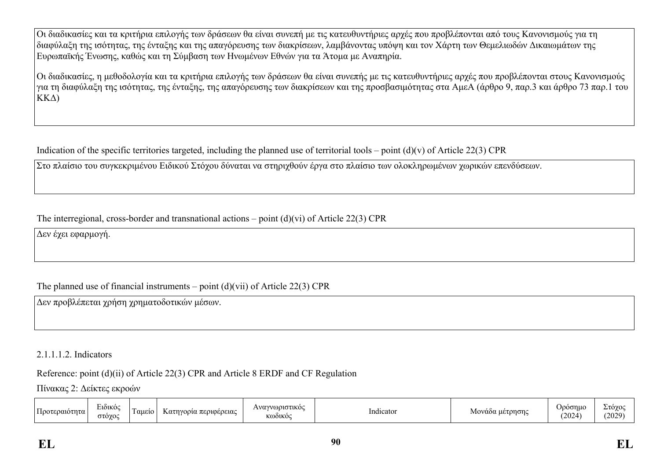Οι διαδικασίες και τα κριτήρια επιλογής των δράσεων θα είναι συνεπή με τις κατευθυντήριες αρχές που προβλέπονται από τους Κανονισμούς για τη διαφύλαξη της ισότητας, της ένταξης και της απαγόρευσης των διακρίσεων, λαμβάνοντας υπόψη και τον Χάρτη των Θεμελιωδών Δικαιωμάτων της Ευρωπαϊκής Ένωσης, καθώς και τη Σύμβαση των Ηνωμένων Εθνών για τα Άτομα με Αναπηρία.

Οι διαδικασίες, η μεθοδολογία και τα κριτήρια επιλογής των δράσεων θα είναι συνεπής με τις κατευθυντήριες αρχές που προβλέπονται στους Κανονισμούς για τη διαφύλαξη της ισότητας, της ένταξης, της απαγόρευσης των διακρίσεων και της προσβασιμότητας στα ΑμεΑ (άρθρο 9, παρ.3 και άρθρο 73 παρ.1 του ΚΚΔ)

Indication of the specific territories targeted, including the planned use of territorial tools – point  $(d)(v)$  of Article 22(3) CPR

Στο πλαίσιο του συγκεκριμένου Ειδικού Στόχου δύναται να στηριχθούν έργα στο πλαίσιο των ολοκληρωμένων χωρικών επενδύσεων.

### The interregional, cross-border and transnational actions – point (d)(vi) of Article 22(3) CPR

Δεν έχει εφαρμογή.

# The planned use of financial instruments – point (d)(vii) of Article 22(3) CPR

Δεν προβλέπεται χρήση χρηματοδοτικών μέσων.

### 2.1.1.1.2. Indicators

## Reference: point (d)(ii) of Article 22(3) CPR and Article 8 ERDF and CF Regulation

Πίνακας 2: Δείκτες εκροών

| . | EIÒIKO(<br>070700<br>$\sim$ | αμειο | . περιφερειας<br>Kατην<br>vovw | $\alpha$ is set if $\alpha$ and $\alpha$<br>$\Lambda V 0$ <sup>r</sup><br><b>ՀԱՏԱԼԵՐ</b><br>$\rightarrow$<br>KQOIKOC | Indicator | Μοναδα μετρησης | ooonuc<br>,,<br>(2024) | $-10YC$<br>$\overline{\phantom{a}}$<br>(2029)<br>--- |
|---|-----------------------------|-------|--------------------------------|----------------------------------------------------------------------------------------------------------------------|-----------|-----------------|------------------------|------------------------------------------------------|
|---|-----------------------------|-------|--------------------------------|----------------------------------------------------------------------------------------------------------------------|-----------|-----------------|------------------------|------------------------------------------------------|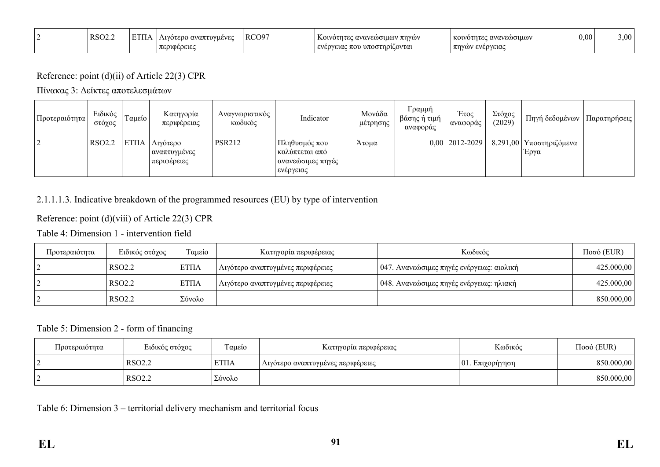| RSO2.2 | <b>DOD</b> | Λιγότερο αναπτυγμένες<br>OUDEDELEC | RCO97 | Κοινότητες ανανεώσιμων πηγών <br>  ενέργειας που υποστηρίζονται | κοινότητες ανανεώσιμων_<br>  πηγών ενέργειας | 0.00 | $3,00^{-5}$ |
|--------|------------|------------------------------------|-------|-----------------------------------------------------------------|----------------------------------------------|------|-------------|
|        |            | ルムい                                |       |                                                                 |                                              |      |             |

### Reference: point (d)(ii) of Article 22(3) CPR

Πίνακας 3: Δείκτες αποτελεσμάτων

| Προτεραιότητα  | Ειδικός<br>στόχος | Ταμείο | Κατηγορία<br>περιφέρειας                           | Αναγνωριστικός<br>κωδικός | Indicator                                                           | Μονάδα<br>μέτρησης | Γραμμή<br>βάσης ή τιμή<br>αναφοράς | Έτος<br>αναφοράς | Στόχος<br>(2029) | Πηγή δεδομένων                                         | Παρατηρήσεις |
|----------------|-------------------|--------|----------------------------------------------------|---------------------------|---------------------------------------------------------------------|--------------------|------------------------------------|------------------|------------------|--------------------------------------------------------|--------------|
| $\overline{2}$ | RSO2.2            |        | ΕΤΠΑ   Λιγότερο<br>  αναπτυγμένες<br>  περιφέρειες | <b>PSR212</b>             | Πληθυσμός που<br>καλύπτεται από<br>  ανανεώσιμες πηγές<br>ενέργειας | Άτομα              |                                    |                  |                  | $0.00$   2012-2029   8.291,00   Υποστηριζόμενα<br>Έργα |              |

# 2.1.1.1.3. Indicative breakdown of the programmed resources (EU) by type of intervention

# Reference: point (d)(viii) of Article 22(3) CPR

Table 4: Dimension 1 - intervention field

| Προτεραιότητα | Ειδικός στόχος | Γαμείο       | Κατηγορία περιφέρειας               | Κωδικός                                   | $Ποσό$ (EUR) |
|---------------|----------------|--------------|-------------------------------------|-------------------------------------------|--------------|
|               | RSO2.2         | <b>ETIIA</b> | Aιγότερο αναπτυγμένες περιφέρειες   | 047. Ανανεώσιμες πηγές ενέργειας: αιολική | 425.000,00   |
|               | RSO2.2         | <b>ΕΤΠΑ</b>  | ι Λιγότερο αναπτυγμένες περιφέρειες | 048. Ανανεώσιμες πηγές ενέργειας: ηλιακή  | 425.000,00   |
|               | RSO2.2         | Σύνολο       |                                     |                                           | 850.000,00   |

# Table 5: Dimension 2 - form of financing

| Προτεραιότητα | Ειδικός στόχος     | Γαμείο       | Κατηγορία περιφέρειας                 | Κωδικός             | $Ποσό$ (EUR) |
|---------------|--------------------|--------------|---------------------------------------|---------------------|--------------|
|               | RSO <sub>2.2</sub> | <b>ETIIA</b> | ' Λιγότερο αναπτυγμένες περιφέρειες - | $ 01$ . Επιχορήγηση | 850.000,00   |
|               | RSO <sub>2.2</sub> | Σύνολο       |                                       |                     | 850.000,00   |

Table 6: Dimension 3 – territorial delivery mechanism and territorial focus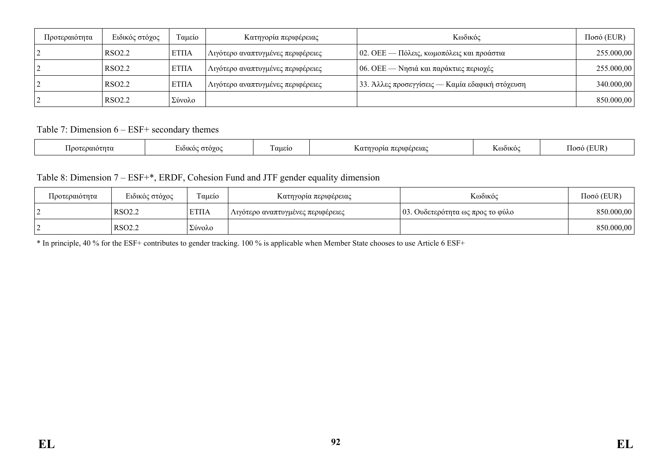| Προτεραιότητα | Ειδικός στόχος     | Ταμείο       | Κατηγορία περιφέρειας             | Κωδικός                                           | $Ποσό$ (EUR) |
|---------------|--------------------|--------------|-----------------------------------|---------------------------------------------------|--------------|
|               | RSO <sub>2.2</sub> | <b>ETIIA</b> | Λιγότερο αναπτυγμένες περιφέρειες | $\vert$ 02. ΟΕΕ — Πόλεις, κωμοπόλεις και προάστια | 255.000,00   |
|               | RSO <sub>2.2</sub> | <b>ETIIA</b> | Αιγότερο αναπτυγμένες περιφέρειες | 06. ΟΕΕ — Νησιά και παράκτιες περιοχές            | 255.000,00   |
|               | RSO <sub>2.2</sub> | <b>ETIIA</b> | Λιγότερο αναπτυγμένες περιφέρειες | 33. Άλλες προσεγγίσεις — Καμία εδαφική στόχευση   | 340.000,00   |
|               | RSO <sub>2.2</sub> | Σύνολο       |                                   |                                                   | 850.000,00   |

Table 7: Dimension 6 – ESF+ secondary themes

|  | :೧೧1೧1<br>τu | $\lambda$<br>$\overline{\phantom{a}}$ | $\overline{\phantom{0}}$<br>αμείο | OEOEIAC | $\lambda$ 114 $\alpha$<br>յւռ∪∖<br>n. | Ιk<br>105. |
|--|--------------|---------------------------------------|-----------------------------------|---------|---------------------------------------|------------|
|--|--------------|---------------------------------------|-----------------------------------|---------|---------------------------------------|------------|

Table 8: Dimension 7 – ESF+\*, ERDF, Cohesion Fund and JTF gender equality dimension

| Προτεραιότητα | Ειδικός στόχος     | Γαμείο      | Κατηγορια περιφέρειας             | Κωδικός                          | $Ποσό$ (EUR) |
|---------------|--------------------|-------------|-----------------------------------|----------------------------------|--------------|
|               | RSO <sub>2.2</sub> | <b>ΕΤΠΑ</b> | Λιγότερο αναπτυγμένες περιφέρειες | 03. Ουδετερότητα ως προς το φύλο | 850.000,00   |
|               | RSO <sub>2.2</sub> | Σύνολο      |                                   |                                  | 850.000,00   |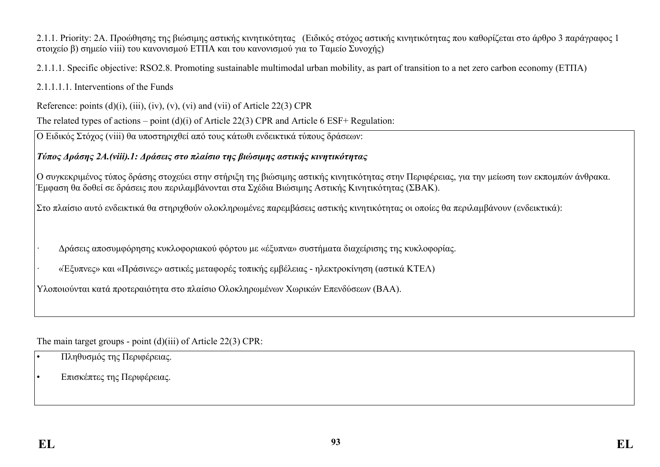2.1.1. Priority: 2A. Προώθησης της βιώσιμης αστικής κινητικότητας (Ειδικός στόχος αστικής κινητικότητας που καθορίζεται στο άρθρο 3 παράγραφος 1 στοιχείο β) σημείο viii) του κανονισμού ΕΤΠΑ και του κανονισμού για το Ταμείο Συνοχής)

2.1.1.1. Specific objective: RSO2.8. Promoting sustainable multimodal urban mobility, as part of transition to a net zero carbon economy (ΕΤΠΑ)

2.1.1.1.1. Interventions of the Funds

Reference: points  $(d)(i)$ ,  $(iii)$ ,  $(iv)$ ,  $(v)$ ,  $(vi)$  and  $(vii)$  of Article 22(3) CPR

The related types of actions – point (d)(i) of Article 22(3) CPR and Article 6 ESF+ Regulation:

Ο Ειδικός Στόχος (viii) θα υποστηριχθεί από τους κάτωθι ενδεικτικά τύπους δράσεων:

*Τύπος Δράσης 2Α.(viii).1: Δράσεις στο πλαίσιο της βιώσιμης αστικής κινητικότητας*

Ο συγκεκριμένος τύπος δράσης στοχεύει στην στήριξη της βιώσιμης αστικής κινητικότητας στην Περιφέρειας, για την μείωση των εκπομπών άνθρακα. Έμφαση θα δοθεί σε δράσεις που περιλαμβάνονται στα Σχέδια Βιώσιμης Αστικής Κινητικότητας (ΣΒΑΚ).

Στο πλαίσιο αυτό ενδεικτικά θα στηριχθούν ολοκληρωμένες παρεμβάσεις αστικής κινητικότητας οι οποίες θα περιλαμβάνουν (ενδεικτικά):

· Δράσεις αποσυμφόρησης κυκλοφοριακού φόρτου με «έξυπνα» συστήματα διαχείρισης της κυκλοφορίας.

· «Έξυπνες» και «Πράσινες» αστικές μεταφορές τοπικής εμβέλειας - ηλεκτροκίνηση (αστικά ΚΤΕΛ)

Υλοποιούνται κατά προτεραιότητα στο πλαίσιο Ολοκληρωμένων Χωρικών Επενδύσεων (ΒΑΑ).

The main target groups - point (d)(iii) of Article 22(3) CPR:

- Πληθυσμός της Περιφέρειας.
- Επισκέπτες της Περιφέρειας.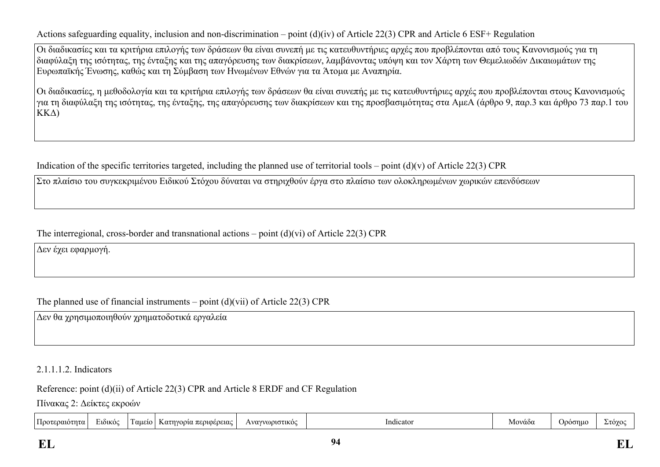Actions safeguarding equality, inclusion and non-discrimination – point (d)(iv) of Article 22(3) CPR and Article 6 ESF+ Regulation

Οι διαδικασίες και τα κριτήρια επιλογής των δράσεων θα είναι συνεπή με τις κατευθυντήριες αρχές που προβλέπονται από τους Κανονισμούς για τη διαφύλαξη της ισότητας, της ένταξης και της απαγόρευσης των διακρίσεων, λαμβάνοντας υπόψη και τον Χάρτη των Θεμελιωδών Δικαιωμάτων της Ευρωπαϊκής Ένωσης, καθώς και τη Σύμβαση των Ηνωμένων Εθνών για τα Άτομα με Αναπηρία.

Οι διαδικασίες, η μεθοδολογία και τα κριτήρια επιλογής των δράσεων θα είναι συνεπής με τις κατευθυντήριες αρχές που προβλέπονται στους Κανονισμούς για τη διαφύλαξη της ισότητας, της ένταξης, της απαγόρευσης των διακρίσεων και της προσβασιμότητας στα ΑμεΑ (άρθρο 9, παρ.3 και άρθρο 73 παρ.1 του ΚΚΔ)

Indication of the specific territories targeted, including the planned use of territorial tools – point  $(d)(v)$  of Article 22(3) CPR

Στο πλαίσιο του συγκεκριμένου Ειδικού Στόχου δύναται να στηριχθούν έργα στο πλαίσιο των ολοκληρωμένων χωρικών επενδύσεων

The interregional, cross-border and transnational actions – point (d)(vi) of Article 22(3) CPR

Δεν έχει εφαρμογή.

The planned use of financial instruments – point  $(d)(vii)$  of Article 22(3) CPR

Δεν θα χρησιμοποιηθούν χρηματοδοτικά εργαλεία

2.1.1.1.2. Indicators

Reference: point (d)(ii) of Article 22(3) CPR and Article 8 ERDF and CF Regulation

Πίνακας 2: Δείκτες εκροών

| . .<br>$\cdot$ | $\mathbf{r}$<br>Προτεραιοτι<br>ιτα | EIÒIKÒC | -<br>αμειο | ρειας<br>oolα·<br>$K\alpha\tau$ | WOOLGTIKOC<br>Wα. | . .<br>Indicator | Μοναδα | 000ر | $T\Omega V$ |
|----------------|------------------------------------|---------|------------|---------------------------------|-------------------|------------------|--------|------|-------------|
|----------------|------------------------------------|---------|------------|---------------------------------|-------------------|------------------|--------|------|-------------|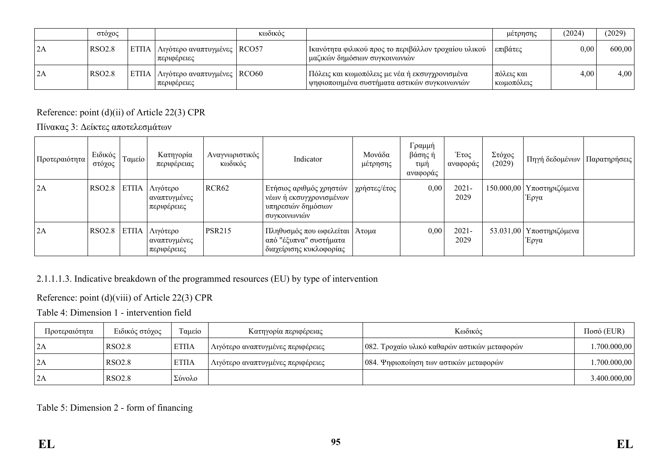|               | στόχος        |                                                       | κωδικός |                                                                                                | μέτρησης                   | (2024) | (2029) |
|---------------|---------------|-------------------------------------------------------|---------|------------------------------------------------------------------------------------------------|----------------------------|--------|--------|
| 2A            | <b>RSO2.8</b> | ΕΤΠΑ   Λιγότερο αναπτυγμένες   RCO57<br>  περιφέρειες |         | Ι Ικανότητα φιλικού προς το περιβάλλον τροχαίου υλικού<br>  μαζικών δημόσιων συγκοινωνιών      | επιβάτες                   | 0.00   | 600,00 |
| $\mathsf{2A}$ | <b>RSO2.8</b> | ΕΤΠΑ   Λιγότερο αναπτυγμένες   RCO60<br>  περιφέρειες |         | Πόλεις και κωμοπόλεις με νέα ή εκσυγχρονισμένα<br>ψηφιοποιημένα συστήματα αστικών συγκοινωνιών | πόλεις και<br>  κωμοπόλεις | 4,00   | 4,00   |

# Reference: point (d)(ii) of Article 22(3) CPR

Πίνακας 3: Δείκτες αποτελεσμάτων

| Προτεραιότητα | Ειδικός<br>στόχος | Ταμείο             | Κατηγορία<br>περιφέρειας                | Αναγνωριστικός<br>κωδικός | Indicator                                                                                    | Μονάδα<br>μέτρησης | Γραμμή<br>βάσης ή<br>τιμή<br>αναφοράς | Έτος<br>αναφοράς | Στόχος<br>(2029) | Πηγή δεδομένων   Παρατηρήσεις       |  |
|---------------|-------------------|--------------------|-----------------------------------------|---------------------------|----------------------------------------------------------------------------------------------|--------------------|---------------------------------------|------------------|------------------|-------------------------------------|--|
| 2A            | RSO2.8            | ET <sub>II</sub> A | Λιγότερο<br>αναπτυγμένες<br>περιφέρειες | RCR <sub>62</sub>         | Ετήσιος αριθμός χρηστών<br>νέων ή εκσυγχρονισμένων  <br>υπηρεσιών δημόσιων<br>  συγκοινωνιών | χρήστες/έτος       | 0,00                                  | $2021 -$<br>2029 |                  | 150.000,00   Υποστηριζόμενα<br>Έργα |  |
| 2A            | RSO2.8            | ET <sub>IIA</sub>  | Λιγότερο<br>αναπτυγμένες<br>περιφέρειες | <b>PSR215</b>             | Πληθυσμός που ωφελείται   Άτομα<br>από "έξυπνα" συστήματα<br>' διαχείρισης κυκλοφορίας       |                    | 0,00                                  | $2021 -$<br>2029 |                  | 53.031,00   Υποστηριζόμενα<br>Έργα  |  |

## 2.1.1.1.3. Indicative breakdown of the programmed resources (EU) by type of intervention

## Reference: point (d)(viii) of Article 22(3) CPR

Table 4: Dimension 1 - intervention field

| Προτεραιότητα | Ειδικός στόχος     | Γαμείο       | Κατηγορία περιφέρειας             | Κωδικός                                      | $Ποσό$ (EUR)         |
|---------------|--------------------|--------------|-----------------------------------|----------------------------------------------|----------------------|
| 2A            | RSO <sub>2.8</sub> | <b>ETIIA</b> | Λιγότερο αναπτυγμένες περιφέρειες | 082. Τροχαίο υλικό καθαρών αστικών μεταφορών | $.700.000,00$ $ $    |
| $\vert$ 2A    | RSO <sub>2.8</sub> | <b>ETIIA</b> | Λιγότερο αναπτυγμένες περιφέρειες | 084. Ψηφιοποίηση των αστικών μεταφορών       | $.700.000,00$ $\mid$ |
| 2A            | RSO <sub>2.8</sub> | Σύνολο       |                                   |                                              | 3.400.000,00         |

## Table 5: Dimension 2 - form of financing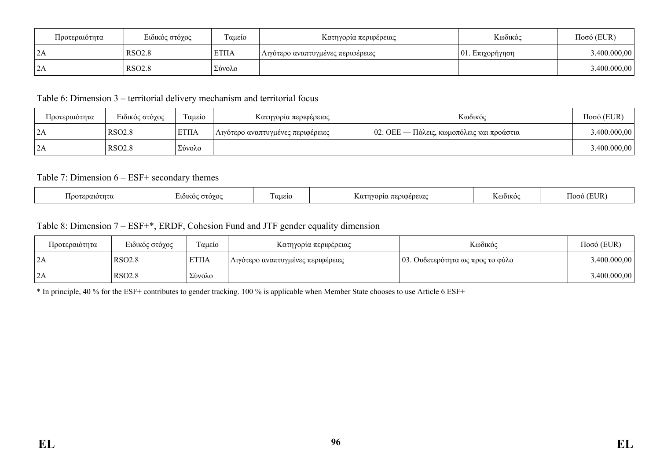| Προτεραιότητα               | Ειδικός στόχος | Ταμείο   | Κατηγορία περιφέρειας                          | Κωδικός             | $Ποσό$ (EUR) |
|-----------------------------|----------------|----------|------------------------------------------------|---------------------|--------------|
| $\mathcal{L}$<br>$\sqrt{2}$ | <b>RSO2.8</b>  | EΤΠΑ     | <sub>Ι</sub> Λιγότερο αναπτυγμένες περιφέρειες | $ 01$ . Επιχορήγηση | 3.400.000,00 |
| $\mathcal{L}$<br>L/A        | <b>RSO2.8</b>  | ' Σύνολο |                                                |                     | 3.400.000,00 |

Table 6: Dimension 3 – territorial delivery mechanism and territorial focus

| Προτεραιότητα | Ειδικός στόχος     | Γαμείο       | Κατηγορία περιφέρειας                          | Κωδικός                                          | $Ποσό$ (EUR) |
|---------------|--------------------|--------------|------------------------------------------------|--------------------------------------------------|--------------|
| $\vert$ 2A    | RSO <sub>2.8</sub> | <b>ETIIA</b> | <sub>ι</sub> Λιγότερο αναπτυγμένες περιφέρειες | $\sim$ 02. ΟΕΕ — Πόλεις, κωμοπόλεις και προάστια | 3.400.000,00 |
| 2A            | RSO <sub>2.8</sub> | Σύνολο       |                                                |                                                  | 3.400.000,00 |

### Table 7: Dimension 6 – ESF+ secondary themes

| $\overline{\phantom{a}}$<br>'EUR<br>αμείο<br>περιφερειας<br><b>NOOIKO</b> C<br>$\gamma$ ח $\alpha$ ו $\alpha$ ר $\alpha$<br>∕0۷O∩،<br>Κατηγο<br>0.010<br>ിറററ<br>1. N. L.I<br>$\sim$<br>. . |  |
|---------------------------------------------------------------------------------------------------------------------------------------------------------------------------------------------|--|
|---------------------------------------------------------------------------------------------------------------------------------------------------------------------------------------------|--|

### Table 8: Dimension 7 – ESF+\*, ERDF, Cohesion Fund and JTF gender equality dimension

| Προτεραιότητα  | Ειδικός στόχος | ÷<br>Γαμείο | Κατηγορία περιφέρειας             | Κωδικός                          | $Ποσό$ (EUR) |
|----------------|----------------|-------------|-----------------------------------|----------------------------------|--------------|
| ZA             | <b>RSO2.8</b>  | <b>ΕΤΠΑ</b> | Λιγότερο αναπτυγμένες περιφέρειες | 03. Ουδετερότητα ως προς το φύλο | 3.400.000,00 |
| $\sim$<br>  ZA | <b>RSO2.8</b>  | Σύνολο      |                                   |                                  | 3.400.000,00 |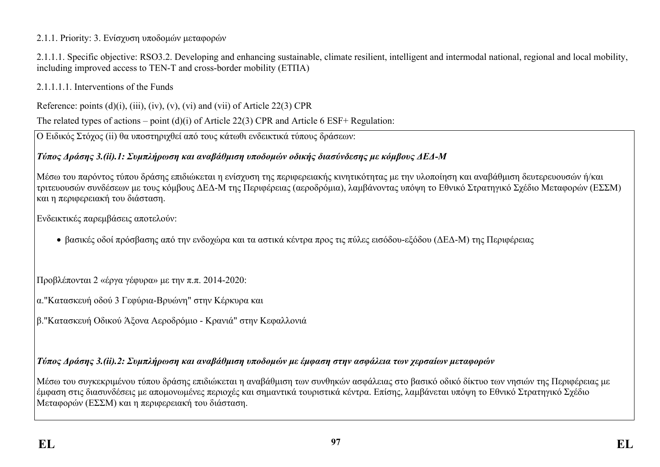## 2.1.1. Priority: 3. Ενίσχυση υποδομών μεταφορών

2.1.1.1. Specific objective: RSO3.2. Developing and enhancing sustainable, climate resilient, intelligent and intermodal national, regional and local mobility, including improved access to TEN-T and cross-border mobility (ΕΤΠΑ)

2.1.1.1.1. Interventions of the Funds

Reference: points  $(d)(i)$ ,  $(iii)$ ,  $(iv)$ ,  $(v)$ ,  $(vi)$  and  $(vii)$  of Article 22(3) CPR

The related types of actions – point (d)(i) of Article 22(3) CPR and Article 6 ESF+ Regulation:

Ο Ειδικός Στόχος (ii) θα υποστηριχθεί από τους κάτωθι ενδεικτικά τύπους δράσεων:

# *Τύπος Δράσης 3.(ii).1: Συμπλήρωση και αναβάθμιση υποδομών οδικής διασύνδεσης με κόμβους ΔΕΔ-Μ*

Μέσω του παρόντος τύπου δράσης επιδιώκεται η ενίσχυση της περιφερειακής κινητικότητας με την υλοποίηση και αναβάθμιση δευτερευουσών ή/και τριτευουσών συνδέσεων με τους κόμβους ΔΕΔ-Μ της Περιφέρειας (αεροδρόμια), λαμβάνοντας υπόψη το Εθνικό Στρατηγικό Σχέδιο Μεταφορών (ΕΣΣΜ) και η περιφερειακή του διάσταση.

Ενδεικτικές παρεμβάσεις αποτελούν:

βασικές οδοί πρόσβασης από την ενδοχώρα και τα αστικά κέντρα προς τις πύλες εισόδου-εξόδου (ΔΕΔ-Μ) της Περιφέρειας

Προβλέπονται 2 «έργα γέφυρα» με την π.π. 2014-2020:

- α."Κατασκευή οδού 3 Γεφύρια-Βρυώνη" στην Κέρκυρα και
- β."Κατασκευή Οδικού Άξονα Αεροδρόμιο Κρανιά" στην Κεφαλλονιά

# *Τύπος Δράσης 3.(ii).2: Συμπλήρωση και αναβάθμιση υποδομών με έμφαση στην ασφάλεια των χερσαίων μεταφορών*

Μέσω του συγκεκριμένου τύπου δράσης επιδιώκεται η αναβάθμιση των συνθηκών ασφάλειας στο βασικό οδικό δίκτυο των νησιών της Περιφέρειας με έμφαση στις διασυνδέσεις με απομονωμένες περιοχές και σημαντικά τουριστικά κέντρα. Επίσης, λαμβάνεται υπόψη το Εθνικό Στρατηγικό Σχέδιο Μεταφορών (ΕΣΣΜ) και η περιφερειακή του διάσταση.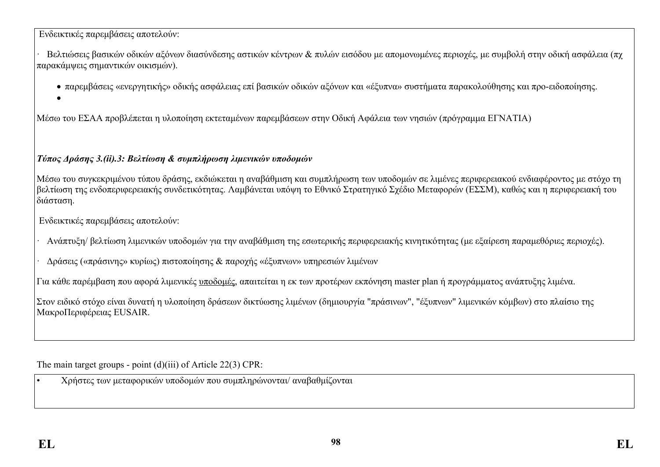### Ενδεικτικές παρεμβάσεις αποτελούν:

· Βελτιώσεις βασικών οδικών αξόνων διασύνδεσης αστικών κέντρων & πυλών εισόδου με απομονωμένες περιοχές, με συμβολή στην οδική ασφάλεια (πχ παρακάμψεις σημαντικών οικισμών).

- παρεμβάσεις «ενεργητικής» οδικής ασφάλειας επί βασικών οδικών αξόνων και «έξυπνα» συστήματα παρακολούθησης και προ-ειδοποίησης.
- $\bullet$

Μέσω του ΕΣΑΑ προβλέπεται η υλοποίηση εκτεταμένων παρεμβάσεων στην Οδική Αφάλεια των νησιών (πρόγραμμα ΕΓΝΑΤΙΑ)

## *Τύπος Δράσης 3.(ii).3: Βελτίωση & συμπλήρωση λιμενικών υποδομών*

Μέσω του συγκεκριμένου τύπου δράσης, εκδιώκεται η αναβάθμιση και συμπλήρωση των υποδομών σε λιμένες περιφερειακού ενδιαφέροντος με στόχο τη βελτίωση της ενδοπεριφερειακής συνδετικότητας. Λαμβάνεται υπόψη το Εθνικό Στρατηγικό Σχέδιο Μεταφορών (ΕΣΣΜ), καθώς και η περιφερειακή του διάσταση.

Ενδεικτικές παρεμβάσεις αποτελούν:

· Ανάπτυξη/ βελτίωση λιμενικών υποδομών για την αναβάθμιση της εσωτερικής περιφερειακής κινητικότητας (με εξαίρεση παραμεθόριες περιοχές).

· Δράσεις («πράσινης» κυρίως) πιστοποίησης & παροχής «έξυπνων» υπηρεσιών λιμένων

Για κάθε παρέμβαση που αφορά λιμενικές υποδομές, απαιτείται η εκ των προτέρων εκπόνηση master plan ή προγράμματος ανάπτυξης λιμένα.

Στον ειδικό στόχο είναι δυνατή η υλοποίηση δράσεων δικτύωσης λιμένων (δημιουργία "πράσινων", "έξυπνων" λιμενικών κόμβων) στο πλαίσιο της ΜακροΠεριφέρειας EUSAIR.

The main target groups - point (d)(iii) of Article 22(3) CPR:

• Χρήστες των μεταφορικών υποδομών που συμπληρώνονται/ αναβαθμίζονται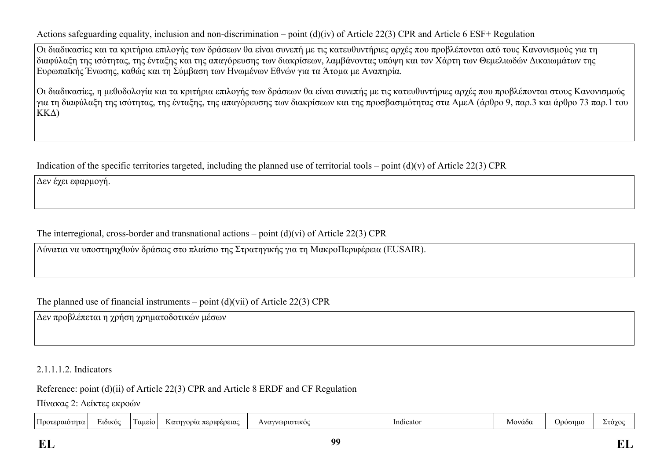Actions safeguarding equality, inclusion and non-discrimination – point (d)(iv) of Article 22(3) CPR and Article 6 ESF+ Regulation

Οι διαδικασίες και τα κριτήρια επιλογής των δράσεων θα είναι συνεπή με τις κατευθυντήριες αρχές που προβλέπονται από τους Κανονισμούς για τη διαφύλαξη της ισότητας, της ένταξης και της απαγόρευσης των διακρίσεων, λαμβάνοντας υπόψη και τον Χάρτη των Θεμελιωδών Δικαιωμάτων της Ευρωπαϊκής Ένωσης, καθώς και τη Σύμβαση των Ηνωμένων Εθνών για τα Άτομα με Αναπηρία.

Οι διαδικασίες, η μεθοδολογία και τα κριτήρια επιλογής των δράσεων θα είναι συνεπής με τις κατευθυντήριες αρχές που προβλέπονται στους Κανονισμούς για τη διαφύλαξη της ισότητας, της ένταξης, της απαγόρευσης των διακρίσεων και της προσβασιμότητας στα ΑμεΑ (άρθρο 9, παρ.3 και άρθρο 73 παρ.1 του ΚΚΔ)

Indication of the specific territories targeted, including the planned use of territorial tools – point  $(d)(v)$  of Article 22(3) CPR

Δεν έχει εφαρμογή.

The interregional, cross-border and transnational actions – point (d)(vi) of Article 22(3) CPR

Δύναται να υποστηριχθούν δράσεις στο πλαίσιο της Στρατηγικής για τη ΜακροΠεριφέρεια (EUSAIR).

The planned use of financial instruments – point  $(d)(vii)$  of Article 22(3) CPR

Δεν προβλέπεται η χρήση χρηματοδοτικών μέσων

2.1.1.1.2. Indicators

Reference: point (d)(ii) of Article 22(3) CPR and Article 8 ERDF and CF Regulation

Πίνακας 2: Δείκτες εκροών

| Κατηνορία περιφέρειας<br>1100τεραιότητα '<br>αμείο<br>Jooonue<br>Μοναδς<br><b>EIOIKO</b><br>Στογο<br>Indicato<br><b>ωριστικο</b><br>Avo <sup>-</sup> | $\sim$ |  |  |  |  |  |  |  |  |
|------------------------------------------------------------------------------------------------------------------------------------------------------|--------|--|--|--|--|--|--|--|--|
|------------------------------------------------------------------------------------------------------------------------------------------------------|--------|--|--|--|--|--|--|--|--|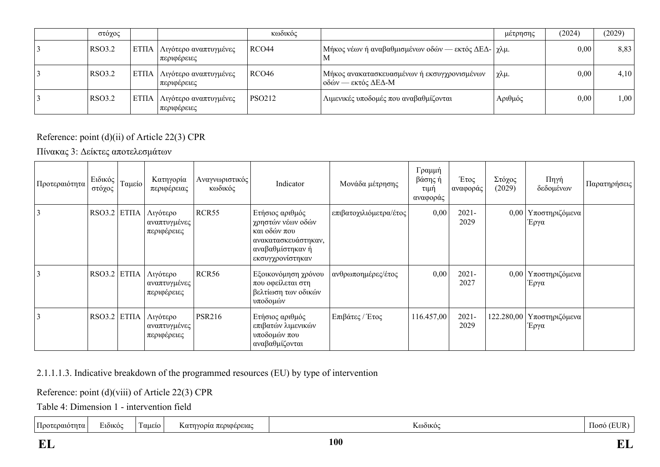| στόχος        |                  |                                             | κωδικός           |                                                                     | μέτρησης | (2024) | (2029) |
|---------------|------------------|---------------------------------------------|-------------------|---------------------------------------------------------------------|----------|--------|--------|
| RSO3.2        | ETIJA            | Λιγότερο αναπτυγμένες<br>περιφέρειες        | RCO <sub>44</sub> | Μήκος νέων ή αναβαθμισμένων οδών — εκτός ΔΕΔ-   χλμ.<br>M           |          | 0,00   | 8,83   |
| RSO3.2        | <b>  ΕΤΠΑ   </b> | Λιγότερο αναπτυγμένες<br>περιφέρειες        | RCO <sub>46</sub> | Μήκος ανακατασκευασμένων ή εκσυγχρονισμένων<br>  οδών — εκτός ΔΕΔ-Μ | χλμ.     | 0,00   | 4,10   |
| <b>RSO3.2</b> |                  | ΕΤΠΑ   Λιγότερο αναπτυγμένες<br>περιφέρειες | <b>PSO212</b>     | Λιμενικές υποδομές που αναβαθμίζονται                               | Αριθμός  | 0,00   | 1,00   |

## Reference: point (d)(ii) of Article 22(3) CPR

Πίνακας 3: Δείκτες αποτελεσμάτων

| Προτεραιότητα | Ειδικός<br>στόχος | Ταμείο       | Κατηγορία<br>περιφέρειας                | Αναγνωριστικός<br>κωδικός | Indicator                                                                                                           | Μονάδα μέτρησης        | Γραμμή<br>βάσης ή<br>τιμή<br>αναφοράς | Έτος<br>αναφοράς | Στόχος<br>(2029) | Πηγή<br>δεδομένων               | Παρατηρήσεις |
|---------------|-------------------|--------------|-----------------------------------------|---------------------------|---------------------------------------------------------------------------------------------------------------------|------------------------|---------------------------------------|------------------|------------------|---------------------------------|--------------|
| 3             | RSO3.2            | <b>ETIIA</b> | Λιγότερο<br>αναπτυγμένες<br>περιφέρειες | RCR55                     | Ετήσιος αριθμός<br>χρηστών νέων οδών<br>και οδών που<br>ανακατασκευάστηκαν,<br>αναβαθμίστηκαν ή<br>εκσυγχρονίστηκαν | επιβατοχιλιόμετρα/έτος | 0,00                                  | $2021 -$<br>2029 |                  | 0,00 Υποστηριζόμενα<br>Έργα     |              |
| 3             | RSO3.2            | <b>ETIIA</b> | Λιγότερο<br>αναπτυγμένες<br>περιφέρειες | <b>RCR56</b>              | Εξοικονόμηση χρόνου<br>που οφείλεται στη<br>βελτίωση των οδικών<br>υποδομών                                         | ανθρωποημέρες/έτος     | 0,00                                  | $2021 -$<br>2027 |                  | $0,00$   Υποστηριζόμενα<br>Έργα |              |
| 3             | RSO3.2            | <b>ETIIA</b> | Λιγότερο<br>αναπτυγμένες<br>περιφέρειες | <b>PSR216</b>             | Ετήσιος αριθμός<br>επιβατών λιμενικών<br>υποδομών που<br>αναβαθμίζονται                                             | Επιβάτες / Έτος        | 116.457,00                            | $2021 -$<br>2029 | 122.280,00       | Υποστηριζόμενα<br>Έργα          |              |

2.1.1.1.3. Indicative breakdown of the programmed resources (EU) by type of intervention

Reference: point (d)(viii) of Article 22(3) CPR

Table 4: Dimension 1 - intervention field

|  | $\overline{\phantom{0}}$<br>$1100$ TF<br>. True :<br>,,,,, | $\sim$<br><b>2101KO</b> | <b>QUELO</b> | 2013030103.<br>$K\alpha$<br>റവല<br>  7 1 7 1 1 1 1 1<br>. | <b>DÒIKO</b> | ഥരര |  |
|--|------------------------------------------------------------|-------------------------|--------------|-----------------------------------------------------------|--------------|-----|--|
|--|------------------------------------------------------------|-------------------------|--------------|-----------------------------------------------------------|--------------|-----|--|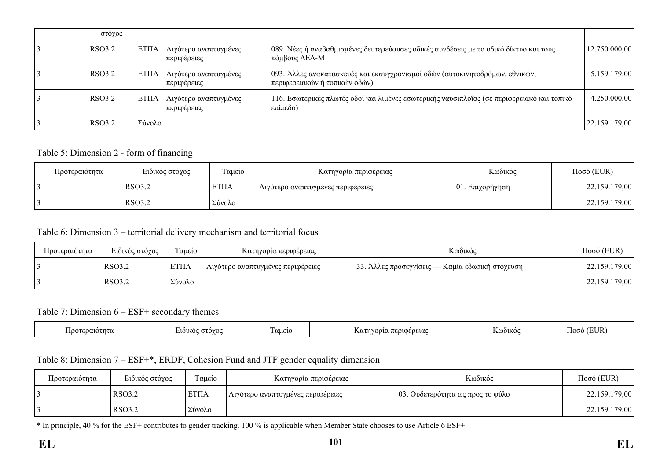| στόχος        |              |                                      |                                                                                                                 |               |
|---------------|--------------|--------------------------------------|-----------------------------------------------------------------------------------------------------------------|---------------|
| <b>RSO3.2</b> | <b>ETIIA</b> | Λιγότερο αναπτυγμένες<br>περιφέρειες | $\mid$ 089. Νέες ή αναβαθμισμένες δευτερεύουσες οδικές συνδέσεις με το οδικό δίκτυο και τους<br>κόμβους ΔΕΔ-Μ   | 12.750.000,00 |
| RSO3.2        | <b>ETIIA</b> | Λιγότερο αναπτυγμένες<br>περιφέρειες | 093. Άλλες ανακατασκευές και εκσυγχρονισμοί οδών (αυτοκινητοδρόμων, εθνικών,<br>  περιφερειακών ή τοπικών οδών) | 5.159.179,00  |
| RSO3.2        | <b>ETIIA</b> | Λιγότερο αναπτυγμένες<br>περιφέρειες | 116. Εσωτερικές πλωτές οδοί και λιμένες εσωτερικής ναυσιπλοΐας (σε περιφερειακό και τοπικό<br>επίπεδο)          | 4.250.000,00  |
| RSO3.2        | Σύνολο       |                                      |                                                                                                                 | 22.159.179,00 |

### Table 5: Dimension 2 - form of financing

| Προτεραιότητα | Ειδικός στόχος | Γαμείο      | Κατηγορία περιφέρειας             | Κωδικός             | $Ποσό$ (EUR)  |
|---------------|----------------|-------------|-----------------------------------|---------------------|---------------|
|               | RSO3.2         | <b>ΕΤΠΑ</b> | Λιγότερο αναπτυγμένες περιφέρειες | $ 01$ . Επιχορήγηση | 22.159.179,00 |
|               | RSO3.2         | Σύνολο      |                                   |                     | 22.159.179,00 |

### Table 6: Dimension 3 – territorial delivery mechanism and territorial focus

| Προτεραιότητα | Ειδικός στόχος | Ταμείο      | Κατηγορία περιφέρειας             | Κωδικός                                         | $Ποσό$ (EUR)  |
|---------------|----------------|-------------|-----------------------------------|-------------------------------------------------|---------------|
|               | <b>RSO3.2</b>  | <b>ΕΤΠΑ</b> | Λιγότερο αναπτυγμένες περιφέρειες | 33. Άλλες προσεγγίσεις — Καμία εδαφική στόχευση | 22.159.179,00 |
|               | RSO3.2         | Σύνολο      |                                   |                                                 | 22.159.179,00 |

#### Table 7: Dimension 6 – ESF+ secondary themes

| αιοτητα<br>100 | $\cdot$ . TO YO $\sim$<br><b>AOIKO</b><br>$\sim$ | $\sim$<br>αμείο | ι περιφερειας<br>$\sim$ $\sim$ $\sim$<br>Kat<br>างเวยวน | .<br>KWOUKO | (EUR |
|----------------|--------------------------------------------------|-----------------|---------------------------------------------------------|-------------|------|
|----------------|--------------------------------------------------|-----------------|---------------------------------------------------------|-------------|------|

## Table 8: Dimension 7 – ESF+\*, ERDF, Cohesion Fund and JTF gender equality dimension

| Προτεραιότητα | Ειδικός στόχος | $\sim$<br>Ι αμείο | Κατηγορία περιφέρειας               | Κωδικός                          | $Ποσό$ (EUR)  |
|---------------|----------------|-------------------|-------------------------------------|----------------------------------|---------------|
|               | <b>RSO3.2</b>  | <b>ΕΤΠΑ</b>       | ' Λιγότερο αναπτυγμένες περιφέρειες | 03. Ουδετερότητα ως προς το φύλο | 22.159.179,00 |
|               | RSO3.2         | Σύνολο            |                                     |                                  | 22.159.179,00 |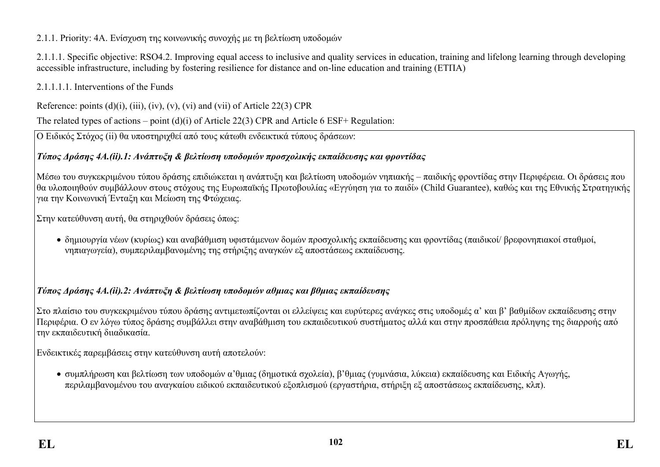# 2.1.1. Priority: 4A. Ενίσχυση της κοινωνικής συνοχής με τη βελτίωση υποδομών

2.1.1.1. Specific objective: RSO4.2. Improving equal access to inclusive and quality services in education, training and lifelong learning through developing accessible infrastructure, including by fostering resilience for distance and on-line education and training (ΕΤΠΑ)

2.1.1.1.1. Interventions of the Funds

Reference: points  $(d)(i)$ ,  $(iii)$ ,  $(iv)$ ,  $(v)$ ,  $(vi)$  and  $(vii)$  of Article 22(3) CPR

The related types of actions – point (d)(i) of Article 22(3) CPR and Article 6 ESF+ Regulation:

Ο Ειδικός Στόχος (ii) θα υποστηριχθεί από τους κάτωθι ενδεικτικά τύπους δράσεων:

# *Τύπος Δράσης 4A.(ii).1: Ανάπτυξη & βελτίωση υποδομών προσχολικής εκπαίδευσης και φροντίδας*

Μέσω του συγκεκριμένου τύπου δράσης επιδιώκεται η ανάπτυξη και βελτίωση υποδομών νηπιακής – παιδικής φροντίδας στην Περιφέρεια. Οι δράσεις που θα υλοποιηθούν συμβάλλουν στους στόχους της Ευρωπαϊκής Πρωτοβουλίας «Εγγύηση για το παιδί» (Child Guarantee), καθώς και της Εθνικής Στρατηγικής για την Κοινωνική Ένταξη και Μείωση της Φτώχειας.

Στην κατεύθυνση αυτή, θα στηριχθούν δράσεις όπως:

 δημιουργία νέων (κυρίως) και αναβάθμιση υφιστάμενων δομών προσχολικής εκπαίδευσης και φροντίδας (παιδικοί/ βρεφονηπιακοί σταθμοί, νηπιαγωγεία), συμπεριλαμβανομένης της στήριξης αναγκών εξ αποστάσεως εκπαίδευσης.

# *Τύπος Δράσης 4Α.(ii).2: Ανάπτυξη & βελτίωση υποδομών αθμιας και βθμιας εκπαίδευσης*

Στο πλαίσιο του συγκεκριμένου τύπου δράσης αντιμετωπίζονται οι ελλείψεις και ευρύτερες ανάγκες στις υποδομές α' και β' βαθμίδων εκπαίδευσης στην Περιφέρια. Ο εν λόγω τύπος δράσης συμβάλλει στην αναβάθμιση του εκπαιδευτικού συστήματος αλλά και στην προσπάθεια πρόληψης της διαρροής από την εκπαιδευτική διιαδικασία.

Ενδεικτικές παρεμβάσεις στην κατεύθυνση αυτή αποτελούν:

 συμπλήρωση και βελτίωση των υποδομών α'θμιας (δημοτικά σχολεία), β'θμιας (γυμνάσια, λύκεια) εκπαίδευσης και Ειδικής Αγωγής, περιλαμβανομένου του αναγκαίου ειδικού εκπαιδευτικού εξοπλισμού (εργαστήρια, στήριξη εξ αποστάσεως εκπαίδευσης, κλπ).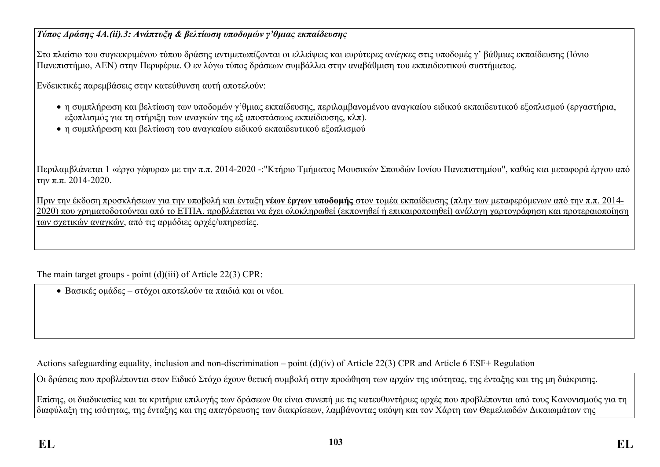## *Τύπος Δράσης 4Α.(ii).3: Ανάπτυξη & βελτίωση υποδομών γ'θμιας εκπαίδευσης*

Στο πλαίσιο του συγκεκριμένου τύπου δράσης αντιμετωπίζονται οι ελλείψεις και ευρύτερες ανάγκες στις υποδομές γ' βάθμιας εκπαίδευσης (Ιόνιο Πανεπιστήμιο, ΑΕΝ) στην Περιφέρια. Ο εν λόγω τύπος δράσεων συμβάλλει στην αναβάθμιση του εκπαιδευτικού συστήματος.

Ενδεικτικές παρεμβάσεις στην κατεύθυνση αυτή αποτελούν:

- η συμπλήρωση και βελτίωση των υποδομών γ'θμιας εκπαίδευσης, περιλαμβανομένου αναγκαίου ειδικού εκπαιδευτικού εξοπλισμού (εργαστήρια, εξοπλισμός για τη στήριξη των αναγκών της εξ αποστάσεως εκπαίδευσης, κλπ).
- η συμπλήρωση και βελτίωση του αναγκαίου ειδικού εκπαιδευτικού εξοπλισμού

Περιλαμβλάνεται 1 «έργο γέφυρα» με την π.π. 2014-2020 -:"Κτήριο Τμήματος Μουσικών Σπουδών Ιονίου Πανεπιστημίου", καθώς και μεταφορά έργου από την π.π. 2014-2020.

Πριν την έκδοση προσκλήσεων για την υποβολή και ένταξη **νέων έργων υποδομής** στον τομέα εκπαίδευσης (πλην των μεταφερόμενων από την π.π. 2014- 2020) που χρηματοδοτούνται από το ΕΤΠΑ, προβλέπεται να έχει ολοκληρωθεί (εκπονηθεί ή επικαιροποιηθεί) ανάλονη χαρτογράφηση και προτεραιοποίηση των σχετικών αναγκών, από τις αρμόδιες αρχές/υπηρεσίες.

The main target groups - point (d)(iii) of Article 22(3) CPR:

Βασικές ομάδες – στόχοι αποτελούν τα παιδιά και οι νέοι.

Actions safeguarding equality, inclusion and non-discrimination – point (d)(iv) of Article 22(3) CPR and Article 6 ESF+ Regulation

Οι δράσεις που προβλέπονται στον Ειδικό Στόχο έχουν θετική συμβολή στην προώθηση των αρχών της ισότητας, της ένταξης και της μη διάκρισης.

Επίσης, οι διαδικασίες και τα κριτήρια επιλογής των δράσεων θα είναι συνεπή με τις κατευθυντήριες αρχές που προβλέπονται από τους Κανονισμούς για τη διαφύλαξη της ισότητας, της ένταξης και της απαγόρευσης των διακρίσεων, λαμβάνοντας υπόψη και τον Χάρτη των Θεμελιωδών Δικαιωμάτων της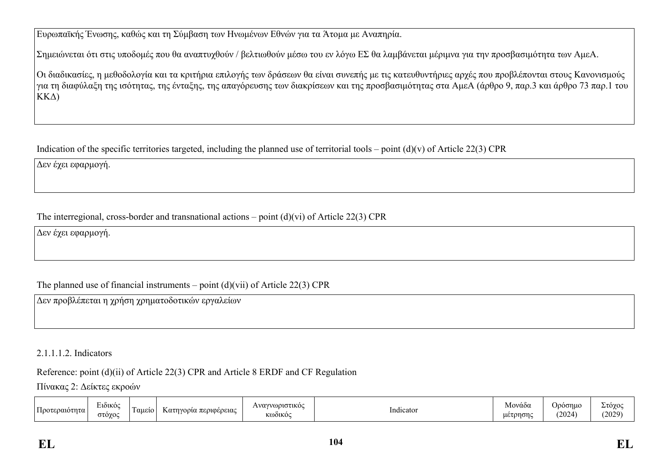Ευρωπαϊκής Ένωσης, καθώς και τη Σύμβαση των Ηνωμένων Εθνών για τα Άτομα με Αναπηρία.

Σημειώνεται ότι στις υποδομές που θα αναπτυχθούν / βελτιωθούν μέσω του εν λόγω ΕΣ θα λαμβάνεται μέριμνα για την προσβασιμότητα των ΑμεΑ.

Οι διαδικασίες, η μεθοδολογία και τα κριτήρια επιλογής των δράσεων θα είναι συνεπής με τις κατευθυντήριες αρχές που προβλέπονται στους Κανονισμούς για τη διαφύλαξη της ισότητας, της ένταξης, της απαγόρευσης των διακρίσεων και της προσβασιμότητας στα ΑμεΑ (άρθρο 9, παρ.3 και άρθρο 73 παρ.1 του ΚΚΔ)

Indication of the specific territories targeted, including the planned use of territorial tools – point  $(d)(v)$  of Article 22(3) CPR

Δεν έχει εφαρμογή.

The interregional, cross-border and transnational actions – point (d)(vi) of Article 22(3) CPR

Δεν έχει εφαρμογή.

The planned use of financial instruments – point  $(d)(\n{\rm vii})$  of Article 22(3) CPR

Δεν προβλέπεται η χρήση χρηματοδοτικών εργαλείων

### 2.1.1.1.2. Indicators

Reference: point (d)(ii) of Article 22(3) CPR and Article 8 ERDF and CF Regulation

Πίνακας 2: Δείκτες εκροών

| $\overline{\phantom{a}}$<br>- 33.54<br>Προτεραι<br>աստուս | $\sim$ $\sim$<br>Eiðikó<br>στογος<br>$\sim$ | ι αμειο | Κατηγορία περιφέρειας | ωριστικος<br>$\Delta VQV$<br><b>KOOIKO</b> | .<br>Indicator | -<br>Μονάδα<br>uetonono | Jρόσημ <b></b><br>(2024) | Στόχος<br>(2029) |
|-----------------------------------------------------------|---------------------------------------------|---------|-----------------------|--------------------------------------------|----------------|-------------------------|--------------------------|------------------|
|-----------------------------------------------------------|---------------------------------------------|---------|-----------------------|--------------------------------------------|----------------|-------------------------|--------------------------|------------------|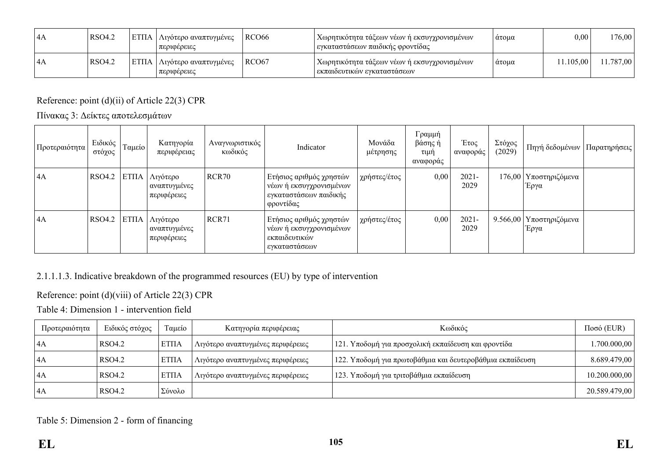| 14A | RSO4.2 | ΕΤΠΑ   Λιγότερο αναπτυγμένες<br>  περιφέρειες | RCO66 | Χωρητικότητα τάξεων νέων ή εκσυγχρονισμένων<br>εγκαταστάσεων παιδικής φροντίδας | άτομα | $0{,}00$  | 176,00    |
|-----|--------|-----------------------------------------------|-------|---------------------------------------------------------------------------------|-------|-----------|-----------|
| 14A | RSO4.2 | ΕΤΠΑ   Λιγότερο αναπτυγμένες<br>  περιφέρειες | RCO67 | Χωρητικότητα τάξεων νέων ή εκσυγχρονισμένων  <br>  εκπαιδευτικών εγκαταστάσεων  | άτομα | 11.105.00 | 11.787,00 |

Reference: point (d)(ii) of Article 22(3) CPR

Πίνακας 3: Δείκτες αποτελεσμάτων

| Προτεραιότητα | Ειδικός<br>στόχος | Ταμείο | Κατηγορία<br>περιφέρειας                       | Αναγνωριστικός<br>κωδικός | Indicator                                                                                 | Μονάδα<br>μέτρησης | Γραμμή<br>βάσης ή<br>τιμή<br>αναφοράς | Έτος<br>αναφοράς | Στόχος<br>(2029) | Πηγή δεδομένων                    | Παρατηρήσεις |
|---------------|-------------------|--------|------------------------------------------------|---------------------------|-------------------------------------------------------------------------------------------|--------------------|---------------------------------------|------------------|------------------|-----------------------------------|--------------|
| $\vert$ 4A    | <b>RSO4.2</b>     |        | ΕΤΠΑ   Λιγότερο<br>αναπτυγμένες<br>περιφέρειες | RCR70                     | Ετήσιος αριθμός χρηστών<br>νέων ή εκσυγχρονισμένων<br>εγκαταστάσεων παιδικής<br>φροντίδας | χρήστες/έτος       | 0,00                                  | $2021 -$<br>2029 |                  | 176,00 Υποστηριζόμενα<br>Έργα     |              |
| 4A            | RSO4.2            |        | ΕΤΠΑ   Λιγότερο<br>αναπτυγμένες<br>περιφέρειες | RCR71                     | Ετήσιος αριθμός χρηστών<br>νέων ή εκσυγχρονισμένων<br>εκπαιδευτικών<br>εγκαταστάσεων      | χρήστες/έτος       | 0,00                                  | $2021 -$<br>2029 |                  | 9.566,00   Υποστηριζόμενα<br>Έργα |              |

2.1.1.1.3. Indicative breakdown of the programmed resources (EU) by type of intervention

Reference: point (d)(viii) of Article 22(3) CPR

Table 4: Dimension 1 - intervention field

| Προτεραιότητα  | Ειδικός στόχος | Ταμείο      | Κατηγορία περιφέρειας             | Κωδικός                                                   | $Ποσό$ (EUR)  |
|----------------|----------------|-------------|-----------------------------------|-----------------------------------------------------------|---------------|
| $\mathsf{I}4A$ | RSO4.2         | <b>ΕΤΠΑ</b> | Λιγότερο αναπτυγμένες περιφέρειες | 121. Υποδομή για προσχολική εκπαίδευση και φροντίδα       | .700.000,00   |
| $\mathsf{I}4A$ | RSO4.2         | ETΠA        | Λιγότερο αναπτυγμένες περιφέρειες | 122. Υποδομή για πρωτοβάθμια και δευτεροβάθμια εκπαίδευση | 8.689.479,00  |
| $\mathsf{I}4A$ | RSO4.2         | ETΠA        | Λιγότερο αναπτυγμένες περιφέρειες | 123. Υποδομή για τριτοβάθμια εκπαίδευση                   | 10.200.000,00 |
| $\mathsf{I}4A$ | RSO4.2         | Σύνολο      |                                   |                                                           | 20.589.479,00 |

Table 5: Dimension 2 - form of financing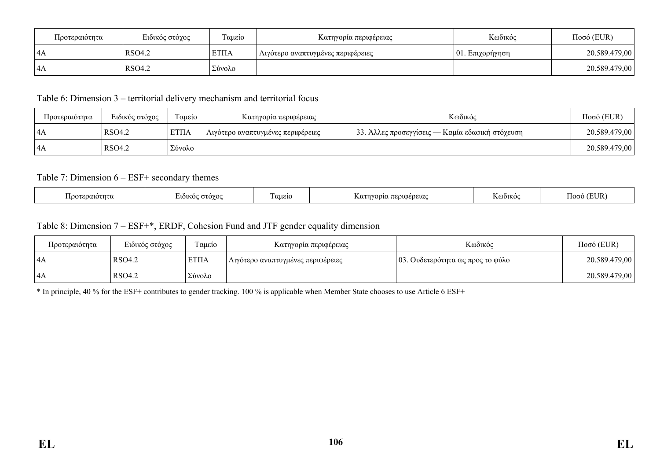| Προτεραιότητα | Ειδικός στόχος | Ταμείο       | Κατηγορία περιφέρειας             | Κωδικός             | $Ποσό$ (EUR)  |
|---------------|----------------|--------------|-----------------------------------|---------------------|---------------|
| 4A            | RSO4.2         | <b>ETIIA</b> | Λιγότερο αναπτυγμένες περιφέρειες | $ 01$ . Επιχορήγηση | 20.589.479,00 |
| 4A            | RSO4.2         | Σύνολο       |                                   |                     | 20.589.479,00 |

Table 6: Dimension 3 – territorial delivery mechanism and territorial focus

| Προτεραιότητα | Ειδικός στόχος | Ταμείο      | Κατηγορία περιφέρειας             | Κωδικός                                         | $Ποσό$ (EUR)  |
|---------------|----------------|-------------|-----------------------------------|-------------------------------------------------|---------------|
| 4A            | RSO4.2         | <b>ΕΤΠΑ</b> | Λιγότερο αναπτυγμένες περιφέρειες | 33. Άλλες προσεγγίσεις — Καμία εδαφική στόχευση | 20.589.479,00 |
| l 4A          | RSO4.2         | Σύνολο      |                                   |                                                 | 20.589.479,00 |

### Table 7: Dimension 6 – ESF+ secondary themes

| $\sim$<br>$-$<br>EUR<br>ി∩σô<br>αμειο<br>εραιοτητα<br><b>57.OYO</b><br>$\Delta$ @01KOC<br>010000100<br><b>TOOTE</b><br>$\alpha$ $\tau$ $\gamma$<br>$-1$<br><b>1101KO</b><br>πευιω<br>,,,,,,,,<br>'GDGLU<br><b>IZMULL</b><br>$\sim$ |  |
|------------------------------------------------------------------------------------------------------------------------------------------------------------------------------------------------------------------------------------|--|
|------------------------------------------------------------------------------------------------------------------------------------------------------------------------------------------------------------------------------------|--|

### Table 8: Dimension 7 – ESF+\*, ERDF, Cohesion Fund and JTF gender equality dimension

| Προτεραιότητα | Ειδικός στόχος | $\sim$<br>Γαμείο | Κατηγορία περιφέρειας                          | Κωδικός                          | $Ποσό$ (EUR)  |
|---------------|----------------|------------------|------------------------------------------------|----------------------------------|---------------|
| 14A           | RSO4.2         | <b>ΕΤΠΑ</b>      | <sub>Ι</sub> Λιγότερο αναπτυγμένες περιφέρειες | 03. Ουδετερότητα ως προς το φύλο | 20.589.479,00 |
| 4A            | RSO4.2         | Σύνολο           |                                                |                                  | 20.589.479,00 |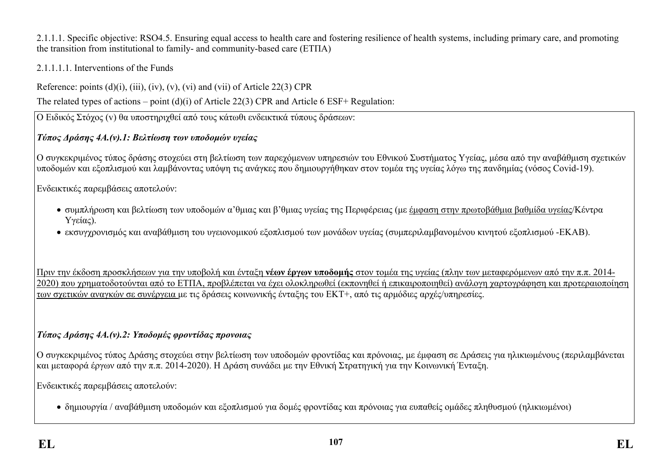### 2.1.1.1. Specific objective: RSO4.5. Ensuring equal access to health care and fostering resilience of health systems, including primary care, and promoting the transition from institutional to family- and community-based care (ΕΤΠΑ)

## 2.1.1.1.1. Interventions of the Funds

Reference: points  $(d)(i)$ ,  $(iii)$ ,  $(iv)$ ,  $(v)$ ,  $(vi)$  and  $(vii)$  of Article 22(3) CPR

The related types of actions – point (d)(i) of Article 22(3) CPR and Article 6 ESF+ Regulation:

Ο Ειδικός Στόχος (v) θα υποστηριχθεί από τους κάτωθι ενδεικτικά τύπους δράσεων:

# *Τύπος Δράσης 4A.(v).1: Βελτίωση των υποδομών υγείας*

Ο συγκεκριμένος τύπος δράσης στοχεύει στη βελτίωση των παρεχόμενων υπηρεσιών του Εθνικού Συστήματος Υγείας, μέσα από την αναβάθμιση σχετικών υποδομών και εξοπλισμού και λαμβάνοντας υπόψη τις ανάγκες που δημιουργήθηκαν στον τομέα της υγείας λόγω της πανδημίας (νόσος Covid-19).

Ενδεικτικές παρεμβάσεις αποτελούν:

- συμπλήρωση και βελτίωση των υποδομών α'θμιας και β'θμιας υγείας της Περιφέρειας (με έμφαση στην πρωτοβάθμια βαθμίδα υγείας/Κέντρα Υγείας).
- εκσυγχρονισμός και αναβάθμιση του υγειονομικού εξοπλισμού των μονάδων υγείας (συμπεριλαμβανομένου κινητού εξοπλισμού -ΕΚΑΒ).

Πριν την έκδοση προσκλήσεων για την υποβολή και ένταξη **νέων έργων υποδομής** στον τομέα της υγείας (πλην των μεταφερόμενων από την π.π. 2014- 2020) που χρηματοδοτούνται από το ΕΤΠΑ, προβλέπεται να έχει ολοκληρωθεί (εκπονηθεί ή επικαιροποιηθεί) ανάλογη χαρτογράφηση και προτεραιοποίηση των σχετικών αναγκών σε συνέργεια με τις δράσεις κοινωνικής ένταξης του ΕΚΤ+, από τις αρμόδιες αρχές/υπηρεσίες.

# *Τύπος Δράσης 4A.(v).2: Υποδομές φροντίδας προνοιας*

Ο συγκεκριμένος τύπος Δράσης στοχεύει στην βελτίωση των υποδομών φροντίδας και πρόνοιας, με έμφαση σε Δράσεις για ηλικιωμένους (περιλαμβάνεται και μεταφορά έργων από την π.π. 2014-2020). Η Δράση συνάδει με την Εθνική Στρατηγική για την Κοινωνική Ένταξη.

Ενδεικτικές παρεμβάσεις αποτελούν:

δημιουργία / αναβάθμιση υποδομών και εξοπλισμού για δομές φροντίδας και πρόνοιας για ευπαθείς ομάδες πληθυσμού (ηλικιωμένοι)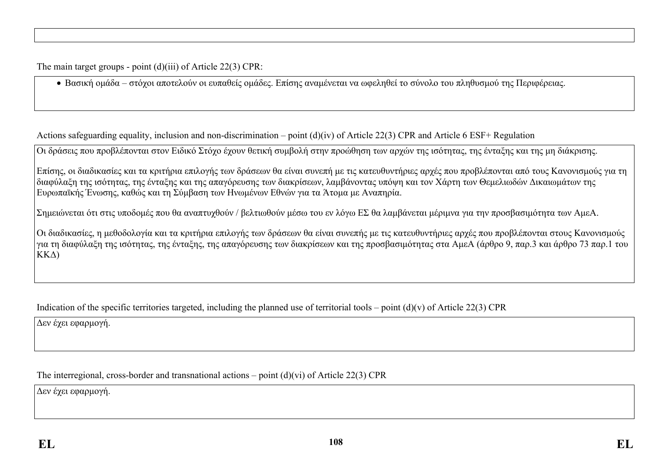The main target groups - point (d)(iii) of Article 22(3) CPR:

Βασική ομάδα – στόχοι αποτελούν οι ευπαθείς ομάδες. Επίσης αναμένεται να ωφεληθεί το σύνολο του πληθυσμού της Περιφέρειας.

Actions safeguarding equality, inclusion and non-discrimination – point (d)(iv) of Article 22(3) CPR and Article 6 ESF+ Regulation

Οι δράσεις που προβλέπονται στον Ειδικό Στόχο έχουν θετική συμβολή στην προώθηση των αρχών της ισότητας, της ένταξης και της μη διάκρισης.

Επίσης, οι διαδικασίες και τα κριτήρια επιλογής των δράσεων θα είναι συνεπή με τις κατευθυντήριες αρχές που προβλέπονται από τους Κανονισμούς για τη διαφύλαξη της ισότητας, της ένταξης και της απαγόρευσης των διακρίσεων, λαμβάνοντας υπόψη και τον Χάρτη των Θεμελιωδών Δικαιωμάτων της Ευρωπαϊκής Ένωσης, καθώς και τη Σύμβαση των Ηνωμένων Εθνών για τα Άτομα με Αναπηρία.

Σημειώνεται ότι στις υποδομές που θα αναπτυχθούν / βελτιωθούν μέσω του εν λόγω ΕΣ θα λαμβάνεται μέριμνα για την προσβασιμότητα των ΑμεΑ.

Οι διαδικασίες, η μεθοδολογία και τα κριτήρια επιλογής των δράσεων θα είναι συνεπής με τις κατευθυντήριες αρχές που προβλέπονται στους Κανονισμούς για τη διαφύλαξη της ισότητας, της ένταξης, της απαγόρευσης των διακρίσεων και της προσβασιμότητας στα ΑμεΑ (άρθρο 9, παρ.3 και άρθρο 73 παρ.1 του ΚΚΔ)

Indication of the specific territories targeted, including the planned use of territorial tools – point  $(d)(v)$  of Article 22(3) CPR

Δεν έχει εφαρμογή.

The interregional, cross-border and transnational actions – point (d)(vi) of Article 22(3) CPR

Δεν έχει εφαρμογή.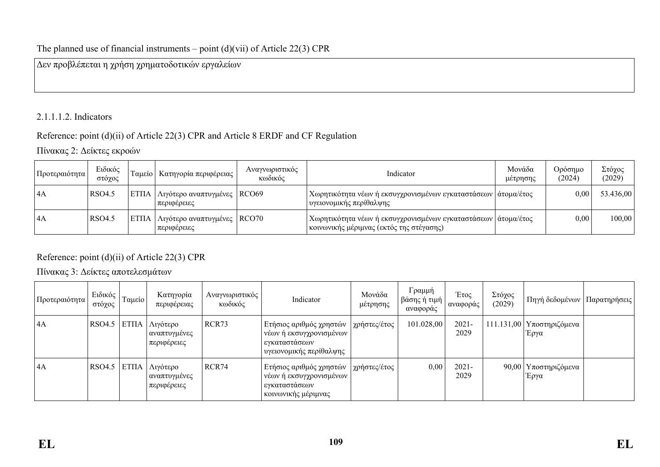## The planned use of financial instruments – point  $(d)(vi)$  of Article 22(3) CPR

Δεν προβλέπεται η χρήση χρηματοδοτικών εργαλείων

## 2.1.1.1.2. Indicators

## Reference: point (d)(ii) of Article 22(3) CPR and Article 8 ERDF and CF Regulation

Πίνακας 2: Δείκτες εκροών

| Προτεραιότητα             | Ειδικός<br>στόγος | Ταμείο   Κατηγορία περιφέρειας <sup> </sup>           | Αναγνωριστικός<br>κωδικός | Indicator                                                                                                                  | Μονάδα<br>μέτρησης | Ορόσημο<br>(2024) | Στόχος<br>(2029) |
|---------------------------|-------------------|-------------------------------------------------------|---------------------------|----------------------------------------------------------------------------------------------------------------------------|--------------------|-------------------|------------------|
| $\mathsf{A}$              | RSO4.5            | ΕΤΠΑ   Λιγότερο αναπτυγμένες   RCO69<br>  περιφέρειες |                           | Χωρητικότητα νέων ή εκσυγχρονισμένων εγκαταστάσεων   άτομα/έτος<br>  υγειονομικής περίθαλψης                               |                    | 0,00 <sub>1</sub> | 53.436,00        |
| $\mathsf{A}^{\mathsf{T}}$ | RSO4.5            | ΕΤΠΑ   Λιγότερο αναπτυγμένες   RCO70<br>  περιφέρειες |                           | Χωρητικότητα νέων ή εκσυγχρονισμένων εγκαταστάσεων   άτομα/έτος<br><sub>ι</sub> κοινωνικής μέριμνας (εκτός της στέγασης) - |                    | 0,00              | 100,00           |

Reference: point (d)(ii) of Article 22(3) CPR

Πίνακας 3: Δείκτες αποτελεσμάτων

| Προτεραιότητα | Ειδικός<br>στόχος | Ταμείο | Κατηγορία<br>περιφέρειας                       | Αναγνωριστικός<br>κωδικός | Indicator                                                                                        | Μονάδα<br>μέτρησης        | Γραμμή<br><sub>∣</sub> βάσης ή τιμή∣<br>αναφοράς | Έτος<br>αναφοράς | Στόχος<br>(2029) | Πηγή δεδομένων   Παρατηρήσεις       |  |
|---------------|-------------------|--------|------------------------------------------------|---------------------------|--------------------------------------------------------------------------------------------------|---------------------------|--------------------------------------------------|------------------|------------------|-------------------------------------|--|
| 4A            | RSO4.5            |        | ΕΤΠΑ   Λιγότερο<br>αναπτυγμένες<br>περιφέρειες | RCR73                     | Ετήσιος αριθμός χρηστών<br>νέων ή εκσυγχρονισμένων<br>εγκαταστάσεων<br>` υγειονομικής περίθαλψης | χρήστες/έτος              | 101.028,00                                       | $2021 -$<br>2029 |                  | 111.131,00   Υποστηριζόμενα<br>Έργα |  |
| 4A            | <b>RSO4.5</b>     |        | ΕΤΠΑ   Λιγότερο<br>αναπτυγμένες<br>περιφέρειες | RCR74                     | Ετήσιος αριθμός χρηστών<br>νέων ή εκσυγχρονισμένων<br>εγκαταστάσεων<br>κοινωνικής μέριμνας       | <sup>ι</sup> χρήστες/έτος | 0,00                                             | $2021 -$<br>2029 |                  | 90,00   Υποστηριζόμενα<br>Έργα      |  |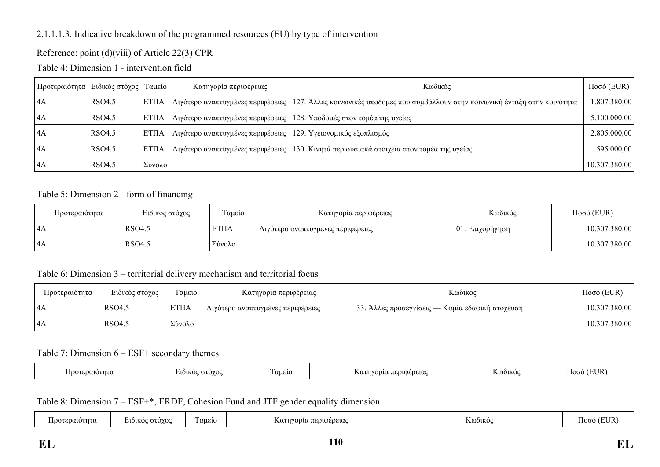### 2.1.1.1.3. Indicative breakdown of the programmed resources (EU) by type of intervention

### Reference: point (d)(viii) of Article 22(3) CPR

Table 4: Dimension 1 - intervention field

| Προτεραιότητα   Ειδικός στόχος   Ταμείο |        |              | Κατηγορία περιφέρειας                                            | Κωδικός                                                                                    | $\Pi$ οσό (EUR) |
|-----------------------------------------|--------|--------------|------------------------------------------------------------------|--------------------------------------------------------------------------------------------|-----------------|
| 4A                                      | RSO4.5 | <b>ETIIA</b> | Λιγότερο αναπτυγμένες περιφέρειες                                | 127. Άλλες κοινωνικές υποδομές που συμβάλλουν στην κοινωνική ένταξη στην κοινότητα         | .807.380,00     |
| 4A                                      | RSO4.5 | <b>ETIIA</b> | Λιγότερο αναπτυγμένες περιφέρειες                                | 128. Υποδομές στον τομέα της υγείας                                                        | 5.100.000,00    |
| 4A                                      | RSO4.5 | <b>ETIIA</b> | Λιγότερο αναπτυγμένες περιφέρειες   129. Υγειονομικός εξοπλισμός |                                                                                            | 2.805.000,00    |
| 4A                                      | RSO4.5 | <b>ΕΤΠΑ</b>  |                                                                  | Λιγότερο αναπτυγμένες περιφέρειες   130. Κινητά περιουσιακά στοιχεία στον τομέα της υγείας | 595.000,00      |
| 4A                                      | RSO4.5 | Σύνολο       |                                                                  |                                                                                            | 10.307.380,00   |

#### Table 5: Dimension 2 - form of financing

| Προτεραιότητα  | Ειδικός στόχος<br>Γαμείο |             | Κατηγορία περιφέρειας             | Κωδικός         | $Ποσό$ (EUR)  |
|----------------|--------------------------|-------------|-----------------------------------|-----------------|---------------|
| 14A            | RSO4.5                   | <b>ΕΤΠΑ</b> | Λιγότερο αναπτυγμένες περιφέρειες | 01. Eπιχορήγηση | 10.307.380,00 |
| $\mathsf{I}4A$ | RSO4.5                   | Σύνολο      |                                   |                 | 10.307.380,00 |

### Table 6: Dimension 3 – territorial delivery mechanism and territorial focus

| Προτεραιότητα | Ειδικός στόχος | Γαμείο       | Κατηγορία περιφέρειας             | Κωδικός                                         | $Ποσό$ (EUR)  |
|---------------|----------------|--------------|-----------------------------------|-------------------------------------------------|---------------|
| 4A            | RSO4.5         | <b>ETIIA</b> | Λιγότερο αναπτυγμένες περιφέρειες | 33. Άλλες προσεγγίσεις — Καμία εδαφική στόχευση | 10.307.380,00 |
| 14A           | <b>RSO4.5</b>  | Σύνολο       |                                   |                                                 | 10.307.380,00 |

#### Table 7: Dimension 6 – ESF+ secondary themes

| coalotnτa<br>ഥററ | $\sim$ | $\overline{\phantom{a}}$<br>αuειo | . περιφερειας | . | <b>EI IR</b><br>המו |
|------------------|--------|-----------------------------------|---------------|---|---------------------|
|------------------|--------|-----------------------------------|---------------|---|---------------------|

Table 8: Dimension 7 – ESF+\*, ERDF, Cohesion Fund and JTF gender equality dimension

| $\sim$<br>$\sim$<br>: στονοι<br>ι αμειο<br>.<br>100T<br>0.100000000<br>OOIKO<br><b>7101KO</b><br>$\alpha\tau\tau$<br>$-1$<br>ഥന<br>. atritu -<br>. HII.<br>cuciu<br>n uu<br>.<br>$-100$<br>$\sim$ |  |
|---------------------------------------------------------------------------------------------------------------------------------------------------------------------------------------------------|--|
|---------------------------------------------------------------------------------------------------------------------------------------------------------------------------------------------------|--|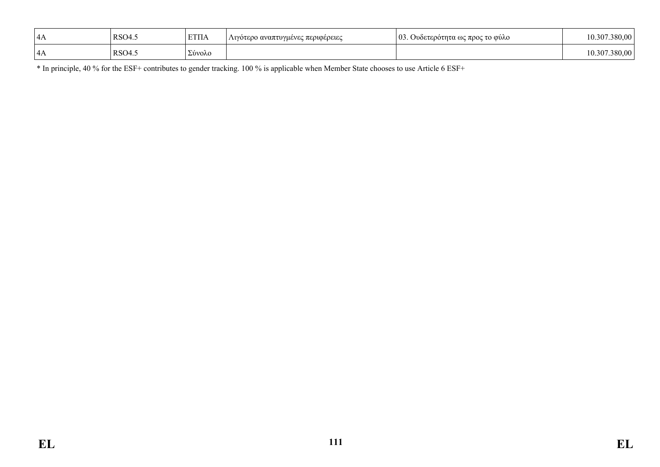| 4 <sub>A</sub> | RSO4. | <b>ETIIA</b> | Λιγότερο αναπτυγμένες περιφέρειες | 0 <sub>3</sub><br>Ουδετερότητα ως προς το φύλο | 10.307<br>380.00  |
|----------------|-------|--------------|-----------------------------------|------------------------------------------------|-------------------|
| 4A             | RSO4. | Σύνολο       |                                   |                                                | .380.00<br>10.307 |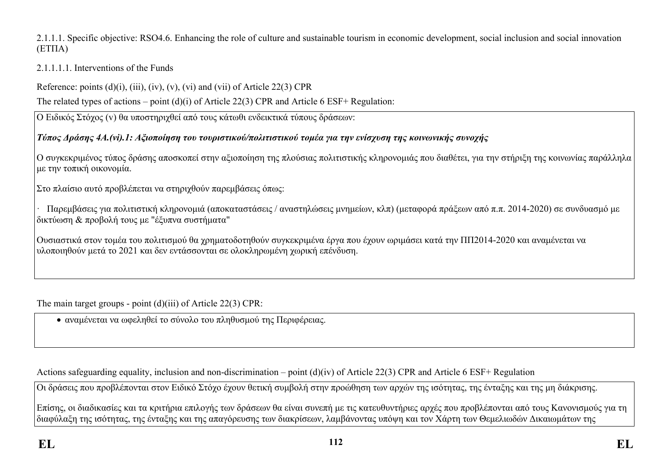### 2.1.1.1. Specific objective: RSO4.6. Enhancing the role of culture and sustainable tourism in economic development, social inclusion and social innovation (ΕΤΠΑ)

## 2.1.1.1.1. Interventions of the Funds

Reference: points  $(d)(i)$ ,  $(iii)$ ,  $(iv)$ ,  $(v)$ ,  $(vi)$  and  $(vii)$  of Article 22(3) CPR

The related types of actions – point (d)(i) of Article 22(3) CPR and Article 6 ESF+ Regulation:

Ο Ειδικός Στόχος (v) θα υποστηριχθεί από τους κάτωθι ενδεικτικά τύπους δράσεων:

# *Τύπος Δράσης 4A.(vi).1: Αξιοποίηση του τουριστικού/πολιτιστικού τομέα για την ενίσχυση της κοινωνικής συνοχής*

Ο συγκεκριμένος τύπος δράσης αποσκοπεί στην αξιοποίηση της πλούσιας πολιτιστικής κληρονομιάς που διαθέτει, για την στήριξη της κοινωνίας παράλληλα με την τοπική οικονομία.

Στο πλαίσιο αυτό προβλέπεται να στηριχθούν παρεμβάσεις όπως:

· Παρεμβάσεις για πολιτιστική κληρονομιά (αποκαταστάσεις / αναστηλώσεις μνημείων, κλπ) (μεταφορά πράξεων από π.π. 2014-2020) σε συνδυασμό με δικτύωση & προβολή τους με "έξυπνα συστήματα"

Ουσιαστικά στον τομέα του πολιτισμού θα χρηματοδοτηθούν συγκεκριμένα έργα που έχουν ωριμάσει κατά την ΠΠ2014-2020 και αναμένεται να υλοποιηθούν μετά το 2021 και δεν εντάσσονται σε ολοκληρωμένη χωρική επένδυση.

The main target groups - point (d)(iii) of Article 22(3) CPR:

αναμένεται να ωφεληθεί το σύνολο του πληθυσμού της Περιφέρειας.

Actions safeguarding equality, inclusion and non-discrimination – point (d)(iv) of Article 22(3) CPR and Article 6 ESF+ Regulation

Οι δράσεις που προβλέπονται στον Ειδικό Στόχο έχουν θετική συμβολή στην προώθηση των αρχών της ισότητας, της ένταξης και της μη διάκρισης.

Επίσης, οι διαδικασίες και τα κριτήρια επιλογής των δράσεων θα είναι συνεπή με τις κατευθυντήριες αρχές που προβλέπονται από τους Κανονισμούς για τη διαφύλαξη της ισότητας, της ένταξης και της απαγόρευσης των διακρίσεων, λαμβάνοντας υπόψη και τον Χάρτη των Θεμελιωδών Δικαιωμάτων της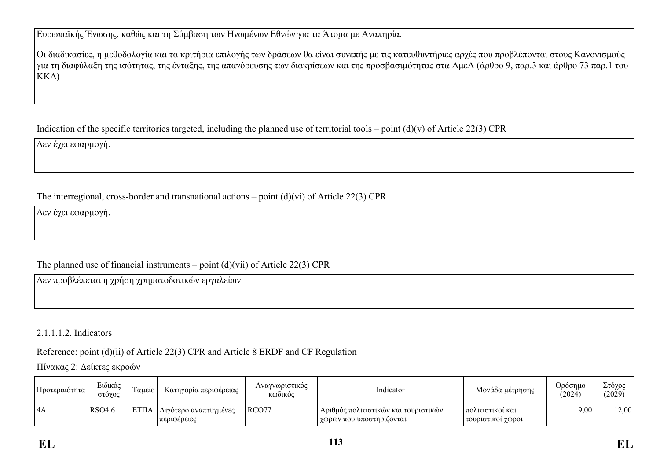Ευρωπαϊκής Ένωσης, καθώς και τη Σύμβαση των Ηνωμένων Εθνών για τα Άτομα με Αναπηρία.

Οι διαδικασίες, η μεθοδολογία και τα κριτήρια επιλογής των δράσεων θα είναι συνεπής με τις κατευθυντήριες αρχές που προβλέπονται στους Κανονισμούς για τη διαφύλαξη της ισότητας, της ένταξης, της απαγόρευσης των διακρίσεων και της προσβασιμότητας στα ΑμεΑ (άρθρο 9, παρ.3 και άρθρο 73 παρ.1 του ΚΚΔ)

Indication of the specific territories targeted, including the planned use of territorial tools – point  $(d)(v)$  of Article 22(3) CPR

Δεν έχει εφαρμογή.

## The interregional, cross-border and transnational actions – point (d)(vi) of Article 22(3) CPR

Δεν έχει εφαρμογή.

## The planned use of financial instruments – point  $(d)(\n{\rm vii})$  of Article 22(3) CPR

Δεν προβλέπεται η χρήση χρηματοδοτικών εργαλείων

## 2.1.1.1.2. Indicators

Reference: point (d)(ii) of Article 22(3) CPR and Article 8 ERDF and CF Regulation

Πίνακας 2: Δείκτες εκροών

| Προτεραιότητα | Ειδικός<br>στόγος | Γαμείο       | Κατηγορία περιφέρειας                      | Αναγνωριστικός<br><b>Κωδικός</b> | Indicator                                                              | Μονάδα μέτρησης                         | Ορόσημο<br>(2024) | Στόχος<br>(2029) |
|---------------|-------------------|--------------|--------------------------------------------|----------------------------------|------------------------------------------------------------------------|-----------------------------------------|-------------------|------------------|
| 4A            | <b>RSO4.6</b>     | <b>ETITA</b> | .   Λιγότερο αναπτυγμένες<br>  περιφέρειες | RCO77                            | , Αριθμός πολιτιστικών και τουριστικών -<br>  χώρων που υποστηρίζονται | πολιτιστικοί και<br>  τουριστικοί χώροι | 9,00              | 12,00            |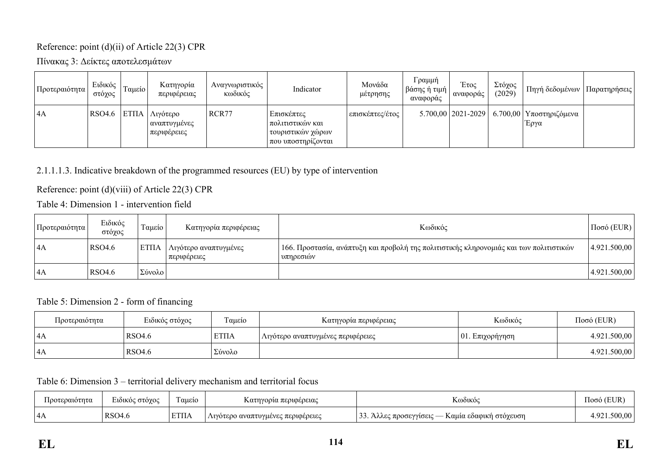### Reference: point (d)(ii) of Article 22(3) CPR

Πίνακας 3: Δείκτες αποτελεσμάτων

| Προτεραιότητα | Ειδικός<br>στόχος | Ταμείο | Κατηγορία<br>περιφέρειας                    | Αναγνωριστικός<br>κωδικός | Indicator                                                                         | Μονάδα<br>μέτρησης | Γραμμή<br><sub>ι</sub> βάσης ή τιμή  <br>αναφοράς | Έτος<br>αναφοράς | Στόχος<br>(2029) | Πηγή δεδομένων                                           | Παρατηρήσεις |
|---------------|-------------------|--------|---------------------------------------------|---------------------------|-----------------------------------------------------------------------------------|--------------------|---------------------------------------------------|------------------|------------------|----------------------------------------------------------|--------------|
| 4A            | RSO4.6            | ETIIA  | Λιγότερο<br>  αναπτυγμένες<br>  περιφέρειες | RCR77                     | Επισκέπτες<br>  πολιτιστικών και<br>  τουριστικών χώρων  <br>  που υποστηρίζονται | επισκέπτες/έτος    |                                                   |                  |                  | 5.700,00   2021-2029   6.700,00   Υποστηριζόμενα<br>Έργα |              |

## 2.1.1.1.3. Indicative breakdown of the programmed resources (EU) by type of intervention

## Reference: point (d)(viii) of Article 22(3) CPR

Table 4: Dimension 1 - intervention field

| Προτεραιότητα | Ειδικός<br>στόχος | Ταμείο       | Κατηγορία περιφέρειας                | Κωδικός                                                                                               | $Ποσό$ (EUR) |
|---------------|-------------------|--------------|--------------------------------------|-------------------------------------------------------------------------------------------------------|--------------|
| 4A            | <b>RSO4.6</b>     | <b>ETIIA</b> | Λιγότερο αναπτυγμένες<br>περιφέρειες | 166. Προστασία, ανάπτυξη και προβολή της πολιτιστικής κληρονομιάς και των πολιτιστικών  <br>υπηρεσιών | 4.921.500,00 |
| 4A            | <b>RSO4.6</b>     | Σύνολο       |                                      |                                                                                                       | 4.921.500,00 |

### Table 5: Dimension 2 - form of financing

| Προτεραιότητα | Ειδικός στόχος | Ταμείο      | Κατηγορία περιφέρειας             | Κωδικός             | $Ποσό$ (EUR) |
|---------------|----------------|-------------|-----------------------------------|---------------------|--------------|
| 4A            | RSO4.6         | <b>ΕΤΠΑ</b> | Λιγότερο αναπτυγμένες περιφέρειες | $ 01$ . Επιχορήγηση | 4.921.500,00 |
| 14A           | RSO4.6         | ΄ Σύνολο    |                                   |                     | 4.921.500,00 |

Table 6: Dimension 3 – territorial delivery mechanism and territorial focus

| Ιροτεραιότητα | $\sim$ $\sim$<br>: στόγος<br><b>LIOIKO</b> | $\overline{\phantom{a}}$<br>Γαμείο | Κατηγορία περιφέρειας                    | <b>T</b> <i>r</i><br>K@ðikó@                                       | $/$ EI ID<br>1000. |
|---------------|--------------------------------------------|------------------------------------|------------------------------------------|--------------------------------------------------------------------|--------------------|
| 4A            | RSO4.6                                     | <b>ΕΤΠΑ</b>                        | Λιγοτερο αναπτυγμένες περιφέρειες<br>111 | $\sim$ $\sim$<br>- Καμία εδαφική στόγευση<br>, προσεγγίσεις<br>Awi | . റാ<br>.500.00    |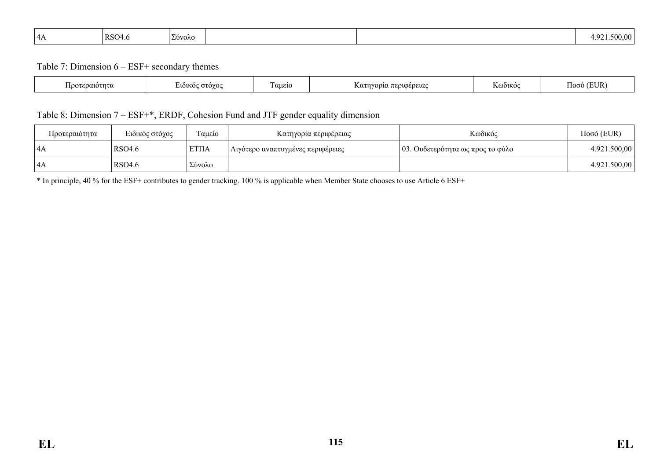| 14 A<br>$\cdots$ | RSO4.6 | $\blacksquare$<br>  Σύνολο |  |  | 4.92 <sup>1</sup><br>$\sim$ 500 $^{\prime\prime\prime}$<br>. |
|------------------|--------|----------------------------|--|--|--------------------------------------------------------------|
|------------------|--------|----------------------------|--|--|--------------------------------------------------------------|

Table 7: Dimension 6 – ESF+ secondary themes

| ີລລາບວ $\tau$ ກ $\tau$ ບ. | $\Omega$<br><b>AOIKO</b><br>$\sim$ | $\overline{\phantom{a}}$<br>αμείο | ι περιφέρειας<br>$\Lambda$ $0^{\tau}$ | T.<br>K@ðiko | TH ID.<br>ഥന<br>∍∪r |
|---------------------------|------------------------------------|-----------------------------------|---------------------------------------|--------------|---------------------|
|                           |                                    |                                   |                                       |              |                     |

### Table 8: Dimension 7 – ESF+\*, ERDF, Cohesion Fund and JTF gender equality dimension

| Προτεραιότητα | Ειδικός στόχος | Γαμείο      | Κατηγορία περιφέρειας             | Κωδικός                          | $Ποσό$ (EUR) |
|---------------|----------------|-------------|-----------------------------------|----------------------------------|--------------|
| 4A            | RSO4.6         | <b>ΕΤΠΑ</b> | Λιγότερο αναπτυγμένες περιφέρειες | 03. Ουδετερότητα ως προς το φύλο | 4.921.500,00 |
| 4A            | RSO4.6         | Σύνολο      |                                   |                                  | 4.921.500,00 |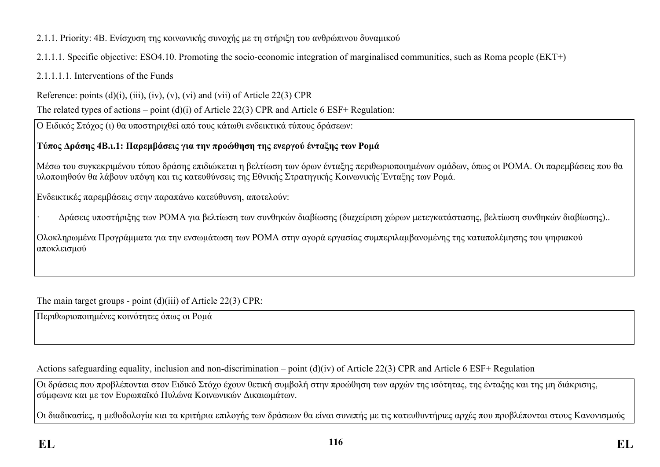2.1.1. Priority: 4B. Ενίσχυση της κοινωνικής συνοχής με τη στήριξη του ανθρώπινου δυναμικού

2.1.1.1. Specific objective: ESO4.10. Promoting the socio-economic integration of marginalised communities, such as Roma people (ΕΚΤ+)

2.1.1.1.1. Interventions of the Funds

Reference: points  $(d)(i)$ ,  $(iii)$ ,  $(iv)$ ,  $(v)$ ,  $(vi)$  and  $(vii)$  of Article 22(3) CPR

The related types of actions – point (d)(i) of Article 22(3) CPR and Article 6 ESF+ Regulation:

Ο Ειδικός Στόχος (ι) θα υποστηριχθεί από τους κάτωθι ενδεικτικά τύπους δράσεων:

## **Τύπος Δράσης 4Β.ι.1: Παρεμβάσεις για την προώθηση της ενεργού ένταξης των Ρομά**

Μέσω του συγκεκριμένου τύπου δράσης επιδιώκεται η βελτίωση των όρων ένταξης περιθωριοποιημένων ομάδων, όπως οι ΡΟΜΑ. Οι παρεμβάσεις που θα υλοποιηθούν θα λάβουν υπόψη και τις κατευθύνσεις της Εθνικής Στρατηγικής Κοινωνικής Ένταξης των Ρομά.

Ενδεικτικές παρεμβάσεις στην παραπάνω κατεύθυνση, αποτελούν:

· Δράσεις υποστήριξης των ΡΟΜΑ για βελτίωση των συνθηκών διαβίωσης (διαχείριση χώρων μετεγκατάστασης, βελτίωση συνθηκών διαβίωσης)..

Ολοκληρωμένα Προγράμματα για την ενσωμάτωση των ΡΟΜΑ στην αγορά εργασίας συμπεριλαμβανομένης της καταπολέμησης του ψηφιακού αποκλεισμού

The main target groups - point (d)(iii) of Article 22(3) CPR:

Περιθωριοποιημένες κοινότητες όπως οι Ρομά

Actions safeguarding equality, inclusion and non-discrimination – point (d)(iv) of Article 22(3) CPR and Article 6 ESF+ Regulation

Οι δράσεις που προβλέπονται στον Ειδικό Στόχο έχουν θετική συμβολή στην προώθηση των αρχών της ισότητας, της ένταξης και της μη διάκρισης, σύμφωνα και με τον Ευρωπαϊκό Πυλώνα Κοινωνικών Δικαιωμάτων.

Οι διαδικασίες, η μεθοδολογία και τα κριτήρια επιλογής των δράσεων θα είναι συνεπής με τις κατευθυντήριες αρχές που προβλέπονται στους Κανονισμούς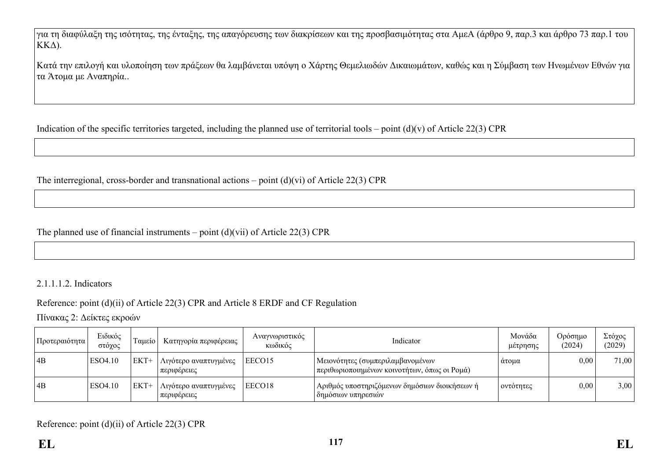για τη διαφύλαξη της ισότητας, της ένταξης, της απαγόρευσης των διακρίσεων και της προσβασιμότητας στα ΑμεΑ (άρθρο 9, παρ.3 και άρθρο 73 παρ.1 του ΚΚΔ).

Κατά την επιλογή και υλοποίηση των πράξεων θα λαμβάνεται υπόψη ο Χάρτης Θεμελιωδών Δικαιωμάτων, καθώς και η Σύμβαση των Ηνωμένων Εθνών για τα Άτομα με Αναπηρία..

Indication of the specific territories targeted, including the planned use of territorial tools – point  $(d)(v)$  of Article 22(3) CPR

The interregional, cross-border and transnational actions – point  $(d)(vi)$  of Article 22(3) CPR

The planned use of financial instruments – point  $(d)(\n{\rm vii})$  of Article 22(3) CPR

### 2.1.1.1.2. Indicators

## Reference: point (d)(ii) of Article 22(3) CPR and Article 8 ERDF and CF Regulation

Πίνακας 2: Δείκτες εκροών

| Προτεραιότητα | Ειδικός<br>στόχος | Γαμείο | <b>Κατηγορία περιφέρειας</b> 1         | Αναγνωριστικός<br>κωδικός | Indicator                                                                          | Μονάδα<br>μέτρησης | Ορόσημο<br>(2024) | Στόχος<br>(2029) |
|---------------|-------------------|--------|----------------------------------------|---------------------------|------------------------------------------------------------------------------------|--------------------|-------------------|------------------|
| 4B            | ESO4.10           | $EKT+$ | Λιγότερο αναπτυγμένες<br>  περιφέρειες | EECO15                    | Μειονότητες (συμπεριλαμβανομένων<br>  περιθωριοποιημένων κοινοτήτων, όπως οι Ρομά) | άτομα              | 0,00              | 71,00            |
| 4B            | ESO4.10           | $EKT+$ | Λιγότερο αναπτυγμένες<br>  περιφέρειες | EECO18                    | Αριθμός υποστηριζόμενων δημόσιων διοικήσεων ή<br>δημόσιων υπηρεσιών                | οντότητες          | 0,00              | 3,00             |

Reference: point (d)(ii) of Article 22(3) CPR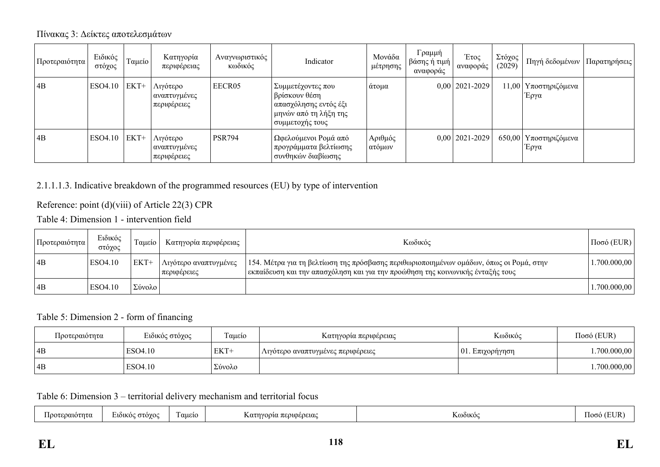### Πίνακας 3: Δείκτες αποτελεσμάτων

| Προτεραιότητα | Ειδικός<br>στόχος | Ταμείο | Κατηγορία<br>περιφέρειας                | Αναγνωριστικός<br>κωδικός | Indicator                                                                                                            | Μονάδα<br>μέτρησης | Γραμμή<br>βάσης ή τιμή∣<br>αναφοράς | Έτος<br>αναφοράς   | Στόχος<br>(2029) | Πηγή δεδομένων                  | Παρατηρήσεις |
|---------------|-------------------|--------|-----------------------------------------|---------------------------|----------------------------------------------------------------------------------------------------------------------|--------------------|-------------------------------------|--------------------|------------------|---------------------------------|--------------|
| 4B            | ESO4.10           | $EKT+$ | Λιγότερο<br>αναπτυγμένες<br>περιφέρειες | EECR05                    | Συμμετέχοντες που<br>βρίσκουν θέση<br><sub>ι</sub> απασχόλησης εντός έξι<br>μηνών από τη λήξη της<br>συμμετοχής τους | άτομα              |                                     | $0,00$   2021-2029 |                  | 11,00   Υποστηριζόμενα<br>Έργα  |              |
| 4B            | ESO4.10           | $EKT+$ | Λιγότερο<br>αναπτυγμένες<br>περιφέρειες | <b>PSR794</b>             | Ωφελούμενοι Ρομά από<br>' προγράμματα βελτίωσης<br>συνθηκών διαβίωσης                                                | Αριθμός<br>ατόμων  |                                     | $0,00$   2021-2029 |                  | 650,00   Υποστηριζόμενα<br>Έργα |              |

## 2.1.1.1.3. Indicative breakdown of the programmed resources (EU) by type of intervention

## Reference: point (d)(viii) of Article 22(3) CPR

Table 4: Dimension 1 - intervention field

| Προτεραιότητα | Ειδικός<br>στόχος | Γαμείο | Κατηγορία περιφέρειας                  | Κωδικός                                                                                                                                                                    | $\vert$ Ποσό (EUR) $\vert$ |
|---------------|-------------------|--------|----------------------------------------|----------------------------------------------------------------------------------------------------------------------------------------------------------------------------|----------------------------|
| 4B            | ESO4.10           | $EKT+$ | Λιγότερο αναπτυγμένες<br>  περιφέρειες | 154. Μέτρα για τη βελτίωση της πρόσβασης περιθωριοποιημένων ομάδων, όπως οι Ρομά, στην<br>  εκπαίδευση και την απασχόληση και για την προώθηση της κοινωνικής ένταξής τους | 1.700.000,00               |
| 4B            | ESO4.10           | Σύνολο |                                        |                                                                                                                                                                            | .700.000,00                |

## Table 5: Dimension 2 - form of financing

| Προτεραιότητα | Ειδικός στόχος | Ταμείο   | Κατηγορία περιφέρειας             | Κωδικός             | $Ποσό$ (EUR) |
|---------------|----------------|----------|-----------------------------------|---------------------|--------------|
| 4B            | ESO4.10        | EKT+     | Λιγότερο αναπτυγμένες περιφέρειες | $ 01$ . Επιχορήγηση | .700.000,00  |
| 4B            | ESO4.10        | ' Σύνολο |                                   |                     | 1.700.000,00 |

Table 6: Dimension 3 – territorial delivery mechanism and territorial focus

| νορία περιφέρειας<br>Γαμείο<br><b>GTOYO</b><br>.100τεραιοτ<br><b>ADIKO</b><br>$\sim$<br>τα<br>rw<br>. .<br>. .<br>. . | K001KO. |  |
|-----------------------------------------------------------------------------------------------------------------------|---------|--|
|-----------------------------------------------------------------------------------------------------------------------|---------|--|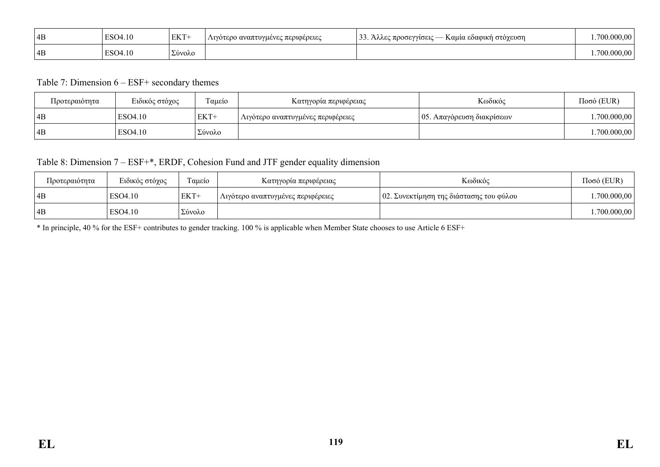| 4B | $\Gamma$ <sup><math>\Omega</math><math>\Omega</math></sup><br>10 | <b>EKT</b> | ο αναπτυγμένες περιφέρειες | $\sim$<br><b>5EYYIOEIC</b><br>Καμια εδασικη<br>στογευση<br><b>THOOGY</b><br><b>MARCA</b><br>-- | - 00   |
|----|------------------------------------------------------------------|------------|----------------------------|------------------------------------------------------------------------------------------------|--------|
| 4B | 10                                                               | Σύνολο     |                            |                                                                                                | 000.00 |

#### Table 7: Dimension 6 – ESF+ secondary themes

| Προτεραιότητα | Ειδικός στόχος | Ταμείο | Κατηγορία περιφέρειας             | Κωδικός                            | $Ποσό$ (EUR) |
|---------------|----------------|--------|-----------------------------------|------------------------------------|--------------|
| 4B            | ESO4.10        | EKT+   | Λιγότερο αναπτυγμένες περιφέρειες | $\sim$   05. Απαγόρευση διακρίσεων | .700.000,00  |
| 4B            | ESO4.10        | Σύνολο |                                   |                                    | 1.700.000,00 |

# Table 8: Dimension 7 – ESF+\*, ERDF, Cohesion Fund and JTF gender equality dimension

| Προτεραιότητα | Ειδικός στόχος | $\sim$<br>Γαμείο | Κατηγορία περιφέρειας             | Κωδικός                                 | Ποσό (EUR)   |
|---------------|----------------|------------------|-----------------------------------|-----------------------------------------|--------------|
| ! 4B          | ESO4.10        | EKT+             | Λιγότερο αναπτυγμένες περιφέρειες | 02. Συνεκτίμηση της διάστασης του φύλου | .700.000,00  |
| 4B            | ESO4.10        | Σύνολο           |                                   |                                         | 1.700.000,00 |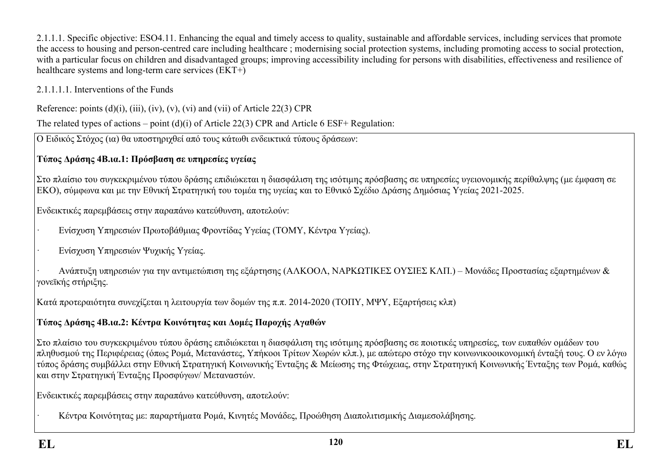2.1.1.1. Specific objective: ESO4.11. Enhancing the equal and timely access to quality, sustainable and affordable services, including services that promote the access to housing and person-centred care including healthcare ; modernising social protection systems, including promoting access to social protection, with a particular focus on children and disadvantaged groups; improving accessibility including for persons with disabilities, effectiveness and resilience of healthcare systems and long-term care services (EKT+)

## 2.1.1.1.1. Interventions of the Funds

Reference: points  $(d)(i)$ ,  $(iii)$ ,  $(iv)$ ,  $(v)$ ,  $(vi)$  and  $(vii)$  of Article 22(3) CPR

The related types of actions – point (d)(i) of Article 22(3) CPR and Article 6 ESF+ Regulation:

Ο Ειδικός Στόχος (ια) θα υποστηριχθεί από τους κάτωθι ενδεικτικά τύπους δράσεων:

# **Τύπος Δράσης 4Β.ια.1: Πρόσβαση σε υπηρεσίες υγείας**

Στο πλαίσιο του συγκεκριμένου τύπου δράσης επιδιώκεται η διασφάλιση της ισότιμης πρόσβασης σε υπηρεσίες υγειονομικής περίθαλψης (με έμφαση σε ΕΚΟ), σύμφωνα και με την Εθνική Στρατηγική του τομέα της υγείας και το Εθνικό Σχέδιο Δράσης Δημόσιας Υγείας 2021-2025.

Ενδεικτικές παρεμβάσεις στην παραπάνω κατεύθυνση, αποτελούν:

- · Ενίσχυση Υπηρεσιών Πρωτοβάθμιας Φροντίδας Υγείας (ΤΟΜΥ, Κέντρα Υγείας).
- Ενίσχυση Υπηρεσιών Ψυχικής Υγείας.

· Ανάπτυξη υπηρεσιών για την αντιμετώπιση της εξάρτησης (ΑΛΚΟΟΛ, ΝΑΡΚΩΤΙΚΕΣ ΟΥΣΙΕΣ ΚΛΠ.) – Μονάδες Προστασίας εξαρτημένων & γονεϊκής στήριξης.

Κατά προτεραιότητα συνεχίζεται η λειτουργία των δομών της π.π. 2014-2020 (ΤΟΠΥ, ΜΨΥ, Εξαρτήσεις κλπ)

# **Τύπος Δράσης 4Β.ια.2: Κέντρα Κοινότητας και Δομές Παροχής Αγαθών**

Στο πλαίσιο του συγκεκριμένου τύπου δράσης επιδιώκεται η διασφάλιση της ισότιμης πρόσβασης σε ποιοτικές υπηρεσίες, των ευπαθών ομάδων του πληθυσμού της Περιφέρειας (όπως Ρομά, Μετανάστες, Υπήκοοι Τρίτων Χωρών κλπ.), με απώτερο στόχο την κοινωνικοοικονομική ένταξή τους. Ο εν λόγω τύπος δράσης συμβάλλει στην Εθνική Στρατηγική Κοινωνικής Ένταξης & Μείωσης της Φτώχειας, στην Στρατηγική Κοινωνικής Ένταξης των Ρομά, καθώς και στην Στρατηγική Ένταξης Προσφύγων/ Μεταναστών.

Ενδεικτικές παρεμβάσεις στην παραπάνω κατεύθυνση, αποτελούν:

· Κέντρα Κοινότητας με: παραρτήματα Ρομά, Κινητές Μονάδες, Προώθηση Διαπολιτισμικής Διαμεσολάβησης.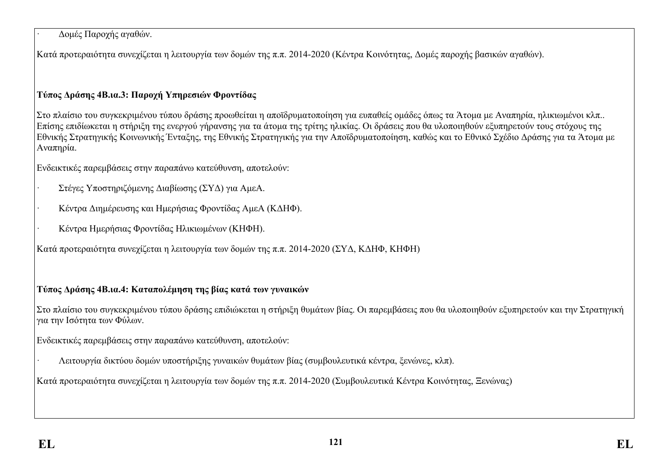### · Δομές Παροχής αγαθών.

Κατά προτεραιότητα συνεχίζεται η λειτουργία των δομών της π.π. 2014-2020 (Κέντρα Κοινότητας, Δομές παροχής βασικών αγαθών).

## **Τύπος Δράσης 4Β.ια.3: Παροχή Υπηρεσιών Φροντίδας**

Στο πλαίσιο του συγκεκριμένου τύπου δράσης προωθείται η αποϊδρυματοποίηση για ευπαθείς ομάδες όπως τα Άτομα με Αναπηρία, ηλικιωμένοι κλπ.. Επίσης επιδίωκεται η στήριξη της ενεργού γήρανσης για τα άτομα της τρίτης ηλικίας. Οι δράσεις που θα υλοποιηθούν εξυπηρετούν τους στόχους της Εθνικής Στρατηγικής Κοινωνικής Ένταξης, της Εθνικής Στρατηγικής για την Αποϊδρυματοποίηση, καθώς και το Εθνικό Σχέδιο Δράσης για τα Άτομα με Αναπηρία.

Ενδεικτικές παρεμβάσεις στην παραπάνω κατεύθυνση, αποτελούν:

- · Στέγες Υποστηριζόμενης Διαβίωσης (ΣΥΔ) για ΑμεΑ.
- · Κέντρα Διημέρευσης και Ημερήσιας Φροντίδας ΑμεΑ (ΚΔΗΦ).
- · Κέντρα Ημερήσιας Φροντίδας Ηλικιωμένων (ΚΗΦΗ).

Κατά προτεραιότητα συνεχίζεται η λειτουργία των δομών της π.π. 2014-2020 (ΣΥΔ, ΚΔΗΦ, ΚΗΦΗ)

## **Τύπος Δράσης 4Β.ια.4: Καταπολέμηση της βίας κατά των γυναικών**

Στο πλαίσιο του συγκεκριμένου τύπου δράσης επιδιώκεται η στήριξη θυμάτων βίας. Οι παρεμβάσεις που θα υλοποιηθούν εξυπηρετούν και την Στρατηγική για την Ισότητα των Φύλων.

Ενδεικτικές παρεμβάσεις στην παραπάνω κατεύθυνση, αποτελούν:

· Λειτουργία δικτύου δομών υποστήριξης γυναικών θυμάτων βίας (συμβουλευτικά κέντρα, ξενώνες, κλπ).

Κατά προτεραιότητα συνεχίζεται η λειτουργία των δομών της π.π. 2014-2020 (Συμβουλευτικά Κέντρα Κοινότητας, Ξενώνας)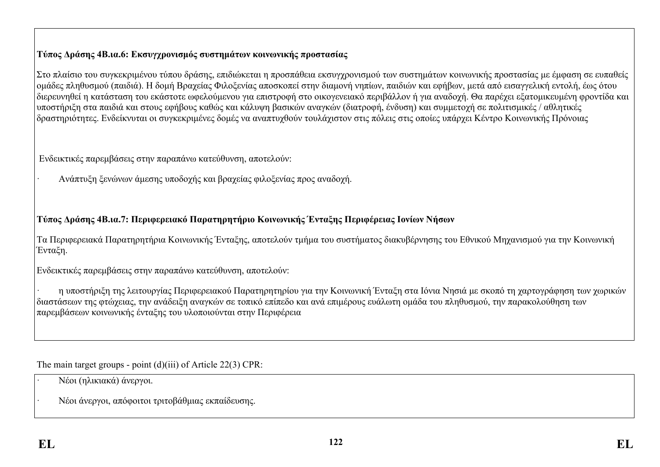## **Τύπος Δράσης 4Β.ια.6: Εκσυγχρονισμός συστημάτων κοινωνικής προστασίας**

Στο πλαίσιο του συγκεκριμένου τύπου δράσης, επιδιώκεται η προσπάθεια εκσυγχρονισμού των συστημάτων κοινωνικής προστασίας με έμφαση σε ευπαθείς ομάδες πληθυσμού (παιδιά). Η δομή Βραχείας Φιλοξενίας αποσκοπεί στην διαμονή νηπίων, παιδιών και εφήβων, μετά από εισαγγελική εντολή, έως ότου διερευνηθεί η κατάσταση του εκάστοτε ωφελούμενου για επιστροφή στο οικογενειακό περιβάλλον ή για αναδοχή. Θα παρέχει εξατομικευμένη φροντίδα και υποστήριξη στα παιδιά και στους εφήβους καθώς και κάλυψη βασικών αναγκών (διατροφή, ένδυση) και συμμετοχή σε πολιτισμικές / αθλητικές δραστηριότητες. Ενδείκνυται οι συγκεκριμένες δομές να αναπτυχθούν τουλάχιστον στις πόλεις στις οποίες υπάρχει Κέντρο Κοινωνικής Πρόνοιας

Ενδεικτικές παρεμβάσεις στην παραπάνω κατεύθυνση, αποτελούν:

· Ανάπτυξη ξενώνων άμεσης υποδοχής και βραχείας φιλοξενίας προς αναδοχή.

## **Τύπος Δράσης 4Β.ια.7: Περιφερειακό Παρατηρητήριο Κοινωνικής Ένταξης Περιφέρειας Ιονίων Νήσων**

Τα Περιφερειακά Παρατηρητήρια Κοινωνικής Ένταξης, αποτελούν τμήμα του συστήματος διακυβέρνησης του Εθνικού Μηχανισμού για την Κοινωνική Ένταξη.

Ενδεικτικές παρεμβάσεις στην παραπάνω κατεύθυνση, αποτελούν:

· η υποστήριξη της λειτουργίας Περιφερειακού Παρατηρητηρίου για την Κοινωνική Ένταξη στα Ιόνια Νησιά με σκοπό τη χαρτογράφηση των χωρικών διαστάσεων της φτώχειας, την ανάδειξη αναγκών σε τοπικό επίπεδο και ανά επιμέρους ευάλωτη ομάδα του πληθυσμού, την παρακολούθηση των παρεμβάσεων κοινωνικής ένταξης του υλοποιούνται στην Περιφέρεια

The main target groups - point (d)(iii) of Article 22(3) CPR:

- · Νέοι (ηλικιακά) άνεργοι.
- · Νέοι άνεργοι, απόφοιτοι τριτοβάθμιας εκπαίδευσης.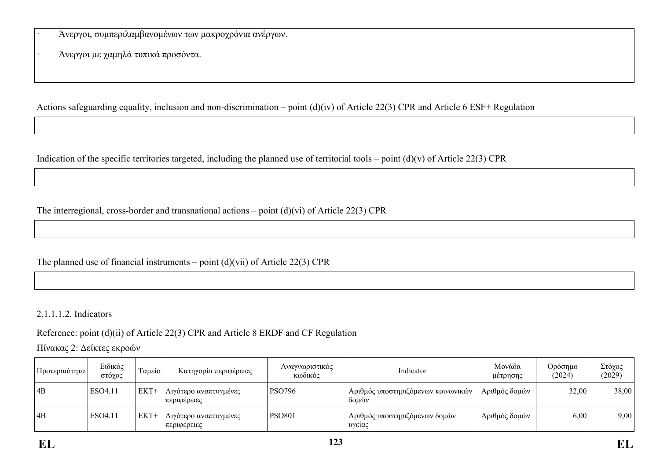· Άνεργοι, συμπεριλαμβανομένων των μακροχρόνια ανέργων.

· Άνεργοι με χαμηλά τυπικά προσόντα.

Actions safeguarding equality, inclusion and non-discrimination – point (d)(iv) of Article 22(3) CPR and Article 6 ESF+ Regulation

Indication of the specific territories targeted, including the planned use of territorial tools – point  $(d)(v)$  of Article 22(3) CPR

The interregional, cross-border and transnational actions – point (d)(vi) of Article 22(3) CPR

The planned use of financial instruments – point  $(d)(vi)$  of Article 22(3) CPR

2.1.1.1.2. Indicators

Reference: point (d)(ii) of Article 22(3) CPR and Article 8 ERDF and CF Regulation

Πίνακας 2: Δείκτες εκροών

| Προτεραιότητα | Ειδικός<br>στόχος | Ταμείο | Κατηγορία περιφέρειας                | Αναγνωριστικός<br>κωδικός | Indicator                                   | Μονάδα<br>μέτρησης | Ορόσημο<br>(2024) | Στόχος<br>(2029) |
|---------------|-------------------|--------|--------------------------------------|---------------------------|---------------------------------------------|--------------------|-------------------|------------------|
| 4B            | ESO4.11           | $EKT+$ | Λιγότερο αναπτυγμένες<br>περιφέρειες | <b>PSO796</b>             | Αριθμός υποστηριζόμενων κοινωνικών<br>δομών | Αριθμός δομών      | 32,00             | 38,00            |
| $\vert$ 4B    | ESO4.11           | $EKT+$ | Λιγότερο αναπτυγμένες<br>περιφέρειες | <b>PSO801</b>             | Αριθμός υποστηριζόμενων δομών<br>' υγείας   | Αριθμός δομών      | 6,00              | 9,00             |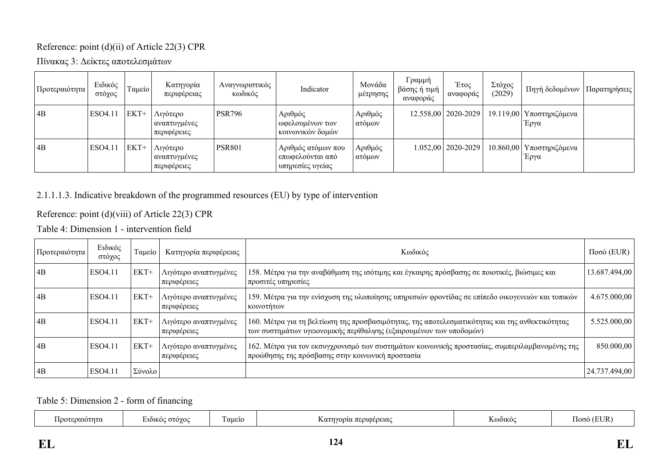### Reference: point (d)(ii) of Article 22(3) CPR

Πίνακας 3: Δείκτες αποτελεσμάτων

| Προτεραιότητα   | Ειδικός<br>στόχος | Ταμείο | Κατηγορία<br>περιφέρειας                | Αναγνωριστικός<br>κωδικός | Indicator                                                  | Μονάδα<br>μέτρησης | Γραμμή<br>βάσης ή τιμή<br>αναφοράς | Έτος<br>αναφοράς       | Στόχος<br>(2029) | Πηγή δεδομένων                     | Παρατηρήσεις |
|-----------------|-------------------|--------|-----------------------------------------|---------------------------|------------------------------------------------------------|--------------------|------------------------------------|------------------------|------------------|------------------------------------|--------------|
| 4B              | ESO4.11           | EKT+   | Λιγότερο<br>αναπτυγμένες<br>περιφέρειες | <b>PSR796</b>             | Αριθμός<br>_ωφελουμένων των<br>κοινωνικών δομών            | Αριθμός<br>ατόμων  |                                    | 12.558,00   2020-2029  |                  | 19.119,00   Υποστηριζόμενα<br>Έργα |              |
| $\overline{AB}$ | ESO4.11           | EKT+   | Λιγότερο<br>αναπτυγμένες<br>περιφέρειες | <b>PSR801</b>             | Αριθμός ατόμων που<br>επωφελούνται από<br>υπηρεσίες υγείας | Αριθμός<br>ατόμων  |                                    | $1.052,00$   2020-2029 |                  | 10.860,00   Υποστηριζόμενα<br>Έργα |              |

## 2.1.1.1.3. Indicative breakdown of the programmed resources (EU) by type of intervention

Reference: point (d)(viii) of Article 22(3) CPR

Table 4: Dimension 1 - intervention field

| Προτεραιότητα   | Ειδικός<br>στόχος | Ταμείο | Κατηγορία περιφέρειας                | Κωδικός                                                                                                                                                              | $Ποσό$ (EUR)  |
|-----------------|-------------------|--------|--------------------------------------|----------------------------------------------------------------------------------------------------------------------------------------------------------------------|---------------|
| $\overline{AB}$ | ESO4.11           | EKT+   | Λιγότερο αναπτυγμένες<br>περιφέρειες | 158. Μέτρα για την αναβάθμιση της ισότιμης και έγκαιρης πρόσβασης σε ποιοτικές, βιώσιμες και<br>προσιτές υπηρεσίες                                                   | 13.687.494,00 |
| $\overline{AB}$ | ESO4.11           | EKT+   | Λιγότερο αναπτυγμένες<br>περιφέρειες | 159. Μέτρα για την ενίσχυση της υλοποίησης υπηρεσιών φροντίδας σε επίπεδο οικογενειών και τοπικών<br>κοινοτήτων                                                      | 4.675.000,00  |
| $\overline{AB}$ | ESO4.11           | EKT+   | Λιγότερο αναπτυγμένες<br>περιφέρειες | 160. Μέτρα για τη βελτίωση της προσβασιμότητας, της αποτελεσματικότητας και της ανθεκτικότητας<br>των συστημάτων υγειονομικής περίθαλψης (εξαιρουμένων των υποδομών) | 5.525.000,00  |
| $\overline{AB}$ | ESO4.11           | EKT+   | Λιγότερο αναπτυγμένες<br>περιφέρειες | 162. Μέτρα για τον εκσυγχρονισμό των συστημάτων κοινωνικής προστασίας, συμπεριλαμβανομένης της<br>προώθησης της πρόσβασης στην κοινωνική προστασία                   | 850.000,00    |
| $\overline{AB}$ | ESO4.11           | Σύνολο |                                      |                                                                                                                                                                      | 24.737.494,00 |

Table 5: Dimension 2 - form of financing

| $\sim$<br>$\mathbf{r}$<br>aueio<br><b>GTOYO</b><br>τηνορια περιφερειας<br>DΩ101<br>K0001KO<br>$\sim$<br>ഥസ<br>$\alpha$<br>mu<br>, , , |  |
|---------------------------------------------------------------------------------------------------------------------------------------|--|
|---------------------------------------------------------------------------------------------------------------------------------------|--|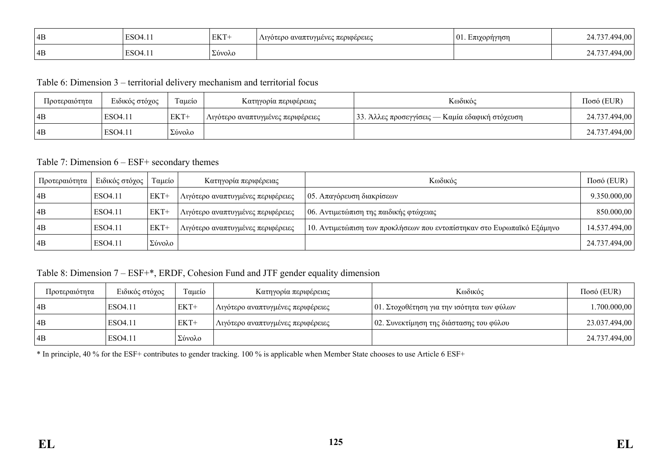| 4B | , 14 | TITCD<br>EK 1 | Λιγότερο αναπτυγμένες περιφέρειες | 101. L.<br>opnynoi.<br>. | 494.00          |
|----|------|---------------|-----------------------------------|--------------------------|-----------------|
| 4B | .11  | Σύνολο        |                                   |                          | 4.00<br>'I LJ / |

Table 6: Dimension 3 – territorial delivery mechanism and territorial focus

| Προτεραιότητα | Ειδικός στόχος | Ταμείο | Κατηγορία περιφέρειας             | Κωδικός                                         | Ποσό (EUR)    |
|---------------|----------------|--------|-----------------------------------|-------------------------------------------------|---------------|
| 4B            | ESO4.11        | EKT+   | Λιγότερο αναπτυγμένες περιφέρειες | 33. Άλλες προσεγγίσεις — Καμία εδαφική στόχευση | 24.737.494,00 |
| 4B            | ESO4.11        | Σύνολο |                                   |                                                 | 24.737.494,00 |

#### Table 7: Dimension 6 – ESF+ secondary themes

| Προτεραιότητα   | Ειδικός στόχος      | Ταμείο | Κατηγορία περιφέρειας             | Κωδικός                                                                | $Ποσό$ (EUR)  |
|-----------------|---------------------|--------|-----------------------------------|------------------------------------------------------------------------|---------------|
| 4B              | ESO <sub>4.11</sub> | EKT+   | Λιγότερο αναπτυγμένες περιφέρειες | $\vert$ 05. Απαγόρευση διακρίσεων                                      | 9.350.000,00  |
| 4B              | ESO <sub>4.11</sub> | EKT+   | Λιγότερο αναπτυγμένες περιφέρειες | 06. Αντιμετώπιση της παιδικής φτώχειας                                 | 850.000,00    |
| $\overline{AB}$ | ESO4.11             | $EKT+$ | Λιγότερο αναπτυγμένες περιφέρειες | 10. Αντιμετώπιση των προκλήσεων που εντοπίστηκαν στο Ευρωπαϊκό Εξάμηνο | 14.537.494,00 |
| 4B              | ESO4.11             | Σύνολο |                                   |                                                                        | 24.737.494,00 |

#### Table 8: Dimension 7 – ESF+\*, ERDF, Cohesion Fund and JTF gender equality dimension

| Προτεραιότητα | Ειδικός στόχος | Ταμείο | Κατηγορία περιφέρειας             | Κωδικός                                   | $Ποσό$ (EUR)  |
|---------------|----------------|--------|-----------------------------------|-------------------------------------------|---------------|
| 4B            | ESO4.11        | $EKT+$ | Λιγότερο αναπτυγμένες περιφέρειες | 01. Στοχοθέτηση για την ισότητα των φύλων | 1.700.000,00  |
| 4B            | ESO4.11        | EKT+   | Λιγότερο αναπτυγμένες περιφέρειες | 02. Συνεκτίμηση της διάστασης του φύλου   | 23.037.494,00 |
| 4B            | ESO4.11        | Σύνολο |                                   |                                           | 24.737.494,00 |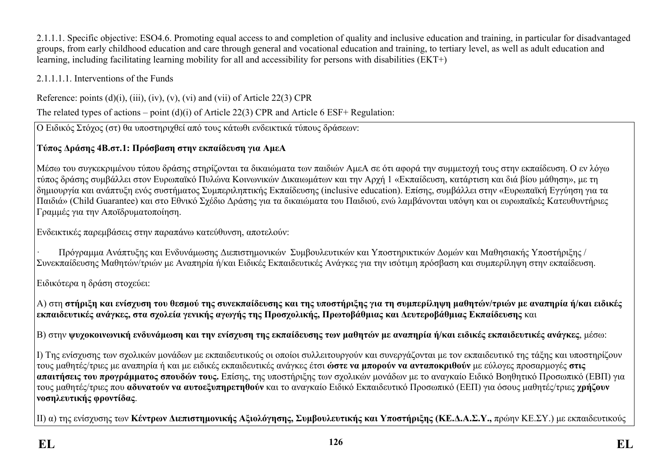2.1.1.1. Specific objective: ESO4.6. Promoting equal access to and completion of quality and inclusive education and training, in particular for disadvantaged groups, from early childhood education and care through general and vocational education and training, to tertiary level, as well as adult education and learning, including facilitating learning mobility for all and accessibility for persons with disabilities (ΕΚΤ+)

2.1.1.1.1. Interventions of the Funds

Reference: points  $(d)(i)$ ,  $(iii)$ ,  $(iv)$ ,  $(v)$ ,  $(vi)$  and  $(vii)$  of Article 22(3) CPR

The related types of actions – point (d)(i) of Article 22(3) CPR and Article 6 ESF+ Regulation:

Ο Ειδικός Στόχος (στ) θα υποστηριχθεί από τους κάτωθι ενδεικτικά τύπους δράσεων:

# **Τύπος Δράσης 4Β.στ.1: Πρόσβαση στην εκπαίδευση για ΑμεΑ**

Μέσω του συγκεκριμένου τύπου δράσης στηρίζονται τα δικαιώματα των παιδιών ΑμεΑ σε ότι αφορά την συμμετοχή τους στην εκπαίδευση. Ο εν λόγω τύπος δράσης συμβάλλει στον Ευρωπαϊκό Πυλώνα Κοινωνικών Δικαιωμάτων και την Αρχή 1 «Εκπαίδευση, κατάρτιση και διά βίου μάθηση», με τη δημιουργία και ανάπτυξη ενός συστήματος Συμπεριληπτικής Εκπαίδευσης (inclusive education). Επίσης, συμβάλλει στην «Ευρωπαϊκή Εγγύηση για τα Παιδιά» (Child Guarantee) και στο Εθνικό Σχέδιο Δράσης για τα δικαιώματα του Παιδιού, ενώ λαμβάνονται υπόψη και οι ευρωπαϊκές Kατευθυντήριες Γραμμές για την Aποϊδρυματοποίηση.

Ενδεικτικές παρεμβάσεις στην παραπάνω κατεύθυνση, αποτελούν:

· Πρόγραμμα Ανάπτυξης και Ενδυνάμωσης Διεπιστημονικών Συμβουλευτικών και Υποστηρικτικών Δομών και Μαθησιακής Υποστήριξης / Συνεκπαίδευσης Μαθητών/τριών με Αναπηρία ή/και Ειδικές Εκπαιδευτικές Ανάγκες για την ισότιμη πρόσβαση και συμπερίληψη στην εκπαίδευση.

Ειδικότερα η δράση στοχεύει:

Α) στη στήριξη και ενίσχυση του θεσμού της συνεκπαίδευσης και της υποστήριξης για τη συμπερίληψη μαθητών/τριών με αναπηρία ή/και ειδικές **εκπαιδευτικές ανάγκες, στα σχολεία γενικής αγωγής της Προσχολικής, Πρωτοβάθμιας και Δευτεροβάθμιας Εκπαίδευσης** και

|Β) στην ψυγοκοινωνική ενδυνάμωση και την ενίσγυση της εκπαίδευσης των μαθητών με αναπηρία ή/και ειδικές εκπαιδευτικές ανάγκες, μέσω:

Ι) Της ενίσχυσης των σχολικών μονάδων με εκπαιδευτικούς οι οποίοι συλλειτουργούν και συνεργάζονται με τον εκπαιδευτικό της τάξης και υποστηρίζουν τους μαθητές/τριες με αναπηρία ή και με ειδικές εκπαιδευτικές ανάγκες έτσι **ώστε να μπορούν να ανταποκριθούν** με εύλογες προσαρμογές **στις απαιτήσεις του προγράμματος σπουδών τους.** Επίσης, της υποστήριξης των σχολικών μονάδων με το αναγκαίο Ειδικό Βοηθητικό Προσωπικό (ΕΒΠ) για τους μαθητές/τριες που **αδυνατούν να αυτοεξυπηρετηθούν** και το αναγκαίο Ειδικό Εκπαιδευτικό Προσωπικό (ΕΕΠ) για όσους μαθητές/τριες **χρήζουν νοσηλευτικής φροντίδας**.

ΙΙ) α) της ενίσχυσης των **Κέντρων Διεπιστημονικής Αξιολόγησης, Συμβουλευτικής και Υποστήριξης (ΚΕ.Δ.Α.Σ.Υ.,** πρώην ΚΕ.ΣΥ.) με εκπαιδευτικούς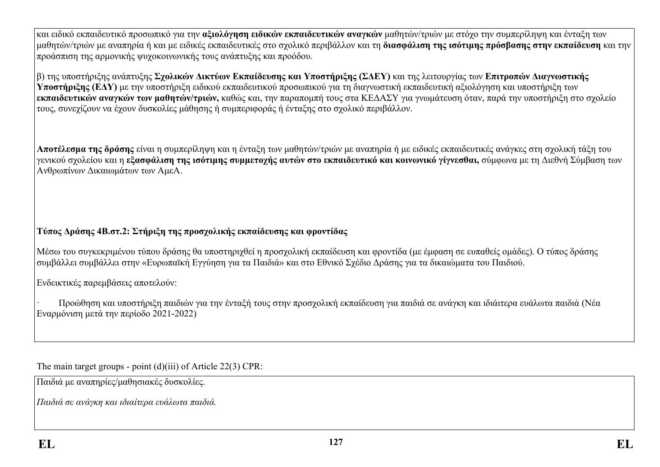και ειδικό εκπαιδευτικό προσωπικό για την **αξιολόγηση ειδικών εκπαιδευτικών αναγκών** μαθητών/τριών με στόχο την συμπερίληψη και ένταξη των μαθητών/τριών με αναπηρία ή και με ειδικές εκπαιδευτικές στο σχολικό περιβάλλον και τη **διασφάλιση της ισότιμης πρόσβασης στην εκπαίδευση** και την προάσπιση της αρμονικής ψυχοκοινωνικής τους ανάπτυξης και προόδου.

β) της υποστήριξης ανάπτυξης **Σχολικών Δικτύων Εκπαίδευσης και Υποστήριξης (ΣΔΕΥ)** και της λειτουργίας των **Επιτροπών Διαγνωστικής Υποστήριξης (ΕΔΥ)** με την υποστήριξη ειδικού εκπαιδευτικού προσωπικού για τη διαγνωστική εκπαιδευτική αξιολόγηση και υποστήριξη των **εκπαιδευτικών αναγκών των μαθητών/τριών,** καθώς και, την παραπομπή τους στα ΚΕΔΑΣΥ για γνωμάτευση όταν, παρά την υποστήριξη στο σχολείο τους, συνεχίζουν να έχουν δυσκολίες μάθησης ή συμπεριφοράς ή ένταξης στο σχολικό περιβάλλον.

**Αποτέλεσμα της δράσης** είναι η συμπερίληψη και η ένταξη των μαθητών/τριών με αναπηρία ή με ειδικές εκπαιδευτικές ανάγκες στη σχολική τάξη του γενικού σχολείου και η **εξασφάλιση της ισότιμης συμμετοχής αυτών στο εκπαιδευτικό και κοινωνικό γίγνεσθαι,** σύμφωνα με τη Διεθνή Σύμβαση των Ανθρωπίνων Δικαιωμάτων των ΑμεΑ.

# **Τύπος Δράσης 4Β.στ.2: Στήριξη της προσχολικής εκπαίδευσης και φροντίδας**

Μέσω του συγκεκριμένου τύπου δράσης θα υποστηριχθεί η προσχολική εκπαίδευση και φροντίδα (με έμφαση σε ευπαθείς ομάδες). Ο τύπος δράσης συμβάλλει συμβάλλει στην «Ευρωπαϊκή Εγγύηση για τα Παιδιά» και στο Εθνικό Σχέδιο Δράσης για τα δικαιώματα του Παιδιού.

Ενδεικτικές παρεμβάσεις αποτελούν:

· Προώθηση και υποστήριξη παιδιών για την ένταξή τους στην προσχολική εκπαίδευση για παιδιά σε ανάγκη και ιδιάιτερα ευάλωτα παιδιά (Νέα Εναρμόνιση μετά την περίοδο 2021-2022)

The main target groups - point (d)(iii) of Article 22(3) CPR:

Παιδιά με αναπηρίες/μαθησιακές δυσκολίες.

*Παιδιά σε ανάγκη και ιδιαίτερα ευάλωτα παιδιά.*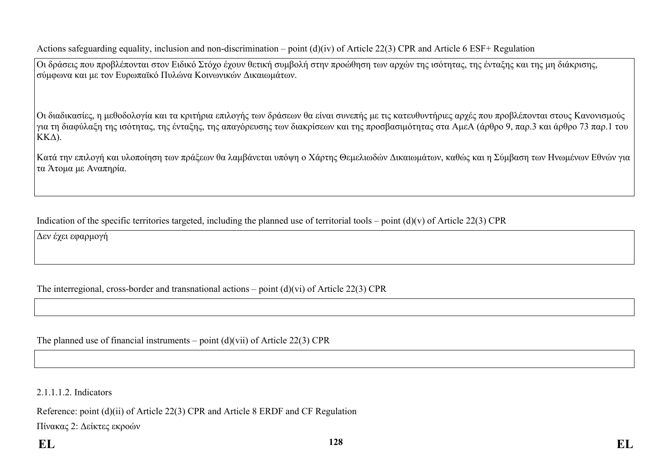Actions safeguarding equality, inclusion and non-discrimination – point (d)(iv) of Article 22(3) CPR and Article 6 ESF+ Regulation

Οι δράσεις που προβλέπονται στον Ειδικό Στόχο έχουν θετική συμβολή στην προώθηση των αρχών της ισότητας, της ένταξης και της μη διάκρισης, σύμφωνα και με τον Ευρωπαϊκό Πυλώνα Κοινωνικών Δικαιωμάτων.

Οι διαδικασίες, η μεθοδολογία και τα κριτήρια επιλογής των δράσεων θα είναι συνεπής με τις κατευθυντήριες αρχές που προβλέπονται στους Κανονισμούς για τη διαφύλαξη της ισότητας, της ένταξης, της απαγόρευσης των διακρίσεων και της προσβασιμότητας στα ΑμεΑ (άρθρο 9, παρ.3 και άρθρο 73 παρ.1 του ΚΚΔ).

Κατά την επιλογή και υλοποίηση των πράξεων θα λαμβάνεται υπόψη ο Χάρτης Θεμελιωδών Δικαιωμάτων, καθώς και η Σύμβαση των Ηνωμένων Εθνών για τα Άτομα με Αναπηρία.

Indication of the specific territories targeted, including the planned use of territorial tools – point  $(d)(v)$  of Article 22(3) CPR

Δεν έχει εφαρμογή

The interregional, cross-border and transnational actions – point (d)(vi) of Article 22(3) CPR

The planned use of financial instruments – point  $(d)(\n{\rm vii})$  of Article 22(3) CPR

2.1.1.1.2. Indicators

Reference: point (d)(ii) of Article 22(3) CPR and Article 8 ERDF and CF Regulation

Πίνακας 2: Δείκτες εκροών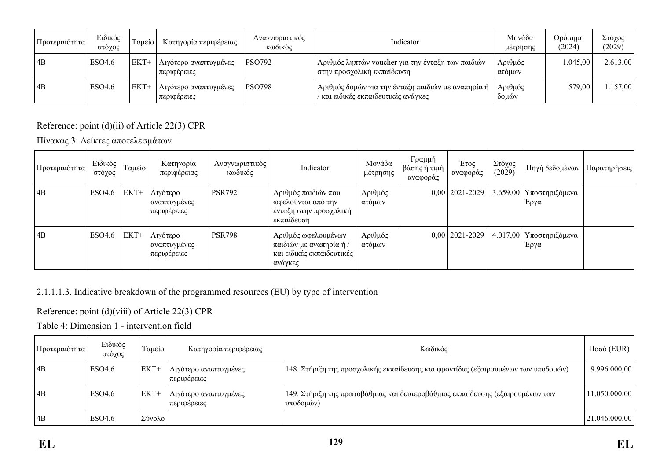| Προτεραιότητα | Ειδικός<br>στόγος | Γαμείο | Κατηγορία περιφέρειας                  | Αναγνωριστικός<br>κωδικός | Indicator                                                                                   | Μονάδα<br>μέτρησης | Ορόσημο<br>(2024) | Στόχος<br>(2029) |
|---------------|-------------------|--------|----------------------------------------|---------------------------|---------------------------------------------------------------------------------------------|--------------------|-------------------|------------------|
| 4B            | ESO4.6            | $EKT+$ | Λιγότερο αναπτυγμένες<br>περιφέρειες   | PSO792                    | Αριθμός ληπτών voucher για την ένταξη των παιδιών<br>  στην προσχολική εκπαίδευση           | Αριθμός<br>ατόμων  | 1.045.00          | 2.613,00         |
| 4B            | ESO4.6            | $EKT+$ | Λιγότερο αναπτυγμένες<br>  περιφέρειες | <b>PSO798</b>             | ' Αριθμός δομών για την ένταξη παιδιών με αναπηρία ή<br>/ και ειδικές εκπαιδευτικές ανάγκες | Αριθμός<br>δομών   | 579,00            | 1.157,00         |

## Reference: point (d)(ii) of Article 22(3) CPR

Πίνακας 3: Δείκτες αποτελεσμάτων

| Προτεραιότητα | Ειδικός<br>στόχος | Γαμείο | Κατηγορία<br>περιφέρειας                | Αναγνωριστικός<br>κωδικός | Indicator                                                                              | Μονάδα<br>μέτρησης | Γραμμή<br>βάσης ή τιμή<br>αναφοράς | Έτος<br>αναφοράς   | Στόχος<br>(2029) | Πηγή δεδομένων                    | Παρατηρήσεις |
|---------------|-------------------|--------|-----------------------------------------|---------------------------|----------------------------------------------------------------------------------------|--------------------|------------------------------------|--------------------|------------------|-----------------------------------|--------------|
| $\vert$ 4B    | ESO4.6            | EKT+   | Λιγότερο<br>αναπτυγμένες<br>περιφέρειες | <b>PSR792</b>             | Αριθμός παιδιών που<br>ωφελούνται από την<br>ένταξη στην προσχολική<br>εκπαίδευση      | Αριθμός<br>ατόμων  |                                    | $0,00$   2021-2029 |                  | 3.659,00   Υποστηριζόμενα<br>Έργα |              |
| AB            | ESO4.6            | EKT+   | Λιγότερο<br>αναπτυγμένες<br>περιφέρειες | <b>PSR798</b>             | Αριθμός ωφελουμένων<br>παιδιών με αναπηρία ή /<br>και ειδικές εκπαιδευτικές<br>ανάγκες | Αριθμός<br>ατόμων  |                                    | $0,00$   2021-2029 |                  | 4.017,00   Υποστηριζόμενα<br>Έργα |              |

## 2.1.1.1.3. Indicative breakdown of the programmed resources (EU) by type of intervention

## Reference: point (d)(viii) of Article 22(3) CPR

Table 4: Dimension 1 - intervention field

| <sub>ι</sub> Προτεραιότητα | Ειδικός<br>στόχος  | Ταμείο | Κατηγορία περιφέρειας                | Κωδικός                                                                                     | $Ποσό$ (EUR)  |
|----------------------------|--------------------|--------|--------------------------------------|---------------------------------------------------------------------------------------------|---------------|
| 4B                         | ESO <sub>4.6</sub> | EKT+   | Λιγότερο αναπτυγμένες<br>περιφέρειες | 148. Στήριξη της προσχολικής εκπαίδευσης και φροντίδας (εξαιρουμένων των υποδομών)          | 9.996.000,00  |
| 4B                         | ESO <sub>4.6</sub> | $EKT+$ | Αιγότερο αναπτυγμένες<br>περιφέρειες | 149. Στήριξη της πρωτοβάθμιας και δευτεροβάθμιας εκπαίδευσης (εξαιρουμένων των<br>υποδομών) | 11.050.000,00 |
| 4B                         | ESO <sub>4.6</sub> | Σύνολο |                                      |                                                                                             | 21.046.000,00 |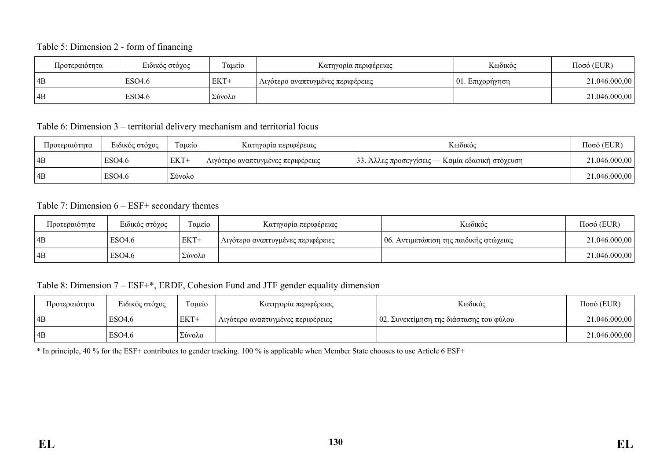#### Table 5: Dimension 2 - form of financing

| Προτεραιότητα | Ειδικός στόχος     | Ταμείο<br>Κατηγορία περιφέρειας |                                   | Κωδικός             | $Ποσό$ (EUR)  |
|---------------|--------------------|---------------------------------|-----------------------------------|---------------------|---------------|
| 4B            | ESO <sub>4.6</sub> | EKT+                            | Λιγότερο αναπτυγμένες περιφέρειες | $ 01$ . Επιχορήγηση | 21.046.000,00 |
| 4B            | ESO <sub>4.6</sub> | ' Σύνολο                        |                                   |                     | 21.046.000,00 |

#### Table 6: Dimension 3 – territorial delivery mechanism and territorial focus

| Προτεραιότητα | Ειδικός στόχος | Ταμείο | Κατηγορία περιφέρειας             | Κωδικός                                         | Ποσό (EUR)    |
|---------------|----------------|--------|-----------------------------------|-------------------------------------------------|---------------|
| 4B            | ESO4.6         | EKT+   | Λιγότερο αναπτυγμένες περιφέρειες | 33. Άλλες προσεγγίσεις — Καμία εδαφική στόχευση | 21.046.000,00 |
| 4B            | ESO4.6         | Σύνολο |                                   |                                                 | 21.046.000,00 |

#### Table 7: Dimension 6 – ESF+ secondary themes

| Προτεραιότητα | Ειδικός στόχος | Ταμείο | Κατηγορία περιφέρειας             | Κωδικός                                | $Ποσό$ (EUR)  |
|---------------|----------------|--------|-----------------------------------|----------------------------------------|---------------|
| 4B            | ESO4.6         | EKT+   | Λιγότερο αναπτυγμένες περιφέρειες | 06. Αντιμετώπιση της παιδικής φτώχειας | 21.046.000,00 |
| 4B            | ESO4.6         | Σύνολο |                                   |                                        | 21.046.000,00 |

### Table 8: Dimension 7 – ESF+\*, ERDF, Cohesion Fund and JTF gender equality dimension

| Προτεραιότητα | Ειδικός στόχος     | Ταμείο | Κατηγορία περιφέρειας             | Κωδικός                                 | $Ποσό$ (EUR)  |
|---------------|--------------------|--------|-----------------------------------|-----------------------------------------|---------------|
| 4B            | ESO4.6             | EKT+   | Λιγότερο αναπτυγμένες περιφέρειες | 02. Συνεκτίμηση της διάστασης του φύλου | 21.046.000,00 |
| 4B            | ESO <sub>4.6</sub> | Σύνολο |                                   |                                         | 21.046.000,00 |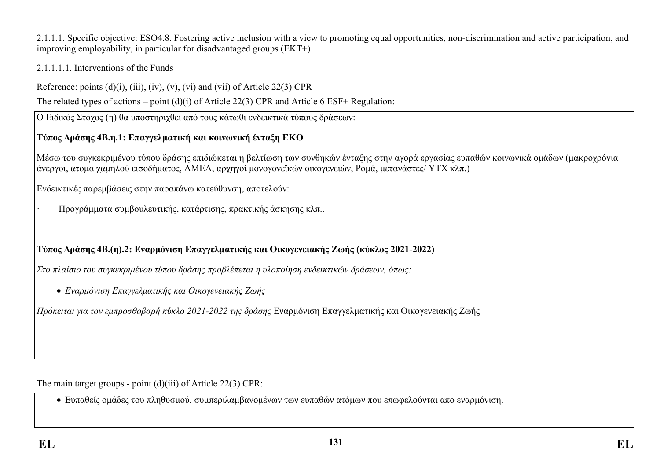2.1.1.1. Specific objective: ESO4.8. Fostering active inclusion with a view to promoting equal opportunities, non-discrimination and active participation, and improving employability, in particular for disadvantaged groups (ΕΚΤ+)

### 2.1.1.1.1. Interventions of the Funds

Reference: points  $(d)(i)$ ,  $(iii)$ ,  $(iv)$ ,  $(v)$ ,  $(vi)$  and  $(vii)$  of Article 22(3) CPR

The related types of actions – point (d)(i) of Article 22(3) CPR and Article 6 ESF+ Regulation:

Ο Ειδικός Στόχος (η) θα υποστηριχθεί από τους κάτωθι ενδεικτικά τύπους δράσεων:

# **Τύπος Δράσης 4Β.η.1: Επαγγελματική και κοινωνική ένταξη ΕΚΟ**

Μέσω του συγκεκριμένου τύπου δράσης επιδιώκεται η βελτίωση των συνθηκών ένταξης στην αγορά εργασίας ευπαθών κοινωνικά ομάδων (μακροχρόνια άνεργοι, άτομα χαμηλού εισοδήματος, ΑΜΕΑ, αρχηγοί μονογονεϊκών οικογενειών, Ρομά, μετανάστες/ ΥΤΧ κλπ.)

Ενδεικτικές παρεμβάσεις στην παραπάνω κατεύθυνση, αποτελούν:

· Προγράμματα συμβουλευτικής, κατάρτισης, πρακτικής άσκησης κλπ..

# **Τύπος Δράσης 4Β.(η).2: Εναρμόνιση Επαγγελματικής και Οικογενειακής Ζωής (κύκλος 2021-2022)**

*Στο πλαίσιο του συγκεκριμένου τύπου δράσης προβλέπεται η υλοποίηση ενδεικτικών δράσεων, όπως:*

*Εναρμόνιση Επαγγελματικής και Οικογενειακής Ζωής*

*Πρόκειται για τον εμπροσθοβαρή κύκλο 2021-2022 της δράσης* Εναρμόνιση Επαγγελματικής και Οικογενειακής Ζωής

The main target groups - point (d)(iii) of Article 22(3) CPR:

Ευπαθείς ομάδες του πληθυσμού, συμπεριλαμβανομένων των ευπαθών ατόμων που επωφελούνται απο εναρμόνιση.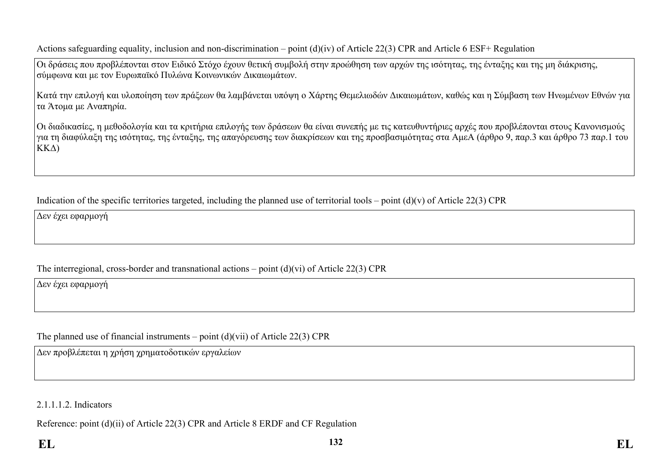Actions safeguarding equality, inclusion and non-discrimination – point (d)(iv) of Article 22(3) CPR and Article 6 ESF+ Regulation

Οι δράσεις που προβλέπονται στον Ειδικό Στόχο έχουν θετική συμβολή στην προώθηση των αρχών της ισότητας, της ένταξης και της μη διάκρισης, σύμφωνα και με τον Ευρωπαϊκό Πυλώνα Κοινωνικών Δικαιωμάτων.

Κατά την επιλογή και υλοποίηση των πράξεων θα λαμβάνεται υπόψη ο Χάρτης Θεμελιωδών Δικαιωμάτων, καθώς και η Σύμβαση των Ηνωμένων Εθνών για τα Άτομα με Αναπηρία.

Οι διαδικασίες, η μεθοδολογία και τα κριτήρια επιλογής των δράσεων θα είναι συνεπής με τις κατευθυντήριες αρχές που προβλέπονται στους Κανονισμούς για τη διαφύλαξη της ισότητας, της ένταξης, της απαγόρευσης των διακρίσεων και της προσβασιμότητας στα ΑμεΑ (άρθρο 9, παρ.3 και άρθρο 73 παρ.1 του ΚΚΔ)

Indication of the specific territories targeted, including the planned use of territorial tools – point  $(d)(v)$  of Article 22(3) CPR

Δεν έχει εφαρμογή

The interregional, cross-border and transnational actions – point (d)(vi) of Article 22(3) CPR

Δεν έχει εφαρμογή

The planned use of financial instruments – point  $(d)(\n{\rm vii})$  of Article 22(3) CPR

Δεν προβλέπεται η χρήση χρηματοδοτικών εργαλείων

2.1.1.1.2. Indicators

Reference: point (d)(ii) of Article 22(3) CPR and Article 8 ERDF and CF Regulation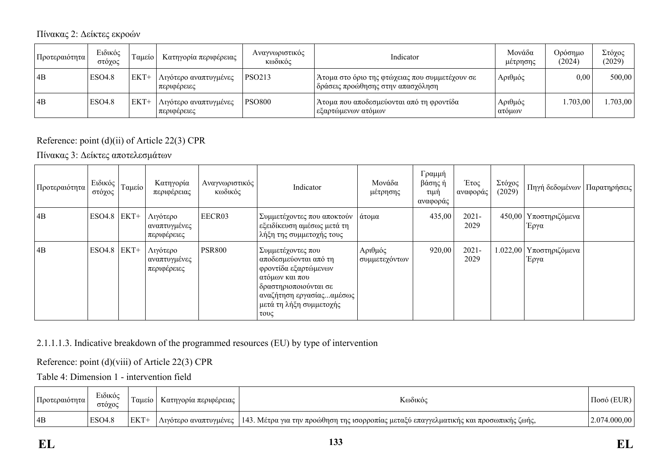Πίνακας 2: Δείκτες εκροών

| Προτεραιότητα | Ειδικός<br>στόγος | Γαμείο Ι | Κατηγορία περιφέρειας                  | Αναγνωριστικός<br>κωδικός | Indicator                                                                               | Μονάδα<br>μετρησης | Ορόσημο<br>(2024) | Στόχος<br>(2029) |
|---------------|-------------------|----------|----------------------------------------|---------------------------|-----------------------------------------------------------------------------------------|--------------------|-------------------|------------------|
| 4B            | <b>ESO4.8</b>     | $EKT+$   | Λιγότερο αναπτυγμένες<br>  περιφέρειες | <b>PSO213</b>             | ' Άτομα στο όριο της φτώχειας που συμμετέχουν σε<br>  δράσεις προώθησης στην απασχόληση | Αριθμός            | 0,00              | 500,00           |
| 4B            | <b>ESO4.8</b>     | $EKT+$   | Λιγότερο αναπτυγμένες<br>  περιφέρειες | <b>PSO800</b>             | Ατομα που αποδεσμεύονται από τη φροντίδα<br>  εξαρτώμενων ατόμων                        | Αριθμός<br>ατόμων  | 1.703,00          | .703,00          |

## Reference: point (d)(ii) of Article 22(3) CPR

Πίνακας 3: Δείκτες αποτελεσμάτων

| Προτεραιότητα | Ειδικός<br>στόχος | Ταμείο | Κατηγορία<br>περιφέρειας                | Αναγνωριστικός<br>κωδικός | Indicator                                                                                                                                                                     | Μονάδα<br>μέτρησης       | Γραμμή<br>βάσης ή<br>τιμή<br>αναφοράς | Έτος<br>αναφοράς | Στόχος<br>(2029) | Πηγή δεδομένων                  | Παρατηρήσεις |
|---------------|-------------------|--------|-----------------------------------------|---------------------------|-------------------------------------------------------------------------------------------------------------------------------------------------------------------------------|--------------------------|---------------------------------------|------------------|------------------|---------------------------------|--------------|
| 4B            | <b>ESO4.8</b>     | EKT+   | Λιγότερο<br>αναπτυγμένες<br>περιφέρειες | EECR03                    | Συμμετέχοντες που αποκτούν<br>εξειδίκευση αμέσως μετά τη<br>λήξη της συμμετοχής τους                                                                                          | άτομα                    | 435,00                                | $2021 -$<br>2029 |                  | 450,00 Υποστηριζόμενα<br>Έργα   |              |
| 4B            | <b>ESO4.8</b>     | EKT+   | Λιγότερο<br>αναπτυγμένες<br>περιφέρειες | <b>PSR800</b>             | Συμμετέχοντες που<br>αποδεσμεύονται από τη<br>φροντίδα εξαρτώμενων<br>ατόμων και που<br>⊦δραστηριοποιούνται σε<br>αναζήτηση εργασίαςαμέσως<br>μετά τη λήξη συμμετοχής<br>τους | Αριθμός<br>συμμετεχόντων | 920,00                                | $2021 -$<br>2029 |                  | 1.022,00 Υποστηριζόμενα<br>Έργα |              |

## 2.1.1.1.3. Indicative breakdown of the programmed resources (EU) by type of intervention

Reference: point (d)(viii) of Article 22(3) CPR

Table 4: Dimension 1 - intervention field

| Προτεραιότητα | Ειδικός<br>στοχος | Ι αμείο    | Κατηγορία περιφέρειας | Κωδικόι                                                                                                       | Π000         |
|---------------|-------------------|------------|-----------------------|---------------------------------------------------------------------------------------------------------------|--------------|
| 4B            | <b>ESO4.8</b>     | <b>EKT</b> |                       | Λιγότερο αναπτυγμένες   143. Μέτρα για την προώθηση της ισορροπίας μεταξύ επαγγελματικής και προσωπικής ζωής, | 2.074.000.00 |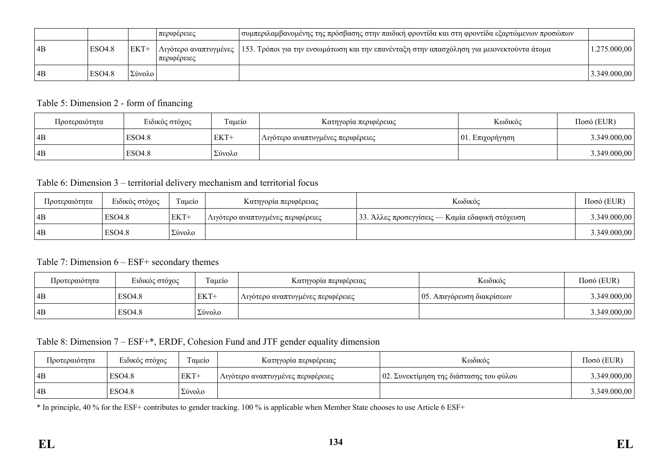|    |               |                              | περιφέρειες | συμπεριλαμβανομένης της πρόσβασης στην παιδική φροντίδα και στη φροντίδα εξαρτώμενων προσώπων                     |              |
|----|---------------|------------------------------|-------------|-------------------------------------------------------------------------------------------------------------------|--------------|
| 4B | <b>ESO4.8</b> | $EKT+$                       | περιφέρειες | Λιγότερο αναπτυγμένες   153. Τρόποι για την ενσωμάτωση και την επανένταξη στην απασχόληση για μειονεκτούντα άτομα | .275.000,00  |
| AB | <b>ESO4.8</b> | $\sqrt{2}$<br>$20\nu 0\nu 0$ |             |                                                                                                                   | 3.349.000,00 |

### Table 5: Dimension 2 - form of financing

| Προτεραιότητα | Ειδικός στόχος | Ταμείο | Κατηγορία περιφέρειας             | Κωδικός             | $Ποσό$ (EUR) |
|---------------|----------------|--------|-----------------------------------|---------------------|--------------|
| 4B            | <b>ESO4.8</b>  | EKT+   | Λιγότερο αναπτυγμένες περιφέρειες | $ 01$ . Επιχορήγηση | 3.349.000,00 |
| 4B            | <b>ESO4.8</b>  | Σύνολο |                                   |                     | 3.349.000,00 |

#### Table 6: Dimension 3 – territorial delivery mechanism and territorial focus

| Προτεραιότητα | Ειδικός στόχος     | Ταμείο | Κατηγορία περιφέρειας             | Κωδικός                                         | $Ποσό$ (EUR) |
|---------------|--------------------|--------|-----------------------------------|-------------------------------------------------|--------------|
| 4B            | <b>ESO4.8</b>      | EKT+   | Λιγότερο αναπτυγμένες περιφέρειες | 33. Άλλες προσεγγίσεις — Καμία εδαφική στόχευση | 3.349.000,00 |
| 4B            | ESO <sub>4.8</sub> | Σύνολο |                                   |                                                 | 3.349.000,00 |

#### Table 7: Dimension 6 – ESF+ secondary themes

| Προτεραιότητα | Ειδικός στόχος     | Ταμείο | Κατηγορία περιφέρειας             | Κωδικός                                   | Ποσό (EUR)   |
|---------------|--------------------|--------|-----------------------------------|-------------------------------------------|--------------|
| 4B            | ESO <sub>4.8</sub> | EKT+   | Λιγότερο αναπτυγμένες περιφέρειες | $\frac{105}{100}$ . Απαγόρευση διακρίσεων | 3.349.000,00 |
| 4B            | <b>ESO4.8</b>      | Σύνολο |                                   |                                           | 3.349.000,00 |

#### Table 8: Dimension 7 – ESF+\*, ERDF, Cohesion Fund and JTF gender equality dimension

| Προτεραιότητα | Ειδικός στόχος     | $\sim$<br>Γαμείο | Κατηγορία περιφέρειας             | Κωδικός                                 | $Ποσό$ (EUR) |
|---------------|--------------------|------------------|-----------------------------------|-----------------------------------------|--------------|
| 4B            | ESO <sub>4.8</sub> | EKT+             | Λιγότερο αναπτυγμένες περιφέρειες | 02. Συνεκτίμηση της διάστασης του φύλου | 3.349.000,00 |
| 4B            | <b>ESO4.8</b>      | Σύνολο           |                                   |                                         | 3.349.000,00 |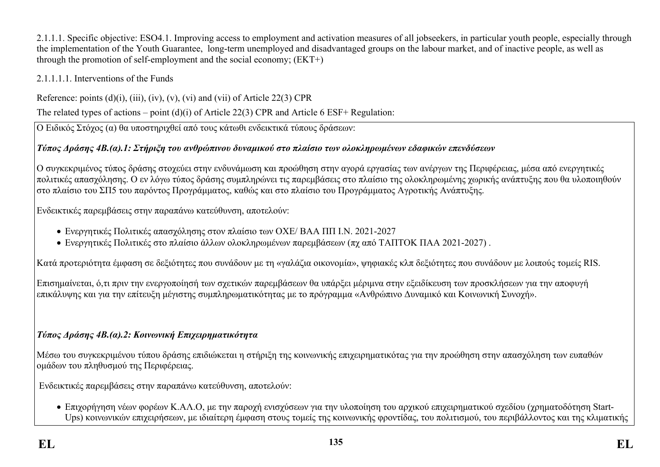2.1.1.1. Specific objective: ESO4.1. Improving access to employment and activation measures of all jobseekers, in particular youth people, especially through the implementation of the Youth Guarantee, long-term unemployed and disadvantaged groups on the labour market, and of inactive people, as well as through the promotion of self-employment and the social economy; (ΕΚΤ+)

### 2.1.1.1.1. Interventions of the Funds

Reference: points  $(d)(i)$ ,  $(iii)$ ,  $(iv)$ ,  $(v)$ ,  $(vi)$  and  $(vii)$  of Article 22(3) CPR

The related types of actions – point (d)(i) of Article 22(3) CPR and Article 6 ESF+ Regulation:

Ο Ειδικός Στόχος (α) θα υποστηριχθεί από τους κάτωθι ενδεικτικά τύπους δράσεων:

## *Τύπος Δράσης 4Β.(α).1: Στήριξη του ανθρώπινου δυναμικού στο πλαίσιο των ολοκληρωμένων εδαφικών επενδύσεων*

Ο συγκεκριμένος τύπος δράσης στοχεύει στην ενδυνάμωση και προώθηση στην αγορά εργασίας των ανέργων της Περιφέρειας, μέσα από ενεργητικές πολιτικές απασχόλησης. Ο εν λόγω τύπος δράσης συμπληρώνει τις παρεμβάσεις στο πλαίσιο της ολοκληρωμένης χωρικής ανάπτυξης που θα υλοποιηθούν στο πλαίσιο του ΣΠ5 του παρόντος Προγράμματος, καθώς και στο πλαίσιο του Προγράμματος Αγροτικής Ανάπτυξης.

Ενδεικτικές παρεμβάσεις στην παραπάνω κατεύθυνση, αποτελούν:

- Ενεργητικές Πολιτικές απασχόλησης στον πλαίσιο των ΟΧΕ/ ΒΑΑ ΠΠ Ι.Ν. 2021-2027
- Ενεργητικές Πολιτικές στο πλαίσιο άλλων ολοκληρωμένων παρεμβάσεων (πχ από ΤΑΠΤΟΚ ΠΑΑ 2021-2027) .

Κατά προτεριότητα έμφαση σε δεξιότητες που συνάδουν με τη «γαλάζια οικονομία», ψηφιακές κλπ δεξιότητες που συνάδουν με λοιπούς τομείς RIS.

Επισημαίνεται, ό,τι πριν την ενεργοποίησή των σχετικών παρεμβάσεων θα υπάρξει μέριμνα στην εξειδίκευση των προσκλήσεων για την αποφυγή επικάλυψης και για την επίτευξη μέγιστης συμπληρωματικότητας με το πρόγραμμα «Ανθρώπινο Δυναμικό και Κοινωνική Συνοχή».

## *Τύπος Δράσης 4Β.(α).2: Κοινωνική Επιχειρηματικότητα*

Μέσω του συγκεκριμένου τύπου δράσης επιδιώκεται η στήριξη της κοινωνικής επιχειρηματικότας για την προώθηση στην απασχόληση των ευπαθών ομάδων του πληθυσμού της Περιφέρειας.

Ενδεικτικές παρεμβάσεις στην παραπάνω κατεύθυνση, αποτελούν:

 Επιχορήγηση νέων φορέων Κ.ΑΛ.Ο, με την παροχή ενισχύσεων για την υλοποίηση του αρχικού επιχειρηματικού σχεδίου (χρηματοδότηση Start-Ups) κοινωνικών επιχειρήσεων, με ιδιαίτερη έμφαση στους τομείς της κοινωνικής φροντίδας, του πολιτισμού, του περιβάλλοντος και της κλιματικής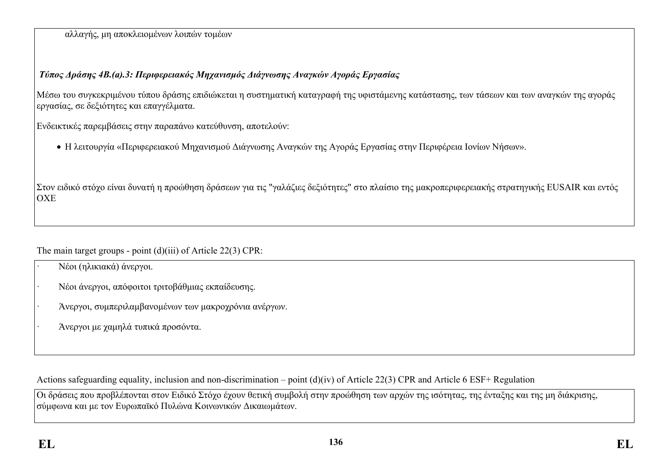αλλαγής, μη αποκλειομένων λοιπών τομέων

## *Τύπος Δράσης 4Β.(a).3: Περιφερειακός Μηχανισμός Διάγνωσης Αναγκών Αγοράς Εργασίας*

Μέσω του συγκεκριμένου τύπου δράσης επιδιώκεται η συστηματική καταγραφή της υφιστάμενης κατάστασης, των τάσεων και των αναγκών της αγοράς εργασίας, σε δεξιότητες και επαγγέλματα.

Ενδεικτικές παρεμβάσεις στην παραπάνω κατεύθυνση, αποτελούν:

H λειτουργία «Περιφερειακού Μηχανισμού Διάγνωσης Αναγκών της Αγοράς Εργασίας στην Περιφέρεια Ιονίων Νήσων».

Στον ειδικό στόχο είναι δυνατή η προώθηση δράσεων για τις "γαλάζιες δεξιότητες" στο πλαίσιο της μακροπεριφερειακής στρατηγικής EUSAIR και εντός ΟΧΕ

The main target groups - point (d)(iii) of Article 22(3) CPR:

- · Νέοι (ηλικιακά) άνεργοι.
- · Νέοι άνεργοι, απόφοιτοι τριτοβάθμιας εκπαίδευσης.
- · Άνεργοι, συμπεριλαμβανομένων των μακροχρόνια ανέργων.
- · Άνεργοι με χαμηλά τυπικά προσόντα.

Actions safeguarding equality, inclusion and non-discrimination – point (d)(iv) of Article 22(3) CPR and Article 6 ESF+ Regulation

Οι δράσεις που προβλέπονται στον Ειδικό Στόχο έχουν θετική συμβολή στην προώθηση των αρχών της ισότητας, της ένταξης και της μη διάκρισης, σύμφωνα και με τον Ευρωπαϊκό Πυλώνα Κοινωνικών Δικαιωμάτων.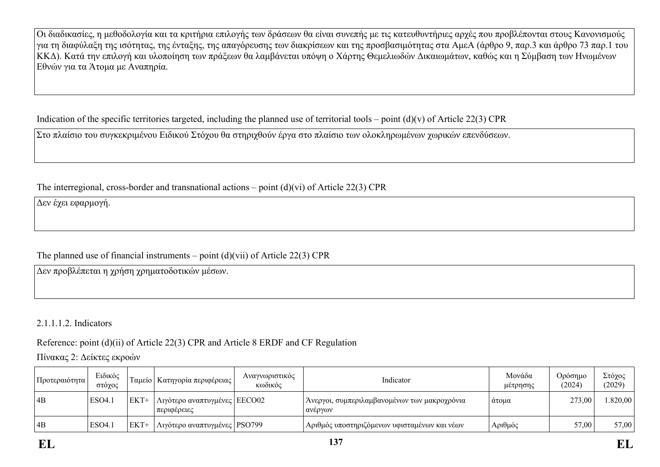Οι διαδικασίες, η μεθοδολογία και τα κριτήρια επιλογής των δράσεων θα είναι συνεπής με τις κατευθυντήριες αρχές που προβλέπονται στους Κανονισμούς για τη διαφύλαξη της ισότητας, της ένταξης, της απαγόρευσης των διακρίσεων και της προσβασιμότητας στα ΑμεΑ (άρθρο 9, παρ.3 και άρθρο 73 παρ.1 του ΚΚΔ). Κατά την επιλογή και υλοποίηση των πράξεων θα λαμβάνεται υπόψη ο Χάρτης Θεμελιωδών Δικαιωμάτων, καθώς και η Σύμβαση των Ηνωμένων Εθνών για τα Άτομα με Αναπηρία.

Indication of the specific territories targeted, including the planned use of territorial tools – point  $(d)(v)$  of Article 22(3) CPR

Στο πλαίσιο του συγκεκριμένου Ειδικού Στόχου θα στηριχθούν έργα στο πλαίσιο των ολοκληρωμένων χωρικών επενδύσεων.

The interregional, cross-border and transnational actions – point (d)(vi) of Article 22(3) CPR

Δεν έχει εφαρμογή.

## The planned use of financial instruments – point  $(d)(\n{\rm vii})$  of Article 22(3) CPR

Δεν προβλέπεται η χρήση χρηματοδοτικών μέσων.

## 2.1.1.1.2. Indicators

Reference: point (d)(ii) of Article 22(3) CPR and Article 8 ERDF and CF Regulation

Πίνακας 2: Δείκτες εκροών

| Προτεραιότητα | Ειδικός<br>στόγος |        | Γαμείο   Κατηγορία περιφέρειας                  | Αναγνωριστικός<br>κωδικός | Indicator                                               | Μονάδα<br>μέτρησης | Ορόσημο<br>(2024) | Στόχος<br>(2029) |
|---------------|-------------------|--------|-------------------------------------------------|---------------------------|---------------------------------------------------------|--------------------|-------------------|------------------|
| 4B            | ESO4.             | $EKT+$ | ' Λιγότερο αναπτυγμένες   ΕΕCO02<br>περιφέρειες |                           | Άνεργοι, συμπεριλαμβανομένων των μακροχρόνια<br>ανέργων | ατομα              | 273,00            | .820,00          |
| 4B            | ESO4.             | $EKT+$ | ' Λιγότερο αναπτυγμένες   PSO799 -              |                           | Αριθμός υποστηριζόμενων υφισταμένων και νέων            | Αριθμός            | 57,00             | 57,00            |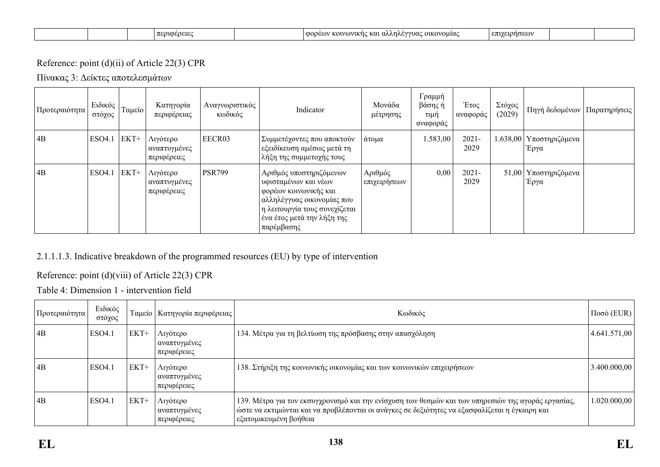|  | (0.00010<br>. |  | :01VOV1KN0<br>: οικονομιας<br>നറവ<br>K (1.<br>' U. | ے تھی۔<br>επ |  |  |
|--|---------------|--|----------------------------------------------------|--------------|--|--|
|--|---------------|--|----------------------------------------------------|--------------|--|--|

### Reference: point (d)(ii) of Article 22(3) CPR

Πίνακας 3: Δείκτες αποτελεσμάτων

| Προτεραιότητα∣ | Ειδικός<br>στόχος | Ταμείο | Κατηγορία<br>περιφέρειας                | Αναγνωριστικός<br>κωδικός | Indicator                                                                                                                                                                           | Μονάδα<br>μέτρησης      | Γραμμή<br>βάσης ή<br>τιμή<br>αναφοράς | Έτος<br>αναφοράς | Στόχος<br>(2029) | Πηγή δεδομένων                    | Παρατηρήσεις |
|----------------|-------------------|--------|-----------------------------------------|---------------------------|-------------------------------------------------------------------------------------------------------------------------------------------------------------------------------------|-------------------------|---------------------------------------|------------------|------------------|-----------------------------------|--------------|
| 4B             | <b>ESO4.1</b>     | EKT+   | Λιγότερο<br>αναπτυγμένες<br>περιφέρειες | EECR03                    | Συμμετέχοντες που αποκτούν<br>εξειδίκευση αμέσως μετά τη<br>λήξη της συμμετοχής τους                                                                                                | άτομα                   | 1.583,00                              | $2021 -$<br>2029 |                  | 1.638,00   Υποστηριζόμενα<br>Έργα |              |
| 4B             | <b>ESO4.1</b>     | EKT+   | Λιγότερο<br>αναπτυγμένες<br>περιφέρειες | <b>PSR799</b>             | Αριθμός υποστηριζόμενων<br>υφισταμένων και νέων<br>φορέων κοινωνικής και<br>αλληλέγγυας οικονομίας που<br>η λειτουργία τους συνεχίζεται<br>ένα έτος μετά την λήξη της<br>παρέμβασης | Αριθμός<br>επιχειρήσεων | 0,00                                  | $2021 -$<br>2029 |                  | 51,00   Υποστηριζόμενα<br>Έργα    |              |

## 2.1.1.1.3. Indicative breakdown of the programmed resources (EU) by type of intervention

### Reference: point (d)(viii) of Article 22(3) CPR

Table 4: Dimension 1 - intervention field

| Προτεραιότητα | Ειδικός<br>στόχος |        | Ταμείο   Κατηγορία περιφέρειας          | Κωδικός                                                                                                                                                                                                                         | $Ποσό$ (EUR) |
|---------------|-------------------|--------|-----------------------------------------|---------------------------------------------------------------------------------------------------------------------------------------------------------------------------------------------------------------------------------|--------------|
| 4B            | ESO4.1            | EKT+   | Λιγότερο<br>αναπτυγμένες<br>περιφέρειες | 134. Μέτρα για τη βελτίωση της πρόσβασης στην απασχόληση                                                                                                                                                                        | 4.641.571,00 |
| 4B            | ESO4.1            | $EKT+$ | Λιγότερο<br>αναπτυγμένες<br>περιφέρειες | 138. Στήριξη της κοινωνικής οικονομίας και των κοινωνικών επιχειρήσεων                                                                                                                                                          | 3.400.000,00 |
| 4B            | ESO4.1            | EKT+   | Λιγότερο<br>αναπτυγμένες<br>περιφέρειες | 139. Μέτρα για τον εκσυγχρονισμό και την ενίσχυση των θεσμών και των υπηρεσιών της αγοράς εργασίας,<br>ώστε να εκτιμώνται και να προβλέπονται οι ανάγκες σε δεξιότητες να εξασφαλίζεται η έγκαιρη και<br>εξατομικευμένη βοήθεια | 1.020.000,00 |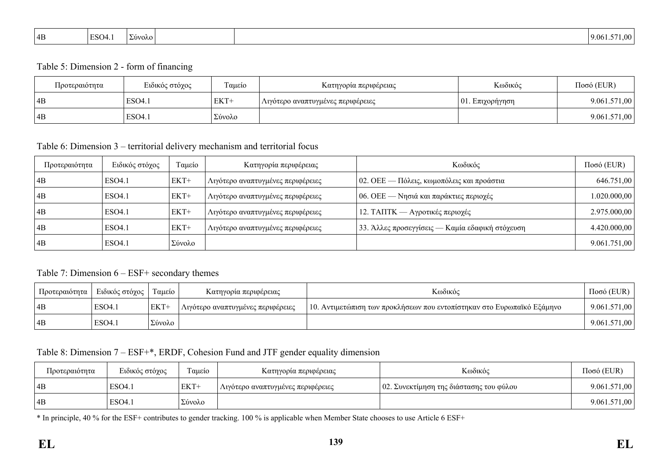| ESO <sub>4.1</sub><br>$\vert$ 4B<br>$\sqrt{2}$<br>20000 | --<br>0.001<br>9.06. |
|---------------------------------------------------------|----------------------|
|---------------------------------------------------------|----------------------|

#### Table 5: Dimension 2 - form of financing

| Προτεραιότητα | Ειδικός στόχος | Ταμείο   | Κατηγορία περιφέρειας             | Κωδικός             | $Ποσό$ (EUR) |
|---------------|----------------|----------|-----------------------------------|---------------------|--------------|
| 4B            | ESO4.1         | EKT+     | Λιγότερο αναπτυγμένες περιφέρειες | $ 01$ . Επιχορήγηση | 9.061.571,00 |
| 4B            | ESO4.1         | ΄ Σύνολο |                                   |                     | 9.061.571,00 |

Table 6: Dimension 3 – territorial delivery mechanism and territorial focus

| Προτεραιότητα   | Ειδικός στόχος | Ταμείο | Κατηγορία περιφέρειας             | Κωδικός                                         | $Ποσό$ (EUR) |
|-----------------|----------------|--------|-----------------------------------|-------------------------------------------------|--------------|
| $\overline{AB}$ | ESO4.1         | $EKT+$ | Λιγότερο αναπτυγμένες περιφέρειες | 02. ΟΕΕ — Πόλεις, κωμοπόλεις και προάστια       | 646.751,00   |
| 4B              | ESO4.1         | $EKT+$ | Λιγότερο αναπτυγμένες περιφέρειες | $ 06.$ ΟΕΕ — Νησιά και παράκτιες περιοχές       | 1.020.000,00 |
| 4B              | ESO4.1         | $EKT+$ | Λιγότερο αναπτυγμένες περιφέρειες | 12. ΤΑΠΤΚ — Αγροτικές περιοχές                  | 2.975.000,00 |
| 4B              | ESO4.1         | $EKT+$ | Λιγότερο αναπτυγμένες περιφέρειες | 33. Άλλες προσεγγίσεις — Καμία εδαφική στόχευση | 4.420.000,00 |
| 4B              | ESO4.1         | Σύνολο |                                   |                                                 | 9.061.751,00 |

#### Table 7: Dimension 6 – ESF+ secondary themes

| Προτεραιότητα | ∣ Ειδικός στόχος | Ταμείο | Κατηγορία περιφέρειας             | Κωδικός                                                                | $Ποσό$ (EUR) |
|---------------|------------------|--------|-----------------------------------|------------------------------------------------------------------------|--------------|
| 4B            | ESO4.1           | EKT+   | Λιγότερο αναπτυγμένες περιφέρειες | 10. Αντιμετώπιση των προκλήσεων που εντοπίστηκαν στο Ευρωπαϊκό Εξάμηνο | 9.061.571,00 |
| 4B            | ESO4.1           | Σύνολο |                                   |                                                                        | 9.061.571,00 |

### Table 8: Dimension 7 – ESF+\*, ERDF, Cohesion Fund and JTF gender equality dimension

| Προτεραιότητα | Ειδικός στόχος | Ταμείο | Κατηγορία περιφέρειας             | Κωδικός                                 | $Ποσό$ (EUR) |
|---------------|----------------|--------|-----------------------------------|-----------------------------------------|--------------|
| 4B            | ESO4.          | EKT+   | Λιγότερο αναπτυγμένες περιφέρειες | 02. Συνεκτίμηση της διάστασης του φύλου | 9.061.571,00 |
| 4B            | ESO4.          | Σύνολο |                                   |                                         | 9.061.571,00 |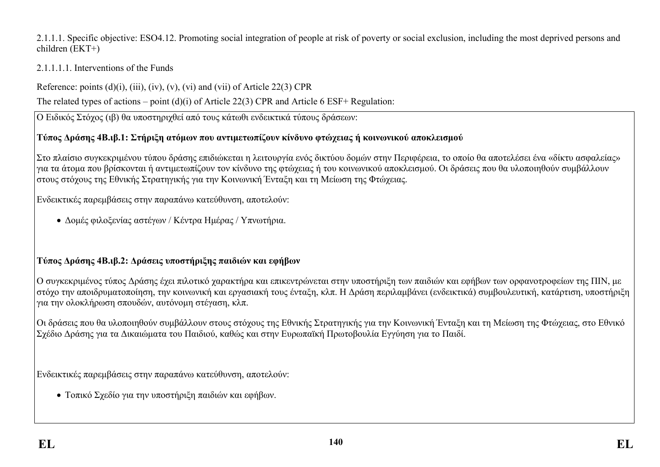### 2.1.1.1. Specific objective: ESO4.12. Promoting social integration of people at risk of poverty or social exclusion, including the most deprived persons and children (ΕΚΤ+)

## 2.1.1.1.1. Interventions of the Funds

Reference: points  $(d)(i)$ ,  $(iii)$ ,  $(iv)$ ,  $(v)$ ,  $(vi)$  and  $(vii)$  of Article 22(3) CPR

The related types of actions – point (d)(i) of Article 22(3) CPR and Article 6 ESF+ Regulation:

Ο Ειδικός Στόχος (ιβ) θα υποστηριχθεί από τους κάτωθι ενδεικτικά τύπους δράσεων:

## **Τύπος Δράσης 4Β.ιβ.1: Στήριξη ατόμων που αντιμετωπίζουν κίνδυνο φτώχειας ή κοινωνικού αποκλεισμού**

Στο πλαίσιο συγκεκριμένου τύπου δράσης επιδιώκεται η λειτουργία ενός δικτύου δομών στην Περιφέρεια, το οποίο θα αποτελέσει ένα «δίκτυ ασφαλείας» για τα άτομα που βρίσκονται ή αντιμετωπίζουν τον κίνδυνο της φτώχειας ή του κοινωνικού αποκλεισμού. Οι δράσεις που θα υλοποιηθούν συμβάλλουν στους στόχους της Εθνικής Στρατηγικής για την Κοινωνική Ένταξη και τη Μείωση της Φτώχειας.

Ενδεικτικές παρεμβάσεις στην παραπάνω κατεύθυνση, αποτελούν:

Δομές φιλοξενίας αστέγων / Κέντρα Ημέρας / Υπνωτήρια.

# **Τύπος Δράσης 4Β.ιβ.2: Δράσεις υποστήριξης παιδιών και εφήβων**

Ο συγκεκριμένος τύπος Δράσης έχει πιλοτικό χαρακτήρα και επικεντρώνεται στην υποστήριξη των παιδιών και εφήβων των ορφανοτροφείων της ΠΙΝ, με στόχο την αποιδρυματοποίηση, την κοινωνική και εργασιακή τους ένταξη, κλπ. Η Δράση περιλαμβάνει (ενδεικτικά) συμβουλευτική, κατάρτιση, υποστήριξη για την ολοκλήρωση σπουδών, αυτόνομη στέγαση, κλπ.

Οι δράσεις που θα υλοποιηθούν συμβάλλουν στους στόχους της Εθνικής Στρατηγικής για την Κοινωνική Ένταξη και τη Μείωση της Φτώχειας, στο Εθνικό Σχέδιο Δράσης για τα Δικαιώματα του Παιδιού, καθώς και στην Ευρωπαϊκή Πρωτοβουλία Εγγύηση για το Παιδί.

Ενδεικτικές παρεμβάσεις στην παραπάνω κατεύθυνση, αποτελούν:

Τοπικό Σχεδίο για την υποστήριξη παιδιών και εφήβων.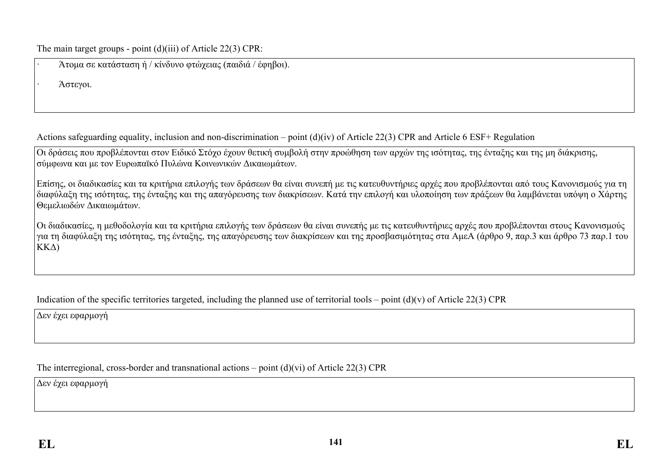The main target groups - point (d)(iii) of Article 22(3) CPR:

| Άτομα σε κατάσταση ή / κίνδυνο φτώχειας (παιδιά / έφηβοι). |  |
|------------------------------------------------------------|--|
|                                                            |  |

· Άστεγοι.

Actions safeguarding equality, inclusion and non-discrimination – point (d)(iv) of Article 22(3) CPR and Article 6 ESF+ Regulation

Οι δράσεις που προβλέπονται στον Ειδικό Στόχο έχουν θετική συμβολή στην προώθηση των αρχών της ισότητας, της ένταξης και της μη διάκρισης, σύμφωνα και με τον Ευρωπαϊκό Πυλώνα Κοινωνικών Δικαιωμάτων.

Επίσης, οι διαδικασίες και τα κριτήρια επιλογής των δράσεων θα είναι συνεπή με τις κατευθυντήριες αρχές που προβλέπονται από τους Κανονισμούς για τη διαφύλαξη της ισότητας, της ένταξης και της απαγόρευσης των διακρίσεων. Κατά την επιλογή και υλοποίηση των πράξεων θα λαμβάνεται υπόψη ο Χάρτης Θεμελιωδών Δικαιωμάτων.

Οι διαδικασίες, η μεθοδολογία και τα κριτήρια επιλογής των δράσεων θα είναι συνεπής με τις κατευθυντήριες αρχές που προβλέπονται στους Κανονισμούς για τη διαφύλαξη της ισότητας, της ένταξης, της απαγόρευσης των διακρίσεων και της προσβασιμότητας στα ΑμεΑ (άρθρο 9, παρ.3 και άρθρο 73 παρ.1 του ΚΚΔ)

Indication of the specific territories targeted, including the planned use of territorial tools – point  $(d)(v)$  of Article 22(3) CPR

Δεν έχει εφαρμογή

The interregional, cross-border and transnational actions – point (d)(vi) of Article 22(3) CPR

Δεν έχει εφαρμογή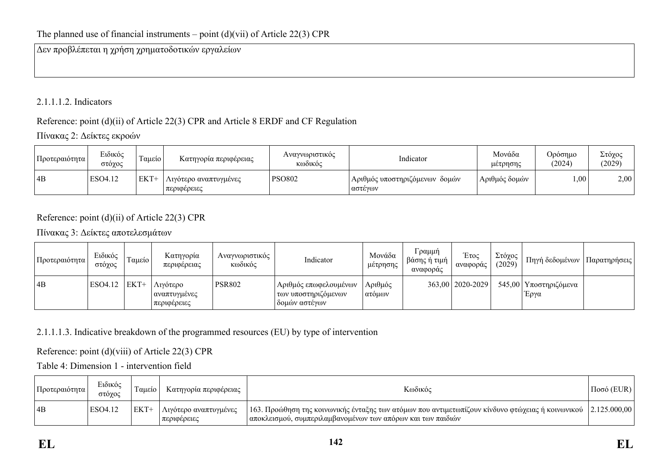Δεν προβλέπεται η χρήση χρηματοδοτικών εργαλείων

## 2.1.1.1.2. Indicators

## Reference: point (d)(ii) of Article 22(3) CPR and Article 8 ERDF and CF Regulation

Πίνακας 2: Δείκτες εκροών

| Προτεραιότητα | Ειδικός<br>στόχος | $\sim$<br>Tausio | Κατηγορία περιφέρειας                  | Αναγνωριστικός<br>κωδικός | Indicator                                     | Μονάδα<br>μέτρησης | Ορόσημο<br>(2024) | Στόχος<br>(2029) |
|---------------|-------------------|------------------|----------------------------------------|---------------------------|-----------------------------------------------|--------------------|-------------------|------------------|
| 4B            | ESO4.12           | EKT-             | . Λιγότερο αναπτυγμένες<br>περιφέρειες | <b>PSO802</b>             | ι Αριθμός υποστηριζόμενων  δομών -<br>αστέγων | Αριθμός δομών      | $00$ .            | 2,00             |

## Reference: point (d)(ii) of Article 22(3) CPR

## Πίνακας 3: Δείκτες αποτελεσμάτων

| Προτεραιότητα | Ειδικός<br>στόχος | Ταμείο | Κατηγορία<br>περιφέρειας                | Αναγνωριστικός<br>κωδικός | Indicator                                                     | Μονάδα<br>μέτρησης  | Γραμμή<br>βάσης ή τιμή<br>αναφοράς | Έτος<br>αναφοράς     | Στόχος<br>(2029) | Πηγή δεδομένων                  | Παρατηρήσεις |
|---------------|-------------------|--------|-----------------------------------------|---------------------------|---------------------------------------------------------------|---------------------|------------------------------------|----------------------|------------------|---------------------------------|--------------|
| 4B            | $ESO4.12$ $EKT+$  |        | Λιγότερο<br>αναπτυγμένες<br>περιφέρειες | <b>PSR802</b>             | Αριθμός επωφελουμένων<br>των υποστηριζόμενων<br>δομών αστέγων | Αριθμός<br>  ατόμων |                                    | $363,00$   2020-2029 |                  | 545,00   Υποστηριζόμενα<br>Έργα |              |

## 2.1.1.1.3. Indicative breakdown of the programmed resources (EU) by type of intervention

Reference: point (d)(viii) of Article 22(3) CPR

Table 4: Dimension 1 - intervention field

| Προτεραιότητα | Ειδικός<br>στόγος | aueio | Κατηγορία περιφέρειας                | Κωδικός                                                                                                                                                                          | $Ποσό$ (EUR) |
|---------------|-------------------|-------|--------------------------------------|----------------------------------------------------------------------------------------------------------------------------------------------------------------------------------|--------------|
| 4B            | ESO4.12           |       | Λιγότερο αναπτυγμένες<br>περιφερειες | 163. Προώθηση της κοινωνικής ένταξης των ατόμων που αντιμετωπίζουν κίνδυνο φτώχειας ή κοινωνικού  2.125.000,00 <br>  αποκλεισμού, συμπεριλαμβανομένων των απόρων και των παιδιών |              |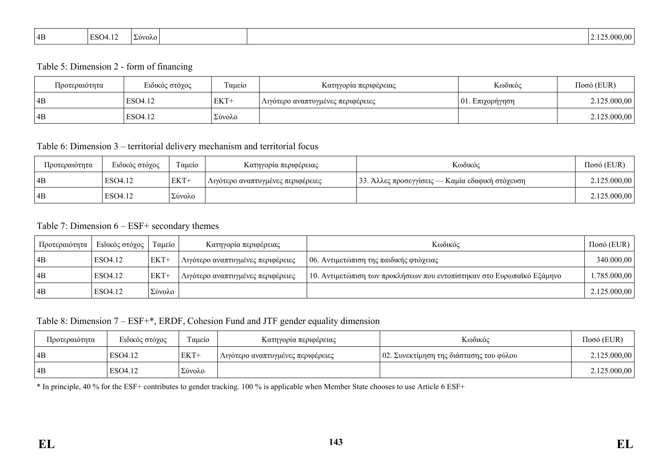| ${}^{1}ESO4.12$<br>$\blacksquare$<br>' 4B<br>OVOVO. | 5.000,00 |
|-----------------------------------------------------|----------|
|-----------------------------------------------------|----------|

#### Table 5: Dimension 2 - form of financing

| Προτεραιότητα | Ειδικός στόχος | Ταμείο | Κατηγορία περιφέρειας             | Κωδικός             | $Ποσό$ (EUR) |
|---------------|----------------|--------|-----------------------------------|---------------------|--------------|
| 4B            | ESO4.12        | EKT+   | Λιγότερο αναπτυγμένες περιφέρειες | $ 01$ . Επιχορήγηση | 2.125.000,00 |
| 4B            | ESO4.12        | Σύνολο |                                   |                     | 2.125.000,00 |

Table 6: Dimension 3 – territorial delivery mechanism and territorial focus

| Προτεραιότητα | Ειδικός στόχος | $\mathbf{r}$<br>Ταμείο | Κατηγορία περιφέρειας             | Κωδικός                                         | $Ποσό$ (EUR) |
|---------------|----------------|------------------------|-----------------------------------|-------------------------------------------------|--------------|
| 4B            | ESO4.12        | $EKT+$                 | Λιγότερο αναπτυγμένες περιφέρειες | 33. Άλλες προσεγγίσεις — Καμία εδαφική στόχευση | 2.125.000,00 |
| 4B            | ESO4.12        | Σύνολο                 |                                   |                                                 | 2.125.000,00 |

Table 7: Dimension 6 – ESF+ secondary themes

| Προτεραιότητα | Ειδικός στόγος | Ταμείο | Κατηγορία περιφέρειας             | Κωδικός                                                                | $\Pi$ οσό (EUR) |
|---------------|----------------|--------|-----------------------------------|------------------------------------------------------------------------|-----------------|
| 4B            | ESO4.12        | EKT+   | Λιγότερο αναπτυγμένες περιφέρειες | 06. Αντιμετώπιση της παιδικής φτώχειας                                 | 340.000,00      |
| 4B            | ESO4.12        | EKT+   | Λιγότερο αναπτυγμένες περιφέρειες | 10. Αντιμετώπιση των προκλήσεων που εντοπίστηκαν στο Ευρωπαϊκό Εξάμηνο | 785.000,00 .    |
| 4B            | ESO4.12        | Σύνολο |                                   |                                                                        | 2.125.000,00    |

Table 8: Dimension 7 – ESF+\*, ERDF, Cohesion Fund and JTF gender equality dimension

| Προτεραιότητα | Ειδικός στόχος | Γαμείο | Κατηγορία περιφέρειας             | Κωδικός                                 | $Ποσό$ (EUR) |
|---------------|----------------|--------|-----------------------------------|-----------------------------------------|--------------|
| 4B            | ESO4.12        | EKT+   | Λιγότερο αναπτυγμένες περιφέρειες | 02. Συνεκτίμηση της διάστασης του φύλου | 2.125.000,00 |
| 4B            | ESO4.12        | Σύνολο |                                   |                                         | 2.125.000,00 |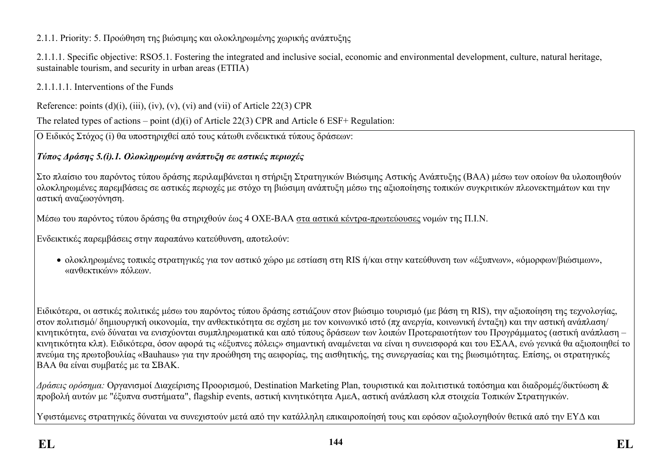## 2.1.1. Priority: 5. Προώθηση της βιώσιμης και ολοκληρωμένης χωρικής ανάπτυξης

2.1.1.1. Specific objective: RSO5.1. Fostering the integrated and inclusive social, economic and environmental development, culture, natural heritage, sustainable tourism, and security in urban areas (ΕΤΠΑ)

2.1.1.1.1. Interventions of the Funds

Reference: points  $(d)(i)$ ,  $(iii)$ ,  $(iv)$ ,  $(v)$ ,  $(vi)$  and  $(vii)$  of Article 22(3) CPR

The related types of actions – point (d)(i) of Article 22(3) CPR and Article 6 ESF+ Regulation:

Ο Ειδικός Στόχος (i) θα υποστηριχθεί από τους κάτωθι ενδεικτικά τύπους δράσεων:

# *Τύπος Δράσης 5.(i).1. Ολοκληρωμένη ανάπτυξη σε αστικές περιοχές*

Στο πλαίσιο του παρόντος τύπου δράσης περιλαμβάνεται η στήριξη Στρατηγικών Βιώσιμης Αστικής Ανάπτυξης (ΒΑΑ) μέσω των οποίων θα υλοποιηθούν ολοκληρωμένες παρεμβάσεις σε αστικές περιοχές με στόχο τη βιώσιμη ανάπτυξη μέσω της αξιοποίησης τοπικών συγκριτικών πλεονεκτημάτων και την αστική αναζωογόνηση.

Μέσω του παρόντος τύπου δράσης θα στηριχθούν έως 4 ΟΧΕ-ΒΑΑ στα αστικά κέντρα-πρωτεύουσες νομών της Π.Ι.Ν.

Ενδεικτικές παρεμβάσεις στην παραπάνω κατεύθυνση, αποτελούν:

 ολοκληρωμένες τοπικές στρατηγικές για τον αστικό χώρο με εστίαση στη RIS ή/και στην κατεύθυνση των «έξυπνων», «όμορφων/βιώσιμων», «ανθεκτικών» πόλεων.

Ειδικότερα, οι αστικές πολιτικές μέσω του παρόντος τύπου δράσης εστιάζουν στον βιώσιμο τουρισμό (με βάση τη RIS), την αξιοποίηση της τεχνολογίας, στον πολιτισμό/ δημιουργική οικονομία, την ανθεκτικότητα σε σχέση με τον κοινωνικό ιστό (πχ ανεργία, κοινωνική ένταξη) και την αστική ανάπλαση/ κινητικότητα, ενώ δύναται να ενισχύονται συμπληρωματικά και από τύπους δράσεων των λοιπών Προτεραιοτήτων του Προγράμματος (αστική ανάπλαση – κινητικότητα κλπ). Ειδικότερα, όσον αφορά τις «έξυπνες πόλεις» σημαντική αναμένεται να είναι η συνεισφορά και του ΕΣΑΑ, ενώ γενικά θα αξιοποιηθεί το πνεύμα της πρωτοβουλίας «Bauhaus» για την προώθηση της αειφορίας, της αισθητικής, της συνεργασίας και της βιωσιμότητας. Επίσης, οι στρατηγικές ΒΑΑ θα είναι συμβατές με τα ΣΒΑΚ.

*Δράσεις ορόσημα:* Οργανισμοί Διαχείρισης Προορισμού, Destination Marketing Plan, τουριστικά και πολιτιστικά τοπόσημα και διαδρομές/δικτύωση & προβολή αυτών με "έξυπνα συστήματα", flagship events, αστική κινητικότητα ΑμεΑ, αστική ανάπλαση κλπ στοιχεία Τοπικών Στρατηγικών.

Υφιστάμενες στρατηγικές δύναται να συνεχιστούν μετά από την κατάλληλη επικαιροποίησή τους και εφόσον αξιολογηθούν θετικά από την ΕΥΔ και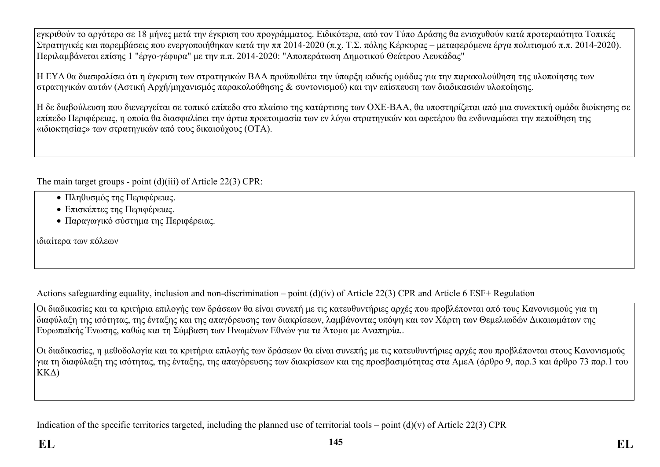εγκριθούν το αργότερο σε 18 μήνες μετά την έγκριση του προγράμματος. Ειδικότερα, από τον Τύπο Δράσης θα ενισχυθούν κατά προτεραιότητα Τοπικές Στρατηγικές και παρεμβάσεις που ενεργοποιήθηκαν κατά την ππ 2014-2020 (π.χ. Τ.Σ. πόλης Κέρκυρας – μεταφερόμενα έργα πολιτισμού π.π. 2014-2020). Περιλαμβάνεται επίσης 1 "έργο-γέφυρα" με την π.π. 2014-2020: "Αποπεράτωση Δημοτικού Θεάτρου Λευκάδας"

Η ΕΥΔ θα διασφαλίσει ότι η έγκριση των στρατηγικών ΒΑΑ προϋποθέτει την ύπαρξη ειδικής ομάδας για την παρακολούθηση της υλοποίησης των στρατηγικών αυτών (Αστική Αρχή/μηχανισμός παρακολούθησης & συντονισμού) και την επίσπευση των διαδικασιών υλοποίησης.

Η δε διαβούλευση που διενεργείται σε τοπικό επίπεδο στο πλαίσιο της κατάρτισης των ΟΧΕ-ΒΑΑ, θα υποστηρίζεται από μια συνεκτική ομάδα διοίκησης σε επίπεδο Περιφέρειας, η οποία θα διασφαλίσει την άρτια προετοιμασία των εν λόγω στρατηγικών και αφετέρου θα ενδυναμώσει την πεποίθηση της «ιδιοκτησίας» των στρατηγικών από τους δικαιούχους (ΟΤΑ).

The main target groups - point (d)(iii) of Article 22(3) CPR:

- Πληθυσμός της Περιφέρειας.
- Επισκέπτες της Περιφέρειας.
- Παραγωγικό σύστημα της Περιφέρειας.

ιδιαίτερα των πόλεων

Actions safeguarding equality, inclusion and non-discrimination – point (d)(iv) of Article 22(3) CPR and Article 6 ESF+ Regulation

Οι διαδικασίες και τα κριτήρια επιλογής των δράσεων θα είναι συνεπή με τις κατευθυντήριες αρχές που προβλέπονται από τους Κανονισμούς για τη διαφύλαξη της ισότητας, της ένταξης και της απαγόρευσης των διακρίσεων, λαμβάνοντας υπόψη και τον Χάρτη των Θεμελιωδών Δικαιωμάτων της Ευρωπαϊκής Ένωσης, καθώς και τη Σύμβαση των Ηνωμένων Εθνών για τα Άτομα με Αναπηρία..

Οι διαδικασίες, η μεθοδολογία και τα κριτήρια επιλογής των δράσεων θα είναι συνεπής με τις κατευθυντήριες αρχές που προβλέπονται στους Κανονισμούς για τη διαφύλαξη της ισότητας, της ένταξης, της απαγόρευσης των διακρίσεων και της προσβασιμότητας στα ΑμεΑ (άρθρο 9, παρ.3 και άρθρο 73 παρ.1 του ΚΚΔ)

Indication of the specific territories targeted, including the planned use of territorial tools – point  $(d)(v)$  of Article 22(3) CPR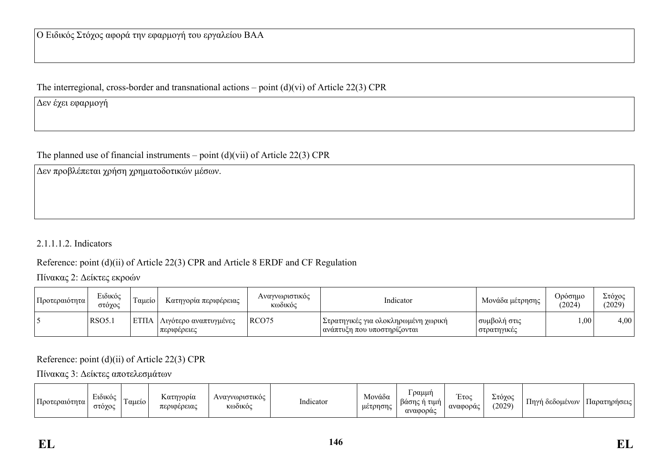The interregional, cross-border and transnational actions – point (d)(vi) of Article 22(3) CPR

Δεν έχει εφαρμογή

The planned use of financial instruments – point  $(d)(vii)$  of Article 22(3) CPR

Δεν προβλέπεται χρήση χρηματοδοτικών μέσων.

2.1.1.1.2. Indicators

Reference: point (d)(ii) of Article 22(3) CPR and Article 8 ERDF and CF Regulation

Πίνακας 2: Δείκτες εκροών

| Προτεραιότητα | Ειδικός<br>στόγος | Γαμείο | Κατηγορία περιφέρειας                       | Αναγνωριστικός<br>κωδικός | Indicator                                                            | Μονάδα μέτρησης               | Ορόσημο<br>(2024) | Στόχος<br>(2029) |
|---------------|-------------------|--------|---------------------------------------------|---------------------------|----------------------------------------------------------------------|-------------------------------|-------------------|------------------|
|               | RSO5.             |        | ΕΤΠΑ   Λιγότερο αναπτυγμένες<br>περιφέρειες | RCO <sub>75</sub>         | Στρατηγικές για ολοκληρωμένη χωρική<br>  ανάπτυξη που υποστηρίζονται | συμβολή στις<br>  στρατηγικές | 00,1              | 4,00             |

Reference: point (d)(ii) of Article 22(3) CPR

Πίνακας 3: Δείκτες αποτελεσμάτων

| $\mathbf{H}$<br>Προτεραιοτητα | $\sim$<br>EIOIKÓC<br>στογο<br>$\sim$ | $1$ allelo $1$ | Κατηγορία<br>ιφέρειας<br>περ | υριστικός<br>$\Delta VQVV$<br><b>KOO1KOC</b> | $\mathbf{r}$ at<br>Indicator | $\sim$<br>Μονάδα<br>μέτρησης | ραμμή<br>βάσης ή<br>τιμή<br>αναφορας | $\sim$<br><b>ETOC</b><br>αναφοράς | Στόγος<br>$\sim$<br>(2029) | Πηγή<br>OEOOUEVOV | Παρατηρήσεις |
|-------------------------------|--------------------------------------|----------------|------------------------------|----------------------------------------------|------------------------------|------------------------------|--------------------------------------|-----------------------------------|----------------------------|-------------------|--------------|
|-------------------------------|--------------------------------------|----------------|------------------------------|----------------------------------------------|------------------------------|------------------------------|--------------------------------------|-----------------------------------|----------------------------|-------------------|--------------|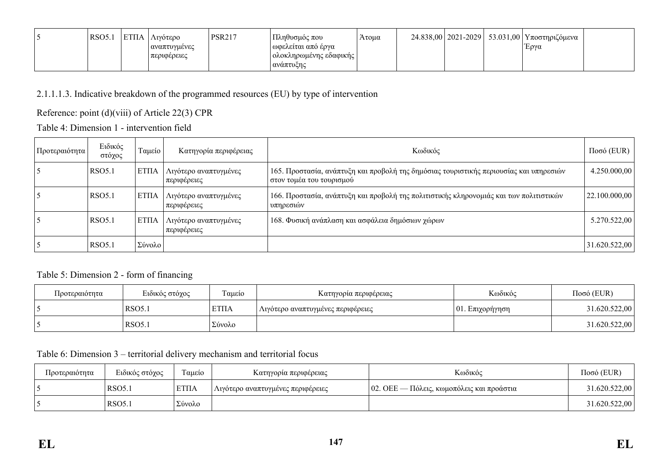| <sup>1</sup> RSO5.1 | ETIJA | Λινότερο     | <b>PSR217</b> | Πληθυσμός που          | Άτομα |  | 24.838,00   2021-2029   53.031,00   Υποστηριζόμενα |  |
|---------------------|-------|--------------|---------------|------------------------|-------|--|----------------------------------------------------|--|
|                     |       | αναπτυγμένες |               | ωφελείται από έργα     |       |  | Έργα                                               |  |
|                     |       | περιφέρειες  |               | ολοκληρωμένης εδαφικής |       |  |                                                    |  |
|                     |       |              |               | ανάπτυζης              |       |  |                                                    |  |

2.1.1.1.3. Indicative breakdown of the programmed resources (EU) by type of intervention

Reference: point (d)(viii) of Article 22(3) CPR

Table 4: Dimension 1 - intervention field

| Προτεραιότητα | Ειδικός<br>στόχος | Ταμείο | Κατηγορία περιφέρειας                | Κωδικός                                                                                                            | $Ποσό$ (EUR)  |
|---------------|-------------------|--------|--------------------------------------|--------------------------------------------------------------------------------------------------------------------|---------------|
|               | RSO5.1            | EΤΠΑ   | Λιγότερο αναπτυγμένες<br>περιφέρειες | 165. Προστασία, ανάπτυξη και προβολή της δημόσιας τουριστικής περιουσίας και υπηρεσιών<br>στον τομέα του τουρισμού | 4.250.000,00  |
|               | RSO5.1            | EΤΠΑ   | Λιγότερο αναπτυγμένες<br>περιφέρειες | 166. Προστασία, ανάπτυξη και προβολή της πολιτιστικής κληρονομιάς και των πολιτιστικών<br>υπηρεσιών                | 22.100.000,00 |
|               | RSO5.1            | EΤΠΑ   | Λιγότερο αναπτυγμένες<br>περιφέρειες | 168. Φυσική ανάπλαση και ασφάλεια δημόσιων χώρων                                                                   | 5.270.522,00  |
|               | <b>RSO5.1</b>     | Σύνολο |                                      |                                                                                                                    | 31.620.522,00 |

### Table 5: Dimension 2 - form of financing

| Προτεραιότητα | Ειδικός στόχος | Ταμείο       | Κατηγορία περιφέρειας             | Κωδικός             | $Ποσό$ (EUR)  |
|---------------|----------------|--------------|-----------------------------------|---------------------|---------------|
|               | RSO5.          | <b>ETIIA</b> | Λιγότερο αναπτυγμένες περιφέρειες | $ 01$ . Επιχορήγηση | 31.620.522,00 |
|               | RSO5.          | Σύνολο       |                                   |                     | 31.620.522,00 |

### Table 6: Dimension 3 – territorial delivery mechanism and territorial focus

| Προτεραιότητα | Ειδικός στόχος     | Ταμείο      | Κατηγορία περιφέρειας             | Κωδικός                                          | $Ποσό$ (EUR)  |
|---------------|--------------------|-------------|-----------------------------------|--------------------------------------------------|---------------|
|               | RSO <sub>5.1</sub> | <b>ΕΤΠΑ</b> | Λιγότερο αναπτυγμένες περιφέρειες | $\sim$ 02. ΟΕΕ — Πόλεις, κωμοπόλεις και προάστια | 31.620.522,00 |
|               | RSO <sub>5.1</sub> | Σύνολο      |                                   |                                                  | 31.620.522,00 |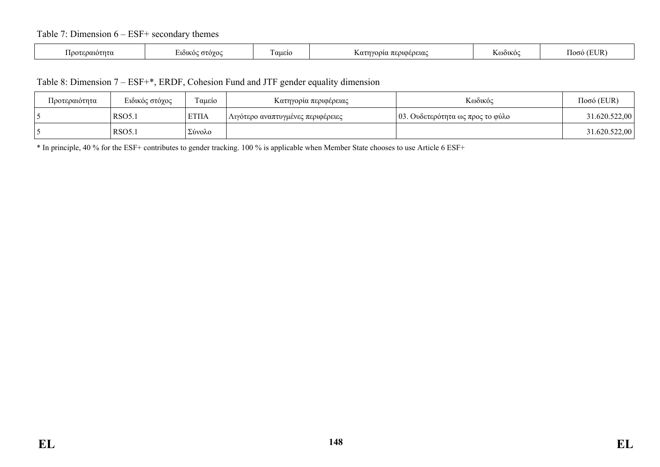### Table 7: Dimension 6 – ESF+ secondary themes

|  | ∽οαιοτητα<br>$\sqrt{2}$ | EINIKOC <del>O</del> TOYOC | aueio | ι περιφέρειας<br>$\Lambda$ $\alpha$ $\tau$ $\gamma$ $\alpha$ $\beta$ $\gamma$ | <b>KOO1KOC</b> | (EUR<br>$\overline{\phantom{a}}$<br>ിറററ |
|--|-------------------------|----------------------------|-------|-------------------------------------------------------------------------------|----------------|------------------------------------------|
|--|-------------------------|----------------------------|-------|-------------------------------------------------------------------------------|----------------|------------------------------------------|

#### Table 8: Dimension 7 – ESF+\*, ERDF, Cohesion Fund and JTF gender equality dimension

| Προτεραιότητα | Ειδικός στόχος     | $\mathbf{r}$<br>Γαμείο | Κατηγορία περιφέρειας             | Κωδικός                          | $Ποσό$ (EUR)  |
|---------------|--------------------|------------------------|-----------------------------------|----------------------------------|---------------|
|               | RSO <sub>5</sub> . | EΤΠΑ                   | Λιγότερο αναπτυγμένες περιφέρειες | 03. Ουδετερότητα ως προς το φύλο | 31.620.522,00 |
|               | RSO <sub>5</sub> . | Σύνολο                 |                                   |                                  | 31.620.522,00 |

\* In principle, 40 % for the ESF+ contributes to gender tracking. 100 % is applicable when Member State chooses to use Article 6 ESF+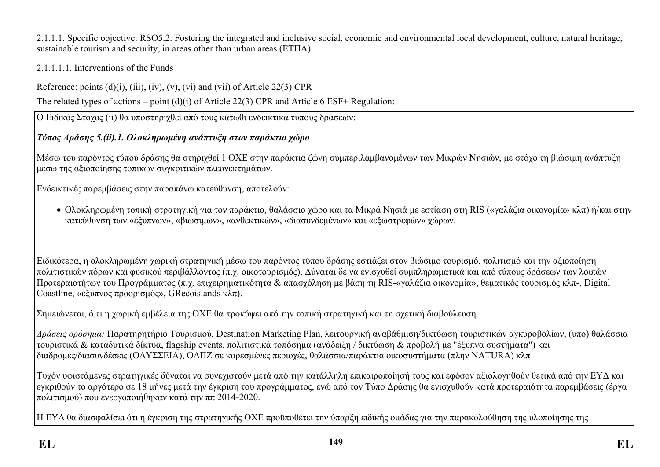2.1.1.1. Specific objective: RSO5.2. Fostering the integrated and inclusive social, economic and environmental local development, culture, natural heritage, sustainable tourism and security, in areas other than urban areas (ΕΤΠΑ)

### 2.1.1.1.1. Interventions of the Funds

Reference: points  $(d)(i)$ ,  $(iii)$ ,  $(iv)$ ,  $(v)$ ,  $(vi)$  and  $(vii)$  of Article 22(3) CPR

The related types of actions – point (d)(i) of Article 22(3) CPR and Article 6 ESF+ Regulation:

Ο Ειδικός Στόχος (ii) θα υποστηριχθεί από τους κάτωθι ενδεικτικά τύπους δράσεων:

# *Τύπος Δράσης 5.(ii).1. Ολοκληρωμένη ανάπτυξη στον παράκτιο χώρο*

Μέσω του παρόντος τύπου δράσης θα στηριχθεί 1 ΟΧΕ στην παράκτια ζώνη συμπεριλαμβανομένων των Μικρών Νησιών, με στόχο τη βιώσιμη ανάπτυξη μέσω της αξιοποίησης τοπικών συγκριτικών πλεονεκτημάτων.

Ενδεικτικές παρεμβάσεις στην παραπάνω κατεύθυνση, αποτελούν:

 Ολοκληρωμένη τοπική στρατηγική για τον παράκτιο, θαλάσσιο χώρο και τα Μικρά Νησιά με εστίαση στη RIS («γαλάζια οικονομία» κλπ) ή/και στην κατεύθυνση των «έξυπνων», «βιώσιμων», «ανθεκτικών», «διασυνδεμένων» και «εξωστρεφών» χώρων.

Ειδικότερα, η ολοκληρωμένη χωρική στρατηγική μέσω του παρόντος τύπου δράσης εστιάζει στον βιώσιμο τουρισμό, πολιτισμό και την αξιοποίηση πολιτιστικών πόρων και φυσικού περιβάλλοντος (π.χ. οικοτουρισμός). Δύναται δε να ενισχυθεί συμπληρωματικά και από τύπους δράσεων των λοιπών Προτεραιοτήτων του Προγράμματος (π.χ. επιχειρηματικότητα & απασχόληση με βάση τη RIS-«γαλάζια οικονομία», θεματικός τουρισμός κλπ-, Digital Coastline, «έξυπνος προορισμός», GRecοislands κλπ).

Σημειώνεται, ό,τι η χωρική εμβέλεια της ΟΧΕ θα προκύψει από την τοπική στρατηγική και τη σχετική διαβούλευση.

*Δράσεις ορόσημα:* Παρατηρητήριο Τουρισμού, Destination Marketing Plan, λειτουργική αναβάθμιση/δικτύωση τουριστικών αγκυροβολίων, (υπο) θαλάσσια τουριστικά & καταδυτικά δίκτυα, flagship events, πολιτιστικά τοπόσημα (ανάδειξη / δικτύωση & προβολή με "έξυπνα συστήματα") και διαδρομές/διασυνδέσεις (ΟΔΥΣΣΕΙΑ), ΟΔΠΖ σε κορεσμένες περιοχές, θαλάσσια/παράκτια οικοσυστήματα (πλην NATURA) κλπ

Τυχόν υφιστάμενες στρατηγικές δύναται να συνεχιστούν μετά από την κατάλληλη επικαιροποίησή τους και εφόσον αξιολογηθούν θετικά από την ΕΥΔ και εγκριθούν το αργότερο σε 18 μήνες μετά την έγκριση του προγράμματος, ενώ από τον Τύπο Δράσης θα ενισχυθούν κατά προτεραιότητα παρεμβάσεις (έργα πολιτισμού) που ενεργοποιήθηκαν κατά την ππ 2014-2020.

Η ΕΥΔ θα διασφαλίσει ότι η έγκριση της στρατηγικής ΟΧΕ προϋποθέτει την ύπαρξη ειδικής ομάδας για την παρακολούθηση της υλοποίησης της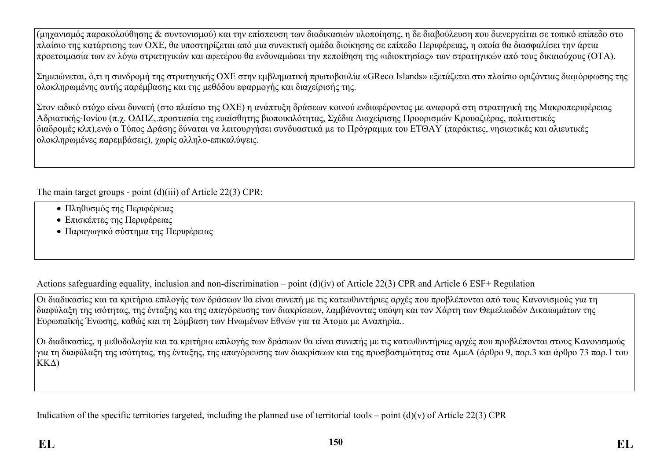(μηχανισμός παρακολούθησης & συντονισμού) και την επίσπευση των διαδικασιών υλοποίησης, η δε διαβούλευση που διενεργείται σε τοπικό επίπεδο στο πλαίσιο της κατάρτισης των ΟΧΕ, θα υποστηρίζεται από μια συνεκτική ομάδα διοίκησης σε επίπεδο Περιφέρειας, η οποία θα διασφαλίσει την άρτια προετοιμασία των εν λόγω στρατηγικών και αφετέρου θα ενδυναμώσει την πεποίθηση της «ιδιοκτησίας» των στρατηγικών από τους δικαιούχους (ΟΤΑ).

Σημειώνεται, ό,τι η συνδρομή της στρατηγικής ΟΧΕ στην εμβληματική πρωτοβουλία «GReco Islands» εξετάζεται στο πλαίσιο οριζόντιας διαμόρφωσης της ολοκληρωμένης αυτής παρέμβασης και της μεθόδου εφαρμογής και διαχείρισής της.

Στον ειδικό στόχο είναι δυνατή (στο πλαίσιο της ΟΧΕ) η ανάπτυξη δράσεων κοινού ενδιαφέροντος με αναφορά στη στρατηγική της Μακροπεριφέρειας Αδριατικής-Ιονίου (π.χ. ΟΔΠΖ,.προστασία της ευαίσθητης βιοποικιλότητας, Σχέδια Διαχείρισης Προορισμών Κρουαζιέρας, πολιτιστικές διαδρομές κλπ),ενώ ο Τύπος Δράσης δύναται να λειτουργήσει συνδυαστικά με το Πρόγραμμα του ΕΤΘΑΥ (παράκτιες, νησιωτικές και αλιευτικές ολοκληρωμένες παρεμβάσεις), χωρίς αλληλο-επικαλύψεις.

The main target groups - point (d)(iii) of Article 22(3) CPR:

- Πληθυσμός της Περιφέρειας
- Επισκέπτες της Περιφέρειας
- Παραγωγικό σύστημα της Περιφέρειας

Actions safeguarding equality, inclusion and non-discrimination – point  $(d)(iv)$  of Article 22(3) CPR and Article 6 ESF+ Regulation

Οι διαδικασίες και τα κριτήρια επιλογής των δράσεων θα είναι συνεπή με τις κατευθυντήριες αρχές που προβλέπονται από τους Κανονισμούς για τη διαφύλαξη της ισότητας, της ένταξης και της απαγόρευσης των διακρίσεων, λαμβάνοντας υπόψη και τον Χάρτη των Θεμελιωδών Δικαιωμάτων της Ευρωπαϊκής Ένωσης, καθώς και τη Σύμβαση των Ηνωμένων Εθνών για τα Άτομα με Αναπηρία..

Οι διαδικασίες, η μεθοδολογία και τα κριτήρια επιλογής των δράσεων θα είναι συνεπής με τις κατευθυντήριες αρχές που προβλέπονται στους Κανονισμούς για τη διαφύλαξη της ισότητας, της ένταξης, της απαγόρευσης των διακρίσεων και της προσβασιμότητας στα ΑμεΑ (άρθρο 9, παρ.3 και άρθρο 73 παρ.1 του ΚΚΔ)

Indication of the specific territories targeted, including the planned use of territorial tools – point  $(d)(v)$  of Article 22(3) CPR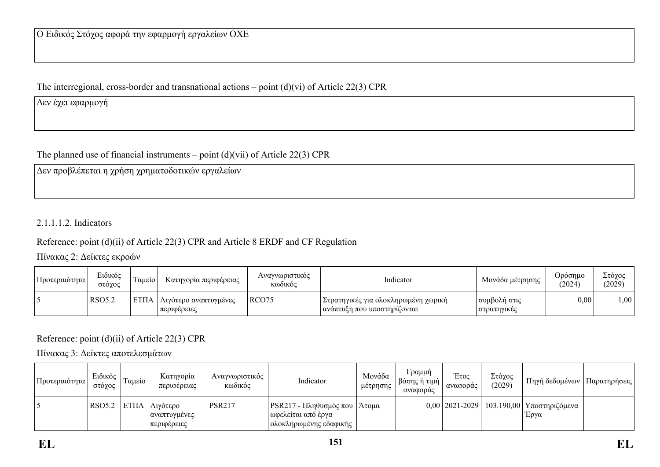The interregional, cross-border and transnational actions – point (d)(vi) of Article 22(3) CPR

Δεν έχει εφαρμογή

The planned use of financial instruments – point  $(d)(vii)$  of Article 22(3) CPR

Δεν προβλέπεται η χρήση χρηματοδοτικών εργαλείων

2.1.1.1.2. Indicators

### Reference: point (d)(ii) of Article 22(3) CPR and Article 8 ERDF and CF Regulation

Πίνακας 2: Δείκτες εκροών

| Προτεραιότητα | Ειδικός<br>στόγος | -<br>Ι αμείο | Κατηγορία περιφέρειας                | Αναγνωριστικός<br>Κωδικός | Indicator                                                              | Μονάδα μέτρησης             | Ορόσημο<br>(2024) | Στόχος<br>(2029) |
|---------------|-------------------|--------------|--------------------------------------|---------------------------|------------------------------------------------------------------------|-----------------------------|-------------------|------------------|
|               | <b>RSO5.2</b>     | EΤΠΑ         | Λιγότερο αναπτυγμένες<br>περιφέρειες | RCO <sub>75</sub>         | Στρατηγικές για ολοκληρωμένη χωρική  <br>∣ ανάπτυξη που υποστηρίζονται | συμβολή στις<br>στρατηγικές | 0,00              | 1,00             |

### Reference: point (d)(ii) of Article 22(3) CPR

Πίνακας 3: Δείκτες αποτελεσμάτων

| Προτεραιότητα | Ειδικός<br>στόχος | , Γαμείο ⊑ | Κατηγορία<br>περιφέρειας                                            | Αναγνωριστικός<br>Κωδικός | Indicator                                                                          | Μονάδα<br>μέτρησης | Γραμμή<br>  βάσης ή τιμή  <br>αναφοράς | Έτος<br>αναφοράς | Στόχος<br>(2029) | Πηγή δεδομένων   Παρατηρήσεις                          |  |
|---------------|-------------------|------------|---------------------------------------------------------------------|---------------------------|------------------------------------------------------------------------------------|--------------------|----------------------------------------|------------------|------------------|--------------------------------------------------------|--|
|               |                   |            | $ RSO5.2 $ ETΠA $ \Lambda$ ιγότερο<br>αναπτυγμένες<br>  περιφέρειες | <b>PSR217</b>             | PSR217 - Πληθυσμός που   Άτομα<br>ι ωφελείται από έργα<br>  ολοκληρωμένης εδαφικής |                    |                                        |                  |                  | $0.00$ 2021-2029   103.190,00   Υποστηριζόμενα<br>Έργα |  |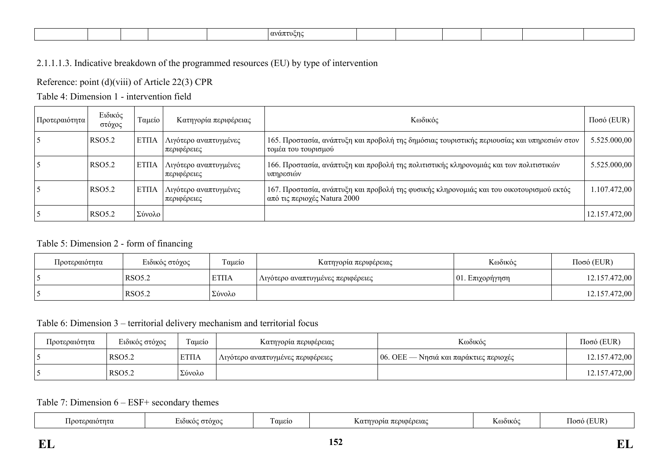|  | $\alpha \nu \alpha \pi$<br>. т. |
|--|---------------------------------|
|--|---------------------------------|

### 2.1.1.1.3. Indicative breakdown of the programmed resources (EU) by type of intervention

Reference: point (d)(viii) of Article 22(3) CPR

Table 4: Dimension 1 - intervention field

| Προτεραιότητα | Ειδικός<br>στόχος  | Ταμείο       | Κατηγορία περιφέρειας                | Κωδικός                                                                                                                  | $Ποσό$ (EUR)  |
|---------------|--------------------|--------------|--------------------------------------|--------------------------------------------------------------------------------------------------------------------------|---------------|
|               | RSO <sub>5.2</sub> | <b>ETIIA</b> | Λιγότερο αναπτυγμένες<br>περιφέρειες | 165. Προστασία, ανάπτυξη και προβολή της δημόσιας τουριστικής περιουσίας και υπηρεσιών στον<br>τομέα του τουρισμού       | 5.525.000,00  |
|               | RSO <sub>5.2</sub> | EΤΠΑ         | Λιγότερο αναπτυγμένες<br>περιφέρειες | 166. Προστασία, ανάπτυξη και προβολή της πολιτιστικής κληρονομιάς και των πολιτιστικών<br>υπηρεσιών                      | 5.525.000,00  |
|               | <b>RSO5.2</b>      | EΤΠΑ         | Λιγότερο αναπτυγμένες<br>περιφέρειες | 167. Προστασία, ανάπτυξη και προβολή της φυσικής κληρονομιάς και του οικοτουρισμού εκτός<br>από τις περιοχές Natura 2000 | .107.472,00   |
|               | <b>RSO5.2</b>      | Σύνολο       |                                      |                                                                                                                          | 12.157.472,00 |

#### Table 5: Dimension 2 - form of financing

| Προτεραιότητα | Ειδικός στόχος | Ταμείο      | Κατηγορία περιφέρειας             | Κωδικός             | $Ποσό$ (EUR)  |
|---------------|----------------|-------------|-----------------------------------|---------------------|---------------|
|               | RSO5.2         | <b>ΕΤΠΑ</b> | Λιγότερο αναπτυγμένες περιφέρειες | $ 01$ . Επιχορήγηση | 12.157.472,00 |
|               | RSO5.2         | ' Σύνολο    |                                   |                     | 12.157.472,00 |

### Table 6: Dimension 3 – territorial delivery mechanism and territorial focus

| Προτεραιότητα | Ειδικός στόχος     | Ταμείο | Κατηγορία περιφέρειας             | Κωδικός                                       | $Ποσό$ (EUR)  |
|---------------|--------------------|--------|-----------------------------------|-----------------------------------------------|---------------|
|               | RSO <sub>5.2</sub> | ' ΕΤΠΑ | Λιγότερο αναπτυγμένες περιφέρειες | $\mid$ 06. ΟΕΕ — Νησιά και παράκτιες περιοχές | 12.157.472,00 |
|               | RSO <sub>5.2</sub> | Σύνολο |                                   |                                               | 12.157.472,00 |

#### Table 7: Dimension 6 – ESF+ secondary themes

|  | εραιοτητα<br>Ποοτ. | MOC<br>$\sim$ | $\overline{\phantom{a}}$<br>αμείο | (0.00010)<br>1010<br><u>.</u><br>יי<br>wa u<br>. | $\lambda$ + + | . .<br>ഥര<br>$\overline{ }$ |
|--|--------------------|---------------|-----------------------------------|--------------------------------------------------|---------------|-----------------------------|
|--|--------------------|---------------|-----------------------------------|--------------------------------------------------|---------------|-----------------------------|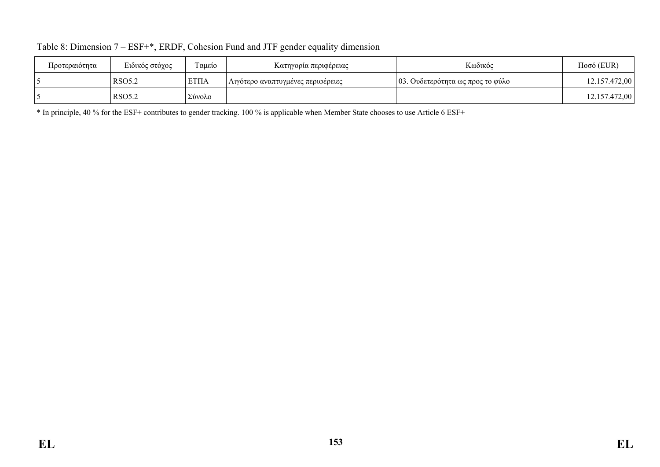| Προτεραιότητα | Ειδικός στόχος | Γαμείο      | Κατηγορία περιφέρειας               | Κωδικός                          | $Ποσό$ (EUR)  |
|---------------|----------------|-------------|-------------------------------------|----------------------------------|---------------|
|               | <b>RSO5.2</b>  | <b>ΕΤΠΑ</b> | ! Λιγότερο αναπτυγμένες περιφέρειες | 03. Ουδετερότητα ως προς το φύλο | 12.157.472,00 |
|               | RSO5.2         | Σύνολο      |                                     |                                  | 12.157.472,00 |

| Table 8: Dimension 7 – ESF+*, ERDF, Cohesion Fund and JTF gender equality dimension |  |
|-------------------------------------------------------------------------------------|--|
|-------------------------------------------------------------------------------------|--|

\* In principle, 40 % for the ESF+ contributes to gender tracking. 100 % is applicable when Member State chooses to use Article 6 ESF+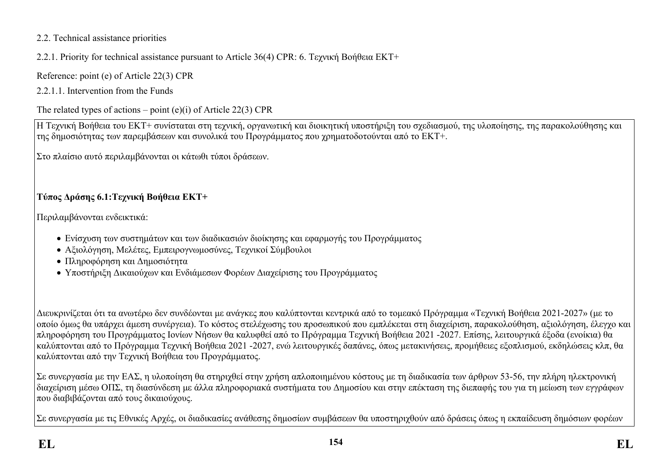### 2.2. Technical assistance priorities

## 2.2.1. Priority for technical assistance pursuant to Article 36(4) CPR: 6. Τεχνική Βοήθεια ΕΚΤ+

Reference: point (e) of Article 22(3) CPR

2.2.1.1. Intervention from the Funds

## The related types of actions – point  $(e)(i)$  of Article 22(3) CPR

Η Τεχνική Βοήθεια του EKT+ συνίσταται στη τεχνική, οργανωτική και διοικητική υποστήριξη του σχεδιασμού, της υλοποίησης, της παρακολούθησης και της δημοσιότητας των παρεμβάσεων και συνολικά του Προγράμματος που χρηματοδοτούνται από το ΕΚΤ+.

Στο πλαίσιο αυτό περιλαμβάνονται οι κάτωθι τύποι δράσεων.

# **Τύπος Δράσης 6.1:Τεχνική Βοήθεια ΕΚΤ+**

Περιλαμβάνονται ενδεικτικά:

- Ενίσχυση των συστημάτων και των διαδικασιών διοίκησης και εφαρμογής του Προγράμματος
- Αξιολόγηση, Μελέτες, Εμπειρογνωμοσύνες, Τεχνικοί Σύμβουλοι
- Πληροφόρηση και Δημοσιότητα
- Υποστήριξη Δικαιούχων και Ενδιάμεσων Φορέων Διαχείρισης του Προγράμματος

Διευκρινίζεται ότι τα ανωτέρω δεν συνδέονται με ανάγκες που καλύπτονται κεντρικά από το τομεακό Πρόγραμμα «Τεχνική Βοήθεια 2021-2027» (με το οποίο όμως θα υπάρχει άμεση συνέργεια). Το κόστος στελέχωσης του προσωπικού που εμπλέκεται στη διαχείριση, παρακολούθηση, αξιολόγηση, έλεγχο και πληροφόρηση του Προγράμματος Ιονίων Νήσων θα καλυφθεί από το Πρόγραμμα Τεχνική Βοήθεια 2021 -2027. Επίσης, λειτουργικά έξοδα (ενοίκια) θα καλύπτονται από το Πρόγραμμα Τεχνική Βοήθεια 2021 -2027, ενώ λειτουργικές δαπάνες, όπως μετακινήσεις, προμήθειες εξοπλισμού, εκδηλώσεις κλπ, θα καλύπτονται από την Τεχνική Βοήθεια του Προγράμματος.

Σε συνεργασία με την ΕΑΣ, η υλοποίηση θα στηριχθεί στην χρήση απλοποιημένου κόστους με τη διαδικασία των άρθρων 53-56, την πλήρη ηλεκτρονική διαχείριση μέσω ΟΠΣ, τη διασύνδεση με άλλα πληροφοριακά συστήματα του Δημοσίου και στην επέκταση της διεπαφής του για τη μείωση των εγγράφων που διαβιβάζονται από τους δικαιούχους.

Σε συνεργασία με τις Εθνικές Αρχές, οι διαδικασίες ανάθεσης δημοσίων συμβάσεων θα υποστηριχθούν από δράσεις όπως η εκπαίδευση δημόσιων φορέων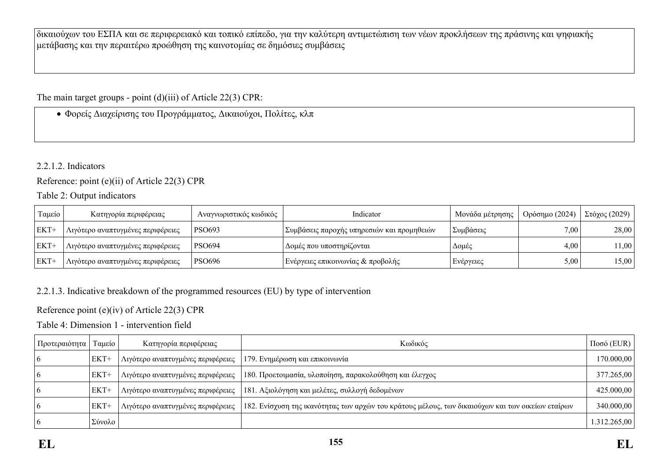δικαιούχων του ΕΣΠΑ και σε περιφερειακό και τοπικό επίπεδο, για την καλύτερη αντιμετώπιση των νέων προκλήσεων της πράσινης και ψηφιακής μετάβασης και την περαιτέρω προώθηση της καινοτομίας σε δημόσιες συμβάσεις

The main target groups - point (d)(iii) of Article 22(3) CPR:

Φορείς Διαχείρισης του Προγράμματος, Δικαιούχοι, Πολίτες, κλπ

### 2.2.1.2. Indicators

Reference: point (e)(ii) of Article 22(3) CPR

### Table 2: Output indicators

| Γαμείο  | Κατηγορία περιφέρειας             | Αναγνωριστικός κωδικός | Indicator                                  | Μονάδα μέτρησης | Ορόσημο (2024) | $\Sigma$ τόχος (2029) |
|---------|-----------------------------------|------------------------|--------------------------------------------|-----------------|----------------|-----------------------|
| $EKT+$  | Λιγότερο αναπτυγμένες περιφέρειες | PSO693                 | Συμβάσεις παροχής υπηρεσιών και προμηθειών | Συμβάσεις       | 7,00           | 28,00                 |
| $ EKT+$ | Λιγότερο αναπτυγμένες περιφέρειες | <b>PSO694</b>          | ' Δομές που υποστηρίζονται                 | Δομές           | 4,00           | 1,00                  |
| $ EKT+$ | Λιγότερο αναπτυγμένες περιφέρειες | <b>PSO696</b>          | Ενέργειες επικοινωνίας & προβολής          | Ενέργειες       | 5,00           | 15,00                 |

### 2.2.1.3. Indicative breakdown of the programmed resources (EU) by type of intervention

Reference point (e)(iv) of Article 22(3) CPR

Table 4: Dimension 1 - intervention field

| Προτεραιότητα | Ταμείο | Κατηγορία περιφέρειας                    | Κωδικός                                                                                           | $Ποσό$ (EUR) |
|---------------|--------|------------------------------------------|---------------------------------------------------------------------------------------------------|--------------|
|               | EKT+   | Λιγότερο αναπτυγμένες περιφέρειες        | 179. Ενημέρωση και επικοινωνία                                                                    | 170.000,00   |
| $\mathbf b$   | $EKT+$ | Αιγότερο αναπτυγμένες περιφέρειες        | 180. Προετοιμασία, υλοποίηση, παρακολούθηση και έλεγχος                                           | 377.265,00   |
|               | $EKT+$ | <b>Αιγότερο αναπτυγμένες περιφέρειες</b> | 181. Αξιολόγηση και μελέτες, συλλογή δεδομένων                                                    | 425.000,00   |
|               | $EKT+$ | Αιγότερο αναπτυγμένες περιφέρειες        | 182. Ενίσχυση της ικανότητας των αρχών του κράτους μέλους, των δικαιούχων και των οικείων εταίρων | 340.000,00   |
|               | Σύνολο |                                          |                                                                                                   | 1.312.265,00 |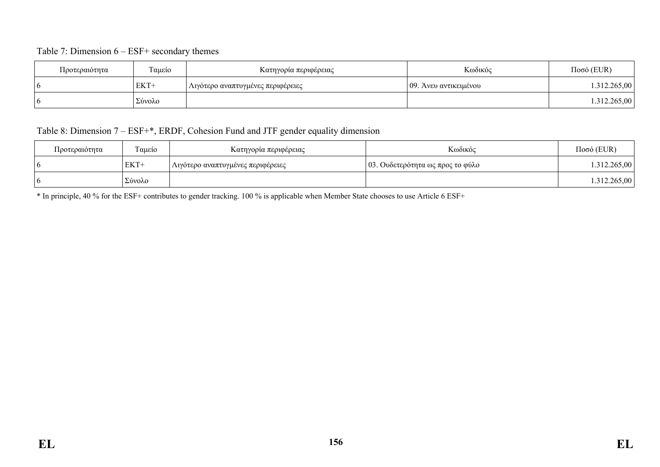#### Table 7: Dimension 6 – ESF+ secondary themes

| Προτεραιότητα | Γαμείο | Κατηγορία περιφέρειας             | Κωδικός               | $Ποσό$ (EUR) |
|---------------|--------|-----------------------------------|-----------------------|--------------|
| - 0           | EKT+   | Λιγότερο αναπτυγμένες περιφέρειες | 09. Άνευ αντικειμένου | .312.265,00  |
| n             | Σύνολο |                                   |                       | 1.312.265,00 |

### Table 8: Dimension 7 – ESF+\*, ERDF, Cohesion Fund and JTF gender equality dimension

| Προτεραιότητα | Ταμείο | Κατηγορία περιφέρειας             | Κωδικός                                  | $Ποσό$ (EUR) |
|---------------|--------|-----------------------------------|------------------------------------------|--------------|
|               | EKT+   | Λιγότερο αναπτυγμένες περιφέρειες | $\vert$ 03. Ουδετερότητα ως προς το φύλο | 1.312.265,00 |
|               | Σύνολο |                                   |                                          | 1.312.265,00 |

\* In principle, 40 % for the ESF+ contributes to gender tracking. 100 % is applicable when Member State chooses to use Article 6 ESF+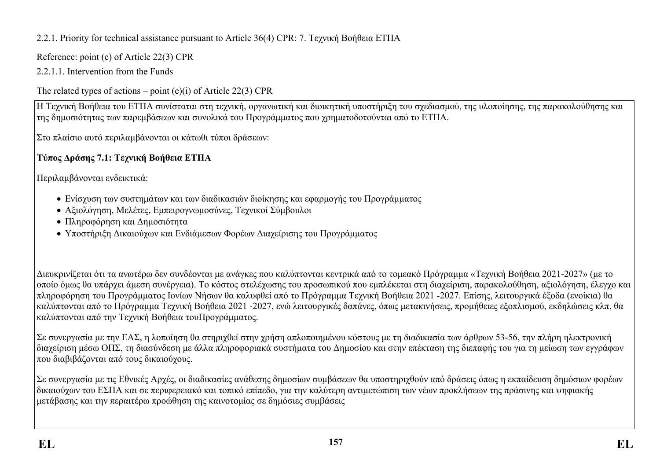2.2.1. Priority for technical assistance pursuant to Article 36(4) CPR: 7. Τεχνική Βοήθεια ΕΤΠΑ

Reference: point (e) of Article 22(3) CPR

2.2.1.1. Intervention from the Funds

The related types of actions – point  $(e)(i)$  of Article 22(3) CPR

Η Τεχνική Βοήθεια του ΕΤΠΑ συνίσταται στη τεχνική, οργανωτική και διοικητική υποστήριξη του σχεδιασμού, της υλοποίησης, της παρακολούθησης και της δημοσιότητας των παρεμβάσεων και συνολικά του Προγράμματος που χρηματοδοτούνται από το ΕΤΠΑ.

Στο πλαίσιο αυτό περιλαμβάνονται οι κάτωθι τύποι δράσεων:

# **Τύπος Δράσης 7.1: Τεχνική Βοήθεια ΕΤΠΑ**

Περιλαμβάνονται ενδεικτικά:

- Ενίσχυση των συστημάτων και των διαδικασιών διοίκησης και εφαρμογής του Προγράμματος
- Αξιολόγηση, Μελέτες, Εμπειρογνωμοσύνες, Τεχνικοί Σύμβουλοι
- Πληροφόρηση και Δημοσιότητα
- Υποστήριξη Δικαιούχων και Ενδιάμεσων Φορέων Διαχείρισης του Προγράμματος

Διευκρινίζεται ότι τα ανωτέρω δεν συνδέονται με ανάγκες που καλύπτονται κεντρικά από το τομεακό Πρόγραμμα «Τεχνική Βοήθεια 2021-2027» (με το οποίο όμως θα υπάρχει άμεση συνέργεια). Το κόστος στελέχωσης του προσωπικού που εμπλέκεται στη διαχείριση, παρακολούθηση, αξιολόγηση, έλεγχο και πληροφόρηση του Προγράμματος Ιονίων Νήσων θα καλυφθεί από το Πρόγραμμα Τεχνική Βοήθεια 2021 -2027. Επίσης, λειτουργικά έξοδα (ενοίκια) θα καλύπτονται από το Πρόγραμμα Τεχνική Βοήθεια 2021 -2027, ενώ λειτουργικές δαπάνες, όπως μετακινήσεις, προμήθειες εξοπλισμού, εκδηλώσεις κλπ, θα καλύπτονται από την Τεχνική Βοήθεια τουΠρογράμματος.

Σε συνεργασία με την ΕΑΣ, η λοποίηση θα στηριχθεί στην χρήση απλοποιημένου κόστους με τη διαδικασία των άρθρων 53-56, την πλήρη ηλεκτρονική διαχείριση μέσω ΟΠΣ, τη διασύνδεση με άλλα πληροφοριακά συστήματα του Δημοσίου και στην επέκταση της διεπαφής του για τη μείωση των εγγράφων που διαβιβάζονται από τους δικαιούχους.

Σε συνεργασία με τις Εθνικές Αρχές, οι διαδικασίες ανάθεσης δημοσίων συμβάσεων θα υποστηριχθούν από δράσεις όπως η εκπαίδευση δημόσιων φορέων δικαιούχων του ΕΣΠΑ και σε περιφερειακό και τοπικό επίπεδο, για την καλύτερη αντιμετώπιση των νέων προκλήσεων της πράσινης και ψηφιακής μετάβασης και την περαιτέρω προώθηση της καινοτομίας σε δημόσιες συμβάσεις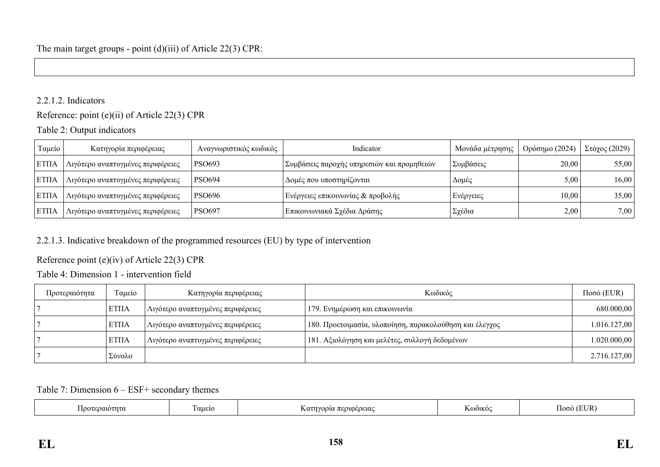### 2.2.1.2. Indicators

Reference: point (e)(ii) of Article 22(3) CPR

### Table 2: Output indicators

| Ταμείο        | Κατηγορία περιφέρειας             | Αναγνωριστικός κωδικός | Indicator                                  | Μονάδα μέτρησης | Ορόσημο (2024) | Στόχος (2029) |
|---------------|-----------------------------------|------------------------|--------------------------------------------|-----------------|----------------|---------------|
| <b>  ΕΤΠΑ</b> | Λιγότερο αναπτυγμένες περιφέρειες | PSO693                 | Συμβάσεις παροχής υπηρεσιών και προμηθειών | Συμβάσεις       | 20,00          | 55,00         |
| <b>ETITA</b>  | Λιγότερο αναπτυγμένες περιφέρειες | <b>PSO694</b>          | ' Δομές που υποστηρίζονται                 | Δομές           | 5,00           | 16,00         |
| <b>  ΕΤΠΑ</b> | Λιγότερο αναπτυγμένες περιφέρειες | <b>PSO696</b>          | Ενέργειες επικοινωνίας & προβολής          | Ενέργειες       | 10,00          | 35,00         |
| <b>  ΕΤΠΑ</b> | Λιγότερο αναπτυγμένες περιφέρειες | <b>PSO697</b>          | Επικοινωνιακά Σχέδια Δράσης                | Σχέδια          | 2,00           | 7,00          |

### 2.2.1.3. Indicative breakdown of the programmed resources (EU) by type of intervention

### Reference point (e)(iv) of Article 22(3) CPR

### Table 4: Dimension 1 - intervention field

| Προτεραιότητα | Ταμείο       | Κατηγορία περιφέρειας             | Κωδικός                                                 | $Ποσό$ (EUR) |
|---------------|--------------|-----------------------------------|---------------------------------------------------------|--------------|
|               | <b>ETIIA</b> | Λιγότερο αναπτυγμένες περιφέρειες | 179. Ενημέρωση και επικοινωνία                          | 680.000,00   |
|               | <b>ΕΤΠΑ</b>  | Λιγότερο αναπτυγμένες περιφέρειες | 180. Προετοιμασία, υλοποίηση, παρακολούθηση και έλεγχος | 1.016.127,00 |
|               | <b>ETIIA</b> | Λιγότερο αναπτυγμένες περιφέρειες | 181. Αξιολόγηση και μελέτες, συλλογή δεδομένων          | 1.020.000,00 |
|               | Σύνολο       |                                   |                                                         | 2.716.127,00 |

#### Table 7: Dimension 6 – ESF+ secondary themes

| i looʻ<br>εραιοτητω | αμεις | ι περιφερειας<br>`∨ດດາα .<br>$\Lambda$ $\alpha$ | <b>DÒIKO</b> | $T\mathbf{D}$<br>$\sim$<br>აიი '<br>$\mathbf{u}$ |
|---------------------|-------|-------------------------------------------------|--------------|--------------------------------------------------|
|---------------------|-------|-------------------------------------------------|--------------|--------------------------------------------------|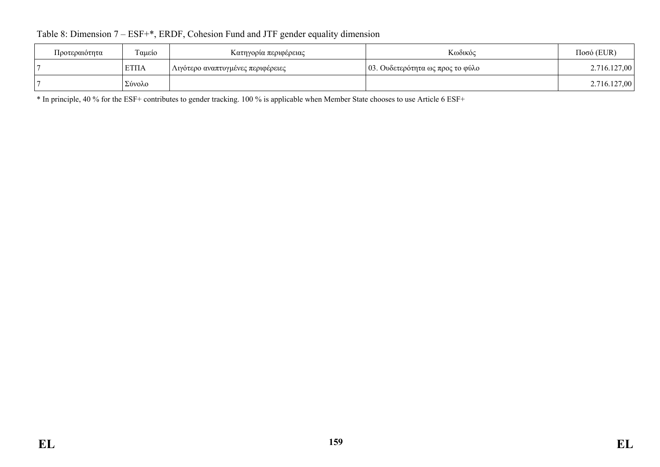| Προτεραιότητα | Ταμείο      | Κατηγορία περιφέρειας             | Κωδικός                          | $Ποσό$ (EUR) |
|---------------|-------------|-----------------------------------|----------------------------------|--------------|
|               | <b>ΕΤΠΑ</b> | Λιγότερο αναπτυγμένες περιφέρειες | 03. Ουδετερότητα ως προς το φύλο | 2.716.127,00 |
|               | Σύνολο      |                                   |                                  | 2.716.127,00 |

## Table 8: Dimension 7 – ESF+\*, ERDF, Cohesion Fund and JTF gender equality dimension

\* In principle, 40 % for the ESF+ contributes to gender tracking. 100 % is applicable when Member State chooses to use Article 6 ESF+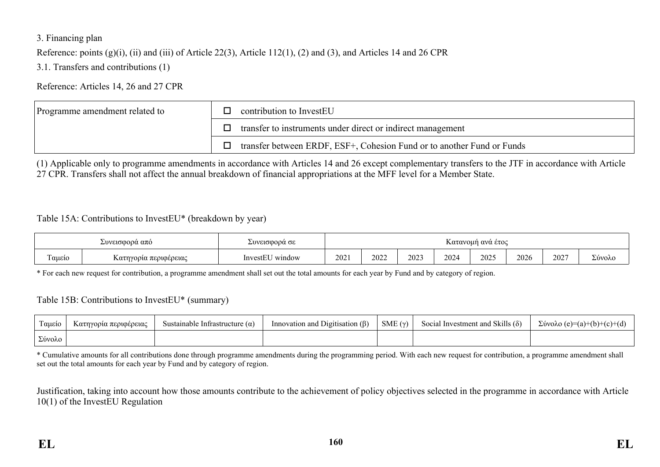### 3. Financing plan

Reference: points (g)(i), (ii) and (iii) of Article 22(3), Article 112(1), (2) and (3), and Articles 14 and 26 CPR

3.1. Transfers and contributions (1)

Reference: Articles 14, 26 and 27 CPR

| Programme amendment related to | contribution to InvestEU                                               |
|--------------------------------|------------------------------------------------------------------------|
|                                | transfer to instruments under direct or indirect management            |
|                                | transfer between ERDF, ESF+, Cohesion Fund or to another Fund or Funds |

(1) Applicable only to programme amendments in accordance with Articles 14 and 26 except complementary transfers to the JTF in accordance with Article 27 CPR. Transfers shall not affect the annual breakdown of financial appropriations at the MFF level for a Member State.

#### Table 15A: Contributions to InvestEU\* (breakdown by year)

| Συνεισφορα απο                        |  | Συνεισφορα σε                | Κατανομή ανα ετος |      |      |      |      |      |      |                      |
|---------------------------------------|--|------------------------------|-------------------|------|------|------|------|------|------|----------------------|
| m.<br>Γαμείο<br>Κατηγορία περιφέρειας |  | T T T<br>` window<br>InvestE | 202               | 2022 | 2023 | 2024 | 2025 | 2026 | 2027 | $\sqrt{2}$<br>Σύνολο |

\* For each new request for contribution, a programme amendment shall set out the total amounts for each year by Fund and by category of region.

#### Table 15B: Contributions to InvestEU\* (summary)

| Tausio | Κατηγορία περιφέρειας | Sustainable Infrastructure $(\alpha)$ | Innovation and Digitisation $(\beta)$ | SME $(\gamma)$ | Social Investment and Skills $(\delta)$ | $\Sigma$ ύνολο (e)=(a)+(b)+(c)+(d) |
|--------|-----------------------|---------------------------------------|---------------------------------------|----------------|-----------------------------------------|------------------------------------|
| Σύνολο |                       |                                       |                                       |                |                                         |                                    |

\* Cumulative amounts for all contributions done through programme amendments during the programming period. With each new request for contribution, a programme amendment shall set out the total amounts for each year by Fund and by category of region.

Justification, taking into account how those amounts contribute to the achievement of policy objectives selected in the programme in accordance with Article 10(1) of the InvestEU Regulation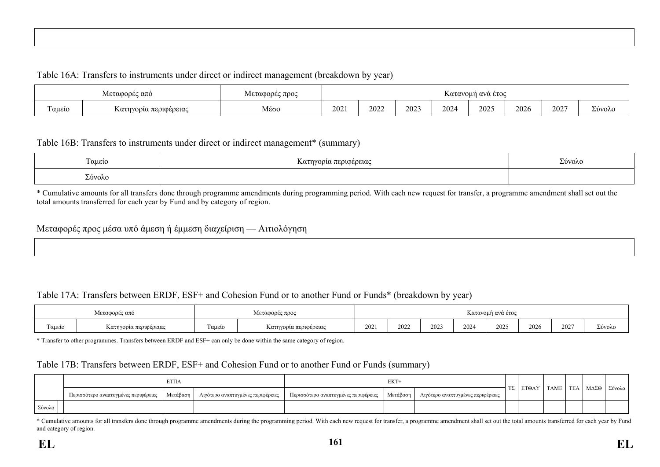#### Table 16A: Transfers to instruments under direct or indirect management (breakdown by year)

| Μεταφορές από |                       | Μεταφορές προς | Κατανομή ανά έτος |      |      |      |      |      |      |                        |
|---------------|-----------------------|----------------|-------------------|------|------|------|------|------|------|------------------------|
| Ταμείο        | Κατηγορία περιφέρειας | Μέσο           | 202               | 2022 | 2023 | 2024 | 2025 | 2026 | 2027 | $\mathbf{r}$<br>Σύνολο |

#### Table 16B: Transfers to instruments under direct or indirect management\* (summary)

| Ταμείο | $\mathbf{r}$<br>α περιφέρειας<br><b>κατηγορί</b> ς | Σύνολο |
|--------|----------------------------------------------------|--------|
| Σύνολο |                                                    |        |

\* Cumulative amounts for all transfers done through programme amendments during programming period. With each new request for transfer, a programme amendment shall set out the total amounts transferred for each year by Fund and by category of region.

#### Μεταφορές προς μέσα υπό άμεση ή έμμεση διαχείριση — Αιτιολόγηση

### Table 17A: Transfers between ERDF, ESF+ and Cohesion Fund or to another Fund or Funds\* (breakdown by year)

| Μεταφορές από |                       | Μεταφορές προς   |                       | Κατανομή ανά έτος |      |      |      |      |      |      |        |
|---------------|-----------------------|------------------|-----------------------|-------------------|------|------|------|------|------|------|--------|
| Ταμείο        | Κατηγορία περιφέρειας | $\sim$<br>Γαμείο | Κατηγορία περιφέρειας |                   | 2022 | 2023 | 2024 | 2025 | 2026 | 2027 | Σύνολο |

\* Transfer to other programmes. Transfers between ERDF and ESF+ can only be done within the same category of region.

#### Table 17B: Transfers between ERDF, ESF+ and Cohesion Fund or to another Fund or Funds (summary)

|        |                                      |          | EKT+                              |                                                                                             |  |  |  |              | TE/         |  |      |        |
|--------|--------------------------------------|----------|-----------------------------------|---------------------------------------------------------------------------------------------|--|--|--|--------------|-------------|--|------|--------|
|        | Περισσότερο αναπτυγμένες περιφέρειες | Μετάβαση | Λιγότερο αναπτυγμένες περιφέρειες | Μετάβαση  <br>  Περισσότερο αναπτυγμένες περιφέρειες '<br>Λιγότερο αναπτυγμένες περιφέρειες |  |  |  | <b>ETOAY</b> | <b>TAME</b> |  | ΜΔΣΘ | Σύνολο |
| Σύνολο |                                      |          |                                   |                                                                                             |  |  |  |              |             |  |      |        |

\* Cumulative amounts for all transfers done through programme amendments during the programming period. With each new request for transfer, a programme amendment shall set out the total amounts transferred for each year by and category of region.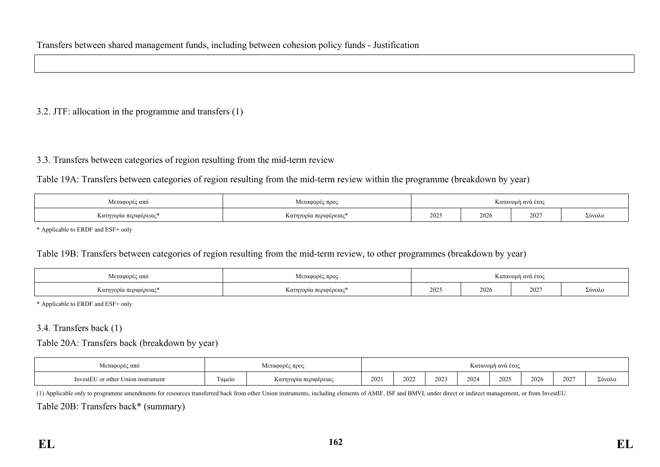### 3.2. JTF: allocation in the programme and transfers (1)

### 3.3. Transfers between categories of region resulting from the mid-term review

Table 19A: Transfers between categories of region resulting from the mid-term review within the programme (breakdown by year)

| Μεταφορές από                | $-1$<br>Κατανομή ανά έτος |  |      |      |        |  |  |
|------------------------------|---------------------------|--|------|------|--------|--|--|
| --<br>Κατηγορία περιφέρειας* | Κατηγορία περιφέρειας*    |  | 2026 | 2027 | Σύνολο |  |  |

\* Applicable to ERDF and ESF+ only

#### Table 19B: Transfers between categories of region resulting from the mid-term review, to other programmes (breakdown by year)

| Μεταφορές από                  | Κατανομή ανά έτος     |  |      |      |        |  |  |
|--------------------------------|-----------------------|--|------|------|--------|--|--|
| $-1$<br>Κατηγορία περιφέρειας* | Κατηγορία περιφέρειας |  | 2026 | 2027 | Σύνολο |  |  |

\* Applicable to ERDF and ESF+ only

#### 3.4. Transfers back (1)

Table 20A: Transfers back (breakdown by year)

| Μεταφορές από                      | Λεταφορές προς                                               |  |     | Κατανομή ανά έτος |      |      |      |      |      |        |  |
|------------------------------------|--------------------------------------------------------------|--|-----|-------------------|------|------|------|------|------|--------|--|
| InvestEU or other Union instrument | $\overline{\phantom{a}}$<br>ι αμείο<br>Κατηγορία περιφέρειας |  | 202 | 2022              | 2023 | 2024 | 2025 | 2026 | 2027 | Σύνολο |  |

(1) Applicable only to programme amendments for resources transferred back from other Union instruments, including elements of AMIF, ISF and BMVI, under direct or indirect management, or from InvestEU.

Table 20B: Transfers back\* (summary)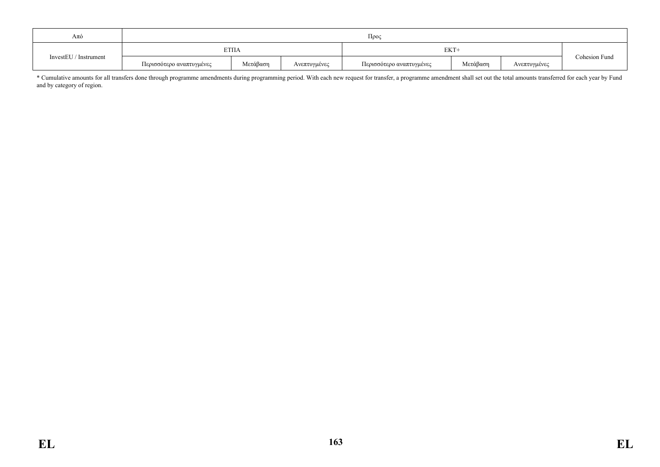| Aπó                   |                          | Прос        |              |                          |          |              |               |  |  |  |  |  |
|-----------------------|--------------------------|-------------|--------------|--------------------------|----------|--------------|---------------|--|--|--|--|--|
|                       |                          | <b>ΕΤΠΑ</b> |              | EKT+                     |          |              |               |  |  |  |  |  |
| InvestEU / Instrument | Περισσότερο αναπτυγμένες | Μετάβαση    | Ανεπτυγμένες | Περισσότερο αναπτυγμένες | Μετάβαση | Ανεπτυγμένες | Cohesion Fund |  |  |  |  |  |

\* Cumulative amounts for all transfers done through programme amendments during programming period. With each new request for transfer, a programme amendment shall set out the total amounts transferred for each year by Fund and by category of region.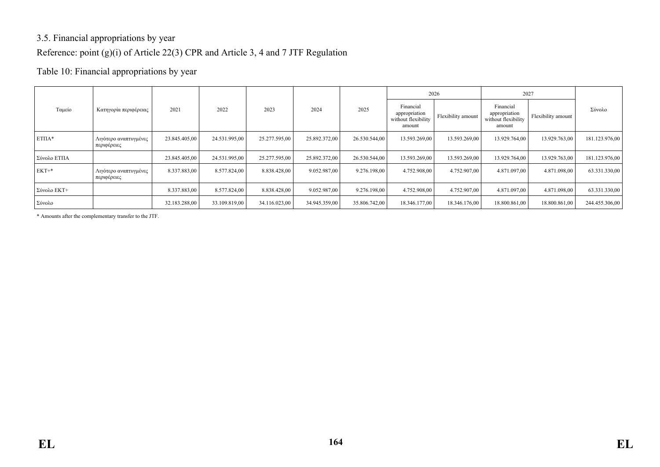## 3.5. Financial appropriations by year Reference: point (g)(i) of Article 22(3) CPR and Article 3, 4 and 7 JTF Regulation

### Table 10: Financial appropriations by year

|             |                                      |               |               |               |               |               |                                                             | 2026               | 2027                                                        |                    |                |
|-------------|--------------------------------------|---------------|---------------|---------------|---------------|---------------|-------------------------------------------------------------|--------------------|-------------------------------------------------------------|--------------------|----------------|
| Ταμείο      | Κατηγορία περιφέρειας                | 2021          | 2022          | 2023          | 2024          | 2025          | Financial<br>appropriation<br>without flexibility<br>amount | Flexibility amount | Financial<br>appropriation<br>without flexibility<br>amount | Flexibility amount | Σύνολο         |
| $ETTIA*$    | Λιγότερο αναπτυγμένες<br>περιφέρειες | 23.845.405,00 | 24.531.995,00 | 25.277.595,00 | 25.892.372,00 | 26.530.544,00 | 13.593.269,00                                               | 13.593.269,00      | 13.929.764,00                                               | 13.929.763,00      | 181.123.976,00 |
| Σύνολο ΕΤΠΑ |                                      | 23.845.405,00 | 24.531.995,00 | 25.277.595,00 | 25.892.372,00 | 26.530.544,00 | 13.593.269,00                                               | 13.593.269,00      | 13.929.764,00                                               | 13.929.763,00      | 181.123.976,00 |
| $EKT+*$     | Λιγότερο αναπτυγμένες<br>περιφέρειες | 8.337.883,00  | 8.577.824,00  | 8.838.428,00  | 9.052.987,00  | 9.276.198,00  | 4.752.908,00                                                | 4.752.907,00       | 4.871.097,00                                                | 4.871.098,00       | 63.331.330,00  |
| Σύνολο ΕΚΤ+ |                                      | 8.337.883,00  | 8.577.824,00  | 8.838.428,00  | 9.052.987,00  | 9.276.198,00  | 4.752.908,00                                                | 4.752.907,00       | 4.871.097,00                                                | 4.871.098,00       | 63.331.330,00  |
| Σύνολο      |                                      | 32.183.288,00 | 33.109.819,00 | 34.116.023,00 | 34.945.359,00 | 35.806.742,00 | 18.346.177,00                                               | 18.346.176,00      | 18.800.861,00                                               | 18.800.861,00      | 244.455.306,00 |

\* Amounts after the complementary transfer to the JTF.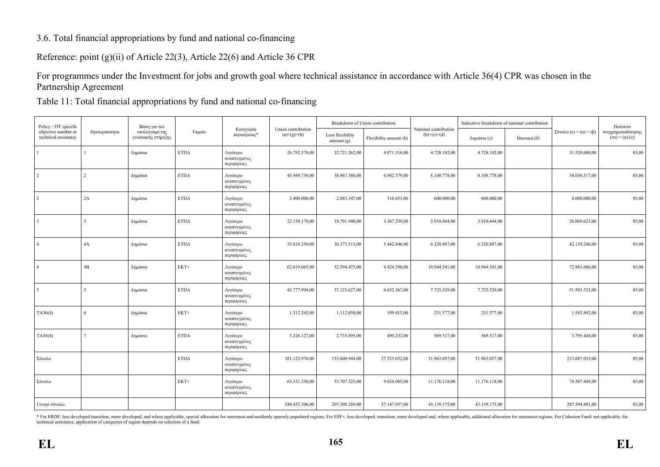### 3.6. Total financial appropriations by fund and national co-financing

Reference: point (g)(ii) of Article 22(3), Article 22(6) and Article 36 CPR

For programmes under the Investment for jobs and growth goal where technical assistance in accordance with Article 36(4) CPR was chosen in the Partnership Agreement

Table 11: Total financial appropriations by fund and national co-financing

| Policy / JTF specific                       | Βάση για τον  |                                      |                  |                                         |                                     | Breakdown of Union contribution  |                        |                                        | Indicative breakdown of national contribution |              | Ποσοστό                |                                                            |
|---------------------------------------------|---------------|--------------------------------------|------------------|-----------------------------------------|-------------------------------------|----------------------------------|------------------------|----------------------------------------|-----------------------------------------------|--------------|------------------------|------------------------------------------------------------|
| objective number or<br>technical assistance | Προτεραιότητα | υπολογισμό της<br>ενωσιακής στήριξης | Ταμείο           | Κατηγορία<br>περιφέρειας*               | Union contribution<br>$(a)=(g)+(h)$ | Less flexibility<br>amount $(g)$ | Flexibility amount (h) | National contribution<br>$(b)=(c)+(d)$ | Δημόσια (γ)                                   | Ιδιωτικά (δ) | Σύνολο (ε) = (α) + (β) | συγχρηματοδότησης<br>$(\sigma \tau) = (\alpha)/(\epsilon)$ |
|                                             |               | Δημόσιο                              | <b>ΕΤΠΑ</b>      | Λιγότερο<br>αναπτυγμένες<br>περιφέρειες | 26.792.578,00                       | 22.721.262,00                    | 4.071.316,00           | 4.728.102,00                           | 4.728.102,00                                  |              | 31.520.680,00          | 85,00                                                      |
| $\overline{2}$                              |               | Δημόσιο                              | <b>ΕΤΠΑ</b>      | Λιγότερο<br>αναπτυγμένες<br>περιφέρειες | 45.949.739,00                       | 38.967.360,00                    | 6.982.379,00           | 8.108.778,00                           | 8.108.778,00                                  |              | 54.058.517,00          | 85,00                                                      |
| $\overline{2}$                              | 2A            | Δημόσιο                              | $\rm ETHA$       | Λιγότερο<br>αναπτυγμένες<br>περιφέρειες | 3.400.000,00                        | 2.883.347,00                     | 516.653,00             | 600.000.00                             | 600.000.00                                    |              | 4.000.000.00           | 85,00                                                      |
| $\overline{3}$                              | 3             | Δημόσιο                              | $\rm ETHA$       | Λιγότερο<br>αναπτυγμένες<br>περιφέρειες | 22.159.179,00                       | 18.791.940,00                    | 3.367.239,00           | 3.910.444,00                           | 3.910.444,00                                  |              | 26.069.623,00          | 85,00                                                      |
| $\vert$ 4                                   | 4A            | Δημόσιο                              | $\rm ETHA$       | Λιγότερο<br>αναπτυγμένες<br>περιφέρειες | 35.818.359,00                       | 30.375.513,00                    | 5.442.846,00           | 6.320.887,00                           | 6.320.887,00                                  |              | 42.139.246,00          | 85,00                                                      |
| $\overline{4}$                              | 4B            | Δημόσιο                              | EKT+             | Λιγότερο<br>αναπτυγμένες<br>περιφέρειες | 62.019.065,00                       | 52.594.475,00                    | 9.424.590,00           | 10.944.541,00                          | 10.944.541,00                                 |              | 72.963.606,00          | 85,00                                                      |
| 5                                           | 5             | Δημόσιο                              | $\text{ETIIA}{}$ | Λιγότερο<br>αναπτυγμένες<br>περιφέρειες | 43.777.994,00                       | 37.125.627,00                    | 6.652.367,00           | 7.725.529,00                           | 7.725.529,00                                  |              | 51.503.523,00          | 85,00                                                      |
| TA36(4)                                     | 6             | Δημόσιο                              | EKT+             | Λιγότερο<br>αναπτυγμένες<br>περιφέρειες | 1.312.265,00                        | 1.112.850,00                     | 199.415,00             | 231.577,00                             | 231.577,00                                    |              | 1.543.842,00           | 85,00                                                      |
| TA36(4)                                     |               | Δημόσιο                              | $\text{ETIIA}{}$ | Λιγότερο<br>αναπτυγμένες<br>περιφέρειες | 3.226.127,00                        | 2.735.895,00                     | 490.232,00             | 569.317,00                             | 569.317,00                                    |              | 3.795.444,00           | 85,00                                                      |
| Σύνολο                                      |               |                                      | <b>ΕΤΠΑ</b>      | Λιγότερο<br>αναπτυγμένες<br>περιφέρειες | 181.123.976,00                      | 153.600.944,00                   | 27.523.032,00          | 31.963.057,00                          | 31.963.057,00                                 |              | 213.087.033,00         | 85,00                                                      |
| Σύνολο                                      |               |                                      | $EKT+$           | Λιγότερο<br>αναπτυγμένες<br>περιφέρειες | 63.331.330,00                       | 53.707.325,00                    | 9.624.005,00           | 11.176.118,00                          | 11.176.118,00                                 |              | 74.507.448,00          | 85,00                                                      |
| Γενικό σύνολο                               |               |                                      |                  |                                         | 244.455.306,00                      | 207.308.269,00                   | 37.147.037,00          | 43.139.175,00                          | 43.139.175,00                                 |              | 287.594.481,00         | 85,00                                                      |

\* For ERDF: less developed transition, more developed, and where applicable, special allocation for outermost and morthenly sparsely populated regions. For ESF+, less developed, transition, more developed and, where applic technical assistance, application of categories of region depends on selection of a fund.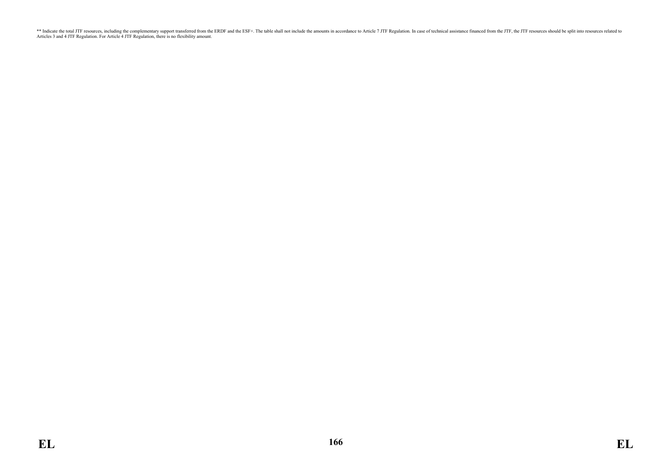\*\* Indicate the total JTF resources, including the complementary support transferred from the ERDF and the ESF+. The table shall not include the amounts in accordance to Article 7 JTF Regulation. In case of technical assis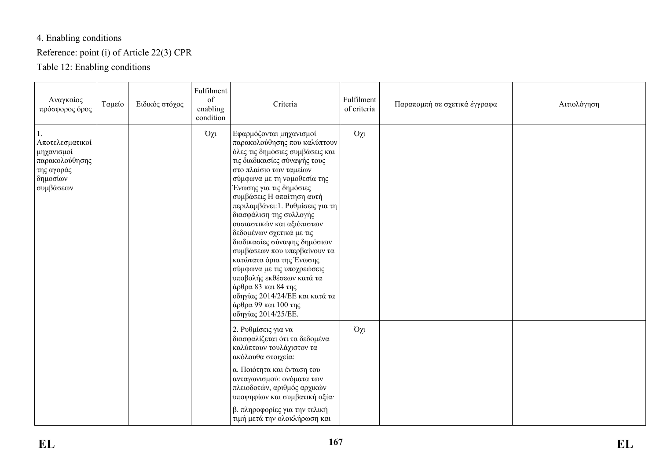# 4. Enabling conditions

# Reference: point (i) of Article 22(3) CPR

Table 12: Enabling conditions

| Αναγκαίος<br>πρόσφορος όρος                                                            | Ταμείο | Ειδικός στόχος | Fulfilment<br>of<br>enabling<br>condition | Criteria                                                                                                                                                                                                                                                                                                                                                                                                                                                                                                                                                                                                                              | Fulfilment<br>of criteria | Παραπομπή σε σχετικά έγγραφα | Αιτιολόγηση |
|----------------------------------------------------------------------------------------|--------|----------------|-------------------------------------------|---------------------------------------------------------------------------------------------------------------------------------------------------------------------------------------------------------------------------------------------------------------------------------------------------------------------------------------------------------------------------------------------------------------------------------------------------------------------------------------------------------------------------------------------------------------------------------------------------------------------------------------|---------------------------|------------------------------|-------------|
| Αποτελεσματικοί<br>μηχανισμοί<br>παρακολούθησης<br>της αγοράς<br>δημοσίων<br>συμβάσεων |        |                | $O\chi t$                                 | Εφαρμόζονται μηχανισμοί<br>παρακολούθησης που καλύπτουν<br>όλες τις δημόσιες συμβάσεις και<br>τις διαδικασίες σύναψής τους<br>στο πλαίσιο των ταμείων<br>σύμφωνα με τη νομοθεσία της<br>Ένωσης για τις δημόσιες<br>συμβάσεις Η απαίτηση αυτή<br>περιλαμβάνει: 1. Ρυθμίσεις για τη<br>διασφάλιση της συλλογής<br>ουσιαστικών και αξιόπιστων<br>δεδομένων σχετικά με τις<br>διαδικασίες σύναψης δημόσιων<br>συμβάσεων που υπερβαίνουν τα<br>κατώτατα όρια της Ένωσης<br>σύμφωνα με τις υποχρεώσεις<br>υποβολής εκθέσεων κατά τα<br>άρθρα 83 και 84 της<br>οδηγίας 2014/24/ΕΕ και κατά τα<br>άρθρα 99 και 100 της<br>οδηγίας 2014/25/ΕΕ. | $O\chi$ u                 |                              |             |
|                                                                                        |        |                |                                           | 2. Ρυθμίσεις για να<br>διασφαλίζεται ότι τα δεδομένα<br>καλύπτουν τουλάχιστον τα<br>ακόλουθα στοιχεία:<br>α. Ποιότητα και ένταση του<br>ανταγωνισμού: ονόματα των<br>πλειοδοτών, αριθμός αρχικών<br>υποψηφίων και συμβατική αξία·<br>β. πληροφορίες για την τελική<br>τιμή μετά την ολοκλήρωση και                                                                                                                                                                                                                                                                                                                                    | $O\chi$ u                 |                              |             |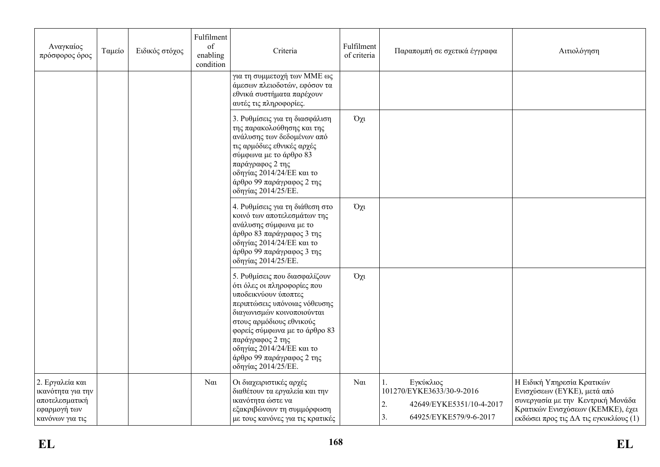| Αναγκαίος<br>πρόσφορος όρος                                                               | Ταμείο | Ειδικός στόχος | Fulfilment<br>of<br>enabling<br>condition | Criteria                                                                                                                                                                                                                                                                                                              | Fulfilment<br>of criteria | Παραπομπή σε σχετικά έγγραφα                                                                             | Αιτιολόγηση                                                                                                                                                                   |
|-------------------------------------------------------------------------------------------|--------|----------------|-------------------------------------------|-----------------------------------------------------------------------------------------------------------------------------------------------------------------------------------------------------------------------------------------------------------------------------------------------------------------------|---------------------------|----------------------------------------------------------------------------------------------------------|-------------------------------------------------------------------------------------------------------------------------------------------------------------------------------|
|                                                                                           |        |                |                                           | για τη συμμετοχή των ΜΜΕ ως<br>άμεσων πλειοδοτών, εφόσον τα<br>εθνικά συστήματα παρέχουν<br>αυτές τις πληροφορίες.                                                                                                                                                                                                    |                           |                                                                                                          |                                                                                                                                                                               |
|                                                                                           |        |                |                                           | 3. Ρυθμίσεις για τη διασφάλιση<br>της παρακολούθησης και της<br>ανάλυσης των δεδομένων από<br>τις αρμόδιες εθνικές αρχές<br>σύμφωνα με το άρθρο 83<br>παράγραφος 2 της<br>οδηγίας 2014/24/ΕΕ και το<br>άρθρο 99 παράγραφος 2 της<br>οδηγίας 2014/25/ΕΕ.                                                               | $O\chi$ u                 |                                                                                                          |                                                                                                                                                                               |
|                                                                                           |        |                |                                           | 4. Ρυθμίσεις για τη διάθεση στο<br>κοινό των αποτελεσμάτων της<br>ανάλυσης σύμφωνα με το<br>άρθρο 83 παράγραφος 3 της<br>οδηγίας 2014/24/ΕΕ και το<br>άρθρο 99 παράγραφος 3 της<br>οδηγίας 2014/25/ΕΕ.                                                                                                                | $O\chi$ u                 |                                                                                                          |                                                                                                                                                                               |
|                                                                                           |        |                |                                           | 5. Ρυθμίσεις που διασφαλίζουν<br>ότι όλες οι πληροφορίες που<br>υποδεικνύουν ύποπτες<br>περιπτώσεις υπόνοιας νόθευσης<br>διαγωνισμών κοινοποιούνται<br>στους αρμόδιους εθνικούς<br>φορείς σύμφωνα με το άρθρο 83<br>παράγραφος 2 της<br>οδηγίας 2014/24/ΕΕ και το<br>άρθρο 99 παράγραφος 2 της<br>οδηγίας 2014/25/ΕΕ. | $O\chi$ u                 |                                                                                                          |                                                                                                                                                                               |
| 2. Εργαλεία και<br>ικανότητα για την<br>αποτελεσματική<br>εφαρμογή των<br>κανόνων για τις |        |                | $N\alpha$                                 | Οι διαχειριστικές αρχές<br>διαθέτουν τα εργαλεία και την<br>ικανότητα ώστε να<br>εξακριβώνουν τη συμμόρφωση<br>με τους κανόνες για τις κρατικές                                                                                                                                                                       | $N\alpha$                 | Εγκύκλιος<br>101270/EYKE3633/30-9-2016<br>2.<br>42649/EYKE5351/10-4-2017<br>3.<br>64925/EYKE579/9-6-2017 | Η Ειδική Υπηρεσία Κρατικών<br>Ενισχύσεων (ΕΥΚΕ), μετά από<br>συνεργασία με την Κεντρική Μονάδα<br>Κρατικών Ενισχύσεων (ΚΕΜΚΕ), έχει<br>εκδώσει προς τις ΔΑ τις εγκυκλίους (1) |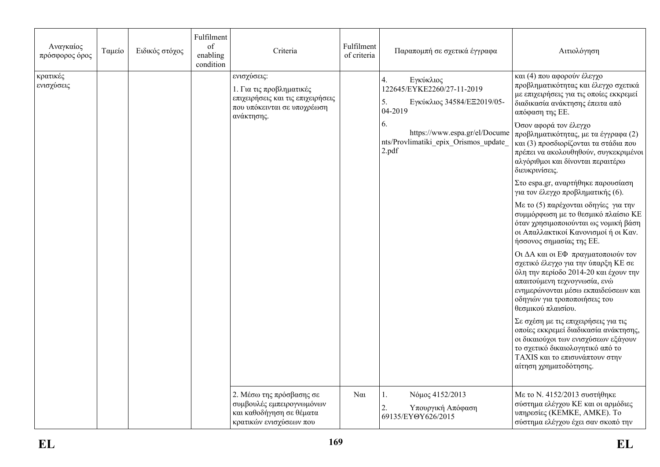| Αναγκαίος<br>πρόσφορος όρος | Ταμείο | Ειδικός στόχος | Fulfilment<br>of<br>enabling<br>condition | Criteria                                                                                                                  | Fulfilment<br>of criteria | Παραπομπή σε σχετικά έγγραφα                                                                       | Αιτιολόγηση                                                                                                                                                                                                                                      |
|-----------------------------|--------|----------------|-------------------------------------------|---------------------------------------------------------------------------------------------------------------------------|---------------------------|----------------------------------------------------------------------------------------------------|--------------------------------------------------------------------------------------------------------------------------------------------------------------------------------------------------------------------------------------------------|
| κρατικές<br>ενισχύσεις      |        |                |                                           | ενισχύσεις:<br>1. Για τις προβληματικές<br>επιχειρήσεις και τις επιχειρήσεις<br>που υπόκεινται σε υποχρέωση<br>ανάκτησης. |                           | Εγκύκλιος<br>4.<br>122645/EYKE2260/27-11-2019<br>5.<br>Εγκύκλιος 34584/ΕΞ2019/05-<br>04-2019<br>6. | και (4) που αφορούν έλεγχο<br>προβληματικότητας και έλεγχο σχετικά<br>με επιχειρήσεις για τις οποίες εκκρεμεί<br>διαδικασία ανάκτησης έπειτα από<br>απόφαση της ΕΕ.<br>Όσον αφορά τον έλεγχο                                                     |
|                             |        |                |                                           |                                                                                                                           |                           | https://www.espa.gr/el/Docume<br>nts/Provlimatiki epix Orismos update<br>2.pdf                     | προβληματικότητας, με τα έγγραφα (2)<br>και (3) προσδιορίζονται τα στάδια που<br>πρέπει να ακολουθηθούν, συγκεκριμένοι<br>αλγόριθμοι και δίνονται περαιτέρω<br>διευκρινίσεις.                                                                    |
|                             |        |                |                                           |                                                                                                                           |                           |                                                                                                    | Στο espa.gr, αναρτήθηκε παρουσίαση<br>για τον έλεγχο προβληματικής (6).                                                                                                                                                                          |
|                             |        |                |                                           |                                                                                                                           |                           |                                                                                                    | Με το (5) παρέχονται οδηγίες για την<br>συμμόρφωση με το θεσμικό πλαίσιο ΚΕ<br>όταν χρησιμοποιούνται ως νομική βάση<br>οι Απαλλακτικοί Κανονισμοί ή οι Καν.<br>ήσσονος σημασίας της ΕΕ.                                                          |
|                             |        |                |                                           |                                                                                                                           |                           |                                                                                                    | Οι ΔΑ και οι ΕΦ πραγματοποιούν τον<br>σχετικό έλεγχο για την ύπαρξη ΚΕ σε<br>όλη την περίοδο 2014-20 και έχουν την<br>απαιτούμενη τεχνογνωσία, ενώ<br>ενημερώνονται μέσω εκπαιδεύσεων και<br>οδηγιών για τροποποιήσεις του<br>θεσμικού πλαισίου. |
|                             |        |                |                                           |                                                                                                                           |                           |                                                                                                    | Σε σχέση με τις επιχειρήσεις για τις<br>οποίες εκκρεμεί διαδικασία ανάκτησης,<br>οι δικαιούχοι των ενισχύσεων εξάγουν<br>το σχετικό δικαιολογητικό από το<br><b>TAXIS και το επισυνάπτουν στην</b><br>αίτηση χρηματοδότησης.                     |
|                             |        |                |                                           | 2. Μέσω της πρόσβασης σε<br>συμβουλές εμπειρογνωμόνων<br>και καθοδήγηση σε θέματα<br>κρατικών ενισχύσεων που              | $\alpha$                  | Νόμος 4152/2013<br>1.<br>Υπουργική Απόφαση<br>69135/EY0Y626/2015                                   | Με το Ν. 4152/2013 συστήθηκε<br>σύστημα ελέγχου ΚΕ και οι αρμόδιες<br>υπηρεσίες (ΚΕΜΚΕ, ΑΜΚΕ). Το<br>σύστημα ελέγχου έχει σαν σκοπό την                                                                                                          |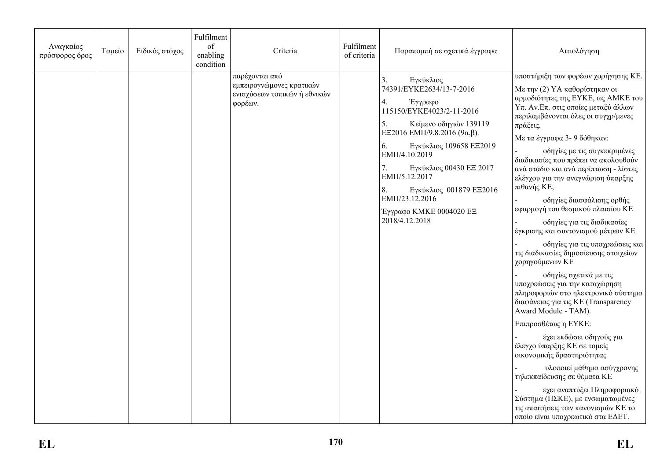| Αναγκαίος<br>πρόσφορος όρος | Ταμείο | Ειδικός στόχος | Fulfilment<br>of<br>enabling<br>condition | Criteria                                                                              | Fulfilment<br>of criteria | Παραπομπή σε σχετικά έγγραφα                                                                                                                                                                                                                                                                                                                                              | Αιτιολόγηση                                                                                                                                                                                                                                                                                                                                                                                                                                                                                                                                                                                                                                                                                                                                                                                                                                                                                                                                                                                                                                                                                                                                     |
|-----------------------------|--------|----------------|-------------------------------------------|---------------------------------------------------------------------------------------|---------------------------|---------------------------------------------------------------------------------------------------------------------------------------------------------------------------------------------------------------------------------------------------------------------------------------------------------------------------------------------------------------------------|-------------------------------------------------------------------------------------------------------------------------------------------------------------------------------------------------------------------------------------------------------------------------------------------------------------------------------------------------------------------------------------------------------------------------------------------------------------------------------------------------------------------------------------------------------------------------------------------------------------------------------------------------------------------------------------------------------------------------------------------------------------------------------------------------------------------------------------------------------------------------------------------------------------------------------------------------------------------------------------------------------------------------------------------------------------------------------------------------------------------------------------------------|
|                             |        |                |                                           | παρέχονται από<br>εμπειρογνώμονες κρατικών<br>ενισχύσεων τοπικών ή εθνικών<br>φορέων. |                           | Εγκύκλιος<br>74391/EYKE2634/13-7-2016<br>Έγγραφο<br>4.<br>115150/EYKE4023/2-11-2016<br>Κείμενο οδηγιών 139119<br>5.<br>EE2016 EMII/9.8.2016 (9 $\alpha$ , $\beta$ ).<br>Εγκύκλιος 109658 ΕΞ2019<br>6.<br>EMΠ/4.10.2019<br>Εγκύκλιος 00430 ΕΞ 2017<br>7.<br>EMII/5.12.2017<br>8.<br>Εγκύκλιος 001879 ΕΞ2016<br>EMΠ/23.12.2016<br>Έγγραφο ΚΜΚΕ 0004020 ΕΞ<br>2018/4.12.2018 | υποστήριξη των φορέων χορήγησης ΚΕ.<br>Με την (2) ΥΑ καθορίστηκαν οι<br>αρμοδιότητες της ΕΥΚΕ, ως ΑΜΚΕ του<br>Υπ. Αν. Επ. στις οποίες μεταξύ άλλων<br>περιλαμβάνονται όλες οι συγχρ/μενες<br>πράξεις.<br>Με τα έγγραφα 3- 9 δόθηκαν:<br>οδηγίες με τις συγκεκριμένες<br>διαδικασίες που πρέπει να ακολουθούν<br>ανά στάδιο και ανά περίπτωση - λίστες<br>ελέγχου για την αναγνώριση ύπαρξης<br>πιθανής ΚΕ,<br>οδηγίες διασφάλισης ορθής<br>εφαρμογή του θεσμικού πλαισίου ΚΕ<br>οδηγίες για τις διαδικασίες<br>έγκρισης και συντονισμού μέτρων ΚΕ<br>οδηγίες για τις υποχρεώσεις και<br>τις διαδικασίες δημοσίευσης στοιχείων<br>χορηγούμενων ΚΕ<br>οδηγίες σχετικά με τις<br>υποχρεώσεις για την καταχώρηση<br>πληροφοριών στο ηλεκτρονικό σύστημα<br>διαφάνειας για τις KE (Transparency<br>Award Module - TAM).<br>Επιπροσθέτως η ΕΥΚΕ:<br>έχει εκδώσει οδηγούς για<br>έλεγχο ύπαρξης ΚΕ σε τομείς<br>οικονομικής δραστηριότητας<br>υλοποιεί μάθημα ασύγχρονης<br>τηλεκπαίδευσης σε θέματα ΚΕ<br>έχει αναπτύξει Πληροφοριακό<br>Σύστημα (ΠΣΚΕ), με ενσωματωμένες<br>τις απαιτήσεις των κανονισμών ΚΕ το<br>οποίο είναι υποχρεωτικό στα ΕΔΕΤ. |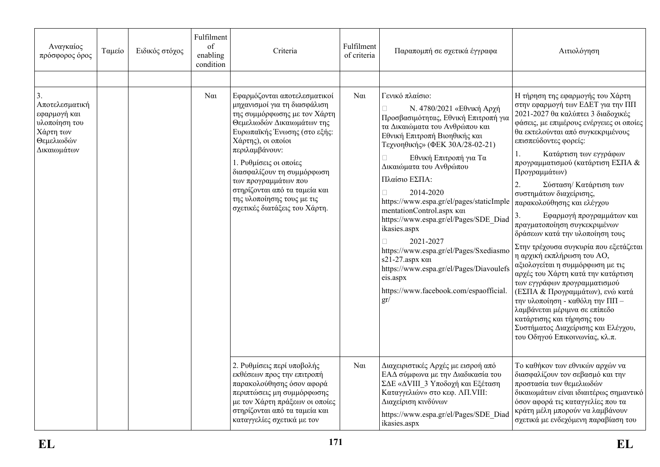| Αναγκαίος<br>πρόσφορος όρος                                                                     | Ταμείο | Ειδικός στόχος | Fulfilment<br>$\sigma$<br>enabling<br>condition | Criteria                                                                                                                                                                                                                                                                                                                                                                           | Fulfilment<br>of criteria | Παραπομπή σε σχετικά έγγραφα                                                                                                                                                                                                                                                                                                                                                                                                                                                                                                                                                                                | Αιτιολόγηση                                                                                                                                                                                                                                                                                                                                                                                                                                                                                                                                                                                                                                                                                                                                                                                                                                                                                                             |
|-------------------------------------------------------------------------------------------------|--------|----------------|-------------------------------------------------|------------------------------------------------------------------------------------------------------------------------------------------------------------------------------------------------------------------------------------------------------------------------------------------------------------------------------------------------------------------------------------|---------------------------|-------------------------------------------------------------------------------------------------------------------------------------------------------------------------------------------------------------------------------------------------------------------------------------------------------------------------------------------------------------------------------------------------------------------------------------------------------------------------------------------------------------------------------------------------------------------------------------------------------------|-------------------------------------------------------------------------------------------------------------------------------------------------------------------------------------------------------------------------------------------------------------------------------------------------------------------------------------------------------------------------------------------------------------------------------------------------------------------------------------------------------------------------------------------------------------------------------------------------------------------------------------------------------------------------------------------------------------------------------------------------------------------------------------------------------------------------------------------------------------------------------------------------------------------------|
|                                                                                                 |        |                |                                                 |                                                                                                                                                                                                                                                                                                                                                                                    |                           |                                                                                                                                                                                                                                                                                                                                                                                                                                                                                                                                                                                                             |                                                                                                                                                                                                                                                                                                                                                                                                                                                                                                                                                                                                                                                                                                                                                                                                                                                                                                                         |
| 3.<br>Αποτελεσματική<br>εφαρμογή και<br>υλοποίηση του<br>Χάρτη των<br>Θεμελιωδών<br>Δικαιωμάτων |        |                | $N\alpha$                                       | Εφαρμόζονται αποτελεσματικοί<br>μηχανισμοί για τη διασφάλιση<br>της συμμόρφωσης με τον Χάρτη<br>Θεμελιωδών Δικαιωμάτων της<br>Ευρωπαϊκής Ένωσης (στο εξής:<br>Χάρτης), οι οποίοι<br>περιλαμβάνουν:<br>1. Ρυθμίσεις οι οποίες<br>διασφαλίζουν τη συμμόρφωση<br>των προγραμμάτων που<br>στηρίζονται από τα ταμεία και<br>της υλοποίησης τους με τις<br>σχετικές διατάξεις του Χάρτη. | $\alpha$                  | Γενικό πλαίσιο:<br>Ν. 4780/2021 «Εθνική Αρχή<br>Προσβασιμότητας, Εθνική Επιτροπή για<br>τα Δικαιώματα του Ανθρώπου και<br>Εθνική Επιτροπή Βιοηθικής και<br>Τεχνοηθικής» (ΦΕΚ 30Α/28-02-21)<br>Εθνική Επιτροπή για Τα<br>Δικαιώματα του Ανθρώπου<br>Πλαίσιο ΕΣΠΑ:<br>2014-2020<br>https://www.espa.gr/el/pages/staticImple<br>mentationControl.aspx και<br>https://www.espa.gr/el/Pages/SDE_Diad<br>ikasies.aspx<br>$\Box$<br>2021-2027<br>https://www.espa.gr/el/Pages/Sxediasmo<br>s21-27.aspx και<br>https://www.espa.gr/el/Pages/Diavoulefs<br>eis.aspx<br>https://www.facebook.com/espaofficial.<br>gr/ | Η τήρηση της εφαρμογής του Χάρτη<br>στην εφαρμογή των ΕΔΕΤ για την ΠΠ<br>2021-2027 θα καλύπτει 3 διαδοχικές<br>φάσεις, με επιμέρους ενέργειες οι οποίες<br>θα εκτελούνται από συγκεκριμένους<br>επισπεύδοντες φορείς:<br>Κατάρτιση των εγγράφων<br>1.<br>προγραμματισμού (κατάρτιση ΕΣΠΑ &<br>Προγραμμάτων)<br>$\overline{2}$ .<br>Σύσταση/ Κατάρτιση των<br>συστημάτων διαχείρισης,<br>παρακολούθησης και ελέγχου<br>3.<br>Εφαρμογή προγραμμάτων και<br>πραγματοποίηση συγκεκριμένων<br>δράσεων κατά την υλοποίηση τους<br>Στην τρέχουσα συγκυρία που εξετάζεται<br>η αρχική εκπλήρωση του ΑΟ,<br>αξιολογείται η συμμόρφωση με τις<br>αρχές του Χάρτη κατά την κατάρτιση<br>των εγγράφων προγραμματισμού<br>(ΕΣΠΑ & Προγραμμάτων), ενώ κατά<br>την υλοποίηση - καθόλη την ΠΠ -<br>λαμβάνεται μέριμνα σε επίπεδο<br>κατάρτισης και τήρησης του<br>Συστήματος Διαχείρισης και Ελέγχου,<br>του Οδηγού Επικοινωνίας, κλ.π. |
|                                                                                                 |        |                |                                                 | 2. Ρυθμίσεις περί υποβολής<br>εκθέσεων προς την επιτροπή<br>παρακολούθησης όσον αφορά<br>περιπτώσεις μη συμμόρφωσης<br>με τον Χάρτη πράξεων οι οποίες<br>στηρίζονται από τα ταμεία και<br>καταγγελίες σχετικά με τον                                                                                                                                                               | $N\alpha$                 | Διαχειριστικές Αρχές με εισροή από<br>ΕΑΔ σύμφωνα με την Διαδικασία του<br>ΣΔΕ «ΔVIII 3 Υποδοχή και Εξέταση<br>Καταγγελιών» στο κεφ. ΛΠ. VIII:<br>Διαχείριση κινδύνων<br>https://www.espa.gr/el/Pages/SDE Diad<br>ikasies.aspx                                                                                                                                                                                                                                                                                                                                                                              | Το καθήκον των εθνικών αρχών να<br>διασφαλίζουν τον σεβασμό και την<br>προστασία των θεμελιωδών<br>δικαιωμάτων είναι ιδιαιτέρως σημαντικό<br>όσον αφορά τις καταγγελίες που τα<br>κράτη μέλη μπορούν να λαμβάνουν<br>σχετικά με ενδεχόμενη παραβίαση του                                                                                                                                                                                                                                                                                                                                                                                                                                                                                                                                                                                                                                                                |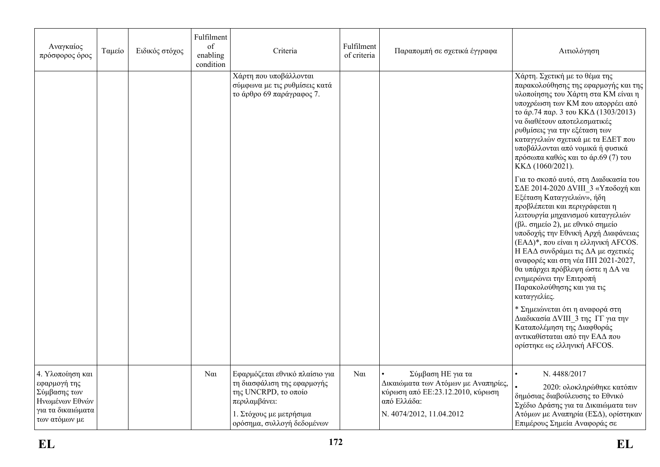| Αναγκαίος<br>πρόσφορος όρος                                                                              | Ταμείο | Ειδικός στόχος | Fulfilment<br>of<br>enabling<br>condition | Criteria                                                                                                                                                        | Fulfilment<br>of criteria | Παραπομπή σε σχετικά έγγραφα                                                                                                             | Αιτιολόγηση                                                                                                                                                                                                                                                                                                                                                                                                                                                                                                                                                                                                                                                       |
|----------------------------------------------------------------------------------------------------------|--------|----------------|-------------------------------------------|-----------------------------------------------------------------------------------------------------------------------------------------------------------------|---------------------------|------------------------------------------------------------------------------------------------------------------------------------------|-------------------------------------------------------------------------------------------------------------------------------------------------------------------------------------------------------------------------------------------------------------------------------------------------------------------------------------------------------------------------------------------------------------------------------------------------------------------------------------------------------------------------------------------------------------------------------------------------------------------------------------------------------------------|
|                                                                                                          |        |                |                                           | Χάρτη που υποβάλλονται<br>σύμφωνα με τις ρυθμίσεις κατά<br>το άρθρο 69 παράγραφος 7.                                                                            |                           |                                                                                                                                          | Χάρτη. Σχετική με το θέμα της<br>παρακολούθησης της εφαρμογής και της<br>υλοποίησης του Χάρτη στα ΚΜ είναι η<br>υποχρέωση των ΚΜ που απορρέει από<br>το άρ.74 παρ. 3 του ΚΚΔ (1303/2013)<br>να διαθέτουν αποτελεσματικές<br>ρυθμίσεις για την εξέταση των<br>καταγγελιών σχετικά με τα ΕΔΕΤ που<br>υποβάλλονται από νομικά ή φυσικά<br>πρόσωπα καθώς και το άρ.69 (7) του<br>KKΔ (1060/2021).                                                                                                                                                                                                                                                                     |
|                                                                                                          |        |                |                                           |                                                                                                                                                                 |                           |                                                                                                                                          | Για το σκοπό αυτό, στη Διαδικασία του<br>ΣΔΕ 2014-2020 ΔVIII_3 «Υποδοχή και<br>Εξέταση Καταγγελιών», ήδη<br>προβλέπεται και περιγράφεται η<br>λειτουργία μηχανισμού καταγγελιών<br>(βλ. σημείο 2), με εθνικό σημείο<br>υποδοχής την Εθνική Αρχή Διαφάνειας<br>(ΕΑΔ)*, που είναι η ελληνική AFCOS.<br>Η ΕΑΔ συνδράμει τις ΔΑ με σχετικές<br>αναφορές και στη νέα ΠΠ 2021-2027,<br>θα υπάρχει πρόβλεψη ώστε η ΔΑ να<br>ενημερώνει την Επιτροπή<br>Παρακολούθησης και για τις<br>καταγγελίες.<br>* Σημειώνεται ότι η αναφορά στη<br>Διαδικασία ΔVIII_3 της ΓΓ για την<br>Καταπολέμηση της Διαφθοράς<br>αντικαθίσταται από την ΕΑΔ που<br>ορίστηκε ως ελληνική AFCOS. |
| 4. Υλοποίηση και<br>εφαρμογή της<br>Σύμβασης των<br>Ηνωμένων Εθνών<br>για τα δικαιώματα<br>των ατόμων με |        |                | $N\alpha$                                 | Εφαρμόζεται εθνικό πλαίσιο για<br>τη διασφάλιση της εφαρμογής<br>της UNCRPD, το οποίο<br>περιλαμβάνει:<br>1. Στόχους με μετρήσιμα<br>ορόσημα, συλλογή δεδομένων | $\alpha$                  | Σύμβαση ΗΕ για τα<br>Δικαιώματα των Ατόμων με Αναπηρίες,<br>κύρωση από ΕΕ: 23.12.2010, κύρωση<br>από Ελλάδα:<br>N. 4074/2012, 11.04.2012 | N. 4488/2017<br>$\bullet$<br>2020: ολοκληρώθηκε κατόπιν<br>δημόσιας διαβούλευσης το Εθνικό<br>Σχέδιο Δράσης για τα Δικαιώματα των<br>Ατόμων με Αναπηρία (ΕΣΔ), ορίστηκαν<br>Επιμέρους Σημεία Αναφοράς σε                                                                                                                                                                                                                                                                                                                                                                                                                                                          |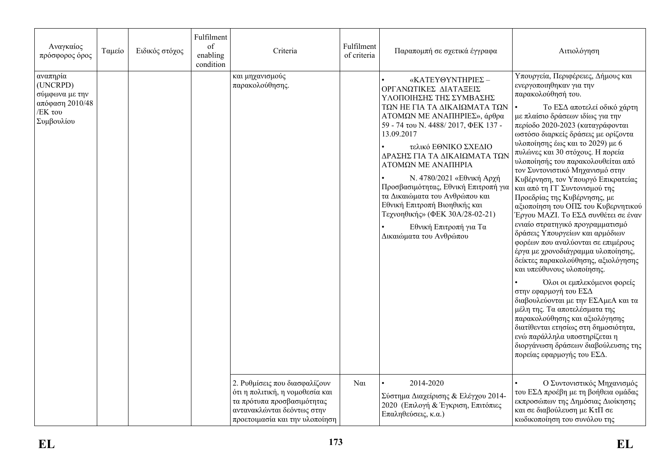| Αναγκαίος<br>πρόσφορος όρος                                                        | Ταμείο | Ειδικός στόχος | Fulfilment<br>of<br>enabling<br>condition | Criteria                                                                                                                                                       | Fulfilment<br>of criteria | Παραπομπή σε σχετικά έγγραφα                                                                                                                                                                                                                                                                                                                                                                                                                                                                           | Αιτιολόγηση                                                                                                                                                                                                                                                                                                                                                                                                                                                                                                                                                                                                                                                                                                                                                                                                                                                                                                                                                                                                                                                                                                     |
|------------------------------------------------------------------------------------|--------|----------------|-------------------------------------------|----------------------------------------------------------------------------------------------------------------------------------------------------------------|---------------------------|--------------------------------------------------------------------------------------------------------------------------------------------------------------------------------------------------------------------------------------------------------------------------------------------------------------------------------------------------------------------------------------------------------------------------------------------------------------------------------------------------------|-----------------------------------------------------------------------------------------------------------------------------------------------------------------------------------------------------------------------------------------------------------------------------------------------------------------------------------------------------------------------------------------------------------------------------------------------------------------------------------------------------------------------------------------------------------------------------------------------------------------------------------------------------------------------------------------------------------------------------------------------------------------------------------------------------------------------------------------------------------------------------------------------------------------------------------------------------------------------------------------------------------------------------------------------------------------------------------------------------------------|
| αναπηρία<br>(UNCRPD)<br>σύμφωνα με την<br>απόφαση 2010/48<br>/ΕΚ του<br>Συμβουλίου |        |                |                                           | και μηχανισμούς<br>παρακολούθησης.                                                                                                                             |                           | «ΚΑΤΕΥΘΥΝΤΗΡΙΕΣ-<br>ΟΡΓΑΝΩΤΙΚΕΣ ΔΙΑΤΑΞΕΙΣ<br>ΥΛΟΠΟΙΗΣΗΣ ΤΗΣ ΣΥΜΒΑΣΗΣ<br>ΤΩΝ ΗΕ ΓΙΑ ΤΑ ΔΙΚΑΙΩΜΑΤΑ ΤΩΝ<br>ΑΤΟΜΩΝ ΜΕ ΑΝΑΠΗΡΙΕΣ», άρθρα<br>59 - 74 του Ν. 4488/2017, ΦΕΚ 137 -<br>13.09.2017<br>τελικό ΕΘΝΙΚΟ ΣΧΕΔΙΟ<br>ΔΡΑΣΗΣ ΓΙΑ ΤΑ ΔΙΚΑΙΩΜΑΤΑ ΤΩΝ<br>ΑΤΟΜΩΝ ΜΕ ΑΝΑΠΗΡΙΑ<br>Ν. 4780/2021 «Εθνική Αρχή<br>Προσβασιμότητας, Εθνική Επιτροπή για<br>τα Δικαιώματα του Ανθρώπου και<br>Εθνική Επιτροπή Βιοηθικής και<br>Τεχνοηθικής» (ΦΕΚ 30Α/28-02-21)<br>Εθνική Επιτροπή για Τα<br>Δικαιώματα του Ανθρώπου | Υπουργεία, Περιφέρειες, Δήμους και<br>ενεργοποιηθηκαν για την<br>παρακολούθησή του.<br>Το ΕΣΔ αποτελεί οδικό χάρτη<br>με πλαίσιο δράσεων ιδίως για την<br>περίοδο 2020-2023 (καταγράφονται<br>ωστόσο διαρκείς δράσεις με ορίζοντα<br>υλοποίησης έως και το 2029) με 6<br>πυλώνες και 30 στόχους. Η πορεία<br>υλοποίησής του παρακολουθείται από<br>τον Συντονιστικό Μηχανισμό στην<br>Κυβέρνηση, τον Υπουργό Επικρατείας<br>και από τη ΓΓ Συντονισμού της<br>Προεδρίας της Κυβέρνησης, με<br>αξιοποίηση του ΟΠΣ του Κυβερνητικού<br>Έργου ΜΑΖΙ. Το ΕΣΔ συνθέτει σε έναν<br>ενιαίο στρατηγικό προγραμματισμό<br>δράσεις Υπουργείων και αρμόδιων<br>φορέων που αναλύονται σε επιμέρους<br>έργα με χρονοδιάγραμμα υλοποίησης,<br>δείκτες παρακολούθησης, αξιολόγησης<br>και υπεύθυνους υλοποίησης.<br>Όλοι οι εμπλεκόμενοι φορείς<br>στην εφαρμογή του ΕΣΔ<br>διαβουλεύονται με την ΕΣΑμεΑ και τα<br>μέλη της. Τα αποτελέσματα της<br>παρακολούθησης και αξιολόγησης<br>διατίθενται ετησίως στη δημοσιότητα,<br>ενώ παράλληλα υποστηρίζεται η<br>διοργάνωση δράσεων διαβούλευσης της<br>πορείας εφαρμογής του ΕΣΔ. |
|                                                                                    |        |                |                                           | 2. Ρυθμίσεις που διασφαλίζουν<br>ότι η πολιτική, η νομοθεσία και<br>τα πρότυπα προσβασιμότητας<br>αντανακλώνται δεόντως στην<br>προετοιμασία και την υλοποίηση | $\alpha$                  | 2014-2020<br>Σύστημα Διαχείρισης & Ελέγχου 2014-<br>2020 (Επιλογή & Έγκριση, Επιτόπιες<br>Επαληθεύσεις, κ.α.)                                                                                                                                                                                                                                                                                                                                                                                          | Ο Συντονιστικός Μηχανισμός<br>του ΕΣΔ προέβη με τη βοήθεια ομάδας<br>εκπροσώπων της Δημόσιας Διοίκησης<br>και σε διαβούλευση με ΚτΠ σε<br>κωδικοποίηση του συνόλου της                                                                                                                                                                                                                                                                                                                                                                                                                                                                                                                                                                                                                                                                                                                                                                                                                                                                                                                                          |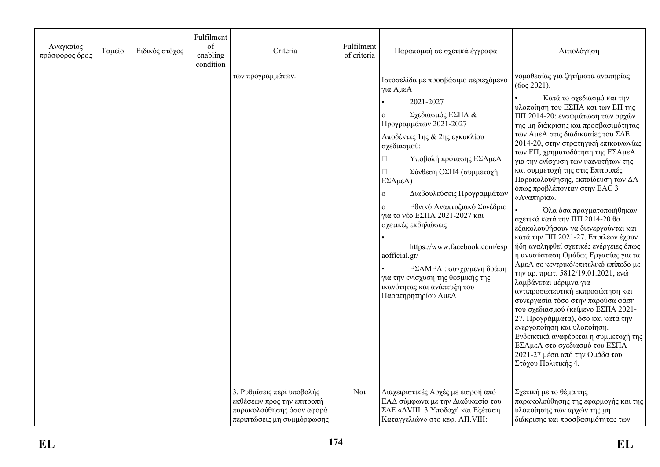| Αναγκαίος<br>πρόσφορος όρος | Ταμείο | Ειδικός στόχος | Fulfilment<br>of<br>enabling<br>condition | Criteria                                                                                                            | Fulfilment<br>of criteria | Παραπομπή σε σχετικά έγγραφα                                                                                                                                                                                                                                                                                                                                                                                                                                                                                                     | Αιτιολόγηση                                                                                                                                                                                                                                                                                                                                                                                                                                                                                                                                                                                                                                                                                                                                                                                                                                                                                                                                                                                                                                                                                                                                         |
|-----------------------------|--------|----------------|-------------------------------------------|---------------------------------------------------------------------------------------------------------------------|---------------------------|----------------------------------------------------------------------------------------------------------------------------------------------------------------------------------------------------------------------------------------------------------------------------------------------------------------------------------------------------------------------------------------------------------------------------------------------------------------------------------------------------------------------------------|-----------------------------------------------------------------------------------------------------------------------------------------------------------------------------------------------------------------------------------------------------------------------------------------------------------------------------------------------------------------------------------------------------------------------------------------------------------------------------------------------------------------------------------------------------------------------------------------------------------------------------------------------------------------------------------------------------------------------------------------------------------------------------------------------------------------------------------------------------------------------------------------------------------------------------------------------------------------------------------------------------------------------------------------------------------------------------------------------------------------------------------------------------|
|                             |        |                |                                           | των προγραμμάτων.                                                                                                   |                           | Ιστοσελίδα με προσβάσιμο περιεχόμενο<br>για ΑμεΑ<br>2021-2027<br>Σχεδιασμός ΕΣΠΑ &<br>Προγραμμάτων 2021-2027<br>Αποδέκτες 1ης & 2ης εγκυκλίου<br>σχεδιασμού:<br>Υποβολή πρότασης ΕΣΑμεΑ<br>O.<br>Σύνθεση ΟΣΠ4 (συμμετοχή<br>ΕΣΑμεΑ)<br>Διαβουλεύσεις Προγραμμάτων<br>Εθνικό Αναπτυξιακό Συνέδριο<br>για το νέο ΕΣΠΑ 2021-2027 και<br>σχετικές εκδηλώσεις<br>https://www.facebook.com/esp<br>aofficial.gr/<br>ΕΣΑΜΕΑ: συγχρ/μενη δράση<br>για την ενίσχυση της θεσμικής της<br>ικανότητας και ανάπτυξη του<br>Παρατηρητηρίου ΑμεΑ | νομοθεσίας για ζητήματα αναπηρίας<br>$(60 \zeta 2021).$<br>Κατά το σχεδιασμό και την<br>υλοποίηση του ΕΣΠΑ και των ΕΠ της<br>ΠΠ 2014-20: ενσωμάτωση των αρχών<br>της μη διάκρισης και προσβασιμότητας<br>των ΑμεΑ στις διαδικασίες του ΣΔΕ<br>2014-20, στην στρατηγική επικοινωνίας<br>των ΕΠ, χρηματοδότηση της ΕΣΑμεΑ<br>για την ενίσχυση των ικανοτήτων της<br>και συμμετοχή της στις Επιτροπές<br>Παρακολούθησης, εκπαίδευση των ΔΑ<br>όπως προβλέπονταν στην ΕΑC 3<br>«Αναπηρία».<br>Όλα όσα πραγματοποιήθηκαν<br>σχετικά κατά την ΠΠ 2014-20 θα<br>εξακολουθήσουν να διενεργούνται και<br>κατά την ΠΠ 2021-27. Επιπλέον έχουν<br>ήδη αναληφθεί σχετικές ενέργειες όπως<br>η ανασύσταση Ομάδας Εργασίας για τα<br>ΑμεΑ σε κεντρικό/επιτελικό επίπεδο με<br>την αρ. πρωτ. 5812/19.01.2021, ενώ<br>λαμβάνεται μέριμνα για<br>αντιπροσωπευτική εκπροσώπηση και<br>συνεργασία τόσο στην παρούσα φάση<br>του σχεδιασμού (κείμενο ΕΣΠΑ 2021-<br>27, Προγράμματα), όσο και κατά την<br>ενεργοποίηση και υλοποίηση.<br>Ενδεικτικά αναφέρεται η συμμετοχή της<br>ΕΣΑμεΑ στο σχεδιασμό του ΕΣΠΑ<br>2021-27 μέσα από την Ομάδα του<br>Στόχου Πολιτικής 4. |
|                             |        |                |                                           | 3. Ρυθμίσεις περί υποβολής<br>εκθέσεων προς την επιτροπή<br>παρακολούθησης όσον αφορά<br>περιπτώσεις μη συμμόρφωσης | $N\alpha$                 | Διαχειριστικές Αρχές με εισροή από<br>ΕΑΔ σύμφωνα με την Διαδικασία του<br>ΣΔΕ «ΔVIII 3 Υποδοχή και Εξέταση<br>Καταγγελιών» στο κεφ. ΛΠ. VIII:                                                                                                                                                                                                                                                                                                                                                                                   | Σχετική με το θέμα της<br>παρακολούθησης της εφαρμογής και της<br>υλοποίησης των αρχών της μη<br>διάκρισης και προσβασιμότητας των                                                                                                                                                                                                                                                                                                                                                                                                                                                                                                                                                                                                                                                                                                                                                                                                                                                                                                                                                                                                                  |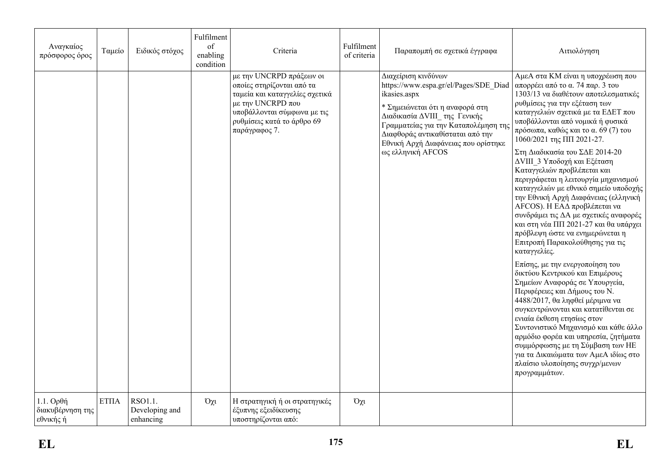| Αναγκαίος<br>πρόσφορος όρος                  | Ταμείο      | Ειδικός στόχος                         | Fulfilment<br>of<br>enabling<br>condition | Criteria                                                                                                                                                                                   | Fulfilment<br>of criteria | Παραπομπή σε σχετικά έγγραφα                                                                                                                                                                                                                                                            | Αιτιολόγηση                                                                                                                                                                                                                                                                                                                                                                                                                                                                                                                                                                                                                                                                                                                                                                                                                                                                                                                                                                                                                                                                                                                                                                                   |
|----------------------------------------------|-------------|----------------------------------------|-------------------------------------------|--------------------------------------------------------------------------------------------------------------------------------------------------------------------------------------------|---------------------------|-----------------------------------------------------------------------------------------------------------------------------------------------------------------------------------------------------------------------------------------------------------------------------------------|-----------------------------------------------------------------------------------------------------------------------------------------------------------------------------------------------------------------------------------------------------------------------------------------------------------------------------------------------------------------------------------------------------------------------------------------------------------------------------------------------------------------------------------------------------------------------------------------------------------------------------------------------------------------------------------------------------------------------------------------------------------------------------------------------------------------------------------------------------------------------------------------------------------------------------------------------------------------------------------------------------------------------------------------------------------------------------------------------------------------------------------------------------------------------------------------------|
|                                              |             |                                        |                                           | με την UNCRPD πράξεων οι<br>οποίες στηρίζονται από τα<br>ταμεία και καταγγελίες σχετικά<br>με την UNCRPD που<br>υποβάλλονται σύμφωνα με τις<br>ρυθμίσεις κατά το άρθρο 69<br>παράγραφος 7. |                           | Διαχείριση κινδύνων<br>https://www.espa.gr/el/Pages/SDE Diad<br>ikasies.aspx<br>* Σημειώνεται ότι η αναφορά στη<br>Διαδικασία ΔVIII της Γενικής<br>Γραμματείας για την Καταπολέμηση της<br>Διαφθοράς αντικαθίσταται από την<br>Εθνική Αρχή Διαφάνειας που ορίστηκε<br>ως ελληνική AFCOS | ΑμεΑ στα ΚΜ είναι η υποχρέωση που<br>απορρέει από το α. 74 παρ. 3 του<br>1303/13 να διαθέτουν αποτελεσματικές<br>ρυθμίσεις για την εξέταση των<br>καταγγελιών σχετικά με τα ΕΔΕΤ που<br>υποβάλλονται από νομικά ή φυσικά<br>πρόσωπα, καθώς και το α. 69 (7) του<br>1060/2021 της ΠΠ 2021-27.<br>Στη Διαδικασία του ΣΔΕ 2014-20<br>ΔVIII 3 Υποδοχή και Εξέταση<br>Καταγγελιών προβλέπεται και<br>περιγράφεται η λειτουργία μηχανισμού<br>καταγγελιών με εθνικό σημείο υποδοχής<br>την Εθνική Αρχή Διαφάνειας (ελληνική<br>ΑFCOS). Η ΕΑΔ προβλέπεται να<br>συνδράμει τις ΔΑ με σχετικές αναφορές<br>και στη νέα ΠΠ 2021-27 και θα υπάρχει<br>πρόβλεψη ώστε να ενημερώνεται η<br>Επιτροπή Παρακολούθησης για τις<br>καταγγελίες.<br>Επίσης, με την ενεργοποίηση του<br>δικτύου Κεντρικού και Επιμέρους<br>Σημείων Αναφοράς σε Υπουργεία,<br>Περιφέρειες και Δήμους του Ν.<br>4488/2017, θα ληφθεί μέριμνα να<br>συγκεντρώνονται και κατατίθενται σε<br>ενιαία έκθεση ετησίως στον<br>Συντονιστικό Μηχανισμό και κάθε άλλο<br>αρμόδιο φορέα και υπηρεσία, ζητήματα<br>συμμόρφωσης με τη Σύμβαση των ΗΕ<br>για τα Δικαιώματα των ΑμεΑ ιδίως στο<br>πλαίσιο υλοποίησης συγχρ/μενων<br>προγραμμάτων. |
| $1.1.$ Ορθή<br>διακυβέρνηση της<br>εθνικής ή | <b>ΕΤΠΑ</b> | RSO1.1.<br>Developing and<br>enhancing | $O\chi t$                                 | Η στρατηγική ή οι στρατηγικές<br>έξυπνης εξειδίκευσης<br>υποστηρίζονται από:                                                                                                               | Όχι                       |                                                                                                                                                                                                                                                                                         |                                                                                                                                                                                                                                                                                                                                                                                                                                                                                                                                                                                                                                                                                                                                                                                                                                                                                                                                                                                                                                                                                                                                                                                               |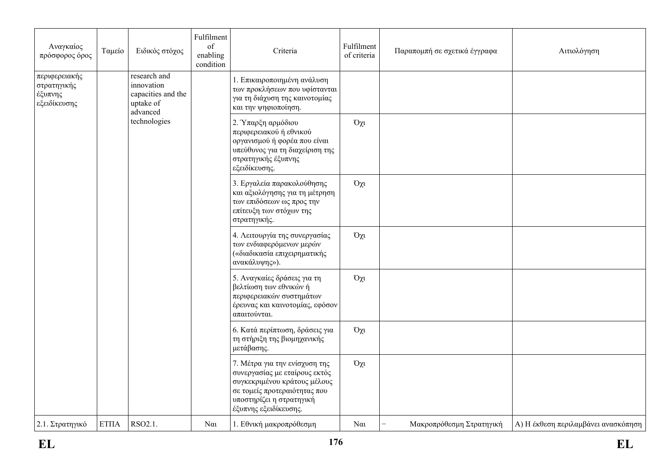| Αναγκαίος<br>πρόσφορος όρος                             | Ταμείο      | Ειδικός στόχος                                                                            | Fulfilment<br>of<br>enabling<br>condition | Criteria                                                                                                                                                                            | Fulfilment<br>of criteria                                                                                  | Παραπομπή σε σχετικά έγγραφα | Αιτιολόγηση                         |  |
|---------------------------------------------------------|-------------|-------------------------------------------------------------------------------------------|-------------------------------------------|-------------------------------------------------------------------------------------------------------------------------------------------------------------------------------------|------------------------------------------------------------------------------------------------------------|------------------------------|-------------------------------------|--|
| περιφερειακής<br>στρατηγικής<br>έξυπνης<br>εξειδίκευσης |             | research and<br>innovation<br>capacities and the<br>uptake of<br>advanced<br>technologies |                                           | 1. Επικαιροποιημένη ανάλυση<br>των προκλήσεων που υφίστανται<br>για τη διάχυση της καινοτομίας<br>και την ψηφιοποίηση.                                                              |                                                                                                            |                              |                                     |  |
|                                                         |             |                                                                                           |                                           | 2. Υπαρξη αρμόδιου<br>περιφερειακού ή εθνικού<br>οργανισμού ή φορέα που είναι<br>υπεύθυνος για τη διαχείριση της<br>στρατηγικής έξυπνης<br>εξειδίκευσης.                            | $O\chi$ u                                                                                                  |                              |                                     |  |
|                                                         |             |                                                                                           |                                           | 3. Εργαλεία παρακολούθησης<br>και αξιολόγησης για τη μέτρηση<br>των επιδόσεων ως προς την<br>επίτευξη των στόχων της<br>στρατηγικής.                                                | Όχι                                                                                                        |                              |                                     |  |
|                                                         |             |                                                                                           |                                           |                                                                                                                                                                                     | 4. Λειτουργία της συνεργασίας<br>των ενδιαφερόμενων μερών<br>(«διαδικασία επιχειρηματικής<br>ανακάλυψης»). | Όχι                          |                                     |  |
|                                                         |             |                                                                                           |                                           | 5. Αναγκαίες δράσεις για τη<br>βελτίωση των εθνικών ή<br>περιφερειακών συστημάτων<br>έρευνας και καινοτομίας, εφόσον<br>απαιτούνται.                                                | Όχι                                                                                                        |                              |                                     |  |
|                                                         |             |                                                                                           |                                           | 6. Κατά περίπτωση, δράσεις για<br>τη στήριξη της βιομηχανικής<br>μετάβασης.                                                                                                         | $O\chi t$                                                                                                  |                              |                                     |  |
|                                                         |             |                                                                                           |                                           | 7. Μέτρα για την ενίσχυση της<br>συνεργασίας με εταίρους εκτός<br>συγκεκριμένου κράτους μέλους<br>σε τομείς προτεραιότητας που<br>υποστηρίζει η στρατηγική<br>έξυπνης εξειδίκευσης. | Όχι                                                                                                        |                              |                                     |  |
| 2.1. Στρατηγικό                                         | <b>ΕΤΠΑ</b> | $RSO2.1$ .                                                                                | $N\alpha$                                 | 1. Εθνική μακροπρόθεσμη                                                                                                                                                             | $N\alpha$                                                                                                  | Μακροπρόθεσμη Στρατηγική     | Α) Η έκθεση περιλαμβάνει ανασκόπηση |  |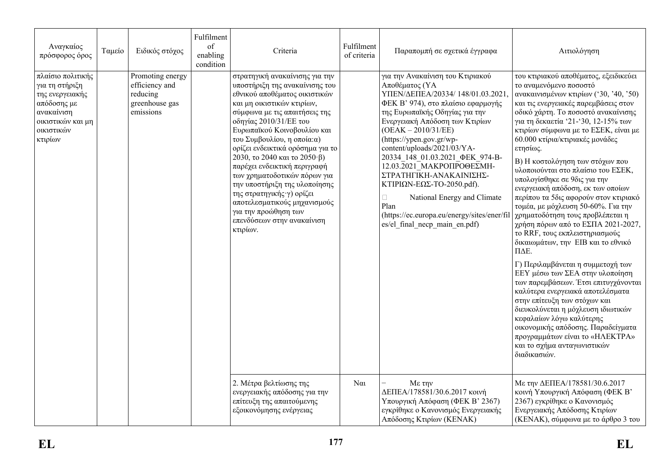| Αναγκαίος<br>πρόσφορος όρος                                                                                                       | Ταμείο | Ειδικός στόχος                                                                | Fulfilment<br>of<br>enabling<br>condition | Criteria                                                                                                                                                                                                                                                                                                                                                                                                                                                                                                                                                     | Fulfilment<br>of criteria | Παραπομπή σε σχετικά έγγραφα                                                                                                                                                                                                                                                                                                                                                                                                                                                                                                                 | Αιτιολόγηση                                                                                                                                                                                                                                                                                                                                                                                                                                                                                                                                                                                                                                                                                                                                                                                                                                                                                                                                                                                                                                                                                 |
|-----------------------------------------------------------------------------------------------------------------------------------|--------|-------------------------------------------------------------------------------|-------------------------------------------|--------------------------------------------------------------------------------------------------------------------------------------------------------------------------------------------------------------------------------------------------------------------------------------------------------------------------------------------------------------------------------------------------------------------------------------------------------------------------------------------------------------------------------------------------------------|---------------------------|----------------------------------------------------------------------------------------------------------------------------------------------------------------------------------------------------------------------------------------------------------------------------------------------------------------------------------------------------------------------------------------------------------------------------------------------------------------------------------------------------------------------------------------------|---------------------------------------------------------------------------------------------------------------------------------------------------------------------------------------------------------------------------------------------------------------------------------------------------------------------------------------------------------------------------------------------------------------------------------------------------------------------------------------------------------------------------------------------------------------------------------------------------------------------------------------------------------------------------------------------------------------------------------------------------------------------------------------------------------------------------------------------------------------------------------------------------------------------------------------------------------------------------------------------------------------------------------------------------------------------------------------------|
| πλαίσιο πολιτικής<br>για τη στήριξη<br>της ενεργειακής<br>απόδοσης με<br>ανακαίνιση<br>οικιστικών και μη<br>οικιστικών<br>κτιρίων |        | Promoting energy<br>efficiency and<br>reducing<br>greenhouse gas<br>emissions |                                           | στρατηγική ανακαίνισης για την<br>υποστήριξη της ανακαίνισης του<br>εθνικού αποθέματος οικιστικών<br>και μη οικιστικών κτιρίων,<br>σύμφωνα με τις απαιτήσεις της<br>οδηγίας 2010/31/ΕΕ του<br>Ευρωπαϊκού Κοινοβουλίου και<br>του Συμβουλίου, η οποία: α)<br>ορίζει ενδεικτικά ορόσημα για το<br>2030, το 2040 και το 2050 β)<br>παρέχει ενδεικτική περιγραφή<br>των χρηματοδοτικών πόρων για<br>την υποστήριξη της υλοποίησης<br>της στρατηγικής γ) ορίζει<br>αποτελεσματικούς μηχανισμούς<br>για την προώθηση των<br>επενδύσεων στην ανακαίνιση<br>κτιρίων. |                           | για την Ανακαίνιση του Κτιριακού<br>Αποθέματος (ΥΑ<br>ΥΠΕΝ/ΔΕΠΕΑ/20334/148/01.03.2021<br>ΦΕΚ Β' 974), στο πλαίσιο εφαρμογής<br>της Ευρωπαϊκής Οδηγίας για την<br>Ενεργειακή Απόδοση των Κτιρίων<br>$(OEAK - 2010/31/EE)$<br>(https://ypen.gov.gr/wp-<br>content/uploads/2021/03/YA-<br>20334 148 01.03.2021 ФЕК 974-В-<br>12.03.2021 ΜΑΚΡΟΠΡΟΘΕΣΜΗ-<br>ΣΤΡΑΤΗΓΙΚΗ-ΑΝΑΚΑΙΝΙΣΗΣ-<br>ΚΤΙΡΙΩΝ-ΕΩΣ-ΤΟ-2050.pdf).<br>National Energy and Climate<br>$\Box$<br>Plan<br>(https://ec.europa.eu/energy/sites/ener/fil<br>es/el final necp main en.pdf) | του κτιριακού αποθέματος, εξειδικεύει<br>το αναμενόμενο ποσοστό<br>ανακαινισμένων κτιρίων ('30, '40, '50)<br>και τις ενεργειακές παρεμβάσεις στον<br>οδικό χάρτη. Το ποσοστό ανακαίνισης<br>για τη δεκαετία '21-'30, 12-15% των<br>κτιρίων σύμφωνα με το ΕΣΕΚ, είναι με<br>60.000 κτίρια/κτιριακές μονάδες<br>ετησίως.<br>Β) Η κοστολόγηση των στόχων που<br>υλοποιούνται στο πλαίσιο του ΕΣΕΚ,<br>υπολογίσθηκε σε 9δις για την<br>ενεργειακή απόδοση, εκ των οποίων<br>περίπου τα 5δις αφορούν στον κτιριακό<br>τομέα, με μόχλευση 50-60%. Για την<br>χρηματοδότηση τους προβλέπεται η<br>χρήση πόρων από το ΕΣΠΑ 2021-2027,<br>το RRF, τους εκπλειστηριασμούς<br>δικαιωμάτων, την ΕΙΒ και το εθνικό<br>ПДЕ.<br>Γ) Περιλαμβάνεται η συμμετοχή των<br>ΕΕΥ μέσω των ΣΕΑ στην υλοποίηση<br>των παρεμβάσεων. Έτσι επιτυγχάνονται<br>καλύτερα ενεργειακά αποτελέσματα<br>στην επίτευξη των στόχων και<br>διευκολύνεται η μόχλευση ιδιωτικών<br>κεφαλαίων λόγω καλύτερης<br>οικονομικής απόδοσης. Παραδείγματα<br>προγραμμάτων είναι το «ΗΛΕΚΤΡΑ»<br>και το σχήμα ανταγωνιστικών<br>διαδικασιών. |
|                                                                                                                                   |        |                                                                               |                                           | 2. Μέτρα βελτίωσης της<br>ενεργειακής απόδοσης για την<br>επίτευξη της απαιτούμενης<br>εξοικονόμησης ενέργειας                                                                                                                                                                                                                                                                                                                                                                                                                                               | $N\alpha$                 | $Mε$ την<br>ΔΕΠΕΑ/178581/30.6.2017 κοινή<br>Υπουργική Απόφαση (ΦΕΚ Β' 2367)<br>εγκρίθηκε ο Κανονισμός Ενεργειακής<br>Απόδοσης Κτιρίων (ΚΕΝΑΚ)                                                                                                                                                                                                                                                                                                                                                                                                | Με την ΔΕΠΕΑ/178581/30.6.2017<br>κοινή Υπουργική Απόφαση (ΦΕΚ Β'<br>2367) εγκρίθηκε ο Κανονισμός<br>Ενεργειακής Απόδοσης Κτιρίων<br>(ΚΕΝΑΚ), σύμφωνα με το άρθρο 3 του                                                                                                                                                                                                                                                                                                                                                                                                                                                                                                                                                                                                                                                                                                                                                                                                                                                                                                                      |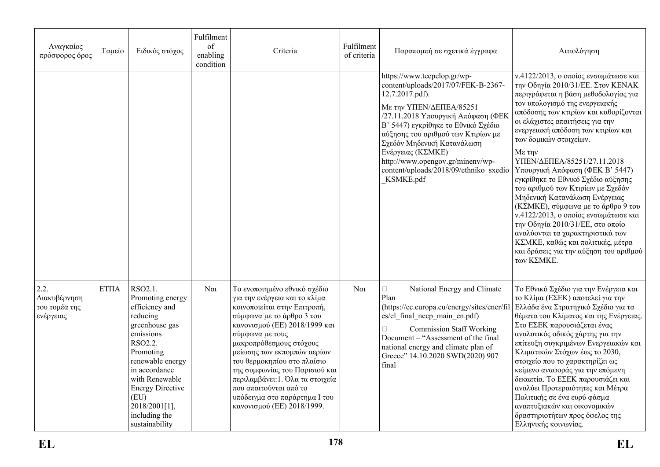| Αναγκαίος<br>πρόσφορος όρος                        | Ταμείο             | Ειδικός στόχος                                                                                                                                                                                                                                                 | Fulfilment<br>of<br>enabling<br>condition | Criteria                                                                                                                                                                                                                                                                                                                                                                                                                               | Fulfilment<br>of criteria | Παραπομπή σε σχετικά έγγραφα                                                                                                                                                                                                                                                                                                                                                      | Αιτιολόγηση                                                                                                                                                                                                                                                                                                                                                                                                                                                                                                                                                                                                                                                                                                                                |
|----------------------------------------------------|--------------------|----------------------------------------------------------------------------------------------------------------------------------------------------------------------------------------------------------------------------------------------------------------|-------------------------------------------|----------------------------------------------------------------------------------------------------------------------------------------------------------------------------------------------------------------------------------------------------------------------------------------------------------------------------------------------------------------------------------------------------------------------------------------|---------------------------|-----------------------------------------------------------------------------------------------------------------------------------------------------------------------------------------------------------------------------------------------------------------------------------------------------------------------------------------------------------------------------------|--------------------------------------------------------------------------------------------------------------------------------------------------------------------------------------------------------------------------------------------------------------------------------------------------------------------------------------------------------------------------------------------------------------------------------------------------------------------------------------------------------------------------------------------------------------------------------------------------------------------------------------------------------------------------------------------------------------------------------------------|
|                                                    |                    |                                                                                                                                                                                                                                                                |                                           |                                                                                                                                                                                                                                                                                                                                                                                                                                        |                           | https://www.teepelop.gr/wp-<br>content/uploads/2017/07/FEK-B-2367-<br>12.7.2017.pdf).<br>Με την ΥΠΕΝ/ΔΕΠΕΑ/85251<br>/27.11.2018 Υπουργική Απόφαση (ΦΕΚ<br>Β' 5447) εγκρίθηκε το Εθνικό Σχέδιο<br>αύξησης του αριθμού των Κτιρίων με<br>Σχεδόν Μηδενική Κατανάλωση<br>Ενέργειας (ΚΣΜΚΕ)<br>http://www.opengov.gr/minenv/wp-<br>content/uploads/2018/09/ethniko sxedio<br>KSMKE.pdf | ν.4122/2013, ο οποίος ενσωμάτωσε και<br>την Οδηγία 2010/31/ΕΕ. Στον ΚΕΝΑΚ<br>περιγράφεται η βάση μεθοδολογίας για<br>τον υπολογισμό της ενεργειακής<br>απόδοσης των κτιρίων και καθορίζονται<br>οι ελάχιστες απαιτήσεις για την<br>ενεργειακή απόδοση των κτιρίων και<br>των δομικών στοιχείων.<br>Με την<br>ΥΠΕΝ/ΔΕΠΕΑ/85251/27.11.2018<br>Υπουργική Απόφαση (ΦΕΚ Β' 5447)<br>εγκρίθηκε το Εθνικό Σχέδιο αύξησης<br>του αριθμού των Κτιρίων με Σχεδόν<br>Μηδενική Κατανάλωση Ενέργειας<br>(ΚΣΜΚΕ), σύμφωνα με το άρθρο 9 του<br>ν.4122/2013, ο οποίος ενσωμάτωσε και<br>την Οδηγία 2010/31/ΕΕ, στο οποίο<br>αναλύονται τα χαρακτηριστικά των<br>ΚΣΜΚΕ, καθώς και πολιτικές, μέτρα<br>και δράσεις για την αύξηση του αριθμού<br>των ΚΣΜΚΕ. |
| 2.2.<br>Διακυβέρνηση<br>του τομέα της<br>ενέργειας | ET <sub>II</sub> A | RSO2.1.<br>Promoting energy<br>efficiency and<br>reducing<br>greenhouse gas<br>emissions<br>RSO2.2.<br>Promoting<br>renewable energy<br>in accordance<br>with Renewable<br><b>Energy Directive</b><br>(EU)<br>2018/2001[1],<br>including the<br>sustainability | $N\alpha$                                 | Το ενοποιημένο εθνικό σχέδιο<br>για την ενέργεια και το κλίμα<br>κοινοποιείται στην Επιτροπή,<br>σύμφωνα με το άρθρο 3 του<br>κανονισμού (ΕΕ) 2018/1999 και<br>σύμφωνα με τους<br>μακροπρόθεσμους στόχους<br>μείωσης των εκπομπών αερίων<br>του θερμοκηπίου στο πλαίσιο<br>της συμφωνίας του Παρισιού και<br>περιλαμβάνει: 1. Όλα τα στοιχεία<br>που απαιτούνται από το<br>υπόδειγμα στο παράρτημα Ι του<br>κανονισμού (ΕΕ) 2018/1999. | $N\alpha$                 | National Energy and Climate<br>$\Box$<br>Plan<br>(https://ec.europa.eu/energy/sites/ener/fil<br>es/el final necp main en.pdf)<br><b>Commission Staff Working</b><br>Document – "Assessment of the final<br>national energy and climate plan of<br>Greece" 14.10.2020 SWD(2020) 907<br>final                                                                                       | Το Εθνικό Σχέδιο για την Ενέργεια και<br>το Κλίμα (ΕΣΕΚ) αποτελεί για την<br>  Ελλάδα ένα Στρατηγικό Σχέδιο για τα<br>θέματα του Κλίματος και της Ενέργειας.<br>Στο ΕΣΕΚ παρουσιάζεται ένας<br>αναλυτικός οδικός χάρτης για την<br>επίτευξη συγκριμένων Ενεργειακών και<br>Κλιματικών Στόχων έως το 2030,<br>στοιχείο που το χαρακτηρίζει ως<br>κείμενο αναφοράς για την επόμενη<br>δεκαετία. Το ΕΣΕΚ παρουσιάζει και<br>αναλύει Προτεραιότητες και Μέτρα<br>Πολιτικής σε ένα ευρύ φάσμα<br>αναπτυξιακών και οικονομικών<br>δραστηριοτήτων προς όφελος της<br>Ελληνικής κοινωνίας.                                                                                                                                                         |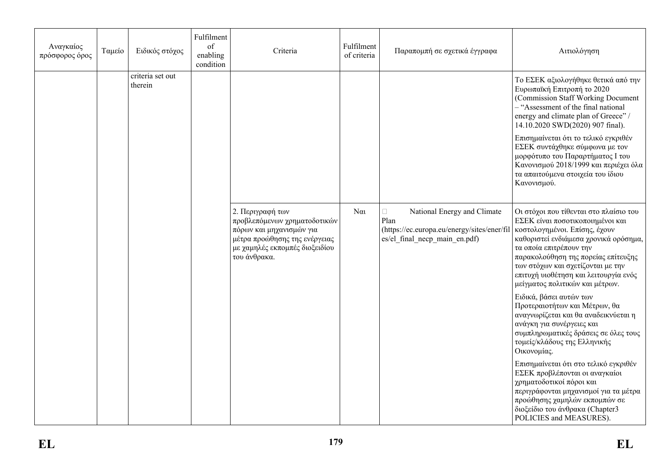| Αναγκαίος<br>πρόσφορος όρος | Ταμείο | Ειδικός στόχος              | Fulfilment<br>of<br>enabling<br>condition | Criteria                                                                                                                                                        | Fulfilment<br>of criteria | Παραπομπή σε σχετικά έγγραφα                                                                                                  | Αιτιολόγηση                                                                                                                                                                                                                                                                                                                                                                                                                            |
|-----------------------------|--------|-----------------------------|-------------------------------------------|-----------------------------------------------------------------------------------------------------------------------------------------------------------------|---------------------------|-------------------------------------------------------------------------------------------------------------------------------|----------------------------------------------------------------------------------------------------------------------------------------------------------------------------------------------------------------------------------------------------------------------------------------------------------------------------------------------------------------------------------------------------------------------------------------|
|                             |        | criteria set out<br>therein |                                           |                                                                                                                                                                 |                           |                                                                                                                               | Το ΕΣΕΚ αξιολογήθηκε θετικά από την<br>Ευρωπαϊκή Επιτροπή το 2020<br>(Commission Staff Working Document)<br>- "Assessment of the final national<br>energy and climate plan of Greece" /<br>14.10.2020 SWD(2020) 907 final).<br>Επισημαίνεται ότι το τελικό εγκριθέν<br>ΕΣΕΚ συντάχθηκε σύμφωνα με τον<br>μορφότυπο του Παραρτήματος Ι του<br>Κανονισμού 2018/1999 και περιέχει όλα<br>τα απαιτούμενα στοιχεία του ίδιου<br>Κανονισμού. |
|                             |        |                             |                                           | 2. Περιγραφή των<br>προβλεπόμενων χρηματοδοτικών<br>πόρων και μηχανισμών για<br>μέτρα προώθησης της ενέργειας<br>με χαμηλές εκπομπές διοξειδίου<br>του άνθρακα. | $N\alpha$                 | National Energy and Climate<br>$\Box$<br>Plan<br>(https://ec.europa.eu/energy/sites/ener/fil<br>es/el final necp main en.pdf) | Οι στόχοι που τίθενται στο πλαίσιο του<br>ΕΣΕΚ είναι ποσοτικοποιημένοι και<br>κοστολογημένοι. Επίσης, έχουν<br>καθοριστεί ενδιάμεσα χρονικά ορόσημα,<br>τα οποία επιτρέπουν την<br>παρακολούθηση της πορείας επίτευξης<br>των στόχων και σχετίζονται με την<br>επιτυχή υιοθέτηση και λειτουργία ενός<br>μείγματος πολιτικών και μέτρων.                                                                                                |
|                             |        |                             |                                           |                                                                                                                                                                 |                           |                                                                                                                               | Ειδικά, βάσει αυτών των<br>Προτεραιοτήτων και Μέτρων, θα<br>αναγνωρίζεται και θα αναδεικνύεται η<br>ανάγκη για συνέργειες και<br>συμπληρωματικές δράσεις σε όλες τους<br>τομείς/κλάδους της Ελληνικής<br>Οικονομίας.                                                                                                                                                                                                                   |
|                             |        |                             |                                           |                                                                                                                                                                 |                           |                                                                                                                               | Επισημαίνεται ότι στο τελικό εγκριθέν<br>ΕΣΕΚ προβλέπονται οι αναγκαίοι<br>χρηματοδοτικοί πόροι και<br>περιγράφονται μηχανισμοί για τα μέτρα<br>προώθησης χαμηλών εκπομπών σε<br>διοξείδιο του άνθρακα (Chapter3<br>POLICIES and MEASURES).                                                                                                                                                                                            |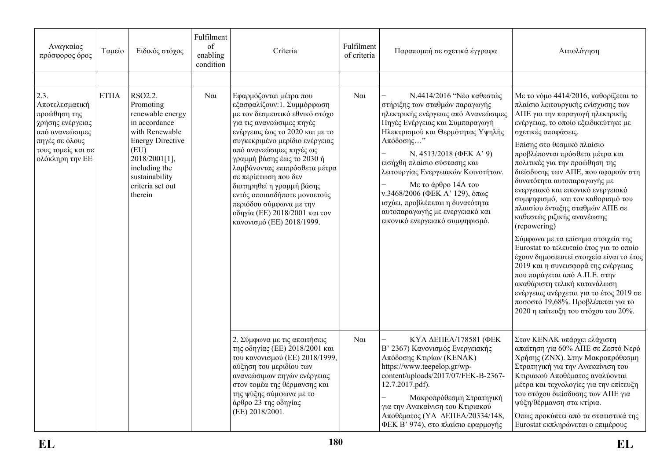| Αναγκαίος<br>πρόσφορος όρος                                                                                                              | Ταμείο | Ειδικός στόχος                                                                                                                                                                                    | Fulfilment<br>of<br>enabling<br>condition | Criteria                                                                                                                                                                                                                                                                                                                                                                                                                                                           | Fulfilment<br>of criteria | Παραπομπή σε σχετικά έγγραφα                                                                                                                                                                                                                                                                                                                                                                                                                                 | Αιτιολόγηση                                                                                                                                                                                                                                                                                                                                                                                                                                                                                                                                                                                                                                                                                                                                                                                                                                                                    |
|------------------------------------------------------------------------------------------------------------------------------------------|--------|---------------------------------------------------------------------------------------------------------------------------------------------------------------------------------------------------|-------------------------------------------|--------------------------------------------------------------------------------------------------------------------------------------------------------------------------------------------------------------------------------------------------------------------------------------------------------------------------------------------------------------------------------------------------------------------------------------------------------------------|---------------------------|--------------------------------------------------------------------------------------------------------------------------------------------------------------------------------------------------------------------------------------------------------------------------------------------------------------------------------------------------------------------------------------------------------------------------------------------------------------|--------------------------------------------------------------------------------------------------------------------------------------------------------------------------------------------------------------------------------------------------------------------------------------------------------------------------------------------------------------------------------------------------------------------------------------------------------------------------------------------------------------------------------------------------------------------------------------------------------------------------------------------------------------------------------------------------------------------------------------------------------------------------------------------------------------------------------------------------------------------------------|
|                                                                                                                                          |        |                                                                                                                                                                                                   |                                           |                                                                                                                                                                                                                                                                                                                                                                                                                                                                    |                           |                                                                                                                                                                                                                                                                                                                                                                                                                                                              |                                                                                                                                                                                                                                                                                                                                                                                                                                                                                                                                                                                                                                                                                                                                                                                                                                                                                |
| 2.3.<br>Αποτελεσματική<br>προώθηση της<br>χρήσης ενέργειας<br>από ανανεώσιμες<br>πηγές σε όλους<br>τους τομείς και σε<br>ολόκληρη την ΕΕ | EΤΠΑ   | RSO2.2.<br>Promoting<br>renewable energy<br>in accordance<br>with Renewable<br><b>Energy Directive</b><br>(EU)<br>2018/2001[1],<br>including the<br>sustainability<br>criteria set out<br>therein | $\alpha$                                  | Εφαρμόζονται μέτρα που<br>εξασφαλίζουν: 1. Συμμόρφωση<br>με τον δεσμευτικό εθνικό στόχο<br>για τις ανανεώσιμες πηγές<br>ενέργειας έως το 2020 και με το<br>συγκεκριμένο μερίδιο ενέργειας<br>από ανανεώσιμες πηγές ως<br>γραμμή βάσης έως το 2030 ή<br>λαμβάνοντας επιπρόσθετα μέτρα<br>σε περίπτωση που δεν<br>διατηρηθεί η γραμμή βάσης<br>εντός οποιασδήποτε μονοετούς<br>περιόδου σύμφωνα με την<br>οδηγία (ΕΕ) 2018/2001 και τον<br>κανονισμό (ΕΕ) 2018/1999. | $N\alpha$                 | Ν.4414/2016 "Νέο καθεστώς<br>στήριξης των σταθμών παραγωγής<br>ηλεκτρικής ενέργειας από Ανανεώσιμες<br>Πηγές Ενέργειας και Συμπαραγωγή<br>Ηλεκτρισμού και Θερμότητας Υψηλής<br>Απόδοσης"<br>N. 4513/2018 (ΦΕΚΑ' 9)<br>εισήχθη πλαίσιο σύστασης και<br>λειτουργίας Ενεργειακών Κοινοτήτων.<br>Με το άρθρο 14Α του<br>ν.3468/2006 (ΦΕΚ Α' 129), όπως<br>ισχύει, προβλέπεται η δυνατότητα<br>αυτοπαραγωγής με ενεργειακό και<br>εικονικό ενεργειακό συμψηφισμό. | Με το νόμο 4414/2016, καθορίζεται το<br>πλαίσιο λειτουργικής ενίσχυσης των<br>ΑΠΕ για την παραγωγή ηλεκτρικής<br>ενέργειας, το οποίο εξειδικεύτηκε με<br>σχετικές αποφάσεις.<br>Επίσης στο θεσμικό πλαίσιο<br>προβλέπονται πρόσθετα μέτρα και<br>πολιτικές για την προώθηση της<br>διείσδυσης των ΑΠΕ, που αφορούν στη<br>δυνατότητα αυτοπαραγωγής με<br>ενεργειακό και εικονικό ενεργειακό<br>συμψηφισμό, και τον καθορισμό του<br>πλαισίου ένταξης σταθμών ΑΠΕ σε<br>καθεστώς ριζικής ανανέωσης<br>(repowering)<br>Σύμφωνα με τα επίσημα στοιχεία της<br>Eurostat το τελευταίο έτος για το οποίο<br>έχουν δημοσιευτεί στοιχεία είναι το έτος<br>2019 και η συνεισφορά της ενέργειας<br>που παράγεται από Α.Π.Ε. στην<br>ακαθάριστη τελική κατανάλωση<br>ενέργειας ανέρχεται για το έτος 2019 σε<br>ποσοστό 19,68%. Προβλέπεται για το<br>2020 η επίτευξη του στόχου του 20%. |
|                                                                                                                                          |        |                                                                                                                                                                                                   |                                           | 2. Σύμφωνα με τις απαιτήσεις<br>της οδηγίας (ΕΕ) 2018/2001 και<br>του κανονισμού (ΕΕ) 2018/1999,<br>αύξηση του μεριδίου των<br>ανανεώσιμων πηγών ενέργειας<br>στον τομέα της θέρμανσης και<br>της ψύξης σύμφωνα με το<br>άρθρο 23 της οδηγίας<br>(EE) 2018/2001.                                                                                                                                                                                                   | $N\alpha$                 | ΚΥΑ ΔΕΠΕΑ/178581 (ΦΕΚ<br>Β' 2367) Κανονισμός Ενεργειακής<br>Απόδοσης Κτιρίων (ΚΕΝΑΚ)<br>https://www.teepelop.gr/wp-<br>content/uploads/2017/07/FEK-B-2367-<br>12.7.2017.pdf).<br>Μακροπρόθεσμη Στρατηγική<br>για την Ανακαίνιση του Κτιριακού<br>Αποθέματος (ΥΑ ΔΕΠΕΑ/20334/148,<br>ΦΕΚ Β' 974), στο πλαίσιο εφαρμογής                                                                                                                                       | Στον ΚΕΝΑΚ υπάρχει ελάχιστη<br>απαίτηση για 60% ΑΠΕ σε Ζεστό Νερό<br>Χρήσης (ΖΝΧ). Στην Μακροπρόθεσμη<br>Στρατηγική για την Ανακαίνιση του<br>Κτιριακού Αποθέματος αναλύονται<br>μέτρα και τεχνολογίες για την επίτευξη<br>του στόχου διείσδυσης των ΑΠΕ για<br>ψύξη/θέρμανση στα κτίρια.<br>Όπως προκύπτει από τα στατιστικά της<br>Eurostat εκπληρώνεται ο επιμέρους                                                                                                                                                                                                                                                                                                                                                                                                                                                                                                         |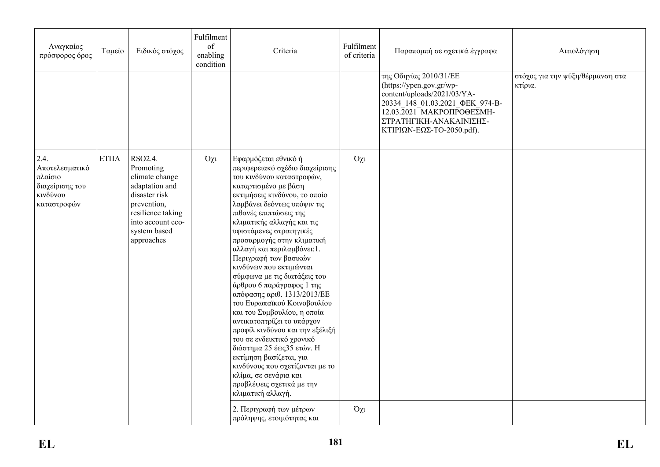| Αναγκαίος<br>πρόσφορος όρος                                                                 | Ταμείο                 | Ειδικός στόχος                                                                                                                                                   | Fulfilment<br>of<br>enabling<br>condition | Criteria                                                                                                                                                                                                                                                                                                                                                                                                                                                                                                                                                                                                                                                                                                                                                                                                       | Fulfilment<br>of criteria | Παραπομπή σε σχετικά έγγραφα                                                                                                                                                                                             | Αιτιολόγηση                                 |
|---------------------------------------------------------------------------------------------|------------------------|------------------------------------------------------------------------------------------------------------------------------------------------------------------|-------------------------------------------|----------------------------------------------------------------------------------------------------------------------------------------------------------------------------------------------------------------------------------------------------------------------------------------------------------------------------------------------------------------------------------------------------------------------------------------------------------------------------------------------------------------------------------------------------------------------------------------------------------------------------------------------------------------------------------------------------------------------------------------------------------------------------------------------------------------|---------------------------|--------------------------------------------------------------------------------------------------------------------------------------------------------------------------------------------------------------------------|---------------------------------------------|
|                                                                                             |                        |                                                                                                                                                                  |                                           |                                                                                                                                                                                                                                                                                                                                                                                                                                                                                                                                                                                                                                                                                                                                                                                                                |                           | της Οδηγίας 2010/31/ΕΕ<br>(https://ypen.gov.gr/wp-<br>content/uploads/2021/03/YA-<br>20334_148_01.03.2021_ФЕК_974-В-<br>$12.03.\overline{2}021$ _MAKPOIIPO@EZMH-<br>ΣΤΡΑΤΗΓΙΚΗ-ΑΝΑΚΑΙΝΙΣΗΣ-<br>ΚΤΙΡΙΩΝ-ΕΩΣ-ΤΟ-2050.pdf). | στόχος για την ψύξη/θέρμανση στα<br>κτίρια. |
| $\vert$ 2.4.<br>Αποτελεσματικό<br>  πλαίσιο<br>  διαχείρισης του<br>κινδύνου<br>καταστροφών | $\operatorname{ETIIA}$ | RSO2.4.<br>Promoting<br>climate change<br>adaptation and<br>disaster risk<br>prevention,<br>resilience taking<br>into account eco-<br>system based<br>approaches | $O\chi$                                   | Εφαρμόζεται εθνικό ή<br>περιφερειακό σχέδιο διαχείρισης<br>του κινδύνου καταστροφών,<br>καταρτισμένο με βάση<br>εκτιμήσεις κινδύνου, το οποίο<br>λαμβάνει δεόντως υπόψιν τις<br>πιθανές επιπτώσεις της<br>κλιματικής αλλαγής και τις<br>υφιστάμενες στρατηγικές<br>προσαρμογής στην κλιματική<br>αλλαγή και περιλαμβάνει:1.<br>Περιγραφή των βασικών<br>κινδύνων που εκτιμώνται<br>σύμφωνα με τις διατάξεις του<br>άρθρου 6 παράγραφος 1 της<br>απόφασης αριθ. 1313/2013/ΕΕ<br>του Ευρωπαϊκού Κοινοβουλίου<br>και του Συμβουλίου, η οποία<br>αντικατοπτρίζει το υπάρχον<br>προφίλ κινδύνου και την εξέλιξή<br>του σε ενδεικτικό χρονικό<br>διάστημα 25 έως 35 ετών. Η<br>εκτίμηση βασίζεται, για<br>κινδύνους που σχετίζονται με το<br>κλίμα, σε σενάρια και<br>προβλέψεις σχετικά με την<br>κλιματική αλλαγή. | $O\chi$ u                 |                                                                                                                                                                                                                          |                                             |
|                                                                                             |                        |                                                                                                                                                                  |                                           | 2. Περιγραφή των μέτρων<br>πρόληψης, ετοιμότητας και                                                                                                                                                                                                                                                                                                                                                                                                                                                                                                                                                                                                                                                                                                                                                           | $O\chi$ u                 |                                                                                                                                                                                                                          |                                             |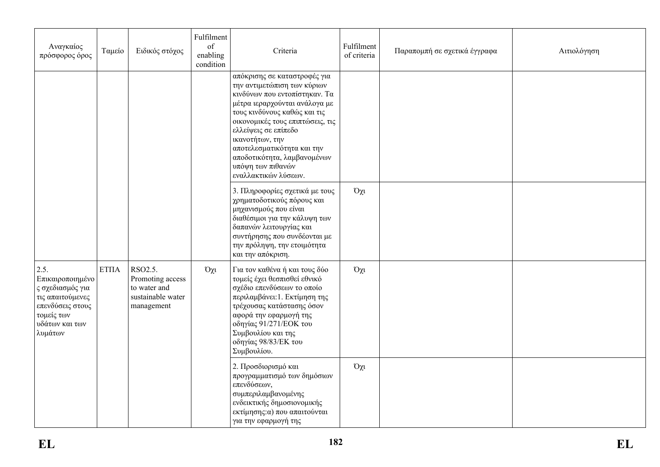| Αναγκαίος<br>πρόσφορος όρος                                                                                                                       | Ταμείο                 | Ειδικός στόχος                                                                 | Fulfilment<br>of<br>enabling<br>condition | Criteria                                                                                                                                                                                                                                                                                                                                               | Fulfilment<br>of criteria | Παραπομπή σε σχετικά έγγραφα | Αιτιολόγηση |
|---------------------------------------------------------------------------------------------------------------------------------------------------|------------------------|--------------------------------------------------------------------------------|-------------------------------------------|--------------------------------------------------------------------------------------------------------------------------------------------------------------------------------------------------------------------------------------------------------------------------------------------------------------------------------------------------------|---------------------------|------------------------------|-------------|
|                                                                                                                                                   |                        |                                                                                |                                           | απόκρισης σε καταστροφές για<br>την αντιμετώπιση των κύριων<br>κινδύνων που εντοπίστηκαν. Τα<br>μέτρα ιεραρχούνται ανάλογα με<br>τους κινδύνους καθώς και τις<br>οικονομικές τους επιπτώσεις, τις<br>ελλείψεις σε επίπεδο<br>ικανοτήτων, την<br>αποτελεσματικότητα και την<br>αποδοτικότητα, λαμβανομένων<br>υπόψη των πιθανών<br>εναλλακτικών λύσεων. |                           |                              |             |
|                                                                                                                                                   |                        |                                                                                |                                           | 3. Πληροφορίες σχετικά με τους<br>χρηματοδοτικούς πόρους και<br>μηχανισμούς που είναι<br>διαθέσιμοι για την κάλυψη των<br>δαπανών λειτουργίας και<br>συντήρησης που συνδέονται με<br>την πρόληψη, την ετοιμότητα<br>και την απόκριση.                                                                                                                  | $O\chi$ u                 |                              |             |
| $\vert 2.5. \vert$<br>Επικαιροποιημένο<br>ς σχεδιασμός για<br>  τις απαιτούμενες<br>επενδύσεις στους<br>τομείς των<br>υδάτων και των<br>  λυμάτων | $\operatorname{ETIIA}$ | RSO2.5.<br>Promoting access<br>to water and<br>sustainable water<br>management | $O\chi$                                   | Για τον καθένα ή και τους δύο<br>τομείς έχει θεσπισθεί εθνικό<br>σχέδιο επενδύσεων το οποίο<br>περιλαμβάνει: 1. Εκτίμηση της<br>τρέχουσας κατάστασης όσον<br>αφορά την εφαρμογή της<br>οδηγίας 91/271/ΕΟΚ του<br>Συμβουλίου και της<br>οδηγίας 98/83/ΕΚ του<br>Συμβουλίου.                                                                             | $O\chi$ u                 |                              |             |
|                                                                                                                                                   |                        |                                                                                |                                           | 2. Προσδιορισμό και<br>προγραμματισμό των δημόσιων<br>επενδύσεων,<br>συμπεριλαμβανομένης<br>ενδεικτικής δημοσιονομικής<br>εκτίμησης: α) που απαιτούνται<br>για την εφαρμογή της                                                                                                                                                                        | $O\chi$ u                 |                              |             |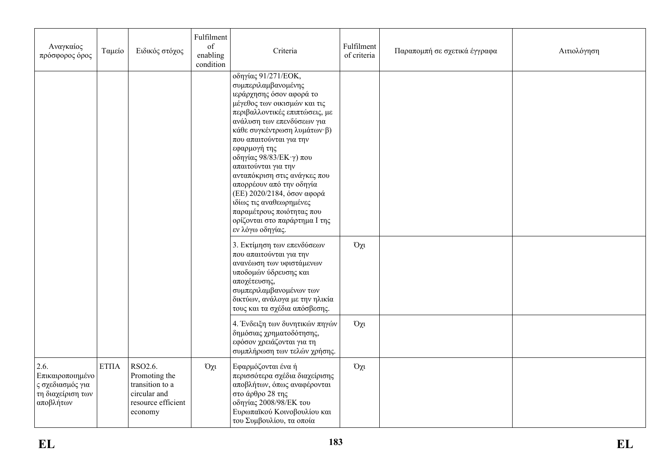| Αναγκαίος<br>πρόσφορος όρος                                                    | Ταμείο      | Ειδικός στόχος                                                                               | Fulfilment<br>of<br>enabling<br>condition | Criteria                                                                                                                                                                                                                                                                                                                                                                                                                                                                                                          | Fulfilment<br>of criteria | Παραπομπή σε σχετικά έγγραφα | Αιτιολόγηση |
|--------------------------------------------------------------------------------|-------------|----------------------------------------------------------------------------------------------|-------------------------------------------|-------------------------------------------------------------------------------------------------------------------------------------------------------------------------------------------------------------------------------------------------------------------------------------------------------------------------------------------------------------------------------------------------------------------------------------------------------------------------------------------------------------------|---------------------------|------------------------------|-------------|
|                                                                                |             |                                                                                              |                                           | οδηγίας 91/271/ΕΟΚ,<br>συμπεριλαμβανομένης<br>ιεράρχησης όσον αφορά το<br>μέγεθος των οικισμών και τις<br>περιβαλλοντικές επιπτώσεις, με<br>ανάλυση των επενδύσεων για<br>κάθε συγκέντρωση λυμάτων β)<br>που απαιτούνται για την<br>εφαρμογή της<br>οδηγίας 98/83/ΕΚ $\cdot$ γ) που<br>απαιτούνται για την<br>ανταπόκριση στις ανάγκες που<br>απορρέουν από την οδηγία<br>(ΕΕ) 2020/2184, όσον αφορά<br>ιδίως τις αναθεωρημένες<br>παραμέτρους ποιότητας που<br>ορίζονται στο παράρτημα Ι της<br>εν λόγω οδηγίας. |                           |                              |             |
|                                                                                |             |                                                                                              |                                           | 3. Εκτίμηση των επενδύσεων<br>που απαιτούνται για την<br>ανανέωση των υφιστάμενων<br>υποδομών ύδρευσης και<br>αποχέτευσης,<br>συμπεριλαμβανομένων των<br>δικτύων, ανάλογα με την ηλικία<br>τους και τα σχέδια απόσβεσης.                                                                                                                                                                                                                                                                                          | $O\chi t$                 |                              |             |
|                                                                                |             |                                                                                              |                                           | 4. Ένδειξη των δυνητικών πηγών<br>δημόσιας χρηματοδότησης,<br>εφόσον χρειάζονται για τη<br>συμπλήρωση των τελών χρήσης.                                                                                                                                                                                                                                                                                                                                                                                           | $O\chi t$                 |                              |             |
| 2.6.<br>Επικαιροποιημένο<br>ς σχεδιασμός για<br>τη διαχείριση των<br>αποβλήτων | <b>ΕΤΠΑ</b> | RSO2.6.<br>Promoting the<br>transition to a<br>circular and<br>resource efficient<br>economy | $O\chi t$                                 | Εφαρμόζονται ένα ή<br>περισσότερα σχέδια διαχείρισης<br>αποβλήτων, όπως αναφέρονται<br>στο άρθρο 28 της<br>οδηγίας 2008/98/ΕΚ του<br>Ευρωπαϊκού Κοινοβουλίου και<br>του Συμβουλίου, τα οποία                                                                                                                                                                                                                                                                                                                      | $O\chi$                   |                              |             |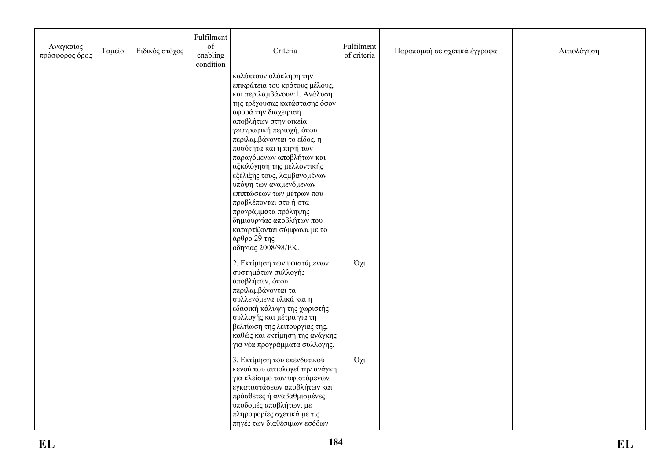| Αναγκαίος<br>πρόσφορος όρος | Ταμείο | Ειδικός στόχος | Fulfilment<br>of<br>enabling<br>condition | Criteria                                                                                                                                                                                                                                                                                                                                                                                                                                                                                                                                                                | Fulfilment<br>of criteria | Παραπομπή σε σχετικά έγγραφα | Αιτιολόγηση |
|-----------------------------|--------|----------------|-------------------------------------------|-------------------------------------------------------------------------------------------------------------------------------------------------------------------------------------------------------------------------------------------------------------------------------------------------------------------------------------------------------------------------------------------------------------------------------------------------------------------------------------------------------------------------------------------------------------------------|---------------------------|------------------------------|-------------|
|                             |        |                |                                           | καλύπτουν ολόκληρη την<br>επικράτεια του κράτους μέλους,<br>και περιλαμβάνουν: 1. Ανάλυση<br>της τρέχουσας κατάστασης όσον<br>αφορά την διαχείριση<br>αποβλήτων στην οικεία<br>γεωγραφική περιοχή, όπου<br>περιλαμβάνονται το είδος, η<br>ποσότητα και η πηγή των<br>παραγόμενων αποβλήτων και<br>αξιολόγηση της μελλοντικής<br>εξέλιξής τους, λαμβανομένων<br>υπόψη των αναμενόμενων<br>επιπτώσεων των μέτρων που<br>προβλέπονται στο ή στα<br>προγράμματα πρόληψης<br>δημιουργίας αποβλήτων που<br>καταρτίζονται σύμφωνα με το<br>άρθρο 29 της<br>οδηγίας 2008/98/ΕΚ. |                           |                              |             |
|                             |        |                |                                           | 2. Εκτίμηση των υφιστάμενων<br>συστημάτων συλλογής<br>αποβλήτων, όπου<br>περιλαμβάνονται τα<br>συλλεγόμενα υλικά και η<br>εδαφική κάλυψη της χωριστής<br>συλλογής και μέτρα για τη<br>βελτίωση της λειτουργίας της,<br>καθώς και εκτίμηση της ανάγκης<br>για νέα προγράμματα συλλογής.                                                                                                                                                                                                                                                                                  | $O\chi$ u                 |                              |             |
|                             |        |                |                                           | 3. Εκτίμηση του επενδυτικού<br>κενού που αιτιολογεί την ανάγκη<br>για κλείσιμο των υφιστάμενων<br>εγκαταστάσεων αποβλήτων και<br>πρόσθετες ή αναβαθμισμένες<br>υποδομές αποβλήτων, με<br>πληροφορίες σχετικά με τις<br>πηγές των διαθέσιμων εσόδων                                                                                                                                                                                                                                                                                                                      | $O\chi$ u                 |                              |             |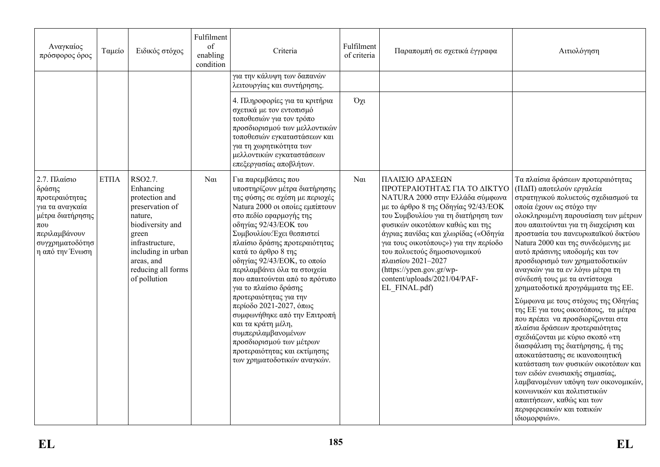| Αναγκαίος<br>πρόσφορος όρος                                                                                                                        | Ταμείο | Ειδικός στόχος                                                                                                                                                                                 | Fulfilment<br>of<br>enabling<br>condition | Criteria                                                                                                                                                                                                                                                                                                                                                                                                                                                                                                                                                                                                                   | Fulfilment<br>of criteria | Παραπομπή σε σχετικά έγγραφα                                                                                                                                                                                                                                                                                                                                                                                            | Αιτιολόγηση                                                                                                                                                                                                                                                                                                                                                                                                                                                                                                                                                                                                                                                                                                                                                                                                                                                                                                                                                        |
|----------------------------------------------------------------------------------------------------------------------------------------------------|--------|------------------------------------------------------------------------------------------------------------------------------------------------------------------------------------------------|-------------------------------------------|----------------------------------------------------------------------------------------------------------------------------------------------------------------------------------------------------------------------------------------------------------------------------------------------------------------------------------------------------------------------------------------------------------------------------------------------------------------------------------------------------------------------------------------------------------------------------------------------------------------------------|---------------------------|-------------------------------------------------------------------------------------------------------------------------------------------------------------------------------------------------------------------------------------------------------------------------------------------------------------------------------------------------------------------------------------------------------------------------|--------------------------------------------------------------------------------------------------------------------------------------------------------------------------------------------------------------------------------------------------------------------------------------------------------------------------------------------------------------------------------------------------------------------------------------------------------------------------------------------------------------------------------------------------------------------------------------------------------------------------------------------------------------------------------------------------------------------------------------------------------------------------------------------------------------------------------------------------------------------------------------------------------------------------------------------------------------------|
|                                                                                                                                                    |        |                                                                                                                                                                                                |                                           | για την κάλυψη των δαπανών<br>λειτουργίας και συντήρησης.                                                                                                                                                                                                                                                                                                                                                                                                                                                                                                                                                                  |                           |                                                                                                                                                                                                                                                                                                                                                                                                                         |                                                                                                                                                                                                                                                                                                                                                                                                                                                                                                                                                                                                                                                                                                                                                                                                                                                                                                                                                                    |
|                                                                                                                                                    |        |                                                                                                                                                                                                |                                           | 4. Πληροφορίες για τα κριτήρια<br>σχετικά με τον εντοπισμό<br>τοποθεσιών για τον τρόπο<br>προσδιορισμού των μελλοντικών<br>τοποθεσιών εγκαταστάσεων και<br>για τη χωρητικότητα των<br>μελλοντικών εγκαταστάσεων<br>επεξεργασίας αποβλήτων.                                                                                                                                                                                                                                                                                                                                                                                 | $O\chi$ u                 |                                                                                                                                                                                                                                                                                                                                                                                                                         |                                                                                                                                                                                                                                                                                                                                                                                                                                                                                                                                                                                                                                                                                                                                                                                                                                                                                                                                                                    |
| 2.7. Πλαίσιο<br>δράσης<br>προτεραιότητας<br>για τα αναγκαία<br>μέτρα διατήρησης<br>$\pi$ ov<br>περιλαμβάνουν<br>συγχρηματοδότησ<br>η από την Ένωση | ETIIA  | RSO2.7.<br>Enhancing<br>protection and<br>preservation of<br>nature,<br>biodiversity and<br>green<br>infrastructure,<br>including in urban<br>areas, and<br>reducing all forms<br>of pollution | $N\alpha$                                 | Για παρεμβάσεις που<br>υποστηρίζουν μέτρα διατήρησης<br>της φύσης σε σχέση με περιοχές<br>Natura 2000 οι οποίες εμπίπτουν<br>στο πεδίο εφαρμογής της<br>οδηγίας 92/43/ΕΟΚ του<br>Συμβουλίου: Έχει θεσπιστεί<br>πλαίσιο δράσης προτεραιότητας<br>κατά το άρθρο 8 της<br>οδηγίας 92/43/ΕΟΚ, το οποίο<br>περιλαμβάνει όλα τα στοιχεία<br>που απαιτούνται από το πρότυπο<br>για το πλαίσιο δράσης<br>προτεραιότητας για την<br>περίοδο 2021-2027, όπως<br>συμφωνήθηκε από την Επιτροπή<br>και τα κράτη μέλη,<br>συμπεριλαμβανομένων<br>προσδιορισμού των μέτρων<br>προτεραιότητας και εκτίμησης<br>των χρηματοδοτικών αναγκών. | $\alpha$                  | ΠΛΑΙΣΙΟ ΔΡΑΣΕΩΝ<br>ΠΡΟΤΕΡΑΙΟΤΗΤΑΣ ΓΙΑ ΤΟ ΔΙΚΤΥΟ<br>NATURA 2000 στην Ελλάδα σύμφωνα<br>με το άρθρο 8 της Οδηγίας 92/43/ΕΟΚ<br>του Συμβουλίου για τη διατήρηση των<br>φυσικών οικοτόπων καθώς και της<br>άγριας πανίδας και χλωρίδας («Οδηγία<br>για τους οικοτόπους») για την περίοδο<br>του πολυετούς δημοσιονομικού<br>πλαισίου 2021-2027<br>(https://ypen.gov.gr/wp-<br>content/uploads/2021/04/PAF-<br>EL FINAL.pdf) | Τα πλαίσια δράσεων προτεραιότητας<br>(ΠΔΠ) αποτελούν εργαλεία<br>στρατηγικού πολυετούς σχεδιασμού τα<br>οποία έχουν ως στόχο την<br>ολοκληρωμένη παρουσίαση των μέτρων<br>που απαιτούνται για τη διαχείριση και<br>προστασία του πανευρωπαϊκού δικτύου<br>Natura 2000 και της συνδεόμενης με<br>αυτό πράσινης υποδομής και τον<br>προσδιορισμό των χρηματοδοτικών<br>αναγκών για τα εν λόγω μέτρα τη<br>σύνδεσή τους με τα αντίστοιχα<br>χρηματοδοτικά προγράμματα της ΕΕ.<br>Σύμφωνα με τους στόχους της Οδηγίας<br>της ΕΕ για τους οικοτόπους, τα μέτρα<br>που πρέπει να προσδιορίζονται στα<br>πλαίσια δράσεων προτεραιότητας<br>σχεδιάζονται με κύριο σκοπό «τη<br>διασφάλιση της διατήρησης, ή της<br>αποκατάστασης σε ικανοποιητική<br>κατάσταση των φυσικών οικοτόπων και<br>των ειδών ενωσιακής σημασίας,<br>λαμβανομένων υπόψη των οικονομικών,<br>κοινωνικών και πολιτιστικών<br>απαιτήσεων, καθώς και των<br>περιφερειακών και τοπικών<br>ιδιομορφιών». |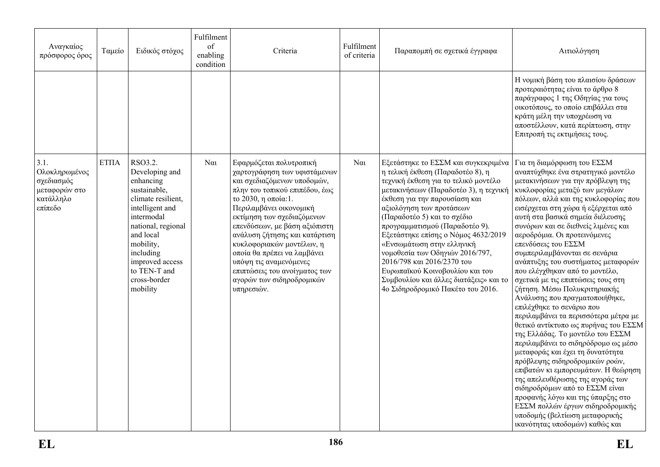| Αναγκαίος<br>πρόσφορος όρος                                                  | Ταμείο      | Ειδικός στόχος                                                                                                                                                                                                                            | Fulfilment<br>of<br>enabling<br>condition | Criteria                                                                                                                                                                                                                                                                                                                                                                                                                                     | Fulfilment<br>of criteria | Παραπομπή σε σχετικά έγγραφα                                                                                                                                                                                                                                                                                                                                                                                                                                                                                                                  | Αιτιολόγηση                                                                                                                                                                                                                                                                                                                                                                                                                                                                                                                                                                                                                                                                                                                                                                                                                                                                                                                                                                                                                                                                                       |
|------------------------------------------------------------------------------|-------------|-------------------------------------------------------------------------------------------------------------------------------------------------------------------------------------------------------------------------------------------|-------------------------------------------|----------------------------------------------------------------------------------------------------------------------------------------------------------------------------------------------------------------------------------------------------------------------------------------------------------------------------------------------------------------------------------------------------------------------------------------------|---------------------------|-----------------------------------------------------------------------------------------------------------------------------------------------------------------------------------------------------------------------------------------------------------------------------------------------------------------------------------------------------------------------------------------------------------------------------------------------------------------------------------------------------------------------------------------------|---------------------------------------------------------------------------------------------------------------------------------------------------------------------------------------------------------------------------------------------------------------------------------------------------------------------------------------------------------------------------------------------------------------------------------------------------------------------------------------------------------------------------------------------------------------------------------------------------------------------------------------------------------------------------------------------------------------------------------------------------------------------------------------------------------------------------------------------------------------------------------------------------------------------------------------------------------------------------------------------------------------------------------------------------------------------------------------------------|
|                                                                              |             |                                                                                                                                                                                                                                           |                                           |                                                                                                                                                                                                                                                                                                                                                                                                                                              |                           |                                                                                                                                                                                                                                                                                                                                                                                                                                                                                                                                               | Η νομική βάση του πλαισίου δράσεων<br>προτεραιότητας είναι το άρθρο 8<br>παράγραφος 1 της Οδηγίας για τους<br>οικοτόπους, το οποίο επιβάλλει στα<br>κράτη μέλη την υποχρέωση να<br>αποστέλλουν, κατά περίπτωση, στην<br>Επιτροπή τις εκτιμήσεις τους.                                                                                                                                                                                                                                                                                                                                                                                                                                                                                                                                                                                                                                                                                                                                                                                                                                             |
| 3.1.<br>Ολοκληρωμένος<br>σχεδιασμός<br>μεταφορών στο<br>κατάλληλο<br>επίπεδο | <b>ΕΤΠΑ</b> | RSO3.2.<br>Developing and<br>enhancing<br>sustainable,<br>climate resilient,<br>intelligent and<br>intermodal<br>national, regional<br>and local<br>mobility,<br>including<br>improved access<br>to TEN-T and<br>cross-border<br>mobility | $N\alpha$                                 | Εφαρμόζεται πολυτροπική<br>χαρτογράφηση των υφιστάμενων<br>και σχεδιαζόμενων υποδομών,<br>πλην του τοπικού επιπέδου, έως<br>το 2030, η οποία:1.<br>Περιλαμβάνει οικονομική<br>εκτίμηση των σχεδιαζόμενων<br>επενδύσεων, με βάση αξιόπιστη<br>ανάλυση ζήτησης και κατάρτιση<br>κυκλοφοριακών μοντέλων, η<br>οποία θα πρέπει να λαμβάνει<br>υπόψη τις αναμενόμενες<br>επιπτώσεις του ανοίγματος των<br>αγορών των σιδηροδρομικών<br>υπηρεσιών. | $N\alpha$                 | Εξετάστηκε το ΕΣΣΜ και συγκεκριμένα<br>η τελική έκθεση (Παραδοτέο 8), η<br>τεχνική έκθεση για το τελικό μοντέλο<br>μετακινήσεων (Παραδοτέο 3), η τεχνική<br>έκθεση για την παρουσίαση και<br>αξιολόγηση των προτάσεων<br>(Παραδοτέο 5) και το σχέδιο<br>προγραμματισμού (Παραδοτέο 9).<br>Εξετάστηκε επίσης ο Νόμος 4632/2019<br>«Ενσωμάτωση στην ελληνική<br>νομοθεσία των Οδηγιών 2016/797,<br>2016/798 και 2016/2370 του<br>Ευρωπαϊκού Κοινοβουλίου και του<br>Συμβουλίου και άλλες διατάξεις» και το<br>4ο Σιδηροδρομικό Πακέτο του 2016. | Για τη διαμόρφωση του ΕΣΣΜ<br>αναπτύχθηκε ένα στρατηγικό μοντέλο<br>μετακινήσεων για την πρόβλεψη της<br>κυκλοφορίας μεταξύ των μεγάλων<br>πόλεων, αλλά και της κυκλοφορίας που<br>εισέρχεται στη χώρα ή εξέρχεται από<br>αυτή στα βασικά σημεία διέλευσης<br>συνόρων και σε διεθνείς λιμένες και<br>αεροδρόμια. Οι προτεινόμενες<br>επενδύσεις του ΕΣΣΜ<br>συμπεριλαμβάνονται σε σενάρια<br>ανάπτυξης του συστήματος μεταφορών<br>που ελέγχθηκαν από το μοντέλο,<br>σχετικά με τις επιπτώσεις τους στη<br>ζήτηση. Μέσω Πολυκριτηριακής<br>Ανάλυσης που πραγματοποιήθηκε,<br>επιλέχθηκε το σενάριο που<br>περιλαμβάνει τα περισσότερα μέτρα με<br>θετικό αντίκτυπο ως πυρήνας του ΕΣΣΜ<br>της Ελλάδας. Το μοντέλο του ΕΣΣΜ<br>περιλαμβάνει το σιδηρόδρομο ως μέσο<br>μεταφοράς και έχει τη δυνατότητα<br>πρόβλεψης σιδηροδρομικών ροών,<br>επιβατών κι εμπορευμάτων. Η θεώρηση<br>της απελευθέρωσης της αγοράς των<br>σιδηροδρόμων από το ΕΣΣΜ είναι<br>προφανής λόγω και της ύπαρξης στο<br>ΕΣΣΜ πολλών έργων σιδηροδρομικής<br>υποδομής (βελτίωση μεταφορικής<br>ικανότητας υποδομών) καθώς και |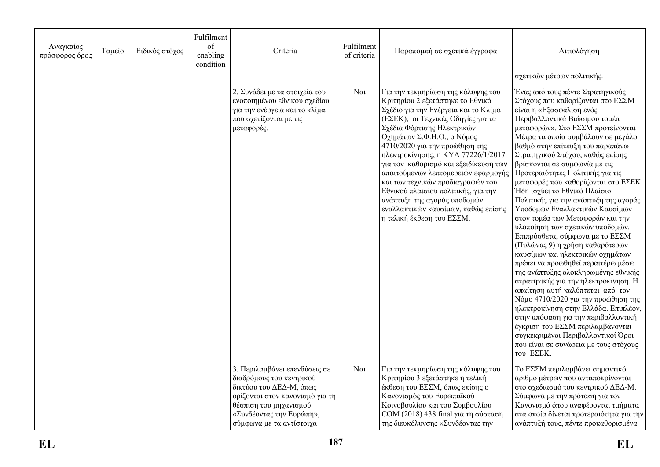| Αναγκαίος<br>πρόσφορος όρος | Ταμείο | Ειδικός στόχος | Fulfilment<br>of<br>enabling<br>condition | Criteria                                                                                                                                                                                                  | Fulfilment<br>of criteria | Παραπομπή σε σχετικά έγγραφα                                                                                                                                                                                                                                                                                                                                                                                                                                                                                                                             | Αιτιολόγηση                                                                                                                                                                                                                                                                                                                                                                                                                                                                                                                                                                                                                                                                                                                                                                                                                                                                                                                                                                                                                                                                                                    |
|-----------------------------|--------|----------------|-------------------------------------------|-----------------------------------------------------------------------------------------------------------------------------------------------------------------------------------------------------------|---------------------------|----------------------------------------------------------------------------------------------------------------------------------------------------------------------------------------------------------------------------------------------------------------------------------------------------------------------------------------------------------------------------------------------------------------------------------------------------------------------------------------------------------------------------------------------------------|----------------------------------------------------------------------------------------------------------------------------------------------------------------------------------------------------------------------------------------------------------------------------------------------------------------------------------------------------------------------------------------------------------------------------------------------------------------------------------------------------------------------------------------------------------------------------------------------------------------------------------------------------------------------------------------------------------------------------------------------------------------------------------------------------------------------------------------------------------------------------------------------------------------------------------------------------------------------------------------------------------------------------------------------------------------------------------------------------------------|
|                             |        |                |                                           |                                                                                                                                                                                                           |                           |                                                                                                                                                                                                                                                                                                                                                                                                                                                                                                                                                          | σχετικών μέτρων πολιτικής.                                                                                                                                                                                                                                                                                                                                                                                                                                                                                                                                                                                                                                                                                                                                                                                                                                                                                                                                                                                                                                                                                     |
|                             |        |                |                                           | 2. Συνάδει με τα στοιχεία του<br>ενοποιημένου εθνικού σχεδίου<br>για την ενέργεια και το κλίμα<br>που σχετίζονται με τις<br>μεταφορές.                                                                    | $N\alpha$                 | Για την τεκμηρίωση της κάλυψης του<br>Κριτηρίου 2 εξετάστηκε το Εθνικό<br>Σχέδιο για την Ενέργεια και το Κλίμα<br>(ΕΣΕΚ), οι Τεχνικές Οδηγίες για τα<br>Σχέδια Φόρτισης Ηλεκτρικών<br>Οχημάτων Σ.Φ.Η.Ο., ο Νόμος<br>4710/2020 για την προώθηση της<br>ηλεκτροκίνησης, η ΚΥΑ 77226/1/2017<br>για τον καθορισμό και εξειδίκευση των<br>απαιτούμενων λεπτομερειών εφαρμογής<br>και των τεχνικών προδιαγραφών του<br>Εθνικού πλαισίου πολιτικής, για την<br>ανάπτυξη της αγοράς υποδομών<br>εναλλακτικών καυσίμων, καθώς επίσης<br>η τελική έκθεση του ΕΣΣΜ. | Ένας από τους πέντε Στρατηγικούς<br>Στόχους που καθορίζονται στο ΕΣΣΜ<br>είναι η «Εξασφάλιση ενός<br>Περιβαλλοντικά Βιώσιμου τομέα<br>μεταφορών». Στο ΕΣΣΜ προτείνονται<br>Μέτρα τα οποία συμβάλουν σε μεγάλο<br>βαθμό στην επίτευξη του παραπάνω<br>Στρατηγικού Στόχου, καθώς επίσης<br>βρίσκονται σε συμφωνία με τις<br>Προτεραιότητες Πολιτικής για τις<br>μεταφορές που καθορίζονται στο ΕΣΕΚ.<br>Ήδη ισχύει το Εθνικό Πλαίσιο<br>Πολιτικής για την ανάπτυξη της αγοράς<br>Υποδομών Εναλλακτικών Καυσίμων<br>στον τομέα των Μεταφορών και την<br>υλοποίηση των σχετικών υποδομών.<br>Επιπρόσθετα, σύμφωνα με το ΕΣΣΜ<br>(Πυλώνας 9) η χρήση καθαρότερων<br>καυσίμων και ηλεκτρικών οχημάτων<br>πρέπει να προωθηθεί περαιτέρω μέσω<br>της ανάπτυξης ολοκληρωμένης εθνικής<br>στρατηγικής για την ηλεκτροκίνηση. Η<br>απαίτηση αυτή καλύπτεται από τον<br>Νόμο 4710/2020 για την προώθηση της<br>ηλεκτροκίνηση στην Ελλάδα. Επιπλέον,<br>στην απόφαση για την περιβαλλοντική<br>έγκριση του ΕΣΣΜ περιλαμβάνονται<br>συγκεκριμένοι Περιβαλλοντικοί Όροι<br>που είναι σε συνάφεια με τους στόχους<br>του ΕΣΕΚ. |
|                             |        |                |                                           | 3. Περιλαμβάνει επενδύσεις σε<br>διαδρόμους του κεντρικού<br>δικτύου του ΔΕΔ-Μ, όπως<br>ορίζονται στον κανονισμό για τη<br>θέσπιση του μηχανισμού<br>«Συνδέοντας την Ευρώπη»,<br>σύμφωνα με τα αντίστοιχα | $N\alpha$                 | Για την τεκμηρίωση της κάλυψης του<br>Κριτηρίου 3 εξετάστηκε η τελική<br>έκθεση του ΕΣΣΜ, όπως επίσης ο<br>Κανονισμός του Ευρωπαϊκού<br>Κοινοβουλίου και του Συμβουλίου<br>COM (2018) 438 final για τη σύσταση<br>της διευκόλυνσης «Συνδέοντας την                                                                                                                                                                                                                                                                                                       | Το ΕΣΣΜ περιλαμβάνει σημαντικό<br>αριθμό μέτρων που ανταποκρίνονται<br>στο σχεδιασμό του κεντρικού ΔΕΔ-Μ.<br>Σύμφωνα με την πρόταση για τον<br>Κανονισμό όπου αναφέρονται τμήματα<br>στα οποία δίνεται προτεραιότητα για την<br>ανάπτυξή τους, πέντε προκαθορισμένα                                                                                                                                                                                                                                                                                                                                                                                                                                                                                                                                                                                                                                                                                                                                                                                                                                            |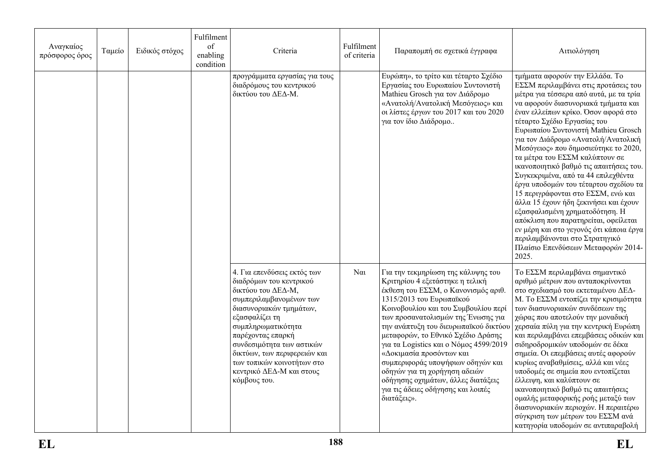| Αναγκαίος<br>πρόσφορος όρος | Ταμείο | Ειδικός στόχος | Fulfilment<br>of<br>enabling<br>condition | Criteria                                                                                                                                                                                                                                                                                                                               | Fulfilment<br>of criteria | Παραπομπή σε σχετικά έγγραφα                                                                                                                                                                                                                                                                                                                                                                                                                                                                                                                 | Αιτιολόγηση                                                                                                                                                                                                                                                                                                                                                                                                                                                                                                                                                                                                                                                                                                                                                                                           |
|-----------------------------|--------|----------------|-------------------------------------------|----------------------------------------------------------------------------------------------------------------------------------------------------------------------------------------------------------------------------------------------------------------------------------------------------------------------------------------|---------------------------|----------------------------------------------------------------------------------------------------------------------------------------------------------------------------------------------------------------------------------------------------------------------------------------------------------------------------------------------------------------------------------------------------------------------------------------------------------------------------------------------------------------------------------------------|-------------------------------------------------------------------------------------------------------------------------------------------------------------------------------------------------------------------------------------------------------------------------------------------------------------------------------------------------------------------------------------------------------------------------------------------------------------------------------------------------------------------------------------------------------------------------------------------------------------------------------------------------------------------------------------------------------------------------------------------------------------------------------------------------------|
|                             |        |                |                                           | προγράμματα εργασίας για τους<br>διαδρόμους του κεντρικού<br>δικτύου του ΔΕΔ-Μ.                                                                                                                                                                                                                                                        |                           | Ευρώπη», το τρίτο και τέταρτο Σχέδιο<br>Εργασίας του Ευρωπαίου Συντονιστή<br>Mathieu Grosch για τον Διάδρομο<br>«Ανατολή/Ανατολική Μεσόγειος» και<br>οι λίστες έργων του 2017 και του 2020<br>για τον ίδιο Διάδρομο                                                                                                                                                                                                                                                                                                                          | τμήματα αφορούν την Ελλάδα. Το<br>ΕΣΣΜ περιλαμβάνει στις προτάσεις του<br>μέτρα για τέσσερα από αυτά, με τα τρία<br>να αφορούν διασυνοριακά τμήματα και<br>έναν ελλείπων κρίκο. Όσον αφορά στο<br>τέταρτο Σχέδιο Εργασίας του<br>Ευρωπαίου Συντονιστή Mathieu Grosch<br>για τον Διάδρομο «Ανατολή/Ανατολική<br>Μεσόγειος» που δημοσιεύτηκε το 2020,<br>τα μέτρα του ΕΣΣΜ καλύπτουν σε<br>ικανοποιητικό βαθμό τις απαιτήσεις του.<br>Συγκεκριμένα, από τα 44 επιλεχθέντα<br>έργα υποδομών του τέταρτου σχεδίου τα<br>15 περιγράφονται στο ΕΣΣΜ, ενώ και<br>άλλα 15 έχουν ήδη ξεκινήσει και έχουν<br>εξασφαλισμένη χρηματοδότηση. Η<br>απόκλιση που παρατηρείται, οφείλεται<br>εν μέρη και στο γεγονός ότι κάποια έργα<br>περιλαμβάνονται στο Στρατηγικό<br>Πλαίσιο Επενδύσεων Μεταφορών 2014-<br>2025. |
|                             |        |                |                                           | 4. Για επενδύσεις εκτός των<br>διαδρόμων του κεντρικού<br>δικτύου του ΔΕΔ-Μ,<br>συμπεριλαμβανομένων των<br>διασυνοριακών τμημάτων,<br>εξασφαλίζει τη<br>συμπληρωματικότητα<br>παρέχοντας επαρκή<br>συνδεσιμότητα των αστικών<br>δικτύων, των περιφερειών και<br>των τοπικών κοινοτήτων στο<br>κεντρικό ΔΕΔ-Μ και στους<br>κόμβους του. | $N\alpha$                 | Για την τεκμηρίωση της κάλυψης του<br>Κριτηρίου 4 εξετάστηκε η τελική<br>έκθεση του ΕΣΣΜ, ο Κανονισμός αριθ.<br>1315/2013 του Ευρωπαϊκού<br>Κοινοβουλίου και του Συμβουλίου περί<br>των προσανατολισμών της Ένωσης για<br>την ανάπτυξη του διευρωπαϊκού δικτύου<br>μεταφορών, το Εθνικό Σχέδιο Δράσης<br>για τα Logistics και ο Νόμος 4599/2019<br>«Δοκιμασία προσόντων και<br>συμπεριφοράς υποψήφιων οδηγών και<br>οδηγών για τη χορήγηση αδειών<br>οδήγησης οχημάτων, άλλες διατάξεις<br>για τις άδειες οδήγησης και λοιπές<br>διατάξεις». | Το ΕΣΣΜ περιλαμβάνει σημαντικό<br>αριθμό μέτρων που ανταποκρίνονται<br>στο σχεδιασμό του εκτεταμένου ΔΕΔ-<br>Μ. Το ΕΣΣΜ εντοπίζει την κρισιμότητα<br>των διασυνοριακών συνδέσεων της<br>χώρας που αποτελούν την μοναδική<br>χερσαία πύλη για την κεντρική Ευρώπη<br>και περιλαμβάνει επεμβάσεις οδικών και<br>σιδηροδρομικών υποδομών σε δέκα<br>σημεία. Οι επεμβάσεις αυτές αφορούν<br>κυρίως αναβαθμίσεις, αλλά και νέες<br>υποδομές σε σημεία που εντοπίζεται<br>έλλειψη, και καλύπτουν σε<br>ικανοποιητικό βαθμό τις απαιτήσεις<br>ομαλής μεταφορικής ροής μεταξύ των<br>διασυνοριακών περιοχών. Η περαιτέρω<br>σύγκριση των μέτρων του ΕΣΣΜ ανά<br>κατηγορία υποδομών σε αντιπαραβολή                                                                                                            |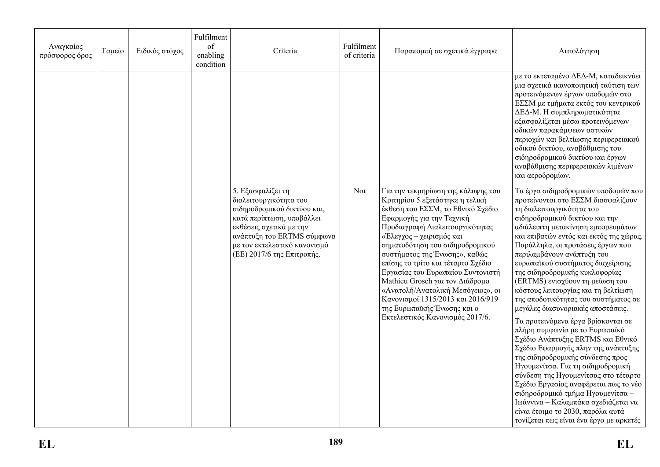| Αναγκαίος<br>πρόσφορος όρος | Ταμείο | Ειδικός στόχος | Fulfilment<br>of<br>enabling<br>condition | Criteria                                                                                                                                                                                                                       | Fulfilment<br>of criteria | Παραπομπή σε σχετικά έγγραφα                                                                                                                                                                                                                                                                                                                                                                                                                                                                                                         | Αιτιολόγηση                                                                                                                                                                                                                                                                                                                                                                                                                                                                                                                                                                                                                                                                                                                                                                                                                                                                                                                                                                                          |
|-----------------------------|--------|----------------|-------------------------------------------|--------------------------------------------------------------------------------------------------------------------------------------------------------------------------------------------------------------------------------|---------------------------|--------------------------------------------------------------------------------------------------------------------------------------------------------------------------------------------------------------------------------------------------------------------------------------------------------------------------------------------------------------------------------------------------------------------------------------------------------------------------------------------------------------------------------------|------------------------------------------------------------------------------------------------------------------------------------------------------------------------------------------------------------------------------------------------------------------------------------------------------------------------------------------------------------------------------------------------------------------------------------------------------------------------------------------------------------------------------------------------------------------------------------------------------------------------------------------------------------------------------------------------------------------------------------------------------------------------------------------------------------------------------------------------------------------------------------------------------------------------------------------------------------------------------------------------------|
|                             |        |                |                                           |                                                                                                                                                                                                                                |                           |                                                                                                                                                                                                                                                                                                                                                                                                                                                                                                                                      | με το εκτεταμένο ΔΕΔ-Μ, καταδεικνύει<br>μια σχετικά ικανοποιητική ταύτιση των<br>προτεινόμενων έργων υποδομών στο<br>ΕΣΣΜ με τμήματα εκτός του κεντρικού<br>ΔΕΔ-Μ. Η συμπληρωματικότητα<br>εξασφαλίζεται μέσω προτεινόμενων<br>οδικών παρακάμψεων αστικών<br>περιοχών και βελτίωσης περιφερειακού<br>οδικού δικτύου, αναβάθμισης του<br>σιδηροδρομικού δικτύου και έργων<br>αναβάθμισης περιφερειακών λιμένων<br>και αεροδρομίων.                                                                                                                                                                                                                                                                                                                                                                                                                                                                                                                                                                    |
|                             |        |                |                                           | 5. Εξασφαλίζει τη<br>διαλειτουργικότητα του<br>σιδηροδρομικού δικτύου και,<br>κατά περίπτωση, υποβάλλει<br>εκθέσεις σχετικά με την<br>ανάπτυξη του ERTMS σύμφωνα<br>με τον εκτελεστικό κανονισμό<br>(ΕΕ) 2017/6 της Επιτροπής. | $N\alpha$                 | Για την τεκμηρίωση της κάλυψης του<br>Κριτηρίου 5 εξετάστηκε η τελική<br>έκθεση του ΕΣΣΜ, το Εθνικό Σχέδιο<br>Εφαρμογής για την Τεχνική<br>Προδιαγραφή Διαλειτουργικότητας<br>«Έλεγχος - χειρισμός και<br>σηματοδότηση του σιδηροδρομικού<br>συστήματος της Ένωσης», καθώς<br>επίσης το τρίτο και τέταρτο Σχέδιο<br>Εργασίας του Ευρωπαίου Συντονιστή<br>Mathieu Grosch για τον Διάδρομο<br>«Ανατολή/Ανατολική Μεσόγειος», οι<br>Κανονισμοί 1315/2013 και 2016/919<br>της Ευρωπαϊκής Ένωσης και ο<br>Εκτελεστικός Κανονισμός 2017/6. | Τα έργα σιδηροδρομικών υποδομών που<br>προτείνονται στο ΕΣΣΜ διασφαλίζουν<br>τη διαλειτουργικότητα του<br>σιδηροδρομικού δικτύου και την<br>αδιάλειπτη μετακίνηση εμπορευμάτων<br>και επιβατών εντός και εκτός της χώρας.<br>Παράλληλα, οι προτάσεις έργων που<br>περιλαμβάνουν ανάπτυξη του<br>ευρωπαϊκού συστήματος διαχείρισης<br>της σιδηροδρομικής κυκλοφορίας<br>(ERTMS) ενισχύουν τη μείωση του<br>κόστους λειτουργίας και τη βελτίωση<br>της αποδοτικότητας του συστήματος σε<br>μεγάλες διασυνοριακές αποστάσεις.<br>Τα προτεινόμενα έργα βρίσκονται σε<br>πλήρη συμφωνία με το Ευρωπαϊκό<br>Σχέδιο Ανάπτυξης ERTMS και Εθνικό<br>Σχέδιο Εφαρμογής πλην της ανάπτυξης<br>της σιδηροδρομικής σύνδεσης προς<br>Ηγουμενίτσα. Για τη σιδηροδρομική<br>σύνδεση της Ηγουμενίτσας στο τέταρτο<br>Σχέδιο Εργασίας αναφέρεται πως το νέο<br>σιδηροδρομικό τμήμα Ηγουμενίτσα -<br>Ιωάννινα - Καλαμπάκα σχεδιάζεται να<br>είναι έτοιμο το 2030, παρόλα αυτά<br>τονίζεται πως είναι ένα έργο με αρκετές |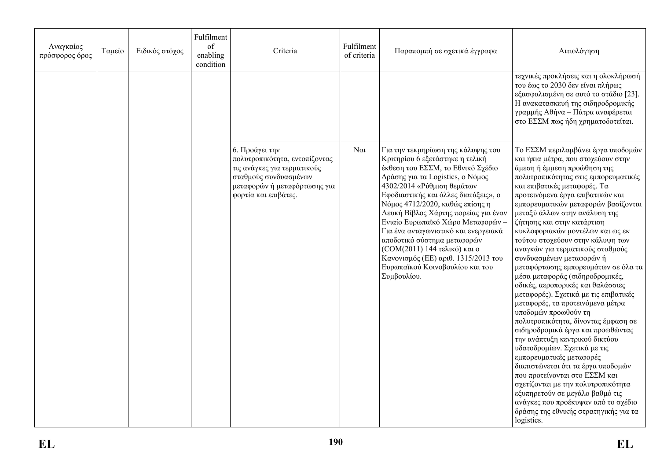| Αναγκαίος<br>πρόσφορος όρος | Ταμείο | Ειδικός στόχος | Fulfilment<br>of<br>enabling<br>condition | Criteria                                                                                                                                                        | Fulfilment<br>of criteria | Παραπομπή σε σχετικά έγγραφα                                                                                                                                                                                                                                                                                                                                                                                                                                                                                                         | Αιτιολόγηση                                                                                                                                                                                                                                                                                                                                                                                                                                                                                                                                                                                                                                                                                                                                                                                                                                                                                                                                                                                                                                                                                                   |
|-----------------------------|--------|----------------|-------------------------------------------|-----------------------------------------------------------------------------------------------------------------------------------------------------------------|---------------------------|--------------------------------------------------------------------------------------------------------------------------------------------------------------------------------------------------------------------------------------------------------------------------------------------------------------------------------------------------------------------------------------------------------------------------------------------------------------------------------------------------------------------------------------|---------------------------------------------------------------------------------------------------------------------------------------------------------------------------------------------------------------------------------------------------------------------------------------------------------------------------------------------------------------------------------------------------------------------------------------------------------------------------------------------------------------------------------------------------------------------------------------------------------------------------------------------------------------------------------------------------------------------------------------------------------------------------------------------------------------------------------------------------------------------------------------------------------------------------------------------------------------------------------------------------------------------------------------------------------------------------------------------------------------|
|                             |        |                |                                           |                                                                                                                                                                 |                           |                                                                                                                                                                                                                                                                                                                                                                                                                                                                                                                                      | τεχνικές προκλήσεις και η ολοκλήρωσή<br>του έως το 2030 δεν είναι πλήρως<br>εξασφαλισμένη σε αυτό το στάδιο [23].<br>Η ανακατασκευή της σιδηροδρομικής<br>γραμμής Αθήνα – Πάτρα αναφέρεται<br>στο ΕΣΣΜ πως ήδη χρηματοδοτείται.                                                                                                                                                                                                                                                                                                                                                                                                                                                                                                                                                                                                                                                                                                                                                                                                                                                                               |
|                             |        |                |                                           | 6. Προάγει την<br>πολυτροπικότητα, εντοπίζοντας<br>τις ανάγκες για τερματικούς<br>σταθμούς συνδυασμένων<br>μεταφορών ή μεταφόρτωσης για<br>φορτία και επιβάτες. | $\alpha$                  | Για την τεκμηρίωση της κάλυψης του<br>Κριτηρίου 6 εξετάστηκε η τελική<br>έκθεση του ΕΣΣΜ, το Εθνικό Σχέδιο<br>Δράσης για τα Logistics, ο Νόμος<br>4302/2014 «Ρύθμιση θεμάτων<br>Εφοδιαστικής και άλλες διατάξεις», ο<br>Νόμος 4712/2020, καθώς επίσης η<br>Λευκή Βίβλος Χάρτης πορείας για έναν<br>Ενιαίο Ευρωπαϊκό Χώρο Μεταφορών -<br>Για ένα ανταγωνιστικό και ενεργειακά<br>αποδοτικό σύστημα μεταφορών<br>(COM(2011) 144 τελικό) και ο<br>Κανονισμός (ΕΕ) αριθ. 1315/2013 του<br>Ευρωπαϊκού Κοινοβουλίου και του<br>Συμβουλίου. | Το ΕΣΣΜ περιλαμβάνει έργα υποδομών<br>και ήπια μέτρα, που στοχεύουν στην<br>άμεση ή έμμεση προώθηση της<br>πολυτροπικότητας στις εμπορευματικές<br>και επιβατικές μεταφορές. Τα<br>προτεινόμενα έργα επιβατικών και<br>εμπορευματικών μεταφορών βασίζονται<br>μεταξύ άλλων στην ανάλυση της<br>ζήτησης και στην κατάρτιση<br>κυκλοφοριακών μοντέλων και ως εκ<br>τούτου στοχεύουν στην κάλυψη των<br>αναγκών για τερματικούς σταθμούς<br>συνδυασμένων μεταφορών ή<br>μεταφόρτωσης εμπορευμάτων σε όλα τα<br>μέσα μεταφοράς (σιδηροδρομικές,<br>οδικές, αεροπορικές και θαλάσσιες<br>μεταφορές). Σχετικά με τις επιβατικές<br>μεταφορές, τα προτεινόμενα μέτρα<br>υποδομών προωθούν τη<br>πολυτροπικότητα, δίνοντας έμφαση σε<br>σιδηροδρομικά έργα και προωθώντας<br>την ανάπτυξη κεντρικού δικτύου<br>υδατοδρομίων. Σχετικά με τις<br>εμπορευματικές μεταφορές<br>διαπιστώνεται ότι τα έργα υποδομών<br>που προτείνονται στο ΕΣΣΜ και<br>σχετίζονται με την πολυτροπικότητα<br>εξυπηρετούν σε μεγάλο βαθμό τις<br>ανάγκες που προέκυψαν από το σχέδιο<br>δράσης της εθνικής στρατηγικής για τα<br>logistics. |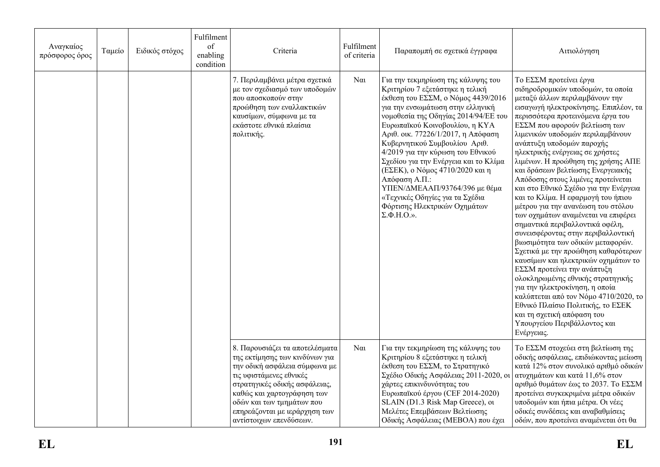| Αναγκαίος<br>πρόσφορος όρος | Ταμείο | Ειδικός στόχος | Fulfilment<br>of<br>enabling<br>condition | Criteria                                                                                                                                                                                                                                                                             | Fulfilment<br>of criteria | Παραπομπή σε σχετικά έγγραφα                                                                                                                                                                                                                                                                                                                                                                                                                                                                                                                                                         | Αιτιολόγηση                                                                                                                                                                                                                                                                                                                                                                                                                                                                                                                                                                                                                                                                                                                                                                                                                                                                                                                                                                                                                                                |
|-----------------------------|--------|----------------|-------------------------------------------|--------------------------------------------------------------------------------------------------------------------------------------------------------------------------------------------------------------------------------------------------------------------------------------|---------------------------|--------------------------------------------------------------------------------------------------------------------------------------------------------------------------------------------------------------------------------------------------------------------------------------------------------------------------------------------------------------------------------------------------------------------------------------------------------------------------------------------------------------------------------------------------------------------------------------|------------------------------------------------------------------------------------------------------------------------------------------------------------------------------------------------------------------------------------------------------------------------------------------------------------------------------------------------------------------------------------------------------------------------------------------------------------------------------------------------------------------------------------------------------------------------------------------------------------------------------------------------------------------------------------------------------------------------------------------------------------------------------------------------------------------------------------------------------------------------------------------------------------------------------------------------------------------------------------------------------------------------------------------------------------|
|                             |        |                |                                           | 7. Περιλαμβάνει μέτρα σχετικά<br>με τον σχεδιασμό των υποδομών<br>που αποσκοπούν στην<br>προώθηση των εναλλακτικών<br>καυσίμων, σύμφωνα με τα<br>εκάστοτε εθνικά πλαίσια<br>πολιτικής.                                                                                               | $N\alpha$                 | Για την τεκμηρίωση της κάλυψης του<br>Κριτηρίου 7 εξετάστηκε η τελική<br>έκθεση του ΕΣΣΜ, ο Νόμος 4439/2016<br>για την ενσωμάτωση στην ελληνική<br>νομοθεσία της Οδηγίας 2014/94/ΕΕ του<br>Ευρωπαϊκού Κοινοβουλίου, η ΚΥΑ<br>Αριθ. οικ. 77226/1/2017, η Απόφαση<br>Κυβερνητικού Συμβουλίου Αριθ.<br>4/2019 για την κύρωση του Εθνικού<br>Σχεδίου για την Ενέργεια και το Κλίμα<br>(ΕΣΕΚ), ο Νόμος 4710/2020 και η<br>Απόφαση Α.Π.:<br>ΥΠΕΝ/ΔΜΕΑΑΠ/93764/396 με θέμα<br>«Τεχνικές Οδηγίες για τα Σχέδια<br>Φόρτισης Ηλεκτρικών Οχημάτων<br>$\Sigma$ , $\Phi$ , $H$ , $O$ , $\Sigma$ , | Το ΕΣΣΜ προτείνει έργα<br>σιδηροδρομικών υποδομών, τα οποία<br>μεταξύ άλλων περιλαμβάνουν την<br>εισαγωγή ηλεκτροκίνησης. Επιπλέον, τα<br>περισσότερα προτεινόμενα έργα του<br>ΕΣΣΜ που αφορούν βελτίωση των<br>λιμενικών υποδομών περιλαμβάνουν<br>ανάπτυξη υποδομών παροχής<br>ηλεκτρικής ενέργειας σε χρήστες<br>λιμένων. Η προώθηση της χρήσης ΑΠΕ<br>και δράσεων βελτίωσης Ενεργειακής<br>Απόδοσης στους λιμένες προτείνεται<br>και στο Εθνικό Σχέδιο για την Ενέργεια<br>και το Κλίμα. Η εφαρμογή του ήπιου<br>μέτρου για την ανανέωση του στόλου<br>των οχημάτων αναμένεται να επιφέρει<br>σημαντικά περιβαλλοντικά οφέλη,<br>συνεισφέροντας στην περιβαλλοντική<br>βιωσιμότητα των οδικών μεταφορών.<br>Σχετικά με την προώθηση καθαρότερων<br>καυσίμων και ηλεκτρικών οχημάτων το<br>ΕΣΣΜ προτείνει την ανάπτυξη<br>ολοκληρωμένης εθνικής στρατηγικής<br>για την ηλεκτροκίνηση, η οποία<br>καλύπτεται από τον Νόμο 4710/2020, το<br>Εθνικό Πλαίσιο Πολιτικής, το ΕΣΕΚ<br>και τη σχετική απόφαση του<br>Υπουργείου Περιβάλλοντος και<br>Ενέργειας. |
|                             |        |                |                                           | 8. Παρουσιάζει τα αποτελέσματα<br>της εκτίμησης των κινδύνων για<br>την οδική ασφάλεια σύμφωνα με<br>τις υφιστάμενες εθνικές<br>στρατηγικές οδικής ασφάλειας,<br>καθώς και χαρτογράφηση των<br>οδών και των τμημάτων που<br>επηρεάζονται με ιεράρχηση των<br>αντίστοιχων επενδύσεων. | $N\alpha$                 | Για την τεκμηρίωση της κάλυψης του<br>Κριτηρίου 8 εξετάστηκε η τελική<br>έκθεση του ΕΣΣΜ, το Στρατηγικό<br>Σχέδιο Οδικής Ασφάλειας 2011-2020, οι<br>χάρτες επικινδυνότητας του<br>Ευρωπαϊκού έργου (CEF 2014-2020)<br>SLAIN (D1.3 Risk Map Greece), ot<br>Μελέτες Επεμβάσεων Βελτίωσης<br>Οδικής Ασφάλειας (ΜΕΒΟΑ) που έχει                                                                                                                                                                                                                                                          | Το ΕΣΣΜ στοχεύει στη βελτίωση της<br>οδικής ασφάλειας, επιδιώκοντας μείωση<br>κατά 12% στον συνολικό αριθμό οδικών<br>ατυχημάτων και κατά 11,6% στον<br>αριθμό θυμάτων έως το 2037. Το ΕΣΣΜ<br>προτείνει συγκεκριμένα μέτρα οδικών<br>υποδομών και ήπια μέτρα. Οι νέες<br>οδικές συνδέσεις και αναβαθμίσεις<br>οδών, που προτείνει αναμένεται ότι θα                                                                                                                                                                                                                                                                                                                                                                                                                                                                                                                                                                                                                                                                                                       |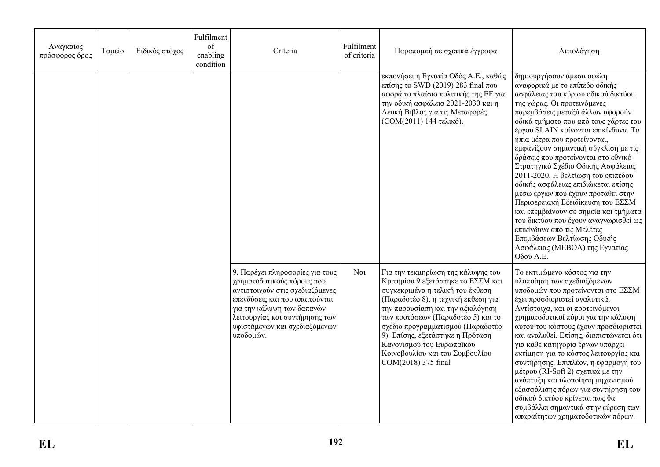| Αναγκαίος<br>πρόσφορος όρος | Ταμείο | Ειδικός στόχος | Fulfilment<br>of<br>enabling<br>condition | Criteria                                                                                                                                                                                                                                         | Fulfilment<br>of criteria | Παραπομπή σε σχετικά έγγραφα                                                                                                                                                                                                                                                                                                                                                                   | Αιτιολόγηση                                                                                                                                                                                                                                                                                                                                                                                                                                                                                                                                                                                                                                                                                                                                                       |
|-----------------------------|--------|----------------|-------------------------------------------|--------------------------------------------------------------------------------------------------------------------------------------------------------------------------------------------------------------------------------------------------|---------------------------|------------------------------------------------------------------------------------------------------------------------------------------------------------------------------------------------------------------------------------------------------------------------------------------------------------------------------------------------------------------------------------------------|-------------------------------------------------------------------------------------------------------------------------------------------------------------------------------------------------------------------------------------------------------------------------------------------------------------------------------------------------------------------------------------------------------------------------------------------------------------------------------------------------------------------------------------------------------------------------------------------------------------------------------------------------------------------------------------------------------------------------------------------------------------------|
|                             |        |                |                                           |                                                                                                                                                                                                                                                  |                           | εκπονήσει η Εγνατία Οδός Α.Ε., καθώς<br>επίσης το SWD (2019) 283 final που<br>αφορά το πλαίσιο πολιτικής της ΕΕ για<br>την οδική ασφάλεια 2021-2030 και η<br>Λευκή Βίβλος για τις Μεταφορές<br>(COM(2011) 144 τελικό).                                                                                                                                                                         | δημιουργήσουν άμεσα οφέλη<br>αναφορικά με το επίπεδο οδικής<br>ασφάλειας του κύριου οδικού δικτύου<br>της χώρας. Οι προτεινόμενες<br>παρεμβάσεις μεταξύ άλλων αφορούν<br>οδικά τμήματα που από τους χάρτες του<br>έργου SLAIN κρίνονται επικίνδυνα. Τα<br>ήπια μέτρα που προτείνονται,<br>εμφανίζουν σημαντική σύγκλιση με τις<br>δράσεις που προτείνονται στο εθνικό<br>Στρατηγικό Σχέδιο Οδικής Ασφάλειας<br>2011-2020. Η βελτίωση του επιπέδου<br>οδικής ασφάλειας επιδιώκεται επίσης<br>μέσω έργων που έχουν προταθεί στην<br>Περιφερειακή Εξειδίκευση του ΕΣΣΜ<br>και επεμβαίνουν σε σημεία και τμήματα<br>του δικτύου που έχουν αναγνωρισθεί ως<br>επικίνδυνα από τις Μελέτες<br>Επεμβάσεων Βελτίωσης Οδικής<br>Ασφάλειας (ΜΕΒΟΑ) της Εγνατίας<br>Οδού Α.Ε. |
|                             |        |                |                                           | 9. Παρέχει πληροφορίες για τους<br>χρηματοδοτικούς πόρους που<br>αντιστοιχούν στις σχεδιαζόμενες<br>επενδύσεις και που απαιτούνται<br>για την κάλυψη των δαπανών<br>λειτουργίας και συντήρησης των<br>υφιστάμενων και σχεδιαζόμενων<br>υποδομών. | $N\alpha$                 | Για την τεκμηρίωση της κάλυψης του<br>Κριτηρίου 9 εξετάστηκε το ΕΣΣΜ και<br>συγκεκριμένα η τελική του έκθεση<br>(Παραδοτέο 8), η τεχνική έκθεση για<br>την παρουσίαση και την αξιολόγηση<br>των προτάσεων (Παραδοτέο 5) και το<br>σχέδιο προγραμματισμού (Παραδοτέο<br>9). Επίσης, εξετάστηκε η Πρόταση<br>Κανονισμού του Ευρωπαϊκού<br>Κοινοβουλίου και του Συμβουλίου<br>COM(2018) 375 final | Το εκτιμώμενο κόστος για την<br>υλοποίηση των σχεδιαζόμενων<br>υποδομών που προτείνονται στο ΕΣΣΜ<br>έχει προσδιοριστεί αναλυτικά.<br>Αντίστοιχα, και οι προτεινόμενοι<br>χρηματοδοτικοί πόροι για την κάλυψη<br>αυτού του κόστους έχουν προσδιοριστεί<br>και αναλυθεί. Επίσης, διαπιστώνεται ότι<br>για κάθε κατηγορία έργων υπάρχει<br>εκτίμηση για το κόστος λειτουργίας και<br>συντήρησης. Επιπλέον, η εφαρμογή του<br>μέτρου (RI-Soft 2) σχετικά με την<br>ανάπτυξη και υλοποίηση μηχανισμού<br>εξασφάλισης πόρων για συντήρηση του<br>οδικού δικτύου κρίνεται πως θα<br>συμβάλλει σημαντικά στην εύρεση των<br>απαραίτητων χρηματοδοτικών πόρων.                                                                                                            |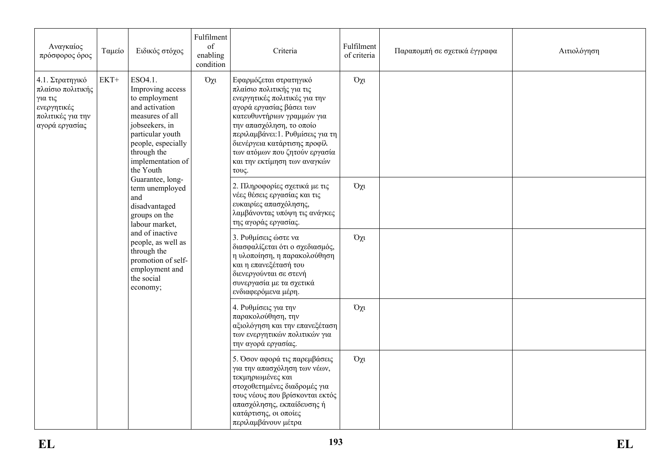| Αναγκαίος<br>πρόσφορος όρος                                                                           | Ταμείο | Ειδικός στόχος                                                                                                                                                                                 | Fulfilment<br>of<br>enabling<br>condition | Criteria                                                                                                                                                                                                                                                                                                                  | Fulfilment<br>of criteria | Παραπομπή σε σχετικά έγγραφα | Αιτιολόγηση |
|-------------------------------------------------------------------------------------------------------|--------|------------------------------------------------------------------------------------------------------------------------------------------------------------------------------------------------|-------------------------------------------|---------------------------------------------------------------------------------------------------------------------------------------------------------------------------------------------------------------------------------------------------------------------------------------------------------------------------|---------------------------|------------------------------|-------------|
| 4.1. Στρατηγικό<br>πλαίσιο πολιτικής<br>για τις<br>ενεργητικές<br>πολιτικές για την<br>αγορά εργασίας | $EKT+$ | ESO4.1.<br>Improving access<br>to employment<br>and activation<br>measures of all<br>jobseekers, in<br>particular youth<br>people, especially<br>through the<br>implementation of<br>the Youth | $O\chi$                                   | Εφαρμόζεται στρατηγικό<br>πλαίσιο πολιτικής για τις<br>ενεργητικές πολιτικές για την<br>αγορά εργασίας βάσει των<br>κατευθυντήριων γραμμών για<br>την απασχόληση, το οποίο<br>περιλαμβάνει: 1. Ρυθμίσεις για τη<br>διενέργεια κατάρτισης προφίλ<br>των ατόμων που ζητούν εργασία<br>και την εκτίμηση των αναγκών<br>τους. | $O\chi$ u                 |                              |             |
|                                                                                                       |        | Guarantee, long-<br>term unemployed<br>and<br>disadvantaged<br>groups on the<br>labour market,                                                                                                 |                                           | 2. Πληροφορίες σχετικά με τις<br>νέες θέσεις εργασίας και τις<br>ευκαιρίες απασχόλησης,<br>λαμβάνοντας υπόψη τις ανάγκες<br>της αγοράς εργασίας.                                                                                                                                                                          | $O\chi$ u                 |                              |             |
|                                                                                                       |        | and of inactive<br>people, as well as<br>through the<br>promotion of self-<br>employment and<br>the social<br>economy;                                                                         |                                           | 3. Ρυθμίσεις ώστε να<br>διασφαλίζεται ότι ο σχεδιασμός,<br>η υλοποίηση, η παρακολούθηση<br>και η επανεξέτασή του<br>διενεργούνται σε στενή<br>συνεργασία με τα σχετικά<br>ενδιαφερόμενα μέρη.                                                                                                                             | $O\chi$ u                 |                              |             |
|                                                                                                       |        |                                                                                                                                                                                                |                                           | 4. Ρυθμίσεις για την<br>παρακολούθηση, την<br>αξιολόγηση και την επανεξέταση<br>των ενεργητικών πολιτικών για<br>την αγορά εργασίας.                                                                                                                                                                                      | $O\chi$ u                 |                              |             |
|                                                                                                       |        |                                                                                                                                                                                                |                                           | 5. Όσον αφορά τις παρεμβάσεις<br>για την απασχόληση των νέων,<br>τεκμηριωμένες και<br>στοχοθετημένες διαδρομές για<br>τους νέους που βρίσκονται εκτός<br>απασχόλησης, εκπαίδευσης ή<br>κατάρτισης, οι οποίες<br>περιλαμβάνουν μέτρα                                                                                       | $O\chi$ u                 |                              |             |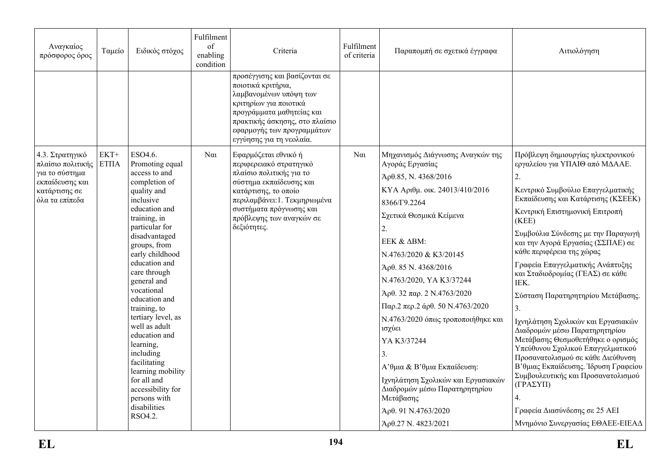| Αναγκαίος<br>πρόσφορος όρος                                                                                  | Ταμείο                          | Ειδικός στόχος                                                                                                                                                                                                                                                                                                                                                                                                                                                                                       | Fulfilment<br>of<br>enabling<br>condition | Criteria                                                                                                                                                                                                                             | Fulfilment<br>of criteria | Παραπομπή σε σχετικά έγγραφα                                                                                                                                                                                                                                                                                                                                                                                                                                                                                                                                             | Αιτιολόγηση                                                                                                                                                                                                                                                                                                                                                                                                                                                                                                                                                                                                                                                                                                                                                                                             |
|--------------------------------------------------------------------------------------------------------------|---------------------------------|------------------------------------------------------------------------------------------------------------------------------------------------------------------------------------------------------------------------------------------------------------------------------------------------------------------------------------------------------------------------------------------------------------------------------------------------------------------------------------------------------|-------------------------------------------|--------------------------------------------------------------------------------------------------------------------------------------------------------------------------------------------------------------------------------------|---------------------------|--------------------------------------------------------------------------------------------------------------------------------------------------------------------------------------------------------------------------------------------------------------------------------------------------------------------------------------------------------------------------------------------------------------------------------------------------------------------------------------------------------------------------------------------------------------------------|---------------------------------------------------------------------------------------------------------------------------------------------------------------------------------------------------------------------------------------------------------------------------------------------------------------------------------------------------------------------------------------------------------------------------------------------------------------------------------------------------------------------------------------------------------------------------------------------------------------------------------------------------------------------------------------------------------------------------------------------------------------------------------------------------------|
|                                                                                                              |                                 |                                                                                                                                                                                                                                                                                                                                                                                                                                                                                                      |                                           | προσέγγισης και βασίζονται σε<br>ποιοτικά κριτήρια,<br>λαμβανομένων υπόψη των<br>κριτηρίων για ποιοτικά<br>προγράμματα μαθητείας και<br>πρακτικής άσκησης, στο πλαίσιο<br>εφαρμογής των προγραμμάτων<br>εγγύησης για τη νεολαία.     |                           |                                                                                                                                                                                                                                                                                                                                                                                                                                                                                                                                                                          |                                                                                                                                                                                                                                                                                                                                                                                                                                                                                                                                                                                                                                                                                                                                                                                                         |
| 4.3. Στρατηγικό<br>πλαίσιο πολιτικής<br>για το σύστημα<br>εκπαίδευσης και<br>κατάρτισης σε<br>όλα τα επίπεδα | $EKT+$<br>$\operatorname{ETTA}$ | ESO4.6.<br>Promoting equal<br>access to and<br>completion of<br>quality and<br>inclusive<br>education and<br>training, in<br>particular for<br>disadvantaged<br>groups, from<br>early childhood<br>education and<br>care through<br>general and<br>vocational<br>education and<br>training, to<br>tertiary level, as<br>well as adult<br>education and<br>learning,<br>including<br>facilitating<br>learning mobility<br>for all and<br>accessibility for<br>persons with<br>disabilities<br>RSO4.2. | $N\alpha$                                 | Εφαρμόζεται εθνικό ή<br>περιφερειακό στρατηγικό<br>πλαίσιο πολιτικής για το<br>σύστημα εκπαίδευσης και<br>κατάρτισης, το οποίο<br>περιλαμβάνει:1. Τεκμηριωμένα<br>συστήματα πρόγνωσης και<br>πρόβλεψης των αναγκών σε<br>δεξιότητες. | $N\alpha$                 | Μηχανισμός Διάγνωσης Αναγκών της<br>Αγοράς Εργασίας<br>Άρθ.85, Ν. 4368/2016<br>КҮА Арінц. оік. 24013/410/2016<br>8366/Г9.2264<br>Σχετικά Θεσμικά Κείμενα<br>2.<br>EEK & ΔBM:<br>N.4763/2020 & K3/20145<br>Άρθ. 85 Ν. 4368/2016<br>N.4763/2020, YA K3/37244<br>Αρθ. 32 παρ. 2 N.4763/2020<br>$\Pi$ αρ.2 περ.2 άρθ. 50 N.4763/2020<br>Ν.4763/2020 όπως τροποποιήθηκε και<br>ισχύει<br>YA K3/37244<br>3.<br>Α' θμια & Β' θμια Εκπαίδευση:<br>Ιχνηλάτηση Σχολικών και Εργασιακών<br>Διαδρομών μέσω Παρατηρητηρίου<br>Μετάβασης<br>Άρθ. 91 Ν.4763/2020<br>Άρθ.27 Ν. 4823/2021 | Πρόβλεψη δημιουργίας ηλεκτρονικού<br>εργαλείου για ΥΠΑΙΘ από ΜΔΑΑΕ.<br>2.<br>Κεντρικό Συμβούλιο Επαγγελματικής<br>Εκπαίδευσης και Κατάρτισης (ΚΣΕΕΚ)<br>Κεντρική Επιστημονική Επιτροπή<br>(KEE)<br>Συμβούλια Σύνδεσης με την Παραγωγή<br>και την Αγορά Εργασίας (ΣΣΠΑΕ) σε<br>κάθε περιφέρεια της χώρας<br>Γραφεία Επαγγελματικής Ανάπτυξης<br>και Σταδιοδρομίας (ΓΕΑΣ) σε κάθε<br>IEK.<br>Σύσταση Παρατηρητηρίου Μετάβασης.<br>3.<br>Ιχνηλάτηση Σχολικών και Εργασιακών<br>Διαδρομών μέσω Παρατηρητηρίου<br>Μετάβασης Θεσμοθετήθηκε ο ορισμός<br>Υπεύθυνου Σχολικού Επαγγελματικού<br>Προσανατολισμού σε κάθε Διεύθυνση<br>Β'θμιας Εκπαίδευσης. Ίδρυση Γραφείου<br>Συμβουλευτικής και Προσανατολισμού<br>$(TPA\Sigma Y\Pi)$<br>4.<br>Γραφεία Διασύνδεσης σε 25 ΑΕΙ<br>Μνημόνιο Συνεργασίας ΕΘΑΕΕ-ΕΙΕΑΔ |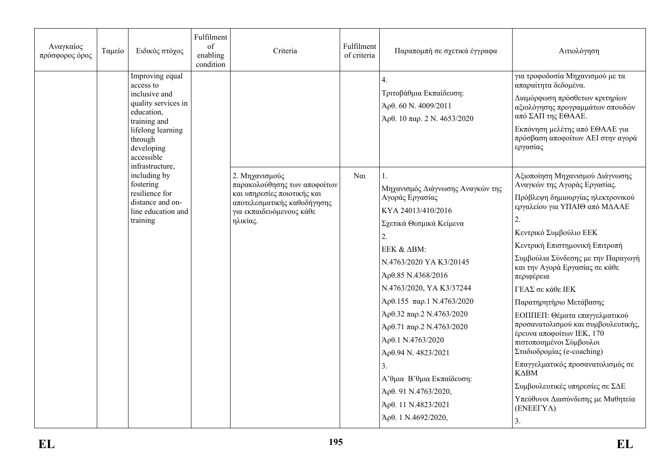| Αναγκαίος<br>πρόσφορος όρος | Ταμείο | Ειδικός στόχος                                                                                                                                                                    | Fulfilment<br>of<br>enabling<br>condition | Criteria                                                                                                                                             | Fulfilment<br>of criteria | Παραπομπή σε σχετικά έγγραφα                                                                                                                                                                                                                                                                                                                                                                                                                            | Αιτιολόγηση                                                                                                                                                                                                                                                                                                                                                                                                                                                                                                                                                                                                                                                         |
|-----------------------------|--------|-----------------------------------------------------------------------------------------------------------------------------------------------------------------------------------|-------------------------------------------|------------------------------------------------------------------------------------------------------------------------------------------------------|---------------------------|---------------------------------------------------------------------------------------------------------------------------------------------------------------------------------------------------------------------------------------------------------------------------------------------------------------------------------------------------------------------------------------------------------------------------------------------------------|---------------------------------------------------------------------------------------------------------------------------------------------------------------------------------------------------------------------------------------------------------------------------------------------------------------------------------------------------------------------------------------------------------------------------------------------------------------------------------------------------------------------------------------------------------------------------------------------------------------------------------------------------------------------|
|                             |        | Improving equal<br>access to<br>inclusive and<br>quality services in<br>education.<br>training and<br>lifelong learning<br>through<br>developing<br>accessible<br>infrastructure, |                                           |                                                                                                                                                      |                           | 4.<br>Τριτοβάθμια Εκπαίδευση:<br>Άρθ. 60 Ν. 4009/2011<br>Αρθ. 10 παρ. 2 N. 4653/2020                                                                                                                                                                                                                                                                                                                                                                    | για τροφοδοσία Μηχανισμού με τα<br>απαραίτητα δεδομένα.<br>Διαμόρφωση πρόσθετων κριτηρίων<br>αξιολόγησης προγραμμάτων σπουδών<br>από ΣΑΠ της ΕΘΑΑΕ.<br>Εκπόνηση μελέτης από ΕΘΑΑΕ για<br>πρόσβαση αποφοίτων ΑΕΙ στην αγορά<br>εργασίας                                                                                                                                                                                                                                                                                                                                                                                                                              |
|                             |        | including by<br>fostering<br>resilience for<br>distance and on-<br>line education and<br>training                                                                                 |                                           | 2. Μηχανισμούς<br>παρακολούθησης των αποφοίτων<br>και υπηρεσίες ποιοτικής και<br>αποτελεσματικής καθοδήγησης<br>για εκπαιδευόμενους κάθε<br>ηλικίας. | $N\alpha$                 | Μηχανισμός Διάγνωσης Αναγκών της<br>Αγοράς Εργασίας<br>KYA 24013/410/2016<br>Σχετικά Θεσμικά Κείμενα<br>2.<br>EEK & ΔBM:<br>N.4763/2020 YA K3/20145<br>Άρθ.85 Ν.4368/2016<br>N.4763/2020, YA K3/37244<br>$A$ ρθ.155 παρ.1 N.4763/2020<br>Αρθ.32 παρ.2 N.4763/2020<br>$A$ ρθ.71 παρ.2 N.4763/2020<br>Άρθ.1 Ν.4763/2020<br>Άρθ.94 Ν. 4823/2021<br>3.<br>Α' θμια Β' θμια Εκπαίδευση:<br>Άρθ. 91 Ν.4763/2020,<br>Άρθ. 11 N.4823/2021<br>Άρθ. 1 Ν.4692/2020, | Αξιοποίηση Μηχανισμού Διάγνωσης<br>Αναγκών της Αγοράς Εργασίας.<br>Πρόβλεψη δημιουργίας ηλεκτρονικού<br>εργαλείου για ΥΠΑΙΘ από ΜΔΑΑΕ<br>2.<br>Κεντρικό Συμβούλιο ΕΕΚ<br>Κεντρική Επιστημονική Επιτροπή<br>Συμβούλια Σύνδεσης με την Παραγωγή<br>και την Αγορά Εργασίας σε κάθε<br>περιφέρεια<br>ΓΕΑΣ σε κάθε ΙΕΚ<br>Παρατηρητήριο Μετάβασης<br>ΕΟΠΠΕΠ: Θέματα επαγγελματικού<br>προσανατολισμού και συμβουλευτικής,<br>έρευνα αποφοίτων ΙΕΚ, 170<br>πιστοποιημένοι Σύμβουλοι<br>Σταδιοδρομίας (e-coaching)<br>Επαγγελματικός προσανατολισμός σε<br>$K\Delta BM$<br>Συμβουλευτικές υπηρεσίες σε ΣΔΕ<br>Υπεύθυνοι Διασύνδεσης με Μαθητεία<br>$(ENEETY\Lambda)$<br>3. |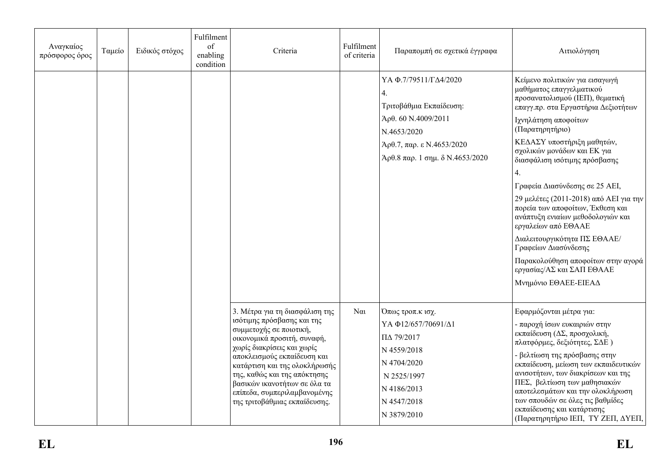| Αναγκαίος<br>πρόσφορος όρος | Ταμείο | Ειδικός στόχος | Fulfilment<br>of<br>enabling<br>condition | Criteria                                                                                                                                                                                                                                                                                                                                              | Fulfilment<br>of criteria | Παραπομπή σε σχετικά έγγραφα                                                                                                                                | Αιτιολόγηση                                                                                                                                                                                                                                                                                                                                                                                                                                                                                                                                                                                                  |
|-----------------------------|--------|----------------|-------------------------------------------|-------------------------------------------------------------------------------------------------------------------------------------------------------------------------------------------------------------------------------------------------------------------------------------------------------------------------------------------------------|---------------------------|-------------------------------------------------------------------------------------------------------------------------------------------------------------|--------------------------------------------------------------------------------------------------------------------------------------------------------------------------------------------------------------------------------------------------------------------------------------------------------------------------------------------------------------------------------------------------------------------------------------------------------------------------------------------------------------------------------------------------------------------------------------------------------------|
|                             |        |                |                                           |                                                                                                                                                                                                                                                                                                                                                       |                           | ΥΑΦ.7/79511/ΓΔ4/2020<br>4.<br>Τριτοβάθμια Εκπαίδευση:<br>Άρθ. 60 Ν.4009/2011<br>N.4653/2020<br>Αρθ.7, παρ. ε N.4653/2020<br>Άρθ.8 παρ. 1 σημ. δ Ν.4653/2020 | Κείμενο πολιτικών για εισαγωγή<br>μαθήματος επαγγελματικού<br>προσανατολισμού (ΙΕΠ), θεματική<br>επαγγ.πρ. στα Εργαστήρια Δεξιοτήτων<br>Ιχνηλάτηση αποφοίτων<br>(Παρατηρητήριο)<br>ΚΕΔΑΣΥ υποστήριξη μαθητών,<br>σχολικών μονάδων και ΕΚ για<br>διασφάλιση ισότιμης πρόσβασης<br>Γραφεία Διασύνδεσης σε 25 ΑΕΙ,<br>29 μελέτες (2011-2018) από ΑΕΙ για την<br>πορεία των αποφοίτων, Έκθεση και<br>ανάπτυξη ενιαίων μεθοδολογιών και<br>εργαλείων από ΕΘΑΑΕ<br>Διαλειτουργικότητα ΠΣ ΕΘΑΑΕ/<br>Γραφείων Διασύνδεσης<br>Παρακολούθηση αποφοίτων στην αγορά<br>εργασίας/ΑΣ και ΣΑΠ ΕΘΑΑΕ<br>Μνημόνιο ΕΘΑΕΕ-ΕΙΕΑΔ |
|                             |        |                |                                           | 3. Μέτρα για τη διασφάλιση της<br>ισότιμης πρόσβασης και της<br>συμμετοχής σε ποιοτική,<br>οικονομικά προσιτή, συναφή,<br>χωρίς διακρίσεις και χωρίς<br>αποκλεισμούς εκπαίδευση και<br>κατάρτιση και της ολοκλήρωσής<br>της, καθώς και της απόκτησης<br>βασικών ικανοτήτων σε όλα τα<br>επίπεδα, συμπεριλαμβανομένης<br>της τριτοβάθμιας εκπαίδευσης. | $\alpha$                  | Όπως τροπ.κ ισχ.<br>ΥΑΦ12/657/70691/Δ1<br>ΠΔ 79/2017<br>N 4559/2018<br>N 4704/2020<br>N 2525/1997<br>N 4186/2013<br>N 4547/2018<br>N 3879/2010              | Εφαρμόζονται μέτρα για:<br>- παροχή ίσων ευκαιριών στην<br>εκπαίδευση (ΔΣ, προσχολική,<br>πλατφόρμες, δεξιότητες, ΣΔΕ)<br>- βελτίωση της πρόσβασης στην<br>εκπαίδευση, μείωση των εκπαιδευτικών<br>ανισοτήτων, των διακρίσεων και της<br>ΠΕΣ, βελτίωση των μαθησιακών<br>αποτελεσμάτων και την ολοκλήρωση<br>των σπουδών σε όλες τις βαθμίδες<br>εκπαίδευσης και κατάρτισης<br>(Παρατηρητήριο ΙΕΠ, ΤΥ ΖΕΠ, ΔΥΕΠ,                                                                                                                                                                                             |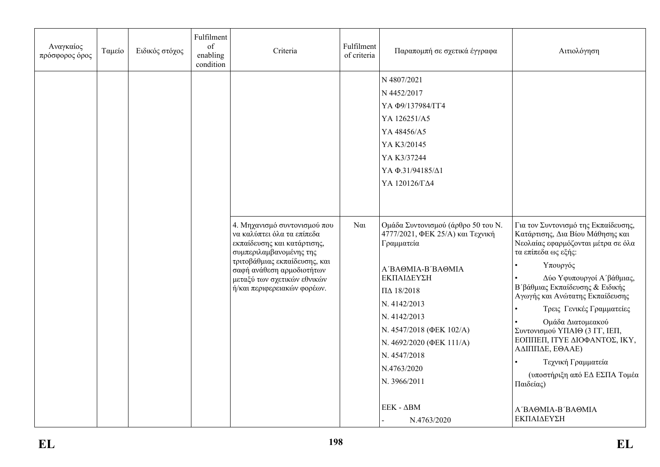| Αναγκαίος<br>πρόσφορος όρος | Ταμείο | Ειδικός στόχος | Fulfilment<br>of<br>enabling<br>condition | Criteria                                                                                                                                                                                                                                         | Fulfilment<br>of criteria | Παραπομπή σε σχετικά έγγραφα                                                                                                                                                                                                                                                                                                                                                                                                                         | Αιτιολόγηση                                                                                                                                                                                                                                                                                                                                                                                                                                                                          |
|-----------------------------|--------|----------------|-------------------------------------------|--------------------------------------------------------------------------------------------------------------------------------------------------------------------------------------------------------------------------------------------------|---------------------------|------------------------------------------------------------------------------------------------------------------------------------------------------------------------------------------------------------------------------------------------------------------------------------------------------------------------------------------------------------------------------------------------------------------------------------------------------|--------------------------------------------------------------------------------------------------------------------------------------------------------------------------------------------------------------------------------------------------------------------------------------------------------------------------------------------------------------------------------------------------------------------------------------------------------------------------------------|
|                             |        |                |                                           | 4. Μηχανισμό συντονισμού που<br>να καλύπτει όλα τα επίπεδα<br>εκπαίδευσης και κατάρτισης,<br>συμπεριλαμβανομένης της<br>τριτοβάθμιας εκπαίδευσης, και<br>σαφή ανάθεση αρμοδιοτήτων<br>μεταξύ των σχετικών εθνικών<br>ή/και περιφερειακών φορέων. | $N\alpha$                 | N 4807/2021<br>N 4452/2017<br>ҮА Ф9/137984/ГГ4<br>YA 126251/A5<br>YA 48456/A5<br>YA K3/20145<br>YA K3/37244<br>ΥΑΦ.31/94185/Δ1<br>ΥΑ 120126/ΓΔ4<br>Ομάδα Συντονισμού (άρθρο 50 του Ν.<br>4777/2021, ΦΕΚ 25/Α) και Τεχνική<br>Γραμματεία<br>A'BAOMIA-B'BAOMIA<br>ΕΚΠΑΙΔΕΥΣΗ<br>ПД 18/2018<br>N. 4142/2013<br>N. 4142/2013<br>N. 4547/2018 (ΦΕΚ 102/Α)<br>N. 4692/2020 (ΦΕΚ 111/A)<br>N. 4547/2018<br>N.4763/2020<br>N. 3966/2011<br>$EEK - \Delta BM$ | Για τον Συντονισμό της Εκπαίδευσης,<br>Κατάρτισης, Δια Βίου Μάθησης και<br>Νεολαίας εφαρμόζονται μέτρα σε όλα<br>τα επίπεδα ως εξής:<br>Υπουργός<br>Δύο Υφυπουργοί Α΄ βάθμιας,<br>Β΄ βάθμιας Εκπαίδευσης & Ειδικής<br>Αγωγής και Ανώτατης Εκπαίδευσης<br>Τρεις Γενικές Γραμματείες<br>Ομάδα Διατομεακού<br>Συντονισμού ΥΠΑΙΘ (3 ΓΓ, ΙΕΠ,<br>ΕΟΠΠΕΠ, ΙΤΥΕ ΔΙΟΦΑΝΤΟΣ, ΙΚΥ,<br>ΑΔΙΠΠΔΕ, ΕΘΑΑΕ)<br>Τεχνική Γραμματεία<br>(υποστήριξη από ΕΔ ΕΣΠΑ Τομέα<br>Παιδείας)<br>A'BAOMIA-B'BAOMIA |
|                             |        |                |                                           |                                                                                                                                                                                                                                                  |                           | N.4763/2020                                                                                                                                                                                                                                                                                                                                                                                                                                          | ΕΚΠΑΙΔΕΥΣΗ                                                                                                                                                                                                                                                                                                                                                                                                                                                                           |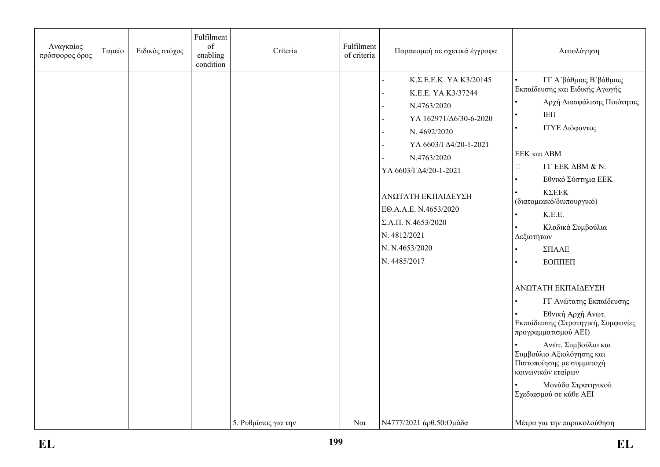| Αναγκαίος<br>πρόσφορος όρος | Ταμείο | Ειδικός στόχος | Fulfilment<br>of<br>enabling<br>condition | Criteria             | Fulfilment<br>of criteria | Παραπομπή σε σχετικά έγγραφα                                                                                                                                                                                                                                                                           | Αιτιολόγηση                                                                                                                                                                                                                                                                                                                                                                                                                                                                                                                                                                                                                   |
|-----------------------------|--------|----------------|-------------------------------------------|----------------------|---------------------------|--------------------------------------------------------------------------------------------------------------------------------------------------------------------------------------------------------------------------------------------------------------------------------------------------------|-------------------------------------------------------------------------------------------------------------------------------------------------------------------------------------------------------------------------------------------------------------------------------------------------------------------------------------------------------------------------------------------------------------------------------------------------------------------------------------------------------------------------------------------------------------------------------------------------------------------------------|
|                             |        |                |                                           |                      |                           | Κ.Σ.Ε.Ε.Κ. ΥΑ Κ3/20145<br>K.E.E. YA K3/37244<br>N.4763/2020<br>ΥΑ 162971/Δ6/30-6-2020<br>N. 4692/2020<br>ΥΑ 6603/ΓΔ4/20-1-2021<br>N.4763/2020<br>ΥΑ 6603/ΓΔ4/20-1-2021<br>ΑΝΩΤΑΤΗ ΕΚΠΑΙΔΕΥΣΗ<br>EO.A.A.E. N.4653/2020<br>$\Sigma.A.\Pi. N.4653/2020$<br>N. 4812/2021<br>N. N.4653/2020<br>N. 4485/2017 | ΓΓ Α΄βάθμιας Β΄βάθμιας<br>Εκπαίδευσης και Ειδικής Αγωγής<br>Αρχή Διασφάλισης Ποιότητας<br>IEΠ<br>$\bullet$<br>ΙΤΥΕ Διόφαντος<br>$\bullet$<br>ΕΕΚ και ΔΒΜ<br><b>ΓΓ ΕΕΚ ΔΒΜ &amp; Ν.</b><br>$\Box$<br>Εθνικό Σύστημα ΕΕΚ<br><b>ΚΣΕΕΚ</b><br>(διατομεακό/διυπουργικό)<br>K.E.E.<br>Κλαδικά Συμβούλια<br>Δεξιοτήτων<br>ΣΠΑΑΕ<br>ЕОППЕП<br>ΑΝΩΤΑΤΗ ΕΚΠΑΙΔΕΥΣΗ<br>ΓΓ Ανώτατης Εκπαίδευσης<br>Εθνική Αρχή Ανωτ.<br>Εκπαίδευσης (Στρατηγική, Συμφωνίες<br>προγραμματισμού ΑΕΙ)<br>Ανώτ. Συμβούλιο και<br>Συμβούλιο Αξιολόγησης και<br>Πιστοποίησης με συμμετοχή<br>κοινωνικών εταίρων<br>Μονάδα Στρατηγικού<br>Σχεδιασμού σε κάθε ΑΕΙ |
|                             |        |                |                                           | 5. Ρυθμίσεις για την | $N\alpha$                 | Ν4777/2021 άρθ.50: Ομάδα                                                                                                                                                                                                                                                                               | Μέτρα για την παρακολούθηση                                                                                                                                                                                                                                                                                                                                                                                                                                                                                                                                                                                                   |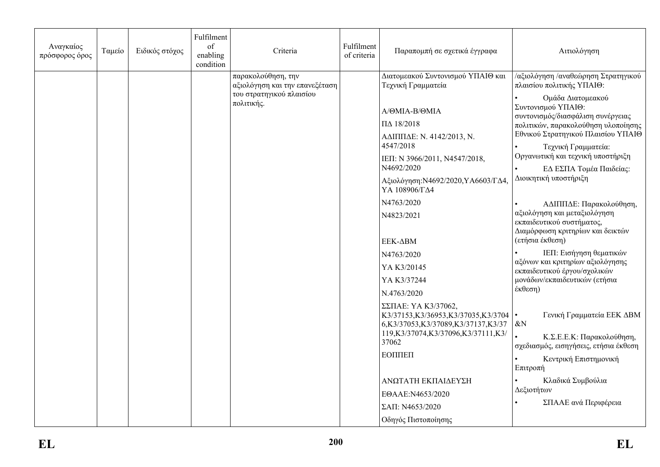| Αναγκαίος<br>πρόσφορος όρος | Ταμείο | Ειδικός στόχος | Fulfilment<br>of<br>enabling<br>condition | Criteria                                                                                       | Fulfilment<br>of criteria | Παραπομπή σε σχετικά έγγραφα                                                                                                                                                                                                                                                                                                                                                                                                                                                                                 | Αιτιολόγηση                                                                                                                                                                                                                                                                                                                                                                                                                                                                                                                                                                                                                                                                                                                                                                               |
|-----------------------------|--------|----------------|-------------------------------------------|------------------------------------------------------------------------------------------------|---------------------------|--------------------------------------------------------------------------------------------------------------------------------------------------------------------------------------------------------------------------------------------------------------------------------------------------------------------------------------------------------------------------------------------------------------------------------------------------------------------------------------------------------------|-------------------------------------------------------------------------------------------------------------------------------------------------------------------------------------------------------------------------------------------------------------------------------------------------------------------------------------------------------------------------------------------------------------------------------------------------------------------------------------------------------------------------------------------------------------------------------------------------------------------------------------------------------------------------------------------------------------------------------------------------------------------------------------------|
|                             |        |                |                                           | παρακολούθηση, την<br>αξιολόγηση και την επανεξέταση<br>του στρατηγικού πλαισίου<br>πολιτικής. |                           | Διατομεακού Συντονισμού ΥΠΑΙΘ και<br>Τεχνική Γραμματεία<br>A/OMIA-B/OMIA<br>ПД 18/2018<br>ΑΔΙΠΠΔΕ: Ν. 4142/2013, Ν.<br>4547/2018<br>ΙΕΠ: Ν 3966/2011, Ν4547/2018,<br>N4692/2020<br>Αξιολόγηση: Ν4692/2020, ΥΑ6603/ΓΔ4,<br>ΥΑ 108906/ΓΔ4<br>N4763/2020<br>N4823/2021<br>EEK-∆BM<br>N4763/2020<br>YA K3/20145<br>YA K3/37244<br>N.4763/2020<br>ΣΣΠΑΕ: YA K3/37062,<br>K3/37153, K3/36953, K3/37035, K3/3704<br>6,K3/37053,K3/37089,K3/37137,K3/37<br>119, K3/37074, K3/37096, K3/37111, K3/<br>37062<br>ЕОППЕП | /αξιολόγηση /αναθεώρηση Στρατηγικού<br>πλαισίου πολιτικής ΥΠΑΙΘ:<br>Ομάδα Διατομεακού<br>Συντονισμού ΥΠΑΙΘ:<br>συντονισμός/διασφάλιση συνέργειας<br>πολιτικών, παρακολούθηση υλοποίησης<br>Εθνικού Στρατηγικού Πλαισίου ΥΠΑΙΘ<br>Τεχνική Γραμματεία:<br>Οργανωτική και τεχνική υποστήριξη<br>ΕΔ ΕΣΠΑ Τομέα Παιδείας:<br>Διοικητική υποστήριξη<br>ΑΔΙΠΠΔΕ: Παρακολούθηση,<br>αξιολόγηση και μεταξιολόγηση<br>εκπαιδευτικού συστήματος,<br>Διαμόρφωση κριτηρίων και δεικτών<br>(ετήσια έκθεση)<br>ΙΕΠ: Εισήγηση θεματικών<br>αξόνων και κριτηρίων αξιολόγησης<br>εκπαιδευτικού έργου/σχολικών<br>μονάδων/εκπαιδευτικών (ετήσια<br>έκθεση)<br>Γενική Γραμματεία ΕΕΚ ΔΒΜ<br>$\bullet$<br>$\&N$<br>Κ.Σ.Ε.Ε.Κ: Παρακολούθηση,<br>σχεδιασμός, εισηγήσεις, ετήσια έκθεση<br>Κεντρική Επιστημονική |
|                             |        |                |                                           |                                                                                                |                           | ΑΝΩΤΑΤΗ ΕΚΠΑΙΔΕΥΣΗ<br>EOAAE:N4653/2020<br>ΣΑΠ: Ν4653/2020<br>Οδηγός Πιστοποίησης                                                                                                                                                                                                                                                                                                                                                                                                                             | Επιτροπή<br>Κλαδικά Συμβούλια<br>Δεξιοτήτων<br>ΣΠΑΑΕ ανά Περιφέρεια                                                                                                                                                                                                                                                                                                                                                                                                                                                                                                                                                                                                                                                                                                                       |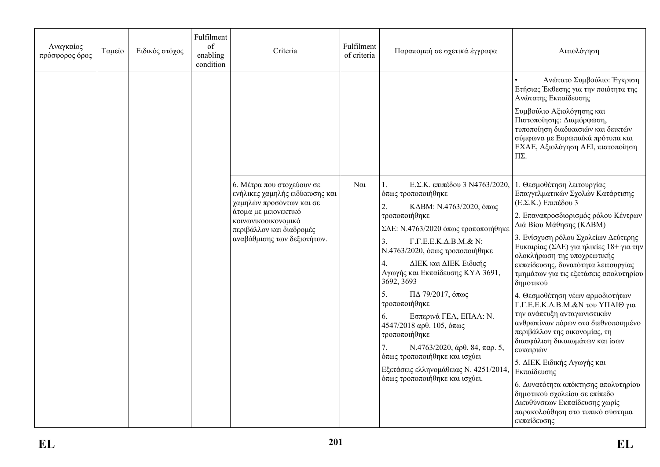| Αναγκαίος<br>πρόσφορος όρος | Ταμείο | Ειδικός στόχος | Fulfilment<br>of<br>enabling<br>condition | Criteria                                                                                                                                                                                           | Fulfilment<br>of criteria | Παραπομπή σε σχετικά έγγραφα                                                                                                                                                                                                                                                                                                                                                                                                                                                                                                                                                                                            | Αιτιολόγηση                                                                                                                                                                                                                                                                                                                                                                                                                                                                                                                                                                                                                                                                                                                                                                                                    |
|-----------------------------|--------|----------------|-------------------------------------------|----------------------------------------------------------------------------------------------------------------------------------------------------------------------------------------------------|---------------------------|-------------------------------------------------------------------------------------------------------------------------------------------------------------------------------------------------------------------------------------------------------------------------------------------------------------------------------------------------------------------------------------------------------------------------------------------------------------------------------------------------------------------------------------------------------------------------------------------------------------------------|----------------------------------------------------------------------------------------------------------------------------------------------------------------------------------------------------------------------------------------------------------------------------------------------------------------------------------------------------------------------------------------------------------------------------------------------------------------------------------------------------------------------------------------------------------------------------------------------------------------------------------------------------------------------------------------------------------------------------------------------------------------------------------------------------------------|
|                             |        |                |                                           |                                                                                                                                                                                                    |                           |                                                                                                                                                                                                                                                                                                                                                                                                                                                                                                                                                                                                                         | Ανώτατο Συμβούλιο: Έγκριση<br>Ετήσιας Έκθεσης για την ποιότητα της<br>Ανώτατης Εκπαίδευσης<br>Συμβούλιο Αξιολόγησης και<br>Πιστοποίησης: Διαμόρφωση,<br>τυποποίηση διαδικασιών και δεικτών<br>σύμφωνα με Ευρωπαϊκά πρότυπα και<br>ΕΧΑΕ, Αξιολόγηση ΑΕΙ, πιστοποίηση<br>$\Pi\Sigma$ .                                                                                                                                                                                                                                                                                                                                                                                                                                                                                                                           |
|                             |        |                |                                           | 6. Μέτρα που στοχεύουν σε<br>ενήλικες χαμηλής ειδίκευσης και<br>χαμηλών προσόντων και σε<br>άτομα με μειονεκτικό<br>κοινωνικοοικονομικό<br>περιβάλλον και διαδρομές<br>αναβάθμισης των δεξιοτήτων. | $\alpha$                  | Ε.Σ.Κ. επιπέδου 3 Ν4763/2020,<br>όπως τροποποιήθηκε<br>ΚΔΒΜ: Ν.4763/2020, όπως<br>2.<br>τροποποιήθηκε<br>ΣΔΕ: Ν.4763/2020 όπως τροποποιήθηκε<br>$\Gamma.\Gamma.\mathrm{E.E.K.}\Delta.\mathrm{B.M.}\&\mathrm{N:}$<br>3.<br>Ν.4763/2020, όπως τροποποιήθηκε<br>ΔΙΕΚ και ΔΙΕΚ Ειδικής<br>4.<br>Αγωγής και Εκπαίδευσης ΚΥΑ 3691,<br>3692, 3693<br>$\Pi$ Δ 79/2017, όπως<br>5.<br>τροποποιήθηκε<br>Εσπερινά ΓΕΛ, ΕΠΑΛ: Ν.<br>6.<br>4547/2018 αρθ. 105, όπως<br>τροποποιήθηκε<br>$N.4763/2020$ , άρθ. 84, παρ. 5,<br>όπως τροποποιήθηκε και ισχύει<br>Εξετάσεις ελληνομάθειας Ν. 4251/2014,<br>όπως τροποποιήθηκε και ισχύει. | 1. Θεσμοθέτηση λειτουργίας<br>Επαγγελματικών Σχολών Κατάρτισης<br>(Ε.Σ.Κ.) Επιπέδου 3<br>2. Επαναπροσδιορισμός ρόλου Κέντρων<br>Διά Βίου Μάθησης (ΚΔΒΜ)<br>3. Ενίσχυση ρόλου Σχολείων Δεύτερης<br>Ευκαιρίας (ΣΔΕ) για ηλικίες 18+ για την<br>ολοκλήρωση της υποχρεωτικής<br>εκπαίδευσης, δυνατότητα λειτουργίας<br>τμημάτων για τις εξετάσεις απολυτηρίου<br>δημοτικού<br>4. Θεσμοθέτηση νέων αρμοδιοτήτων<br>Γ.Γ.Ε.Ε.Κ.Δ.Β.Μ.&Ν του ΥΠΑΙΘ για<br>την ανάπτυξη ανταγωνιστικών<br>ανθρωπίνων πόρων στο διεθνοποιημένο<br>περιβάλλον της οικονομίας, τη<br>διασφάλιση δικαιωμάτων και ίσων<br>ευκαιριών<br>5. ΔΙΕΚ Ειδικής Αγωγής και<br>Εκπαίδευσης<br>6. Δυνατότητα απόκτησης απολυτηρίου<br>δημοτικού σχολείου σε επίπεδο<br>Διευθύνσεων Εκπαίδευσης χωρίς<br>παρακολούθηση στο τυπικό σύστημα<br>εκπαίδευσης |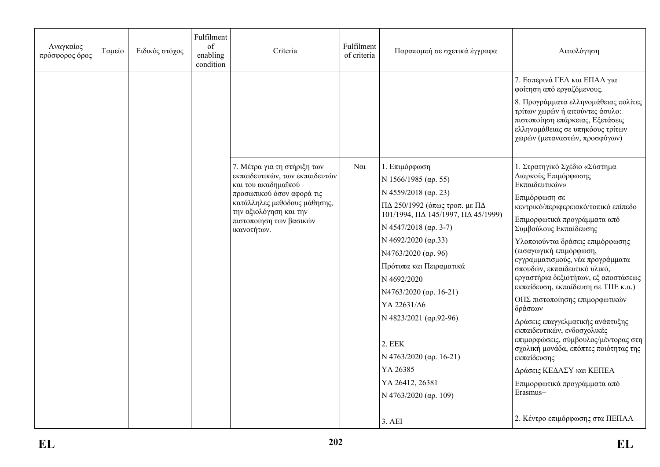| Αναγκαίος<br>πρόσφορος όρος | Ταμείο | Ειδικός στόχος | Fulfilment<br>of<br>enabling<br>condition | Criteria                                                                                                                                                                                                              | Fulfilment<br>of criteria | Παραπομπή σε σχετικά έγγραφα                                                                                                                                                                                                                                                                                                                                                                                                             | Αιτιολόγηση                                                                                                                                                                                                                                                                                                                                                                                                                                                                                                                                                                                                                                                                                          |
|-----------------------------|--------|----------------|-------------------------------------------|-----------------------------------------------------------------------------------------------------------------------------------------------------------------------------------------------------------------------|---------------------------|------------------------------------------------------------------------------------------------------------------------------------------------------------------------------------------------------------------------------------------------------------------------------------------------------------------------------------------------------------------------------------------------------------------------------------------|------------------------------------------------------------------------------------------------------------------------------------------------------------------------------------------------------------------------------------------------------------------------------------------------------------------------------------------------------------------------------------------------------------------------------------------------------------------------------------------------------------------------------------------------------------------------------------------------------------------------------------------------------------------------------------------------------|
|                             |        |                |                                           |                                                                                                                                                                                                                       |                           |                                                                                                                                                                                                                                                                                                                                                                                                                                          | 7. Εσπερινά ΓΕΛ και ΕΠΑΛ για<br>φοίτηση από εργαζόμενους.<br>8. Προγράμματα ελληνομάθειας πολίτες<br>τρίτων χωρών ή αιτούντες άσυλο:<br>πιστοποίηση επάρκειας, Εξετάσεις<br>ελληνομάθειας σε υπηκόους τρίτων<br>χωρών (μεταναστών, προσφύγων)                                                                                                                                                                                                                                                                                                                                                                                                                                                        |
|                             |        |                |                                           | 7. Μέτρα για τη στήριξη των<br>εκπαιδευτικών, των εκπαιδευτών<br>και του ακαδημαϊκού<br>προσωπικού όσον αφορά τις<br>κατάλληλες μεθόδους μάθησης,<br>την αξιολόγηση και την<br>πιστοποίηση των βασικών<br>ικανοτήτων. | $N\alpha$                 | 1. Επιμόρφωση<br>N 1566/1985 (ap. 55)<br>N 4559/2018 (ap. 23)<br>$\Pi$ Δ 250/1992 (όπως τροπ. με $\Pi$ Δ<br>101/1994, ПД 145/1997, ПД 45/1999)<br>N 4547/2018 (ap. 3-7)<br>N 4692/2020 (ap.33)<br>N4763/2020 (αρ. 96)<br>Πρότυπα και Πειραματικά<br>N 4692/2020<br>N4763/2020 (ap. 16-21)<br>YA 22631/Δ6<br>N 4823/2021 ( $\alpha$ p.92-96)<br>2. EEK<br>N 4763/2020 (ap. 16-21)<br>YA 26385<br>YA 26412, 26381<br>N 4763/2020 (ap. 109) | 1. Στρατηγικό Σχέδιο «Σύστημα<br>Διαρκούς Επιμόρφωσης<br>Εκπαιδευτικών»<br>Επιμόρφωση σε<br>κεντρικό/περιφερειακό/τοπικό επίπεδο<br>Επιμορφωτικά προγράμματα από<br>Συμβούλους Εκπαίδευσης<br>Υλοποιούνται δράσεις επιμόρφωσης<br>(εισαγωγική επιμόρφωση,<br>εγγραμματισμούς, νέα προγράμματα<br>σπουδών, εκπαιδευτικό υλικό,<br>εργαστήρια δεξιοτήτων, εξ αποστάσεως<br>εκπαίδευση, εκπαίδευση σε ΤΠΕ κ.α.)<br>ΟΠΣ πιστοποίησης επιμορφωτικών<br>δράσεων<br>Δράσεις επαγγελματικής ανάπτυξης<br>εκπαιδευτικών, ενδοσχολικές<br>επιμορφώσεις, σύμβουλος/μέντορας στη<br>σχολική μονάδα, επόπτες ποιότητας της<br>εκπαίδευσης<br>Δράσεις ΚΕΔΑΣΥ και ΚΕΠΕΑ<br>Επιμορφωτικά προγράμματα από<br>Erasmus+ |
|                             |        |                |                                           |                                                                                                                                                                                                                       |                           | 3. AEI                                                                                                                                                                                                                                                                                                                                                                                                                                   | 2. Κέντρο επιμόρφωσης στα ΠΕΠΑΛ                                                                                                                                                                                                                                                                                                                                                                                                                                                                                                                                                                                                                                                                      |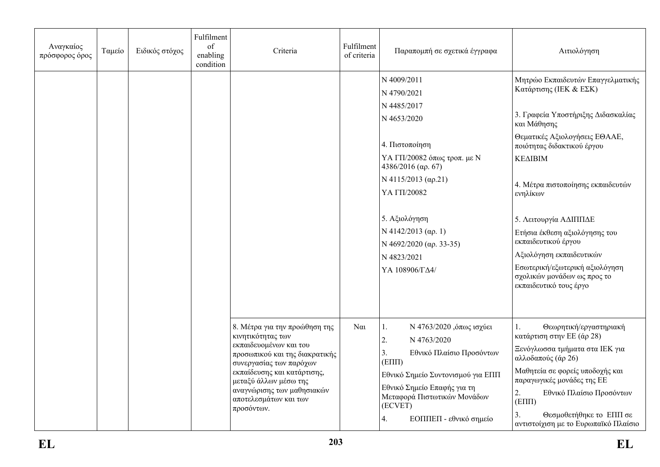| Αναγκαίος<br>πρόσφορος όρος | Ταμείο | Ειδικός στόχος | Fulfilment<br>of<br>enabling<br>condition | Criteria                                                                                                                                                                                                                                                               | Fulfilment<br>of criteria | Παραπομπή σε σχετικά έγγραφα                                                                                                                                                                                                                         | Αιτιολόγηση                                                                                                                                                                                                                                                                                                  |
|-----------------------------|--------|----------------|-------------------------------------------|------------------------------------------------------------------------------------------------------------------------------------------------------------------------------------------------------------------------------------------------------------------------|---------------------------|------------------------------------------------------------------------------------------------------------------------------------------------------------------------------------------------------------------------------------------------------|--------------------------------------------------------------------------------------------------------------------------------------------------------------------------------------------------------------------------------------------------------------------------------------------------------------|
|                             |        |                |                                           |                                                                                                                                                                                                                                                                        |                           | N 4009/2011<br>N 4790/2021                                                                                                                                                                                                                           | Μητρώο Εκπαιδευτών Επαγγελματικής<br>Κατάρτισης (ΙΕΚ & ΕΣΚ)                                                                                                                                                                                                                                                  |
|                             |        |                |                                           |                                                                                                                                                                                                                                                                        |                           | N 4485/2017<br>N 4653/2020                                                                                                                                                                                                                           | 3. Γραφεία Υποστήριξης Διδασκαλίας<br>και Μάθησης                                                                                                                                                                                                                                                            |
|                             |        |                |                                           |                                                                                                                                                                                                                                                                        |                           | 4. Πιστοποίηση                                                                                                                                                                                                                                       | Θεματικές Αξιολογήσεις ΕΘΑΑΕ,<br>ποιότητας διδακτικού έργου                                                                                                                                                                                                                                                  |
|                             |        |                |                                           |                                                                                                                                                                                                                                                                        |                           | ΥΑ ΓΠ/20082 όπως τροπ. με Ν<br>$4386/2016$ (ap. 67)                                                                                                                                                                                                  | <b>KEAIBIM</b>                                                                                                                                                                                                                                                                                               |
|                             |        |                |                                           |                                                                                                                                                                                                                                                                        |                           | $N$ 4115/2013 (αρ.21)<br>ҮА ГП/20082                                                                                                                                                                                                                 | 4. Μέτρα πιστοποίησης εκπαιδευτών<br>ενηλίκων                                                                                                                                                                                                                                                                |
|                             |        |                |                                           |                                                                                                                                                                                                                                                                        |                           | 5. Αξιολόγηση<br>$N$ 4142/2013 (αρ. 1)<br>N 4692/2020 (ap. 33-35)<br>N 4823/2021<br>ΥΑ 108906/ΓΔ4/                                                                                                                                                   | 5. Λειτουργία ΑΔΙΠΠΔΕ<br>Ετήσια έκθεση αξιολόγησης του<br>εκπαιδευτικού έργου<br>Αξιολόγηση εκπαιδευτικών<br>Εσωτερική/εξωτερική αξιολόγηση<br>σχολικών μονάδων ως προς το<br>εκπαιδευτικό τους έργο                                                                                                         |
|                             |        |                |                                           | 8. Μέτρα για την προώθηση της<br>κινητικότητας των<br>εκπαιδευομένων και του<br>προσωπικού και της διακρατικής<br>συνεργασίας των παρόχων<br>εκπαίδευσης και κατάρτισης,<br>μεταξύ άλλων μέσω της<br>αναγνώρισης των μαθησιακών<br>αποτελεσμάτων και των<br>προσόντων. | $\alpha$                  | Ν 4763/2020 , όπως ισχύει<br>(1,<br>2.<br>N 4763/2020<br>3.<br>Εθνικό Πλαίσιο Προσόντων<br>$(E\Pi\Pi)$<br>Εθνικό Σημείο Συντονισμού για ΕΠΠ<br>Εθνικό Σημείο Επαφής για τη<br>Μεταφορά Πιστωτικών Μονάδων<br>(ECVET)<br>ΕΟΠΠΕΠ - εθνικό σημείο<br>4. | 1.<br>Θεωρητική/εργαστηριακή<br>κατάρτιση στην ΕΕ (άρ 28)<br>Ξενόγλωσσα τμήματα στα ΙΕΚ για<br>αλλοδαπούς (άρ 26)<br>Μαθητεία σε φορείς υποδοχής και<br>παραγωγικές μονάδες της ΕΕ<br>2.<br>Εθνικό Πλαίσιο Προσόντων<br>$(E\Pi\Pi)$<br>Θεσμοθετήθηκε το ΕΠΠ σε<br>3.<br>αντιστοίχιση με το Ευρωπαϊκό Πλαίσιο |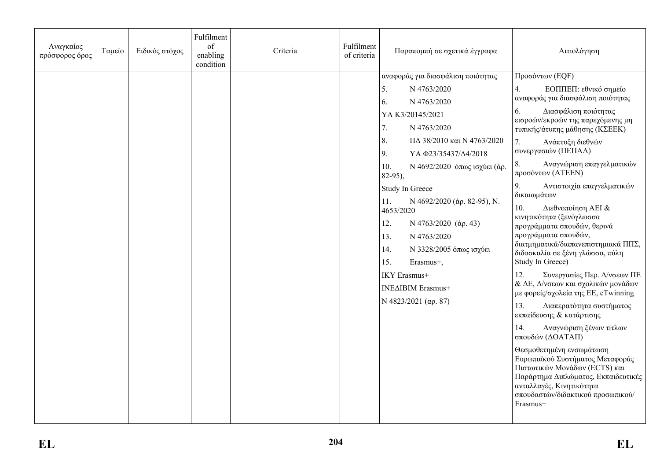| αναφοράς για διασφάλιση ποιότητας<br>Προσόντων (EQF)<br>5.<br>N 4763/2020<br>4.<br>ΕΟΠΠΕΠ: εθνικό σημείο<br>αναφοράς για διασφάλιση ποιότητας<br>6.<br>N 4763/2020<br>6.<br>Διασφάλιση ποιότητας<br>YAK3/20145/2021<br>εισροών/εκροών της παρεχόμενης μη<br>7.<br>N 4763/2020<br>τυπικής/άτυπης μάθησης (ΚΣΕΕΚ)<br>8.<br>ΠΔ 38/2010 και Ν 4763/2020<br>7.<br>Ανάπτυξη διεθνών<br>συνεργασιών (ΠΕΠΑΛ)<br>9.<br>ΥΑΦ23/35437/Δ4/2018<br>Αναγνώριση επαγγελματικών<br>8.<br>Ν 4692/2020 όπως ισχύει (άρ.<br>10.<br>προσόντων (ATEEN)<br>$82-95$ ),<br>9.<br>Αντιστοιχία επαγγελματικών<br>Study In Greece<br>δικαιωμάτων<br>N 4692/2020 (άρ. 82-95), N.<br>11.<br>10.<br>Διεθνοποίηση ΑΕΙ &<br>4653/2020<br>κινητικότητα (ξενόγλωσσα<br>12.<br>N 4763/2020 (άρ. 43)<br>προγράμματα σπουδών, θερινά<br>προγράμματα σπουδών,<br>N 4763/2020<br>13.<br>διατμηματικά/διαπανεπιστημιακά ΠΠΣ,<br>14.<br>Ν 3328/2005 όπως ισχύει<br>διδασκαλία σε ξένη γλώσσα, πύλη<br>Study In Greece)<br>15.<br>Erasmus+,<br>12.<br>Συνεργασίες Περ. Δ/νσεων ΠΕ<br>IKY Erasmus+<br>& ΔΕ, Δ/νσεων και σχολικών μονάδων<br>INEAIBIM Erasmus+<br>με φορείς/σχολεία της ΕΕ, eTwinning |
|----------------------------------------------------------------------------------------------------------------------------------------------------------------------------------------------------------------------------------------------------------------------------------------------------------------------------------------------------------------------------------------------------------------------------------------------------------------------------------------------------------------------------------------------------------------------------------------------------------------------------------------------------------------------------------------------------------------------------------------------------------------------------------------------------------------------------------------------------------------------------------------------------------------------------------------------------------------------------------------------------------------------------------------------------------------------------------------------------------------------------------------------------------|
| N 4823/2021 ( $\alpha$ p. 87)<br>13.<br>Διαπερατότητα συστήματος<br>εκπαίδευσης & κατάρτισης<br>14.<br>Αναγνώριση ξένων τίτλων<br>σπουδών (ΔΟΑΤΑΠ)<br>Θεσμοθετημένη ενσωμάτωση<br>Ευρωπαϊκού Συστήματος Μεταφοράς<br>Πιστωτικών Μονάδων (ECTS) και<br>Παράρτημα Διπλώματος, Εκπαιδευτικές<br>ανταλλαγές, Κινητικότητα<br>σπουδαστών/διδακτικού προσωπικού/<br>Erasmus+                                                                                                                                                                                                                                                                                                                                                                                                                                                                                                                                                                                                                                                                                                                                                                                   |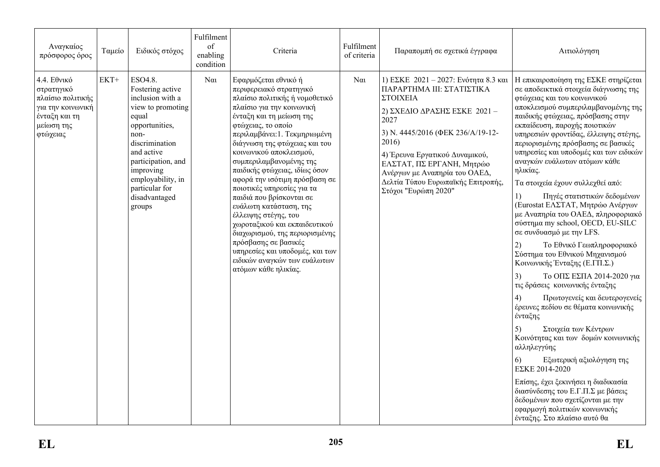| Αναγκαίος<br>πρόσφορος όρος                                                                                    | Ταμείο | Ειδικός στόχος                                                                                                                                                                                                                               | Fulfilment<br>of<br>enabling<br>condition | Criteria                                                                                                                                                                                                                                                                                                                                                                                                                                                                                                                                                                                                                                                     | Fulfilment<br>of criteria | Παραπομπή σε σχετικά έγγραφα                                                                                                                                                                                                                                                                                                      | Αιτιολόγηση                                                                                                                                                                                                                                                                                                                                                                                                                                                                                                                                                                                                                                                                                                                                                                                                                                                                                                                                                                                                                                                                                                                                                                                                   |
|----------------------------------------------------------------------------------------------------------------|--------|----------------------------------------------------------------------------------------------------------------------------------------------------------------------------------------------------------------------------------------------|-------------------------------------------|--------------------------------------------------------------------------------------------------------------------------------------------------------------------------------------------------------------------------------------------------------------------------------------------------------------------------------------------------------------------------------------------------------------------------------------------------------------------------------------------------------------------------------------------------------------------------------------------------------------------------------------------------------------|---------------------------|-----------------------------------------------------------------------------------------------------------------------------------------------------------------------------------------------------------------------------------------------------------------------------------------------------------------------------------|---------------------------------------------------------------------------------------------------------------------------------------------------------------------------------------------------------------------------------------------------------------------------------------------------------------------------------------------------------------------------------------------------------------------------------------------------------------------------------------------------------------------------------------------------------------------------------------------------------------------------------------------------------------------------------------------------------------------------------------------------------------------------------------------------------------------------------------------------------------------------------------------------------------------------------------------------------------------------------------------------------------------------------------------------------------------------------------------------------------------------------------------------------------------------------------------------------------|
| 4.4. Εθνικό<br>στρατηγικό<br>πλαίσιο πολιτικής<br>για την κοινωνική<br>ένταξη και τη<br>μείωση της<br>φτώχειας | $EKT+$ | ESO4.8.<br>Fostering active<br>inclusion with a<br>view to promoting<br>equal<br>opportunities,<br>non-<br>discrimination<br>and active<br>participation, and<br>improving<br>employability, in<br>particular for<br>disadvantaged<br>groups | $N\alpha$                                 | Εφαρμόζεται εθνικό ή<br>περιφερειακό στρατηγικό<br>πλαίσιο πολιτικής ή νομοθετικό<br>πλαίσιο για την κοινωνική<br>ένταξη και τη μείωση της<br>φτώχειας, το οποίο<br>περιλαμβάνει: 1. Τεκμηριωμένη<br>διάγνωση της φτώχειας και του<br>κοινωνικού αποκλεισμού,<br>συμπεριλαμβανομένης της<br>παιδικής φτώχειας, ιδίως όσον<br>αφορά την ισότιμη πρόσβαση σε<br>ποιοτικές υπηρεσίες για τα<br>παιδιά που βρίσκονται σε<br>ευάλωτη κατάσταση, της<br>έλλειψης στέγης, του<br>χωροταξικού και εκπαιδευτικού<br>διαχωρισμού, της περιορισμένης<br>πρόσβασης σε βασικές<br>υπηρεσίες και υποδομές, και των<br>ειδικών αναγκών των ευάλωτων<br>ατόμων κάθε ηλικίας. | $N\alpha$                 | 1) ΕΣΚΕ 2021 - 2027: Ενότητα 8.3 και<br>ΠΑΡΑΡΤΗΜΑ ΙΙΙ: ΣΤΑΤΙΣΤΙΚΑ<br>ΣΤΟΙΧΕΙΑ<br>2) ΣΧΕΔΙΟ ΔΡΑΣΗΣ ΕΣΚΕ 2021 -<br>2027<br>3) N. 4445/2016 (ΦΕΚ 236/Α/19-12-<br>2016)<br>4) Έρευνα Εργατικού Δυναμικού,<br>ΕΛΣΤΑΤ, ΠΣ ΕΡΓΑΝΗ, Μητρώο<br>Ανέργων με Αναπηρία του ΟΑΕΔ,<br>Δελτία Τύπου Ευρωπαϊκής Επιτροπής,<br>Στόχοι "Ευρώπη 2020" | Η επικαιροποίηση της ΕΣΚΕ στηρίζεται<br>σε αποδεικτικά στοιχεία διάγνωσης της<br>φτώχειας και του κοινωνικού<br>αποκλεισμού συμπεριλαμβανομένης της<br>παιδικής φτώχειας, πρόσβασης στην<br>εκπαίδευση, παροχής ποιοτικών<br>υπηρεσιών φροντίδας, έλλειψης στέγης,<br>περιορισμένης πρόσβασης σε βασικές<br>υπηρεσίες και υποδομές και των ειδικών<br>αναγκών ευάλωτων ατόμων κάθε<br>ηλικίας.<br>Τα στοιχεία έχουν συλλεχθεί από:<br>Πηγές στατιστικών δεδομένων<br>1)<br>(Eurostat ΕΛΣΤΑΤ, Μητρώο Ανέργων<br>με Αναπηρία του ΟΑΕΔ, πληροφοριακό<br>σύστημα my school, OECD, EU-SILC<br>σε συνδυασμό με την LFS.<br>Το Εθνικό Γεωπληροφοριακό<br>2)<br>Σύστημα του Εθνικού Μηχανισμού<br>Κοινωνικής Ένταξης (Ε.ΓΠ.Σ.)<br>3)<br>Το ΟΠΣ ΕΣΠΑ 2014-2020 για<br>τις δράσεις κοινωνικής ένταξης<br>Πρωτογενείς και δευτερογενείς<br>4)<br>έρευνες πεδίου σε θέματα κοινωνικής<br>ένταξης<br>Στοιχεία των Κέντρων<br>5)<br>Κοινότητας και των δομών κοινωνικής<br>αλληλεγγύης<br>Εξωτερική αξιολόγηση της<br>6)<br>ΕΣΚΕ 2014-2020<br>Επίσης, έχει ξεκινήσει η διαδικασία<br>διασύνδεσης του Ε.Γ.Π.Σ με βάσεις<br>δεδομένων που σχετίζονται με την<br>εφαρμογή πολιτικών κοινωνικής<br>ένταξης. Στο πλαίσιο αυτό θα |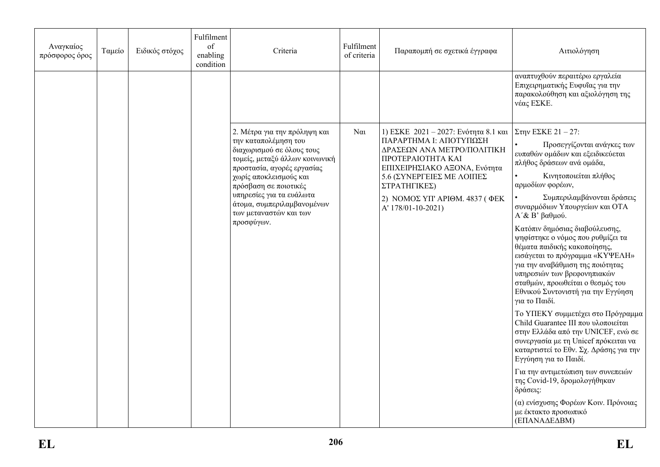| Αναγκαίος<br>πρόσφορος όρος | Ταμείο | Ειδικός στόχος | Fulfilment<br>of<br>enabling<br>condition | Criteria                                                                                                                                                                                                                                                                                               | Fulfilment<br>of criteria | Παραπομπή σε σχετικά έγγραφα                                                                                                                                                                                                                          | Αιτιολόγηση                                                                                                                                                                                                                                                                                                                                                                                                                                                                                                                                                                                                                                                                                                                                                                                                                                                                                                                                                     |
|-----------------------------|--------|----------------|-------------------------------------------|--------------------------------------------------------------------------------------------------------------------------------------------------------------------------------------------------------------------------------------------------------------------------------------------------------|---------------------------|-------------------------------------------------------------------------------------------------------------------------------------------------------------------------------------------------------------------------------------------------------|-----------------------------------------------------------------------------------------------------------------------------------------------------------------------------------------------------------------------------------------------------------------------------------------------------------------------------------------------------------------------------------------------------------------------------------------------------------------------------------------------------------------------------------------------------------------------------------------------------------------------------------------------------------------------------------------------------------------------------------------------------------------------------------------------------------------------------------------------------------------------------------------------------------------------------------------------------------------|
|                             |        |                |                                           |                                                                                                                                                                                                                                                                                                        |                           |                                                                                                                                                                                                                                                       | αναπτυχθούν περαιτέρω εργαλεία<br>Επιχειρηματικής Ευφυΐας για την<br>παρακολούθηση και αξιολόγηση της<br>νέας ΕΣΚΕ.                                                                                                                                                                                                                                                                                                                                                                                                                                                                                                                                                                                                                                                                                                                                                                                                                                             |
|                             |        |                |                                           | 2. Μέτρα για την πρόληψη και<br>την καταπολέμηση του<br>διαχωρισμού σε όλους τους<br>τομείς, μεταξύ άλλων κοινωνική<br>προστασία, αγορές εργασίας<br>χωρίς αποκλεισμούς και<br>πρόσβαση σε ποιοτικές<br>υπηρεσίες για τα ευάλωτα<br>άτομα, συμπεριλαμβανομένων<br>των μεταναστών και των<br>προσφύγων. | $N\alpha$                 | 1) ΕΣΚΕ 2021 - 2027: Ενότητα 8.1 και<br>ΠΑΡΑΡΤΗΜΑ Ι: ΑΠΟΤΥΠΩΣΗ<br>ΔΡΑΣΕΩΝ ΑΝΑ ΜΕΤΡΟ/ΠΟΛΙΤΙΚΗ<br>ΠΡΟΤΕΡΑΙΟΤΗΤΑ ΚΑΙ<br>ΕΠΙΧΕΙΡΗΣΙΑΚΟ ΑΞΟΝΑ, Ενότητα<br>5.6 (ΣΥΝΕΡΓΕΙΕΣ ΜΕ ΛΟΙΠΕΣ<br>ΣΤΡΑΤΗΓΙΚΕΣ)<br>2) ΝΟΜΟΣ ΥΠ' ΑΡΙΘΜ. 4837 (ΦΕΚ<br>A' 178/01-10-2021) | $\sum$ την ΕΣΚΕ 21 - 27:<br>Προσεγγίζονται ανάγκες των<br>ευπαθών ομάδων και εξειδικεύεται<br>πλήθος δράσεων ανά ομάδα,<br>Κινητοποιείται πλήθος<br>αρμοδίων φορέων,<br>Συμπεριλαμβάνονται δράσεις<br>συναρμόδιων Υπουργείων και ΟΤΑ<br>$A'$ & Β' βαθμού.<br>Κατόπιν δημόσιας διαβούλευσης,<br>ψηφίστηκε ο νόμος που ρυθμίζει τα<br>θέματα παιδικής κακοποίησης,<br>εισάγεται το πρόγραμμα «ΚΥΨΕΛΗ»<br>για την αναβάθμιση της ποιότητας<br>υπηρεσιών των βρεφονηπιακών<br>σταθμών, προωθείται ο θεσμός του<br>Εθνικού Συντονιστή για την Εγγύηση<br>για το Παιδί.<br>Το ΥΠΕΚΥ συμμετέχει στο Πρόγραμμα<br>Child Guarantee III που υλοποιείται<br>στην Ελλάδα από την UNICEF, ενώ σε<br>συνεργασία με τη Unicef πρόκειται να<br>καταρτιστεί το Εθν. Σχ. Δράσης για την<br>Εγγύηση για το Παιδί.<br>Για την αντιμετώπιση των συνεπειών<br>της Covid-19, δρομολογήθηκαν<br>δράσεις:<br>(α) ενίσχυσης Φορέων Κοιν. Πρόνοιας<br>με έκτακτο προσωπικό<br>(ΕΠΑΝΑΔΕΔΒΜ) |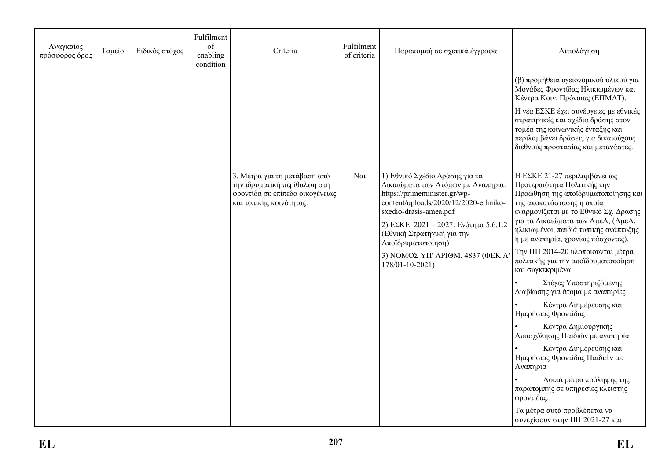| Αναγκαίος<br>πρόσφορος όρος | Ταμείο | Ειδικός στόχος | Fulfilment<br>of<br>enabling<br>condition | Criteria                                                                                                                   | Fulfilment<br>of criteria | Παραπομπή σε σχετικά έγγραφα                                                                                                                                                                                                                                                                            | Αιτιολόγηση                                                                                                                                                                                                                                                                                                                        |
|-----------------------------|--------|----------------|-------------------------------------------|----------------------------------------------------------------------------------------------------------------------------|---------------------------|---------------------------------------------------------------------------------------------------------------------------------------------------------------------------------------------------------------------------------------------------------------------------------------------------------|------------------------------------------------------------------------------------------------------------------------------------------------------------------------------------------------------------------------------------------------------------------------------------------------------------------------------------|
|                             |        |                |                                           |                                                                                                                            |                           |                                                                                                                                                                                                                                                                                                         | (β) προμήθεια υγειονομικού υλικού για<br>Μονάδες Φροντίδας Ηλικιωμένων και<br>Κέντρα Κοιν. Πρόνοιας (ΕΠΜΔΤ).<br>Η νέα ΕΣΚΕ έχει συνέργειες με εθνικές<br>στρατηγικές και σχέδια δράσης στον<br>τομέα της κοινωνικής ένταξης και<br>περιλαμβάνει δράσεις για δικαιούχους<br>διεθνούς προστασίας και μετανάστες.                     |
|                             |        |                |                                           | 3. Μέτρα για τη μετάβαση από<br>την ιδρυματική περίθαλψη στη<br>φροντίδα σε επίπεδο οικογένειας<br>και τοπικής κοινότητας. | $N\alpha$                 | 1) Εθνικό Σχέδιο Δράσης για τα<br>Δικαιώματα των Ατόμων με Αναπηρία:<br>https://primeminister.gr/wp-<br>content/uploads/2020/12/2020-ethniko-<br>sxedio-drasis-amea.pdf<br>2) ΕΣΚΕ 2021 - 2027: Ενότητα 5.6.1.2<br>(Εθνική Στρατηγική για την<br>Αποϊδρυματοποίηση)<br>3) ΝΟΜΟΣ ΥΠ' ΑΡΙΘΜ. 4837 (ΦΕΚ Α' | Η ΕΣΚΕ 21-27 περιλαμβάνει ως<br>Προτεραιότητα Πολιτικής την<br>Προώθηση της αποϊδρυματοποίησης και<br>της αποκατάστασης η οποία<br>εναρμονίζεται με το Εθνικό Σχ. Δράσης<br>για τα Δικαιώματα των ΑμεΑ, (ΑμεΑ,<br>ηλικιωμένοι, παιδιά τυπικής ανάπτυξης<br>ή με αναπηρία, χρονίως πάσχοντες).<br>Την ΠΠ 2014-20 υλοποιούνται μέτρα |
|                             |        |                |                                           |                                                                                                                            |                           | 178/01-10-2021)                                                                                                                                                                                                                                                                                         | πολιτικής για την αποϊδρυματοποίηση<br>και συγκεκριμένα:<br>Στέγες Υποστηριζόμενης<br>Διαβίωσης για άτομα με αναπηρίες<br>Κέντρα Διημέρευσης και<br>Ημερήσιας Φροντίδας                                                                                                                                                            |
|                             |        |                |                                           |                                                                                                                            |                           |                                                                                                                                                                                                                                                                                                         | Κέντρα Δημιουργικής<br>Απασχόλησης Παιδιών με αναπηρία<br>Κέντρα Διημέρευσης και<br>Ημερήσιας Φροντίδας Παιδιών με<br>Αναπηρία<br>Λοιπά μέτρα πρόληψης της                                                                                                                                                                         |
|                             |        |                |                                           |                                                                                                                            |                           |                                                                                                                                                                                                                                                                                                         | παραπομπής σε υπηρεσίες κλειστής<br>φροντίδας.<br>Τα μέτρα αυτά προβλέπεται να<br>συνεχίσουν στην ΠΠ 2021-27 και                                                                                                                                                                                                                   |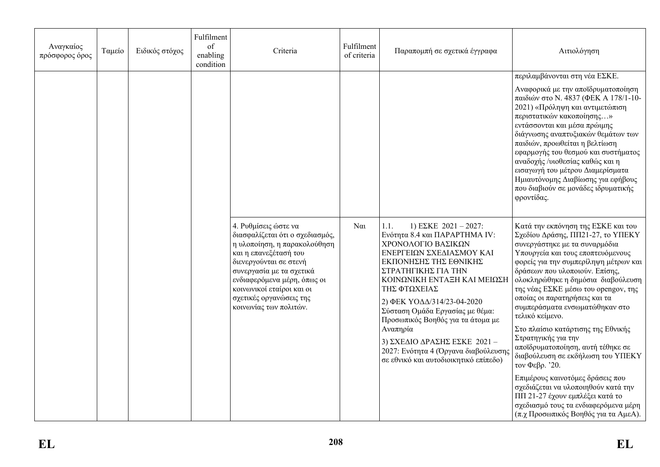| Αναγκαίος<br>πρόσφορος όρος | Ταμείο | Ειδικός στόχος | Fulfilment<br>of<br>enabling<br>condition | Criteria                                                                                                                                                                                                                                                                                | Fulfilment<br>of criteria | Παραπομπή σε σχετικά έγγραφα                                                                                                                                                                                                                                                                                                                                                                                                                        | Αιτιολόγηση                                                                                                                                                                                                                                                                                                                                                                                                                                                                                                                                                                                                                                                                                                                                        |
|-----------------------------|--------|----------------|-------------------------------------------|-----------------------------------------------------------------------------------------------------------------------------------------------------------------------------------------------------------------------------------------------------------------------------------------|---------------------------|-----------------------------------------------------------------------------------------------------------------------------------------------------------------------------------------------------------------------------------------------------------------------------------------------------------------------------------------------------------------------------------------------------------------------------------------------------|----------------------------------------------------------------------------------------------------------------------------------------------------------------------------------------------------------------------------------------------------------------------------------------------------------------------------------------------------------------------------------------------------------------------------------------------------------------------------------------------------------------------------------------------------------------------------------------------------------------------------------------------------------------------------------------------------------------------------------------------------|
|                             |        |                |                                           |                                                                                                                                                                                                                                                                                         |                           |                                                                                                                                                                                                                                                                                                                                                                                                                                                     | περιλαμβάνονται στη νέα ΕΣΚΕ.<br>Αναφορικά με την αποϊδρυματοποίηση<br>παιδιών στο Ν. 4837 (ΦΕΚ Α 178/1-10-<br>2021) «Πρόληψη και αντιμετώπιση<br>περιστατικών κακοποίησης»<br>εντάσσονται και μέσα πρώιμης<br>διάγνωσης αναπτυξιακών θεμάτων των<br>παιδιών, προωθείται η βελτίωση<br>εφαρμογής του θεσμού και συστήματος<br>αναδοχής /υιοθεσίας καθώς και η<br>εισαγωγή του μέτρου Διαμερίσματα<br>Ημιαυτόνομης Διαβίωσης για εφήβους<br>που διαβιούν σε μονάδες ιδρυματικής<br>φροντίδας.                                                                                                                                                                                                                                                       |
|                             |        |                |                                           | 4. Ρυθμίσεις ώστε να<br>διασφαλίζεται ότι ο σχεδιασμός,<br>η υλοποίηση, η παρακολούθηση<br>και η επανεξέτασή του<br>διενεργούνται σε στενή<br>συνεργασία με τα σχετικά<br>ενδιαφερόμενα μέρη, όπως οι<br>κοινωνικοί εταίροι και οι<br>σχετικές οργανώσεις της<br>κοινωνίας των πολιτών. | $N\alpha$                 | 1.1.<br>1) EZKE $2021 - 2027$ :<br>Ενότητα 8.4 και ΠΑΡΑΡΤΗΜΑ ΙV:<br>ΧΡΟΝΟΛΟΓΙΟ ΒΑΣΙΚΩΝ<br>ΕΝΕΡΓΕΙΩΝ ΣΧΕΔΙΑΣΜΟΥ ΚΑΙ<br>ΕΚΠΟΝΗΣΗΣ ΤΗΣ ΕΘΝΙΚΗΣ<br>ΣΤΡΑΤΗΓΙΚΗΣ ΓΙΑ ΤΗΝ<br>ΚΟΙΝΩΝΙΚΗ ΕΝΤΑΞΗ ΚΑΙ ΜΕΙΩΣΗ<br>ΤΗΣ ΦΤΩΧΕΙΑΣ<br>2) ΦΕΚ ΥΟΔΔ/314/23-04-2020<br>Σύσταση Ομάδα Εργασίας με θέμα:<br>Προσωπικός Βοηθός για τα άτομα με<br>Αναπηρία<br>3) ΣΧΕΔΙΟ ΔΡΑΣΗΣ ΕΣΚΕ 2021-<br>2027: Ενότητα 4 (Όργανα διαβούλευσης<br>σε εθνικό και αυτοδιοικητικό επίπεδο) | Κατά την εκπόνηση της ΕΣΚΕ και του<br>Σχεδίου Δράσης, ΠΠ21-27, το ΥΠΕΚΥ<br>συνεργάστηκε με τα συναρμόδια<br>Υπουργεία και τους εποπτευόμενους<br>φορείς για την συμπερίληψη μέτρων και<br>δράσεων που υλοποιούν. Επίσης,<br>ολοκληρώθηκε η δημόσια διαβούλευση<br>της νέας ΕΣΚΕ μέσω του opengov, της<br>οποίας οι παρατηρήσεις και τα<br>συμπεράσματα ενσωματώθηκαν στο<br>τελικό κείμενο.<br>Στο πλαίσιο κατάρτισης της Εθνικής<br>Στρατηγικής για την<br>αποϊδρυματοποίηση, αυτή τέθηκε σε<br>διαβούλευση σε εκδήλωση του ΥΠΕΚΥ<br>τον Φεβρ. '20.<br>Επιμέρους καινοτόμες δράσεις που<br>σχεδιάζεται να υλοποιηθούν κατά την<br>ΠΠ 21-27 έχουν εμπλέξει κατά το<br>σχεδιασμό τους τα ενδιαφερόμενα μέρη<br>(π.χ Προσωπικός Βοηθός για τα ΑμεΑ). |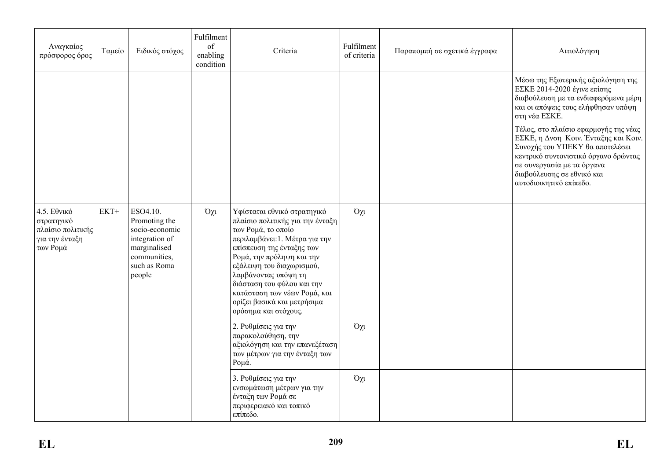| Αναγκαίος<br>πρόσφορος όρος                                                  | Ταμείο | Ειδικός στόχος                                                                                                          | Fulfilment<br>of<br>enabling<br>condition | Criteria                                                                                                                                                                                                                                                                                                                                                    | Fulfilment<br>of criteria | Παραπομπή σε σχετικά έγγραφα | Αιτιολόγηση                                                                                                                                                                                                                                                                                                                                                                                                          |
|------------------------------------------------------------------------------|--------|-------------------------------------------------------------------------------------------------------------------------|-------------------------------------------|-------------------------------------------------------------------------------------------------------------------------------------------------------------------------------------------------------------------------------------------------------------------------------------------------------------------------------------------------------------|---------------------------|------------------------------|----------------------------------------------------------------------------------------------------------------------------------------------------------------------------------------------------------------------------------------------------------------------------------------------------------------------------------------------------------------------------------------------------------------------|
|                                                                              |        |                                                                                                                         |                                           |                                                                                                                                                                                                                                                                                                                                                             |                           |                              | Μέσω της Εξωτερικής αξιολόγηση της<br>ΕΣΚΕ 2014-2020 έγινε επίσης<br>διαβούλευση με τα ενδιαφερόμενα μέρη<br>και οι απόψεις τους ελήφθησαν υπόψη<br>στη νέα ΕΣΚΕ.<br>Τέλος, στο πλαίσιο εφαρμογής της νέας<br>ΕΣΚΕ, η Δνση Κοιν. Ένταξης και Κοιν.<br>Συνοχής του ΥΠΕΚΥ θα αποτελέσει<br>κεντρικό συντονιστικό όργανο δρώντας<br>σε συνεργασία με τα όργανα<br>διαβούλευσης σε εθνικό και<br>αυτοδιοικητικό επίπεδο. |
| 4.5. Εθνικό<br>στρατηγικό<br>πλαίσιο πολιτικής<br>για την ένταξη<br>των Ρομά | $EKT+$ | ESO4.10.<br>Promoting the<br>socio-economic<br>integration of<br>marginalised<br>communities,<br>such as Roma<br>people | $O\chi t$                                 | Υφίσταται εθνικό στρατηγικό<br>πλαίσιο πολιτικής για την ένταξη<br>των Ρομά, το οποίο<br>περιλαμβάνει: 1. Μέτρα για την<br>επίσπευση της ένταξης των<br>Ρομά, την πρόληψη και την<br>εξάλειψη του διαχωρισμού,<br>λαμβάνοντας υπόψη τη<br>διάσταση του φύλου και την<br>κατάσταση των νέων Ρομά, και<br>ορίζει βασικά και μετρήσιμα<br>ορόσημα και στόχους. | $O\chi$ u                 |                              |                                                                                                                                                                                                                                                                                                                                                                                                                      |
|                                                                              |        |                                                                                                                         |                                           | 2. Ρυθμίσεις για την<br>παρακολούθηση, την<br>αξιολόγηση και την επανεξέταση<br>των μέτρων για την ένταξη των<br>Ρομά.                                                                                                                                                                                                                                      | $O\chi$ u                 |                              |                                                                                                                                                                                                                                                                                                                                                                                                                      |
|                                                                              |        |                                                                                                                         |                                           | 3. Ρυθμίσεις για την<br>ενσωμάτωση μέτρων για την<br>ένταξη των Ρομά σε<br>περιφερειακό και τοπικό<br>επίπεδο.                                                                                                                                                                                                                                              | $O\chi$ u                 |                              |                                                                                                                                                                                                                                                                                                                                                                                                                      |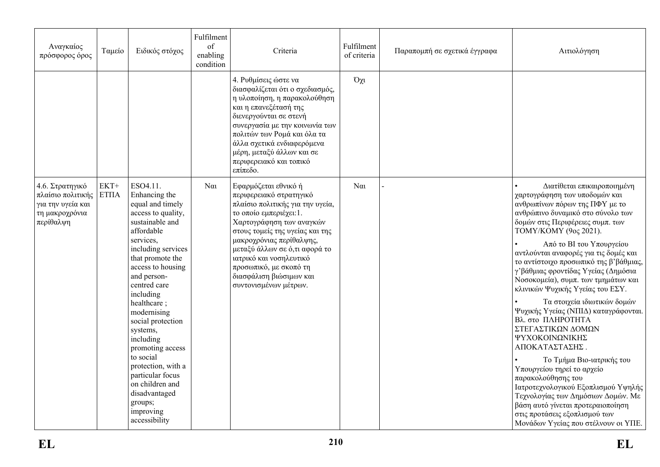| Αναγκαίος<br>πρόσφορος όρος                                                              | Ταμείο                | Ειδικός στόχος                                                                                                                                                                                                                                                                                                                                                                                                                                                   | Fulfilment<br>of<br>enabling<br>condition | Criteria                                                                                                                                                                                                                                                                                                                                            | Fulfilment<br>of criteria | Παραπομπή σε σχετικά έγγραφα | Αιτιολόγηση                                                                                                                                                                                                                                                                                                                                                                                                                                                                                                                                                                                                                                                                                                                                                                                                                                                       |
|------------------------------------------------------------------------------------------|-----------------------|------------------------------------------------------------------------------------------------------------------------------------------------------------------------------------------------------------------------------------------------------------------------------------------------------------------------------------------------------------------------------------------------------------------------------------------------------------------|-------------------------------------------|-----------------------------------------------------------------------------------------------------------------------------------------------------------------------------------------------------------------------------------------------------------------------------------------------------------------------------------------------------|---------------------------|------------------------------|-------------------------------------------------------------------------------------------------------------------------------------------------------------------------------------------------------------------------------------------------------------------------------------------------------------------------------------------------------------------------------------------------------------------------------------------------------------------------------------------------------------------------------------------------------------------------------------------------------------------------------------------------------------------------------------------------------------------------------------------------------------------------------------------------------------------------------------------------------------------|
|                                                                                          |                       |                                                                                                                                                                                                                                                                                                                                                                                                                                                                  |                                           | 4. Ρυθμίσεις ώστε να<br>διασφαλίζεται ότι ο σχεδιασμός,<br>η υλοποίηση, η παρακολούθηση<br>και η επανεξέτασή της<br>διενεργούνται σε στενή<br>συνεργασία με την κοινωνία των<br>πολιτών των Ρομά και όλα τα<br>άλλα σχετικά ενδιαφερόμενα<br>μέρη, μεταξύ άλλων και σε<br>περιφερειακό και τοπικό<br>επίπεδο.                                       | $O\chi$                   |                              |                                                                                                                                                                                                                                                                                                                                                                                                                                                                                                                                                                                                                                                                                                                                                                                                                                                                   |
| 4.6. Στρατηγικό<br>πλαίσιο πολιτικής<br>για την υγεία και<br>τη μακροχρόνια<br>περίθαλψη | $EKT+$<br><b>ΕΤΠΑ</b> | ESO4.11.<br>Enhancing the<br>equal and timely<br>access to quality,<br>sustainable and<br>affordable<br>services,<br>including services<br>that promote the<br>access to housing<br>and person-<br>centred care<br>including<br>healthcare;<br>modernising<br>social protection<br>systems,<br>including<br>promoting access<br>to social<br>protection, with a<br>particular focus<br>on children and<br>disadvantaged<br>groups;<br>improving<br>accessibility | $N\alpha$                                 | Εφαρμόζεται εθνικό ή<br>περιφερειακό στρατηγικό<br>πλαίσιο πολιτικής για την υγεία,<br>το οποίο εμπεριέχει: 1.<br>Χαρτογράφηση των αναγκών<br>στους τομείς της υγείας και της<br>μακροχρόνιας περίθαλψης,<br>μεταξύ άλλων σε ό,τι αφορά το<br>ιατρικό και νοσηλευτικό<br>προσωπικό, με σκοπό τη<br>διασφάλιση βιώσιμων και<br>συντονισμένων μέτρων. | $N\alpha$                 |                              | Διατίθεται επικαιροποιημένη<br>χαρτογράφηση των υποδομών και<br>ανθρωπίνων πόρων της ΠΦΥ με το<br>ανθρώπινο δυναμικό στο σύνολο των<br>δομών στις Περιφέρειες συμπ. των<br>ТОМҮ/КОМҮ (9оς 2021).<br>Από το ΒΙ του Υπουργείου<br>αντλούνται αναφορές για τις δομές και<br>το αντίστοιχο προσωπικό της β'βάθμιας,<br>γ'βάθμιας φροντίδας Υγείας (Δημόσια<br>Νοσοκομεία), συμπ. των τμημάτων και<br>κλινικών Ψυχικής Υγείας του ΕΣΥ.<br>Τα στοιχεία ιδιωτικών δομών<br>Ψυχικής Υγείας (ΝΠΙΔ) καταγράφονται.<br>Βλ. στο ΠΛΗΡΟΤΗΤΑ<br>ΣΤΕΓΑΣΤΙΚΩΝ ΔΟΜΩΝ<br>ΨΥΧΟΚΟΙΝΩΝΙΚΗΣ<br>ΑΠΟΚΑΤΑΣΤΑΣΗΣ.<br>Το Τμήμα Βιο-ιατρικής του<br>Υπουργείου τηρεί το αρχείο<br>παρακολούθησης του<br>Ιατροτεχνολογικού Εξοπλισμού Υψηλής<br>Τεχνολογίας των Δημόσιων Δομών. Με<br>βάση αυτό γίνεται προτεραιοποίηση<br>στις προτάσεις εξοπλισμού των<br>Μονάδων Υγείας που στέλνουν οι ΥΠΕ. |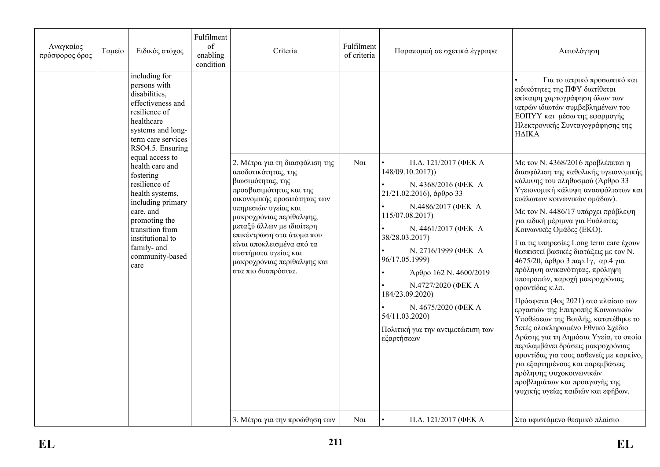| Αναγκαίος<br>πρόσφορος όρος | Ταμείο                                                                                                                                        | Ειδικός στόχος                                                                                                                                                                                                                              | Fulfilment<br>of<br>enabling<br>condition | Criteria                                                                                                                                                                                                                                                                                                                                                       | Fulfilment<br>of criteria | Παραπομπή σε σχετικά έγγραφα                                                                                                                                                                                                                                                                                                                                                           | Αιτιολόγηση                                                                                                                                                                                                                                                                                                                                                                                                                                                                                                                                                                                                                                                                                                                                                                                                                                                                                                                   |  |                                                                                                                                                                                                                   |
|-----------------------------|-----------------------------------------------------------------------------------------------------------------------------------------------|---------------------------------------------------------------------------------------------------------------------------------------------------------------------------------------------------------------------------------------------|-------------------------------------------|----------------------------------------------------------------------------------------------------------------------------------------------------------------------------------------------------------------------------------------------------------------------------------------------------------------------------------------------------------------|---------------------------|----------------------------------------------------------------------------------------------------------------------------------------------------------------------------------------------------------------------------------------------------------------------------------------------------------------------------------------------------------------------------------------|-------------------------------------------------------------------------------------------------------------------------------------------------------------------------------------------------------------------------------------------------------------------------------------------------------------------------------------------------------------------------------------------------------------------------------------------------------------------------------------------------------------------------------------------------------------------------------------------------------------------------------------------------------------------------------------------------------------------------------------------------------------------------------------------------------------------------------------------------------------------------------------------------------------------------------|--|-------------------------------------------------------------------------------------------------------------------------------------------------------------------------------------------------------------------|
|                             | including for<br>persons with<br>disabilities,<br>effectiveness and<br>resilience of<br>healthcare<br>systems and long-<br>term care services |                                                                                                                                                                                                                                             |                                           |                                                                                                                                                                                                                                                                                                                                                                |                           |                                                                                                                                                                                                                                                                                                                                                                                        |                                                                                                                                                                                                                                                                                                                                                                                                                                                                                                                                                                                                                                                                                                                                                                                                                                                                                                                               |  | Για το ιατρικό προσωπικό και<br>ειδικότητες της ΠΦΥ διατίθεται<br>επίκαιρη χαρτογράφηση όλων των<br>ιατρών ιδιωτών συμβεβλημένων του<br>ΕΟΠΥΥ και μέσω της εφαρμογής<br>Ηλεκτρονικής Συνταγογράφησης της<br>ΗΔΙΚΑ |
|                             |                                                                                                                                               | RSO4.5. Ensuring<br>equal access to<br>health care and<br>fostering<br>resilience of<br>health systems,<br>including primary<br>care, and<br>promoting the<br>transition from<br>institutional to<br>family- and<br>community-based<br>care |                                           | 2. Μέτρα για τη διασφάλιση της<br>αποδοτικότητας, της<br>βιωσιμότητας, της<br>προσβασιμότητας και της<br>οικονομικής προσιτότητας των<br>υπηρεσιών υγείας και<br>μακροχρόνιας περίθαλψης,<br>μεταξύ άλλων με ιδιαίτερη<br>επικέντρωση στα άτομα που<br>είναι αποκλεισμένα από τα<br>συστήματα υγείας και<br>μακροχρόνιας περίθαλψης και<br>στα πιο δυσπρόσιτα. | $N\alpha$                 | П.Д. 121/2017 (ФЕК А<br>148/09.10.2017)<br>N. 4368/2016 (ΦΕΚ Α<br>$21/21.02.2016$ ), άρθρο 33<br>N.4486/2017 (ΦΕΚ Α<br>115/07.08.2017)<br>N. 4461/2017 (ΦΕΚ Α<br>38/28.03.2017)<br>N. 2716/1999 (ΦΕΚ Α<br>96/17.05.1999)<br>Άρθρο 162 Ν. 4600/2019<br>N.4727/2020 (ΦΕΚ Α<br>184/23.09.2020)<br>N. 4675/2020 (ΦΕΚΑ<br>54/11.03.2020)<br>Πολιτική για την αντιμετώπιση των<br>εξαρτήσεων | Με τον Ν. 4368/2016 προβλέπεται η<br>διασφάλιση της καθολικής υγειονομικής<br>κάλυψης του πληθυσμού (Άρθρο 33<br>Υγειονομική κάλυψη ανασφάλιστων και<br>ευάλωτων κοινωνικών ομάδων).<br>Με τον Ν. 4486/17 υπάρχει πρόβλεψη<br>για ειδική μέριμνα για Ευάλωτες<br>Κοινωνικές Ομάδες (ΕΚΟ).<br>Για τις υπηρεσίες Long term care έχουν<br>θεσπιστεί βασικές διατάξεις με τον Ν.<br>4675/20, άρθρο 3 παρ.1γ, αρ.4 για<br>πρόληψη ανικανότητας, πρόληψη<br>υποτροπών, παροχή μακροχρόνιας<br>φροντίδας κ.λπ.<br>Πρόσφατα (4ος 2021) στο πλαίσιο των<br>εργασιών της Επιτροπής Κοινωνικών<br>Υποθέσεων της Βουλής, κατατέθηκε το<br>5ετές ολοκληρωμένο Εθνικό Σχέδιο<br>Δράσης για τη Δημόσια Υγεία, το οποίο<br>περιλαμβάνει δράσεις μακροχρόνιας<br>φροντίδας για τους ασθενείς με καρκίνο,<br>για εξαρτημένους και παρεμβάσεις<br>πρόληψης ψυχοκοινωνικών<br>προβλημάτων και προαγωγής της<br>ψυχικής υγείας παιδιών και εφήβων. |  |                                                                                                                                                                                                                   |
|                             |                                                                                                                                               |                                                                                                                                                                                                                                             |                                           | 3. Μέτρα για την προώθηση των                                                                                                                                                                                                                                                                                                                                  | $N\alpha$                 | П.Д. 121/2017 (ФЕКА                                                                                                                                                                                                                                                                                                                                                                    | Στο υφιστάμενο θεσμικό πλαίσιο                                                                                                                                                                                                                                                                                                                                                                                                                                                                                                                                                                                                                                                                                                                                                                                                                                                                                                |  |                                                                                                                                                                                                                   |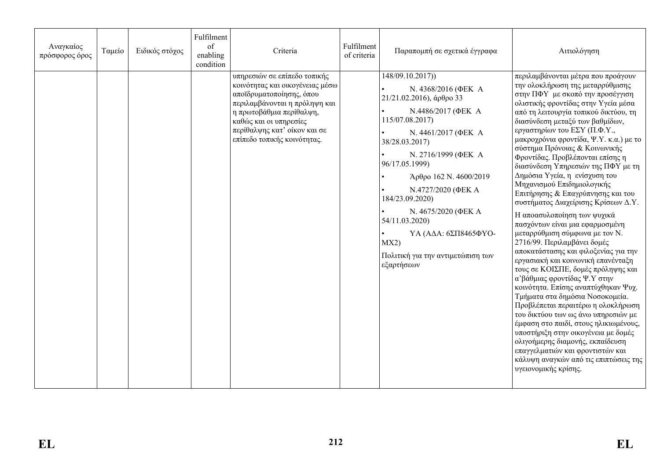| Αναγκαίος<br>πρόσφορος όρος | Ταμείο | Ειδικός στόχος | Fulfilment<br>of<br>enabling<br>condition | Criteria                                                                                                                                                                                                                                          | Fulfilment<br>of criteria | Παραπομπή σε σχετικά έγγραφα                                                                                                                                                                                                                                                                                                                                                                     | Αιτιολόγηση                                                                                                                                                                                                                                                                                                                                                                                                                                                                                                                                                                                                                                                                                                                                                                                                                                                                                                                                                                                                                                                                                                                                                                                                                           |
|-----------------------------|--------|----------------|-------------------------------------------|---------------------------------------------------------------------------------------------------------------------------------------------------------------------------------------------------------------------------------------------------|---------------------------|--------------------------------------------------------------------------------------------------------------------------------------------------------------------------------------------------------------------------------------------------------------------------------------------------------------------------------------------------------------------------------------------------|---------------------------------------------------------------------------------------------------------------------------------------------------------------------------------------------------------------------------------------------------------------------------------------------------------------------------------------------------------------------------------------------------------------------------------------------------------------------------------------------------------------------------------------------------------------------------------------------------------------------------------------------------------------------------------------------------------------------------------------------------------------------------------------------------------------------------------------------------------------------------------------------------------------------------------------------------------------------------------------------------------------------------------------------------------------------------------------------------------------------------------------------------------------------------------------------------------------------------------------|
|                             |        |                |                                           | υπηρεσιών σε επίπεδο τοπικής<br>κοινότητας και οικογένειας μέσω<br>αποϊδρυματοποίησης, όπου<br>περιλαμβάνονται η πρόληψη και<br>η πρωτοβάθμια περίθαλψη,<br>καθώς και οι υπηρεσίες<br>περίθαλψης κατ' οίκον και σε<br>επίπεδο τοπικής κοινότητας. |                           | 148/09.10.2017))<br>N. 4368/2016 (ΦΕΚ A<br>$21/21.02.2016$ ), άρθρο 33<br>N.4486/2017 (ΦΕΚ Α<br>115/07.08.2017)<br>N. 4461/2017 (ΦΕΚ Α<br>38/28.03.2017)<br>N. 2716/1999 (ΦΕΚ Α<br>96/17.05.1999)<br>Άρθρο 162 Ν. 4600/2019<br>N.4727/2020 (ΦΕΚ Α<br>184/23.09.2020)<br>N. 4675/2020 (ΦΕΚ Α<br>54/11.03.2020)<br>ΥΑ (ΑΔΑ: 6ΣΠ8465ΦΥΟ-<br>MX2)<br>Πολιτική για την αντιμετώπιση των<br>εξαρτήσεων | περιλαμβάνονται μέτρα που προάγουν<br>την ολοκλήρωση της μεταρρύθμισης<br>στην ΠΦΥ με σκοπό την προσέγγιση<br>ολιστικής φροντίδας στην Υγεία μέσα<br>από τη λειτουργία τοπικού δικτύου, τη<br>διασύνδεση μεταξύ των βαθμίδων,<br>εργαστηρίων του ΕΣΥ (Π.Φ.Υ.,<br>μακροχρόνια φροντίδα, Ψ.Υ. κ.α.) με το<br>σύστημα Πρόνοιας & Κοινωνικής<br>Φροντίδας. Προβλέπονται επίσης η<br>διασύνδεση Υπηρεσιών της ΠΦΥ με τη<br>Δημόσια Υγεία, η ενίσχυση του<br>Μηχανισμού Επιδημιολογικής<br>Επιτήρησης & Επαγρύπνησης και του<br>συστήματος Διαχείρισης Κρίσεων Δ.Υ.<br>Η αποασυλοποίηση των ψυχικά<br>πασχόντων είναι μια εφαρμοσμένη<br>μεταρρύθμιση σύμφωνα με τον Ν.<br>2716/99. Περιλαμβάνει δομές<br>αποκατάστασης και φιλοξενίας για την<br>εργασιακή και κοινωνική επανένταξη<br>τους σε ΚΟΙΣΠΕ, δομές πρόληψης και<br>α' βάθμιας φροντίδας Ψ.Υ στην<br>κοινότητα. Επίσης αναπτύχθηκαν Ψυχ.<br>Τμήματα στα δημόσια Νοσοκομεία.<br>Προβλέπεται περαιτέρω η ολοκλήρωση<br>του δικτύου των ως άνω υπηρεσιών με<br>έμφαση στο παιδί, στους ηλικιωμένους,<br>υποστήριξη στην οικογένεια με δομές<br>ολιγοήμερης διαμονής, εκπαίδευση<br>επαγγελματιών και φροντιστών και<br>κάλυψη αναγκών από τις επιπτώσεις της<br>υγειονομικής κρίσης. |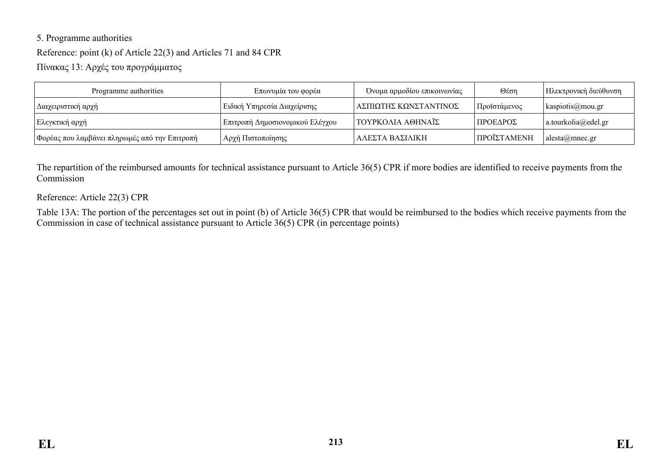# 5. Programme authorities Reference: point (k) of Article 22(3) and Articles 71 and 84 CPR Πίνακας 13: Αρχές του προγράμματος

| Programme authorities                         | Επωνυμία του φορέα              | Όνομα αρμοδίου επικοινωνίας | $\Theta$ έση | Ηλεκτρονική διεύθυνση         |
|-----------------------------------------------|---------------------------------|-----------------------------|--------------|-------------------------------|
| Διαχειριστική αρχή                            | Ειδική Υπηρεσία Διαχείρισης     | ' ΑΣΠΙΩΤΗΣ ΚΩΝΣΤΑΝΤΙΝΟΣ     | Προϊστάμενος | $\kappa$ kaspiotis@mou.gr     |
| Ελεγκτική αρχή                                | Επιτροπή Δημοσιονομικού Ελέγχου | ΤΟΥΡΚΟΛΙΑ ΑΘΗΝΑΪΣ           | Ι ΠΡΟΕΔΡΟΣ   | $ $ a.tourkolia@edel.gr       |
| Φορέας που λαμβάνει πληρωμές από την Επιτροπή | Αρχή Πιστοποίησης               | ΑΛΕΣΤΑ ΒΑΣΙΛΙΚΗ             | ΠΡΟΪΣΤΑΜΕΝΗ  | $alesta(\widehat{a})$ mnec.gr |

The repartition of the reimbursed amounts for technical assistance pursuant to Article 36(5) CPR if more bodies are identified to receive payments from the Commission

#### Reference: Article 22(3) CPR

Table 13A: The portion of the percentages set out in point (b) of Article 36(5) CPR that would be reimbursed to the bodies which receive payments from the Commission in case of technical assistance pursuant to Article 36(5) CPR (in percentage points)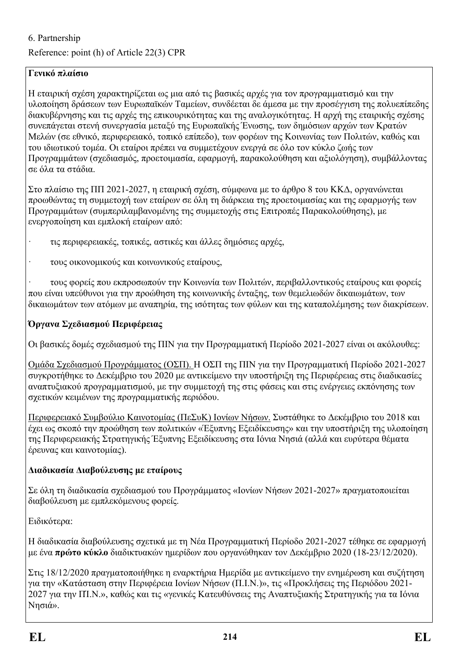## 6. Partnership

Reference: point (h) of Article 22(3) CPR

## **Γενικό πλαίσιο**

Η εταιρική σχέση χαρακτηρίζεται ως μια από τις βασικές αρχές για τον προγραμματισμό και την υλοποίηση δράσεων των Ευρωπαϊκών Ταμείων, συνδέεται δε άμεσα με την προσέγγιση της πολυεπίπεδης διακυβέρνησης και τις αρχές της επικουρικότητας και της αναλογικότητας. Η αρχή της εταιρικής σχέσης συνεπάγεται στενή συνεργασία μεταξύ της Ευρωπαϊκής Ένωσης, των δημόσιων αρχών των Κρατών Μελών (σε εθνικό, περιφερειακό, τοπικό επίπεδο), των φορέων της Κοινωνίας των Πολιτών, καθώς και του ιδιωτικού τομέα. Οι εταίροι πρέπει να συμμετέχουν ενεργά σε όλο τον κύκλο ζωής των Προγραμμάτων (σχεδιασμός, προετοιμασία, εφαρμογή, παρακολούθηση και αξιολόγηση), συμβάλλοντας σε όλα τα στάδια.

Στο πλαίσιο της ΠΠ 2021-2027, η εταιρική σχέση, σύμφωνα με το άρθρο 8 του ΚΚΔ, οργανώνεται προωθώντας τη συμμετοχή των εταίρων σε όλη τη διάρκεια της προετοιμασίας και της εφαρμογής των Προγραμμάτων (συμπεριλαμβανομένης της συμμετοχής στις Επιτροπές Παρακολούθησης), με ενεργοποίηση και εμπλοκή εταίρων από:

- · τις περιφερειακές, τοπικές, αστικές και άλλες δημόσιες αρχές,
- · τους οικονομικούς και κοινωνικούς εταίρους,

· τους φορείς που εκπροσωπούν την Κοινωνία των Πολιτών, περιβαλλοντικούς εταίρους και φορείς που είναι υπεύθυνοι για την προώθηση της κοινωνικής ένταξης, των θεμελιωδών δικαιωμάτων, των δικαιωμάτων των ατόμων με αναπηρία, της ισότητας των φύλων και της καταπολέμησης των διακρίσεων.

## **Όργανα Σχεδιασμού Περιφέρειας**

Οι βασικές δομές σχεδιασμού της ΠΙΝ για την Προγραμματική Περίοδο 2021-2027 είναι οι ακόλουθες:

Ομάδα Σχεδιασμού Προγράμματος (ΟΣΠ). Η ΟΣΠ της ΠΙΝ για την Προγραμματική Περίοδο 2021-2027 συγκροτήθηκε το Δεκέμβριο του 2020 με αντικείμενο την υποστήριξη της Περιφέρειας στις διαδικασίες αναπτυξιακού προγραμματισμού, με την συμμετοχή της στις φάσεις και στις ενέργειες εκπόνησης των σχετικών κειμένων της προγραμματικής περιόδου.

Περιφερειακό Συμβούλιο Καινοτομίας (ΠεΣυΚ) Ιονίων Νήσων. Συστάθηκε το Δεκέμβριο του 2018 και έχει ως σκοπό την προώθηση των πολιτικών «Έξυπνης Εξειδίκευσης» και την υποστήριξη της υλοποίηση της Περιφερειακής Στρατηγικής Έξυπνης Εξειδίκευσης στα Ιόνια Νησιά (αλλά και ευρύτερα θέματα έρευνας και καινοτομίας).

### **Διαδικασία Διαβούλευσης με εταίρους**

Σε όλη τη διαδικασία σχεδιασμού του Προγράμματος «Ιονίων Νήσων 2021-2027» πραγματοποιείται διαβούλευση με εμπλεκόμενους φορείς.

Ειδικότερα:

Η διαδικασία διαβούλευσης σχετικά με τη Νέα Προγραμματική Περίοδο 2021-2027 τέθηκε σε εφαρμογή με ένα **πρώτο κύκλο** διαδικτυακών ημερίδων που οργανώθηκαν τον Δεκέμβριο 2020 (18-23/12/2020).

Στις 18/12/2020 πραγματοποιήθηκε η εναρκτήρια Ημερίδα με αντικείμενο την ενημέρωση και συζήτηση για την «Κατάσταση στην Περιφέρεια Ιονίων Νήσων (Π.Ι.Ν.)», τις «Προκλήσεις της Περιόδου 2021- 2027 για την ΠΊ.Ν.», καθώς και τις «γενικές Κατευθύνσεις της Αναπτυξιακής Στρατηγικής για τα Ιόνια Νησιά».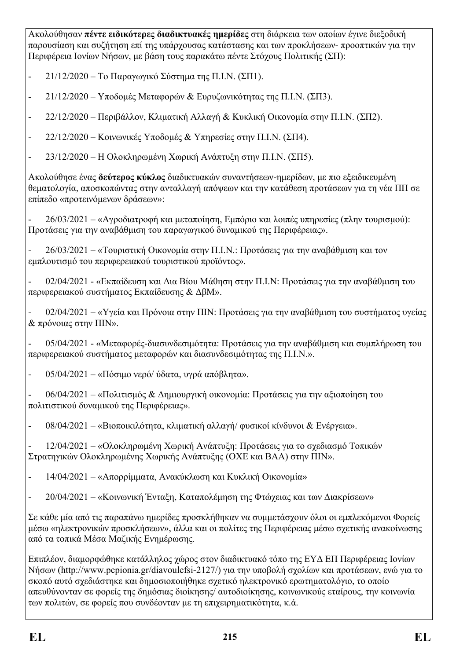Ακολούθησαν **πέντε ειδικότερες διαδικτυακές ημερίδες** στη διάρκεια των οποίων έγινε διεξοδική παρουσίαση και συζήτηση επί της υπάρχουσας κατάστασης και των προκλήσεων- προοπτικών για την Περιφέρεια Ιονίων Νήσων, με βάση τους παρακάτω πέντε Στόχους Πολιτικής (ΣΠ):

- 21/12/2020 Το Παραγωγικό Σύστημα της Π.Ι.Ν. (ΣΠ1).
- 21/12/2020 Υποδομές Μεταφορών & Ευρυζωνικότητας της Π.Ι.Ν. (ΣΠ3).
- 22/12/2020 Περιβάλλον, Κλιματική Αλλαγή & Κυκλική Οικονομία στην Π.Ι.Ν. (ΣΠ2).
- 22/12/2020 Κοινωνικές Υποδομές & Υπηρεσίες στην Π.Ι.Ν. (ΣΠ4).
- 23/12/2020 Η Ολοκληρωμένη Χωρική Ανάπτυξη στην Π.Ι.Ν. (ΣΠ5).

Ακολούθησε ένας **δεύτερος κύκλος** διαδικτυακών συναντήσεων-ημερίδων, με πιο εξειδικευμένη θεματολογία, αποσκοπώντας στην ανταλλαγή απόψεων και την κατάθεση προτάσεων για τη νέα ΠΠ σε επίπεδο «προτεινόμενων δράσεων»:

- 26/03/2021 – «Αγροδιατροφή και μεταποίηση, Εμπόριο και λοιπές υπηρεσίες (πλην τουρισμού): Προτάσεις για την αναβάθμιση του παραγωγικού δυναμικού της Περιφέρειας».

- 26/03/2021 – «Τουριστική Οικονομία στην Π.Ι.Ν.: Προτάσεις για την αναβάθμιση και τον εμπλουτισμό του περιφερειακού τουριστικού προϊόντος».

- 02/04/2021 - «Εκπαίδευση και Δια Βίου Μάθηση στην Π.Ι.Ν: Προτάσεις για την αναβάθμιση του περιφερειακού συστήματος Εκπαίδευσης & ΔβΜ».

- 02/04/2021 – «Υγεία και Πρόνοια στην ΠΙΝ: Προτάσεις για την αναβάθμιση του συστήματος υγείας & πρόνοιας στην ΠΙΝ».

- 05/04/2021 - «Μεταφορές-διασυνδεσιμότητα: Προτάσεις για την αναβάθμιση και συμπλήρωση του περιφερειακού συστήματος μεταφορών και διασυνδεσιμότητας της Π.Ι.Ν.».

-  $05/04/2021 - \langle \sqrt{10}\sigma \rangle$  νερό/ ύδατα, υγρά απόβλητα».

- 06/04/2021 – «Πολιτισμός & Δημιουργική οικονομία: Προτάσεις για την αξιοποίηση του πολιτιστικού δυναμικού της Περιφέρειας».

- 08/04/2021 – «Βιοποικιλότητα, κλιματική αλλαγή/ φυσικοί κίνδυνοι & Ενέργεια».

- 12/04/2021 – «Ολοκληρωμένη Χωρική Ανάπτυξη: Προτάσεις για το σχεδιασμό Τοπικών Στρατηγικών Ολοκληρωμένης Χωρικής Ανάπτυξης (ΟΧΕ και ΒΑΑ) στην ΠΙΝ».

- 14/04/2021 – «Απορρίμματα, Ανακύκλωση και Κυκλική Οικονομία»

- 20/04/2021 – «Κοινωνική Ένταξη, Καταπολέμηση της Φτώχειας και των Διακρίσεων»

Σε κάθε μία από τις παραπάνω ημερίδες προσκλήθηκαν να συμμετάσχουν όλοι οι εμπλεκόμενοι Φορείς μέσω «ηλεκτρονικών προσκλήσεων», άλλα και οι πολίτες της Περιφέρειας μέσω σχετικής ανακοίνωσης από τα τοπικά Μέσα Μαζικής Ενημέρωσης.

Επιπλέον, διαμορφώθηκε κατάλληλος χώρος στον διαδικτυακό τόπο της ΕΥΔ ΕΠ Περιφέρειας Ιονίων Νήσων (http://www.pepionia.gr/diavoulefsi-2127/) για την υποβολή σχολίων και προτάσεων, ενώ για το σκοπό αυτό σχεδιάστηκε και δημοσιοποιήθηκε σχετικό ηλεκτρονικό ερωτηματολόγιο, το οποίο απευθύνονταν σε φορείς της δημόσιας διοίκησης/ αυτοδιοίκησης, κοινωνικούς εταίρους, την κοινωνία των πολιτών, σε φορείς που συνδέονταν με τη επιχειρηματικότητα, κ.ά.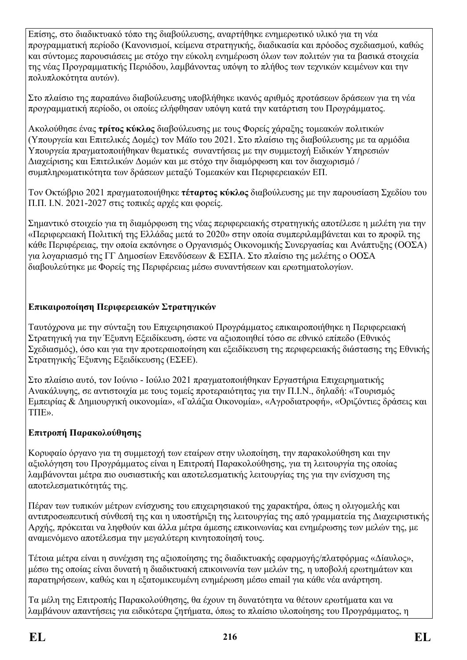Επίσης, στο διαδικτυακό τόπο της διαβούλευσης, αναρτήθηκε ενημερωτικό υλικό για τη νέα προγραμματική περίοδο (Κανονισμοί, κείμενα στρατηγικής, διαδικασία και πρόοδος σχεδιασμού, καθώς και σύντομες παρουσιάσεις με στόχο την εύκολη ενημέρωση όλων των πολιτών για τα βασικά στοιχεία της νέας Προγραμματικής Περιόδου, λαμβάνοντας υπόψη το πλήθος των τεχνικών κειμένων και την πολυπλοκότητα αυτών).

Στο πλαίσιο της παραπάνω διαβούλευσης υποβλήθηκε ικανός αριθμός προτάσεων δράσεων για τη νέα προγραμματική περίοδο, οι οποίες ελήφθησαν υπόψη κατά την κατάρτιση του Προγράμματος.

Ακολούθησε ένας **τρίτος κύκλος** διαβούλευσης με τους Φορείς χάραξης τομεακών πολιτικών (Υπουργεία και Επιτελικές Δομές) τον Μάϊο του 2021. Στο πλαίσιο της διαβούλευσης με τα αρμόδια Υπουργεία πραγματοποιήθηκαν θεματικές συναντήσεις με την συμμετοχή Ειδικών Υπηρεσιών Διαχείρισης και Επιτελικών Δομών και με στόχο την διαμόρφωση και τον διαχωρισμό / συμπληρωματικότητα των δράσεων μεταξύ Τομεακών και Περιφερειακών ΕΠ.

Τον Οκτώβριο 2021 πραγματοποιήθηκε **τέταρτος κύκλος** διαβούλευσης με την παρουσίαση Σχεδίου του Π.Π. Ι.Ν. 2021-2027 στις τοπικές αρχές και φορείς.

Σημαντικό στοιχείο για τη διαμόρφωση της νέας περιφερειακής στρατηγικής αποτέλεσε η μελέτη για την «Περιφερειακή Πολιτική της Ελλάδας μετά το 2020» στην οποία συμπεριλαμβάνεται και το προφίλ της κάθε Περιφέρειας, την οποία εκπόνησε ο Οργανισμός Οικονομικής Συνεργασίας και Ανάπτυξης (ΟΟΣΑ) για λογαριασμό της ΓΓ Δημοσίων Επενδύσεων & ΕΣΠΑ. Στο πλαίσιο της μελέτης ο ΟΟΣΑ διαβουλεύτηκε με Φορείς της Περιφέρειας μέσω συναντήσεων και ερωτηματολογίων.

#### **Επικαιροποίηση Περιφερειακών Στρατηγικών**

Ταυτόχρονα με την σύνταξη του Επιχειρησιακού Προγράμματος επικαιροποιήθηκε η Περιφερειακή Στρατηγική για την Έξυπνη Εξειδίκευση, ώστε να αξιοποιηθεί τόσο σε εθνικό επίπεδο (Εθνικός Σχεδιασμός), όσο και για την προτεραιοποίηση και εξειδίκευση της περιφερειακής διάστασης της Εθνικής Στρατηγικής Έξυπνης Εξειδίκευσης (ΕΣΕΕ).

Στο πλαίσιο αυτό, τον Ιούνιο - Ιούλιο 2021 πραγματοποιήθηκαν Εργαστήρια Επιχειρηματικής Ανακάλυψης, σε αντιστοιχία με τους τομείς προτεραιότητας για την Π.Ι.Ν., δηλαδή: «Τουρισμός Εμπειρίας & Δημιουργική οικονομία», «Γαλάζια Οικονομία», «Αγροδιατροφή», «Οριζόντιες δράσεις και ΤΠΕ».

### **Επιτροπή Παρακολούθησης**

Κορυφαίο όργανο για τη συμμετοχή των εταίρων στην υλοποίηση, την παρακολούθηση και την αξιολόγηση του Προγράμματος είναι η Επιτροπή Παρακολούθησης, για τη λειτουργία της οποίας λαμβάνονται μέτρα πιο ουσιαστικής και αποτελεσματικής λειτουργίας της για την ενίσχυση της αποτελεσματικότητάς της.

Πέραν των τυπικών μέτρων ενίσχυσης του επιχειρησιακού της χαρακτήρα, όπως η ολιγομελής και αντιπροσωπευτική σύνθεσή της και η υποστήριξη της λειτουργίας της από γραμματεία της Διαχειριστικής Αρχής, πρόκειται να ληφθούν και άλλα μέτρα άμεσης επικοινωνίας και ενημέρωσης των μελών της, με αναμενόμενο αποτέλεσμα την μεγαλύτερη κινητοποίησή τους.

Τέτοια μέτρα είναι η συνέχιση της αξιοποίησης της διαδικτυακής εφαρμογής/πλατφόρμας «Δίαυλος», μέσω της οποίας είναι δυνατή η διαδικτυακή επικοινωνία των μελών της, η υποβολή ερωτημάτων και παρατηρήσεων, καθώς και η εξατομικευμένη ενημέρωση μέσω email για κάθε νέα ανάρτηση.

Τα μέλη της Επιτροπής Παρακολούθησης, θα έχουν τη δυνατότητα να θέτουν ερωτήματα και να λαμβάνουν απαντήσεις για ειδικότερα ζητήματα, όπως το πλαίσιο υλοποίησης του Προγράμματος, η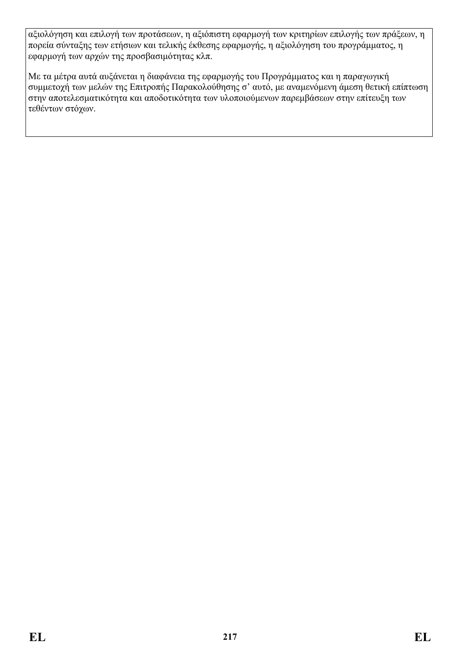αξιολόγηση και επιλογή των προτάσεων, η αξιόπιστη εφαρμογή των κριτηρίων επιλογής των πράξεων, η πορεία σύνταξης των ετήσιων και τελικής έκθεσης εφαρμογής, η αξιολόγηση του προγράμματος, η εφαρμογή των αρχών της προσβασιμότητας κλπ.

Με τα μέτρα αυτά αυξάνεται η διαφάνεια της εφαρμογής του Προγράμματος και η παραγωγική συμμετοχή των μελών της Επιτροπής Παρακολούθησης σ' αυτό, με αναμενόμενη άμεση θετική επίπτωση στην αποτελεσματικότητα και αποδοτικότητα των υλοποιούμενων παρεμβάσεων στην επίτευξη των τεθέντων στόχων.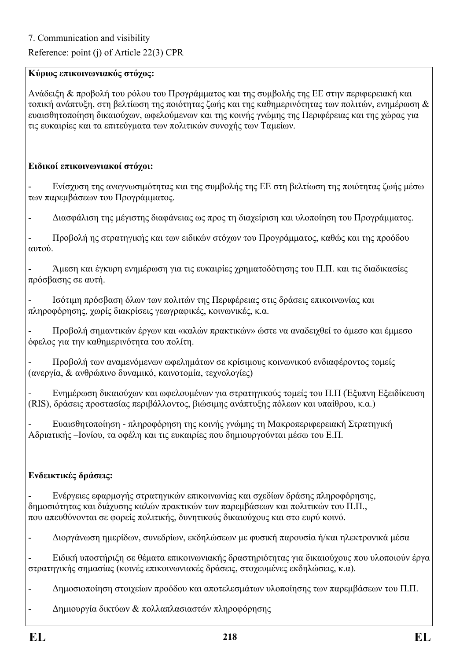Reference: point (j) of Article 22(3) CPR

#### **Κύριος επικοινωνιακός στόχος:**

Ανάδειξη & προβολή του ρόλου του Προγράμματος και της συμβολής της EE στην περιφερειακή και τοπική ανάπτυξη, στη βελτίωση της ποιότητας ζωής και της καθημερινότητας των πολιτών, ενημέρωση & ευαισθητοποίηση δικαιούχων, ωφελούμενων και της κοινής γνώμης της Περιφέρειας και της χώρας για τις ευκαιρίες και τα επιτεύγματα των πολιτικών συνοχής των Ταμείων.

#### **Ειδικοί επικοινωνιακοί στόχοι:**

- Ενίσχυση της αναγνωσιμότητας και της συμβολής της EE στη βελτίωση της ποιότητας ζωής μέσω των παρεμβάσεων του Προγράμματος.

- Διασφάλιση της μέγιστης διαφάνειας ως προς τη διαχείριση και υλοποίηση του Προγράμματος.

- Προβολή ης στρατηγικής και των ειδικών στόχων του Προγράμματος, καθώς και της προόδου αυτού.

- Άμεση και έγκυρη ενημέρωση για τις ευκαιρίες χρηματοδότησης του Π.Π. και τις διαδικασίες πρόσβασης σε αυτή.

- Ισότιμη πρόσβαση όλων των πολιτών της Περιφέρειας στις δράσεις επικοινωνίας και πληροφόρησης, χωρίς διακρίσεις γεωγραφικές, κοινωνικές, κ.α.

- Προβολή σημαντικών έργων και «καλών πρακτικών» ώστε να αναδειχθεί το άμεσο και έμμεσο όφελος για την καθημερινότητα του πολίτη.

- Προβολή των αναμενόμενων ωφελημάτων σε κρίσιμους κοινωνικού ενδιαφέροντος τομείς (ανεργία, & ανθρώπινο δυναμικό, καινοτομία, τεχνολογίες)

- Ενημέρωση δικαιούχων και ωφελουμένων για στρατηγικούς τομείς του Π.Π (Έξυπνη Εξειδίκευση (RIS), δράσεις προστασίας περιβάλλοντος, βιώσιμης ανάπτυξης πόλεων και υπαίθρου, κ.α.)

- Ευαισθητοποίηση - πληροφόρηση της κοινής γνώμης τη Μακροπεριφερειακή Στρατηγική Αδριατικής –Ιονίου, τα οφέλη και τις ευκαιρίες που δημιουργούνται μέσω του Ε.Π.

### **Ενδεικτικές δράσεις:**

- Ενέργειες εφαρμογής στρατηγικών επικοινωνίας και σχεδίων δράσης πληροφόρησης, δημοσιότητας και διάχυσης καλών πρακτικών των παρεμβάσεων και πολιτικών του Π.Π., που απευθύνονται σε φορείς πολιτικής, δυνητικούς δικαιούχους και στο ευρύ κοινό.

- Διοργάνωση ημερίδων, συνεδρίων, εκδηλώσεων με φυσική παρουσία ή/και ηλεκτρονικά μέσα

- Eιδική υποστήριξη σε θέματα επικοινωνιακής δραστηριότητας για δικαιούχους που υλοποιούν έργα στρατηγικής σημασίας (κοινές επικοινωνιακές δράσεις, στοχευμένες εκδηλώσεις, κ.α).

- Δημοσιοποίηση στοιχείων προόδου και αποτελεσμάτων υλοποίησης των παρεμβάσεων του Π.Π.

- Δημιουργία δικτύων & πολλαπλασιαστών πληροφόρησης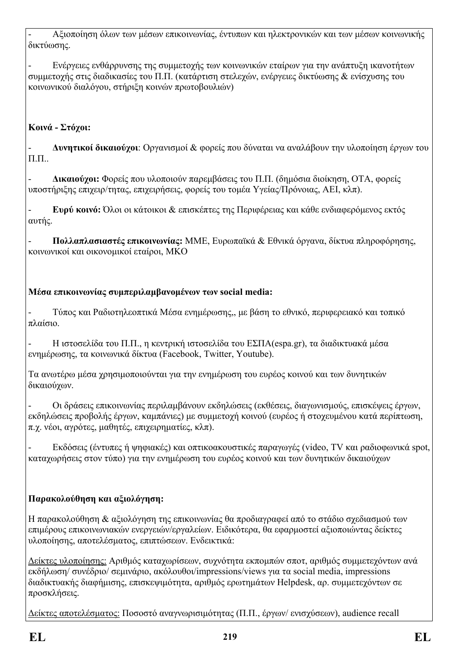- Αξιοποίηση όλων των μέσων επικοινωνίας, έντυπων και ηλεκτρονικών και των μέσων κοινωνικής δικτύωσης.

- Ενέργειες ενθάρρυνσης της συμμετοχής των κοινωνικών εταίρων για την ανάπτυξη ικανοτήτων συμμετοχής στις διαδικασίες του Π.Π. (κατάρτιση στελεχών, ενέργειες δικτύωσης & ενίσχυσης του κοινωνικού διαλόγου, στήριξη κοινών πρωτοβουλιών)

# **Κοινά - Στόχοι:**

- **Δυνητικοί δικαιούχοι**: Οργανισμοί & φορείς που δύναται να αναλάβουν την υλοποίηση έργων του Π.Π..

- **Δικαιούχοι:** Φορείς που υλοποιούν παρεμβάσεις του Π.Π. (δημόσια διοίκηση, ΟΤΑ, φορείς υποστήριξης επιχειρ/τητας, επιχειρήσεις, φορείς του τομέα Υγείας/Πρόνοιας, ΑΕΙ, κλπ).

- **Ευρύ κοινό:** Όλοι οι κάτοικοι & επισκέπτες της Περιφέρειας και κάθε ενδιαφερόμενος εκτός αυτής.

- **Πολλαπλασιαστές επικοινωνίας:** MME, Ευρωπαϊκά & Εθνικά όργανα, δίκτυα πληροφόρησης, κοινωνικοί και οικονομικοί εταίροι, ΜΚΟ

## **Μέσα επικοινωνίας συμπεριλαμβανομένων των social media:**

- Τύπος και Ραδιοτηλεοπτικά Μέσα ενημέρωσης,, με βάση το εθνικό, περιφερειακό και τοπικό πλαίσιο.

- Η ιστοσελίδα του Π.Π., η κεντρική ιστοσελίδα του ΕΣΠΑ(espa.gr), τα διαδικτυακά μέσα ενημέρωσης, τα κοινωνικά δίκτυα (Facebook, Twitter, Youtube).

Τα ανωτέρω μέσα χρησιμοποιούνται για την ενημέρωση του ευρέος κοινού και των δυνητικών δικαιούχων.

- Οι δράσεις επικοινωνίας περιλαμβάνουν εκδηλώσεις (εκθέσεις, διαγωνισμούς, επισκέψεις έργων, εκδηλώσεις προβολής έργων, καμπάνιες) με συμμετοχή κοινού (ευρέος ή στοχευμένου κατά περίπτωση, π.χ. νέοι, αγρότες, μαθητές, επιχειρηματίες, κλπ).

- Εκδόσεις (έντυπες ή ψηφιακές) και οπτικοακουστικές παραγωγές (video, TV και ραδιοφωνικά spot, καταχωρήσεις στον τύπο) για την ενημέρωση του ευρέος κοινού και των δυνητικών δικαιούχων

## **Παρακολούθηση και αξιολόγηση:**

Η παρακολούθηση & αξιολόγηση της επικοινωνίας θα προδιαγραφεί από το στάδιο σχεδιασμού των επιμέρους επικοινωνιακών ενεργειών/εργαλείων. Ειδικότερα, θα εφαρμοστεί αξιοποιώντας δείκτες υλοποίησης, αποτελέσματος, επιπτώσεων. Ενδεικτικά:

Δείκτες υλοποίησης: Αριθμός καταχωρίσεων, συχνότητα εκπομπών σποτ, αριθμός συμμετεχόντων ανά εκδήλωση/ συνέδριο/ σεμινάριο, ακόλουθοι/impressions/views για τα social media, impressions διαδικτυακής διαφήμισης, επισκεψιμότητα, αριθμός ερωτημάτων Helpdesk, αρ. συμμετεχόντων σε προσκλήσεις.

Δείκτες αποτελέσματος: Ποσοστό αναγνωρισιμότητας (Π.Π., έργων/ ενισχύσεων), audience recall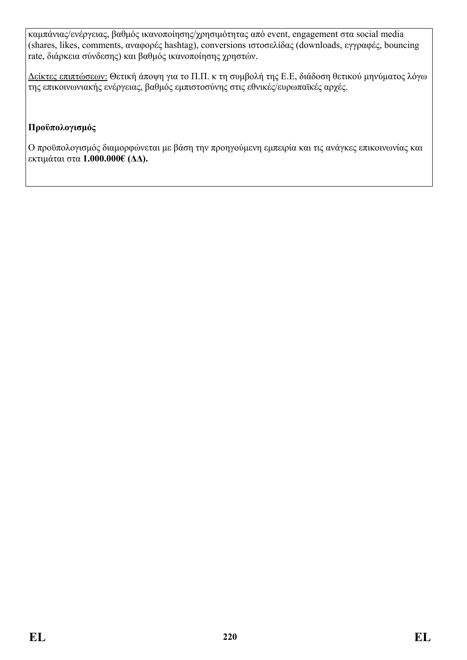καμπάνιας/ενέργειας, βαθμός ικανοποίησης/χρησιμότητας από event, engagement στα social media (shares, likes, comments, αναφορές hashtag), conversions ιστοσελίδας (downloads, εγγραφές, bouncing rate, διάρκεια σύνδεσης) και βαθμός ικανοποίησης χρηστών.

Δείκτες επιπτώσεων: Θετική άποψη για το Π.Π. κ τη συμβολή της Ε.E, διάδοση θετικού μηνύματος λόγω της επικοινωνιακής ενέργειας, βαθμός εμπιστοσύνης στις εθνικές/ευρωπαϊκές αρχές.

#### **Προϋπολογισμός**

Ο προϋπολογισμός διαμορφώνεται με βάση την προηγούμενη εμπειρία και τις ανάγκες επικοινωνίας και εκτιμάται στα **1.000.000€ (ΔΔ).**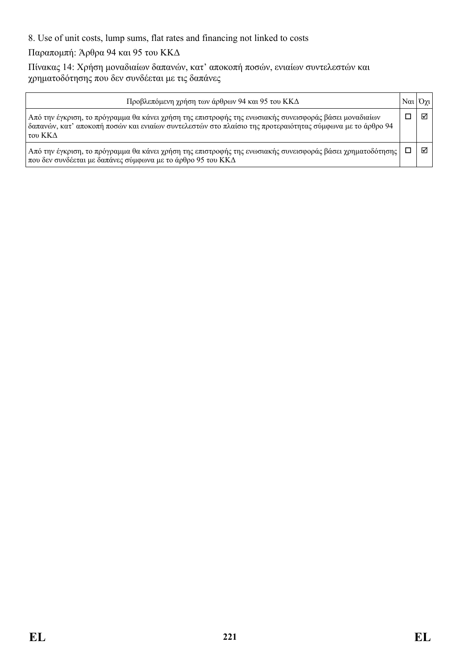8. Use of unit costs, lump sums, flat rates and financing not linked to costs

Παραπομπή: Άρθρα 94 και 95 του ΚΚΔ

Πίνακας 14: Χρήση μοναδιαίων δαπανών, κατ' αποκοπή ποσών, ενιαίων συντελεστών και χρηματοδότησης που δεν συνδέεται με τις δαπάνες

| Προβλεπόμενη χρήση των άρθρων 94 και 95 του ΚΚΔ                                                                                                                                                                                | $\left \text{N}\alpha\right $ | $O\gamma$ l |
|--------------------------------------------------------------------------------------------------------------------------------------------------------------------------------------------------------------------------------|-------------------------------|-------------|
| Από την έγκριση, το πρόγραμμα θα κάνει χρήση της επιστροφής της ενωσιακής συνεισφοράς βάσει μοναδιαίων<br>δαπανών, κατ' αποκοπή ποσών και ενιαίων συντελεστών στο πλαίσιο της προτεραιότητας σύμφωνα με το άρθρο 94<br>του ΚΚΔ |                               | ⊠           |
| Από την έγκριση, το πρόγραμμα θα κάνει χρήση της επιστροφής της ενωσιακής συνεισφοράς βάσει χρηματοδότησης  <br>που δεν συνδέεται με δαπάνες σύμφωνα με το άρθρο 95 του ΚΚΔ                                                    |                               | ا⊽ا         |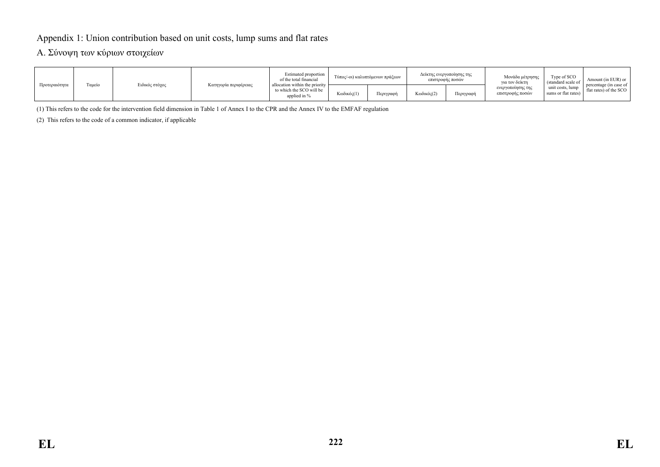#### Appendix 1: Union contribution based on unit costs, lump sums and flat rates

#### A. Σύνοψη των κύριων στοιχείων

| Προτεραιότητα |        | Ειδικός στόχος | Κατηγορία περιφέρειας | Estimated proportion<br>of the total financial<br>allocation within the priority<br>to which the SCO will be<br>applied in % | Τύπος/-οι) καλυπτόμενων πράξεων |           | Δείκτης ενεργοποίησης της<br>επιστροφής ποσών |           | Μονάδα μέτρησης<br>για τον δείκτη     | Type of SCO<br>(standard scale of        | Amount (in EUR) or                               |
|---------------|--------|----------------|-----------------------|------------------------------------------------------------------------------------------------------------------------------|---------------------------------|-----------|-----------------------------------------------|-----------|---------------------------------------|------------------------------------------|--------------------------------------------------|
|               | Γαμείο |                |                       |                                                                                                                              | Κωδικός(1)                      | Περιγραφή | Κωδικός(2)                                    | Περιγραφή | ενεργοποίησης της<br>επιστροφής ποσών | unit costs, lump<br>sums or flat rates). | percentage (in case of<br>flat rates) of the SCO |

(1) This refers to the code for the intervention field dimension in Table 1 of Annex I to the CPR and the Annex IV to the EMFAF regulation

(2) This refers to the code of a common indicator, if applicable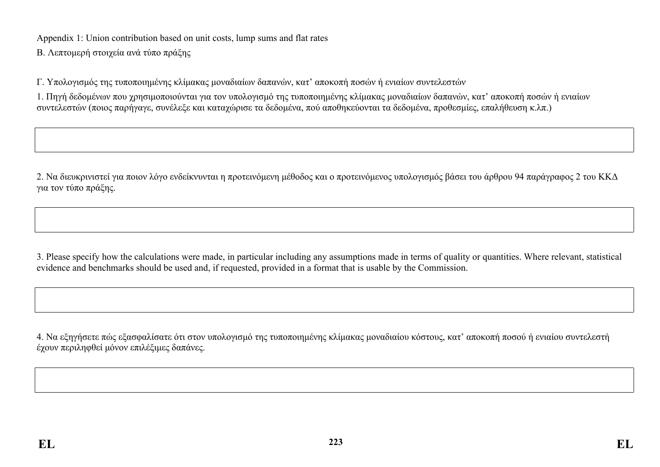Appendix 1: Union contribution based on unit costs, lump sums and flat rates

Β. Λεπτομερή στοιχεία ανά τύπο πράξης

Γ. Υπολογισμός της τυποποιημένης κλίμακας μοναδιαίων δαπανών, κατ' αποκοπή ποσών ή ενιαίων συντελεστών

1. Πηγή δεδομένων που χρησιμοποιούνται για τον υπολογισμό της τυποποιημένης κλίμακας μοναδιαίων δαπανών, κατ' αποκοπή ποσών ή ενιαίων συντελεστών (ποιος παρήγαγε, συνέλεξε και καταχώρισε τα δεδομένα, πού αποθηκεύονται τα δεδομένα, προθεσμίες, επαλήθευση κ.λπ.)

2. Να διευκρινιστεί για ποιον λόγο ενδείκνυνται η προτεινόμενη μέθοδος και ο προτεινόμενος υπολογισμός βάσει του άρθρου 94 παράγραφος 2 του ΚΚΔ για τον τύπο πράξης.

3. Please specify how the calculations were made, in particular including any assumptions made in terms of quality or quantities. Where relevant, statistical evidence and benchmarks should be used and, if requested, provided in a format that is usable by the Commission.

4. Να εξηγήσετε πώς εξασφαλίσατε ότι στον υπολογισμό της τυποποιημένης κλίμακας μοναδιαίου κόστους, κατ' αποκοπή ποσού ή ενιαίου συντελεστή έχουν περιληφθεί μόνον επιλέξιμες δαπάνες.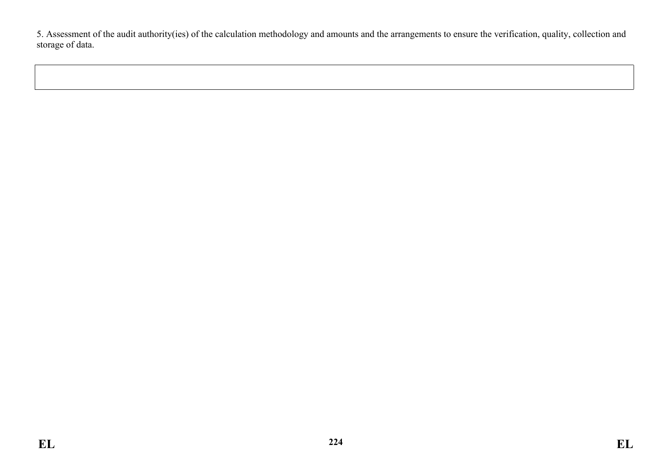5. Assessment of the audit authority(ies) of the calculation methodology and amounts and the arrangements to ensure the verification, quality, collection and storage of data.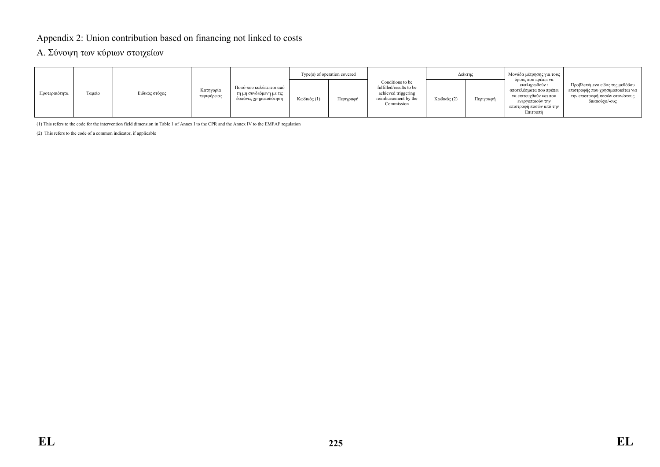#### Appendix 2: Union contribution based on financing not linked to costs

#### A. Σύνοψη των κύριων στοιχείων

| Προτεραιότητα | Γαμείο | Ειδικός στόχος |                          | Ποσό που καλύπτεται από<br>τη μη συνδεόμενη με τις<br>δαπάνες χρηματοδότηση | Type(s) of operation covered |           |                                                                                                          | Δείκτης     |           | Μονάδα μέτρησης για τους                                                                                                                             |                                                                                                                          |
|---------------|--------|----------------|--------------------------|-----------------------------------------------------------------------------|------------------------------|-----------|----------------------------------------------------------------------------------------------------------|-------------|-----------|------------------------------------------------------------------------------------------------------------------------------------------------------|--------------------------------------------------------------------------------------------------------------------------|
|               |        |                | Κατηγορία<br>περιφέρειας |                                                                             | Κωδικός (1)                  | Περιγραφή | Conditions to be<br>fulfilled/results to be<br>achieved triggering<br>reimbursement by the<br>Commission | Κωδικός (2) | Περιγραφή | όρους που πρέπει να<br>εκπληρωθούν /<br>αποτελέσματα που πρέπει<br>να επιτευγθούν και που<br>ενεργοποιούν την<br>επιστροφή ποσών από την<br>Επιτροπή | Προβλεπόμενο είδος της μεθόδου<br>επιστροφής που χρησιμοποιείται για<br>την επιστροφή ποσών στον/στους<br>δικαιούχο/-ους |

(1) This refers to the code for the intervention field dimension in Table 1 of Annex I to the CPR and the Annex IV to the EMFAF regulation

(2) This refers to the code of a common indicator, if applicable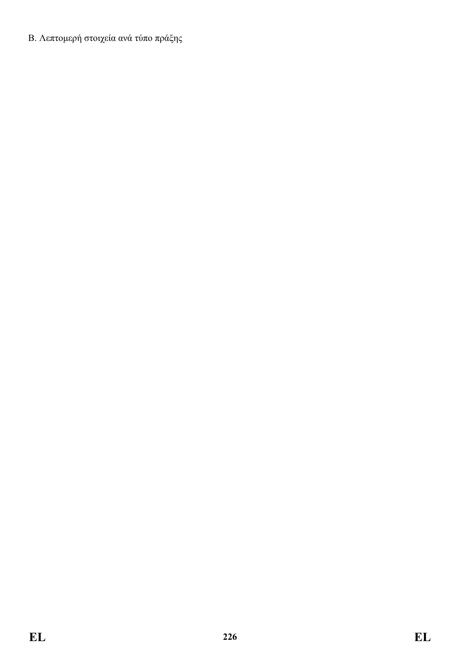Β. Λεπτομερή στοιχεία ανά τύπο πράξης